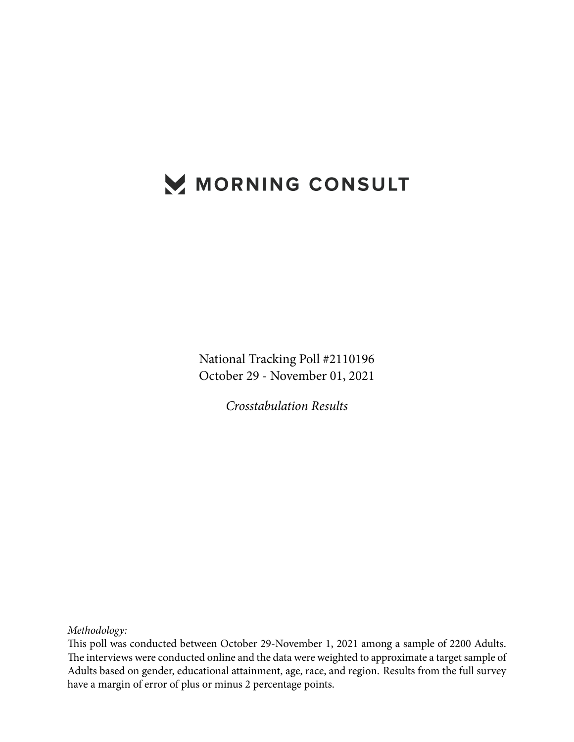## MORNING CONSULT

National Tracking Poll #2110196 October 29 - November 01, 2021

*Crosstabulation Results*

*Methodology:*

This poll was conducted between October 29-November 1, 2021 among a sample of 2200 Adults. The interviews were conducted online and the data were weighted to approximate a target sample of Adults based on gender, educational attainment, age, race, and region. Results from the full survey have a margin of error of plus or minus 2 percentage points.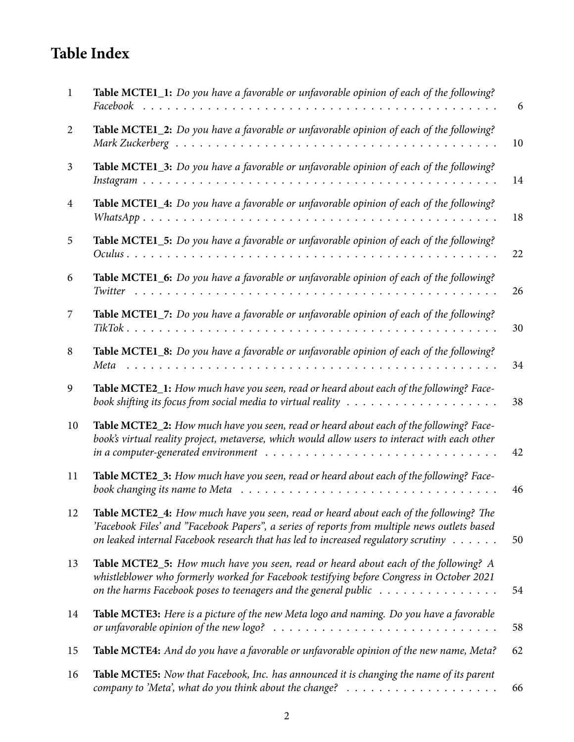## **Table Index**

| $\mathbf{1}$   | Table MCTE1_1: Do you have a favorable or unfavorable opinion of each of the following?                                                                                                                                                                                                                  | 6  |
|----------------|----------------------------------------------------------------------------------------------------------------------------------------------------------------------------------------------------------------------------------------------------------------------------------------------------------|----|
| 2              | Table MCTE1_2: Do you have a favorable or unfavorable opinion of each of the following?                                                                                                                                                                                                                  | 10 |
| 3              | Table MCTE1_3: Do you have a favorable or unfavorable opinion of each of the following?                                                                                                                                                                                                                  | 14 |
| $\overline{4}$ | Table MCTE1_4: Do you have a favorable or unfavorable opinion of each of the following?                                                                                                                                                                                                                  | 18 |
| 5              | Table MCTE1_5: Do you have a favorable or unfavorable opinion of each of the following?                                                                                                                                                                                                                  | 22 |
| 6              | Table MCTE1_6: Do you have a favorable or unfavorable opinion of each of the following?                                                                                                                                                                                                                  | 26 |
| 7              | Table MCTE1_7: Do you have a favorable or unfavorable opinion of each of the following?                                                                                                                                                                                                                  | 30 |
| 8              | Table MCTE1_8: Do you have a favorable or unfavorable opinion of each of the following?<br>Meta                                                                                                                                                                                                          | 34 |
| 9              | Table MCTE2_1: How much have you seen, read or heard about each of the following? Face-<br>book shifting its focus from social media to virtual reality $\dots \dots \dots \dots \dots \dots \dots$                                                                                                      | 38 |
| 10             | Table MCTE2_2: How much have you seen, read or heard about each of the following? Face-<br>book's virtual reality project, metaverse, which would allow users to interact with each other<br>in a computer-generated environment $\ldots \ldots \ldots \ldots \ldots \ldots \ldots \ldots \ldots \ldots$ | 42 |
| 11             | Table MCTE2_3: How much have you seen, read or heard about each of the following? Face-<br>book changing its name to Meta                                                                                                                                                                                | 46 |
| 12             | Table MCTE2_4: How much have you seen, read or heard about each of the following? The<br>'Facebook Files' and "Facebook Papers", a series of reports from multiple news outlets based<br>on leaked internal Facebook research that has led to increased regulatory scrutiny                              | 50 |
| 13             | Table MCTE2_5: How much have you seen, read or heard about each of the following? A<br>whistleblower who formerly worked for Facebook testifying before Congress in October 2021<br>on the harms Facebook poses to teenagers and the general public                                                      | 54 |
| 14             | Table MCTE3: Here is a picture of the new Meta logo and naming. Do you have a favorable<br>or unfavorable opinion of the new logo? $\ldots \ldots \ldots \ldots \ldots \ldots \ldots \ldots \ldots \ldots$                                                                                               | 58 |
| 15             | Table MCTE4: And do you have a favorable or unfavorable opinion of the new name, Meta?                                                                                                                                                                                                                   | 62 |
| 16             | Table MCTE5: Now that Facebook, Inc. has announced it is changing the name of its parent<br>company to 'Meta', what do you think about the change? $\ldots \ldots \ldots \ldots \ldots \ldots$                                                                                                           | 66 |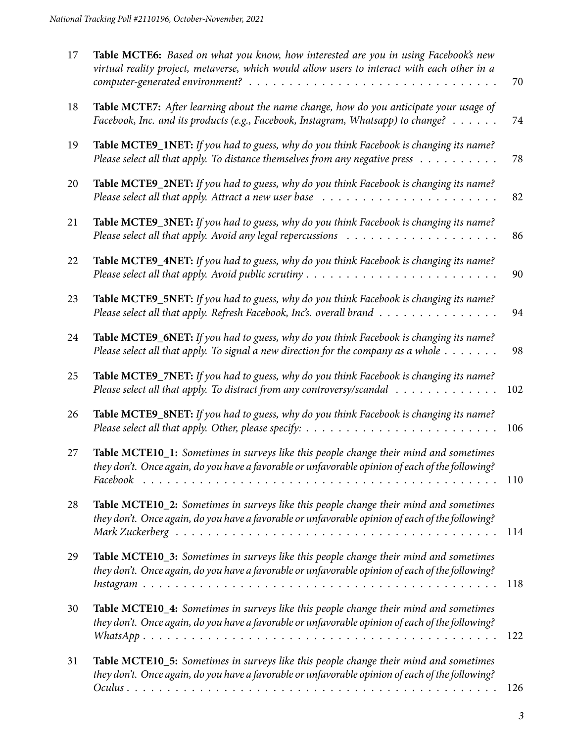| 17 | Table MCTE6: Based on what you know, how interested are you in using Facebook's new<br>virtual reality project, metaverse, which would allow users to interact with each other in a        | 70  |
|----|--------------------------------------------------------------------------------------------------------------------------------------------------------------------------------------------|-----|
| 18 | Table MCTE7: After learning about the name change, how do you anticipate your usage of<br>Facebook, Inc. and its products (e.g., Facebook, Instagram, Whatsapp) to change?                 | 74  |
| 19 | Table MCTE9_1NET: If you had to guess, why do you think Facebook is changing its name?<br>Please select all that apply. To distance themselves from any negative press                     | 78  |
| 20 | Table MCTE9_2NET: If you had to guess, why do you think Facebook is changing its name?                                                                                                     | 82  |
| 21 | Table MCTE9_3NET: If you had to guess, why do you think Facebook is changing its name?                                                                                                     | 86  |
| 22 | Table MCTE9_4NET: If you had to guess, why do you think Facebook is changing its name?                                                                                                     | 90  |
| 23 | Table MCTE9_5NET: If you had to guess, why do you think Facebook is changing its name?<br>Please select all that apply. Refresh Facebook, Inc's. overall brand                             | 94  |
| 24 | Table MCTE9_6NET: If you had to guess, why do you think Facebook is changing its name?<br>Please select all that apply. To signal a new direction for the company as a whole $\dots \dots$ | 98  |
| 25 | Table MCTE9_7NET: If you had to guess, why do you think Facebook is changing its name?<br>Please select all that apply. To distract from any controversy/scandal                           | 102 |
| 26 | Table MCTE9_8NET: If you had to guess, why do you think Facebook is changing its name?                                                                                                     | 106 |
| 27 | Table MCTE10_1: Sometimes in surveys like this people change their mind and sometimes<br>they don't. Once again, do you have a favorable or unfavorable opinion of each of the following?  | 110 |
| 28 | Table MCTE10_2: Sometimes in surveys like this people change their mind and sometimes<br>they don't. Once again, do you have a favorable or unfavorable opinion of each of the following?  | 114 |
| 29 | Table MCTE10_3: Sometimes in surveys like this people change their mind and sometimes<br>they don't. Once again, do you have a favorable or unfavorable opinion of each of the following?  | 118 |
| 30 | Table MCTE10_4: Sometimes in surveys like this people change their mind and sometimes<br>they don't. Once again, do you have a favorable or unfavorable opinion of each of the following?  | 122 |
| 31 | Table MCTE10_5: Sometimes in surveys like this people change their mind and sometimes<br>they don't. Once again, do you have a favorable or unfavorable opinion of each of the following?  | 126 |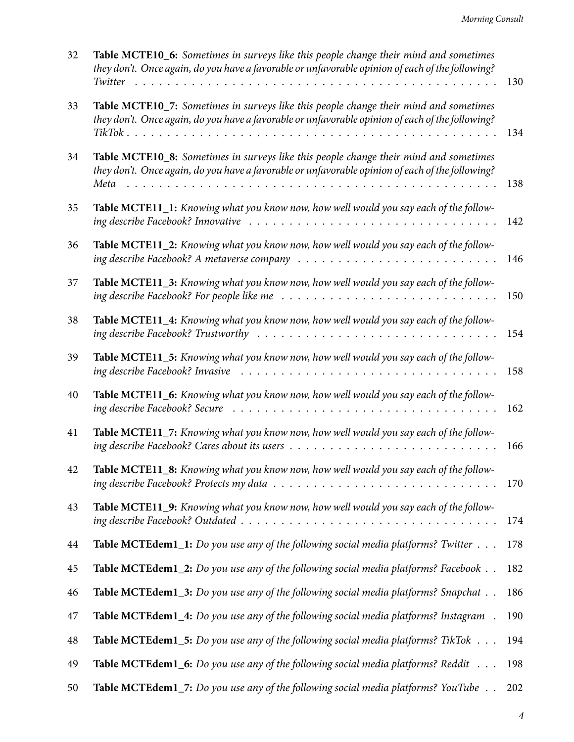| 32 | Table MCTE10_6: Sometimes in surveys like this people change their mind and sometimes<br>they don't. Once again, do you have a favorable or unfavorable opinion of each of the following?                  | 130 |
|----|------------------------------------------------------------------------------------------------------------------------------------------------------------------------------------------------------------|-----|
| 33 | Table MCTE10_7: Sometimes in surveys like this people change their mind and sometimes<br>they don't. Once again, do you have a favorable or unfavorable opinion of each of the following?                  | 134 |
| 34 | Table MCTE10_8: Sometimes in surveys like this people change their mind and sometimes<br>they don't. Once again, do you have a favorable or unfavorable opinion of each of the following?<br>Meta          | 138 |
| 35 | Table MCTE11_1: Knowing what you know now, how well would you say each of the follow-                                                                                                                      | 142 |
| 36 | Table MCTE11_2: Knowing what you know now, how well would you say each of the follow-                                                                                                                      | 146 |
| 37 | Table MCTE11_3: Knowing what you know now, how well would you say each of the follow-<br>ing describe Facebook? For people like me $\ldots \ldots \ldots \ldots \ldots \ldots \ldots \ldots \ldots \ldots$ | 150 |
| 38 | Table MCTE11_4: Knowing what you know now, how well would you say each of the follow-                                                                                                                      | 154 |
| 39 | Table MCTE11_5: Knowing what you know now, how well would you say each of the follow-                                                                                                                      | 158 |
| 40 | Table MCTE11_6: Knowing what you know now, how well would you say each of the follow-                                                                                                                      | 162 |
| 41 | Table MCTE11_7: Knowing what you know now, how well would you say each of the follow-                                                                                                                      | 166 |
| 42 | Table MCTE11_8: Knowing what you know now, how well would you say each of the follow-                                                                                                                      | 170 |
| 43 | Table MCTE11_9: Knowing what you know now, how well would you say each of the follow-                                                                                                                      | 174 |
| 44 | Table MCTEdem1_1: Do you use any of the following social media platforms? Twitter                                                                                                                          | 178 |
| 45 | <b>Table MCTEdem1_2:</b> Do you use any of the following social media platforms? Facebook                                                                                                                  | 182 |
| 46 | <b>Table MCTEdem1_3:</b> Do you use any of the following social media platforms? Snapchat                                                                                                                  | 186 |
| 47 | Table MCTEdem1_4: Do you use any of the following social media platforms? Instagram.                                                                                                                       | 190 |
| 48 | <b>Table MCTEdem1_5:</b> Do you use any of the following social media platforms? TikTok                                                                                                                    | 194 |
| 49 | <b>Table MCTEdem1_6:</b> Do you use any of the following social media platforms? Reddit                                                                                                                    | 198 |
| 50 | <b>Table MCTEdem1_7:</b> Do you use any of the following social media platforms? YouTube                                                                                                                   | 202 |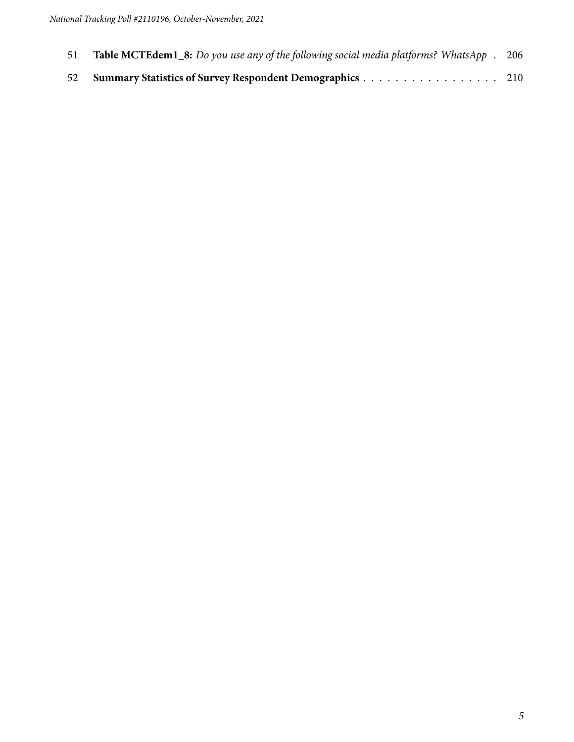- **Table MCTEdem1\_8:** *[Do you use any of the following social media platforms? WhatsApp](#page-205-0)* . 206
- **[Summary Statistics of Survey Respondent Demographics](#page-209-0)** . . . . . . . . . . . . . . . . . 210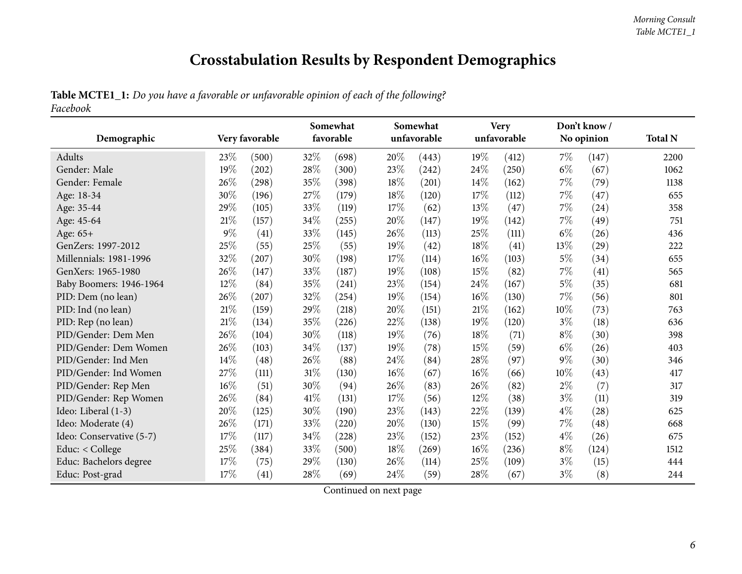## **Crosstabulation Results by Respondent Demographics**

## Table MCTE1\_1: Do you have a favorable or unfavorable opinion of each of the following? *Facebook*

<span id="page-5-0"></span>

|                          |        |                |        | Somewhat  |        | Somewhat    |        | <b>Very</b> |       | Don't know/ |                |
|--------------------------|--------|----------------|--------|-----------|--------|-------------|--------|-------------|-------|-------------|----------------|
| Demographic              |        | Very favorable |        | favorable |        | unfavorable |        | unfavorable |       | No opinion  | <b>Total N</b> |
| Adults                   | 23\%   | (500)          | 32%    | (698)     | 20%    | (443)       | 19%    | (412)       | $7\%$ | (147)       | 2200           |
| Gender: Male             | 19%    | (202)          | 28\%   | (300)     | 23%    | (242)       | 24\%   | (250)       | $6\%$ | (67)        | 1062           |
| Gender: Female           | 26%    | (298)          | 35%    | (398)     | $18\%$ | (201)       | 14\%   | (162)       | $7\%$ | (79)        | 1138           |
| Age: 18-34               | 30%    | (196)          | 27\%   | (179)     | $18\%$ | (120)       | 17%    | (112)       | $7\%$ | (47)        | 655            |
| Age: 35-44               | 29%    | (105)          | 33%    | (119)     | 17%    | (62)        | 13%    | (47)        | $7\%$ | (24)        | 358            |
| Age: 45-64               | 21%    | (157)          | 34\%   | (255)     | 20%    | (147)       | 19%    | (142)       | $7\%$ | (49)        | 751            |
| Age: 65+                 | $9\%$  | (41)           | 33\%   | (145)     | 26%    | (113)       | 25%    | (111)       | $6\%$ | (26)        | 436            |
| GenZers: 1997-2012       | 25%    | (55)           | 25%    | (55)      | 19%    | (42)        | 18%    | (41)        | 13%   | (29)        | 222            |
| Millennials: 1981-1996   | 32%    | (207)          | 30%    | (198)     | 17\%   | (114)       | $16\%$ | (103)       | $5\%$ | (34)        | 655            |
| GenXers: 1965-1980       | 26%    | (147)          | 33%    | (187)     | 19%    | (108)       | $15\%$ | (82)        | $7\%$ | (41)        | 565            |
| Baby Boomers: 1946-1964  | 12%    | (84)           | 35%    | (241)     | 23%    | (154)       | 24\%   | (167)       | $5\%$ | (35)        | 681            |
| PID: Dem (no lean)       | 26%    | (207)          | 32%    | (254)     | 19%    | (154)       | $16\%$ | (130)       | 7%    | (56)        | 801            |
| PID: Ind (no lean)       | 21%    | (159)          | 29%    | (218)     | 20%    | (151)       | 21\%   | (162)       | 10%   | (73)        | 763            |
| PID: Rep (no lean)       | $21\%$ | (134)          | 35%    | (226)     | 22%    | (138)       | 19%    | (120)       | $3\%$ | (18)        | 636            |
| PID/Gender: Dem Men      | 26%    | (104)          | 30%    | (118)     | 19%    | (76)        | 18%    | (71)        | $8\%$ | (30)        | 398            |
| PID/Gender: Dem Women    | 26%    | (103)          | 34\%   | (137)     | 19%    | (78)        | 15%    | (59)        | $6\%$ | (26)        | 403            |
| PID/Gender: Ind Men      | 14%    | (48)           | 26\%   | (88)      | 24%    | (84)        | 28\%   | (97)        | $9\%$ | (30)        | 346            |
| PID/Gender: Ind Women    | 27%    | (111)          | $31\%$ | (130)     | $16\%$ | (67)        | $16\%$ | (66)        | 10%   | (43)        | 417            |
| PID/Gender: Rep Men      | 16%    | (51)           | 30%    | (94)      | 26%    | (83)        | 26%    | (82)        | $2\%$ | (7)         | 317            |
| PID/Gender: Rep Women    | 26\%   | (84)           | 41\%   | (131)     | 17%    | (56)        | 12%    | (38)        | $3\%$ | (11)        | 319            |
| Ideo: Liberal (1-3)      | 20%    | (125)          | 30%    | (190)     | 23%    | (143)       | 22%    | (139)       | $4\%$ | (28)        | 625            |
| Ideo: Moderate (4)       | 26%    | (171)          | 33%    | (220)     | 20%    | (130)       | 15%    | (99)        | $7\%$ | (48)        | 668            |
| Ideo: Conservative (5-7) | 17%    | (117)          | 34\%   | (228)     | 23%    | (152)       | 23%    | (152)       | $4\%$ | (26)        | 675            |
| Educ: $<$ College        | 25%    | (384)          | 33%    | (500)     | $18\%$ | (269)       | $16\%$ | (236)       | $8\%$ | (124)       | 1512           |
| Educ: Bachelors degree   | 17%    | (75)           | 29%    | (130)     | 26%    | (114)       | 25%    | (109)       | $3\%$ | (15)        | 444            |
| Educ: Post-grad          | 17%    | (41)           | 28\%   | (69)      | 24%    | (59)        | 28\%   | (67)        | $3\%$ | (8)         | 244            |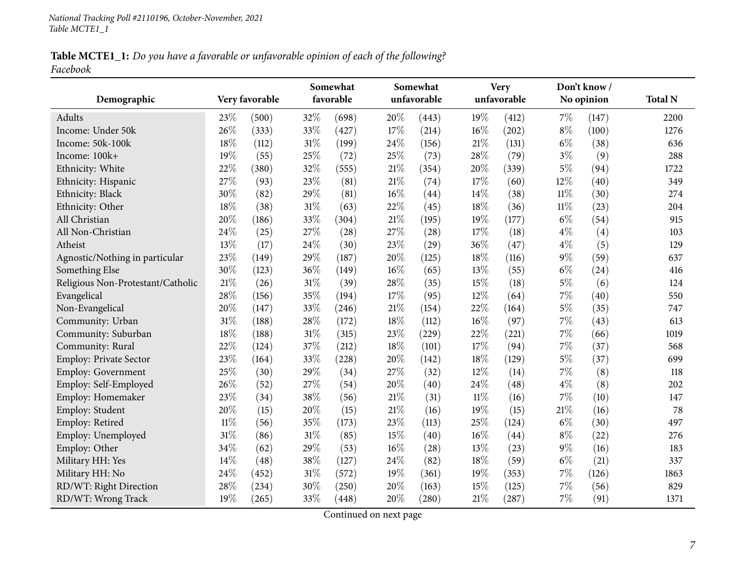Table MCTE1\_1: Do you have a favorable or unfavorable opinion of each of the following? *Facebook*

|                                   |                |       | Somewhat<br>Somewhat |           |        |             | <b>Very</b> |             | Don't know/ |            |                |
|-----------------------------------|----------------|-------|----------------------|-----------|--------|-------------|-------------|-------------|-------------|------------|----------------|
| Demographic                       | Very favorable |       |                      | favorable |        | unfavorable |             | unfavorable |             | No opinion | <b>Total N</b> |
| Adults                            | 23%            | (500) | 32%                  | (698)     | 20%    | (443)       | 19%         | (412)       | 7%          | (147)      | 2200           |
| Income: Under 50k                 | 26%            | (333) | 33%                  | (427)     | 17%    | (214)       | 16%         | (202)       | $8\%$       | (100)      | 1276           |
| Income: 50k-100k                  | 18%            | (112) | 31%                  | (199)     | 24\%   | (156)       | $21\%$      | (131)       | $6\%$       | (38)       | 636            |
| Income: 100k+                     | 19%            | (55)  | 25%                  | (72)      | 25%    | (73)        | 28%         | (79)        | $3\%$       | (9)        | 288            |
| Ethnicity: White                  | 22%            | (380) | 32%                  | (555)     | $21\%$ | (354)       | 20%         | (339)       | $5\%$       | (94)       | 1722           |
| Ethnicity: Hispanic               | 27%            | (93)  | 23%                  | (81)      | 21%    | (74)        | 17%         | (60)        | 12%         | (40)       | 349            |
| Ethnicity: Black                  | 30%            | (82)  | 29%                  | (81)      | 16%    | (44)        | 14%         | (38)        | $11\%$      | (30)       | 274            |
| Ethnicity: Other                  | 18%            | (38)  | 31%                  | (63)      | 22%    | (45)        | $18\%$      | (36)        | $11\%$      | (23)       | 204            |
| All Christian                     | 20%            | (186) | 33%                  | (304)     | 21%    | (195)       | 19%         | (177)       | $6\%$       | (54)       | 915            |
| All Non-Christian                 | 24%            | (25)  | 27%                  | (28)      | 27%    | (28)        | 17%         | (18)        | $4\%$       | (4)        | 103            |
| Atheist                           | 13%            | (17)  | 24%                  | (30)      | 23%    | (29)        | 36%         | (47)        | $4\%$       | (5)        | 129            |
| Agnostic/Nothing in particular    | 23%            | (149) | 29%                  | (187)     | 20%    | (125)       | 18%         | (116)       | $9\%$       | (59)       | 637            |
| Something Else                    | 30%            | (123) | 36%                  | (149)     | $16\%$ | (65)        | 13%         | (55)        | $6\%$       | (24)       | 416            |
| Religious Non-Protestant/Catholic | 21%            | (26)  | 31%                  | (39)      | 28%    | (35)        | 15%         | (18)        | $5\%$       | (6)        | 124            |
| Evangelical                       | 28%            | (156) | 35%                  | (194)     | 17%    | (95)        | 12%         | (64)        | 7%          | (40)       | 550            |
| Non-Evangelical                   | 20%            | (147) | 33%                  | (246)     | 21%    | (154)       | 22%         | (164)       | $5\%$       | (35)       | 747            |
| Community: Urban                  | 31%            | (188) | 28%                  | (172)     | 18%    | (112)       | 16%         | (97)        | 7%          | (43)       | 613            |
| Community: Suburban               | 18%            | (188) | 31%                  | (315)     | 23%    | (229)       | 22%         | (221)       | 7%          | (66)       | 1019           |
| Community: Rural                  | 22%            | (124) | 37%                  | (212)     | $18\%$ | (101)       | 17%         | (94)        | 7%          | (37)       | 568            |
| Employ: Private Sector            | 23%            | (164) | 33%                  | (228)     | 20%    | (142)       | 18%         | (129)       | $5\%$       | (37)       | 699            |
| <b>Employ: Government</b>         | 25%            | (30)  | 29%                  | (34)      | 27%    | (32)        | 12%         | (14)        | 7%          | (8)        | 118            |
| Employ: Self-Employed             | 26%            | (52)  | 27%                  | (54)      | 20%    | (40)        | 24%         | (48)        | $4\%$       | (8)        | 202            |
| Employ: Homemaker                 | 23%            | (34)  | 38%                  | (56)      | $21\%$ | (31)        | $11\%$      | (16)        | 7%          | (10)       | 147            |
| Employ: Student                   | 20%            | (15)  | 20%                  | (15)      | $21\%$ | (16)        | 19%         | (15)        | 21%         | (16)       | 78             |
| Employ: Retired                   | $11\%$         | (56)  | 35%                  | (173)     | 23%    | (113)       | 25%         | (124)       | $6\%$       | (30)       | 497            |
| Employ: Unemployed                | 31%            | (86)  | 31%                  | (85)      | 15%    | (40)        | 16%         | (44)        | $8\%$       | (22)       | 276            |
| Employ: Other                     | 34%            | (62)  | 29%                  | (53)      | $16\%$ | (28)        | 13%         | (23)        | $9\%$       | (16)       | 183            |
| Military HH: Yes                  | 14%            | (48)  | 38%                  | (127)     | 24%    | (82)        | 18%         | (59)        | $6\%$       | (21)       | 337            |
| Military HH: No                   | 24%            | (452) | 31%                  | (572)     | 19%    | (361)       | 19%         | (353)       | $7\%$       | (126)      | 1863           |
| RD/WT: Right Direction            | 28%            | (234) | 30%                  | (250)     | 20%    | (163)       | 15%         | (125)       | 7%          | (56)       | 829            |
| RD/WT: Wrong Track                | 19%            | (265) | 33%                  | (448)     | 20%    | (280)       | $21\%$      | (287)       | 7%          | (91)       | 1371           |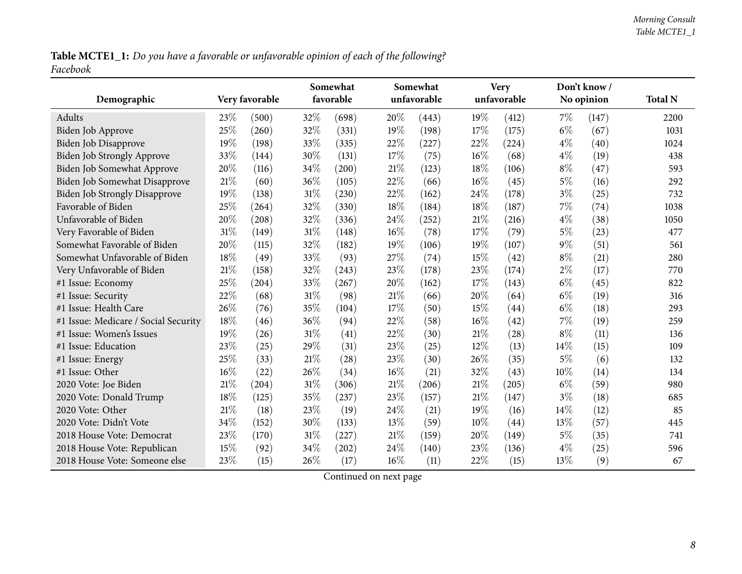Table MCTE1\_1: Do you have a favorable or unfavorable opinion of each of the following? *Facebook*

|                                      | Very favorable |       |        | Somewhat<br>favorable |        | Somewhat<br>unfavorable |        | <b>Very</b><br>unfavorable |       | Don't know/ | <b>Total N</b> |
|--------------------------------------|----------------|-------|--------|-----------------------|--------|-------------------------|--------|----------------------------|-------|-------------|----------------|
| Demographic                          |                |       |        |                       |        |                         |        |                            |       | No opinion  |                |
| Adults                               | 23\%           | (500) | 32%    | (698)                 | 20%    | (443)                   | 19%    | (412)                      | 7%    | (147)       | 2200           |
| Biden Job Approve                    | 25%            | (260) | 32%    | (331)                 | 19%    | (198)                   | 17%    | (175)                      | $6\%$ | (67)        | 1031           |
| Biden Job Disapprove                 | 19%            | (198) | 33%    | (335)                 | 22%    | (227)                   | 22%    | (224)                      | $4\%$ | (40)        | 1024           |
| Biden Job Strongly Approve           | 33%            | (144) | 30%    | (131)                 | 17%    | (75)                    | 16%    | (68)                       | $4\%$ | (19)        | 438            |
| Biden Job Somewhat Approve           | 20%            | (116) | 34\%   | (200)                 | $21\%$ | (123)                   | 18%    | (106)                      | $8\%$ | (47)        | 593            |
| Biden Job Somewhat Disapprove        | 21%            | (60)  | 36%    | (105)                 | 22%    | (66)                    | 16%    | (45)                       | $5\%$ | (16)        | 292            |
| <b>Biden Job Strongly Disapprove</b> | 19%            | (138) | $31\%$ | (230)                 | 22%    | (162)                   | 24%    | (178)                      | $3\%$ | (25)        | 732            |
| Favorable of Biden                   | 25%            | (264) | 32%    | (330)                 | 18%    | (184)                   | 18%    | (187)                      | 7%    | (74)        | 1038           |
| Unfavorable of Biden                 | 20%            | (208) | 32%    | (336)                 | 24%    | (252)                   | $21\%$ | (216)                      | $4\%$ | (38)        | 1050           |
| Very Favorable of Biden              | 31%            | (149) | $31\%$ | (148)                 | $16\%$ | (78)                    | 17%    | (79)                       | $5\%$ | (23)        | 477            |
| Somewhat Favorable of Biden          | 20%            | (115) | 32%    | (182)                 | 19%    | (106)                   | 19%    | (107)                      | $9\%$ | (51)        | 561            |
| Somewhat Unfavorable of Biden        | 18%            | (49)  | 33%    | (93)                  | 27%    | (74)                    | 15%    | (42)                       | $8\%$ | (21)        | 280            |
| Very Unfavorable of Biden            | 21%            | (158) | 32%    | (243)                 | 23%    | (178)                   | 23%    | (174)                      | $2\%$ | (17)        | 770            |
| #1 Issue: Economy                    | 25%            | (204) | 33%    | (267)                 | 20%    | (162)                   | 17%    | (143)                      | $6\%$ | (45)        | 822            |
| #1 Issue: Security                   | 22%            | (68)  | 31%    | (98)                  | 21%    | (66)                    | 20%    | (64)                       | $6\%$ | (19)        | 316            |
| #1 Issue: Health Care                | 26%            | (76)  | 35%    | (104)                 | 17%    | (50)                    | 15%    | (44)                       | $6\%$ | (18)        | 293            |
| #1 Issue: Medicare / Social Security | 18%            | (46)  | 36%    | (94)                  | 22%    | (58)                    | 16%    | (42)                       | 7%    | (19)        | 259            |
| #1 Issue: Women's Issues             | 19%            | (26)  | 31%    | (41)                  | 22%    | (30)                    | 21%    | (28)                       | $8\%$ | (11)        | 136            |
| #1 Issue: Education                  | 23%            | (25)  | 29%    | (31)                  | 23%    | (25)                    | $12\%$ | (13)                       | 14\%  | (15)        | 109            |
| #1 Issue: Energy                     | 25%            | (33)  | 21%    | (28)                  | $23\%$ | (30)                    | 26%    | (35)                       | $5\%$ | (6)         | 132            |
| #1 Issue: Other                      | 16%            | (22)  | 26\%   | (34)                  | 16%    | (21)                    | 32%    | (43)                       | 10%   | (14)        | 134            |
| 2020 Vote: Joe Biden                 | 21%            | (204) | $31\%$ | (306)                 | 21%    | (206)                   | 21%    | (205)                      | $6\%$ | (59)        | 980            |
| 2020 Vote: Donald Trump              | 18%            | (125) | 35%    | (237)                 | 23%    | (157)                   | 21%    | (147)                      | $3\%$ | (18)        | 685            |
| 2020 Vote: Other                     | 21%            | (18)  | 23%    | (19)                  | 24%    | (21)                    | 19%    | (16)                       | 14\%  | (12)        | 85             |
| 2020 Vote: Didn't Vote               | 34%            | (152) | 30%    | (133)                 | 13%    | (59)                    | 10%    | (44)                       | 13%   | (57)        | 445            |
| 2018 House Vote: Democrat            | 23%            | (170) | $31\%$ | (227)                 | $21\%$ | (159)                   | 20%    | (149)                      | $5\%$ | (35)        | 741            |
| 2018 House Vote: Republican          | 15%            | (92)  | 34%    | (202)                 | 24%    | (140)                   | 23%    | (136)                      | $4\%$ | (25)        | 596            |
| 2018 House Vote: Someone else        | 23%            | (15)  | 26%    | (17)                  | 16%    | (11)                    | 22%    | (15)                       | 13%   | (9)         | 67             |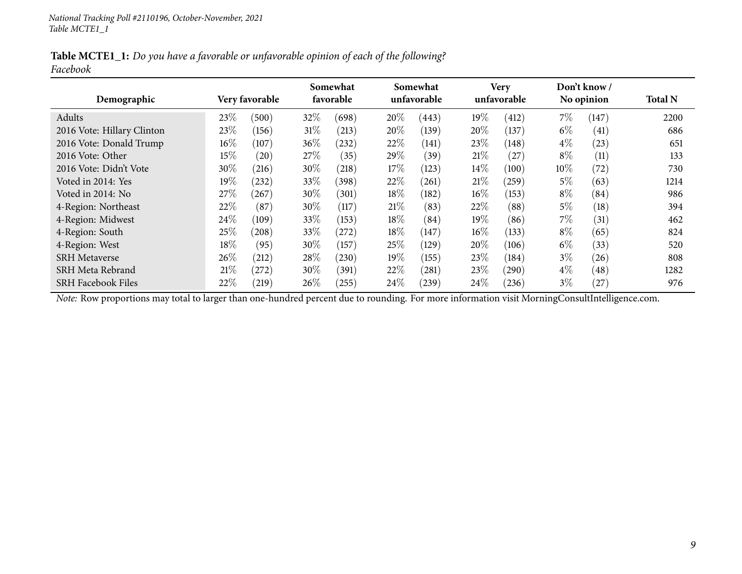Table MCTE1\_1: Do you have a favorable or unfavorable opinion of each of the following? *Facebook*

| Demographic                | Very favorable |       | Somewhat<br>favorable |       |        | Somewhat<br>unfavorable |        | Very<br>unfavorable |       | Don't know /<br>No opinion | <b>Total N</b> |
|----------------------------|----------------|-------|-----------------------|-------|--------|-------------------------|--------|---------------------|-------|----------------------------|----------------|
| Adults                     | 23\%           | (500) | 32%                   | (698) | 20%    | (443)                   | 19%    | (412)               | 7%    | (147)                      | 2200           |
| 2016 Vote: Hillary Clinton | 23\%           | (156) | $31\%$                | (213) | 20%    | (139)                   | 20%    | (137)               | $6\%$ | (41)                       | 686            |
| 2016 Vote: Donald Trump    | $16\%$         | (107) | 36%                   | (232) | 22\%   | (141)                   | 23\%   | (148)               | $4\%$ | (23)                       | 651            |
| 2016 Vote: Other           | 15%            | (20)  | 27\%                  | (35)  | 29\%   | (39)                    | 21%    | (27)                | $8\%$ | (11)                       | 133            |
| 2016 Vote: Didn't Vote     | 30%            | (216) | 30%                   | (218) | 17\%   | (123)                   | $14\%$ | (100)               | 10\%  | (72)                       | 730            |
| Voted in 2014: Yes         | $19\%$         | (232) | 33\%                  | (398) | 22\%   | (261)                   | 21%    | (259)               | 5%    | (63)                       | 1214           |
| Voted in 2014: No          | 27\%           | (267) | 30%                   | (301) | 18%    | (182)                   | $16\%$ | (153)               | $8\%$ | (84)                       | 986            |
| 4-Region: Northeast        | 22\%           | (87)  | 30%                   | (117) | 21%    | (83)                    | 22%    | (88)                | 5%    | (18)                       | 394            |
| 4-Region: Midwest          | 24\%           | (109) | 33%                   | (153) | 18%    | (84)                    | 19%    | (86)                | 7%    | (31)                       | 462            |
| 4-Region: South            | 25\%           | (208) | 33\%                  | (272) | $18\%$ | (147)                   | $16\%$ | (133)               | $8\%$ | (65)                       | 824            |
| 4-Region: West             | 18%            | (95)  | 30%                   | (157) | 25\%   | (129)                   | 20%    | (106)               | $6\%$ | (33)                       | 520            |
| <b>SRH</b> Metaverse       | 26\%           | (212) | 28\%                  | (230) | 19%    | (155)                   | 23\%   | (184)               | $3\%$ | (26)                       | 808            |
| SRH Meta Rebrand           | 21%            | (272) | 30\%                  | (391) | 22\%   | (281)                   | 23\%   | (290)               | $4\%$ | (48)                       | 1282           |
| <b>SRH Facebook Files</b>  | 22%            | (219) | $26\%$                | (255) | $24\%$ | (239)                   | 24\%   | (236)               | $3\%$ | $^{'}27$                   | 976            |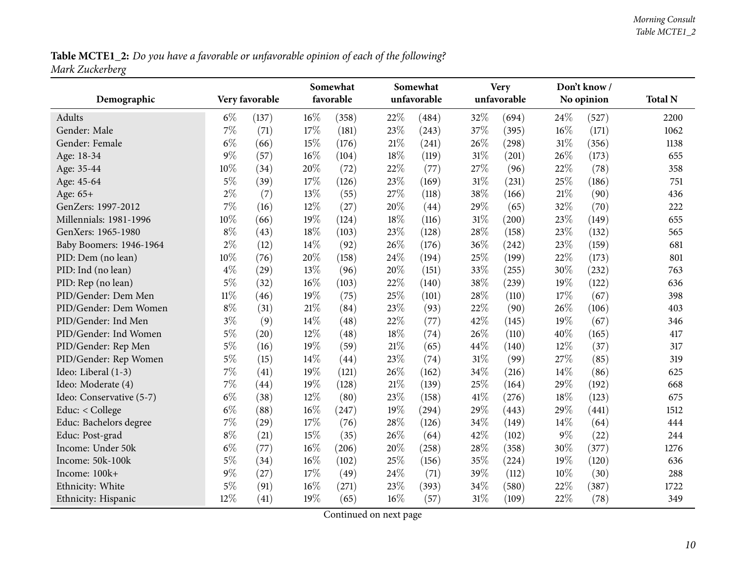Table MCTE1\_2: Do you have a favorable or unfavorable opinion of each of the following? *Mark Zuckerberg*

<span id="page-9-0"></span>

|                          |                |       |        | Somewhat  |        | Somewhat    | <b>Very</b> |             |       | Don't know/ |                |
|--------------------------|----------------|-------|--------|-----------|--------|-------------|-------------|-------------|-------|-------------|----------------|
| Demographic              | Very favorable |       |        | favorable |        | unfavorable |             | unfavorable |       | No opinion  | <b>Total N</b> |
| <b>Adults</b>            | $6\%$          | (137) | $16\%$ | (358)     | 22%    | (484)       | 32%         | (694)       | 24%   | (527)       | 2200           |
| Gender: Male             | $7\%$          | (71)  | 17%    | (181)     | 23%    | (243)       | 37%         | (395)       | 16%   | (171)       | 1062           |
| Gender: Female           | $6\%$          | (66)  | 15%    | (176)     | $21\%$ | (241)       | 26%         | (298)       | 31%   | (356)       | 1138           |
| Age: 18-34               | $9\%$          | (57)  | $16\%$ | (104)     | 18%    | (119)       | 31%         | (201)       | 26%   | (173)       | 655            |
| Age: 35-44               | 10%            | (34)  | 20%    | (72)      | 22%    | (77)        | 27%         | (96)        | 22%   | (78)        | 358            |
| Age: 45-64               | $5\%$          | (39)  | 17%    | (126)     | 23%    | (169)       | 31%         | (231)       | 25%   | (186)       | 751            |
| Age: 65+                 | $2\%$          | (7)   | 13%    | (55)      | 27%    | (118)       | 38%         | (166)       | 21%   | (90)        | 436            |
| GenZers: 1997-2012       | 7%             | (16)  | 12%    | (27)      | 20%    | (44)        | 29%         | (65)        | 32%   | (70)        | 222            |
| Millennials: 1981-1996   | $10\%$         | (66)  | 19%    | (124)     | 18%    | (116)       | 31%         | (200)       | 23%   | (149)       | 655            |
| GenXers: 1965-1980       | $8\%$          | (43)  | 18%    | (103)     | 23%    | (128)       | 28%         | (158)       | 23%   | (132)       | 565            |
| Baby Boomers: 1946-1964  | $2\%$          | (12)  | 14%    | (92)      | 26%    | (176)       | 36%         | (242)       | 23%   | (159)       | 681            |
| PID: Dem (no lean)       | 10%            | (76)  | 20%    | (158)     | 24%    | (194)       | 25%         | (199)       | 22%   | (173)       | 801            |
| PID: Ind (no lean)       | $4\%$          | (29)  | 13%    | (96)      | 20%    | (151)       | 33%         | (255)       | 30%   | (232)       | 763            |
| PID: Rep (no lean)       | $5\%$          | (32)  | 16%    | (103)     | 22%    | (140)       | 38%         | (239)       | 19%   | (122)       | 636            |
| PID/Gender: Dem Men      | $11\%$         | (46)  | 19%    | (75)      | 25%    | (101)       | 28%         | (110)       | 17%   | (67)        | 398            |
| PID/Gender: Dem Women    | $8\%$          | (31)  | $21\%$ | (84)      | 23%    | (93)        | 22%         | (90)        | 26%   | (106)       | 403            |
| PID/Gender: Ind Men      | $3\%$          | (9)   | $14\%$ | (48)      | 22%    | (77)        | 42%         | (145)       | 19%   | (67)        | 346            |
| PID/Gender: Ind Women    | $5\%$          | (20)  | 12%    | (48)      | 18%    | (74)        | 26%         | (110)       | 40%   | (165)       | 417            |
| PID/Gender: Rep Men      | $5\%$          | (16)  | 19%    | (59)      | $21\%$ | (65)        | 44%         | (140)       | 12%   | (37)        | 317            |
| PID/Gender: Rep Women    | $5\%$          | (15)  | 14%    | (44)      | 23%    | (74)        | 31%         | (99)        | 27%   | (85)        | 319            |
| Ideo: Liberal (1-3)      | $7\%$          | (41)  | 19%    | (121)     | 26%    | (162)       | 34%         | (216)       | 14%   | (86)        | 625            |
| Ideo: Moderate (4)       | $7\%$          | (44)  | 19%    | (128)     | $21\%$ | (139)       | 25%         | (164)       | 29%   | (192)       | 668            |
| Ideo: Conservative (5-7) | $6\%$          | (38)  | 12%    | (80)      | 23%    | (158)       | 41\%        | (276)       | 18%   | (123)       | 675            |
| Educ: < College          | $6\%$          | (88)  | $16\%$ | (247)     | 19%    | (294)       | 29%         | (443)       | 29%   | (441)       | 1512           |
| Educ: Bachelors degree   | 7%             | (29)  | $17\%$ | (76)      | 28%    | (126)       | 34%         | (149)       | 14%   | (64)        | 444            |
| Educ: Post-grad          | $8\%$          | (21)  | 15%    | (35)      | 26%    | (64)        | 42%         | (102)       | $9\%$ | (22)        | 244            |
| Income: Under 50k        | $6\%$          | (77)  | $16\%$ | (206)     | 20%    | (258)       | 28%         | (358)       | 30%   | (377)       | 1276           |
| Income: 50k-100k         | $5\%$          | (34)  | $16\%$ | (102)     | 25%    | (156)       | 35%         | (224)       | 19%   | (120)       | 636            |
| Income: 100k+            | $9\%$          | (27)  | $17\%$ | (49)      | 24%    | (71)        | 39%         | (112)       | 10%   | (30)        | 288            |
| Ethnicity: White         | $5\%$          | (91)  | 16%    | (271)     | 23%    | (393)       | 34%         | (580)       | 22%   | (387)       | 1722           |
| Ethnicity: Hispanic      | 12%            | (41)  | 19%    | (65)      | $16\%$ | (57)        | 31%         | (109)       | 22%   | (78)        | 349            |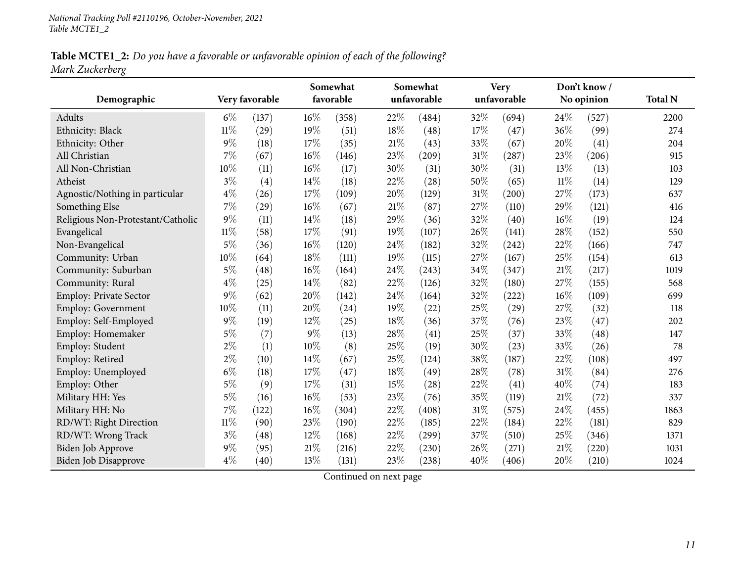Table MCTE1\_2: Do you have a favorable or unfavorable opinion of each of the following? *Mark Zuckerberg*

|                                   |                |       | Somewhat |           |        | Somewhat    |        | <b>Very</b> |        | Don't know/ |                |
|-----------------------------------|----------------|-------|----------|-----------|--------|-------------|--------|-------------|--------|-------------|----------------|
| Demographic                       | Very favorable |       |          | favorable |        | unfavorable |        | unfavorable |        | No opinion  | <b>Total N</b> |
| Adults                            | $6\%$          | (137) | $16\%$   | (358)     | 22%    | (484)       | 32%    | (694)       | 24%    | (527)       | 2200           |
| Ethnicity: Black                  | $11\%$         | (29)  | 19%      | (51)      | 18%    | (48)        | 17%    | (47)        | 36%    | (99)        | 274            |
| Ethnicity: Other                  | $9\%$          | (18)  | 17%      | (35)      | 21%    | (43)        | 33%    | (67)        | 20%    | (41)        | 204            |
| All Christian                     | 7%             | (67)  | 16%      | (146)     | 23\%   | (209)       | 31%    | (287)       | 23%    | (206)       | 915            |
| All Non-Christian                 | 10%            | (11)  | 16%      | (17)      | 30%    | (31)        | 30%    | (31)        | 13%    | (13)        | 103            |
| Atheist                           | $3\%$          | (4)   | 14%      | (18)      | 22%    | (28)        | 50%    | (65)        | $11\%$ | (14)        | 129            |
| Agnostic/Nothing in particular    | $4\%$          | (26)  | 17%      | (109)     | 20%    | (129)       | $31\%$ | (200)       | 27%    | (173)       | 637            |
| Something Else                    | 7%             | (29)  | 16%      | (67)      | 21%    | (87)        | 27%    | (110)       | 29%    | (121)       | 416            |
| Religious Non-Protestant/Catholic | $9\%$          | (11)  | 14%      | (18)      | 29%    | (36)        | 32%    | (40)        | 16%    | (19)        | 124            |
| Evangelical                       | $11\%$         | (58)  | 17%      | (91)      | 19%    | (107)       | 26%    | (141)       | 28%    | (152)       | 550            |
| Non-Evangelical                   | $5\%$          | (36)  | 16%      | (120)     | 24%    | (182)       | 32%    | (242)       | $22\%$ | (166)       | 747            |
| Community: Urban                  | 10%            | (64)  | 18%      | (111)     | 19%    | (115)       | 27%    | (167)       | 25%    | (154)       | 613            |
| Community: Suburban               | $5\%$          | (48)  | 16%      | (164)     | 24%    | (243)       | 34%    | (347)       | 21%    | (217)       | 1019           |
| Community: Rural                  | $4\%$          | (25)  | 14%      | (82)      | 22\%   | (126)       | 32%    | (180)       | 27%    | (155)       | 568            |
| Employ: Private Sector            | $9\%$          | (62)  | 20%      | (142)     | 24%    | (164)       | 32%    | (222)       | 16%    | (109)       | 699            |
| Employ: Government                | 10%            | (11)  | 20%      | (24)      | 19%    | (22)        | 25%    | (29)        | 27%    | (32)        | 118            |
| Employ: Self-Employed             | 9%             | (19)  | 12%      | (25)      | 18%    | (36)        | 37%    | (76)        | 23%    | (47)        | 202            |
| Employ: Homemaker                 | $5\%$          | (7)   | 9%       | (13)      | 28%    | (41)        | 25%    | (37)        | 33%    | (48)        | 147            |
| Employ: Student                   | $2\%$          | (1)   | 10%      | (8)       | 25%    | (19)        | 30%    | (23)        | 33%    | (26)        | 78             |
| Employ: Retired                   | $2\%$          | (10)  | 14%      | (67)      | 25%    | (124)       | 38%    | (187)       | 22%    | (108)       | 497            |
| Employ: Unemployed                | $6\%$          | (18)  | 17%      | (47)      | $18\%$ | (49)        | 28%    | (78)        | 31%    | (84)        | 276            |
| Employ: Other                     | $5\%$          | (9)   | 17%      | (31)      | 15%    | (28)        | 22%    | (41)        | 40%    | (74)        | 183            |
| Military HH: Yes                  | $5\%$          | (16)  | 16%      | (53)      | 23%    | (76)        | 35%    | (119)       | 21%    | (72)        | 337            |
| Military HH: No                   | 7%             | (122) | 16%      | (304)     | 22%    | (408)       | 31%    | (575)       | 24%    | (455)       | 1863           |
| RD/WT: Right Direction            | $11\%$         | (90)  | 23%      | (190)     | 22%    | (185)       | 22%    | (184)       | 22%    | (181)       | 829            |
| RD/WT: Wrong Track                | $3\%$          | (48)  | 12%      | (168)     | 22%    | (299)       | 37%    | (510)       | 25%    | (346)       | 1371           |
| Biden Job Approve                 | $9\%$          | (95)  | 21%      | (216)     | 22%    | (230)       | 26%    | (271)       | 21%    | (220)       | 1031           |
| Biden Job Disapprove              | $4\%$          | (40)  | 13%      | (131)     | 23\%   | (238)       | 40%    | (406)       | 20%    | (210)       | 1024           |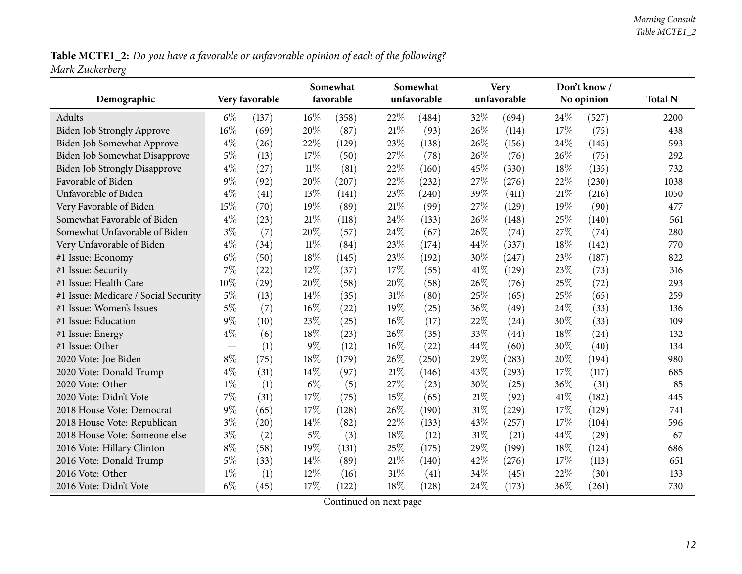Table MCTE1\_2: Do you have a favorable or unfavorable opinion of each of the following? *Mark Zuckerberg*

| Demographic                          | Very favorable                  |       | Somewhat<br>favorable |       |        | Somewhat<br>unfavorable |      | <b>Very</b><br>unfavorable |      | Don't know/<br>No opinion | <b>Total N</b> |
|--------------------------------------|---------------------------------|-------|-----------------------|-------|--------|-------------------------|------|----------------------------|------|---------------------------|----------------|
| Adults                               | $6\%$                           | (137) | $16\%$                | (358) | 22%    | (484)                   | 32%  | (694)                      | 24\% | (527)                     | 2200           |
| <b>Biden Job Strongly Approve</b>    | 16%                             | (69)  | 20%                   | (87)  | 21%    | (93)                    | 26%  | (114)                      | 17%  | (75)                      | 438            |
| Biden Job Somewhat Approve           | $4\%$                           | (26)  | 22%                   | (129) | 23%    | (138)                   | 26%  | (156)                      | 24%  | (145)                     | 593            |
| Biden Job Somewhat Disapprove        | $5\%$                           | (13)  | 17%                   | (50)  | 27%    | (78)                    | 26%  | (76)                       | 26%  | (75)                      | 292            |
| <b>Biden Job Strongly Disapprove</b> | $4\%$                           | (27)  | $11\%$                | (81)  | 22%    | (160)                   | 45%  | (330)                      | 18%  | (135)                     | 732            |
| Favorable of Biden                   | $9\%$                           | (92)  | 20%                   | (207) | 22%    | (232)                   | 27%  | (276)                      | 22%  | (230)                     | 1038           |
| Unfavorable of Biden                 | $4\%$                           | (41)  | 13%                   | (141) | 23%    | (240)                   | 39%  | (411)                      | 21%  | (216)                     | 1050           |
| Very Favorable of Biden              | 15%                             | (70)  | 19%                   | (89)  | 21%    | (99)                    | 27%  | (129)                      | 19%  | (90)                      | 477            |
| Somewhat Favorable of Biden          | $4\%$                           | (23)  | $21\%$                | (118) | 24%    | (133)                   | 26%  | (148)                      | 25%  | (140)                     | 561            |
| Somewhat Unfavorable of Biden        | $3\%$                           | (7)   | 20%                   | (57)  | 24%    | (67)                    | 26%  | (74)                       | 27%  | (74)                      | 280            |
| Very Unfavorable of Biden            | $4\%$                           | (34)  | $11\%$                | (84)  | 23%    | (174)                   | 44%  | (337)                      | 18%  | (142)                     | 770            |
| #1 Issue: Economy                    | $6\%$                           | (50)  | 18%                   | (145) | 23%    | (192)                   | 30%  | (247)                      | 23%  | (187)                     | 822            |
| #1 Issue: Security                   | 7%                              | (22)  | 12%                   | (37)  | 17%    | (55)                    | 41\% | (129)                      | 23%  | (73)                      | 316            |
| #1 Issue: Health Care                | 10%                             | (29)  | 20%                   | (58)  | 20%    | (58)                    | 26%  | (76)                       | 25%  | (72)                      | 293            |
| #1 Issue: Medicare / Social Security | $5\%$                           | (13)  | 14%                   | (35)  | 31%    | (80)                    | 25%  | (65)                       | 25%  | (65)                      | 259            |
| #1 Issue: Women's Issues             | $5\%$                           | (7)   | 16%                   | (22)  | 19%    | (25)                    | 36%  | (49)                       | 24\% | (33)                      | 136            |
| #1 Issue: Education                  | $9\%$                           | (10)  | 23%                   | (25)  | 16%    | (17)                    | 22%  | (24)                       | 30%  | (33)                      | 109            |
| #1 Issue: Energy                     | $4\%$                           | (6)   | 18%                   | (23)  | 26%    | (35)                    | 33%  | (44)                       | 18%  | (24)                      | 132            |
| #1 Issue: Other                      | $\hspace{0.1mm}-\hspace{0.1mm}$ | (1)   | 9%                    | (12)  | 16%    | (22)                    | 44%  | (60)                       | 30%  | (40)                      | 134            |
| 2020 Vote: Joe Biden                 | $8\%$                           | (75)  | $18\%$                | (179) | 26%    | (250)                   | 29%  | (283)                      | 20%  | (194)                     | 980            |
| 2020 Vote: Donald Trump              | $4\%$                           | (31)  | 14%                   | (97)  | 21%    | (146)                   | 43%  | (293)                      | 17%  | (117)                     | 685            |
| 2020 Vote: Other                     | $1\%$                           | (1)   | $6\%$                 | (5)   | 27%    | (23)                    | 30%  | (25)                       | 36%  | (31)                      | 85             |
| 2020 Vote: Didn't Vote               | $7\%$                           | (31)  | 17%                   | (75)  | 15%    | (65)                    | 21%  | (92)                       | 41\% | (182)                     | 445            |
| 2018 House Vote: Democrat            | $9\%$                           | (65)  | 17%                   | (128) | 26%    | (190)                   | 31%  | (229)                      | 17%  | (129)                     | 741            |
| 2018 House Vote: Republican          | $3\%$                           | (20)  | 14%                   | (82)  | 22%    | (133)                   | 43%  | (257)                      | 17\% | (104)                     | 596            |
| 2018 House Vote: Someone else        | $3\%$                           | (2)   | $5\%$                 | (3)   | 18%    | (12)                    | 31%  | (21)                       | 44%  | (29)                      | 67             |
| 2016 Vote: Hillary Clinton           | $8\%$                           | (58)  | 19%                   | (131) | 25%    | (175)                   | 29%  | (199)                      | 18%  | (124)                     | 686            |
| 2016 Vote: Donald Trump              | $5\%$                           | (33)  | 14%                   | (89)  | $21\%$ | (140)                   | 42%  | (276)                      | 17%  | (113)                     | 651            |
| 2016 Vote: Other                     | $1\%$                           | (1)   | 12%                   | (16)  | 31%    | (41)                    | 34%  | (45)                       | 22%  | (30)                      | 133            |
| 2016 Vote: Didn't Vote               | $6\%$                           | (45)  | 17%                   | (122) | 18%    | (128)                   | 24%  | (173)                      | 36%  | (261)                     | 730            |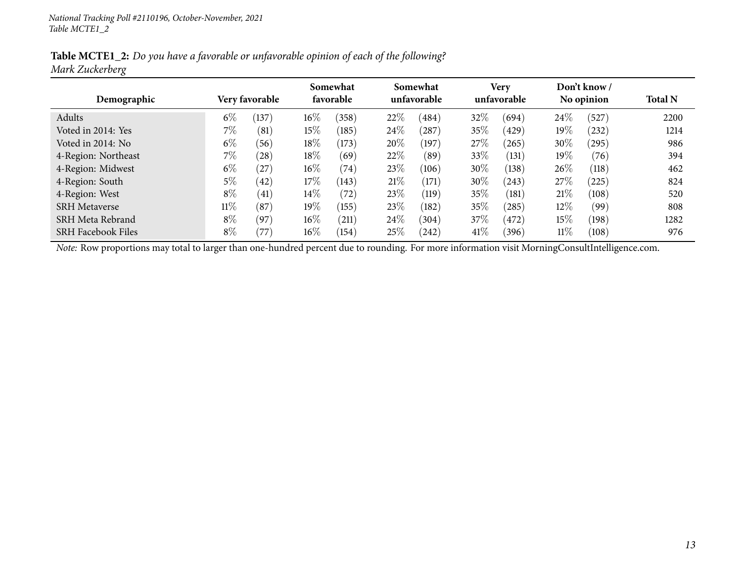Table MCTE1\_2: Do you have a favorable or unfavorable opinion of each of the following? *Mark Zuckerberg*

|                           |                       |       |           | Somewhat |      | Somewhat    |      | <b>Very</b> |        | Don't know / |                |
|---------------------------|-----------------------|-------|-----------|----------|------|-------------|------|-------------|--------|--------------|----------------|
| Demographic               | <b>Very favorable</b> |       | favorable |          |      | unfavorable |      | unfavorable |        | No opinion   | <b>Total N</b> |
| Adults                    | $6\%$                 | (137) | $16\%$    | (358)    | 22%  | (484)       | 32%  | (694)       | 24\%   | (527)        | 2200           |
| Voted in 2014: Yes        | 7%                    | (81)  | 15%       | (185)    | 24\% | (287)       | 35%  | (429)       | 19%    | (232)        | 1214           |
| Voted in 2014: No         | $6\%$                 | (56)  | 18%       | (173)    | 20%  | (197)       | 27\% | (265)       | 30%    | (295)        | 986            |
| 4-Region: Northeast       | 7%                    | (28)  | 18%       | (69)     | 22%  | (89)        | 33\% | (131)       | 19%    | (76)         | 394            |
| 4-Region: Midwest         | $6\%$                 | (27)  | $16\%$    | (74)     | 23\% | (106)       | 30%  | (138)       | 26\%   | (118)        | 462            |
| 4-Region: South           | $5\%$                 | (42)  | 17%       | (143)    | 21%  | (171)       | 30%  | (243)       | 27%    | (225)        | 824            |
| 4-Region: West            | $8\%$                 | (41)  | $14\%$    | (72)     | 23\% | (119)       | 35%  | (181)       | 21\%   | (108)        | 520            |
| <b>SRH</b> Metaverse      | $11\%$                | (87)  | $19\%$    | (155)    | 23\% | (182)       | 35%  | (285)       | $12\%$ | (99)         | 808            |
| SRH Meta Rebrand          | $8\%$                 | (97)  | $16\%$    | (211)    | 24%  | (304)       | 37%  | (472)       | 15%    | (198)        | 1282           |
| <b>SRH Facebook Files</b> | $8\%$                 | '77   | $16\%$    | (154)    | 25%  | (242)       | 41\% | (396)       | $11\%$ | (108)        | 976            |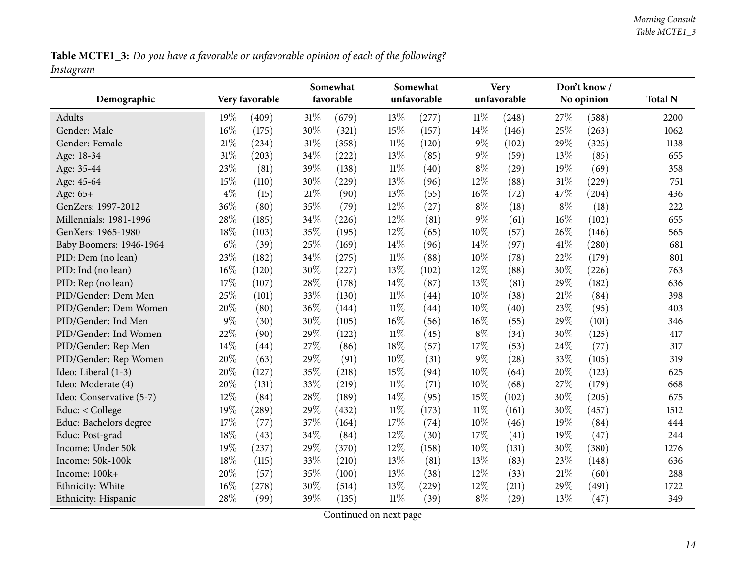Table MCTE1\_3: Do you have a favorable or unfavorable opinion of each of the following? *Instagram*

<span id="page-13-0"></span>

| Demographic              | Very favorable |       | Somewhat<br>favorable |       |        | Somewhat<br>unfavorable |        | <b>Very</b><br>unfavorable |       | Don't know/<br>No opinion |                |
|--------------------------|----------------|-------|-----------------------|-------|--------|-------------------------|--------|----------------------------|-------|---------------------------|----------------|
|                          |                |       |                       |       |        |                         |        |                            |       |                           | <b>Total N</b> |
| <b>Adults</b>            | 19%            | (409) | $31\%$                | (679) | 13%    | (277)                   | $11\%$ | (248)                      | 27%   | (588)                     | 2200           |
| Gender: Male             | 16%            | (175) | 30%                   | (321) | 15%    | (157)                   | 14%    | (146)                      | 25%   | (263)                     | 1062           |
| Gender: Female           | 21%            | (234) | $31\%$                | (358) | $11\%$ | (120)                   | $9\%$  | (102)                      | 29%   | (325)                     | 1138           |
| Age: 18-34               | 31%            | (203) | 34%                   | (222) | 13%    | (85)                    | $9\%$  | (59)                       | 13%   | (85)                      | 655            |
| Age: 35-44               | 23%            | (81)  | 39%                   | (138) | $11\%$ | (40)                    | $8\%$  | (29)                       | 19%   | (69)                      | 358            |
| Age: 45-64               | 15%            | (110) | 30%                   | (229) | 13%    | (96)                    | 12%    | (88)                       | 31%   | (229)                     | 751            |
| Age: 65+                 | $4\%$          | (15)  | $21\%$                | (90)  | 13%    | (55)                    | $16\%$ | (72)                       | 47%   | (204)                     | 436            |
| GenZers: 1997-2012       | 36%            | (80)  | 35%                   | (79)  | 12%    | (27)                    | $8\%$  | (18)                       | $8\%$ | (18)                      | 222            |
| Millennials: 1981-1996   | 28%            | (185) | 34%                   | (226) | 12%    | (81)                    | 9%     | (61)                       | 16%   | (102)                     | 655            |
| GenXers: 1965-1980       | 18%            | (103) | 35%                   | (195) | 12%    | (65)                    | 10%    | (57)                       | 26%   | (146)                     | 565            |
| Baby Boomers: 1946-1964  | $6\%$          | (39)  | 25%                   | (169) | 14%    | (96)                    | 14%    | (97)                       | 41%   | (280)                     | 681            |
| PID: Dem (no lean)       | 23%            | (182) | 34%                   | (275) | $11\%$ | (88)                    | 10%    | (78)                       | 22%   | (179)                     | 801            |
| PID: Ind (no lean)       | 16%            | (120) | 30%                   | (227) | 13%    | (102)                   | 12%    | (88)                       | 30%   | (226)                     | 763            |
| PID: Rep (no lean)       | 17%            | (107) | 28%                   | (178) | 14\%   | (87)                    | 13%    | (81)                       | 29%   | (182)                     | 636            |
| PID/Gender: Dem Men      | 25%            | (101) | 33%                   | (130) | $11\%$ | (44)                    | 10%    | (38)                       | 21\%  | (84)                      | 398            |
| PID/Gender: Dem Women    | 20%            | (80)  | 36%                   | (144) | $11\%$ | (44)                    | 10%    | (40)                       | 23%   | (95)                      | 403            |
| PID/Gender: Ind Men      | $9\%$          | (30)  | 30%                   | (105) | $16\%$ | (56)                    | $16\%$ | (55)                       | 29%   | (101)                     | 346            |
| PID/Gender: Ind Women    | 22%            | (90)  | 29%                   | (122) | $11\%$ | (45)                    | $8\%$  | (34)                       | 30%   | (125)                     | 417            |
| PID/Gender: Rep Men      | 14%            | (44)  | 27%                   | (86)  | 18%    | (57)                    | 17%    | (53)                       | 24%   | (77)                      | 317            |
| PID/Gender: Rep Women    | 20%            | (63)  | 29%                   | (91)  | $10\%$ | (31)                    | 9%     | (28)                       | 33%   | (105)                     | 319            |
| Ideo: Liberal (1-3)      | 20%            | (127) | 35%                   | (218) | 15%    | (94)                    | 10%    | (64)                       | 20%   | (123)                     | 625            |
| Ideo: Moderate (4)       | 20%            | (131) | 33%                   | (219) | $11\%$ | (71)                    | 10%    | (68)                       | 27%   | (179)                     | 668            |
| Ideo: Conservative (5-7) | 12%            | (84)  | 28%                   | (189) | 14\%   | (95)                    | 15%    | (102)                      | 30%   | (205)                     | 675            |
| Educ: < College          | 19%            | (289) | 29%                   | (432) | $11\%$ | (173)                   | $11\%$ | (161)                      | 30%   | (457)                     | 1512           |
| Educ: Bachelors degree   | 17%            | (77)  | 37%                   | (164) | 17%    | (74)                    | 10%    | (46)                       | 19%   | (84)                      | 444            |
| Educ: Post-grad          | 18%            | (43)  | 34%                   | (84)  | 12%    | (30)                    | $17\%$ | (41)                       | 19%   | (47)                      | 244            |
| Income: Under 50k        | 19%            | (237) | 29%                   | (370) | $12\%$ | (158)                   | $10\%$ | (131)                      | 30%   | (380)                     | 1276           |
| Income: 50k-100k         | 18%            | (115) | 33%                   | (210) | 13%    | (81)                    | 13%    | (83)                       | 23%   | (148)                     | 636            |
| Income: 100k+            | 20%            | (57)  | 35%                   | (100) | 13%    | (38)                    | 12%    | (33)                       | 21%   | (60)                      | 288            |
| Ethnicity: White         | 16%            | (278) | 30%                   | (514) | 13%    | (229)                   | 12%    | (211)                      | 29%   | (491)                     | 1722           |
| Ethnicity: Hispanic      | 28%            | (99)  | 39%                   | (135) | $11\%$ | (39)                    | $8\%$  | (29)                       | 13%   | (47)                      | 349            |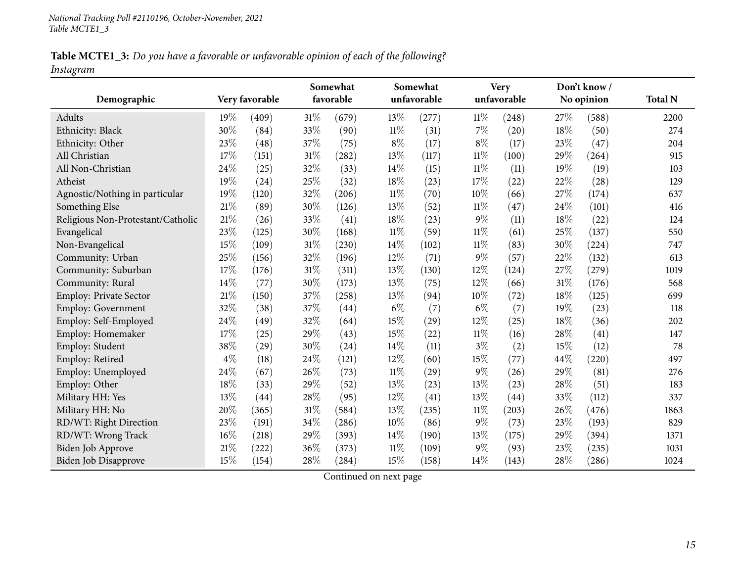Table MCTE1\_3: Do you have a favorable or unfavorable opinion of each of the following? *Instagram*

|                                   |        |                |        | Somewhat  |        | Somewhat    |        | <b>Very</b> |      | Don't know/ |                |
|-----------------------------------|--------|----------------|--------|-----------|--------|-------------|--------|-------------|------|-------------|----------------|
| Demographic                       |        | Very favorable |        | favorable |        | unfavorable |        | unfavorable |      | No opinion  | <b>Total N</b> |
| Adults                            | 19%    | (409)          | $31\%$ | (679)     | 13\%   | (277)       | $11\%$ | (248)       | 27%  | (588)       | 2200           |
| Ethnicity: Black                  | 30%    | (84)           | 33%    | (90)      | $11\%$ | (31)        | $7\%$  | (20)        | 18%  | (50)        | 274            |
| Ethnicity: Other                  | 23%    | (48)           | 37%    | (75)      | $8\%$  | (17)        | 8%     | (17)        | 23%  | (47)        | 204            |
| All Christian                     | 17%    | (151)          | 31%    | (282)     | 13%    | (117)       | $11\%$ | (100)       | 29%  | (264)       | 915            |
| All Non-Christian                 | 24%    | (25)           | 32%    | (33)      | 14\%   | (15)        | $11\%$ | (11)        | 19%  | (19)        | 103            |
| Atheist                           | 19%    | (24)           | 25%    | (32)      | 18%    | (23)        | 17%    | (22)        | 22%  | (28)        | 129            |
| Agnostic/Nothing in particular    | 19%    | (120)          | $32\%$ | (206)     | $11\%$ | (70)        | 10%    | (66)        | 27%  | (174)       | 637            |
| Something Else                    | $21\%$ | (89)           | 30%    | (126)     | $13\%$ | (52)        | $11\%$ | (47)        | 24%  | (101)       | 416            |
| Religious Non-Protestant/Catholic | 21%    | (26)           | 33%    | (41)      | $18\%$ | (23)        | $9\%$  | (11)        | 18%  | (22)        | 124            |
| Evangelical                       | 23%    | (125)          | 30%    | (168)     | $11\%$ | (59)        | $11\%$ | (61)        | 25%  | (137)       | 550            |
| Non-Evangelical                   | 15%    | (109)          | $31\%$ | (230)     | 14%    | (102)       | $11\%$ | (83)        | 30%  | (224)       | 747            |
| Community: Urban                  | 25%    | (156)          | 32%    | (196)     | 12%    | (71)        | 9%     | (57)        | 22%  | (132)       | 613            |
| Community: Suburban               | 17%    | (176)          | $31\%$ | (311)     | 13%    | (130)       | 12%    | (124)       | 27%  | (279)       | 1019           |
| Community: Rural                  | 14%    | (77)           | 30%    | (173)     | 13%    | (75)        | 12%    | (66)        | 31%  | (176)       | 568            |
| Employ: Private Sector            | 21%    | (150)          | 37%    | (258)     | 13%    | (94)        | 10%    | (72)        | 18%  | (125)       | 699            |
| Employ: Government                | 32%    | (38)           | $37\%$ | (44)      | $6\%$  | (7)         | $6\%$  | (7)         | 19%  | (23)        | 118            |
| Employ: Self-Employed             | 24%    | (49)           | 32%    | (64)      | 15%    | (29)        | 12%    | (25)        | 18%  | (36)        | 202            |
| Employ: Homemaker                 | 17%    | (25)           | 29%    | (43)      | 15%    | (22)        | $11\%$ | (16)        | 28%  | (41)        | 147            |
| Employ: Student                   | 38%    | (29)           | 30%    | (24)      | 14\%   | (11)        | $3\%$  | (2)         | 15%  | (12)        | 78             |
| Employ: Retired                   | $4\%$  | (18)           | $24\%$ | (121)     | 12%    | (60)        | $15\%$ | (77)        | 44%  | (220)       | 497            |
| Employ: Unemployed                | 24%    | (67)           | 26%    | (73)      | $11\%$ | (29)        | $9\%$  | (26)        | 29%  | (81)        | 276            |
| Employ: Other                     | 18%    | (33)           | 29%    | (52)      | $13\%$ | (23)        | 13%    | (23)        | 28%  | (51)        | 183            |
| Military HH: Yes                  | 13%    | (44)           | 28%    | (95)      | 12%    | (41)        | 13%    | (44)        | 33%  | (112)       | 337            |
| Military HH: No                   | 20%    | (365)          | 31%    | (584)     | 13%    | (235)       | $11\%$ | (203)       | 26%  | (476)       | 1863           |
| RD/WT: Right Direction            | 23%    | (191)          | 34%    | (286)     | $10\%$ | (86)        | $9\%$  | (73)        | 23%  | (193)       | 829            |
| RD/WT: Wrong Track                | 16%    | (218)          | 29%    | (393)     | 14\%   | (190)       | 13%    | (175)       | 29%  | (394)       | 1371           |
| <b>Biden Job Approve</b>          | 21%    | (222)          | 36%    | (373)     | $11\%$ | (109)       | 9%     | (93)        | 23%  | (235)       | 1031           |
| Biden Job Disapprove              | 15%    | (154)          | 28%    | (284)     | 15%    | (158)       | 14%    | (143)       | 28\% | (286)       | 1024           |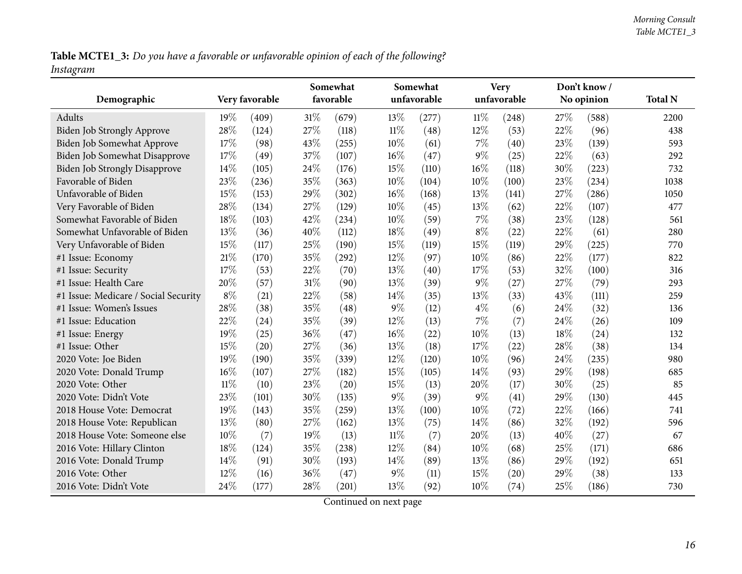Table MCTE1\_3: Do you have a favorable or unfavorable opinion of each of the following? *Instagram*

| Demographic                          |        | Very favorable |        | Somewhat<br>favorable |        | Somewhat<br>unfavorable |        | <b>Very</b><br>unfavorable |      | Don't know/<br>No opinion | <b>Total N</b> |
|--------------------------------------|--------|----------------|--------|-----------------------|--------|-------------------------|--------|----------------------------|------|---------------------------|----------------|
| <b>Adults</b>                        | 19%    | (409)          | $31\%$ | (679)                 | 13%    | (277)                   | $11\%$ | (248)                      | 27\% | (588)                     | 2200           |
| <b>Biden Job Strongly Approve</b>    | 28%    | (124)          | 27%    | (118)                 | $11\%$ | (48)                    | $12\%$ | (53)                       | 22%  | (96)                      | 438            |
| Biden Job Somewhat Approve           | 17%    | (98)           | 43%    | (255)                 | 10%    | (61)                    | 7%     | (40)                       | 23%  | (139)                     | 593            |
| Biden Job Somewhat Disapprove        | 17%    | (49)           | 37%    | (107)                 | 16%    | (47)                    | 9%     | (25)                       | 22%  | (63)                      | 292            |
| <b>Biden Job Strongly Disapprove</b> | 14%    | (105)          | 24%    | (176)                 | 15%    | (110)                   | 16%    | (118)                      | 30%  | (223)                     | 732            |
| Favorable of Biden                   | 23%    | (236)          | 35%    | (363)                 | 10%    | (104)                   | 10%    | (100)                      | 23%  | (234)                     | 1038           |
| Unfavorable of Biden                 | 15%    | (153)          | 29%    | (302)                 | $16\%$ | (168)                   | 13%    | (141)                      | 27%  | (286)                     | 1050           |
| Very Favorable of Biden              | 28%    | (134)          | 27%    | (129)                 | $10\%$ | (45)                    | 13%    | (62)                       | 22%  | (107)                     | 477            |
| Somewhat Favorable of Biden          | 18%    | (103)          | 42%    | (234)                 | $10\%$ | (59)                    | $7\%$  | (38)                       | 23%  | (128)                     | 561            |
| Somewhat Unfavorable of Biden        | 13%    | (36)           | 40%    | (112)                 | 18%    | (49)                    | $8\%$  | (22)                       | 22%  | (61)                      | 280            |
| Very Unfavorable of Biden            | 15%    | (117)          | 25%    | (190)                 | 15%    | (119)                   | 15%    | (119)                      | 29%  | (225)                     | 770            |
| #1 Issue: Economy                    | 21%    | (170)          | 35%    | (292)                 | 12%    | (97)                    | $10\%$ | (86)                       | 22%  | (177)                     | 822            |
| #1 Issue: Security                   | 17%    | (53)           | 22%    | (70)                  | 13%    | (40)                    | 17%    | (53)                       | 32%  | (100)                     | 316            |
| #1 Issue: Health Care                | 20%    | (57)           | $31\%$ | (90)                  | 13%    | (39)                    | $9\%$  | (27)                       | 27%  | (79)                      | 293            |
| #1 Issue: Medicare / Social Security | $8\%$  | (21)           | 22%    | (58)                  | 14%    | (35)                    | 13%    | (33)                       | 43%  | (111)                     | 259            |
| #1 Issue: Women's Issues             | 28%    | (38)           | 35%    | (48)                  | $9\%$  | (12)                    | $4\%$  | (6)                        | 24%  | (32)                      | 136            |
| #1 Issue: Education                  | 22%    | (24)           | 35%    | (39)                  | 12%    | (13)                    | $7\%$  | (7)                        | 24\% | (26)                      | 109            |
| #1 Issue: Energy                     | 19%    | (25)           | 36%    | (47)                  | 16%    | (22)                    | 10%    | (13)                       | 18%  | (24)                      | 132            |
| #1 Issue: Other                      | 15%    | (20)           | 27%    | (36)                  | 13%    | (18)                    | 17%    | (22)                       | 28%  | (38)                      | 134            |
| 2020 Vote: Joe Biden                 | 19%    | (190)          | 35%    | (339)                 | 12%    | (120)                   | 10%    | (96)                       | 24\% | (235)                     | 980            |
| 2020 Vote: Donald Trump              | 16%    | (107)          | 27%    | (182)                 | 15%    | (105)                   | $14\%$ | (93)                       | 29%  | (198)                     | 685            |
| 2020 Vote: Other                     | $11\%$ | (10)           | 23%    | (20)                  | 15%    | (13)                    | 20%    | (17)                       | 30%  | (25)                      | 85             |
| 2020 Vote: Didn't Vote               | 23%    | (101)          | 30%    | (135)                 | $9\%$  | (39)                    | $9\%$  | (41)                       | 29%  | (130)                     | 445            |
| 2018 House Vote: Democrat            | 19%    | (143)          | 35%    | (259)                 | 13%    | (100)                   | 10%    | (72)                       | 22%  | (166)                     | 741            |
| 2018 House Vote: Republican          | 13%    | (80)           | 27%    | (162)                 | 13%    | (75)                    | 14\%   | (86)                       | 32%  | (192)                     | 596            |
| 2018 House Vote: Someone else        | 10%    | (7)            | 19%    | (13)                  | $11\%$ | (7)                     | 20%    | (13)                       | 40%  | (27)                      | 67             |
| 2016 Vote: Hillary Clinton           | 18%    | (124)          | 35%    | (238)                 | 12%    | (84)                    | $10\%$ | (68)                       | 25\% | (171)                     | 686            |
| 2016 Vote: Donald Trump              | 14%    | (91)           | 30%    | (193)                 | 14%    | (89)                    | 13%    | (86)                       | 29%  | (192)                     | 651            |
| 2016 Vote: Other                     | 12%    | (16)           | 36%    | (47)                  | $9\%$  | (11)                    | 15%    | (20)                       | 29%  | (38)                      | 133            |
| 2016 Vote: Didn't Vote               | 24\%   | (177)          | 28%    | (201)                 | 13%    | (92)                    | $10\%$ | (74)                       | 25%  | (186)                     | 730            |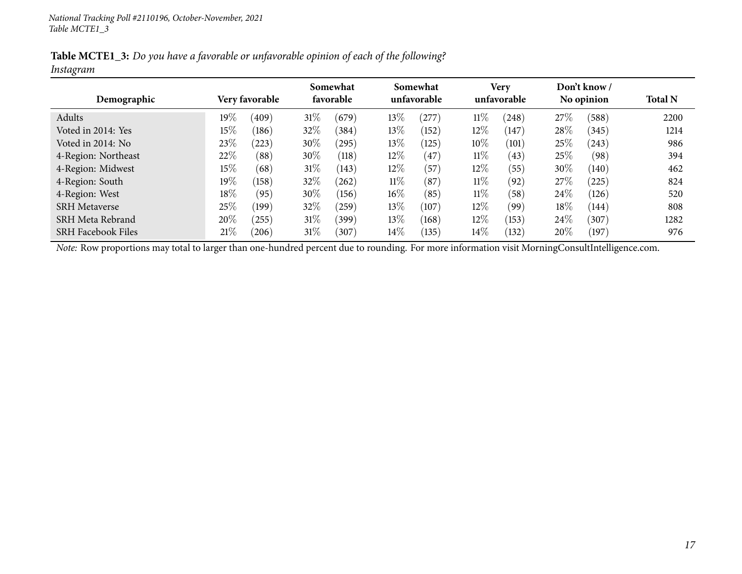Table MCTE1\_3: Do you have a favorable or unfavorable opinion of each of the following? *Instagram*

|                           |        |                |        | Somewhat  |        | Somewhat    |        | Very        |      | Don't know / |                |
|---------------------------|--------|----------------|--------|-----------|--------|-------------|--------|-------------|------|--------------|----------------|
| Demographic               |        | Very favorable |        | favorable |        | unfavorable |        | unfavorable |      | No opinion   | <b>Total N</b> |
| Adults                    | $19\%$ | (409)          | $31\%$ | (679)     | 13\%   | (277)       | $11\%$ | (248)       | 27\% | (588)        | 2200           |
| Voted in 2014: Yes        | 15%    | (186)          | 32\%   | (384)     | $13\%$ | (152)       | 12\%   | (147)       | 28\% | (345)        | 1214           |
| Voted in 2014: No         | 23\%   | (223)          | 30\%   | (295)     | 13%    | (125)       | 10%    | (101)       | 25\% | (243)        | 986            |
| 4-Region: Northeast       | 22\%   | (88)           | $30\%$ | (118)     | 12%    | (47)        | $11\%$ | (43)        | 25\% | (98)         | 394            |
| 4-Region: Midwest         | $15\%$ | (68)           | $31\%$ | (143)     | 12%    | $^{'}57$    | 12%    | (55)        | 30%  | (140)        | 462            |
| 4-Region: South           | $19\%$ | (158)          | 32\%   | (262)     | $11\%$ | (87)        | $11\%$ | (92)        | 27\% | (225)        | 824            |
| 4-Region: West            | $18\%$ | (95)           | 30\%   | (156)     | $16\%$ | (85)        | $11\%$ | (58)        | 24\% | (126)        | 520            |
| <b>SRH Metaverse</b>      | 25\%   | (199)          | 32%    | (259)     | 13\%   | (107)       | 12\%   | (99)        | 18%  | (144)        | 808            |
| SRH Meta Rebrand          | 20%    | (255)          | $31\%$ | (399)     | 13\%   | (168)       | 12\%   | (153)       | 24\% | (307)        | 1282           |
| <b>SRH Facebook Files</b> | 21%    | (206)          | $31\%$ | (307)     | 14\%   | (135)       | $14\%$ | (132)       | 20%  | (197)        | 976            |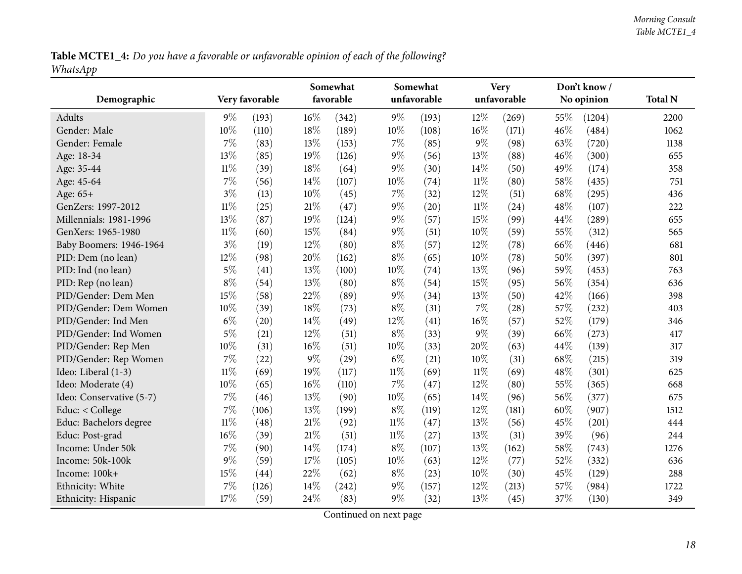Table MCTE1\_4: Do you have a favorable or unfavorable opinion of each of the following? *WhatsApp*

<span id="page-17-0"></span>

|                          |        | Very favorable |        | Somewhat<br>favorable |        | Somewhat<br>unfavorable |        | <b>Very</b><br>unfavorable |     | Don't know/<br>No opinion | <b>Total N</b> |
|--------------------------|--------|----------------|--------|-----------------------|--------|-------------------------|--------|----------------------------|-----|---------------------------|----------------|
| Demographic              |        |                |        |                       |        |                         |        |                            |     |                           |                |
| <b>Adults</b>            | $9\%$  | (193)          | $16\%$ | (342)                 | $9\%$  | (193)                   | 12%    | (269)                      | 55% | (1204)                    | 2200           |
| Gender: Male             | 10%    | (110)          | $18\%$ | (189)                 | 10%    | (108)                   | 16%    | (171)                      | 46% | (484)                     | 1062           |
| Gender: Female           | $7\%$  | (83)           | 13%    | (153)                 | $7\%$  | (85)                    | $9\%$  | (98)                       | 63% | (720)                     | 1138           |
| Age: 18-34               | 13%    | (85)           | 19%    | (126)                 | $9\%$  | (56)                    | 13%    | (88)                       | 46% | (300)                     | 655            |
| Age: 35-44               | $11\%$ | (39)           | $18\%$ | (64)                  | $9\%$  | (30)                    | 14%    | (50)                       | 49% | (174)                     | 358            |
| Age: 45-64               | $7\%$  | (56)           | 14%    | (107)                 | 10%    | (74)                    | $11\%$ | (80)                       | 58% | (435)                     | 751            |
| Age: 65+                 | $3\%$  | (13)           | 10%    | (45)                  | 7%     | (32)                    | 12%    | (51)                       | 68% | (295)                     | 436            |
| GenZers: 1997-2012       | $11\%$ | (25)           | $21\%$ | (47)                  | $9\%$  | (20)                    | $11\%$ | (24)                       | 48% | (107)                     | 222            |
| Millennials: 1981-1996   | 13%    | (87)           | 19%    | (124)                 | $9\%$  | (57)                    | 15%    | (99)                       | 44% | (289)                     | 655            |
| GenXers: 1965-1980       | $11\%$ | (60)           | 15%    | (84)                  | $9\%$  | (51)                    | 10%    | (59)                       | 55% | (312)                     | 565            |
| Baby Boomers: 1946-1964  | $3\%$  | (19)           | 12%    | (80)                  | $8\%$  | (57)                    | 12%    | (78)                       | 66% | (446)                     | 681            |
| PID: Dem (no lean)       | 12%    | (98)           | 20%    | (162)                 | $8\%$  | (65)                    | 10%    | (78)                       | 50% | (397)                     | 801            |
| PID: Ind (no lean)       | $5\%$  | (41)           | 13%    | (100)                 | 10%    | (74)                    | 13%    | (96)                       | 59% | (453)                     | 763            |
| PID: Rep (no lean)       | $8\%$  | (54)           | 13%    | (80)                  | $8\%$  | (54)                    | 15%    | (95)                       | 56% | (354)                     | 636            |
| PID/Gender: Dem Men      | 15%    | (58)           | 22%    | (89)                  | $9\%$  | (34)                    | 13%    | (50)                       | 42% | (166)                     | 398            |
| PID/Gender: Dem Women    | 10%    | (39)           | 18%    | (73)                  | $8\%$  | (31)                    | 7%     | (28)                       | 57% | (232)                     | 403            |
| PID/Gender: Ind Men      | $6\%$  | (20)           | 14%    | (49)                  | 12%    | (41)                    | $16\%$ | (57)                       | 52% | (179)                     | 346            |
| PID/Gender: Ind Women    | $5\%$  | (21)           | 12%    | (51)                  | $8\%$  | (33)                    | $9\%$  | (39)                       | 66% | (273)                     | 417            |
| PID/Gender: Rep Men      | 10%    | (31)           | 16%    | (51)                  | 10%    | (33)                    | 20%    | (63)                       | 44% | (139)                     | 317            |
| PID/Gender: Rep Women    | 7%     | (22)           | $9\%$  | (29)                  | $6\%$  | (21)                    | 10%    | (31)                       | 68% | (215)                     | 319            |
| Ideo: Liberal (1-3)      | $11\%$ | (69)           | 19%    | (117)                 | $11\%$ | (69)                    | $11\%$ | (69)                       | 48% | (301)                     | 625            |
| Ideo: Moderate (4)       | 10%    | (65)           | $16\%$ | (110)                 | $7\%$  | (47)                    | 12%    | (80)                       | 55% | (365)                     | 668            |
| Ideo: Conservative (5-7) | $7\%$  | (46)           | 13%    | (90)                  | 10%    | (65)                    | 14%    | (96)                       | 56% | (377)                     | 675            |
| Educ: < College          | 7%     | (106)          | 13%    | (199)                 | $8\%$  | (119)                   | 12%    | (181)                      | 60% | (907)                     | 1512           |
| Educ: Bachelors degree   | $11\%$ | (48)           | $21\%$ | (92)                  | $11\%$ | (47)                    | 13%    | (56)                       | 45% | (201)                     | 444            |
| Educ: Post-grad          | 16%    | (39)           | 21\%   | (51)                  | $11\%$ | (27)                    | 13%    | (31)                       | 39% | (96)                      | 244            |
| Income: Under 50k        | $7\%$  | (90)           | $14\%$ | (174)                 | $8\%$  | (107)                   | 13%    | (162)                      | 58% | (743)                     | 1276           |
| Income: 50k-100k         | 9%     | (59)           | $17\%$ | (105)                 | 10%    | (63)                    | 12%    | (77)                       | 52% | (332)                     | 636            |
| Income: 100k+            | 15%    | (44)           | 22%    | (62)                  | $8\%$  | (23)                    | 10%    | (30)                       | 45% | (129)                     | 288            |
| Ethnicity: White         | 7%     | (126)          | 14%    | (242)                 | $9\%$  | (157)                   | 12%    | (213)                      | 57% | (984)                     | 1722           |
| Ethnicity: Hispanic      | 17%    | (59)           | 24\%   | (83)                  | $9\%$  | (32)                    | 13%    | (45)                       | 37% | (130)                     | 349            |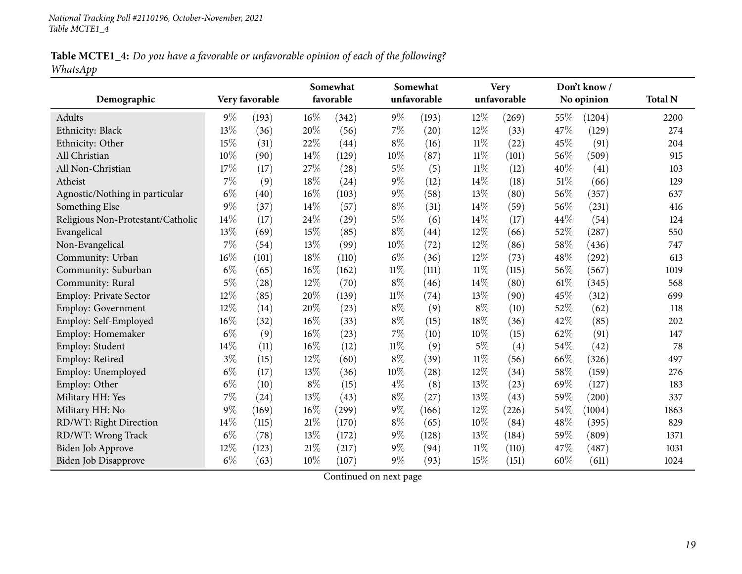Table MCTE1\_4: Do you have a favorable or unfavorable opinion of each of the following? *WhatsApp*

|                                   |       |                |        | Somewhat  |        | Somewhat    |        | <b>Very</b> |        | Don't know/ |                |
|-----------------------------------|-------|----------------|--------|-----------|--------|-------------|--------|-------------|--------|-------------|----------------|
| Demographic                       |       | Very favorable |        | favorable |        | unfavorable |        | unfavorable |        | No opinion  | <b>Total N</b> |
| Adults                            | $9\%$ | (193)          | $16\%$ | (342)     | $9\%$  | (193)       | $12\%$ | (269)       | 55%    | (1204)      | 2200           |
| Ethnicity: Black                  | 13%   | (36)           | 20%    | (56)      | $7\%$  | (20)        | $12\%$ | (33)        | 47%    | (129)       | 274            |
| Ethnicity: Other                  | 15%   | (31)           | 22%    | (44)      | $8\%$  | (16)        | $11\%$ | (22)        | 45%    | (91)        | 204            |
| All Christian                     | 10%   | (90)           | 14%    | (129)     | 10%    | (87)        | $11\%$ | (101)       | 56%    | (509)       | 915            |
| All Non-Christian                 | 17%   | (17)           | 27%    | (28)      | $5\%$  | (5)         | $11\%$ | (12)        | 40%    | (41)        | 103            |
| Atheist                           | 7%    | (9)            | 18%    | (24)      | $9\%$  | (12)        | 14%    | (18)        | 51%    | (66)        | 129            |
| Agnostic/Nothing in particular    | $6\%$ | (40)           | $16\%$ | (103)     | $9\%$  | (58)        | $13\%$ | (80)        | 56%    | (357)       | 637            |
| Something Else                    | 9%    | (37)           | 14%    | (57)      | $8\%$  | (31)        | 14%    | (59)        | 56%    | (231)       | 416            |
| Religious Non-Protestant/Catholic | 14%   | (17)           | 24%    | (29)      | $5\%$  | (6)         | 14%    | (17)        | 44%    | (54)        | 124            |
| Evangelical                       | 13%   | (69)           | 15%    | (85)      | $8\%$  | (44)        | 12%    | (66)        | 52%    | (287)       | 550            |
| Non-Evangelical                   | 7%    | (54)           | 13%    | (99)      | 10%    | (72)        | $12\%$ | (86)        | $58\%$ | (436)       | 747            |
| Community: Urban                  | 16%   | (101)          | 18%    | (110)     | $6\%$  | (36)        | 12%    | (73)        | $48\%$ | (292)       | 613            |
| Community: Suburban               | $6\%$ | (65)           | 16%    | (162)     | $11\%$ | (111)       | $11\%$ | (115)       | 56%    | (567)       | 1019           |
| Community: Rural                  | $5\%$ | (28)           | 12%    | (70)      | $8\%$  | (46)        | 14%    | (80)        | 61\%   | (345)       | 568            |
| Employ: Private Sector            | 12%   | (85)           | 20%    | (139)     | $11\%$ | (74)        | 13%    | (90)        | 45%    | (312)       | 699            |
| Employ: Government                | 12%   | (14)           | 20%    | (23)      | $8\%$  | (9)         | $8\%$  | (10)        | 52%    | (62)        | 118            |
| Employ: Self-Employed             | 16%   | (32)           | 16%    | (33)      | $8\%$  | (15)        | 18%    | (36)        | 42%    | (85)        | 202            |
| Employ: Homemaker                 | $6\%$ | (9)            | 16%    | (23)      | $7\%$  | (10)        | 10%    | (15)        | 62%    | (91)        | 147            |
| Employ: Student                   | 14%   | (11)           | 16%    | (12)      | $11\%$ | (9)         | $5\%$  | (4)         | 54%    | (42)        | 78             |
| Employ: Retired                   | $3\%$ | (15)           | 12%    | (60)      | $8\%$  | (39)        | $11\%$ | (56)        | 66%    | (326)       | 497            |
| Employ: Unemployed                | $6\%$ | (17)           | 13%    | (36)      | $10\%$ | (28)        | 12%    | (34)        | 58%    | (159)       | 276            |
| Employ: Other                     | $6\%$ | (10)           | $8\%$  | (15)      | $4\%$  | (8)         | 13%    | (23)        | 69%    | (127)       | 183            |
| Military HH: Yes                  | 7%    | (24)           | 13%    | (43)      | $8\%$  | (27)        | 13%    | (43)        | 59%    | (200)       | 337            |
| Military HH: No                   | 9%    | (169)          | 16%    | (299)     | $9\%$  | (166)       | 12%    | (226)       | 54%    | (1004)      | 1863           |
| RD/WT: Right Direction            | 14%   | (115)          | 21%    | (170)     | $8\%$  | (65)        | 10%    | (84)        | 48%    | (395)       | 829            |
| RD/WT: Wrong Track                | $6\%$ | (78)           | 13%    | (172)     | $9\%$  | (128)       | 13%    | (184)       | 59%    | (809)       | 1371           |
| Biden Job Approve                 | 12%   | (123)          | 21%    | (217)     | $9\%$  | (94)        | $11\%$ | (110)       | 47%    | (487)       | 1031           |
| <b>Biden Job Disapprove</b>       | $6\%$ | (63)           | 10%    | (107)     | $9\%$  | (93)        | 15%    | (151)       | 60%    | (611)       | 1024           |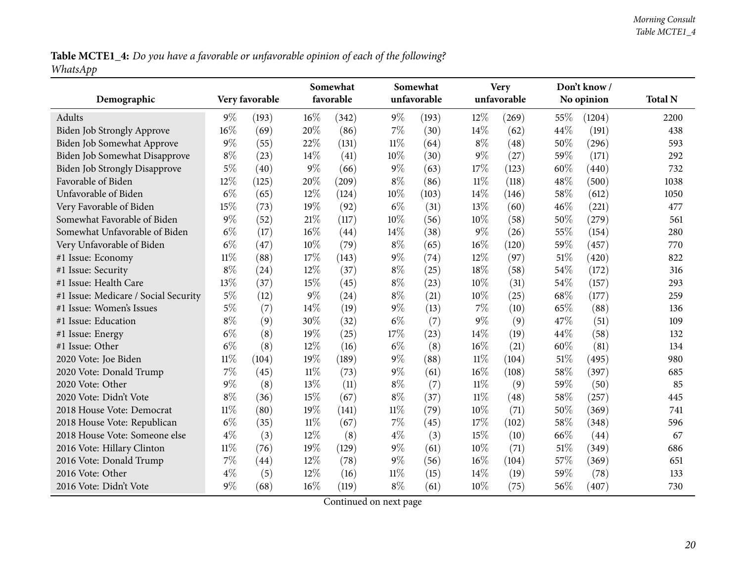Table MCTE1\_4: Do you have a favorable or unfavorable opinion of each of the following? *WhatsApp*

| Demographic                          |        | Very favorable |        | Somewhat<br>favorable |        | Somewhat<br>unfavorable |        | <b>Very</b><br>unfavorable |     | Don't know/<br>No opinion | <b>Total N</b> |
|--------------------------------------|--------|----------------|--------|-----------------------|--------|-------------------------|--------|----------------------------|-----|---------------------------|----------------|
|                                      |        |                |        |                       |        |                         |        |                            |     |                           |                |
| Adults                               | $9\%$  | (193)          | $16\%$ | (342)                 | $9\%$  | (193)                   | $12\%$ | (269)                      | 55% | (1204)                    | 2200           |
| Biden Job Strongly Approve           | $16\%$ | (69)           | 20%    | (86)                  | $7\%$  | (30)                    | 14%    | (62)                       | 44% | (191)                     | 438            |
| Biden Job Somewhat Approve           | $9\%$  | (55)           | 22%    | (131)                 | $11\%$ | (64)                    | $8\%$  | (48)                       | 50% | (296)                     | 593            |
| Biden Job Somewhat Disapprove        | $8\%$  | (23)           | 14\%   | (41)                  | 10%    | (30)                    | 9%     | (27)                       | 59% | (171)                     | 292            |
| <b>Biden Job Strongly Disapprove</b> | $5\%$  | (40)           | $9\%$  | (66)                  | 9%     | (63)                    | 17%    | (123)                      | 60% | (440)                     | 732            |
| Favorable of Biden                   | 12%    | (125)          | 20%    | (209)                 | $8\%$  | (86)                    | $11\%$ | (118)                      | 48% | (500)                     | 1038           |
| Unfavorable of Biden                 | $6\%$  | (65)           | 12%    | (124)                 | 10%    | (103)                   | 14%    | (146)                      | 58% | (612)                     | 1050           |
| Very Favorable of Biden              | 15%    | (73)           | 19%    | (92)                  | $6\%$  | (31)                    | 13%    | (60)                       | 46% | (221)                     | 477            |
| Somewhat Favorable of Biden          | $9\%$  | (52)           | 21\%   | (117)                 | 10%    | (56)                    | $10\%$ | (58)                       | 50% | (279)                     | 561            |
| Somewhat Unfavorable of Biden        | $6\%$  | (17)           | 16%    | (44)                  | 14%    | (38)                    | 9%     | (26)                       | 55% | (154)                     | 280            |
| Very Unfavorable of Biden            | $6\%$  | (47)           | 10%    | (79)                  | $8\%$  | (65)                    | 16%    | (120)                      | 59% | (457)                     | 770            |
| #1 Issue: Economy                    | $11\%$ | (88)           | 17%    | (143)                 | 9%     | (74)                    | 12%    | (97)                       | 51% | (420)                     | 822            |
| #1 Issue: Security                   | $8\%$  | (24)           | 12%    | (37)                  | $8\%$  | (25)                    | 18%    | (58)                       | 54% | (172)                     | 316            |
| #1 Issue: Health Care                | 13%    | (37)           | 15%    | (45)                  | $8\%$  | (23)                    | 10%    | (31)                       | 54% | (157)                     | 293            |
| #1 Issue: Medicare / Social Security | $5\%$  | (12)           | $9\%$  | (24)                  | $8\%$  | (21)                    | 10%    | (25)                       | 68% | (177)                     | 259            |
| #1 Issue: Women's Issues             | $5\%$  | (7)            | 14%    | (19)                  | $9\%$  | (13)                    | 7%     | (10)                       | 65% | (88)                      | 136            |
| #1 Issue: Education                  | $8\%$  | (9)            | 30%    | (32)                  | $6\%$  | (7)                     | 9%     | (9)                        | 47% | (51)                      | 109            |
| #1 Issue: Energy                     | $6\%$  | (8)            | 19%    | (25)                  | 17%    | (23)                    | 14%    | (19)                       | 44% | (58)                      | 132            |
| #1 Issue: Other                      | $6\%$  | (8)            | 12%    | (16)                  | $6\%$  | (8)                     | 16%    | (21)                       | 60% | (81)                      | 134            |
| 2020 Vote: Joe Biden                 | $11\%$ | (104)          | 19%    | (189)                 | 9%     | (88)                    | $11\%$ | (104)                      | 51% | (495)                     | 980            |
| 2020 Vote: Donald Trump              | 7%     | (45)           | $11\%$ | (73)                  | $9\%$  | (61)                    | 16%    | (108)                      | 58% | (397)                     | 685            |
| 2020 Vote: Other                     | $9\%$  | (8)            | 13%    | (11)                  | $8\%$  | (7)                     | $11\%$ | (9)                        | 59% | (50)                      | 85             |
| 2020 Vote: Didn't Vote               | $8\%$  | (36)           | 15%    | (67)                  | $8\%$  | (37)                    | $11\%$ | (48)                       | 58% | (257)                     | 445            |
| 2018 House Vote: Democrat            | $11\%$ | (80)           | 19%    | (141)                 | $11\%$ | (79)                    | 10%    | (71)                       | 50% | (369)                     | 741            |
| 2018 House Vote: Republican          | $6\%$  | (35)           | $11\%$ | (67)                  | 7%     | (45)                    | 17\%   | (102)                      | 58% | (348)                     | 596            |
| 2018 House Vote: Someone else        | $4\%$  | (3)            | 12%    | (8)                   | $4\%$  | (3)                     | 15%    | (10)                       | 66% | (44)                      | 67             |
| 2016 Vote: Hillary Clinton           | $11\%$ | (76)           | 19%    | (129)                 | 9%     | (61)                    | 10%    | (71)                       | 51% | (349)                     | 686            |
| 2016 Vote: Donald Trump              | $7\%$  | (44)           | 12%    | (78)                  | $9\%$  | (56)                    | 16%    | (104)                      | 57% | (369)                     | 651            |
| 2016 Vote: Other                     | $4\%$  | (5)            | 12%    | (16)                  | $11\%$ | (15)                    | 14%    | (19)                       | 59% | (78)                      | 133            |
| 2016 Vote: Didn't Vote               | 9%     | (68)           | 16%    | (119)                 | $8\%$  | (61)                    | 10%    | (75)                       | 56% | (407)                     | 730            |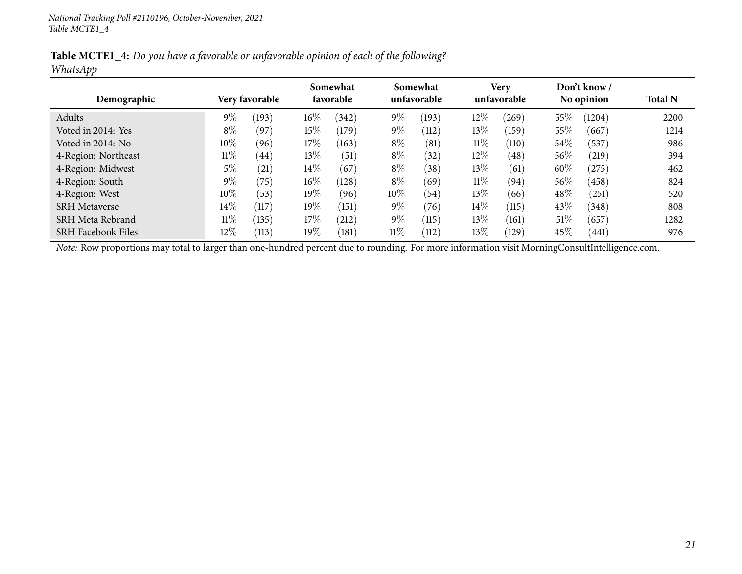Table MCTE1\_4: Do you have a favorable or unfavorable opinion of each of the following? *WhatsApp*

|                           |        |                       |        | Somewhat  |        | Somewhat    |        | <b>Very</b> |        | Don't know / |                |
|---------------------------|--------|-----------------------|--------|-----------|--------|-------------|--------|-------------|--------|--------------|----------------|
| Demographic               |        | <b>Very favorable</b> |        | favorable |        | unfavorable |        | unfavorable |        | No opinion   | <b>Total N</b> |
| Adults                    | $9\%$  | (193)                 | $16\%$ | (342)     | $9\%$  | (193)       | 12\%   | (269)       | 55%    | (1204)       | 2200           |
| Voted in 2014: Yes        | $8\%$  | (97)                  | 15%    | (179)     | $9\%$  | (112)       | 13\%   | (159)       | 55%    | (667)        | 1214           |
| Voted in 2014: No         | $10\%$ | (96)                  | 17%    | (163)     | $8\%$  | (81)        | $11\%$ | (110)       | 54%    | (537)        | 986            |
| 4-Region: Northeast       | $11\%$ | (44)                  | $13\%$ | (51)      | $8\%$  | (32)        | $12\%$ | (48)        | $56\%$ | (219)        | 394            |
| 4-Region: Midwest         | 5%     | (21)                  | $14\%$ | (67)      | $8\%$  | (38)        | 13\%   | (61)        | 60%    | (275)        | 462            |
| 4-Region: South           | $9\%$  | (75)                  | $16\%$ | (128)     | $8\%$  | (69)        | $11\%$ | (94)        | $56\%$ | (458)        | 824            |
| 4-Region: West            | $10\%$ | (53)                  | $19\%$ | (96)      | 10%    | (54)        | 13%    | (66)        | 48\%   | (251)        | 520            |
| <b>SRH</b> Metaverse      | $14\%$ | (117)                 | $19\%$ | (151)     | $9\%$  | (76)        | $14\%$ | (115)       | $43\%$ | (348)        | 808            |
| SRH Meta Rebrand          | $11\%$ | (135)                 | 17%    | (212)     | $9\%$  | (115)       | 13\%   | (161)       | 51\%   | (657)        | 1282           |
| <b>SRH Facebook Files</b> | $12\%$ | (113)                 | $19\%$ | (181)     | $11\%$ | (112)       | 13\%   | (129)       | 45%    | (441)        | 976            |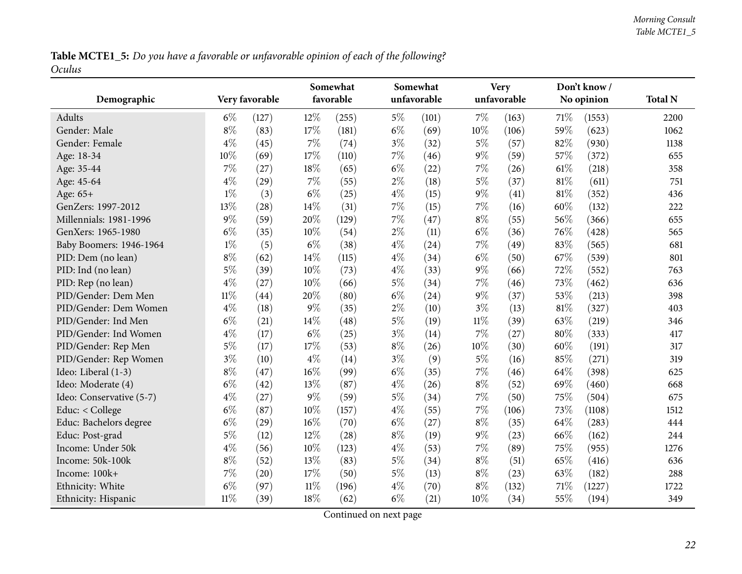Table MCTE1\_5: Do you have a favorable or unfavorable opinion of each of the following? *Oculus*

<span id="page-21-0"></span>

| Demographic              |        | Very favorable |        | Somewhat<br>favorable |       | Somewhat<br>unfavorable |        | <b>Very</b><br>unfavorable |        | Don't know/<br>No opinion | <b>Total N</b> |
|--------------------------|--------|----------------|--------|-----------------------|-------|-------------------------|--------|----------------------------|--------|---------------------------|----------------|
| <b>Adults</b>            | $6\%$  | (127)          | 12%    | (255)                 | $5\%$ | (101)                   | 7%     | (163)                      | $71\%$ | (1553)                    | 2200           |
| Gender: Male             | $8\%$  | (83)           | 17%    | (181)                 | $6\%$ | (69)                    | 10%    | (106)                      | 59%    | (623)                     | 1062           |
| Gender: Female           | $4\%$  | (45)           | $7\%$  | (74)                  | $3\%$ | (32)                    | $5\%$  | (57)                       | 82%    | (930)                     | 1138           |
| Age: 18-34               | 10%    | (69)           | 17%    | (110)                 | $7\%$ | (46)                    | $9\%$  | (59)                       | 57%    | (372)                     | 655            |
| Age: 35-44               | 7%     | (27)           | 18%    | (65)                  | $6\%$ | (22)                    | $7\%$  | (26)                       | 61%    | (218)                     | 358            |
| Age: 45-64               | $4\%$  | (29)           | $7\%$  | (55)                  | $2\%$ | (18)                    | $5\%$  | (37)                       | 81%    | (611)                     | 751            |
| Age: 65+                 | $1\%$  | (3)            | $6\%$  | (25)                  | $4\%$ | (15)                    | $9\%$  | (41)                       | 81%    | (352)                     | 436            |
| GenZers: 1997-2012       | 13%    | (28)           | 14%    | (31)                  | $7\%$ | (15)                    | $7\%$  | (16)                       | 60%    | (132)                     | 222            |
| Millennials: 1981-1996   | $9\%$  | (59)           | 20%    | (129)                 | $7\%$ | (47)                    | $8\%$  | (55)                       | 56%    | (366)                     | 655            |
| GenXers: 1965-1980       | $6\%$  | (35)           | 10%    | (54)                  | $2\%$ | (11)                    | $6\%$  | (36)                       | 76%    | (428)                     | 565            |
| Baby Boomers: 1946-1964  | $1\%$  | (5)            | $6\%$  | (38)                  | $4\%$ | (24)                    | $7\%$  | (49)                       | 83%    | (565)                     | 681            |
| PID: Dem (no lean)       | $8\%$  | (62)           | 14%    | (115)                 | $4\%$ | (34)                    | $6\%$  | (50)                       | 67%    | (539)                     | 801            |
| PID: Ind (no lean)       | $5\%$  | (39)           | 10%    | (73)                  | $4\%$ | (33)                    | $9\%$  | (66)                       | 72%    | (552)                     | 763            |
| PID: Rep (no lean)       | $4\%$  | (27)           | 10%    | (66)                  | $5\%$ | (34)                    | $7\%$  | (46)                       | 73%    | (462)                     | 636            |
| PID/Gender: Dem Men      | $11\%$ | (44)           | 20%    | (80)                  | $6\%$ | (24)                    | $9\%$  | (37)                       | 53%    | (213)                     | 398            |
| PID/Gender: Dem Women    | $4\%$  | (18)           | $9\%$  | (35)                  | $2\%$ | (10)                    | $3\%$  | (13)                       | 81%    | (327)                     | 403            |
| PID/Gender: Ind Men      | $6\%$  | (21)           | $14\%$ | (48)                  | $5\%$ | (19)                    | $11\%$ | (39)                       | 63%    | (219)                     | 346            |
| PID/Gender: Ind Women    | $4\%$  | (17)           | $6\%$  | (25)                  | $3\%$ | (14)                    | 7%     | (27)                       | 80%    | (333)                     | 417            |
| PID/Gender: Rep Men      | $5\%$  | (17)           | 17%    | (53)                  | $8\%$ | (26)                    | $10\%$ | (30)                       | 60%    | (191)                     | 317            |
| PID/Gender: Rep Women    | $3\%$  | (10)           | $4\%$  | (14)                  | $3\%$ | (9)                     | $5\%$  | (16)                       | 85%    | (271)                     | 319            |
| Ideo: Liberal (1-3)      | $8\%$  | (47)           | 16%    | (99)                  | $6\%$ | (35)                    | 7%     | (46)                       | 64%    | (398)                     | 625            |
| Ideo: Moderate (4)       | $6\%$  | (42)           | 13%    | (87)                  | $4\%$ | (26)                    | $8\%$  | (52)                       | 69%    | (460)                     | 668            |
| Ideo: Conservative (5-7) | $4\%$  | (27)           | $9\%$  | (59)                  | $5\%$ | (34)                    | $7\%$  | (50)                       | 75%    | (504)                     | 675            |
| Educ: < College          | $6\%$  | (87)           | 10%    | (157)                 | $4\%$ | (55)                    | 7%     | (106)                      | 73%    | (1108)                    | 1512           |
| Educ: Bachelors degree   | $6\%$  | (29)           | 16%    | (70)                  | $6\%$ | (27)                    | $8\%$  | (35)                       | 64%    | (283)                     | 444            |
| Educ: Post-grad          | $5\%$  | (12)           | 12%    | (28)                  | $8\%$ | (19)                    | $9\%$  | (23)                       | 66%    | (162)                     | 244            |
| Income: Under 50k        | $4\%$  | (56)           | 10%    | (123)                 | $4\%$ | (53)                    | $7\%$  | (89)                       | 75%    | (955)                     | 1276           |
| Income: 50k-100k         | $8\%$  | (52)           | 13%    | (83)                  | $5\%$ | (34)                    | $8\%$  | (51)                       | 65%    | (416)                     | 636            |
| Income: 100k+            | $7\%$  | (20)           | 17%    | (50)                  | $5\%$ | (13)                    | $8\%$  | (23)                       | 63%    | (182)                     | 288            |
| Ethnicity: White         | $6\%$  | (97)           | $11\%$ | (196)                 | $4\%$ | (70)                    | $8\%$  | (132)                      | 71%    | (1227)                    | 1722           |
| Ethnicity: Hispanic      | $11\%$ | (39)           | 18%    | (62)                  | $6\%$ | (21)                    | 10%    | (34)                       | 55%    | (194)                     | 349            |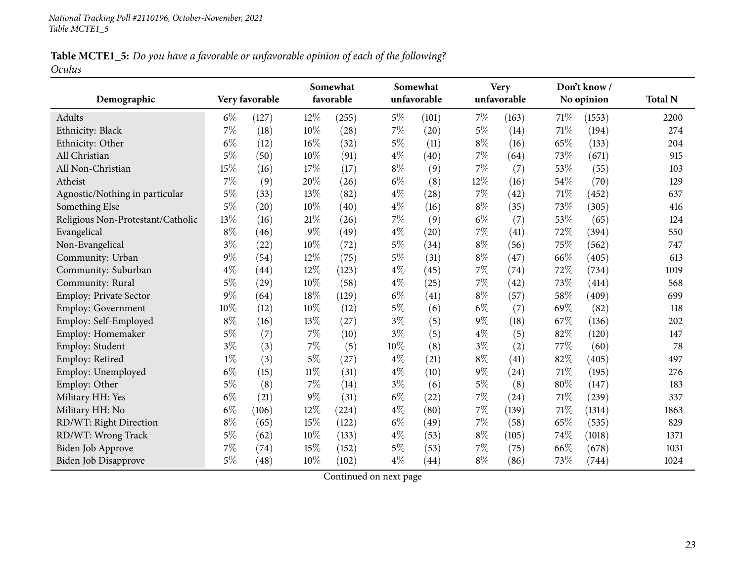Table MCTE1\_5: Do you have a favorable or unfavorable opinion of each of the following? *Oculus*

|                                   |       |                |        | Somewhat  |       | Somewhat    |        | <b>Very</b> |      | Don't know/ |                |
|-----------------------------------|-------|----------------|--------|-----------|-------|-------------|--------|-------------|------|-------------|----------------|
| Demographic                       |       | Very favorable |        | favorable |       | unfavorable |        | unfavorable |      | No opinion  | <b>Total N</b> |
| <b>Adults</b>                     | $6\%$ | (127)          | $12\%$ | (255)     | $5\%$ | (101)       | 7%     | (163)       | 71\% | (1553)      | 2200           |
| Ethnicity: Black                  | 7%    | (18)           | 10%    | (28)      | $7\%$ | (20)        | $5\%$  | (14)        | 71%  | (194)       | 274            |
| Ethnicity: Other                  | $6\%$ | (12)           | 16%    | (32)      | $5\%$ | (11)        | $8\%$  | (16)        | 65%  | (133)       | 204            |
| All Christian                     | $5\%$ | (50)           | 10%    | (91)      | $4\%$ | (40)        | $7\%$  | (64)        | 73%  | (671)       | 915            |
| All Non-Christian                 | 15%   | (16)           | 17%    | (17)      | $8\%$ | (9)         | $7\%$  | (7)         | 53%  | (55)        | 103            |
| Atheist                           | 7%    | (9)            | 20%    | (26)      | $6\%$ | (8)         | $12\%$ | (16)        | 54%  | (70)        | 129            |
| Agnostic/Nothing in particular    | $5\%$ | (33)           | 13%    | (82)      | $4\%$ | (28)        | $7\%$  | (42)        | 71%  | (452)       | 637            |
| Something Else                    | $5\%$ | (20)           | 10%    | (40)      | $4\%$ | (16)        | $8\%$  | (35)        | 73%  | (305)       | 416            |
| Religious Non-Protestant/Catholic | 13%   | (16)           | 21%    | (26)      | $7\%$ | (9)         | $6\%$  | (7)         | 53%  | (65)        | 124            |
| Evangelical                       | $8\%$ | (46)           | 9%     | (49)      | $4\%$ | (20)        | $7\%$  | (41)        | 72%  | (394)       | 550            |
| Non-Evangelical                   | $3\%$ | (22)           | 10%    | (72)      | $5\%$ | (34)        | $8\%$  | (56)        | 75%  | (562)       | 747            |
| Community: Urban                  | $9\%$ | (54)           | 12%    | (75)      | $5\%$ | (31)        | $8\%$  | (47)        | 66%  | (405)       | 613            |
| Community: Suburban               | $4\%$ | (44)           | 12%    | (123)     | $4\%$ | (45)        | $7\%$  | (74)        | 72%  | (734)       | 1019           |
| Community: Rural                  | $5\%$ | (29)           | 10%    | (58)      | $4\%$ | (25)        | $7\%$  | (42)        | 73%  | (414)       | 568            |
| Employ: Private Sector            | $9\%$ | (64)           | 18%    | (129)     | $6\%$ | (41)        | $8\%$  | (57)        | 58%  | (409)       | 699            |
| <b>Employ: Government</b>         | 10%   | (12)           | 10%    | (12)      | $5\%$ | (6)         | $6\%$  | (7)         | 69%  | (82)        | 118            |
| Employ: Self-Employed             | $8\%$ | (16)           | 13%    | (27)      | $3\%$ | (5)         | $9\%$  | (18)        | 67\% | (136)       | 202            |
| Employ: Homemaker                 | $5\%$ | (7)            | $7\%$  | (10)      | $3\%$ | (5)         | $4\%$  | (5)         | 82%  | (120)       | 147            |
| Employ: Student                   | $3\%$ | (3)            | 7%     | (5)       | 10%   | (8)         | $3\%$  | (2)         | 77%  | (60)        | 78             |
| Employ: Retired                   | $1\%$ | (3)            | $5\%$  | (27)      | $4\%$ | (21)        | $8\%$  | (41)        | 82%  | (405)       | 497            |
| Employ: Unemployed                | $6\%$ | (15)           | $11\%$ | (31)      | $4\%$ | (10)        | $9\%$  | (24)        | 71%  | (195)       | 276            |
| Employ: Other                     | $5\%$ | (8)            | $7\%$  | (14)      | $3\%$ | (6)         | $5\%$  | (8)         | 80%  | (147)       | 183            |
| Military HH: Yes                  | $6\%$ | (21)           | $9\%$  | (31)      | $6\%$ | (22)        | $7\%$  | (24)        | 71%  | (239)       | 337            |
| Military HH: No                   | $6\%$ | (106)          | 12%    | (224)     | $4\%$ | (80)        | $7\%$  | (139)       | 71%  | (1314)      | 1863           |
| RD/WT: Right Direction            | $8\%$ | (65)           | 15%    | (122)     | $6\%$ | (49)        | $7\%$  | (58)        | 65%  | (535)       | 829            |
| RD/WT: Wrong Track                | $5\%$ | (62)           | 10%    | (133)     | $4\%$ | (53)        | $8\%$  | (105)       | 74%  | (1018)      | 1371           |
| Biden Job Approve                 | 7%    | (74)           | 15%    | (152)     | $5\%$ | (53)        | $7\%$  | (75)        | 66%  | (678)       | 1031           |
| Biden Job Disapprove              | $5\%$ | (48)           | 10%    | (102)     | $4\%$ | (44)        | $8\%$  | (86)        | 73%  | (744)       | 1024           |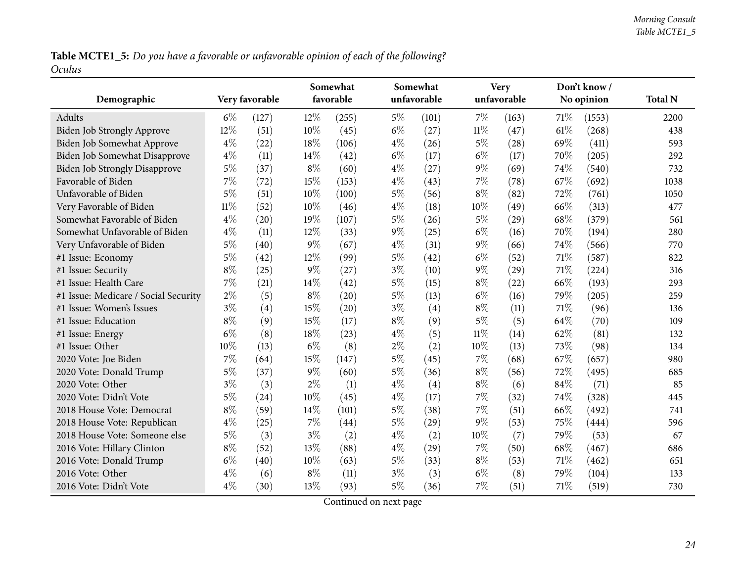Table MCTE1\_5: Do you have a favorable or unfavorable opinion of each of the following? *Oculus*

| Demographic                          |        | Very favorable |        | Somewhat<br>favorable |       | Somewhat<br>unfavorable |        | <b>Very</b><br>unfavorable |        | Don't know/<br>No opinion | <b>Total N</b> |
|--------------------------------------|--------|----------------|--------|-----------------------|-------|-------------------------|--------|----------------------------|--------|---------------------------|----------------|
| <b>Adults</b>                        | $6\%$  | (127)          | $12\%$ | (255)                 | $5\%$ | (101)                   | $7\%$  | (163)                      | 71\%   | (1553)                    | 2200           |
| <b>Biden Job Strongly Approve</b>    | 12%    | (51)           | 10%    | (45)                  | $6\%$ | (27)                    | $11\%$ | (47)                       | 61\%   | (268)                     | 438            |
| Biden Job Somewhat Approve           | $4\%$  | (22)           | 18%    | (106)                 | $4\%$ | (26)                    | $5\%$  | (28)                       | 69%    | (411)                     | 593            |
| Biden Job Somewhat Disapprove        | $4\%$  | (11)           | 14\%   | (42)                  | $6\%$ | (17)                    | $6\%$  | (17)                       | 70%    | (205)                     | 292            |
| <b>Biden Job Strongly Disapprove</b> | $5\%$  | (37)           | $8\%$  | (60)                  | $4\%$ | (27)                    | $9\%$  | (69)                       | 74\%   | (540)                     | 732            |
| Favorable of Biden                   | $7\%$  | (72)           | 15%    | (153)                 | $4\%$ | (43)                    | $7\%$  | (78)                       | 67%    | (692)                     | 1038           |
| Unfavorable of Biden                 | $5\%$  | (51)           | 10%    | (100)                 | $5\%$ | (56)                    | $8\%$  | (82)                       | 72%    | (761)                     | 1050           |
| Very Favorable of Biden              | $11\%$ | (52)           | 10%    | (46)                  | $4\%$ | (18)                    | $10\%$ | (49)                       | 66%    | (313)                     | 477            |
| Somewhat Favorable of Biden          | $4\%$  | (20)           | 19%    | (107)                 | $5\%$ | (26)                    | $5\%$  | (29)                       | 68\%   | (379)                     | 561            |
| Somewhat Unfavorable of Biden        | $4\%$  | (11)           | $12\%$ | (33)                  | $9\%$ | (25)                    | $6\%$  | (16)                       | 70%    | (194)                     | 280            |
| Very Unfavorable of Biden            | $5\%$  | (40)           | $9\%$  | (67)                  | $4\%$ | (31)                    | $9\%$  | (66)                       | 74%    | (566)                     | 770            |
| #1 Issue: Economy                    | $5\%$  | (42)           | 12%    | (99)                  | $5\%$ | (42)                    | $6\%$  | (52)                       | $71\%$ | (587)                     | 822            |
| #1 Issue: Security                   | $8\%$  | (25)           | $9\%$  | (27)                  | $3\%$ | (10)                    | $9\%$  | (29)                       | $71\%$ | (224)                     | 316            |
| #1 Issue: Health Care                | $7\%$  | (21)           | 14%    | (42)                  | $5\%$ | (15)                    | $8\%$  | (22)                       | 66\%   | (193)                     | 293            |
| #1 Issue: Medicare / Social Security | $2\%$  | (5)            | $8\%$  | (20)                  | $5\%$ | (13)                    | $6\%$  | (16)                       | 79%    | (205)                     | 259            |
| #1 Issue: Women's Issues             | $3\%$  | (4)            | 15%    | (20)                  | $3\%$ | (4)                     | $8\%$  | (11)                       | 71\%   | (96)                      | 136            |
| #1 Issue: Education                  | $8\%$  | (9)            | 15%    | (17)                  | $8\%$ | (9)                     | $5\%$  | (5)                        | 64\%   | (70)                      | 109            |
| #1 Issue: Energy                     | $6\%$  | (8)            | 18%    | (23)                  | $4\%$ | (5)                     | $11\%$ | (14)                       | 62%    | (81)                      | 132            |
| #1 Issue: Other                      | 10%    | (13)           | $6\%$  | (8)                   | $2\%$ | (2)                     | 10%    | (13)                       | 73%    | (98)                      | 134            |
| 2020 Vote: Joe Biden                 | $7\%$  | (64)           | $15\%$ | (147)                 | $5\%$ | (45)                    | $7\%$  | (68)                       | 67%    | (657)                     | 980            |
| 2020 Vote: Donald Trump              | $5\%$  | (37)           | $9\%$  | (60)                  | $5\%$ | (36)                    | $8\%$  | (56)                       | 72%    | (495)                     | 685            |
| 2020 Vote: Other                     | $3\%$  | (3)            | $2\%$  | (1)                   | $4\%$ | (4)                     | $8\%$  | (6)                        | 84\%   | (71)                      | 85             |
| 2020 Vote: Didn't Vote               | $5\%$  | (24)           | 10%    | (45)                  | $4\%$ | (17)                    | 7%     | (32)                       | 74%    | (328)                     | 445            |
| 2018 House Vote: Democrat            | $8\%$  | (59)           | 14%    | (101)                 | $5\%$ | (38)                    | 7%     | (51)                       | 66%    | (492)                     | 741            |
| 2018 House Vote: Republican          | $4\%$  | (25)           | $7\%$  | (44)                  | $5\%$ | (29)                    | $9\%$  | (53)                       | 75%    | (444)                     | 596            |
| 2018 House Vote: Someone else        | $5\%$  | (3)            | $3\%$  | (2)                   | $4\%$ | (2)                     | $10\%$ | (7)                        | 79%    | (53)                      | 67             |
| 2016 Vote: Hillary Clinton           | $8\%$  | (52)           | 13%    | (88)                  | $4\%$ | (29)                    | $7\%$  | (50)                       | 68\%   | (467)                     | 686            |
| 2016 Vote: Donald Trump              | $6\%$  | (40)           | $10\%$ | (63)                  | $5\%$ | (33)                    | $8\%$  | (53)                       | 71%    | (462)                     | 651            |
| 2016 Vote: Other                     | $4\%$  | (6)            | $8\%$  | (11)                  | $3\%$ | (3)                     | $6\%$  | (8)                        | 79%    | (104)                     | 133            |
| 2016 Vote: Didn't Vote               | $4\%$  | (30)           | 13\%   | (93)                  | $5\%$ | (36)                    | $7\%$  | (51)                       | 71\%   | (519)                     | 730            |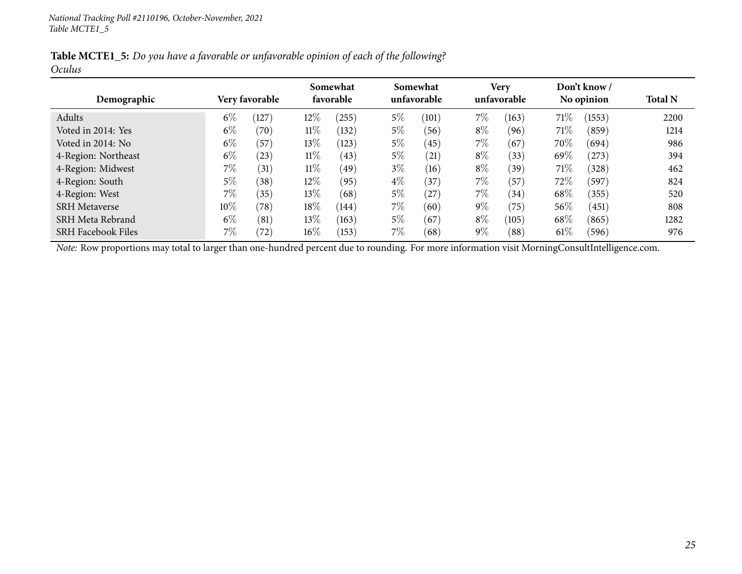|        |  |  | Table MCTE1_5: Do you have a favorable or unfavorable opinion of each of the following? |
|--------|--|--|-----------------------------------------------------------------------------------------|
| Oculus |  |  |                                                                                         |

|                           |       |                |        | Somewhat  |       | Somewhat    |       | <b>Very</b> |        | Don't know / |                |
|---------------------------|-------|----------------|--------|-----------|-------|-------------|-------|-------------|--------|--------------|----------------|
| Demographic               |       | Very favorable |        | favorable |       | unfavorable |       | unfavorable |        | No opinion   | <b>Total N</b> |
| Adults                    | $6\%$ | 127            | $12\%$ | (255)     | $5\%$ | (101)       | $7\%$ | (163)       | 71\%   | (1553)       | 2200           |
| Voted in 2014: Yes        | $6\%$ | (70)           | $11\%$ | (132)     | 5%    | (56)        | $8\%$ | (96)        | 71\%   | (859)        | 1214           |
| Voted in 2014: No         | $6\%$ | (57)           | $13\%$ | (123)     | $5\%$ | (45)        | $7\%$ | (67)        | 70%    | (694)        | 986            |
| 4-Region: Northeast       | $6\%$ | (23)           | $11\%$ | (43)      | $5\%$ | (21)        | $8\%$ | (33)        | 69%    | (273)        | 394            |
| 4-Region: Midwest         | 7%    | (31)           | $11\%$ | (49)      | $3\%$ | (16)        | $8\%$ | (39)        | 71\%   | (328)        | 462            |
| 4-Region: South           | 5%    | (38)           | $12\%$ | (95)      | $4\%$ | (37)        | $7\%$ | (57)        | 72\%   | (597)        | 824            |
| 4-Region: West            | 7%    | (35)           | $13\%$ | (68)      | $5\%$ | 27          | $7\%$ | (34)        | 68\%   | (355)        | 520            |
| <b>SRH</b> Metaverse      | 10%   | (78)           | 18%    | (144)     | $7\%$ | (60)        | $9\%$ | (75)        | 56%    | (451)        | 808            |
| SRH Meta Rebrand          | $6\%$ | (81)           | $13\%$ | (163)     | $5\%$ | (67)        | $8\%$ | (105)       | 68\%   | (865)        | 1282           |
| <b>SRH Facebook Files</b> | $7\%$ | (72)           | $16\%$ | (153)     | $7\%$ | (68)        | $9\%$ | (88)        | $61\%$ | (596)        | 976            |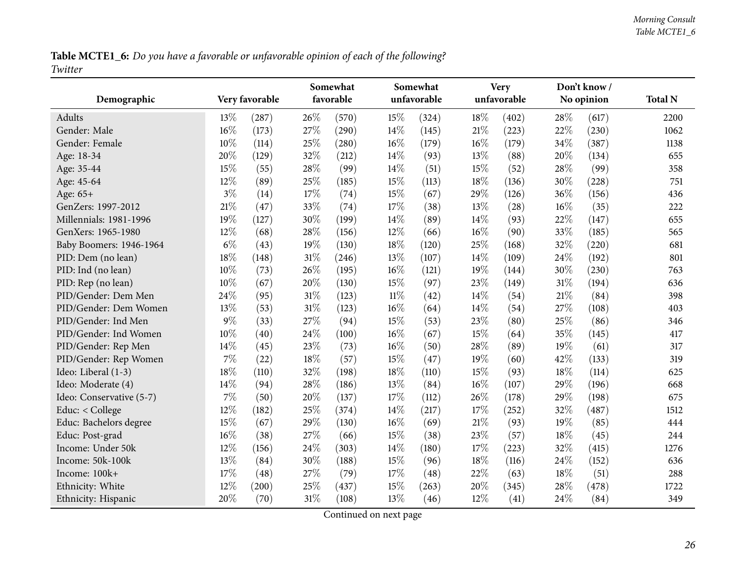Table MCTE1\_6: Do you have a favorable or unfavorable opinion of each of the following? *Twitter*

<span id="page-25-0"></span>

| Demographic              |        | Very favorable |        | Somewhat<br>favorable |        | Somewhat<br>unfavorable |        | <b>Very</b><br>unfavorable |     | Don't know/<br>No opinion | <b>Total N</b> |
|--------------------------|--------|----------------|--------|-----------------------|--------|-------------------------|--------|----------------------------|-----|---------------------------|----------------|
|                          |        |                |        |                       |        |                         |        |                            |     |                           |                |
| <b>Adults</b>            | 13%    | (287)          | 26%    | (570)                 | 15%    | (324)                   | $18\%$ | (402)                      | 28% | (617)                     | 2200           |
| Gender: Male             | 16%    | (173)          | 27%    | (290)                 | 14%    | (145)                   | 21%    | (223)                      | 22% | (230)                     | 1062           |
| Gender: Female           | 10%    | (114)          | 25%    | (280)                 | 16%    | (179)                   | $16\%$ | (179)                      | 34% | (387)                     | 1138           |
| Age: 18-34               | 20%    | (129)          | 32%    | (212)                 | $14\%$ | (93)                    | 13%    | (88)                       | 20% | (134)                     | 655            |
| Age: 35-44               | 15%    | (55)           | 28%    | (99)                  | 14%    | (51)                    | 15%    | (52)                       | 28% | (99)                      | 358            |
| Age: 45-64               | 12%    | (89)           | 25%    | (185)                 | 15%    | (113)                   | 18%    | (136)                      | 30% | (228)                     | 751            |
| Age: 65+                 | $3\%$  | (14)           | 17%    | (74)                  | 15%    | (67)                    | 29%    | (126)                      | 36% | (156)                     | 436            |
| GenZers: 1997-2012       | $21\%$ | (47)           | 33%    | (74)                  | 17%    | (38)                    | 13%    | (28)                       | 16% | (35)                      | 222            |
| Millennials: 1981-1996   | 19%    | (127)          | 30%    | (199)                 | 14\%   | (89)                    | 14%    | (93)                       | 22% | (147)                     | 655            |
| GenXers: 1965-1980       | 12%    | (68)           | 28%    | (156)                 | 12%    | (66)                    | 16%    | (90)                       | 33% | (185)                     | 565            |
| Baby Boomers: 1946-1964  | $6\%$  | (43)           | 19%    | (130)                 | $18\%$ | (120)                   | 25%    | (168)                      | 32% | (220)                     | 681            |
| PID: Dem (no lean)       | 18%    | (148)          | $31\%$ | (246)                 | 13%    | (107)                   | 14\%   | (109)                      | 24% | (192)                     | 801            |
| PID: Ind (no lean)       | 10%    | (73)           | 26%    | (195)                 | $16\%$ | (121)                   | 19%    | (144)                      | 30% | (230)                     | 763            |
| PID: Rep (no lean)       | 10%    | (67)           | 20%    | (130)                 | 15%    | (97)                    | 23%    | (149)                      | 31% | (194)                     | 636            |
| PID/Gender: Dem Men      | 24%    | (95)           | 31%    | (123)                 | $11\%$ | (42)                    | 14%    | (54)                       | 21% | (84)                      | 398            |
| PID/Gender: Dem Women    | 13%    | (53)           | $31\%$ | (123)                 | $16\%$ | (64)                    | 14%    | (54)                       | 27% | (108)                     | 403            |
| PID/Gender: Ind Men      | $9\%$  | (33)           | 27%    | (94)                  | 15%    | (53)                    | 23%    | (80)                       | 25% | (86)                      | 346            |
| PID/Gender: Ind Women    | 10%    | (40)           | 24%    | (100)                 | 16%    | (67)                    | 15%    | (64)                       | 35% | (145)                     | 417            |
| PID/Gender: Rep Men      | 14%    | (45)           | 23%    | (73)                  | 16%    | (50)                    | 28%    | (89)                       | 19% | (61)                      | 317            |
| PID/Gender: Rep Women    | 7%     | (22)           | 18%    | (57)                  | 15%    | (47)                    | 19%    | (60)                       | 42% | (133)                     | 319            |
| Ideo: Liberal (1-3)      | 18%    | (110)          | 32%    | (198)                 | 18%    | (110)                   | 15%    | (93)                       | 18% | (114)                     | 625            |
| Ideo: Moderate (4)       | 14%    | (94)           | 28%    | (186)                 | 13%    | (84)                    | 16%    | (107)                      | 29% | (196)                     | 668            |
| Ideo: Conservative (5-7) | $7\%$  | (50)           | 20%    | (137)                 | 17%    | (112)                   | 26%    | (178)                      | 29% | (198)                     | 675            |
| Educ: < College          | 12%    | (182)          | 25%    | (374)                 | 14%    | (217)                   | 17%    | (252)                      | 32% | (487)                     | 1512           |
| Educ: Bachelors degree   | 15%    | (67)           | 29%    | (130)                 | $16\%$ | (69)                    | 21%    | (93)                       | 19% | (85)                      | 444            |
| Educ: Post-grad          | 16%    | (38)           | 27%    | (66)                  | 15%    | (38)                    | 23%    | (57)                       | 18% | (45)                      | 244            |
| Income: Under 50k        | 12%    | (156)          | 24%    | (303)                 | 14%    | (180)                   | $17\%$ | (223)                      | 32% | (415)                     | 1276           |
| Income: 50k-100k         | 13%    | (84)           | 30%    | (188)                 | 15%    | (96)                    | 18%    | (116)                      | 24% | (152)                     | 636            |
| Income: 100k+            | 17%    | (48)           | 27%    | (79)                  | 17%    | (48)                    | 22%    | (63)                       | 18% | (51)                      | 288            |
| Ethnicity: White         | 12%    | (200)          | 25%    | (437)                 | 15%    | (263)                   | 20%    | (345)                      | 28% | (478)                     | 1722           |
| Ethnicity: Hispanic      | 20%    | (70)           | 31%    | (108)                 | 13%    | (46)                    | 12%    | (41)                       | 24% | (84)                      | 349            |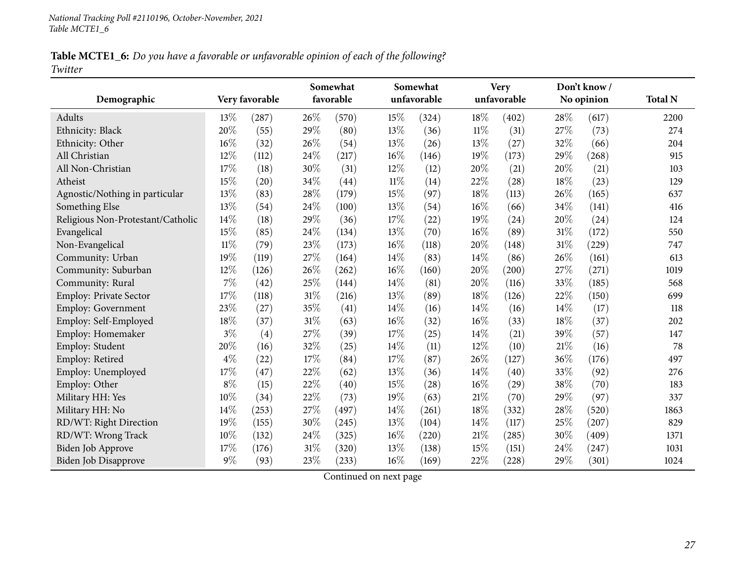Table MCTE1\_6: Do you have a favorable or unfavorable opinion of each of the following? *Twitter*

|                                   |        |                |      | Somewhat  |        | Somewhat    |        | <b>Very</b> |      | Don't know/ |                |
|-----------------------------------|--------|----------------|------|-----------|--------|-------------|--------|-------------|------|-------------|----------------|
| Demographic                       |        | Very favorable |      | favorable |        | unfavorable |        | unfavorable |      | No opinion  | <b>Total N</b> |
| Adults                            | 13%    | (287)          | 26\% | (570)     | 15%    | (324)       | 18%    | (402)       | 28%  | (617)       | 2200           |
| Ethnicity: Black                  | 20%    | (55)           | 29%  | (80)      | 13%    | (36)        | $11\%$ | (31)        | 27%  | (73)        | 274            |
| Ethnicity: Other                  | 16%    | (32)           | 26%  | (54)      | 13%    | (26)        | 13%    | (27)        | 32%  | (66)        | 204            |
| All Christian                     | 12%    | (112)          | 24%  | (217)     | $16\%$ | (146)       | 19%    | (173)       | 29%  | (268)       | 915            |
| All Non-Christian                 | 17%    | (18)           | 30%  | (31)      | 12%    | (12)        | 20%    | (21)        | 20%  | (21)        | 103            |
| Atheist                           | 15%    | (20)           | 34%  | (44)      | $11\%$ | (14)        | $22\%$ | (28)        | 18%  | (23)        | 129            |
| Agnostic/Nothing in particular    | 13%    | (83)           | 28%  | (179)     | 15%    | (97)        | 18%    | (113)       | 26%  | (165)       | 637            |
| Something Else                    | 13%    | (54)           | 24%  | (100)     | 13%    | (54)        | 16%    | (66)        | 34%  | (141)       | 416            |
| Religious Non-Protestant/Catholic | 14%    | (18)           | 29%  | (36)      | 17%    | (22)        | 19%    | (24)        | 20%  | (24)        | 124            |
| Evangelical                       | 15%    | (85)           | 24%  | (134)     | 13%    | (70)        | 16%    | (89)        | 31%  | (172)       | 550            |
| Non-Evangelical                   | $11\%$ | (79)           | 23%  | (173)     | $16\%$ | (118)       | 20%    | (148)       | 31%  | (229)       | 747            |
| Community: Urban                  | 19%    | (119)          | 27%  | (164)     | $14\%$ | (83)        | 14%    | (86)        | 26%  | (161)       | 613            |
| Community: Suburban               | 12%    | (126)          | 26%  | (262)     | $16\%$ | (160)       | 20%    | (200)       | 27%  | (271)       | 1019           |
| Community: Rural                  | 7%     | (42)           | 25%  | (144)     | 14%    | (81)        | 20%    | (116)       | 33%  | (185)       | 568            |
| <b>Employ: Private Sector</b>     | 17%    | (118)          | 31%  | (216)     | 13%    | (89)        | 18%    | (126)       | 22%  | (150)       | 699            |
| <b>Employ: Government</b>         | 23%    | (27)           | 35%  | (41)      | $14\%$ | (16)        | 14%    | (16)        | 14%  | (17)        | 118            |
| Employ: Self-Employed             | 18%    | (37)           | 31%  | (63)      | $16\%$ | (32)        | 16%    | (33)        | 18%  | (37)        | 202            |
| Employ: Homemaker                 | $3\%$  | (4)            | 27%  | (39)      | 17%    | (25)        | 14%    | (21)        | 39%  | (57)        | 147            |
| Employ: Student                   | 20%    | (16)           | 32%  | (25)      | 14%    | (11)        | 12%    | (10)        | 21\% | (16)        | 78             |
| Employ: Retired                   | $4\%$  | (22)           | 17%  | (84)      | 17%    | (87)        | 26%    | (127)       | 36%  | (176)       | 497            |
| Employ: Unemployed                | 17%    | (47)           | 22%  | (62)      | 13%    | (36)        | 14%    | (40)        | 33%  | (92)        | 276            |
| Employ: Other                     | $8\%$  | (15)           | 22%  | (40)      | 15%    | (28)        | 16%    | (29)        | 38%  | (70)        | 183            |
| Military HH: Yes                  | 10%    | (34)           | 22%  | (73)      | 19%    | (63)        | 21%    | (70)        | 29%  | (97)        | 337            |
| Military HH: No                   | 14%    | (253)          | 27%  | (497)     | 14\%   | (261)       | 18%    | (332)       | 28%  | (520)       | 1863           |
| RD/WT: Right Direction            | 19%    | (155)          | 30%  | (245)     | 13%    | (104)       | 14%    | (117)       | 25%  | (207)       | 829            |
| RD/WT: Wrong Track                | 10%    | (132)          | 24\% | (325)     | $16\%$ | (220)       | $21\%$ | (285)       | 30%  | (409)       | 1371           |
| Biden Job Approve                 | 17%    | (176)          | 31%  | (320)     | 13%    | (138)       | 15%    | (151)       | 24%  | (247)       | 1031           |
| Biden Job Disapprove              | 9%     | (93)           | 23%  | (233)     | $16\%$ | (169)       | 22%    | (228)       | 29%  | (301)       | 1024           |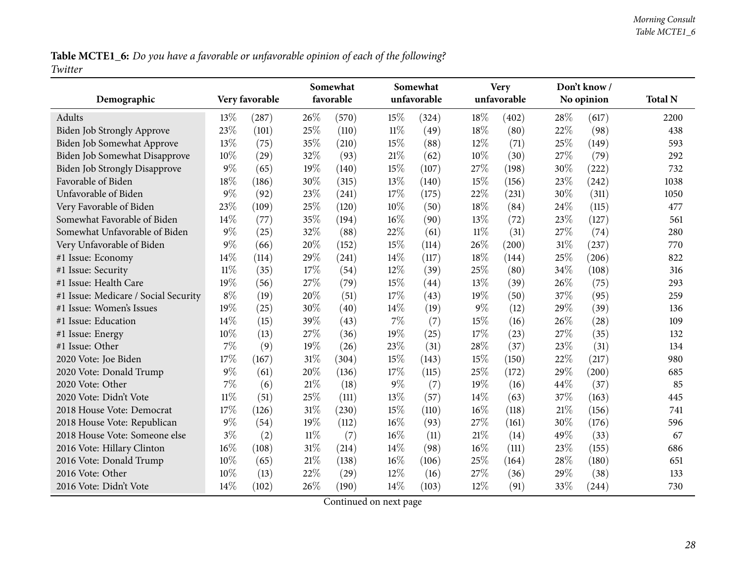Table MCTE1\_6: Do you have a favorable or unfavorable opinion of each of the following? *Twitter*

| Demographic                          |        | Very favorable |        | Somewhat<br>favorable |       | Somewhat<br>unfavorable |        | <b>Very</b><br>unfavorable |        | Don't know/<br>No opinion | <b>Total N</b> |
|--------------------------------------|--------|----------------|--------|-----------------------|-------|-------------------------|--------|----------------------------|--------|---------------------------|----------------|
| <b>Adults</b>                        | 13%    | (287)          | 26\%   | (570)                 | 15%   | (324)                   | 18%    | (402)                      | 28\%   | (617)                     | 2200           |
| <b>Biden Job Strongly Approve</b>    | 23%    | (101)          | 25%    | (110)                 | 11%   | (49)                    | 18\%   | (80)                       | 22%    | (98)                      | 438            |
| Biden Job Somewhat Approve           | 13%    | (75)           | 35%    | (210)                 | 15%   | (88)                    | 12%    | (71)                       | 25%    | (149)                     | 593            |
| Biden Job Somewhat Disapprove        | 10%    | (29)           | 32%    | (93)                  | 21%   | (62)                    | 10%    | (30)                       | 27%    | (79)                      | 292            |
| <b>Biden Job Strongly Disapprove</b> | $9\%$  | (65)           | 19%    | (140)                 | 15%   | (107)                   | 27%    | (198)                      | 30%    | (222)                     | 732            |
| Favorable of Biden                   | 18%    | (186)          | 30%    | (315)                 | 13%   | (140)                   | 15%    | (156)                      | 23%    | (242)                     | 1038           |
| Unfavorable of Biden                 | $9\%$  | (92)           | 23%    | (241)                 | 17%   | (175)                   | 22%    | (231)                      | 30%    | (311)                     | 1050           |
| Very Favorable of Biden              | 23%    | (109)          | 25%    | (120)                 | 10%   | (50)                    | 18%    | (84)                       | 24%    | (115)                     | 477            |
| Somewhat Favorable of Biden          | 14\%   | (77)           | 35%    | (194)                 | 16%   | (90)                    | 13\%   | (72)                       | 23%    | (127)                     | 561            |
| Somewhat Unfavorable of Biden        | $9\%$  | (25)           | 32%    | (88)                  | 22%   | (61)                    | $11\%$ | (31)                       | 27\%   | (74)                      | 280            |
| Very Unfavorable of Biden            | $9\%$  | (66)           | 20%    | (152)                 | 15%   | (114)                   | 26%    | (200)                      | 31%    | (237)                     | 770            |
| #1 Issue: Economy                    | 14%    | (114)          | 29%    | (241)                 | 14\%  | (117)                   | 18%    | (144)                      | 25%    | (206)                     | 822            |
| #1 Issue: Security                   | $11\%$ | (35)           | 17%    | (54)                  | 12%   | (39)                    | 25%    | (80)                       | 34%    | (108)                     | 316            |
| #1 Issue: Health Care                | 19%    | (56)           | 27%    | (79)                  | 15%   | (44)                    | 13%    | (39)                       | 26%    | (75)                      | 293            |
| #1 Issue: Medicare / Social Security | $8\%$  | (19)           | 20%    | (51)                  | 17%   | (43)                    | 19%    | (50)                       | 37%    | (95)                      | 259            |
| #1 Issue: Women's Issues             | 19%    | (25)           | 30%    | (40)                  | 14%   | (19)                    | $9\%$  | (12)                       | 29%    | (39)                      | 136            |
| #1 Issue: Education                  | 14%    | (15)           | 39%    | (43)                  | $7\%$ | (7)                     | 15%    | (16)                       | $26\%$ | (28)                      | 109            |
| #1 Issue: Energy                     | 10%    | (13)           | 27%    | (36)                  | 19%   | (25)                    | 17%    | (23)                       | 27%    | (35)                      | 132            |
| #1 Issue: Other                      | $7\%$  | (9)            | 19%    | (26)                  | 23%   | (31)                    | 28%    | (37)                       | 23%    | (31)                      | 134            |
| 2020 Vote: Joe Biden                 | 17%    | (167)          | $31\%$ | (304)                 | 15%   | (143)                   | 15%    | (150)                      | 22%    | (217)                     | 980            |
| 2020 Vote: Donald Trump              | $9\%$  | (61)           | 20%    | (136)                 | 17%   | (115)                   | 25%    | (172)                      | 29%    | (200)                     | 685            |
| 2020 Vote: Other                     | $7\%$  | (6)            | $21\%$ | (18)                  | $9\%$ | (7)                     | 19%    | (16)                       | 44%    | (37)                      | 85             |
| 2020 Vote: Didn't Vote               | $11\%$ | (51)           | 25%    | (111)                 | 13%   | (57)                    | 14\%   | (63)                       | 37%    | (163)                     | 445            |
| 2018 House Vote: Democrat            | 17%    | (126)          | $31\%$ | (230)                 | 15%   | (110)                   | 16%    | (118)                      | 21%    | (156)                     | 741            |
| 2018 House Vote: Republican          | $9\%$  | (54)           | 19%    | (112)                 | 16%   | (93)                    | 27%    | (161)                      | 30%    | (176)                     | 596            |
| 2018 House Vote: Someone else        | $3\%$  | (2)            | $11\%$ | (7)                   | 16%   | (11)                    | $21\%$ | (14)                       | 49%    | (33)                      | 67             |
| 2016 Vote: Hillary Clinton           | 16%    | (108)          | $31\%$ | (214)                 | 14%   | (98)                    | 16%    | (111)                      | 23%    | (155)                     | 686            |
| 2016 Vote: Donald Trump              | 10%    | (65)           | $21\%$ | (138)                 | 16%   | (106)                   | 25%    | (164)                      | 28%    | (180)                     | 651            |
| 2016 Vote: Other                     | 10%    | (13)           | 22%    | (29)                  | 12%   | (16)                    | 27%    | (36)                       | 29%    | (38)                      | 133            |
| 2016 Vote: Didn't Vote               | 14\%   | (102)          | 26%    | (190)                 | 14\%  | (103)                   | $12\%$ | (91)                       | 33%    | (244)                     | 730            |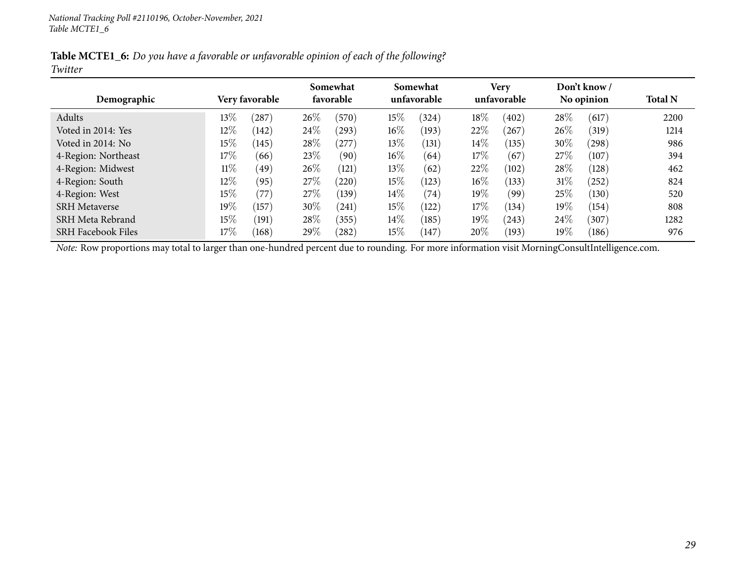| Table MCTE1_6: Do you have a favorable or unfavorable opinion of each of the following? |  |  |  |  |
|-----------------------------------------------------------------------------------------|--|--|--|--|
| Twitter                                                                                 |  |  |  |  |

|                           |        |                | Somewhat |            |        | Somewhat    |        | <b>Very</b> |        | Don't know / |                |
|---------------------------|--------|----------------|----------|------------|--------|-------------|--------|-------------|--------|--------------|----------------|
| Demographic               |        | Very favorable |          | favorable  |        | unfavorable |        | unfavorable |        | No opinion   | <b>Total N</b> |
| Adults                    | $13\%$ | 287            | $26\%$   | (570)      | 15%    | (324)       | $18\%$ | (402)       | 28\%   | (617)        | 2200           |
| Voted in 2014: Yes        | $12\%$ | (142)          | 24\%     | (293)      | $16\%$ | (193)       | 22%    | (267)       | 26\%   | (319)        | 1214           |
| Voted in 2014: No         | $15\%$ | (145)          | 28\%     | $^{'}277)$ | 13\%   | (131)       | $14\%$ | (135)       | 30%    | (298)        | 986            |
| 4-Region: Northeast       | 17%    | (66)           | 23\%     | (90)       | $16\%$ | (64)        | $17\%$ | (67)        | 27\%   | (107)        | 394            |
| 4-Region: Midwest         | $11\%$ | (49)           | 26%      | (121)      | 13\%   | (62)        | 22%    | (102)       | 28\%   | (128)        | 462            |
| 4-Region: South           | $12\%$ | (95)           | 27%      | (220)      | $15\%$ | (123)       | $16\%$ | (133)       | $31\%$ | (252)        | 824            |
| 4-Region: West            | 15%    | (77)           | 27%      | (139)      | 14\%   | (74)        | 19%    | (99)        | 25\%   | (130)        | 520            |
| <b>SRH Metaverse</b>      | $19\%$ | (157)          | 30\%     | (241)      | 15%    | (122)       | $17\%$ | (134)       | 19%    | (154)        | 808            |
| SRH Meta Rebrand          | 15%    | (191)          | $28\%$   | (355)      | $14\%$ | (185)       | $19\%$ | (243)       | 24\%   | (307)        | 1282           |
| <b>SRH Facebook Files</b> | $17\%$ | (168)          | 29\%     | (282)      | 15%    | 147         | 20%    | (193)       | 19%    | (186)        | 976            |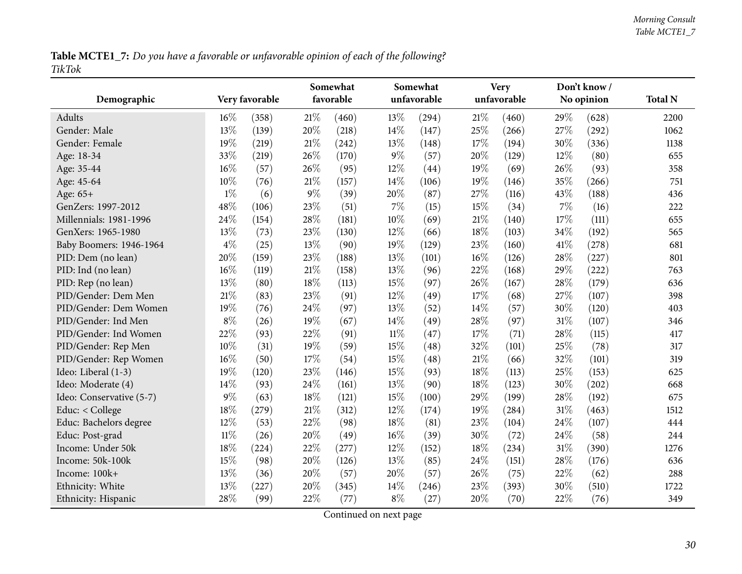Table MCTE1\_7: Do you have a favorable or unfavorable opinion of each of the following? *TikTok*

<span id="page-29-0"></span>

|                          |        | Very favorable |        | Somewhat<br>favorable |        | Somewhat<br>unfavorable |        | <b>Very</b><br>unfavorable |      | Don't know/<br>No opinion | <b>Total N</b> |
|--------------------------|--------|----------------|--------|-----------------------|--------|-------------------------|--------|----------------------------|------|---------------------------|----------------|
| Demographic              |        |                |        |                       |        |                         |        |                            |      |                           |                |
| Adults                   | 16%    | (358)          | 21\%   | (460)                 | 13%    | (294)                   | 21\%   | (460)                      | 29%  | (628)                     | 2200           |
| Gender: Male             | 13%    | (139)          | 20%    | (218)                 | 14%    | (147)                   | 25%    | (266)                      | 27%  | (292)                     | 1062           |
| Gender: Female           | 19%    | (219)          | $21\%$ | (242)                 | 13%    | (148)                   | 17%    | (194)                      | 30%  | (336)                     | 1138           |
| Age: 18-34               | 33%    | (219)          | 26%    | (170)                 | 9%     | (57)                    | 20%    | (129)                      | 12%  | (80)                      | 655            |
| Age: 35-44               | 16%    | (57)           | 26%    | (95)                  | 12%    | (44)                    | 19%    | (69)                       | 26%  | (93)                      | 358            |
| Age: 45-64               | $10\%$ | (76)           | 21%    | (157)                 | 14%    | (106)                   | 19%    | (146)                      | 35%  | (266)                     | 751            |
| Age: 65+                 | $1\%$  | (6)            | $9\%$  | (39)                  | 20%    | (87)                    | 27%    | (116)                      | 43%  | (188)                     | 436            |
| GenZers: 1997-2012       | 48%    | (106)          | 23%    | (51)                  | 7%     | (15)                    | 15%    | (34)                       | 7%   | (16)                      | 222            |
| Millennials: 1981-1996   | 24%    | (154)          | 28\%   | (181)                 | 10%    | (69)                    | 21\%   | (140)                      | 17%  | (111)                     | 655            |
| GenXers: 1965-1980       | 13%    | (73)           | 23%    | (130)                 | 12%    | (66)                    | 18%    | (103)                      | 34%  | (192)                     | 565            |
| Baby Boomers: 1946-1964  | $4\%$  | (25)           | 13%    | (90)                  | 19%    | (129)                   | 23%    | (160)                      | 41\% | (278)                     | 681            |
| PID: Dem (no lean)       | 20%    | (159)          | 23%    | (188)                 | 13%    | (101)                   | $16\%$ | (126)                      | 28%  | (227)                     | 801            |
| PID: Ind (no lean)       | 16%    | (119)          | 21\%   | (158)                 | 13%    | (96)                    | 22%    | (168)                      | 29%  | (222)                     | 763            |
| PID: Rep (no lean)       | 13%    | (80)           | 18%    | (113)                 | 15%    | (97)                    | 26%    | (167)                      | 28%  | (179)                     | 636            |
| PID/Gender: Dem Men      | 21%    | (83)           | 23%    | (91)                  | 12%    | (49)                    | 17%    | (68)                       | 27%  | (107)                     | 398            |
| PID/Gender: Dem Women    | 19%    | (76)           | 24\%   | (97)                  | 13%    | (52)                    | 14%    | (57)                       | 30%  | (120)                     | 403            |
| PID/Gender: Ind Men      | $8\%$  | (26)           | 19%    | (67)                  | 14%    | (49)                    | 28%    | (97)                       | 31%  | (107)                     | 346            |
| PID/Gender: Ind Women    | 22%    | (93)           | 22%    | (91)                  | $11\%$ | (47)                    | 17%    | (71)                       | 28%  | (115)                     | 417            |
| PID/Gender: Rep Men      | 10%    | (31)           | 19%    | (59)                  | 15%    | (48)                    | 32%    | (101)                      | 25%  | (78)                      | 317            |
| PID/Gender: Rep Women    | 16%    | (50)           | $17\%$ | (54)                  | 15%    | (48)                    | $21\%$ | (66)                       | 32%  | (101)                     | 319            |
| Ideo: Liberal (1-3)      | 19%    | (120)          | 23%    | (146)                 | 15%    | (93)                    | 18%    | (113)                      | 25%  | (153)                     | 625            |
| Ideo: Moderate (4)       | 14%    | (93)           | 24\%   | (161)                 | 13%    | (90)                    | 18%    | (123)                      | 30%  | (202)                     | 668            |
| Ideo: Conservative (5-7) | $9\%$  | (63)           | $18\%$ | (121)                 | 15%    | (100)                   | 29%    | (199)                      | 28%  | (192)                     | 675            |
| Educ: < College          | 18%    | (279)          | $21\%$ | (312)                 | 12%    | (174)                   | 19%    | (284)                      | 31%  | (463)                     | 1512           |
| Educ: Bachelors degree   | 12%    | (53)           | 22%    | (98)                  | 18%    | (81)                    | 23%    | (104)                      | 24%  | (107)                     | 444            |
| Educ: Post-grad          | $11\%$ | (26)           | 20%    | (49)                  | 16%    | (39)                    | 30%    | (72)                       | 24%  | (58)                      | 244            |
| Income: Under 50k        | 18%    | (224)          | 22%    | (277)                 | 12%    | (152)                   | 18%    | (234)                      | 31%  | (390)                     | 1276           |
| Income: 50k-100k         | 15%    | (98)           | 20%    | (126)                 | 13%    | (85)                    | 24%    | (151)                      | 28%  | (176)                     | 636            |
| Income: 100k+            | 13%    | (36)           | 20%    | (57)                  | 20%    | (57)                    | 26%    | (75)                       | 22%  | (62)                      | 288            |
| Ethnicity: White         | 13%    | (227)          | 20%    | (345)                 | 14%    | (246)                   | 23%    | (393)                      | 30%  | (510)                     | 1722           |
| Ethnicity: Hispanic      | 28%    | (99)           | 22%    | (77)                  | $8\%$  | (27)                    | 20%    | (70)                       | 22%  | (76)                      | 349            |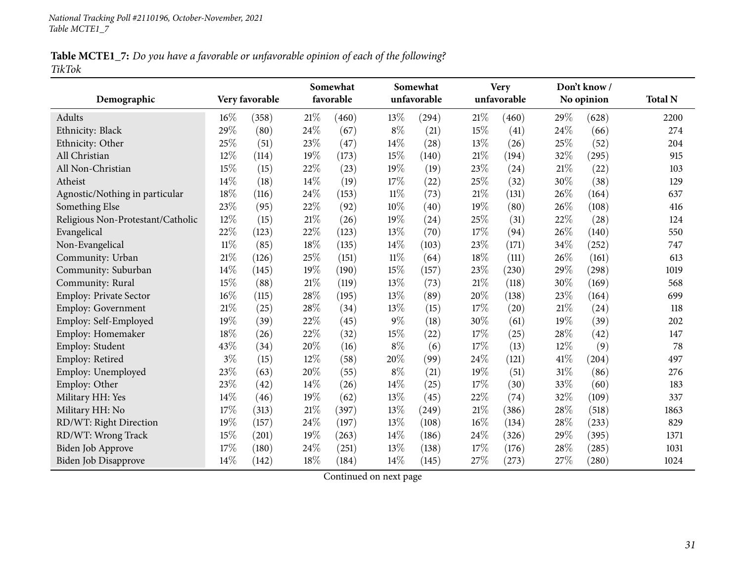Table MCTE1\_7: Do you have a favorable or unfavorable opinion of each of the following? *TikTok*

|                                   |        |                |        | Somewhat  |        | Somewhat    |        | <b>Very</b> |     | Don't know/ |                |
|-----------------------------------|--------|----------------|--------|-----------|--------|-------------|--------|-------------|-----|-------------|----------------|
| Demographic                       |        | Very favorable |        | favorable |        | unfavorable |        | unfavorable |     | No opinion  | <b>Total N</b> |
| Adults                            | 16%    | (358)          | 21%    | (460)     | 13%    | (294)       | 21%    | (460)       | 29% | (628)       | 2200           |
| Ethnicity: Black                  | 29%    | (80)           | 24%    | (67)      | $8\%$  | (21)        | 15%    | (41)        | 24% | (66)        | 274            |
| Ethnicity: Other                  | 25%    | (51)           | 23%    | (47)      | 14%    | (28)        | 13%    | (26)        | 25% | (52)        | 204            |
| All Christian                     | 12%    | (114)          | 19%    | (173)     | 15%    | (140)       | $21\%$ | (194)       | 32% | (295)       | 915            |
| All Non-Christian                 | 15%    | (15)           | 22%    | (23)      | 19%    | (19)        | 23%    | (24)        | 21% | (22)        | 103            |
| Atheist                           | 14%    | (18)           | 14%    | (19)      | 17%    | (22)        | 25%    | (32)        | 30% | (38)        | 129            |
| Agnostic/Nothing in particular    | 18%    | (116)          | 24%    | (153)     | $11\%$ | (73)        | $21\%$ | (131)       | 26% | (164)       | 637            |
| Something Else                    | 23%    | (95)           | 22%    | (92)      | 10%    | (40)        | 19%    | (80)        | 26% | (108)       | 416            |
| Religious Non-Protestant/Catholic | 12%    | (15)           | 21%    | (26)      | 19%    | (24)        | 25%    | (31)        | 22% | (28)        | 124            |
| Evangelical                       | 22%    | (123)          | 22%    | (123)     | 13%    | (70)        | 17%    | (94)        | 26% | (140)       | 550            |
| Non-Evangelical                   | $11\%$ | (85)           | 18%    | (135)     | 14%    | (103)       | 23%    | (171)       | 34% | (252)       | 747            |
| Community: Urban                  | 21%    | (126)          | 25%    | (151)     | $11\%$ | (64)        | $18\%$ | (111)       | 26% | (161)       | 613            |
| Community: Suburban               | 14%    | (145)          | 19%    | (190)     | 15%    | (157)       | 23%    | (230)       | 29% | (298)       | 1019           |
| Community: Rural                  | 15%    | (88)           | $21\%$ | (119)     | 13%    | (73)        | $21\%$ | (118)       | 30% | (169)       | 568            |
| <b>Employ: Private Sector</b>     | 16%    | (115)          | 28%    | (195)     | 13%    | (89)        | 20%    | (138)       | 23% | (164)       | 699            |
| Employ: Government                | 21%    | (25)           | 28%    | (34)      | 13%    | (15)        | 17%    | (20)        | 21% | (24)        | 118            |
| Employ: Self-Employed             | 19%    | (39)           | 22%    | (45)      | $9\%$  | (18)        | 30%    | (61)        | 19% | (39)        | 202            |
| Employ: Homemaker                 | 18%    | (26)           | 22%    | (32)      | 15%    | (22)        | 17%    | (25)        | 28% | (42)        | 147            |
| Employ: Student                   | 43%    | (34)           | 20%    | (16)      | $8\%$  | (6)         | 17%    | (13)        | 12% | (9)         | 78             |
| Employ: Retired                   | $3\%$  | (15)           | 12%    | (58)      | 20%    | (99)        | 24%    | (121)       | 41% | (204)       | 497            |
| Employ: Unemployed                | 23%    | (63)           | 20%    | (55)      | $8\%$  | (21)        | 19%    | (51)        | 31% | (86)        | 276            |
| Employ: Other                     | 23%    | (42)           | 14%    | (26)      | 14%    | (25)        | 17%    | (30)        | 33% | (60)        | 183            |
| Military HH: Yes                  | 14%    | (46)           | 19%    | (62)      | 13%    | (45)        | 22%    | (74)        | 32% | (109)       | 337            |
| Military HH: No                   | 17%    | (313)          | 21%    | (397)     | 13%    | (249)       | 21%    | (386)       | 28% | (518)       | 1863           |
| RD/WT: Right Direction            | 19%    | (157)          | 24%    | (197)     | 13%    | (108)       | 16%    | (134)       | 28% | (233)       | 829            |
| RD/WT: Wrong Track                | 15%    | (201)          | 19%    | (263)     | 14%    | (186)       | 24%    | (326)       | 29% | (395)       | 1371           |
| <b>Biden Job Approve</b>          | 17%    | (180)          | 24%    | (251)     | 13%    | (138)       | 17%    | (176)       | 28% | (285)       | 1031           |
| Biden Job Disapprove              | 14%    | (142)          | 18%    | (184)     | 14%    | (145)       | 27%    | (273)       | 27% | (280)       | 1024           |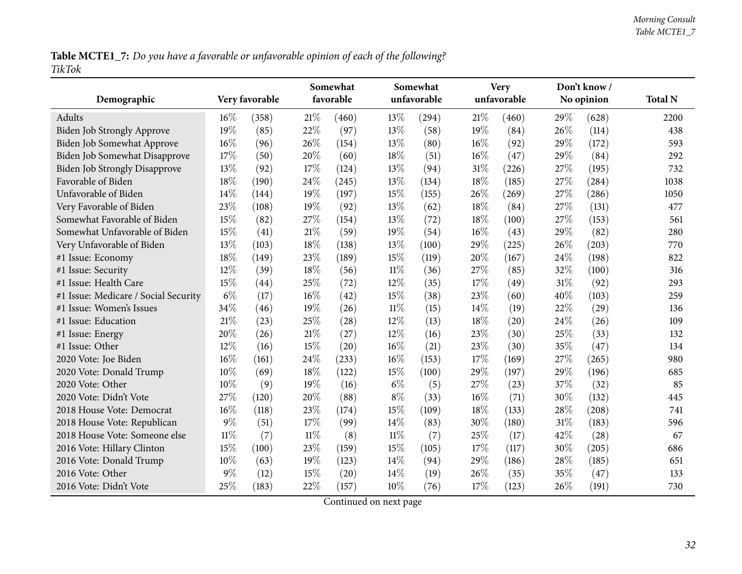Table MCTE1\_7: Do you have a favorable or unfavorable opinion of each of the following? *TikTok*

| Demographic                          |        | Very favorable |        | Somewhat<br>favorable |        | Somewhat<br>unfavorable |        | <b>Very</b><br>unfavorable |        | Don't know/<br>No opinion | <b>Total N</b> |
|--------------------------------------|--------|----------------|--------|-----------------------|--------|-------------------------|--------|----------------------------|--------|---------------------------|----------------|
| <b>Adults</b>                        | $16\%$ | (358)          | 21%    | (460)                 | 13\%   | (294)                   | 21%    | (460)                      | 29%    | (628)                     | 2200           |
| <b>Biden Job Strongly Approve</b>    | 19%    | (85)           | 22%    | (97)                  | 13%    | (58)                    | $19\%$ | (84)                       | 26\%   | (114)                     | 438            |
| Biden Job Somewhat Approve           | 16%    | (96)           | 26%    | (154)                 | 13%    | (80)                    | $16\%$ | (92)                       | 29%    | (172)                     | 593            |
| Biden Job Somewhat Disapprove        | 17%    | (50)           | 20%    | (60)                  | 18%    | (51)                    | 16%    | (47)                       | 29%    | (84)                      | 292            |
| <b>Biden Job Strongly Disapprove</b> | 13%    | (92)           | 17%    | (124)                 | 13%    | (94)                    | 31%    | (226)                      | 27%    | (195)                     | 732            |
| Favorable of Biden                   | 18%    | (190)          | 24%    | (245)                 | 13%    | (134)                   | 18%    | (185)                      | 27%    | (284)                     | 1038           |
| Unfavorable of Biden                 | 14%    | (144)          | 19%    | (197)                 | 15%    | (155)                   | 26%    | (269)                      | 27%    | (286)                     | 1050           |
| Very Favorable of Biden              | 23%    | (108)          | 19%    | (92)                  | 13%    | (62)                    | 18%    | (84)                       | 27%    | (131)                     | 477            |
| Somewhat Favorable of Biden          | 15%    | (82)           | 27%    | (154)                 | 13%    | (72)                    | 18%    | (100)                      | 27%    | (153)                     | 561            |
| Somewhat Unfavorable of Biden        | 15%    | (41)           | 21%    | (59)                  | 19%    | (54)                    | $16\%$ | (43)                       | 29%    | (82)                      | 280            |
| Very Unfavorable of Biden            | 13%    | (103)          | $18\%$ | (138)                 | 13%    | (100)                   | 29%    | (225)                      | 26%    | (203)                     | 770            |
| #1 Issue: Economy                    | 18%    | (149)          | 23%    | (189)                 | 15%    | (119)                   | 20%    | (167)                      | 24%    | (198)                     | 822            |
| #1 Issue: Security                   | 12%    | (39)           | 18%    | (56)                  | $11\%$ | (36)                    | 27%    | (85)                       | 32%    | (100)                     | 316            |
| #1 Issue: Health Care                | 15%    | (44)           | 25%    | (72)                  | 12%    | (35)                    | 17%    | (49)                       | 31%    | (92)                      | 293            |
| #1 Issue: Medicare / Social Security | $6\%$  | (17)           | 16%    | (42)                  | 15%    | (38)                    | 23%    | (60)                       | 40%    | (103)                     | 259            |
| #1 Issue: Women's Issues             | 34%    | (46)           | 19%    | (26)                  | $11\%$ | (15)                    | 14%    | (19)                       | 22%    | (29)                      | 136            |
| #1 Issue: Education                  | 21%    | (23)           | 25%    | $\left( 28\right)$    | 12%    | (13)                    | 18%    | (20)                       | 24\%   | (26)                      | 109            |
| #1 Issue: Energy                     | 20%    | (26)           | $21\%$ | (27)                  | 12%    | (16)                    | 23%    | (30)                       | $25\%$ | (33)                      | 132            |
| #1 Issue: Other                      | 12%    | (16)           | 15%    | (20)                  | $16\%$ | (21)                    | 23%    | (30)                       | 35%    | (47)                      | 134            |
| 2020 Vote: Joe Biden                 | 16%    | (161)          | 24\%   | (233)                 | 16%    | (153)                   | 17%    | (169)                      | 27%    | (265)                     | 980            |
| 2020 Vote: Donald Trump              | 10%    | (69)           | 18%    | (122)                 | 15%    | (100)                   | 29%    | (197)                      | 29%    | (196)                     | 685            |
| 2020 Vote: Other                     | 10%    | (9)            | 19%    | (16)                  | $6\%$  | (5)                     | 27\%   | (23)                       | 37%    | (32)                      | 85             |
| 2020 Vote: Didn't Vote               | 27%    | (120)          | 20%    | (88)                  | $8\%$  | (33)                    | $16\%$ | (71)                       | 30%    | (132)                     | 445            |
| 2018 House Vote: Democrat            | 16%    | (118)          | 23%    | (174)                 | 15%    | (109)                   | 18%    | (133)                      | 28%    | (208)                     | 741            |
| 2018 House Vote: Republican          | $9\%$  | (51)           | 17%    | (99)                  | 14%    | (83)                    | 30%    | (180)                      | 31%    | (183)                     | 596            |
| 2018 House Vote: Someone else        | $11\%$ | (7)            | $11\%$ | (8)                   | $11\%$ | (7)                     | 25%    | (17)                       | 42%    | (28)                      | 67             |
| 2016 Vote: Hillary Clinton           | 15%    | (100)          | 23%    | (159)                 | 15%    | (105)                   | 17%    | (117)                      | 30%    | (205)                     | 686            |
| 2016 Vote: Donald Trump              | 10%    | (63)           | 19%    | (123)                 | 14%    | (94)                    | 29%    | (186)                      | 28%    | (185)                     | 651            |
| 2016 Vote: Other                     | $9\%$  | (12)           | 15%    | (20)                  | 14%    | (19)                    | 26\%   | (35)                       | 35%    | (47)                      | 133            |
| 2016 Vote: Didn't Vote               | 25%    | (183)          | 22%    | (157)                 | 10%    | (76)                    | 17%    | (123)                      | 26%    | (191)                     | 730            |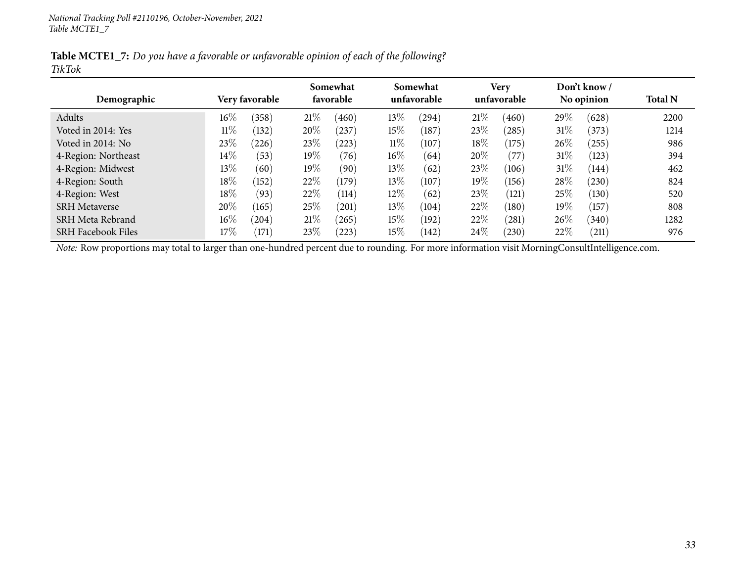Table MCTE1\_7: Do you have a favorable or unfavorable opinion of each of the following? *TikTok*

|                           |        |                | Somewhat |           |        | Somewhat    |      | <b>Very</b> |        | Don't know / |                |
|---------------------------|--------|----------------|----------|-----------|--------|-------------|------|-------------|--------|--------------|----------------|
| Demographic               |        | Very favorable |          | favorable |        | unfavorable |      | unfavorable |        | No opinion   | <b>Total N</b> |
| Adults                    | $16\%$ | (358)          | 21%      | (460)     | $13\%$ | (294)       | 21%  | (460)       | 29\%   | (628)        | 2200           |
| Voted in 2014: Yes        | $11\%$ | (132)          | 20%      | 237       | $15\%$ | (187)       | 23\% | (285)       | $31\%$ | (373)        | 1214           |
| Voted in 2014: No         | 23\%   | (226)          | 23\%     | (223)     | $11\%$ | (107)       | 18%  | (175)       | $26\%$ | (255)        | 986            |
| 4-Region: Northeast       | $14\%$ | (53)           | 19%      | (76)      | $16\%$ | (64)        | 20%  | (77)        | $31\%$ | (123)        | 394            |
| 4-Region: Midwest         | 13\%   | (60)           | $19\%$   | (90)      | 13%    | (62)        | 23%  | (106)       | $31\%$ | (144)        | 462            |
| 4-Region: South           | 18%    | (152)          | 22%      | (179)     | $13\%$ | (107)       | 19%  | (156)       | 28\%   | (230)        | 824            |
| 4-Region: West            | 18%    | (93)           | 22%      | (114)     | $12\%$ | (62)        | 23\% | (121)       | $25\%$ | (130)        | 520            |
| <b>SRH</b> Metaverse      | 20%    | (165)          | 25%      | (201)     | 13\%   | (104)       | 22%  | (180)       | 19%    | (157)        | 808            |
| SRH Meta Rebrand          | $16\%$ | (204)          | 21%      | (265)     | $15\%$ | (192)       | 22%  | (281)       | $26\%$ | (340)        | 1282           |
| <b>SRH</b> Facebook Files | $17\%$ | (171)          | 23%      | (223)     | $15\%$ | (142)       | 24\% | (230)       | 22%    | (211)        | 976            |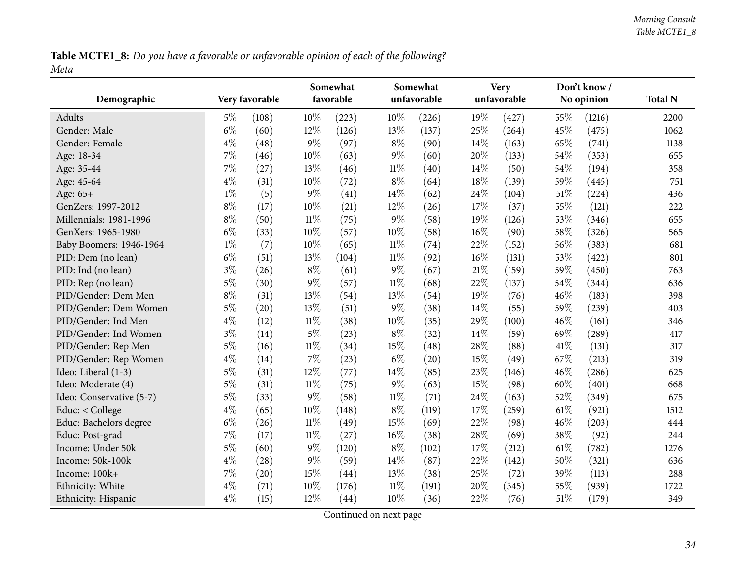Table MCTE1\_8: Do you have a favorable or unfavorable opinion of each of the following? *Meta*

<span id="page-33-0"></span>

| Demographic              |       | Very favorable |        | Somewhat<br>favorable |        | Somewhat<br>unfavorable |        | <b>Very</b><br>unfavorable |      | Don't know/<br>No opinion | <b>Total N</b> |
|--------------------------|-------|----------------|--------|-----------------------|--------|-------------------------|--------|----------------------------|------|---------------------------|----------------|
|                          |       |                |        |                       |        |                         |        |                            |      |                           |                |
| Adults                   | $5\%$ | (108)          | 10%    | (223)                 | $10\%$ | (226)                   | 19%    | (427)                      | 55%  | (1216)                    | 2200           |
| Gender: Male             | $6\%$ | (60)           | 12%    | (126)                 | 13%    | (137)                   | 25%    | (264)                      | 45%  | (475)                     | 1062           |
| Gender: Female           | $4\%$ | (48)           | $9\%$  | (97)                  | $8\%$  | (90)                    | 14%    | (163)                      | 65%  | (741)                     | 1138           |
| Age: 18-34               | $7\%$ | (46)           | 10%    | (63)                  | $9\%$  | (60)                    | 20%    | (133)                      | 54%  | (353)                     | 655            |
| Age: 35-44               | $7\%$ | (27)           | 13%    | (46)                  | $11\%$ | (40)                    | 14%    | (50)                       | 54%  | (194)                     | 358            |
| Age: 45-64               | $4\%$ | (31)           | 10%    | (72)                  | $8\%$  | (64)                    | 18%    | (139)                      | 59%  | (445)                     | 751            |
| Age: 65+                 | $1\%$ | (5)            | $9\%$  | (41)                  | 14%    | (62)                    | 24%    | (104)                      | 51%  | (224)                     | 436            |
| GenZers: 1997-2012       | $8\%$ | (17)           | 10%    | (21)                  | $12\%$ | (26)                    | 17%    | (37)                       | 55%  | (121)                     | 222            |
| Millennials: 1981-1996   | $8\%$ | (50)           | $11\%$ | (75)                  | $9\%$  | (58)                    | 19%    | (126)                      | 53%  | (346)                     | 655            |
| GenXers: 1965-1980       | $6\%$ | (33)           | 10%    | (57)                  | $10\%$ | (58)                    | 16%    | (90)                       | 58%  | (326)                     | 565            |
| Baby Boomers: 1946-1964  | $1\%$ | (7)            | 10%    | (65)                  | $11\%$ | (74)                    | 22%    | (152)                      | 56%  | (383)                     | 681            |
| PID: Dem (no lean)       | $6\%$ | (51)           | 13%    | (104)                 | $11\%$ | (92)                    | 16%    | (131)                      | 53%  | (422)                     | 801            |
| PID: Ind (no lean)       | $3\%$ | (26)           | $8\%$  | (61)                  | $9\%$  | (67)                    | 21%    | (159)                      | 59%  | (450)                     | 763            |
| PID: Rep (no lean)       | $5\%$ | (30)           | $9\%$  | (57)                  | $11\%$ | (68)                    | 22%    | (137)                      | 54%  | (344)                     | 636            |
| PID/Gender: Dem Men      | $8\%$ | (31)           | 13%    | (54)                  | 13%    | (54)                    | 19%    | (76)                       | 46%  | (183)                     | 398            |
| PID/Gender: Dem Women    | $5\%$ | (20)           | 13%    | (51)                  | $9\%$  | (38)                    | 14%    | (55)                       | 59%  | (239)                     | 403            |
| PID/Gender: Ind Men      | $4\%$ | (12)           | $11\%$ | (38)                  | $10\%$ | (35)                    | 29%    | (100)                      | 46%  | (161)                     | 346            |
| PID/Gender: Ind Women    | $3\%$ | (14)           | $5\%$  | (23)                  | $8\%$  | (32)                    | 14%    | (59)                       | 69%  | (289)                     | 417            |
| PID/Gender: Rep Men      | $5\%$ | (16)           | $11\%$ | (34)                  | 15%    | (48)                    | 28%    | (88)                       | 41\% | (131)                     | 317            |
| PID/Gender: Rep Women    | $4\%$ | (14)           | $7\%$  | (23)                  | $6\%$  | (20)                    | 15%    | (49)                       | 67%  | (213)                     | 319            |
| Ideo: Liberal (1-3)      | $5\%$ | (31)           | 12%    | (77)                  | 14\%   | (85)                    | 23%    | (146)                      | 46%  | (286)                     | 625            |
| Ideo: Moderate (4)       | $5\%$ | (31)           | $11\%$ | (75)                  | $9\%$  | (63)                    | 15%    | (98)                       | 60%  | (401)                     | 668            |
| Ideo: Conservative (5-7) | $5\%$ | (33)           | $9\%$  | (58)                  | $11\%$ | (71)                    | 24%    | (163)                      | 52%  | (349)                     | 675            |
| Educ: < College          | $4\%$ | (65)           | 10%    | (148)                 | $8\%$  | (119)                   | 17%    | (259)                      | 61\% | (921)                     | 1512           |
| Educ: Bachelors degree   | $6\%$ | (26)           | $11\%$ | (49)                  | 15%    | (69)                    | 22%    | (98)                       | 46%  | (203)                     | 444            |
| Educ: Post-grad          | $7\%$ | (17)           | $11\%$ | (27)                  | $16\%$ | (38)                    | 28%    | (69)                       | 38%  | (92)                      | 244            |
| Income: Under 50k        | $5\%$ | (60)           | $9\%$  | (120)                 | $8\%$  | (102)                   | $17\%$ | (212)                      | 61%  | (782)                     | 1276           |
| Income: 50k-100k         | $4\%$ | (28)           | $9\%$  | (59)                  | 14\%   | (87)                    | 22%    | (142)                      | 50%  | (321)                     | 636            |
| Income: 100k+            | $7\%$ | (20)           | 15%    | (44)                  | 13%    | (38)                    | 25%    | (72)                       | 39%  | (113)                     | 288            |
| Ethnicity: White         | $4\%$ | (71)           | 10%    | (176)                 | $11\%$ | (191)                   | 20%    | (345)                      | 55%  | (939)                     | 1722           |
| Ethnicity: Hispanic      | $4\%$ | (15)           | 12%    | (44)                  | $10\%$ | (36)                    | 22%    | (76)                       | 51%  | (179)                     | 349            |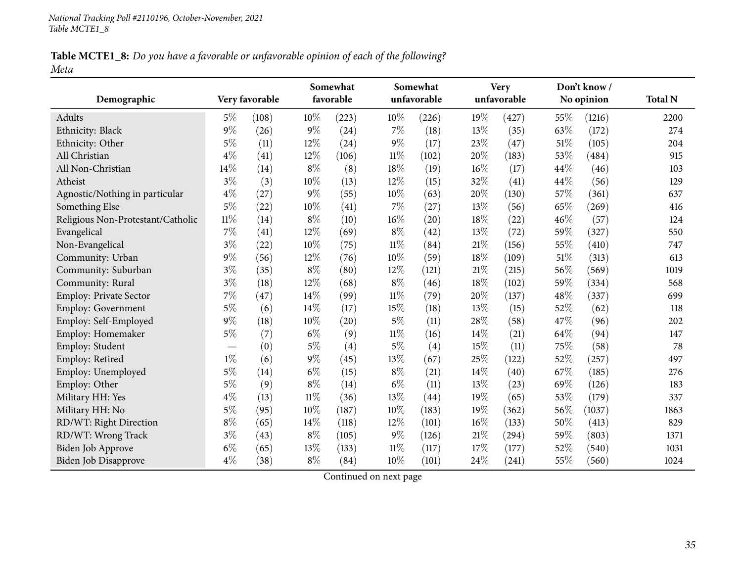Table MCTE1\_8: Do you have a favorable or unfavorable opinion of each of the following? *Meta*

|                                   |        |                |        | Somewhat  |        | Somewhat    |        | <b>Very</b> |     | Don't know/ |                |
|-----------------------------------|--------|----------------|--------|-----------|--------|-------------|--------|-------------|-----|-------------|----------------|
| Demographic                       |        | Very favorable |        | favorable |        | unfavorable |        | unfavorable |     | No opinion  | <b>Total N</b> |
| Adults                            | 5%     | (108)          | $10\%$ | (223)     | $10\%$ | (226)       | 19%    | (427)       | 55% | (1216)      | 2200           |
| Ethnicity: Black                  | $9\%$  | (26)           | $9\%$  | (24)      | $7\%$  | (18)        | 13%    | (35)        | 63% | (172)       | 274            |
| Ethnicity: Other                  | $5\%$  | (11)           | 12%    | (24)      | $9\%$  | (17)        | 23%    | (47)        | 51% | (105)       | 204            |
| All Christian                     | $4\%$  | (41)           | 12%    | (106)     | $11\%$ | (102)       | 20%    | (183)       | 53% | (484)       | 915            |
| All Non-Christian                 | 14%    | (14)           | $8\%$  | (8)       | 18%    | (19)        | 16%    | (17)        | 44% | (46)        | 103            |
| Atheist                           | $3\%$  | (3)            | 10%    | (13)      | 12%    | (15)        | 32%    | (41)        | 44% | (56)        | 129            |
| Agnostic/Nothing in particular    | $4\%$  | (27)           | $9\%$  | (55)      | 10%    | (63)        | 20%    | (130)       | 57% | (361)       | 637            |
| Something Else                    | $5\%$  | (22)           | 10%    | (41)      | $7\%$  | (27)        | 13%    | (56)        | 65% | (269)       | 416            |
| Religious Non-Protestant/Catholic | $11\%$ | (14)           | $8\%$  | (10)      | $16\%$ | (20)        | 18%    | (22)        | 46% | (57)        | 124            |
| Evangelical                       | 7%     | (41)           | 12%    | (69)      | $8\%$  | (42)        | 13%    | (72)        | 59% | (327)       | 550            |
| Non-Evangelical                   | $3\%$  | (22)           | 10%    | (75)      | $11\%$ | (84)        | 21%    | (156)       | 55% | (410)       | 747            |
| Community: Urban                  | $9\%$  | (56)           | 12%    | (76)      | 10%    | (59)        | 18%    | (109)       | 51% | (313)       | 613            |
| Community: Suburban               | $3\%$  | (35)           | $8\%$  | (80)      | 12%    | (121)       | $21\%$ | (215)       | 56% | (569)       | 1019           |
| Community: Rural                  | $3\%$  | (18)           | 12%    | (68)      | $8\%$  | (46)        | 18%    | (102)       | 59% | (334)       | 568            |
| <b>Employ: Private Sector</b>     | 7%     | (47)           | 14%    | (99)      | $11\%$ | (79)        | 20%    | (137)       | 48% | (337)       | 699            |
| <b>Employ: Government</b>         | $5\%$  | (6)            | 14%    | (17)      | 15%    | (18)        | 13%    | (15)        | 52% | (62)        | 118            |
| Employ: Self-Employed             | $9\%$  | (18)           | 10%    | (20)      | $5\%$  | (11)        | 28%    | (58)        | 47% | (96)        | 202            |
| Employ: Homemaker                 | $5\%$  | (7)            | $6\%$  | (9)       | $11\%$ | (16)        | 14\%   | (21)        | 64% | (94)        | 147            |
| Employ: Student                   |        | (0)            | $5\%$  | (4)       | $5\%$  | (4)         | 15%    | (11)        | 75% | (58)        | 78             |
| Employ: Retired                   | $1\%$  | (6)            | $9\%$  | (45)      | 13%    | (67)        | 25%    | (122)       | 52% | (257)       | 497            |
| Employ: Unemployed                | $5\%$  | (14)           | $6\%$  | (15)      | $8\%$  | (21)        | 14%    | (40)        | 67% | (185)       | 276            |
| Employ: Other                     | $5\%$  | (9)            | $8\%$  | (14)      | $6\%$  | (11)        | 13%    | (23)        | 69% | (126)       | 183            |
| Military HH: Yes                  | $4\%$  | (13)           | $11\%$ | (36)      | $13\%$ | (44)        | 19%    | (65)        | 53% | (179)       | 337            |
| Military HH: No                   | $5\%$  | (95)           | 10%    | (187)     | 10%    | (183)       | 19%    | (362)       | 56% | (1037)      | 1863           |
| RD/WT: Right Direction            | $8\%$  | (65)           | 14%    | (118)     | 12%    | (101)       | 16%    | (133)       | 50% | (413)       | 829            |
| RD/WT: Wrong Track                | $3\%$  | (43)           | $8\%$  | (105)     | $9\%$  | (126)       | $21\%$ | (294)       | 59% | (803)       | 1371           |
| <b>Biden Job Approve</b>          | $6\%$  | (65)           | 13%    | (133)     | $11\%$ | (117)       | 17%    | (177)       | 52% | (540)       | 1031           |
| Biden Job Disapprove              | $4\%$  | (38)           | $8\%$  | (84)      | 10%    | (101)       | 24%    | (241)       | 55% | (560)       | 1024           |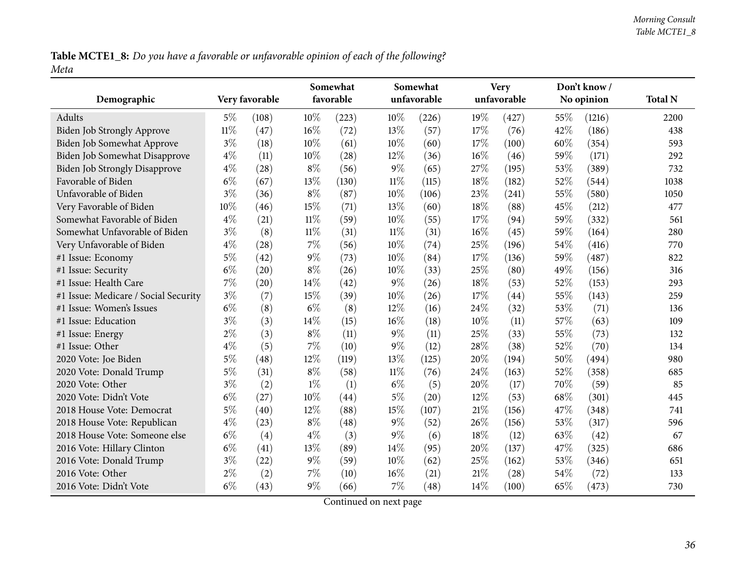Table MCTE1\_8: Do you have a favorable or unfavorable opinion of each of the following? *Meta*

| Demographic                          |        | Very favorable |        | Somewhat<br>favorable |        | Somewhat<br>unfavorable |        | <b>Very</b><br>unfavorable |      | Don't know/<br>No opinion | <b>Total N</b> |
|--------------------------------------|--------|----------------|--------|-----------------------|--------|-------------------------|--------|----------------------------|------|---------------------------|----------------|
| Adults                               | $5\%$  | (108)          | $10\%$ | (223)                 | 10%    | (226)                   | $19\%$ | (427)                      | 55\% | (1216)                    | 2200           |
| <b>Biden Job Strongly Approve</b>    | $11\%$ | (47)           | 16%    | (72)                  | 13%    | (57)                    | 17%    | (76)                       | 42%  | (186)                     | 438            |
| Biden Job Somewhat Approve           | $3\%$  | (18)           | 10%    | (61)                  | 10%    | (60)                    | 17%    | (100)                      | 60%  | (354)                     | 593            |
| Biden Job Somewhat Disapprove        | $4\%$  | (11)           | 10%    | (28)                  | 12%    | (36)                    | $16\%$ | (46)                       | 59%  | (171)                     | 292            |
| <b>Biden Job Strongly Disapprove</b> | $4\%$  | (28)           | $8\%$  | (56)                  | 9%     | (65)                    | 27%    | (195)                      | 53%  | (389)                     | 732            |
| Favorable of Biden                   | $6\%$  | (67)           | 13%    | (130)                 | $11\%$ | (115)                   | 18%    | (182)                      | 52%  | (544)                     | 1038           |
| Unfavorable of Biden                 | $3\%$  | (36)           | $8\%$  | (87)                  | 10%    | (106)                   | 23%    | (241)                      | 55%  | (580)                     | 1050           |
| Very Favorable of Biden              | 10%    | (46)           | 15%    | (71)                  | 13%    | (60)                    | 18%    | (88)                       | 45%  | (212)                     | 477            |
| Somewhat Favorable of Biden          | $4\%$  | (21)           | $11\%$ | (59)                  | 10%    | (55)                    | 17%    | (94)                       | 59%  | (332)                     | 561            |
| Somewhat Unfavorable of Biden        | $3\%$  | (8)            | $11\%$ | (31)                  | 11%    | (31)                    | $16\%$ | (45)                       | 59%  | (164)                     | 280            |
| Very Unfavorable of Biden            | $4\%$  | (28)           | $7\%$  | (56)                  | 10%    | (74)                    | 25%    | (196)                      | 54%  | (416)                     | 770            |
| #1 Issue: Economy                    | $5\%$  | (42)           | $9\%$  | (73)                  | 10%    | (84)                    | 17%    | (136)                      | 59%  | (487)                     | 822            |
| #1 Issue: Security                   | $6\%$  | (20)           | $8\%$  | (26)                  | 10%    | (33)                    | 25%    | (80)                       | 49%  | (156)                     | 316            |
| #1 Issue: Health Care                | $7\%$  | (20)           | 14%    | (42)                  | $9\%$  | (26)                    | 18%    | (53)                       | 52%  | (153)                     | 293            |
| #1 Issue: Medicare / Social Security | $3\%$  | (7)            | 15%    | (39)                  | 10%    | (26)                    | 17%    | (44)                       | 55%  | (143)                     | 259            |
| #1 Issue: Women's Issues             | $6\%$  | (8)            | $6\%$  | (8)                   | 12%    | (16)                    | 24\%   | (32)                       | 53%  | (71)                      | 136            |
| #1 Issue: Education                  | 3%     | (3)            | 14%    | (15)                  | 16%    | (18)                    | 10%    | (11)                       | 57%  | (63)                      | 109            |
| #1 Issue: Energy                     | $2\%$  | (3)            | $8\%$  | (11)                  | 9%     | (11)                    | 25%    | (33)                       | 55%  | (73)                      | 132            |
| #1 Issue: Other                      | $4\%$  | (5)            | 7%     | (10)                  | 9%     | (12)                    | 28%    | (38)                       | 52%  | (70)                      | 134            |
| 2020 Vote: Joe Biden                 | $5\%$  | (48)           | 12%    | (119)                 | 13%    | (125)                   | 20%    | (194)                      | 50%  | (494)                     | 980            |
| 2020 Vote: Donald Trump              | $5\%$  | (31)           | $8\%$  | (58)                  | $11\%$ | (76)                    | 24%    | (163)                      | 52%  | (358)                     | 685            |
| 2020 Vote: Other                     | $3\%$  | (2)            | $1\%$  | (1)                   | $6\%$  | (5)                     | 20%    | (17)                       | 70%  | (59)                      | 85             |
| 2020 Vote: Didn't Vote               | $6\%$  | (27)           | 10%    | (44)                  | $5\%$  | (20)                    | 12%    | (53)                       | 68%  | (301)                     | 445            |
| 2018 House Vote: Democrat            | $5\%$  | (40)           | 12%    | (88)                  | 15%    | (107)                   | 21\%   | (156)                      | 47%  | (348)                     | 741            |
| 2018 House Vote: Republican          | $4\%$  | (23)           | $8\%$  | (48)                  | 9%     | (52)                    | 26%    | (156)                      | 53%  | (317)                     | 596            |
| 2018 House Vote: Someone else        | $6\%$  | (4)            | $4\%$  | (3)                   | 9%     | (6)                     | 18%    | (12)                       | 63%  | (42)                      | 67             |
| 2016 Vote: Hillary Clinton           | $6\%$  | (41)           | 13%    | (89)                  | 14%    | (95)                    | 20%    | (137)                      | 47%  | (325)                     | 686            |
| 2016 Vote: Donald Trump              | $3\%$  | (22)           | $9\%$  | (59)                  | 10%    | (62)                    | 25%    | (162)                      | 53%  | (346)                     | 651            |
| 2016 Vote: Other                     | $2\%$  | (2)            | 7%     | (10)                  | 16%    | (21)                    | 21\%   | (28)                       | 54%  | (72)                      | 133            |
| 2016 Vote: Didn't Vote               | $6\%$  | (43)           | $9\%$  | (66)                  | 7%     | (48)                    | 14%    | (100)                      | 65%  | (473)                     | 730            |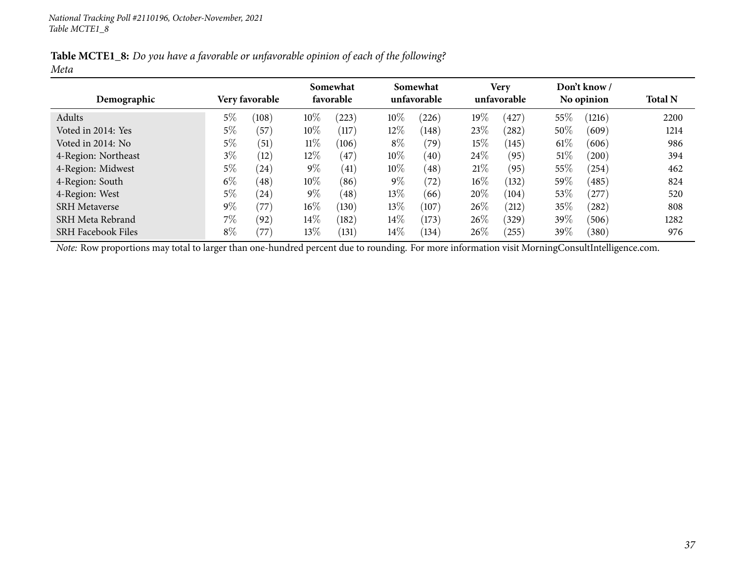|      |  |  | Table MCTE1_8: Do you have a favorable or unfavorable opinion of each of the following? |
|------|--|--|-----------------------------------------------------------------------------------------|
| Meta |  |  |                                                                                         |

|                           |       |                | Somewhat |           |        | Somewhat    |        | <b>Very</b> |        | Don't know / |                |
|---------------------------|-------|----------------|----------|-----------|--------|-------------|--------|-------------|--------|--------------|----------------|
| Demographic               |       | Very favorable |          | favorable |        | unfavorable |        | unfavorable |        | No opinion   | <b>Total N</b> |
| Adults                    | 5%    | (108)          | $10\%$   | (223)     | $10\%$ | (226)       | $19\%$ | (427)       | $55\%$ | (1216)       | 2200           |
| Voted in 2014: Yes        | 5%    | (57            | $10\%$   | (117)     | $12\%$ | (148)       | 23\%   | (282)       | $50\%$ | (609)        | 1214           |
| Voted in 2014: No         | 5%    | (51)           | $11\%$   | (106)     | $8\%$  | (79)        | 15%    | (145)       | $61\%$ | (606)        | 986            |
| 4-Region: Northeast       | $3\%$ | (12)           | $12\%$   | (47)      | $10\%$ | (40)        | 24\%   | (95)        | $51\%$ | (200)        | 394            |
| 4-Region: Midwest         | $5\%$ | (24)           | $9\%$    | (41)      | 10%    | (48)        | 21%    | (95)        | $55\%$ | (254)        | 462            |
| 4-Region: South           | $6\%$ | (48)           | 10%      | (86)      | $9\%$  | (72)        | $16\%$ | (132)       | $59\%$ | (485)        | 824            |
| 4-Region: West            | 5%    | (24)           | $9\%$    | (48)      | $13\%$ | (66)        | 20%    | (104)       | $53\%$ | (277)        | 520            |
| <b>SRH</b> Metaverse      | $9\%$ | (77)           | $16\%$   | (130)     | 13\%   | (107)       | 26%    | (212)       | $35\%$ | (282)        | 808            |
| SRH Meta Rebrand          | 7%    | (92)           | $14\%$   | (182)     | $14\%$ | (173)       | 26%    | (329)       | 39%    | (506)        | 1282           |
| <b>SRH Facebook Files</b> | $8\%$ | $^{\prime}77$  | $13\%$   | (131)     | $14\%$ | (134)       | 26%    | (255)       | 39%    | (380)        | 976            |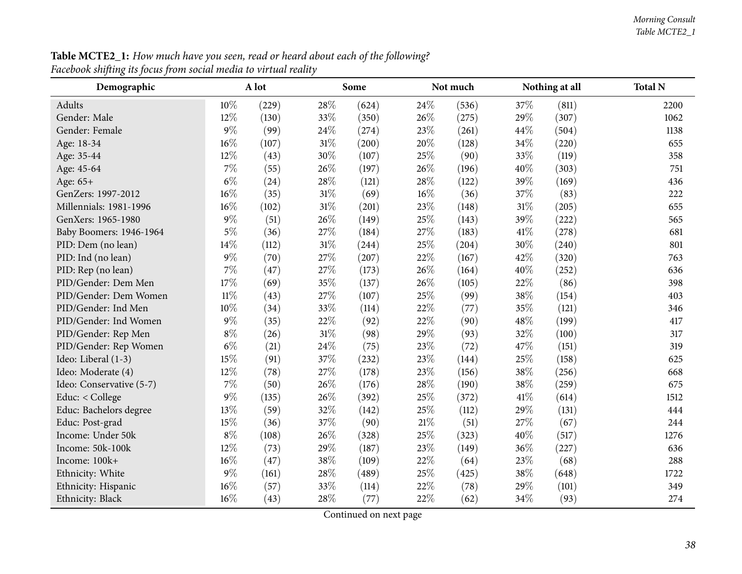| Demographic              |        | A lot |     | Some  |      | Not much |        | Nothing at all | <b>Total N</b> |
|--------------------------|--------|-------|-----|-------|------|----------|--------|----------------|----------------|
| <b>Adults</b>            | $10\%$ | (229) | 28% | (624) | 24\% | (536)    | 37\%   | (811)          | 2200           |
| Gender: Male             | 12%    | (130) | 33% | (350) | 26%  | (275)    | 29%    | (307)          | 1062           |
| Gender: Female           | $9\%$  | (99)  | 24% | (274) | 23%  | (261)    | 44%    | (504)          | 1138           |
| Age: 18-34               | $16\%$ | (107) | 31% | (200) | 20%  | (128)    | 34%    | (220)          | 655            |
| Age: 35-44               | 12%    | (43)  | 30% | (107) | 25%  | (90)     | 33%    | (119)          | 358            |
| Age: 45-64               | 7%     | (55)  | 26% | (197) | 26%  | (196)    | 40%    | (303)          | 751            |
| Age: 65+                 | $6\%$  | (24)  | 28% | (121) | 28%  | (122)    | 39%    | (169)          | 436            |
| GenZers: 1997-2012       | $16\%$ | (35)  | 31% | (69)  | 16%  | (36)     | 37%    | (83)           | 222            |
| Millennials: 1981-1996   | $16\%$ | (102) | 31% | (201) | 23%  | (148)    | $31\%$ | (205)          | 655            |
| GenXers: 1965-1980       | $9\%$  | (51)  | 26% | (149) | 25%  | (143)    | 39%    | (222)          | 565            |
| Baby Boomers: 1946-1964  | $5\%$  | (36)  | 27% | (184) | 27%  | (183)    | $41\%$ | (278)          | 681            |
| PID: Dem (no lean)       | 14%    | (112) | 31% | (244) | 25%  | (204)    | 30%    | (240)          | 801            |
| PID: Ind (no lean)       | $9\%$  | (70)  | 27% | (207) | 22%  | (167)    | 42%    | (320)          | 763            |
| PID: Rep (no lean)       | 7%     | (47)  | 27% | (173) | 26%  | (164)    | 40%    | (252)          | 636            |
| PID/Gender: Dem Men      | 17%    | (69)  | 35% | (137) | 26%  | (105)    | 22%    | (86)           | 398            |
| PID/Gender: Dem Women    | $11\%$ | (43)  | 27% | (107) | 25%  | (99)     | 38%    | (154)          | 403            |
| PID/Gender: Ind Men      | 10%    | (34)  | 33% | (114) | 22%  | (77)     | 35%    | (121)          | 346            |
| PID/Gender: Ind Women    | $9\%$  | (35)  | 22% | (92)  | 22%  | (90)     | 48%    | (199)          | 417            |
| PID/Gender: Rep Men      | $8\%$  | (26)  | 31% | (98)  | 29%  | (93)     | 32%    | (100)          | 317            |
| PID/Gender: Rep Women    | $6\%$  | (21)  | 24% | (75)  | 23%  | (72)     | 47%    | (151)          | 319            |
| Ideo: Liberal (1-3)      | 15%    | (91)  | 37% | (232) | 23%  | (144)    | 25%    | (158)          | 625            |
| Ideo: Moderate (4)       | 12%    | (78)  | 27% | (178) | 23%  | (156)    | 38%    | (256)          | 668            |
| Ideo: Conservative (5-7) | $7\%$  | (50)  | 26% | (176) | 28%  | (190)    | 38%    | (259)          | 675            |
| Educ: < College          | $9\%$  | (135) | 26% | (392) | 25%  | (372)    | 41\%   | (614)          | 1512           |
| Educ: Bachelors degree   | 13%    | (59)  | 32% | (142) | 25%  | (112)    | 29%    | (131)          | 444            |
| Educ: Post-grad          | 15%    | (36)  | 37% | (90)  | 21%  | (51)     | 27%    | (67)           | 244            |
| Income: Under 50k        | $8\%$  | (108) | 26% | (328) | 25%  | (323)    | 40%    | (517)          | 1276           |
| Income: 50k-100k         | 12%    | (73)  | 29% | (187) | 23%  | (149)    | 36%    | (227)          | 636            |
| Income: 100k+            | $16\%$ | (47)  | 38% | (109) | 22%  | (64)     | 23%    | (68)           | 288            |
| Ethnicity: White         | $9\%$  | (161) | 28% | (489) | 25%  | (425)    | 38%    | (648)          | 1722           |
| Ethnicity: Hispanic      | 16%    | (57)  | 33% | (114) | 22%  | (78)     | 29%    | (101)          | 349            |
| Ethnicity: Black         | 16%    | (43)  | 28% | (77)  | 22%  | (62)     | 34%    | (93)           | 274            |

**Table MCTE2\_1:** How much have you seen, read or heard about each of the following? *Facebook shifting its focus from social media to virtual reality*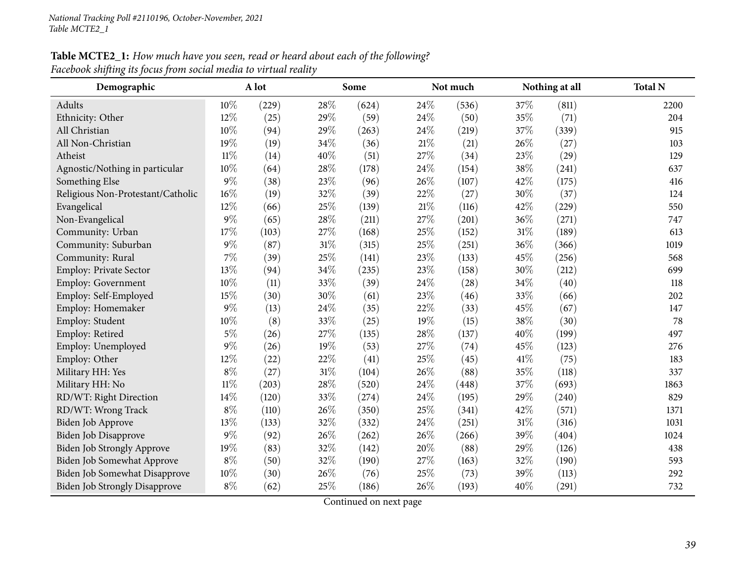| Demographic                          |        | A lot |        | Some  |        | Not much |        | Nothing at all | <b>Total N</b> |
|--------------------------------------|--------|-------|--------|-------|--------|----------|--------|----------------|----------------|
| Adults                               | 10%    | (229) | 28%    | (624) | 24\%   | (536)    | 37%    | (811)          | 2200           |
| Ethnicity: Other                     | 12%    | (25)  | 29%    | (59)  | 24%    | (50)     | 35%    | (71)           | 204            |
| All Christian                        | 10%    | (94)  | 29%    | (263) | 24%    | (219)    | 37%    | (339)          | 915            |
| All Non-Christian                    | 19%    | (19)  | 34%    | (36)  | $21\%$ | (21)     | 26%    | (27)           | 103            |
| Atheist                              | $11\%$ | (14)  | 40%    | (51)  | 27%    | (34)     | 23%    | (29)           | 129            |
| Agnostic/Nothing in particular       | 10%    | (64)  | 28%    | (178) | 24%    | (154)    | 38%    | (241)          | 637            |
| Something Else                       | $9\%$  | (38)  | 23%    | (96)  | 26%    | (107)    | 42%    | (175)          | 416            |
| Religious Non-Protestant/Catholic    | 16%    | (19)  | 32%    | (39)  | 22%    | (27)     | 30%    | (37)           | 124            |
| Evangelical                          | 12%    | (66)  | 25%    | (139) | 21\%   | (116)    | 42%    | (229)          | 550            |
| Non-Evangelical                      | $9\%$  | (65)  | 28%    | (211) | 27%    | (201)    | 36%    | (271)          | 747            |
| Community: Urban                     | 17%    | (103) | 27%    | (168) | 25%    | (152)    | $31\%$ | (189)          | 613            |
| Community: Suburban                  | $9\%$  | (87)  | $31\%$ | (315) | 25%    | (251)    | 36%    | (366)          | 1019           |
| Community: Rural                     | 7%     | (39)  | 25%    | (141) | 23%    | (133)    | 45%    | (256)          | 568            |
| <b>Employ: Private Sector</b>        | 13%    | (94)  | 34%    | (235) | 23%    | (158)    | 30%    | (212)          | 699            |
| <b>Employ: Government</b>            | 10%    | (11)  | 33%    | (39)  | 24\%   | (28)     | 34%    | (40)           | 118            |
| Employ: Self-Employed                | 15%    | (30)  | 30%    | (61)  | 23%    | (46)     | 33%    | (66)           | 202            |
| Employ: Homemaker                    | $9\%$  | (13)  | 24%    | (35)  | 22%    | (33)     | 45%    | (67)           | 147            |
| Employ: Student                      | 10%    | (8)   | 33%    | (25)  | 19%    | (15)     | 38%    | (30)           | 78             |
| Employ: Retired                      | $5\%$  | (26)  | 27%    | (135) | 28%    | (137)    | 40%    | (199)          | 497            |
| Employ: Unemployed                   | $9\%$  | (26)  | 19%    | (53)  | 27%    | (74)     | 45%    | (123)          | 276            |
| Employ: Other                        | 12%    | (22)  | 22%    | (41)  | 25%    | (45)     | 41\%   | (75)           | 183            |
| Military HH: Yes                     | $8\%$  | (27)  | $31\%$ | (104) | 26%    | (88)     | 35%    | (118)          | 337            |
| Military HH: No                      | $11\%$ | (203) | 28%    | (520) | 24%    | (448)    | 37%    | (693)          | 1863           |
| RD/WT: Right Direction               | 14%    | (120) | 33%    | (274) | 24%    | (195)    | 29%    | (240)          | 829            |
| RD/WT: Wrong Track                   | $8\%$  | (110) | 26%    | (350) | 25%    | (341)    | 42%    | (571)          | 1371           |
| Biden Job Approve                    | 13%    | (133) | 32%    | (332) | 24%    | (251)    | $31\%$ | (316)          | 1031           |
| <b>Biden Job Disapprove</b>          | $9\%$  | (92)  | 26%    | (262) | 26%    | (266)    | 39%    | (404)          | 1024           |
| <b>Biden Job Strongly Approve</b>    | 19%    | (83)  | 32%    | (142) | 20%    | (88)     | 29%    | (126)          | 438            |
| Biden Job Somewhat Approve           | $8\%$  | (50)  | 32%    | (190) | 27%    | (163)    | 32%    | (190)          | 593            |
| Biden Job Somewhat Disapprove        | 10%    | (30)  | 26%    | (76)  | 25%    | (73)     | 39%    | (113)          | 292            |
| <b>Biden Job Strongly Disapprove</b> | $8\%$  | (62)  | $25\%$ | (186) | 26%    | (193)    | 40%    | (291)          | 732            |

Table MCTE2\_1: How much have you seen, read or heard about each of the following? *Facebook shifting its focus from social media to virtual reality*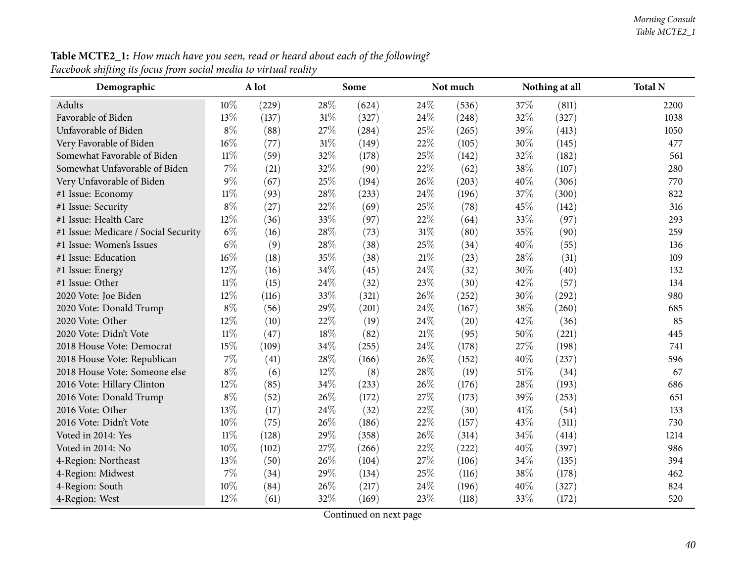1038

293

136

980

1214

986

462

| Demographic                          |        | A lot |     | Some  |        | Not much |        | Nothing at all | <b>Total N</b> |
|--------------------------------------|--------|-------|-----|-------|--------|----------|--------|----------------|----------------|
| Adults                               | 10%    | (229) | 28% | (624) | 24\%   | (536)    | 37%    | (811)          | 2200           |
| Favorable of Biden                   | 13%    | (137) | 31% | (327) | 24\%   | (248)    | 32%    | (327)          | 1038           |
| Unfavorable of Biden                 | $8\%$  | (88)  | 27% | (284) | 25%    | (265)    | 39%    | (413)          | 1050           |
| Very Favorable of Biden              | 16%    | (77)  | 31% | (149) | 22\%   | (105)    | 30%    | (145)          | 477            |
| Somewhat Favorable of Biden          | $11\%$ | (59)  | 32% | (178) | 25%    | (142)    | 32%    | (182)          | 561            |
| Somewhat Unfavorable of Biden        | $7\%$  | (21)  | 32% | (90)  | 22%    | (62)     | 38%    | (107)          | 280            |
| Very Unfavorable of Biden            | $9\%$  | (67)  | 25% | (194) | 26%    | (203)    | 40%    | (306)          | 770            |
| #1 Issue: Economy                    | $11\%$ | (93)  | 28% | (233) | 24\%   | (196)    | 37%    | (300)          | 822            |
| #1 Issue: Security                   | $8\%$  | (27)  | 22% | (69)  | 25\%   | (78)     | 45%    | (142)          | 316            |
| #1 Issue: Health Care                | 12%    | (36)  | 33% | (97)  | 22%    | (64)     | 33%    | (97)           | 293            |
| #1 Issue: Medicare / Social Security | $6\%$  | (16)  | 28% | (73)  | $31\%$ | (80)     | 35%    | (90)           | 259            |
| #1 Issue: Women's Issues             | $6\%$  | (9)   | 28% | (38)  | 25%    | (34)     | 40%    | (55)           | 136            |
| #1 Issue: Education                  | 16%    | (18)  | 35% | (38)  | $21\%$ | (23)     | 28\%   | (31)           | 109            |
| #1 Issue: Energy                     | 12%    | (16)  | 34% | (45)  | 24\%   | (32)     | 30%    | (40)           | 132            |
| #1 Issue: Other                      | $11\%$ | (15)  | 24% | (32)  | 23%    | (30)     | 42%    | (57)           | 134            |
| 2020 Vote: Joe Biden                 | 12%    | (116) | 33% | (321) | 26%    | (252)    | 30%    | (292)          | 980            |
| 2020 Vote: Donald Trump              | $8\%$  | (56)  | 29% | (201) | 24\%   | (167)    | 38\%   | (260)          | 685            |
| 2020 Vote: Other                     | 12%    | (10)  | 22% | (19)  | 24\%   | (20)     | 42%    | (36)           | 85             |
| 2020 Vote: Didn't Vote               | $11\%$ | (47)  | 18% | (82)  | $21\%$ | (95)     | 50%    | (221)          | 445            |
| 2018 House Vote: Democrat            | 15%    | (109) | 34% | (255) | 24\%   | (178)    | 27%    | (198)          | 741            |
| 2018 House Vote: Republican          | 7%     | (41)  | 28% | (166) | 26%    | (152)    | 40%    | (237)          | 596            |
| 2018 House Vote: Someone else        | $8\%$  | (6)   | 12% | (8)   | 28\%   | (19)     | $51\%$ | (34)           | 67             |
| 2016 Vote: Hillary Clinton           | 12%    | (85)  | 34% | (233) | 26%    | (176)    | 28\%   | (193)          | 686            |
| 2016 Vote: Donald Trump              | $8\%$  | (52)  | 26% | (172) | $27\%$ | (173)    | 39%    | (253)          | 651            |
| 2016 Vote: Other                     | 13%    | (17)  | 24% | (32)  | 22\%   | (30)     | 41\%   | (54)           | 133            |
| 2016 Vote: Didn't Vote               | 10%    | (75)  | 26% | (186) | 22\%   | (157)    | 43%    | (311)          | 730            |
| Voted in 2014: Yes                   | $11\%$ | (128) | 29% | (358) | 26%    | (314)    | 34\%   | (414)          | 1214           |
| Voted in 2014: No                    | 10%    | (102) | 27% | (266) | 22%    | (222)    | 40%    | (397)          | 986            |
| 4-Region: Northeast                  | 13%    | (50)  | 26% | (104) | 27\%   | (106)    | 34%    | (135)          | 394            |
| 4-Region: Midwest                    | $7\%$  | (34)  | 29% | (134) | 25%    | (116)    | 38%    | (178)          | 462            |
| 4-Region: South                      | 10%    | (84)  | 26% | (217) | 24\%   | (196)    | 40%    | (327)          | 824            |
| 4-Region: West                       | 12%    | (61)  | 32% | (169) | 23\%   | (118)    | 33%    | (172)          | 520            |

Table MCTE2\_1: How much have you seen, read or heard about each of the following? *Facebook shifting its focus from social media to virtual reality*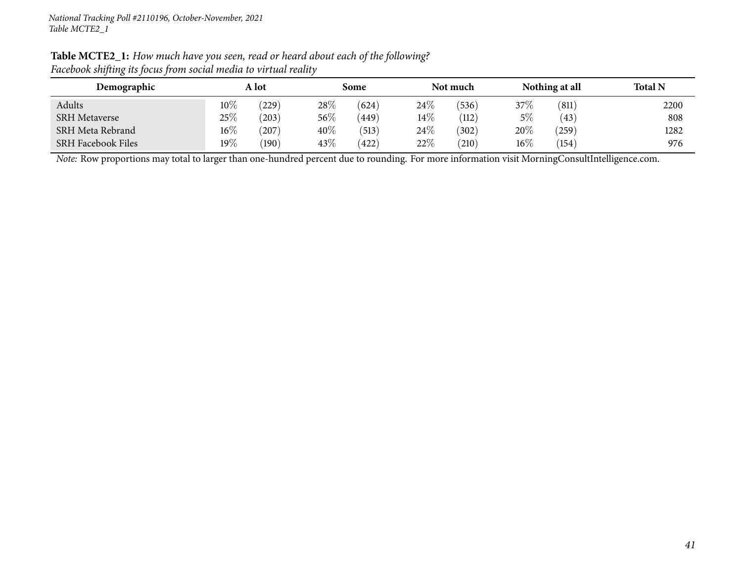| Table MCTE2_1: How much have you seen, read or heard about each of the following? |
|-----------------------------------------------------------------------------------|
| Facebook shifting its focus from social media to virtual reality                  |

| Demographic               | A lot  |       |        | Some  |        | Not much |        | Nothing at all | <b>Total N</b> |
|---------------------------|--------|-------|--------|-------|--------|----------|--------|----------------|----------------|
| Adults                    | $10\%$ | (229) | 28\%   | (624) | 24%    | (536)    | 37\%   | (811)          | 2200           |
| <b>SRH</b> Metaverse      | 25%    | (203) | $56\%$ | (449) | $14\%$ | (112)    | $5\%$  | (43)           | 808            |
| SRH Meta Rebrand          | $16\%$ | (207) | $40\%$ | (513) | 24\%   | 302      | 20%    | (259)          | 1282           |
| <b>SRH Facebook Files</b> | 19%    | (190) | $43\%$ | (422) | 22%    | (210)    | $16\%$ | (154)          | 976            |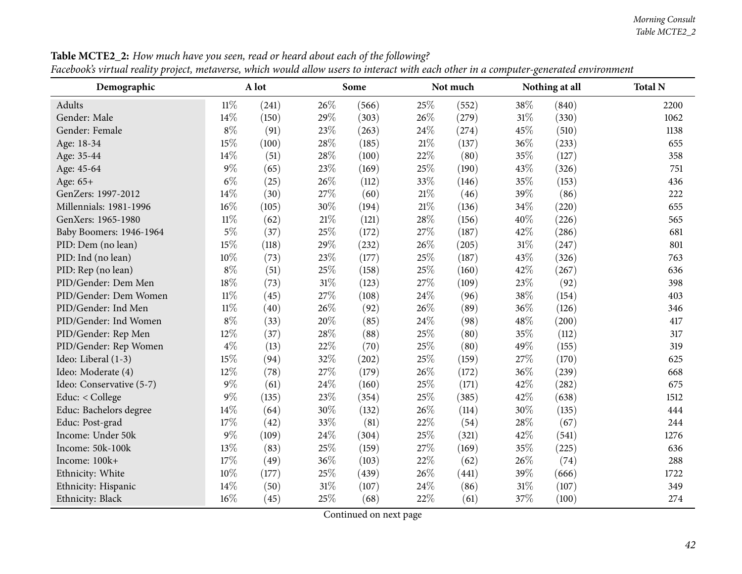| Demographic              |        | A lot |        | Some  |        | Not much |        | Nothing at all | <b>Total N</b> |
|--------------------------|--------|-------|--------|-------|--------|----------|--------|----------------|----------------|
| Adults                   | $11\%$ | (241) | 26%    | (566) | 25%    | (552)    | 38%    | (840)          | 2200           |
| Gender: Male             | 14%    | (150) | 29%    | (303) | 26%    | (279)    | 31%    | (330)          | 1062           |
| Gender: Female           | $8\%$  | (91)  | 23%    | (263) | 24%    | (274)    | 45%    | (510)          | 1138           |
| Age: 18-34               | 15%    | (100) | 28%    | (185) | $21\%$ | (137)    | 36%    | (233)          | 655            |
| Age: 35-44               | 14%    | (51)  | 28%    | (100) | 22%    | (80)     | 35%    | (127)          | 358            |
| Age: 45-64               | $9\%$  | (65)  | 23%    | (169) | 25%    | (190)    | 43%    | (326)          | 751            |
| Age: 65+                 | $6\%$  | (25)  | 26%    | (112) | 33%    | (146)    | 35%    | (153)          | 436            |
| GenZers: 1997-2012       | 14%    | (30)  | 27%    | (60)  | $21\%$ | (46)     | 39%    | (86)           | 222            |
| Millennials: 1981-1996   | 16%    | (105) | 30%    | (194) | $21\%$ | (136)    | 34%    | (220)          | 655            |
| GenXers: 1965-1980       | $11\%$ | (62)  | 21%    | (121) | 28%    | (156)    | 40%    | (226)          | 565            |
| Baby Boomers: 1946-1964  | $5\%$  | (37)  | 25%    | (172) | 27%    | (187)    | 42%    | (286)          | 681            |
| PID: Dem (no lean)       | 15%    | (118) | 29%    | (232) | 26%    | (205)    | $31\%$ | (247)          | 801            |
| PID: Ind (no lean)       | 10%    | (73)  | 23%    | (177) | 25%    | (187)    | 43%    | (326)          | 763            |
| PID: Rep (no lean)       | $8\%$  | (51)  | 25%    | (158) | 25%    | (160)    | 42\%   | (267)          | 636            |
| PID/Gender: Dem Men      | 18%    | (73)  | $31\%$ | (123) | 27%    | (109)    | 23%    | (92)           | 398            |
| PID/Gender: Dem Women    | $11\%$ | (45)  | 27%    | (108) | 24%    | (96)     | 38%    | (154)          | 403            |
| PID/Gender: Ind Men      | $11\%$ | (40)  | 26%    | (92)  | 26%    | (89)     | 36%    | (126)          | 346            |
| PID/Gender: Ind Women    | $8\%$  | (33)  | 20%    | (85)  | 24%    | (98)     | 48%    | (200)          | 417            |
| PID/Gender: Rep Men      | 12%    | (37)  | 28%    | (88)  | 25%    | (80)     | 35%    | (112)          | 317            |
| PID/Gender: Rep Women    | $4\%$  | (13)  | 22%    | (70)  | 25%    | (80)     | 49%    | (155)          | 319            |
| Ideo: Liberal (1-3)      | 15%    | (94)  | 32%    | (202) | 25%    | (159)    | 27%    | (170)          | 625            |
| Ideo: Moderate (4)       | 12%    | (78)  | 27%    | (179) | 26%    | (172)    | 36%    | (239)          | 668            |
| Ideo: Conservative (5-7) | $9\%$  | (61)  | 24%    | (160) | 25%    | (171)    | 42%    | (282)          | 675            |
| Educ: < College          | $9\%$  | (135) | 23%    | (354) | 25%    | (385)    | 42%    | (638)          | 1512           |
| Educ: Bachelors degree   | 14%    | (64)  | 30%    | (132) | 26%    | (114)    | 30%    | (135)          | 444            |
| Educ: Post-grad          | 17%    | (42)  | 33%    | (81)  | 22%    | (54)     | 28%    | (67)           | 244            |
| Income: Under 50k        | $9\%$  | (109) | 24%    | (304) | 25%    | (321)    | 42%    | (541)          | 1276           |
| Income: 50k-100k         | 13%    | (83)  | 25%    | (159) | 27%    | (169)    | 35%    | (225)          | 636            |
| Income: 100k+            | 17%    | (49)  | 36%    | (103) | $22\%$ | (62)     | 26%    | (74)           | 288            |
| Ethnicity: White         | 10%    | (177) | 25%    | (439) | 26%    | (441)    | 39%    | (666)          | 1722           |
| Ethnicity: Hispanic      | 14%    | (50)  | 31%    | (107) | 24%    | (86)     | 31%    | (107)          | 349            |
| Ethnicity: Black         | $16\%$ | (45)  | 25%    | (68)  | 22%    | (61)     | 37%    | (100)          | 274            |

Table MCTE2\_2: How much have you seen, read or heard about each of the following? Facebook's virtual reality project, metaverse, which would allow users to interact with each other in a computer-generated environment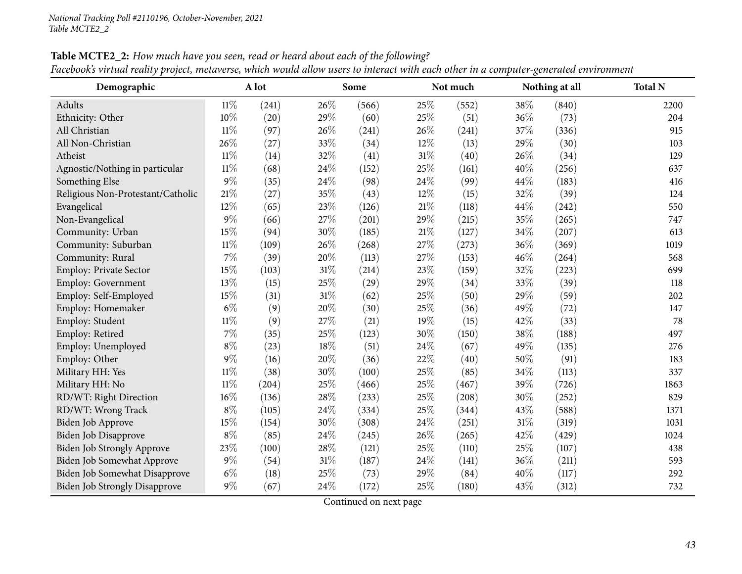| Demographic                          |        | A lot |        | Some  |      | Not much |        | Nothing at all | <b>Total N</b> |
|--------------------------------------|--------|-------|--------|-------|------|----------|--------|----------------|----------------|
| Adults                               | $11\%$ | (241) | 26%    | (566) | 25\% | (552)    | 38%    | (840)          | 2200           |
| Ethnicity: Other                     | 10%    | (20)  | 29%    | (60)  | 25%  | (51)     | 36%    | (73)           | 204            |
| All Christian                        | $11\%$ | (97)  | 26%    | (241) | 26%  | (241)    | 37%    | (336)          | 915            |
| All Non-Christian                    | 26%    | (27)  | 33%    | (34)  | 12%  | (13)     | 29%    | (30)           | 103            |
| Atheist                              | $11\%$ | (14)  | 32%    | (41)  | 31%  | (40)     | 26%    | (34)           | 129            |
| Agnostic/Nothing in particular       | $11\%$ | (68)  | 24%    | (152) | 25%  | (161)    | 40%    | (256)          | 637            |
| Something Else                       | $9\%$  | (35)  | 24%    | (98)  | 24%  | (99)     | 44%    | (183)          | 416            |
| Religious Non-Protestant/Catholic    | $21\%$ | (27)  | 35%    | (43)  | 12%  | (15)     | 32%    | (39)           | 124            |
| Evangelical                          | 12%    | (65)  | 23%    | (126) | 21%  | (118)    | 44%    | (242)          | 550            |
| Non-Evangelical                      | $9\%$  | (66)  | 27%    | (201) | 29%  | (215)    | 35%    | (265)          | 747            |
| Community: Urban                     | 15%    | (94)  | 30%    | (185) | 21%  | (127)    | 34%    | (207)          | 613            |
| Community: Suburban                  | 11%    | (109) | 26%    | (268) | 27%  | (273)    | 36%    | (369)          | 1019           |
| Community: Rural                     | $7\%$  | (39)  | 20%    | (113) | 27%  | (153)    | 46%    | (264)          | 568            |
| Employ: Private Sector               | 15%    | (103) | $31\%$ | (214) | 23%  | (159)    | 32%    | (223)          | 699            |
| Employ: Government                   | 13%    | (15)  | 25%    | (29)  | 29%  | (34)     | 33%    | (39)           | 118            |
| Employ: Self-Employed                | 15%    | (31)  | 31%    | (62)  | 25%  | (50)     | 29%    | (59)           | 202            |
| Employ: Homemaker                    | $6\%$  | (9)   | 20%    | (30)  | 25%  | (36)     | 49%    | (72)           | 147            |
| Employ: Student                      | $11\%$ | (9)   | 27%    | (21)  | 19%  | (15)     | 42%    | (33)           | 78             |
| Employ: Retired                      | $7\%$  | (35)  | 25%    | (123) | 30%  | (150)    | 38%    | (188)          | 497            |
| Employ: Unemployed                   | $8\%$  | (23)  | 18%    | (51)  | 24%  | (67)     | 49%    | (135)          | 276            |
| Employ: Other                        | $9\%$  | (16)  | 20%    | (36)  | 22%  | (40)     | 50%    | (91)           | 183            |
| Military HH: Yes                     | $11\%$ | (38)  | 30%    | (100) | 25%  | (85)     | 34%    | (113)          | 337            |
| Military HH: No                      | $11\%$ | (204) | 25%    | (466) | 25%  | (467)    | 39%    | (726)          | 1863           |
| RD/WT: Right Direction               | $16\%$ | (136) | 28%    | (233) | 25%  | (208)    | 30%    | (252)          | 829            |
| RD/WT: Wrong Track                   | $8\%$  | (105) | 24%    | (334) | 25%  | (344)    | 43%    | (588)          | 1371           |
| Biden Job Approve                    | 15%    | (154) | 30%    | (308) | 24%  | (251)    | $31\%$ | (319)          | 1031           |
| Biden Job Disapprove                 | $8\%$  | (85)  | 24%    | (245) | 26%  | (265)    | 42%    | (429)          | 1024           |
| <b>Biden Job Strongly Approve</b>    | 23%    | (100) | 28%    | (121) | 25%  | (110)    | 25%    | (107)          | 438            |
| Biden Job Somewhat Approve           | $9\%$  | (54)  | 31%    | (187) | 24%  | (141)    | 36%    | (211)          | 593            |
| Biden Job Somewhat Disapprove        | $6\%$  | (18)  | 25%    | (73)  | 29%  | (84)     | 40%    | (117)          | 292            |
| <b>Biden Job Strongly Disapprove</b> | $9\%$  | (67)  | 24%    | (172) | 25%  | (180)    | 43%    | (312)          | 732            |

Table MCTE2\_2: How much have you seen, read or heard about each of the following? Facebook's virtual reality project, metaverse, which would allow users to interact with each other in a computer-generated environment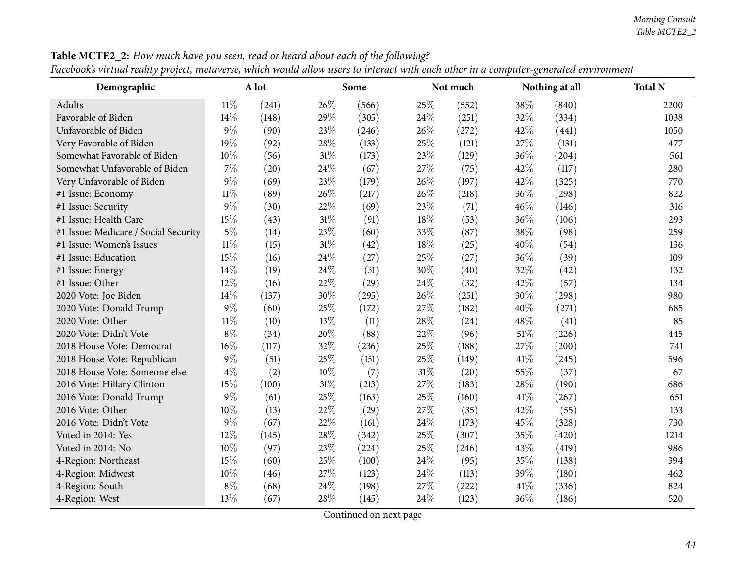| Demographic                          |        | A lot |        | Some  |        | Not much |        | Nothing at all | <b>Total N</b> |
|--------------------------------------|--------|-------|--------|-------|--------|----------|--------|----------------|----------------|
| Adults                               | $11\%$ | (241) | 26%    | (566) | 25%    | (552)    | 38%    | (840)          | 2200           |
| Favorable of Biden                   | 14\%   | (148) | 29%    | (305) | 24%    | (251)    | 32%    | (334)          | 1038           |
| Unfavorable of Biden                 | $9\%$  | (90)  | 23%    | (246) | 26%    | (272)    | 42%    | (441)          | 1050           |
| Very Favorable of Biden              | 19%    | (92)  | 28%    | (133) | 25%    | (121)    | 27%    | (131)          | 477            |
| Somewhat Favorable of Biden          | 10%    | (56)  | $31\%$ | (173) | 23%    | (129)    | 36%    | (204)          | 561            |
| Somewhat Unfavorable of Biden        | 7%     | (20)  | 24%    | (67)  | 27%    | (75)     | 42%    | (117)          | 280            |
| Very Unfavorable of Biden            | $9\%$  | (69)  | 23%    | (179) | 26%    | (197)    | 42%    | (325)          | 770            |
| #1 Issue: Economy                    | $11\%$ | (89)  | 26%    | (217) | 26%    | (218)    | 36%    | (298)          | 822            |
| #1 Issue: Security                   | $9\%$  | (30)  | 22%    | (69)  | 23%    | (71)     | 46%    | (146)          | 316            |
| #1 Issue: Health Care                | 15%    | (43)  | 31%    | (91)  | 18%    | (53)     | 36%    | (106)          | 293            |
| #1 Issue: Medicare / Social Security | $5\%$  | (14)  | 23%    | (60)  | 33%    | (87)     | 38%    | (98)           | 259            |
| #1 Issue: Women's Issues             | $11\%$ | (15)  | 31%    | (42)  | 18%    | (25)     | 40%    | (54)           | 136            |
| #1 Issue: Education                  | 15%    | (16)  | 24%    | (27)  | 25%    | (27)     | 36%    | (39)           | 109            |
| #1 Issue: Energy                     | 14\%   | (19)  | 24%    | (31)  | 30%    | (40)     | 32%    | (42)           | 132            |
| #1 Issue: Other                      | 12%    | (16)  | 22%    | (29)  | 24%    | (32)     | 42%    | (57)           | 134            |
| 2020 Vote: Joe Biden                 | 14%    | (137) | 30%    | (295) | 26%    | (251)    | 30%    | (298)          | 980            |
| 2020 Vote: Donald Trump              | $9\%$  | (60)  | 25%    | (172) | 27%    | (182)    | 40%    | (271)          | 685            |
| 2020 Vote: Other                     | $11\%$ | (10)  | 13%    | (11)  | 28%    | (24)     | 48%    | (41)           | 85             |
| 2020 Vote: Didn't Vote               | $8\%$  | (34)  | 20%    | (88)  | 22%    | (96)     | $51\%$ | (226)          | 445            |
| 2018 House Vote: Democrat            | 16%    | (117) | 32%    | (236) | 25%    | (188)    | 27%    | (200)          | 741            |
| 2018 House Vote: Republican          | $9\%$  | (51)  | 25%    | (151) | 25%    | (149)    | 41\%   | (245)          | 596            |
| 2018 House Vote: Someone else        | $4\%$  | (2)   | $10\%$ | (7)   | $31\%$ | (20)     | 55%    | (37)           | 67             |
| 2016 Vote: Hillary Clinton           | 15%    | (100) | 31%    | (213) | 27%    | (183)    | 28\%   | (190)          | 686            |
| 2016 Vote: Donald Trump              | $9\%$  | (61)  | 25%    | (163) | 25%    | (160)    | 41\%   | (267)          | 651            |
| 2016 Vote: Other                     | $10\%$ | (13)  | 22%    | (29)  | 27%    | (35)     | 42%    | (55)           | 133            |
| 2016 Vote: Didn't Vote               | $9\%$  | (67)  | 22%    | (161) | 24%    | (173)    | 45%    | (328)          | 730            |
| Voted in 2014: Yes                   | 12%    | (145) | 28%    | (342) | 25%    | (307)    | 35%    | (420)          | 1214           |
| Voted in 2014: No                    | $10\%$ | (97)  | 23%    | (224) | 25%    | (246)    | 43%    | (419)          | 986            |
| 4-Region: Northeast                  | 15%    | (60)  | 25%    | (100) | 24%    | (95)     | 35%    | (138)          | 394            |
| 4-Region: Midwest                    | 10%    | (46)  | 27%    | (123) | 24%    | (113)    | 39%    | (180)          | 462            |
| 4-Region: South                      | $8\%$  | (68)  | 24%    | (198) | 27%    | (222)    | $41\%$ | (336)          | 824            |
| 4-Region: West                       | 13%    | (67)  | 28%    | (145) | 24%    | (123)    | 36%    | (186)          | 520            |

Table MCTE2\_2: How much have you seen, read or heard about each of the following? Facebook's virtual reality project, metaverse, which would allow users to interact with each other in a computer-generated environment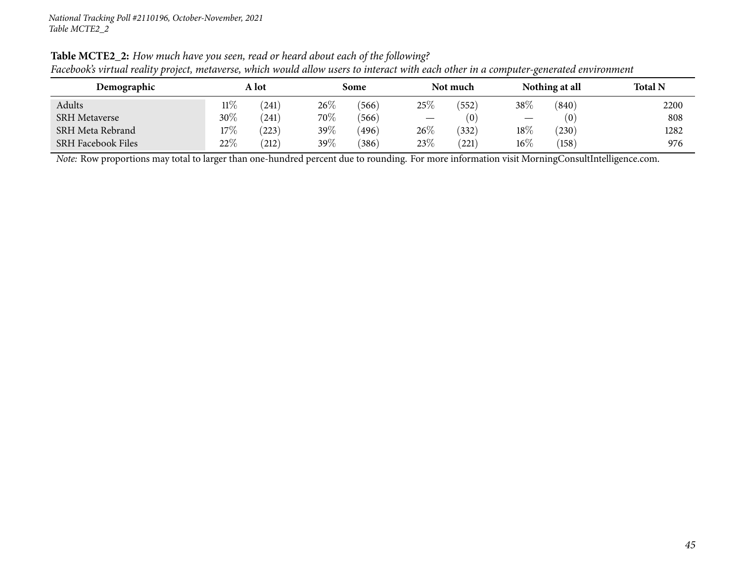|                           |        | $\cdot$ |      |       |        |          |        |                |                |
|---------------------------|--------|---------|------|-------|--------|----------|--------|----------------|----------------|
| Demographic               | A lot  |         | Some |       |        | Not much |        | Nothing at all | <b>Total N</b> |
| Adults                    | $11\%$ | (241)   | 26\% | (566) | 25%    | 552      | $38\%$ | (840)          | 2200           |
| <b>SRH Metaverse</b>      | $30\%$ | (241)   | 70%  | (566) |        | (0)      |        | (0)            | 808            |
| SRH Meta Rebrand          | 17%    | (223)   | 39%  | (496) | $26\%$ | (332)    | $18\%$ | (230)          | 1282           |
| <b>SRH Facebook Files</b> | 22%    | (212)   | 39%  | (386) | 23%    | 221)     | $16\%$ | (158)          | 976            |

Table MCTE2\_2: How much have you seen, read or heard about each of the following? Facebook's virtual reality project, metaverse, which would allow users to interact with each other in a computer-generated environment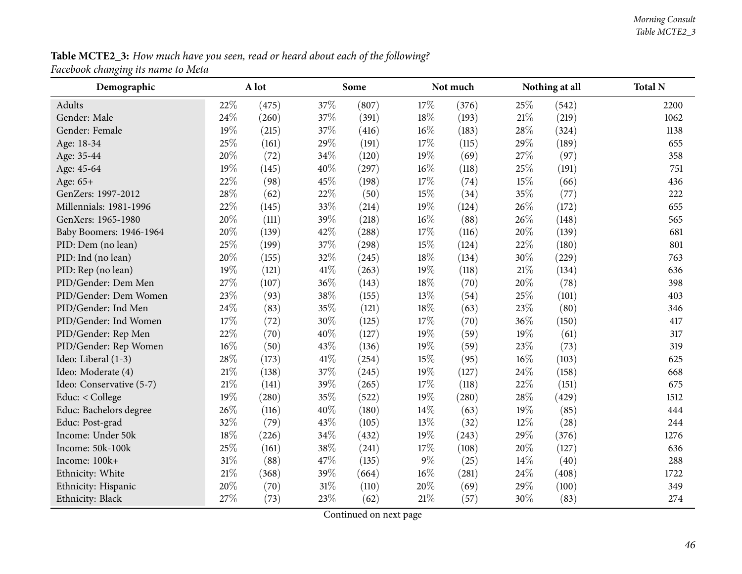Table MCTE2\_3: How much have you seen, read or heard about each of the following? *Facebook changing its name to Meta*

| o.<br>$\mathbf{\mathcal{C}}$<br>Demographic |        | A lot |      | Some  |        | Not much |        | Nothing at all | <b>Total N</b> |
|---------------------------------------------|--------|-------|------|-------|--------|----------|--------|----------------|----------------|
| Adults                                      | 22%    | (475) | 37%  | (807) | 17%    | (376)    | 25%    | (542)          | 2200           |
| Gender: Male                                | 24%    | (260) | 37%  | (391) | 18%    | (193)    | $21\%$ | (219)          | 1062           |
| Gender: Female                              | 19%    | (215) | 37%  | (416) | $16\%$ | (183)    | 28%    | (324)          | 1138           |
| Age: 18-34                                  | 25%    | (161) | 29%  | (191) | 17%    | (115)    | $29\%$ | (189)          | 655            |
| Age: 35-44                                  | 20%    | (72)  | 34%  | (120) | 19%    | (69)     | 27%    | (97)           | 358            |
| Age: 45-64                                  | 19%    | (145) | 40%  | (297) | $16\%$ | (118)    | 25%    | (191)          | 751            |
| Age: 65+                                    | 22%    | (98)  | 45%  | (198) | 17%    | (74)     | 15%    | (66)           | 436            |
| GenZers: 1997-2012                          | 28%    | (62)  | 22%  | (50)  | 15%    | (34)     | 35%    | (77)           | 222            |
| Millennials: 1981-1996                      | 22%    | (145) | 33%  | (214) | 19%    | (124)    | 26%    | (172)          | 655            |
| GenXers: 1965-1980                          | 20%    | (111) | 39%  | (218) | $16\%$ | (88)     | 26%    | (148)          | 565            |
| Baby Boomers: 1946-1964                     | 20%    | (139) | 42%  | (288) | 17%    | (116)    | 20%    | (139)          | 681            |
| PID: Dem (no lean)                          | 25%    | (199) | 37%  | (298) | 15%    | (124)    | 22%    | (180)          | 801            |
| PID: Ind (no lean)                          | 20%    | (155) | 32%  | (245) | 18%    | (134)    | 30%    | (229)          | 763            |
| PID: Rep (no lean)                          | 19%    | (121) | 41\% | (263) | 19%    | (118)    | 21%    | (134)          | 636            |
| PID/Gender: Dem Men                         | 27%    | (107) | 36%  | (143) | 18%    | (70)     | 20%    | (78)           | 398            |
| PID/Gender: Dem Women                       | 23%    | (93)  | 38%  | (155) | 13%    | (54)     | 25%    | (101)          | 403            |
| PID/Gender: Ind Men                         | 24%    | (83)  | 35%  | (121) | $18\%$ | (63)     | 23%    | (80)           | 346            |
| PID/Gender: Ind Women                       | 17%    | (72)  | 30%  | (125) | 17%    | (70)     | 36%    | (150)          | 417            |
| PID/Gender: Rep Men                         | 22%    | (70)  | 40%  | (127) | 19%    | (59)     | 19%    | (61)           | 317            |
| PID/Gender: Rep Women                       | 16%    | (50)  | 43%  | (136) | 19%    | (59)     | 23%    | (73)           | 319            |
| Ideo: Liberal (1-3)                         | 28%    | (173) | 41\% | (254) | 15%    | (95)     | 16%    | (103)          | 625            |
| Ideo: Moderate (4)                          | $21\%$ | (138) | 37%  | (245) | 19%    | (127)    | 24\%   | (158)          | 668            |
| Ideo: Conservative (5-7)                    | $21\%$ | (141) | 39%  | (265) | 17\%   | (118)    | 22%    | (151)          | 675            |
| Educ: < College                             | 19%    | (280) | 35%  | (522) | 19%    | (280)    | 28\%   | (429)          | 1512           |
| Educ: Bachelors degree                      | 26%    | (116) | 40%  | (180) | 14\%   | (63)     | 19%    | (85)           | 444            |
| Educ: Post-grad                             | 32%    | (79)  | 43%  | (105) | 13%    | (32)     | 12%    | (28)           | 244            |
| Income: Under 50k                           | $18\%$ | (226) | 34%  | (432) | 19%    | (243)    | 29%    | (376)          | 1276           |
| Income: 50k-100k                            | 25%    | (161) | 38%  | (241) | 17%    | (108)    | 20%    | (127)          | 636            |
| Income: 100k+                               | $31\%$ | (88)  | 47%  | (135) | $9\%$  | (25)     | 14%    | (40)           | 288            |
| Ethnicity: White                            | $21\%$ | (368) | 39%  | (664) | $16\%$ | (281)    | 24\%   | (408)          | 1722           |
| Ethnicity: Hispanic                         | 20%    | (70)  | 31%  | (110) | 20%    | (69)     | 29%    | (100)          | 349            |
| Ethnicity: Black                            | 27%    | (73)  | 23%  | (62)  | $21\%$ | (57)     | 30%    | (83)           | 274            |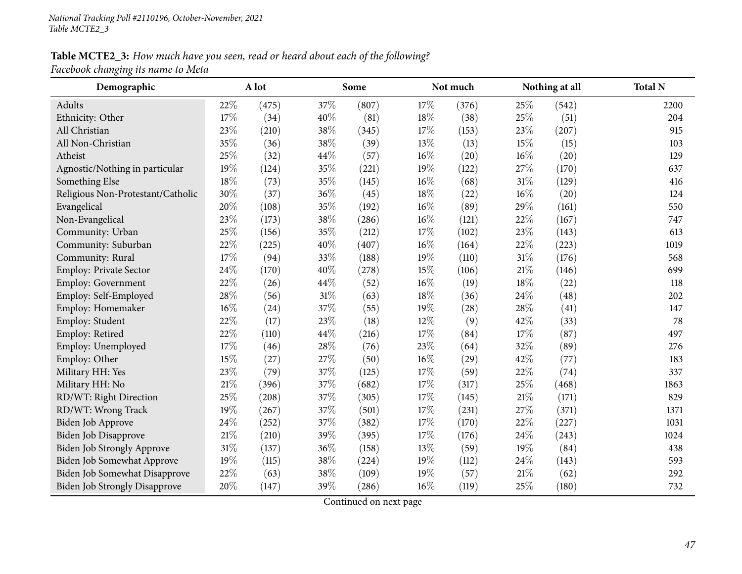# Table MCTE2\_3: How much have you seen, read or heard about each of the following?

*Facebook changing its name to Meta*

| Demographic                          |        | A lot |      | Some  |      | Not much |      | Nothing at all | <b>Total N</b> |
|--------------------------------------|--------|-------|------|-------|------|----------|------|----------------|----------------|
| Adults                               | 22%    | (475) | 37\% | (807) | 17%  | (376)    | 25%  | (542)          | 2200           |
| Ethnicity: Other                     | 17%    | (34)  | 40%  | (81)  | 18%  | (38)     | 25%  | (51)           | 204            |
| All Christian                        | 23%    | (210) | 38%  | (345) | 17%  | (153)    | 23%  | (207)          | 915            |
| All Non-Christian                    | 35%    | (36)  | 38%  | (39)  | 13%  | (13)     | 15%  | (15)           | 103            |
| Atheist                              | 25%    | (32)  | 44%  | (57)  | 16%  | (20)     | 16%  | (20)           | 129            |
| Agnostic/Nothing in particular       | 19%    | (124) | 35%  | (221) | 19%  | (122)    | 27%  | (170)          | 637            |
| Something Else                       | 18%    | (73)  | 35%  | (145) | 16%  | (68)     | 31%  | (129)          | 416            |
| Religious Non-Protestant/Catholic    | 30%    | (37)  | 36%  | (45)  | 18%  | (22)     | 16%  | (20)           | 124            |
| Evangelical                          | 20%    | (108) | 35%  | (192) | 16%  | (89)     | 29%  | (161)          | 550            |
| Non-Evangelical                      | 23%    | (173) | 38%  | (286) | 16%  | (121)    | 22%  | (167)          | 747            |
| Community: Urban                     | 25%    | (156) | 35%  | (212) | 17%  | (102)    | 23%  | (143)          | 613            |
| Community: Suburban                  | 22%    | (225) | 40%  | (407) | 16%  | (164)    | 22%  | (223)          | 1019           |
| Community: Rural                     | 17%    | (94)  | 33%  | (188) | 19%  | (110)    | 31%  | (176)          | 568            |
| Employ: Private Sector               | 24\%   | (170) | 40%  | (278) | 15%  | (106)    | 21%  | (146)          | 699            |
| Employ: Government                   | $22\%$ | (26)  | 44%  | (52)  | 16%  | (19)     | 18%  | (22)           | 118            |
| Employ: Self-Employed                | 28%    | (56)  | 31%  | (63)  | 18%  | (36)     | 24%  | (48)           | 202            |
| Employ: Homemaker                    | $16\%$ | (24)  | 37%  | (55)  | 19%  | (28)     | 28%  | (41)           | 147            |
| Employ: Student                      | 22%    | (17)  | 23%  | (18)  | 12%  | (9)      | 42%  | (33)           | 78             |
| Employ: Retired                      | 22%    | (110) | 44%  | (216) | 17\% | (84)     | 17%  | (87)           | 497            |
| Employ: Unemployed                   | 17%    | (46)  | 28%  | (76)  | 23%  | (64)     | 32%  | (89)           | 276            |
| Employ: Other                        | 15%    | (27)  | 27%  | (50)  | 16%  | (29)     | 42%  | (77)           | 183            |
| Military HH: Yes                     | 23%    | (79)  | 37%  | (125) | 17%  | (59)     | 22%  | (74)           | 337            |
| Military HH: No                      | $21\%$ | (396) | 37%  | (682) | 17%  | (317)    | 25%  | (468)          | 1863           |
| RD/WT: Right Direction               | 25%    | (208) | 37%  | (305) | 17%  | (145)    | 21%  | (171)          | 829            |
| RD/WT: Wrong Track                   | 19%    | (267) | 37%  | (501) | 17%  | (231)    | 27%  | (371)          | 1371           |
| Biden Job Approve                    | 24\%   | (252) | 37%  | (382) | 17%  | (170)    | 22%  | (227)          | 1031           |
| <b>Biden Job Disapprove</b>          | $21\%$ | (210) | 39%  | (395) | 17%  | (176)    | 24%  | (243)          | 1024           |
| Biden Job Strongly Approve           | 31%    | (137) | 36%  | (158) | 13%  | (59)     | 19%  | (84)           | 438            |
| Biden Job Somewhat Approve           | 19%    | (115) | 38%  | (224) | 19%  | (112)    | 24%  | (143)          | 593            |
| Biden Job Somewhat Disapprove        | 22%    | (63)  | 38%  | (109) | 19%  | (57)     | 21\% | (62)           | 292            |
| <b>Biden Job Strongly Disapprove</b> | 20%    | (147) | 39%  | (286) | 16%  | (119)    | 25%  | (180)          | 732            |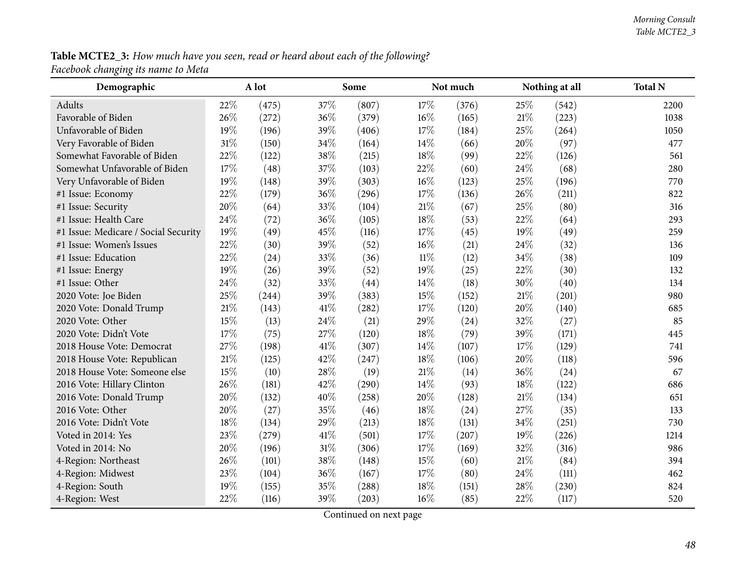#### Table MCTE2\_3: How much have you seen, read or heard about each of the following? *Facebook changing its name to Meta*

| $\bm{\omega}$<br>Demographic         |        | A lot |        | Some  |        | Not much |     | Nothing at all | <b>Total N</b> |
|--------------------------------------|--------|-------|--------|-------|--------|----------|-----|----------------|----------------|
| Adults                               | 22%    | (475) | 37%    | (807) | 17\%   | (376)    | 25% | (542)          | 2200           |
| Favorable of Biden                   | 26%    | (272) | 36%    | (379) | 16%    | (165)    | 21% | (223)          | 1038           |
| Unfavorable of Biden                 | 19%    | (196) | 39%    | (406) | 17%    | (184)    | 25% | (264)          | 1050           |
| Very Favorable of Biden              | 31%    | (150) | 34%    | (164) | 14%    | (66)     | 20% | (97)           | 477            |
| Somewhat Favorable of Biden          | 22%    | (122) | 38%    | (215) | 18%    | (99)     | 22% | (126)          | 561            |
| Somewhat Unfavorable of Biden        | 17%    | (48)  | 37%    | (103) | 22%    | (60)     | 24% | (68)           | 280            |
| Very Unfavorable of Biden            | 19%    | (148) | 39%    | (303) | 16%    | (123)    | 25% | (196)          | 770            |
| #1 Issue: Economy                    | 22%    | (179) | 36%    | (296) | 17%    | (136)    | 26% | (211)          | 822            |
| #1 Issue: Security                   | 20%    | (64)  | 33%    | (104) | $21\%$ | (67)     | 25% | (80)           | 316            |
| #1 Issue: Health Care                | 24%    | (72)  | 36%    | (105) | 18%    | (53)     | 22% | (64)           | 293            |
| #1 Issue: Medicare / Social Security | 19%    | (49)  | 45%    | (116) | 17%    | (45)     | 19% | (49)           | 259            |
| #1 Issue: Women's Issues             | 22%    | (30)  | 39%    | (52)  | 16%    | (21)     | 24% | (32)           | 136            |
| #1 Issue: Education                  | 22%    | (24)  | 33%    | (36)  | $11\%$ | (12)     | 34% | (38)           | 109            |
| #1 Issue: Energy                     | 19%    | (26)  | 39%    | (52)  | 19%    | (25)     | 22% | (30)           | 132            |
| #1 Issue: Other                      | 24%    | (32)  | 33%    | (44)  | 14%    | (18)     | 30% | (40)           | 134            |
| 2020 Vote: Joe Biden                 | 25%    | (244) | 39%    | (383) | 15%    | (152)    | 21% | (201)          | 980            |
| 2020 Vote: Donald Trump              | $21\%$ | (143) | 41%    | (282) | 17%    | (120)    | 20% | (140)          | 685            |
| 2020 Vote: Other                     | 15%    | (13)  | 24%    | (21)  | 29%    | (24)     | 32% | (27)           | 85             |
| 2020 Vote: Didn't Vote               | 17%    | (75)  | 27%    | (120) | 18%    | (79)     | 39% | (171)          | 445            |
| 2018 House Vote: Democrat            | 27%    | (198) | 41%    | (307) | 14%    | (107)    | 17% | (129)          | 741            |
| 2018 House Vote: Republican          | 21%    | (125) | 42%    | (247) | 18%    | (106)    | 20% | (118)          | 596            |
| 2018 House Vote: Someone else        | 15%    | (10)  | 28%    | (19)  | 21%    | (14)     | 36% | (24)           | 67             |
| 2016 Vote: Hillary Clinton           | 26%    | (181) | 42%    | (290) | 14%    | (93)     | 18% | (122)          | 686            |
| 2016 Vote: Donald Trump              | 20%    | (132) | 40%    | (258) | 20%    | (128)    | 21% | (134)          | 651            |
| 2016 Vote: Other                     | 20%    | (27)  | 35%    | (46)  | 18%    | (24)     | 27% | (35)           | 133            |
| 2016 Vote: Didn't Vote               | 18%    | (134) | 29%    | (213) | 18%    | (131)    | 34% | (251)          | 730            |
| Voted in 2014: Yes                   | 23%    | (279) | 41%    | (501) | 17%    | (207)    | 19% | (226)          | 1214           |
| Voted in 2014: No                    | 20%    | (196) | $31\%$ | (306) | 17%    | (169)    | 32% | (316)          | 986            |
| 4-Region: Northeast                  | 26%    | (101) | 38%    | (148) | 15%    | (60)     | 21% | (84)           | 394            |
| 4-Region: Midwest                    | 23%    | (104) | 36%    | (167) | 17%    | (80)     | 24% | (111)          | 462            |
| 4-Region: South                      | 19%    | (155) | 35%    | (288) | 18%    | (151)    | 28% | (230)          | 824            |
| 4-Region: West                       | 22%    | (116) | 39%    | (203) | 16%    | (85)     | 22% | (117)          | 520            |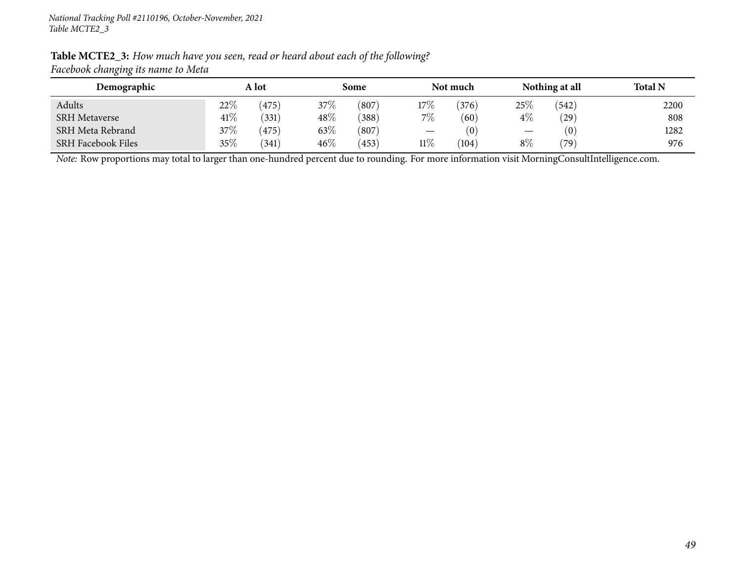| ັັ                        |        |       |        |       |                               |          |                          |                |                |
|---------------------------|--------|-------|--------|-------|-------------------------------|----------|--------------------------|----------------|----------------|
| Demographic               | A lot  |       | Some   |       |                               | Not much |                          | Nothing at all | <b>Total N</b> |
| Adults                    | $22\%$ | (475) | 37\%   | (807) | 17%                           | 376      | 25\%                     | (542)          | 2200           |
| <b>SRH Metaverse</b>      | 41\%   | (331) | $48\%$ | (388) | $7\%$                         | (60)     | $4\%$                    | $^{'}29)$      | 808            |
| SRH Meta Rebrand          | $37\%$ | 475)  | 63\%   | (807) | $\overbrace{\phantom{13333}}$ | (0)      | $\overline{\phantom{m}}$ | (0)            | 1282           |
| <b>SRH Facebook Files</b> | 35%    | (341) | $46\%$ | (453) | $11\%$                        | (104)    | $8\%$                    | $^{\prime}79)$ | 976            |

#### Table MCTE2\_3: How much have you seen, read or heard about each of the following? *Facebook changing its name to Meta*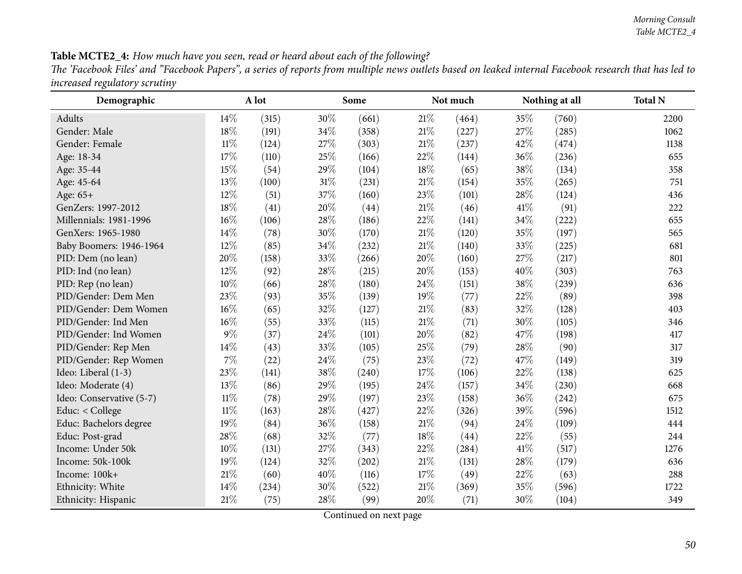| <b>Table MCTE2_4:</b> How much have you seen, read or heard about each of the following?                                                              |
|-------------------------------------------------------------------------------------------------------------------------------------------------------|
| The 'Facebook Files' and "Facebook Papers", a series of reports from multiple news outlets based on leaked internal Facebook research that has led to |
| increased regulatory scrutiny                                                                                                                         |

| Demographic              |        | A lot |      | Some  |        | Not much |      | Nothing at all | <b>Total N</b> |
|--------------------------|--------|-------|------|-------|--------|----------|------|----------------|----------------|
| Adults                   | 14%    | (315) | 30%  | (661) | 21%    | (464)    | 35%  | (760)          | 2200           |
| Gender: Male             | 18%    | (191) | 34%  | (358) | $21\%$ | (227)    | 27%  | (285)          | 1062           |
| Gender: Female           | $11\%$ | (124) | 27%  | (303) | $21\%$ | (237)    | 42%  | (474)          | 1138           |
| Age: 18-34               | 17%    | (110) | 25%  | (166) | 22%    | (144)    | 36%  | (236)          | 655            |
| Age: 35-44               | 15%    | (54)  | 29%  | (104) | 18%    | (65)     | 38%  | (134)          | 358            |
| Age: 45-64               | 13%    | (100) | 31%  | (231) | 21%    | (154)    | 35%  | (265)          | 751            |
| Age: $65+$               | 12%    | (51)  | 37%  | (160) | 23%    | (101)    | 28%  | (124)          | 436            |
| GenZers: 1997-2012       | 18%    | (41)  | 20%  | (44)  | 21%    | (46)     | 41\% | (91)           | 222            |
| Millennials: 1981-1996   | 16%    | (106) | 28%  | (186) | 22%    | (141)    | 34%  | (222)          | 655            |
| GenXers: 1965-1980       | 14%    | (78)  | 30%  | (170) | $21\%$ | (120)    | 35%  | (197)          | 565            |
| Baby Boomers: 1946-1964  | $12\%$ | (85)  | 34%  | (232) | 21%    | (140)    | 33\% | (225)          | 681            |
| PID: Dem (no lean)       | 20%    | (158) | 33%  | (266) | 20%    | (160)    | 27%  | (217)          | 801            |
| PID: Ind (no lean)       | 12%    | (92)  | 28%  | (215) | 20%    | (153)    | 40%  | (303)          | 763            |
| PID: Rep (no lean)       | 10%    | (66)  | 28%  | (180) | 24%    | (151)    | 38%  | (239)          | 636            |
| PID/Gender: Dem Men      | 23%    | (93)  | 35%  | (139) | 19%    | (77)     | 22\% | (89)           | 398            |
| PID/Gender: Dem Women    | 16%    | (65)  | 32%  | (127) | $21\%$ | (83)     | 32%  | (128)          | 403            |
| PID/Gender: Ind Men      | $16\%$ | (55)  | 33%  | (115) | $21\%$ | (71)     | 30%  | (105)          | 346            |
| PID/Gender: Ind Women    | $9\%$  | (37)  | 24\% | (101) | 20%    | (82)     | 47\% | (198)          | 417            |
| PID/Gender: Rep Men      | 14%    | (43)  | 33%  | (105) | 25%    | (79)     | 28%  | (90)           | 317            |
| PID/Gender: Rep Women    | $7\%$  | (22)  | 24%  | (75)  | 23%    | (72)     | 47%  | (149)          | 319            |
| Ideo: Liberal (1-3)      | 23%    | (141) | 38%  | (240) | 17%    | (106)    | 22%  | (138)          | 625            |
| Ideo: Moderate (4)       | 13%    | (86)  | 29%  | (195) | 24\%   | (157)    | 34%  | (230)          | 668            |
| Ideo: Conservative (5-7) | $11\%$ | (78)  | 29%  | (197) | 23%    | (158)    | 36%  | (242)          | 675            |
| Educ: < College          | $11\%$ | (163) | 28%  | (427) | 22%    | (326)    | 39%  | (596)          | 1512           |
| Educ: Bachelors degree   | 19%    | (84)  | 36%  | (158) | 21%    | (94)     | 24\% | (109)          | 444            |
| Educ: Post-grad          | 28%    | (68)  | 32%  | (77)  | 18%    | (44)     | 22%  | (55)           | 244            |
| Income: Under 50k        | 10%    | (131) | 27%  | (343) | 22%    | (284)    | 41\% | (517)          | 1276           |
| Income: 50k-100k         | 19%    | (124) | 32%  | (202) | $21\%$ | (131)    | 28\% | (179)          | 636            |
| Income: 100k+            | $21\%$ | (60)  | 40%  | (116) | 17%    | (49)     | 22\% | (63)           | 288            |
| Ethnicity: White         | 14%    | (234) | 30%  | (522) | 21%    | (369)    | 35%  | (596)          | 1722           |
| Ethnicity: Hispanic      | $21\%$ | (75)  | 28%  | (99)  | 20%    | (71)     | 30%  | (104)          | 349            |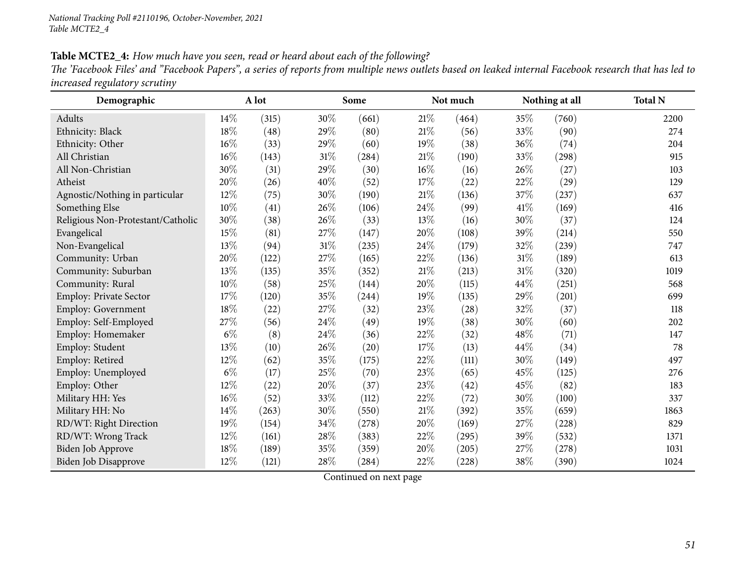| Table MCTE2_4: How much have you seen, read or heard about each of the following? |  |
|-----------------------------------------------------------------------------------|--|
|-----------------------------------------------------------------------------------|--|

The 'Facebook Files' and "Facebook Papers", a series of reports from multiple news outlets based on leaked internal Facebook research that has led to *increased regulatory scrutiny*

| Demographic                       |        | A lot |        | Some                |        | Not much |        | Nothing at all | <b>Total N</b> |
|-----------------------------------|--------|-------|--------|---------------------|--------|----------|--------|----------------|----------------|
| Adults                            | 14%    | (315) | 30%    | (661)               | 21%    | (464)    | 35%    | (760)          | 2200           |
| Ethnicity: Black                  | 18%    | (48)  | 29%    | (80)                | $21\%$ | (56)     | 33%    | (90)           | 274            |
| Ethnicity: Other                  | 16%    | (33)  | 29%    | (60)                | 19%    | (38)     | 36%    | (74)           | 204            |
| All Christian                     | 16%    | (143) | $31\%$ | (284)               | 21%    | (190)    | 33%    | (298)          | 915            |
| All Non-Christian                 | 30%    | (31)  | 29%    | (30)                | 16%    | (16)     | 26%    | (27)           | 103            |
| Atheist                           | 20%    | (26)  | 40%    | (52)                | $17\%$ | (22)     | 22\%   | (29)           | 129            |
| Agnostic/Nothing in particular    | $12\%$ | (75)  | 30%    | (190)               | 21%    | (136)    | 37\%   | (237)          | 637            |
| Something Else                    | $10\%$ | (41)  | $26\%$ | (106)               | 24%    | (99)     | 41\%   | (169)          | 416            |
| Religious Non-Protestant/Catholic | 30%    | (38)  | $26\%$ | (33)                | 13%    | (16)     | 30%    | (37)           | 124            |
| Evangelical                       | 15%    | (81)  | $27\%$ | (147)               | $20\%$ | (108)    | 39%    | (214)          | 550            |
| Non-Evangelical                   | $13\%$ | (94)  | $31\%$ | $\left( 235\right)$ | 24%    | (179)    | $32\%$ | (239)          | 747            |
| Community: Urban                  | 20%    | (122) | 27\%   | (165)               | 22%    | (136)    | 31%    | (189)          | 613            |
| Community: Suburban               | 13%    | (135) | 35%    | (352)               | 21%    | (213)    | $31\%$ | (320)          | 1019           |
| Community: Rural                  | 10%    | (58)  | $25\%$ | (144)               | 20%    | (115)    | 44\%   | (251)          | 568            |
| Employ: Private Sector            | 17%    | (120) | 35%    | (244)               | 19%    | (135)    | 29%    | (201)          | 699            |
| <b>Employ: Government</b>         | 18%    | (22)  | 27\%   | (32)                | 23%    | (28)     | 32%    | (37)           | 118            |
| Employ: Self-Employed             | 27%    | (56)  | 24\%   | (49)                | 19%    | (38)     | 30%    | (60)           | 202            |
| Employ: Homemaker                 | $6\%$  | (8)   | $24\%$ | (36)                | 22%    | (32)     | 48%    | (71)           | 147            |
| Employ: Student                   | $13\%$ | (10)  | 26%    | (20)                | 17%    | (13)     | 44%    | (34)           | 78             |
| Employ: Retired                   | 12%    | (62)  | 35%    | (175)               | 22%    | (111)    | 30%    | (149)          | 497            |
| Employ: Unemployed                | $6\%$  | (17)  | 25%    | (70)                | 23%    | (65)     | 45%    | (125)          | 276            |
| Employ: Other                     | 12%    | (22)  | $20\%$ | (37)                | 23%    | (42)     | 45%    | (82)           | 183            |
| Military HH: Yes                  | 16%    | (52)  | 33%    | (112)               | 22%    | (72)     | 30%    | (100)          | 337            |
| Military HH: No                   | $14\%$ | (263) | $30\%$ | (550)               | 21%    | (392)    | $35\%$ | (659)          | 1863           |
| RD/WT: Right Direction            | 19%    | (154) | 34%    | (278)               | 20%    | (169)    | 27%    | (228)          | 829            |
| RD/WT: Wrong Track                | 12%    | (161) | 28%    | (383)               | 22%    | (295)    | 39%    | (532)          | 1371           |
| Biden Job Approve                 | 18%    | (189) | 35%    | (359)               | 20%    | (205)    | 27%    | (278)          | 1031           |
| Biden Job Disapprove              | 12%    | (121) | 28%    | (284)               | 22%    | (228)    | 38\%   | (390)          | 1024           |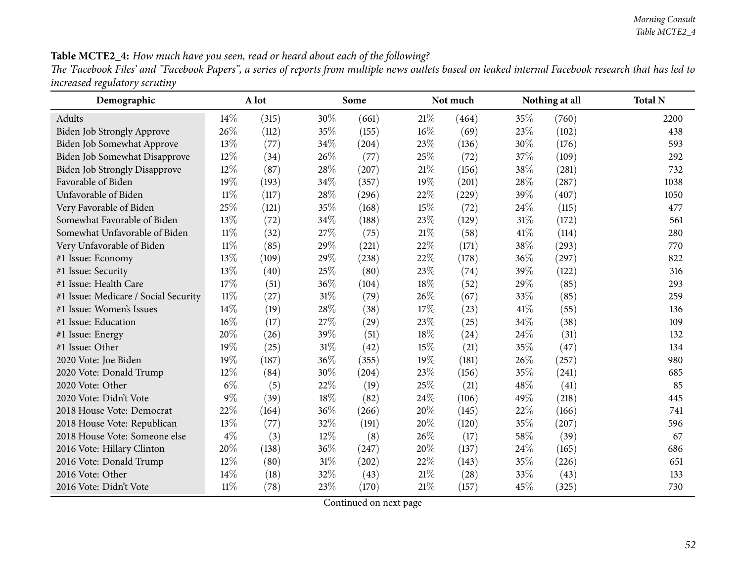### Table MCTE2\_4: How much have you seen, read or heard about each of the following?

The 'Facebook Files' and "Facebook Papers", a series of reports from multiple news outlets based on leaked internal Facebook research that has led to *increased regulatory scrutiny*

| Demographic                          |        | A lot |        | Some                |        | Not much |        | Nothing at all | <b>Total N</b> |
|--------------------------------------|--------|-------|--------|---------------------|--------|----------|--------|----------------|----------------|
| Adults                               | 14%    | (315) | 30%    | (661)               | 21%    | (464)    | 35%    | (760)          | 2200           |
| Biden Job Strongly Approve           | 26%    | (112) | 35%    | (155)               | $16\%$ | (69)     | 23%    | (102)          | 438            |
| Biden Job Somewhat Approve           | 13\%   | (77)  | 34%    | $\left( 204\right)$ | 23\%   | (136)    | 30%    | (176)          | 593            |
| Biden Job Somewhat Disapprove        | 12%    | (34)  | 26%    | (77)                | 25%    | (72)     | 37%    | (109)          | 292            |
| <b>Biden Job Strongly Disapprove</b> | 12%    | (87)  | 28%    | (207)               | $21\%$ | (156)    | 38%    | (281)          | 732            |
| Favorable of Biden                   | 19%    | (193) | 34%    | (357)               | 19%    | (201)    | 28%    | (287)          | 1038           |
| Unfavorable of Biden                 | $11\%$ | (117) | 28%    | (296)               | 22%    | (229)    | 39%    | (407)          | 1050           |
| Very Favorable of Biden              | 25%    | (121) | 35%    | (168)               | 15%    | (72)     | 24%    | (115)          | 477            |
| Somewhat Favorable of Biden          | 13%    | (72)  | 34%    | (188)               | 23%    | (129)    | $31\%$ | (172)          | 561            |
| Somewhat Unfavorable of Biden        | $11\%$ | (32)  | 27%    | (75)                | 21%    | (58)     | 41\%   | (114)          | 280            |
| Very Unfavorable of Biden            | $11\%$ | (85)  | 29%    | (221)               | 22%    | (171)    | 38%    | (293)          | 770            |
| #1 Issue: Economy                    | 13%    | (109) | 29%    | (238)               | 22%    | (178)    | 36%    | (297)          | 822            |
| #1 Issue: Security                   | 13%    | (40)  | 25%    | (80)                | 23%    | (74)     | 39%    | (122)          | 316            |
| #1 Issue: Health Care                | 17%    | (51)  | 36%    | (104)               | 18%    | (52)     | 29%    | (85)           | 293            |
| #1 Issue: Medicare / Social Security | $11\%$ | (27)  | 31%    | (79)                | 26%    | (67)     | 33%    | (85)           | 259            |
| #1 Issue: Women's Issues             | 14%    | (19)  | 28%    | (38)                | 17\%   | (23)     | 41\%   | (55)           | 136            |
| #1 Issue: Education                  | $16\%$ | (17)  | 27%    | (29)                | 23%    | (25)     | 34%    | (38)           | 109            |
| #1 Issue: Energy                     | 20%    | (26)  | 39%    | (51)                | 18%    | (24)     | 24\%   | (31)           | 132            |
| #1 Issue: Other                      | 19%    | (25)  | $31\%$ | (42)                | 15%    | (21)     | 35%    | (47)           | 134            |
| 2020 Vote: Joe Biden                 | 19%    | (187) | 36%    | (355)               | 19%    | (181)    | 26%    | (257)          | 980            |
| 2020 Vote: Donald Trump              | 12%    | (84)  | 30%    | $\left( 204\right)$ | 23%    | (156)    | 35%    | (241)          | 685            |
| 2020 Vote: Other                     | $6\%$  | (5)   | 22%    | (19)                | 25%    | (21)     | 48\%   | (41)           | 85             |
| 2020 Vote: Didn't Vote               | $9\%$  | (39)  | 18%    | (82)                | 24\%   | (106)    | 49%    | (218)          | 445            |
| 2018 House Vote: Democrat            | 22%    | (164) | 36%    | (266)               | 20%    | (145)    | 22%    | (166)          | 741            |
| 2018 House Vote: Republican          | 13%    | (77)  | 32%    | (191)               | 20%    | (120)    | 35%    | (207)          | 596            |
| 2018 House Vote: Someone else        | $4\%$  | (3)   | 12%    | (8)                 | 26\%   | (17)     | 58%    | (39)           | 67             |
| 2016 Vote: Hillary Clinton           | 20%    | (138) | 36%    | (247)               | 20%    | (137)    | 24\%   | (165)          | 686            |
| 2016 Vote: Donald Trump              | 12%    | (80)  | $31\%$ | (202)               | 22%    | (143)    | 35%    | (226)          | 651            |
| 2016 Vote: Other                     | 14%    | (18)  | 32%    | (43)                | 21\%   | (28)     | 33%    | (43)           | 133            |
| 2016 Vote: Didn't Vote               | 11%    | (78)  | 23%    | (170)               | 21%    | (157)    | 45%    | (325)          | 730            |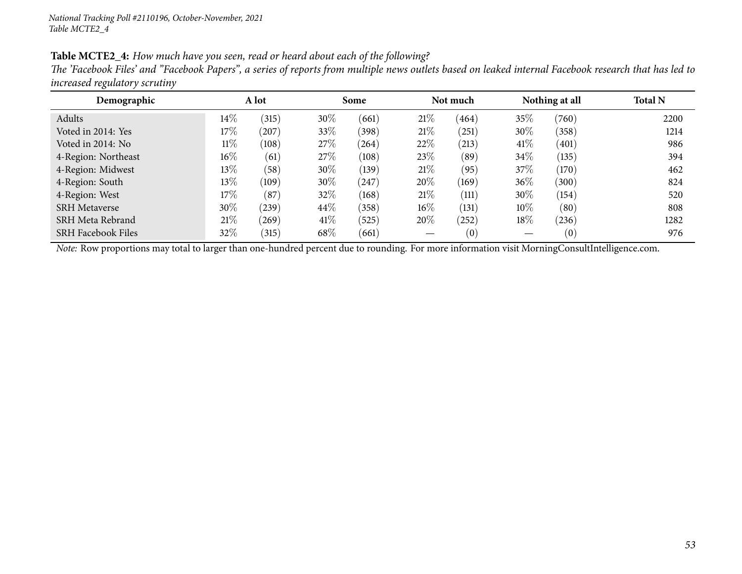| Table MCTE2_4: How much have you seen, read or heard about each of the following? |  |  |
|-----------------------------------------------------------------------------------|--|--|
|-----------------------------------------------------------------------------------|--|--|

The 'Facebook Files' and "Facebook Papers", a series of reports from multiple news outlets based on leaked internal Facebook research that has led to *increased regulatory scrutiny*

| Demographic                                                                                                                                    |        | A lot |      | Some       |        | Not much |        | Nothing at all | <b>Total N</b> |
|------------------------------------------------------------------------------------------------------------------------------------------------|--------|-------|------|------------|--------|----------|--------|----------------|----------------|
| Adults                                                                                                                                         | $14\%$ | (315) | 30%  | (661)      | 21%    | (464)    | 35%    | (760)          | 2200           |
| Voted in 2014: Yes                                                                                                                             | 17\%   | (207) | 33\% | (398)      | 21%    | (251)    | 30%    | (358)          | 1214           |
| Voted in 2014: No                                                                                                                              | $11\%$ | (108) | 27\% | (264)      | 22\%   | (213)    | 41%    | (401)          | 986            |
| 4-Region: Northeast                                                                                                                            | $16\%$ | (61)  | 27\% | (108)      | $23\%$ | (89)     | 34\%   | (135)          | 394            |
| 4-Region: Midwest                                                                                                                              | 13\%   | (58)  | 30%  | (139)      | 21%    | (95)     | 37\%   | (170)          | 462            |
| 4-Region: South                                                                                                                                | 13\%   | (109) | 30%  | $^{(247)}$ | 20%    | (169)    | 36%    | (300)          | 824            |
| 4-Region: West                                                                                                                                 | 17\%   | (87)  | 32%  | (168)      | 21%    | (111)    | 30\%   | (154)          | 520            |
| <b>SRH</b> Metaverse                                                                                                                           | 30%    | (239) | 44\% | (358)      | $16\%$ | (131)    | $10\%$ | (80)           | 808            |
| SRH Meta Rebrand                                                                                                                               | 21%    | (269) | 41\% | (525)      | 20%    | 252      | 18%    | (236)          | 1282           |
| <b>SRH Facebook Files</b>                                                                                                                      | $32\%$ | (315) | 68%  | (661)      |        | (0)      |        | (0)            | 976            |
| Note: Row proportions may total to larger than one-hundred percent due to rounding. For more information visit MorningConsultIntelligence.com. |        |       |      |            |        |          |        |                |                |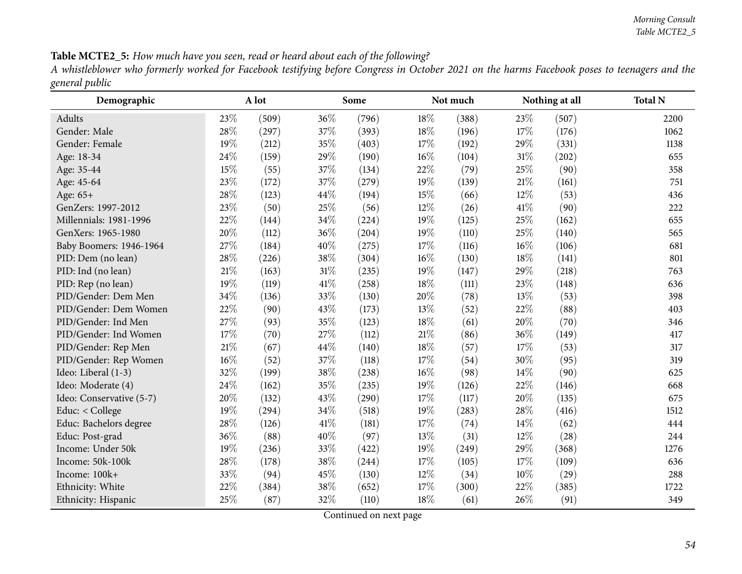| Table MCTE2_5: How much have you seen, read or heard about each of the following? |  |  |
|-----------------------------------------------------------------------------------|--|--|
|-----------------------------------------------------------------------------------|--|--|

A whistleblower who formerly worked for Facebook testifying before Congress in October 2021 on the harms Facebook poses to teenagers and the *genera<sup>l</sup> public*

| Demographic              |     | A lot |        | Some  |        | Not much |        | Nothing at all | <b>Total N</b> |
|--------------------------|-----|-------|--------|-------|--------|----------|--------|----------------|----------------|
| Adults                   | 23% | (509) | 36%    | (796) | 18%    | (388)    | 23\%   | (507)          | 2200           |
| Gender: Male             | 28% | (297) | 37%    | (393) | 18%    | (196)    | 17%    | (176)          | 1062           |
| Gender: Female           | 19% | (212) | 35%    | (403) | 17%    | (192)    | 29%    | (331)          | 1138           |
| Age: 18-34               | 24% | (159) | 29%    | (190) | 16%    | (104)    | 31%    | (202)          | 655            |
| Age: 35-44               | 15% | (55)  | 37%    | (134) | 22%    | (79)     | 25%    | (90)           | 358            |
| Age: 45-64               | 23% | (172) | 37%    | (279) | 19%    | (139)    | $21\%$ | (161)          | 751            |
| Age: 65+                 | 28% | (123) | 44%    | (194) | 15%    | (66)     | $12\%$ | (53)           | 436            |
| GenZers: 1997-2012       | 23% | (50)  | 25%    | (56)  | 12%    | (26)     | 41\%   | (90)           | 222            |
| Millennials: 1981-1996   | 22% | (144) | 34%    | (224) | 19%    | (125)    | 25%    | (162)          | 655            |
| GenXers: 1965-1980       | 20% | (112) | 36%    | (204) | 19%    | (110)    | 25\%   | (140)          | 565            |
| Baby Boomers: 1946-1964  | 27% | (184) | 40%    | (275) | 17%    | (116)    | 16%    | (106)          | 681            |
| PID: Dem (no lean)       | 28% | (226) | 38%    | (304) | 16%    | (130)    | 18%    | (141)          | 801            |
| PID: Ind (no lean)       | 21% | (163) | $31\%$ | (235) | 19%    | (147)    | 29%    | (218)          | 763            |
| PID: Rep (no lean)       | 19% | (119) | 41\%   | (258) | 18%    | (111)    | 23%    | (148)          | 636            |
| PID/Gender: Dem Men      | 34% | (136) | 33%    | (130) | 20%    | (78)     | 13%    | (53)           | 398            |
| PID/Gender: Dem Women    | 22% | (90)  | 43%    | (173) | 13%    | (52)     | 22\%   | (88)           | 403            |
| PID/Gender: Ind Men      | 27% | (93)  | 35%    | (123) | 18%    | (61)     | 20%    | (70)           | 346            |
| PID/Gender: Ind Women    | 17% | (70)  | 27%    | (112) | $21\%$ | (86)     | 36%    | (149)          | 417            |
| PID/Gender: Rep Men      | 21% | (67)  | 44%    | (140) | 18%    | (57)     | 17%    | (53)           | 317            |
| PID/Gender: Rep Women    | 16% | (52)  | 37%    | (118) | 17%    | (54)     | 30%    | (95)           | 319            |
| Ideo: Liberal (1-3)      | 32% | (199) | 38%    | (238) | 16%    | (98)     | $14\%$ | (90)           | 625            |
| Ideo: Moderate (4)       | 24% | (162) | 35%    | (235) | 19%    | (126)    | 22%    | (146)          | 668            |
| Ideo: Conservative (5-7) | 20% | (132) | 43%    | (290) | 17%    | (117)    | 20%    | (135)          | 675            |
| Educ: < College          | 19% | (294) | 34%    | (518) | 19%    | (283)    | 28%    | (416)          | 1512           |
| Educ: Bachelors degree   | 28% | (126) | 41\%   | (181) | 17%    | (74)     | $14\%$ | (62)           | 444            |
| Educ: Post-grad          | 36% | (88)  | 40%    | (97)  | 13%    | (31)     | 12%    | (28)           | 244            |
| Income: Under 50k        | 19% | (236) | 33%    | (422) | 19%    | (249)    | 29%    | (368)          | 1276           |
| Income: 50k-100k         | 28% | (178) | 38%    | (244) | 17%    | (105)    | 17%    | (109)          | 636            |
| Income: 100k+            | 33% | (94)  | 45%    | (130) | 12%    | (34)     | 10%    | (29)           | 288            |
| Ethnicity: White         | 22% | (384) | 38%    | (652) | 17%    | (300)    | 22%    | (385)          | 1722           |
| Ethnicity: Hispanic      | 25% | (87)  | 32%    | (110) | 18%    | (61)     | 26%    | (91)           | 349            |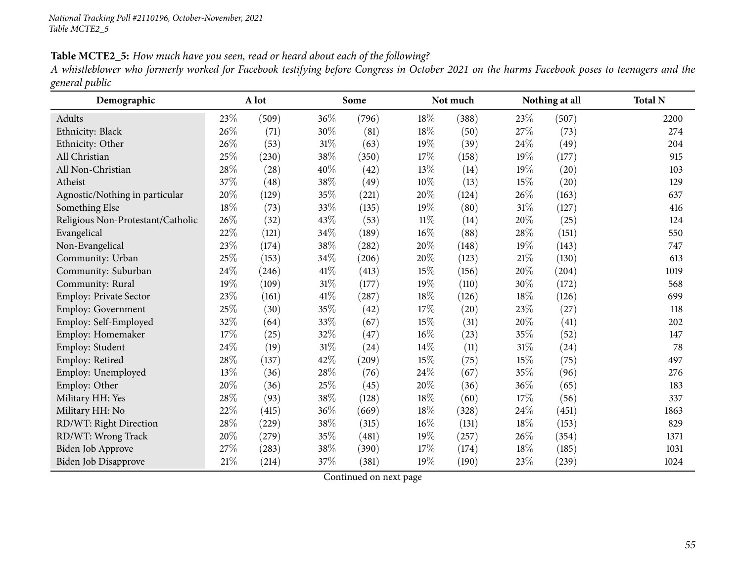#### Table MCTE2\_5: How much have you seen, read or heard about each of the following?

A whistleblower who formerly worked for Facebook testifying before Congress in October 2021 on the harms Facebook poses to teenagers and the *genera<sup>l</sup> public*

| Demographic                       |        | A lot |        | Some  |        | Not much |        | Nothing at all | <b>Total N</b> |
|-----------------------------------|--------|-------|--------|-------|--------|----------|--------|----------------|----------------|
| Adults                            | 23%    | (509) | 36%    | (796) | 18%    | (388)    | 23%    | (507)          | 2200           |
| Ethnicity: Black                  | 26%    | (71)  | 30%    | (81)  | $18\%$ | (50)     | 27%    | (73)           | 274            |
| Ethnicity: Other                  | 26\%   | (53)  | $31\%$ | (63)  | 19%    | (39)     | 24\%   | (49)           | 204            |
| All Christian                     | 25%    | (230) | $38\%$ | (350) | 17%    | (158)    | 19%    | (177)          | 915            |
| All Non-Christian                 | $28\%$ | (28)  | 40%    | (42)  | 13%    | (14)     | 19%    | (20)           | 103            |
| Atheist                           | 37%    | (48)  | $38\%$ | (49)  | 10%    | (13)     | 15%    | (20)           | 129            |
| Agnostic/Nothing in particular    | $20\%$ | (129) | 35%    | (221) | 20%    | (124)    | 26\%   | (163)          | 637            |
| Something Else                    | $18\%$ | (73)  | 33%    | (135) | 19%    | (80)     | $31\%$ | (127)          | 416            |
| Religious Non-Protestant/Catholic | 26%    | (32)  | 43\%   | (53)  | $11\%$ | (14)     | 20%    | (25)           | 124            |
| Evangelical                       | 22\%   | (121) | $34\%$ | (189) | $16\%$ | (88)     | $28\%$ | (151)          | 550            |
| Non-Evangelical                   | 23%    | (174) | $38\%$ | (282) | 20%    | (148)    | 19%    | (143)          | 747            |
| Community: Urban                  | 25%    | (153) | $34\%$ | (206) | 20%    | (123)    | 21%    | (130)          | 613            |
| Community: Suburban               | 24\%   | (246) | 41\%   | (413) | 15%    | (156)    | 20%    | (204)          | 1019           |
| Community: Rural                  | 19%    | (109) | $31\%$ | (177) | 19%    | (110)    | 30%    | (172)          | 568            |
| Employ: Private Sector            | $23\%$ | (161) | $41\%$ | (287) | $18\%$ | (126)    | 18%    | (126)          | 699            |
| <b>Employ: Government</b>         | 25%    | (30)  | $35\%$ | (42)  | 17%    | (20)     | 23%    | (27)           | 118            |
| Employ: Self-Employed             | 32%    | (64)  | 33%    | (67)  | 15%    | (31)     | 20%    | (41)           | 202            |
| Employ: Homemaker                 | 17%    | (25)  | $32\%$ | (47)  | $16\%$ | (23)     | 35%    | (52)           | 147            |
| Employ: Student                   | 24%    | (19)  | $31\%$ | (24)  | 14%    | (11)     | $31\%$ | (24)           | 78             |
| Employ: Retired                   | 28%    | (137) | 42\%   | (209) | 15%    | (75)     | $15\%$ | (75)           | 497            |
| Employ: Unemployed                | 13%    | (36)  | $28\%$ | (76)  | 24\%   | (67)     | 35%    | (96)           | 276            |
| Employ: Other                     | 20%    | (36)  | 25%    | (45)  | 20%    | (36)     | 36%    | (65)           | 183            |
| Military HH: Yes                  | 28%    | (93)  | $38\%$ | (128) | 18%    | (60)     | 17%    | (56)           | 337            |
| Military HH: No                   | 22%    | (415) | 36%    | (669) | 18%    | (328)    | 24\%   | (451)          | 1863           |
| RD/WT: Right Direction            | 28%    | (229) | 38%    | (315) | 16%    | (131)    | 18%    | (153)          | 829            |
| RD/WT: Wrong Track                | 20%    | (279) | 35%    | (481) | 19%    | (257)    | 26%    | (354)          | 1371           |
| Biden Job Approve                 | 27\%   | (283) | $38\%$ | (390) | 17%    | (174)    | 18%    | (185)          | 1031           |
| Biden Job Disapprove              | $21\%$ | (214) | 37\%   | (381) | 19%    | (190)    | 23%    | (239)          | 1024           |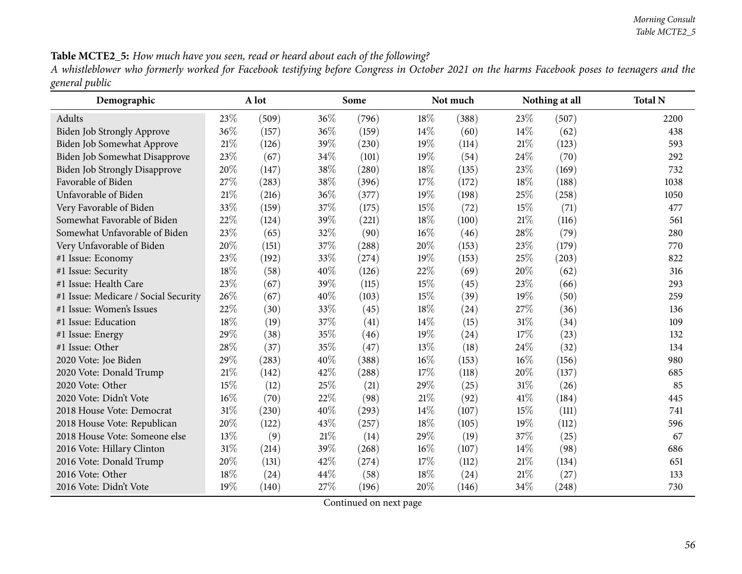## Table MCTE2\_5: How much have you seen, read or heard about each of the following?

A whistleblower who formerly worked for Facebook testifying before Congress in October 2021 on the harms Facebook poses to teenagers and the *genera<sup>l</sup> public*

| Demographic                          |        | A lot |        | Some                |        | Not much |        | Nothing at all | <b>Total N</b> |
|--------------------------------------|--------|-------|--------|---------------------|--------|----------|--------|----------------|----------------|
| Adults                               | 23%    | (509) | 36%    | (796)               | 18%    | (388)    | 23%    | (507)          | 2200           |
| <b>Biden Job Strongly Approve</b>    | 36%    | (157) | 36%    | (159)               | 14%    | (60)     | 14%    | (62)           | 438            |
| Biden Job Somewhat Approve           | 21%    | (126) | 39%    | (230)               | 19%    | (114)    | 21%    | (123)          | 593            |
| Biden Job Somewhat Disapprove        | 23%    | (67)  | 34%    | (101)               | 19%    | (54)     | 24%    | (70)           | 292            |
| <b>Biden Job Strongly Disapprove</b> | 20%    | (147) | 38%    | $\left( 280\right)$ | 18%    | (135)    | 23%    | (169)          | 732            |
| Favorable of Biden                   | 27%    | (283) | 38%    | (396)               | 17%    | (172)    | 18%    | (188)          | 1038           |
| Unfavorable of Biden                 | 21%    | (216) | 36%    | (377)               | 19%    | (198)    | 25%    | (258)          | 1050           |
| Very Favorable of Biden              | 33%    | (159) | 37%    | (175)               | 15%    | (72)     | 15%    | (71)           | 477            |
| Somewhat Favorable of Biden          | 22%    | (124) | 39%    | (221)               | 18%    | (100)    | $21\%$ | (116)          | 561            |
| Somewhat Unfavorable of Biden        | 23%    | (65)  | 32%    | (90)                | 16%    | (46)     | 28\%   | (79)           | 280            |
| Very Unfavorable of Biden            | 20%    | (151) | 37%    | (288)               | 20%    | (153)    | 23%    | (179)          | 770            |
| #1 Issue: Economy                    | 23%    | (192) | 33%    | (274)               | 19%    | (153)    | 25%    | (203)          | 822            |
| #1 Issue: Security                   | 18%    | (58)  | 40%    | (126)               | 22%    | (69)     | 20%    | (62)           | 316            |
| #1 Issue: Health Care                | 23%    | (67)  | 39%    | (115)               | 15%    | (45)     | 23%    | (66)           | 293            |
| #1 Issue: Medicare / Social Security | 26%    | (67)  | 40%    | (103)               | 15%    | (39)     | 19%    | (50)           | 259            |
| #1 Issue: Women's Issues             | 22%    | (30)  | 33%    | (45)                | 18%    | (24)     | 27%    | (36)           | 136            |
| #1 Issue: Education                  | 18%    | (19)  | 37%    | (41)                | 14\%   | (15)     | 31%    | (34)           | 109            |
| #1 Issue: Energy                     | 29%    | (38)  | 35%    | (46)                | 19%    | (24)     | 17%    | (23)           | 132            |
| #1 Issue: Other                      | 28%    | (37)  | 35%    | (47)                | 13%    | (18)     | 24%    | (32)           | 134            |
| 2020 Vote: Joe Biden                 | 29%    | (283) | 40%    | (388)               | 16%    | (153)    | 16%    | (156)          | 980            |
| 2020 Vote: Donald Trump              | 21%    | (142) | 42%    | (288)               | 17%    | (118)    | 20%    | (137)          | 685            |
| 2020 Vote: Other                     | 15%    | (12)  | 25%    | (21)                | 29%    | (25)     | 31%    | (26)           | 85             |
| 2020 Vote: Didn't Vote               | $16\%$ | (70)  | 22%    | (98)                | $21\%$ | (92)     | 41\%   | (184)          | 445            |
| 2018 House Vote: Democrat            | 31%    | (230) | 40%    | (293)               | 14%    | (107)    | 15%    | (111)          | 741            |
| 2018 House Vote: Republican          | 20%    | (122) | 43%    | (257)               | 18%    | (105)    | 19%    | (112)          | 596            |
| 2018 House Vote: Someone else        | 13%    | (9)   | $21\%$ | (14)                | 29%    | (19)     | 37%    | (25)           | 67             |
| 2016 Vote: Hillary Clinton           | 31%    | (214) | 39%    | (268)               | 16%    | (107)    | 14%    | (98)           | 686            |
| 2016 Vote: Donald Trump              | 20%    | (131) | 42%    | (274)               | 17%    | (112)    | 21%    | (134)          | 651            |
| 2016 Vote: Other                     | 18%    | (24)  | 44%    | (58)                | 18%    | (24)     | $21\%$ | (27)           | 133            |
| 2016 Vote: Didn't Vote               | 19%    | (140) | 27%    | (196)               | 20%    | (146)    | 34%    | (248)          | 730            |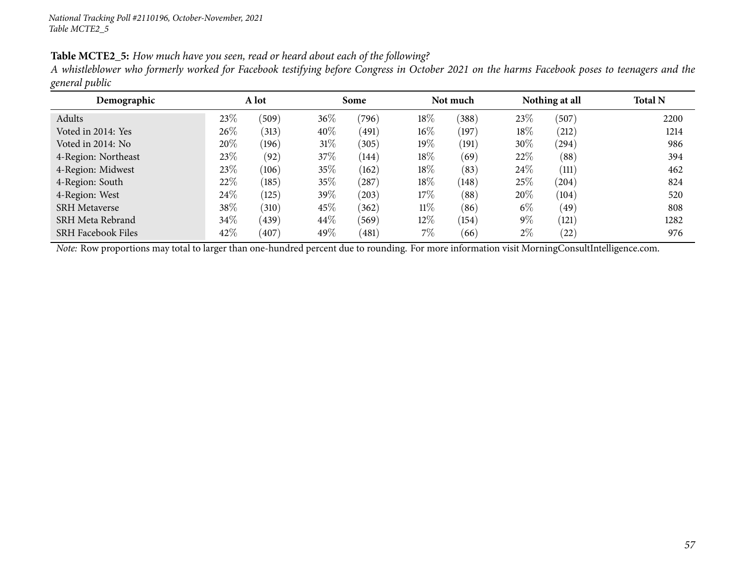#### Table MCTE2\_5: How much have you seen, read or heard about each of the following?

A whistleblower who formerly worked for Facebook testifying before Congress in October 2021 on the harms Facebook poses to teenagers and the *genera<sup>l</sup> public*

| Demographic               |        | A lot |        | Some  |        | Not much |        | Nothing at all | <b>Total N</b> |
|---------------------------|--------|-------|--------|-------|--------|----------|--------|----------------|----------------|
| Adults                    | 23\%   | (509) | 36\%   | (796) | 18%    | (388)    | 23\%   | (507)          | 2200           |
| Voted in 2014: Yes        | 26%    | (313) | 40%    | (491) | $16\%$ | (197)    | 18%    | (212)          | 1214           |
| Voted in 2014: No         | 20%    | (196) | $31\%$ | (305) | 19%    | (191)    | 30%    | (294)          | 986            |
| 4-Region: Northeast       | 23\%   | (92)  | 37\%   | (144) | 18%    | (69)     | 22%    | (88)           | 394            |
| 4-Region: Midwest         | 23\%   | (106) | 35%    | (162) | 18%    | (83)     | $24\%$ | (111)          | 462            |
| 4-Region: South           | 22\%   | (185) | 35%    | (287) | 18%    | (148)    | 25%    | (204)          | 824            |
| 4-Region: West            | 24\%   | (125) | 39%    | (203) | 17%    | (88)     | 20%    | (104)          | 520            |
| <b>SRH</b> Metaverse      | 38\%   | (310) | 45%    | (362) | $11\%$ | (86)     | $6\%$  | (49)           | 808            |
| SRH Meta Rebrand          | $34\%$ | (439) | 44\%   | (569) | $12\%$ | (154)    | $9\%$  | (121)          | 1282           |
| <b>SRH Facebook Files</b> | 42\%   | (407) | 49%    | (481) | 7%     | (66)     | $2\%$  | (22)           | 976            |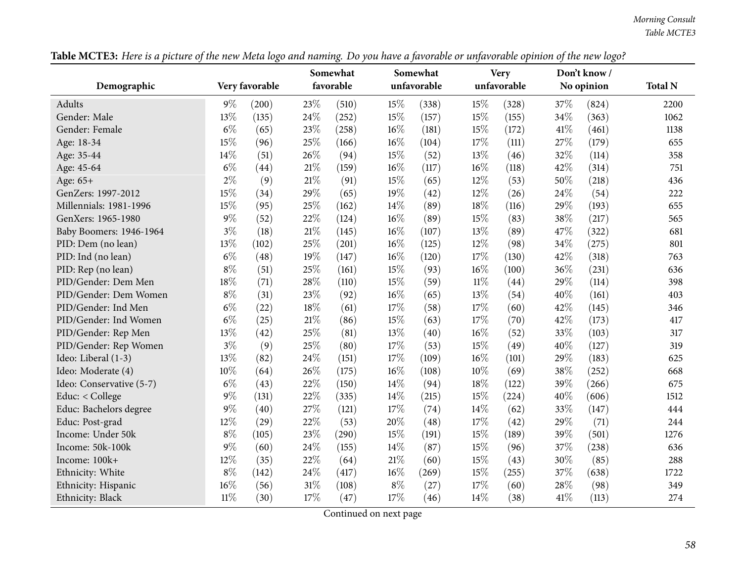|                          |        | ○              |        | ○<br>Somewhat |        | Somewhat    |        | <b>Very</b> |        | 0<br>Don't know / |                |
|--------------------------|--------|----------------|--------|---------------|--------|-------------|--------|-------------|--------|-------------------|----------------|
| Demographic              |        | Very favorable |        | favorable     |        | unfavorable |        | unfavorable |        | No opinion        | <b>Total N</b> |
| <b>Adults</b>            | $9\%$  | (200)          | 23%    | (510)         | 15%    | (338)       | 15%    | (328)       | 37%    | (824)             | 2200           |
| Gender: Male             | 13%    | (135)          | 24%    | (252)         | 15%    | (157)       | 15%    | (155)       | 34%    | (363)             | 1062           |
| Gender: Female           | $6\%$  | (65)           | 23%    | (258)         | 16%    | (181)       | 15%    | (172)       | 41\%   | (461)             | 1138           |
| Age: 18-34               | 15%    | (96)           | 25%    | (166)         | 16%    | (104)       | 17%    | (111)       | 27%    | (179)             | 655            |
| Age: 35-44               | 14%    | (51)           | 26%    | (94)          | 15%    | (52)        | 13%    | (46)        | 32%    | (114)             | 358            |
| Age: 45-64               | $6\%$  | (44)           | 21%    | (159)         | $16\%$ | (117)       | 16%    | (118)       | 42%    | (314)             | 751            |
| Age: 65+                 | $2\%$  | (9)            | $21\%$ | (91)          | 15%    | (65)        | 12%    | (53)        | 50%    | (218)             | 436            |
| GenZers: 1997-2012       | 15%    | (34)           | 29%    | (65)          | 19%    | (42)        | 12%    | (26)        | 24%    | (54)              | 222            |
| Millennials: 1981-1996   | 15%    | (95)           | 25%    | (162)         | 14%    | (89)        | $18\%$ | (116)       | 29%    | (193)             | 655            |
| GenXers: 1965-1980       | $9\%$  | (52)           | 22%    | (124)         | $16\%$ | (89)        | 15%    | (83)        | 38%    | (217)             | 565            |
| Baby Boomers: 1946-1964  | $3\%$  | (18)           | $21\%$ | (145)         | $16\%$ | (107)       | 13%    | (89)        | 47%    | (322)             | 681            |
| PID: Dem (no lean)       | 13%    | (102)          | 25%    | (201)         | 16%    | (125)       | 12%    | (98)        | 34%    | (275)             | 801            |
| PID: Ind (no lean)       | $6\%$  | (48)           | 19%    | (147)         | 16%    | (120)       | 17%    | (130)       | $42\%$ | (318)             | 763            |
| PID: Rep (no lean)       | $8\%$  | (51)           | 25%    | (161)         | 15%    | (93)        | 16%    | (100)       | 36%    | (231)             | 636            |
| PID/Gender: Dem Men      | 18%    | (71)           | 28%    | (110)         | 15%    | (59)        | $11\%$ | (44)        | 29%    | (114)             | 398            |
| PID/Gender: Dem Women    | $8\%$  | (31)           | 23%    | (92)          | 16%    | (65)        | 13%    | (54)        | 40%    | (161)             | 403            |
| PID/Gender: Ind Men      | $6\%$  | (22)           | 18%    | (61)          | 17%    | (58)        | 17%    | (60)        | 42%    | (145)             | 346            |
| PID/Gender: Ind Women    | $6\%$  | (25)           | $21\%$ | (86)          | 15%    | (63)        | 17%    | (70)        | 42%    | (173)             | 417            |
| PID/Gender: Rep Men      | 13%    | (42)           | 25%    | (81)          | 13%    | (40)        | 16%    | (52)        | 33%    | (103)             | 317            |
| PID/Gender: Rep Women    | $3\%$  | (9)            | 25%    | (80)          | 17%    | (53)        | 15%    | (49)        | 40%    | (127)             | 319            |
| Ideo: Liberal (1-3)      | 13%    | (82)           | 24%    | (151)         | 17%    | (109)       | 16%    | (101)       | 29%    | (183)             | 625            |
| Ideo: Moderate (4)       | $10\%$ | (64)           | 26%    | (175)         | 16%    | (108)       | 10%    | (69)        | 38%    | (252)             | 668            |
| Ideo: Conservative (5-7) | $6\%$  | (43)           | 22%    | (150)         | 14%    | (94)        | 18%    | (122)       | 39%    | (266)             | 675            |
| Educ: < College          | $9\%$  | (131)          | 22%    | (335)         | 14%    | (215)       | 15%    | (224)       | 40%    | (606)             | 1512           |
| Educ: Bachelors degree   | $9\%$  | (40)           | 27%    | (121)         | 17%    | (74)        | 14%    | (62)        | 33%    | (147)             | 444            |
| Educ: Post-grad          | 12%    | (29)           | 22%    | (53)          | 20%    | (48)        | 17%    | (42)        | 29%    | (71)              | 244            |
| Income: Under 50k        | $8\%$  | (105)          | 23%    | (290)         | 15%    | (191)       | 15%    | (189)       | 39%    | (501)             | 1276           |
| Income: 50k-100k         | $9\%$  | (60)           | 24%    | (155)         | 14%    | (87)        | 15%    | (96)        | 37%    | (238)             | 636            |
| Income: 100k+            | 12%    | (35)           | 22%    | (64)          | 21%    | (60)        | 15%    | (43)        | 30%    | (85)              | 288            |
| Ethnicity: White         | $8\%$  | (142)          | 24%    | (417)         | 16%    | (269)       | 15%    | (255)       | 37%    | (638)             | 1722           |
| Ethnicity: Hispanic      | $16\%$ | (56)           | $31\%$ | (108)         | $8\%$  | (27)        | 17%    | (60)        | 28%    | (98)              | 349            |
| Ethnicity: Black         | $11\%$ | (30)           | 17%    | (47)          | 17%    | (46)        | 14\%   | (38)        | 41\%   | (113)             | 274            |

Table MCTE3: Here is a picture of the new Meta logo and naming. Do you have a favorable or unfavorable opinion of the new logo?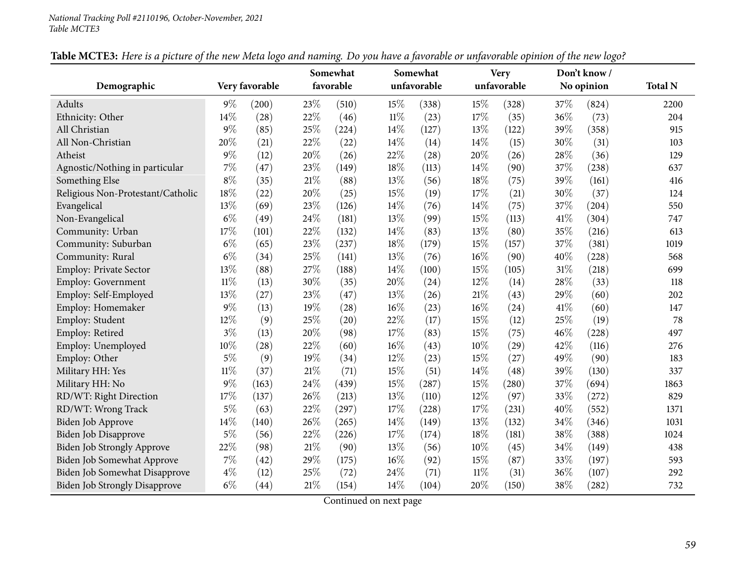| Demographic                          |        | Very favorable |        | Somewhat<br>favorable |        | Somewhat<br>unfavorable |        | <b>Very</b><br>unfavorable |      | Don't know /<br>No opinion | <b>Total N</b> |
|--------------------------------------|--------|----------------|--------|-----------------------|--------|-------------------------|--------|----------------------------|------|----------------------------|----------------|
|                                      |        |                |        |                       |        |                         |        |                            |      |                            |                |
| Adults                               | $9\%$  | (200)          | 23%    | (510)                 | 15%    | (338)                   | 15%    | (328)                      | 37%  | (824)                      | 2200           |
| Ethnicity: Other                     | 14%    | (28)           | 22%    | (46)                  | $11\%$ | (23)                    | 17%    | (35)                       | 36%  | (73)                       | 204            |
| All Christian                        | $9\%$  | (85)           | 25%    | (224)                 | 14%    | (127)                   | 13%    | (122)                      | 39%  | (358)                      | 915            |
| All Non-Christian                    | 20%    | (21)           | 22%    | (22)                  | 14%    | (14)                    | 14%    | (15)                       | 30%  | (31)                       | 103            |
| Atheist                              | $9\%$  | (12)           | 20%    | (26)                  | 22%    | (28)                    | 20%    | (26)                       | 28%  | (36)                       | 129            |
| Agnostic/Nothing in particular       | $7\%$  | (47)           | 23%    | (149)                 | 18%    | (113)                   | 14\%   | (90)                       | 37%  | (238)                      | 637            |
| Something Else                       | $8\%$  | (35)           | $21\%$ | (88)                  | 13%    | (56)                    | 18%    | (75)                       | 39%  | (161)                      | 416            |
| Religious Non-Protestant/Catholic    | $18\%$ | (22)           | 20%    | (25)                  | 15%    | (19)                    | 17%    | (21)                       | 30%  | (37)                       | 124            |
| Evangelical                          | 13%    | (69)           | 23%    | (126)                 | 14%    | (76)                    | 14%    | (75)                       | 37%  | (204)                      | 550            |
| Non-Evangelical                      | $6\%$  | (49)           | 24%    | (181)                 | 13%    | (99)                    | 15%    | (113)                      | 41\% | (304)                      | 747            |
| Community: Urban                     | 17%    | (101)          | 22%    | (132)                 | 14%    | (83)                    | 13%    | (80)                       | 35%  | (216)                      | 613            |
| Community: Suburban                  | $6\%$  | (65)           | 23%    | (237)                 | 18%    | (179)                   | 15%    | (157)                      | 37%  | (381)                      | 1019           |
| Community: Rural                     | $6\%$  | (34)           | 25%    | (141)                 | 13%    | (76)                    | 16%    | (90)                       | 40%  | (228)                      | 568            |
| <b>Employ: Private Sector</b>        | 13%    | (88)           | 27%    | (188)                 | 14%    | (100)                   | 15%    | (105)                      | 31%  | (218)                      | 699            |
| <b>Employ: Government</b>            | $11\%$ | (13)           | 30%    | (35)                  | 20%    | (24)                    | 12%    | (14)                       | 28%  | (33)                       | 118            |
| Employ: Self-Employed                | 13%    | (27)           | 23%    | (47)                  | 13%    | (26)                    | $21\%$ | (43)                       | 29%  | (60)                       | 202            |
| Employ: Homemaker                    | $9\%$  | (13)           | 19%    | (28)                  | 16%    | (23)                    | 16%    | (24)                       | 41%  | (60)                       | 147            |
| Employ: Student                      | 12%    | (9)            | 25%    | (20)                  | 22%    | (17)                    | 15%    | (12)                       | 25%  | (19)                       | 78             |
| Employ: Retired                      | $3\%$  | (13)           | 20%    | (98)                  | 17%    | (83)                    | 15%    | (75)                       | 46%  | (228)                      | 497            |
| Employ: Unemployed                   | 10%    | (28)           | 22%    | (60)                  | 16%    | (43)                    | 10%    | (29)                       | 42%  | (116)                      | 276            |
| Employ: Other                        | $5\%$  | (9)            | 19%    | (34)                  | 12%    | (23)                    | 15%    | (27)                       | 49%  | (90)                       | 183            |
| Military HH: Yes                     | $11\%$ | (37)           | 21%    | (71)                  | 15%    | (51)                    | 14%    | (48)                       | 39%  | (130)                      | 337            |
| Military HH: No                      | $9\%$  | (163)          | 24%    | (439)                 | 15%    | (287)                   | 15%    | (280)                      | 37%  | (694)                      | 1863           |
| RD/WT: Right Direction               | 17%    | (137)          | 26%    | (213)                 | 13%    | (110)                   | 12%    | (97)                       | 33%  | (272)                      | 829            |
| RD/WT: Wrong Track                   | $5\%$  | (63)           | 22%    | (297)                 | 17%    | (228)                   | 17%    | (231)                      | 40%  | (552)                      | 1371           |
| Biden Job Approve                    | 14%    | (140)          | 26%    | (265)                 | 14%    | (149)                   | 13%    | (132)                      | 34%  | (346)                      | 1031           |
| <b>Biden Job Disapprove</b>          | $5\%$  | (56)           | 22%    | (226)                 | 17%    | (174)                   | 18%    | (181)                      | 38%  | (388)                      | 1024           |
| <b>Biden Job Strongly Approve</b>    | 22%    | (98)           | $21\%$ | (90)                  | 13%    | (56)                    | 10%    | (45)                       | 34%  | (149)                      | 438            |
| <b>Biden Job Somewhat Approve</b>    | 7%     | (42)           | 29%    | (175)                 | 16%    | (92)                    | 15%    | (87)                       | 33%  | (197)                      | 593            |
| Biden Job Somewhat Disapprove        | $4\%$  | (12)           | 25%    | (72)                  | 24%    | (71)                    | $11\%$ | (31)                       | 36%  | (107)                      | 292            |
| <b>Biden Job Strongly Disapprove</b> | $6\%$  | (44)           | 21%    | (154)                 | 14%    | (104)                   | 20%    | (150)                      | 38%  | (282)                      | 732            |

Table MCTE3: Here is a picture of the new Meta logo and naming. Do you have a favorable or unfavorable opinion of the new logo?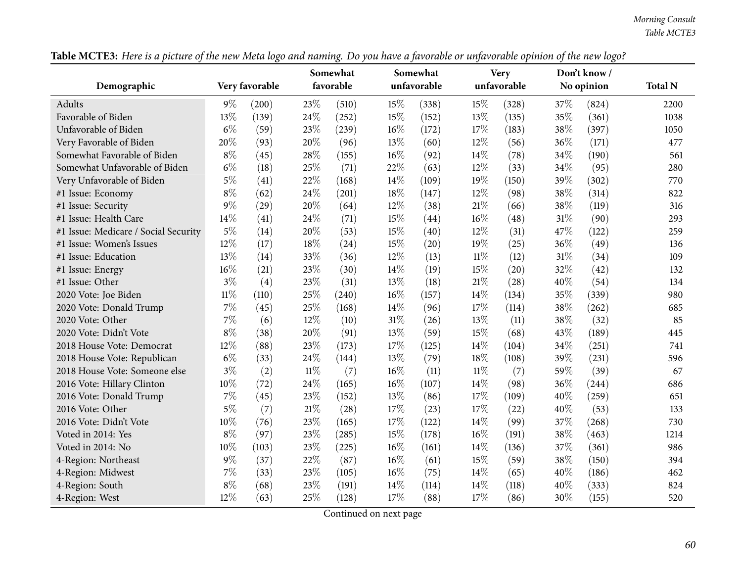|                                      |        | 0              |        | Somewhat  |        | Somewhat    |        | <b>Very</b> |        | 0<br>Don't know / |                |
|--------------------------------------|--------|----------------|--------|-----------|--------|-------------|--------|-------------|--------|-------------------|----------------|
| Demographic                          |        | Very favorable |        | favorable |        | unfavorable |        | unfavorable |        | No opinion        | <b>Total N</b> |
| Adults                               | $9\%$  | (200)          | 23%    | (510)     | 15%    | (338)       | 15%    | (328)       | 37\%   | (824)             | 2200           |
| Favorable of Biden                   | 13%    | (139)          | 24%    | (252)     | 15%    | (152)       | 13%    | (135)       | 35%    | (361)             | 1038           |
| Unfavorable of Biden                 | $6\%$  | (59)           | 23%    | (239)     | $16\%$ | (172)       | 17%    | (183)       | 38%    | (397)             | 1050           |
| Very Favorable of Biden              | 20%    | (93)           | 20%    | (96)      | 13%    | (60)        | 12%    | (56)        | 36%    | (171)             | 477            |
| Somewhat Favorable of Biden          | $8\%$  | (45)           | 28%    | (155)     | 16%    | (92)        | 14%    | (78)        | 34%    | (190)             | 561            |
| Somewhat Unfavorable of Biden        | $6\%$  | (18)           | 25%    | (71)      | 22%    | (63)        | 12%    | (33)        | 34%    | (95)              | 280            |
| Very Unfavorable of Biden            | $5\%$  | (41)           | 22%    | (168)     | 14%    | (109)       | 19%    | (150)       | 39%    | (302)             | 770            |
| #1 Issue: Economy                    | $8\%$  | (62)           | 24%    | (201)     | 18%    | (147)       | 12%    | (98)        | 38%    | (314)             | 822            |
| #1 Issue: Security                   | $9\%$  | (29)           | 20%    | (64)      | 12%    | (38)        | 21%    | (66)        | 38%    | (119)             | 316            |
| #1 Issue: Health Care                | 14%    | (41)           | 24%    | (71)      | 15%    | (44)        | 16%    | (48)        | $31\%$ | (90)              | 293            |
| #1 Issue: Medicare / Social Security | $5\%$  | (14)           | 20%    | (53)      | 15%    | (40)        | 12%    | (31)        | 47%    | (122)             | 259            |
| #1 Issue: Women's Issues             | 12%    | (17)           | 18%    | (24)      | 15%    | (20)        | 19%    | (25)        | 36%    | (49)              | 136            |
| #1 Issue: Education                  | 13%    | (14)           | 33%    | (36)      | 12%    | (13)        | $11\%$ | (12)        | 31%    | (34)              | 109            |
| #1 Issue: Energy                     | $16\%$ | (21)           | 23%    | (30)      | 14%    | (19)        | 15%    | (20)        | 32%    | (42)              | 132            |
| #1 Issue: Other                      | $3\%$  | (4)            | 23%    | (31)      | 13%    | (18)        | $21\%$ | (28)        | 40%    | (54)              | 134            |
| 2020 Vote: Joe Biden                 | $11\%$ | (110)          | 25%    | (240)     | 16%    | (157)       | 14%    | (134)       | 35%    | (339)             | 980            |
| 2020 Vote: Donald Trump              | $7\%$  | (45)           | 25%    | (168)     | 14%    | (96)        | 17%    | (114)       | 38%    | (262)             | 685            |
| 2020 Vote: Other                     | $7\%$  | (6)            | 12%    | (10)      | 31%    | (26)        | 13%    | (11)        | 38%    | (32)              | 85             |
| 2020 Vote: Didn't Vote               | $8\%$  | (38)           | 20%    | (91)      | 13%    | (59)        | 15%    | (68)        | 43%    | (189)             | 445            |
| 2018 House Vote: Democrat            | 12%    | (88)           | 23%    | (173)     | 17%    | (125)       | 14%    | (104)       | 34%    | (251)             | 741            |
| 2018 House Vote: Republican          | $6\%$  | (33)           | 24%    | (144)     | 13%    | (79)        | 18%    | (108)       | 39%    | (231)             | 596            |
| 2018 House Vote: Someone else        | $3\%$  | (2)            | $11\%$ | (7)       | 16%    | (11)        | $11\%$ | (7)         | 59%    | (39)              | 67             |
| 2016 Vote: Hillary Clinton           | 10%    | (72)           | 24%    | (165)     | $16\%$ | (107)       | 14%    | (98)        | 36%    | (244)             | 686            |
| 2016 Vote: Donald Trump              | $7\%$  | (45)           | 23%    | (152)     | 13%    | (86)        | 17%    | (109)       | 40%    | (259)             | 651            |
| 2016 Vote: Other                     | $5\%$  | (7)            | 21%    | (28)      | 17%    | (23)        | 17%    | (22)        | 40%    | (53)              | 133            |
| 2016 Vote: Didn't Vote               | 10%    | (76)           | 23%    | (165)     | 17%    | (122)       | 14%    | (99)        | 37%    | (268)             | 730            |
| Voted in 2014: Yes                   | $8\%$  | (97)           | 23%    | (285)     | 15%    | (178)       | 16%    | (191)       | 38%    | (463)             | 1214           |
| Voted in 2014: No                    | $10\%$ | (103)          | 23%    | (225)     | 16%    | (161)       | 14%    | (136)       | 37%    | (361)             | 986            |
| 4-Region: Northeast                  | $9\%$  | (37)           | 22%    | (87)      | 16%    | (61)        | 15%    | (59)        | 38%    | (150)             | 394            |
| 4-Region: Midwest                    | $7\%$  | (33)           | 23%    | (105)     | 16%    | (75)        | $14\%$ | (65)        | 40%    | (186)             | 462            |
| 4-Region: South                      | $8\%$  | (68)           | 23%    | (191)     | 14%    | (114)       | 14%    | (118)       | 40%    | (333)             | 824            |
| 4-Region: West                       | 12%    | (63)           | 25%    | (128)     | 17%    | (88)        | 17%    | (86)        | 30%    | (155)             | 520            |

Table MCTE3: Here is a picture of the new Meta logo and naming. Do you have a favorable or unfavorable opinion of the new logo?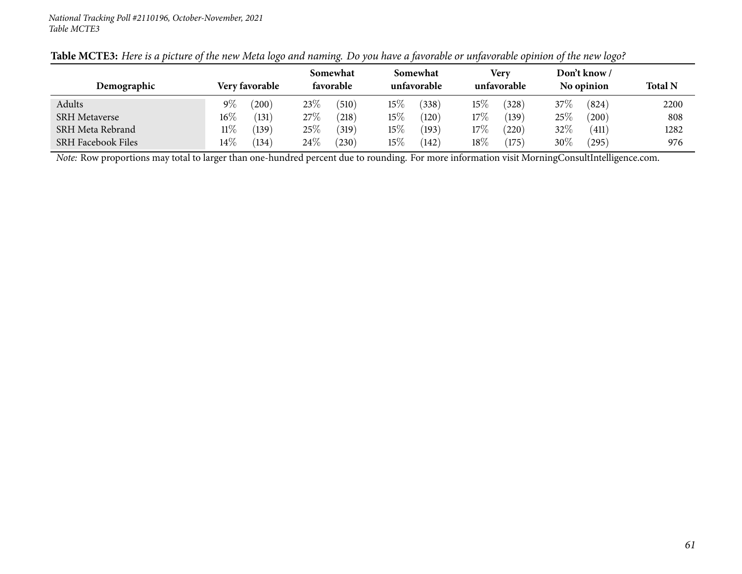| Demographic               |        | <b>Very favorable</b> |        | Somewhat<br>favorable |        | Somewhat<br>unfavorable |        | Very<br>unfavorable |         | Don't know /<br>No opinion | <b>Total N</b> |
|---------------------------|--------|-----------------------|--------|-----------------------|--------|-------------------------|--------|---------------------|---------|----------------------------|----------------|
| Adults                    | $9\%$  | $^{\prime}200)$       | $23\%$ | (510)                 | $15\%$ | (338)                   | $15\%$ | (328)               | 37 $\%$ | (824)                      | 2200           |
| <b>SRH Metaverse</b>      | $16\%$ | (131)                 | 27\%   | (218)                 | $15\%$ | (120)                   | $17\%$ | (139)               | 25\%    | (200)                      | 808            |
| SRH Meta Rebrand          | $11\%$ | (139)                 | $25\%$ | (319)                 | $15\%$ | (193)                   | $17\%$ | (220)               | $32\%$  | (411)                      | 1282           |
| <b>SRH Facebook Files</b> | $14\%$ | (134)                 | $24\%$ | $^{'}230)$            | $15\%$ | (142)                   | $18\%$ | (175)               | $30\%$  | (295)                      | 976            |

# Table MCTE3: Here is a picture of the new Meta logo and naming. Do you have a favorable or unfavorable opinion of the new logo?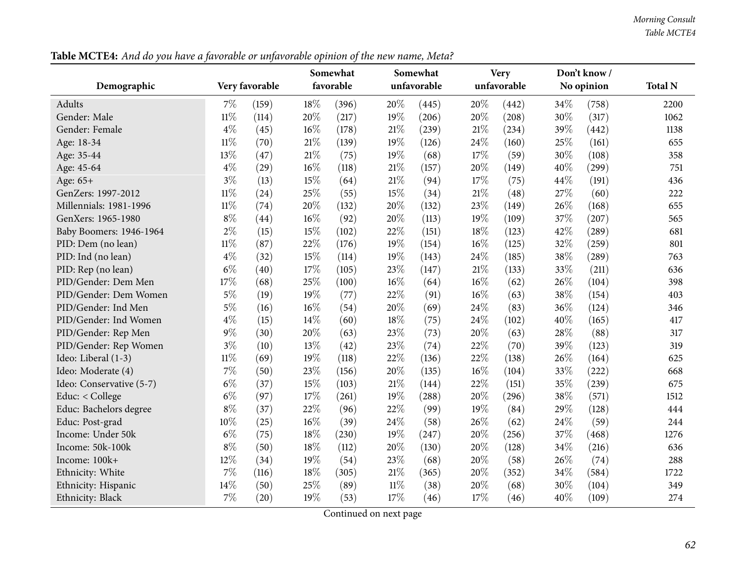*Morning Consult Table MCTE4*

**Demographic Very favorable Somewhat favorableSomewhat unfavorableVery unfavorableDon't know / No opinion Total <sup>N</sup>**Adults**s**  $7\%$  (159)  $18\%$   $(396)$   $20\%$   $(445)$   $20\%$   $(442)$   $34\%$   $(758)$  2200 1062 Gender: Male 11% (114)  $20\%$  (217)  $19\%$  (206)  $20\%$  (208)  $30\%$  (317) 1062 Gender: Female 2010 21% (45)  $4\%$  (45)  $16\%$  (178)  $21\%$  (239)  $21\%$  (234)  $39\%$  (442) 1138 Age: 18-34 11% (70)  $21\%$  (139)  $19\%$  (126)  $24\%$  (160)  $25\%$  (161) 655 Age: 35-44 13% (47)  $21\%$  (75)  $19\%$  (68)  $17\%$  (59)  $30\%$  (108) 358 Age: 45-64  $4\%$  (29)  $16\%$  (118)  $21\%$  (157)  $20\%$  (149)  $40\%$  (299) 751 Age: 65+<br>GenZers: 1997-2012  $+$  3<sup>9</sup><sub>0</sub> (13) 15<sup>9</sup><sub>0</sub> (64) 21<sup>9</sup><sub>0</sub> (94) 17<sup>9</sup><sub>0</sub> (75) 44<sup>9</sup><sub>0</sub> (191) 436 GenZers: 1997-2012 11% (24) 25% (55) 15% (34) 21% (48) 27% (60) 222 Millennials: 1981-1996 <sup>11</sup>% (74) <sup>20</sup>% (132) <sup>20</sup>% (132) <sup>23</sup>% (149) <sup>26</sup>% (168) <sup>655</sup> GenXers: 1965-1980  $8\%$   $(44)$   $16\%$   $(92)$   $20\%$   $(113)$   $19\%$   $(109)$   $37\%$   $(207)$  565 Baby Boomers: 1946-1964 2% (15) 15% (102) 22% (151) 18% (123) 42% (289) 681<br>PID: Dem (no lean) 11% (87) 22% (176) 19% (154) 16% (125) 32% (259) 801 PID: Dem (no lean) <sup>11</sup>% (87) <sup>22</sup>% (176) <sup>19</sup>% (154) <sup>16</sup>% (125) <sup>32</sup>% (259) <sup>801</sup> PID: Ind (no lean) <sup>4</sup>% (32) <sup>15</sup>% (114) <sup>19</sup>% (143) <sup>24</sup>% (185) <sup>38</sup>% (289) <sup>763</sup> PID: Rep (no lean) 6% (40) 17% (105) 23% (147) 21% (133) 33% (211) 636 398 PID/Gender: Dem Men $\text{n}$  17% (68) 25% (100) 16% (64) 16% (62) 26% (104) 398 PID/Gender: Dem Women $\mathsf{n}$  5% (19)  $19\%$  (77)  $22\%$  (91)  $16\%$  (63)  $38\%$  (154)  $403$ PID/Gender: Ind Menn 5% (16)  $16\%$  (54)  $20\%$  (69)  $24\%$  (83)  $36\%$  (124) 346 PID/Gender: Ind Womenn  $4\%$  (15)  $14\%$  (60)  $18\%$  (75)  $24\%$  (102)  $40\%$  (165)  $417$ PID/Gender: Rep Menn 9% (30)  $20\%$  (63)  $23\%$  (73)  $20\%$  (63)  $28\%$  (88) 317 PID/Gender: Rep Women<br>Ideo: Liberal (1-3)  $\textbf{n}$  3% (10)  $13\%$  (42)  $23\%$  (74)  $22\%$  (70)  $39\%$  (123) 319 Ideo: Liberal (1-3) <sup>11</sup>% (69) <sup>19</sup>% (118) <sup>22</sup>% (136) <sup>22</sup>% (138) <sup>26</sup>% (164) <sup>625</sup> Ideo: Moderate (4)  $7\%$  (50)  $23\%$  (156)  $20\%$  (135)  $16\%$  (104)  $33\%$  (222) 668 Ideo: Conservative (5-7) 6% (37) 15% (103) 21% (144) 22% (151) 35% (239) 675<br>
Educ: < College 6% (97) 17% (261) 19% (288) 20% (296) 38% (571) 1512 Educ: < College  $6\%$   $(97)$   $17\%$   $(261)$   $19\%$   $(288)$   $20\%$   $(296)$   $38\%$   $(571)$   $1512$ Educ: Bachelors degree <sup>8</sup>% (37) <sup>22</sup>% (96) <sup>22</sup>% (99) <sup>19</sup>% (84) <sup>29</sup>% (128) <sup>444</sup>244 Educ: Post-gradd  $10\%$  (25)  $16\%$  (39)  $24\%$  (58)  $26\%$  (62)  $24\%$  (59)  $244$ Income: Under 50kk 6% (75)  $18\%$  (230)  $19\%$  (247)  $20\%$  (256)  $37\%$  (468)  $1276$ Income: 50k-100kk  $8\%$  (50)  $18\%$  (112)  $20\%$  (130)  $20\%$  (128)  $34\%$  (216) 636 Income: 100k+<br>Ethnicity: White  $+$  12% (34) 19% (54) 23% (68) 20% (58) 26% (74) 288 Ethnicity: White <sup>7</sup>% (116) <sup>18</sup>% (305) <sup>21</sup>% (365) <sup>20</sup>% (352) <sup>34</sup>% (584) <sup>1722</sup> Ethnicity: Hispanic 214% (50) 25% (89)  $11\%$  (38)  $20\%$  (68)  $30\%$  (104) 349 274 Ethnicity: Blackk  $\mathbf{k}$  7% (20) 19% (53) 17% (46) 17% (46) 40% (109) 274

Table MCTE4: And do you have a favorable or unfavorable opinion of the new name, Meta?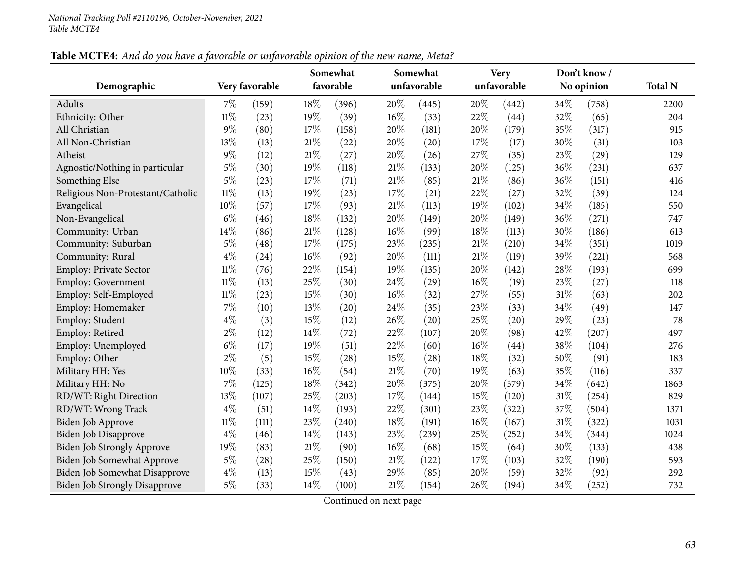|                                      |        |                |        | Somewhat  |        | Somewhat    |        | <b>Very</b> |     | Don't know/ |                |
|--------------------------------------|--------|----------------|--------|-----------|--------|-------------|--------|-------------|-----|-------------|----------------|
| Demographic                          |        | Very favorable |        | favorable |        | unfavorable |        | unfavorable |     | No opinion  | <b>Total N</b> |
| Adults                               | 7%     | (159)          | 18%    | (396)     | 20%    | (445)       | 20%    | (442)       | 34% | (758)       | 2200           |
| Ethnicity: Other                     | $11\%$ | (23)           | 19%    | (39)      | 16%    | (33)        | 22%    | (44)        | 32% | (65)        | 204            |
| All Christian                        | $9\%$  | (80)           | 17%    | (158)     | 20%    | (181)       | 20%    | (179)       | 35% | (317)       | 915            |
| All Non-Christian                    | 13%    | (13)           | $21\%$ | (22)      | 20%    | (20)        | 17%    | (17)        | 30% | (31)        | 103            |
| Atheist                              | $9\%$  | (12)           | $21\%$ | (27)      | 20%    | (26)        | 27%    | (35)        | 23% | (29)        | 129            |
| Agnostic/Nothing in particular       | $5\%$  | (30)           | 19%    | (118)     | $21\%$ | (133)       | 20%    | (125)       | 36% | (231)       | 637            |
| Something Else                       | $5\%$  | (23)           | 17%    | (71)      | 21%    | (85)        | 21%    | (86)        | 36% | (151)       | 416            |
| Religious Non-Protestant/Catholic    | $11\%$ | (13)           | 19%    | (23)      | 17%    | (21)        | 22%    | (27)        | 32% | (39)        | 124            |
| Evangelical                          | $10\%$ | (57)           | 17%    | (93)      | $21\%$ | (113)       | 19%    | (102)       | 34% | (185)       | 550            |
| Non-Evangelical                      | $6\%$  | (46)           | 18%    | (132)     | 20%    | (149)       | 20%    | (149)       | 36% | (271)       | 747            |
| Community: Urban                     | 14%    | (86)           | $21\%$ | (128)     | 16%    | (99)        | 18%    | (113)       | 30% | (186)       | 613            |
| Community: Suburban                  | $5\%$  | (48)           | 17%    | (175)     | 23%    | (235)       | 21%    | (210)       | 34% | (351)       | 1019           |
| Community: Rural                     | $4\%$  | (24)           | 16%    | (92)      | 20%    | (111)       | 21%    | (119)       | 39% | (221)       | 568            |
| <b>Employ: Private Sector</b>        | $11\%$ | (76)           | 22%    | (154)     | 19%    | (135)       | 20%    | (142)       | 28% | (193)       | 699            |
| Employ: Government                   | $11\%$ | (13)           | 25%    | (30)      | 24%    | (29)        | $16\%$ | (19)        | 23% | (27)        | 118            |
| Employ: Self-Employed                | $11\%$ | (23)           | $15\%$ | (30)      | 16%    | (32)        | 27%    | (55)        | 31% | (63)        | 202            |
| Employ: Homemaker                    | 7%     | (10)           | 13%    | (20)      | 24%    | (35)        | 23%    | (33)        | 34% | (49)        | 147            |
| Employ: Student                      | $4\%$  | (3)            | 15%    | (12)      | 26%    | (20)        | 25%    | (20)        | 29% | (23)        | 78             |
| Employ: Retired                      | $2\%$  | (12)           | 14%    | (72)      | 22%    | (107)       | 20%    | (98)        | 42% | (207)       | 497            |
| Employ: Unemployed                   | $6\%$  | (17)           | 19%    | (51)      | 22%    | (60)        | $16\%$ | (44)        | 38% | (104)       | 276            |
| Employ: Other                        | $2\%$  | (5)            | 15%    | (28)      | 15%    | (28)        | 18%    | (32)        | 50% | (91)        | 183            |
| Military HH: Yes                     | 10%    | (33)           | 16%    | (54)      | $21\%$ | (70)        | 19%    | (63)        | 35% | (116)       | 337            |
| Military HH: No                      | 7%     | (125)          | $18\%$ | (342)     | 20%    | (375)       | 20%    | (379)       | 34% | (642)       | 1863           |
| RD/WT: Right Direction               | 13%    | (107)          | 25%    | (203)     | 17%    | (144)       | 15%    | (120)       | 31% | (254)       | 829            |
| RD/WT: Wrong Track                   | $4\%$  | (51)           | 14%    | (193)     | 22%    | (301)       | 23%    | (322)       | 37% | (504)       | 1371           |
| Biden Job Approve                    | $11\%$ | (111)          | 23%    | (240)     | 18%    | (191)       | 16%    | (167)       | 31% | (322)       | 1031           |
| <b>Biden Job Disapprove</b>          | $4\%$  | (46)           | 14%    | (143)     | 23%    | (239)       | 25%    | (252)       | 34% | (344)       | 1024           |
| <b>Biden Job Strongly Approve</b>    | 19%    | (83)           | $21\%$ | (90)      | 16%    | (68)        | 15%    | (64)        | 30% | (133)       | 438            |
| Biden Job Somewhat Approve           | $5\%$  | (28)           | 25%    | (150)     | $21\%$ | (122)       | 17%    | (103)       | 32% | (190)       | 593            |
| Biden Job Somewhat Disapprove        | $4\%$  | (13)           | 15%    | (43)      | 29%    | (85)        | 20%    | (59)        | 32% | (92)        | 292            |
| <b>Biden Job Strongly Disapprove</b> | $5\%$  | (33)           | 14%    | (100)     | 21%    | (154)       | 26%    | (194)       | 34% | (252)       | 732            |

Table MCTE4: And do you have a favorable or unfavorable opinion of the new name, Meta?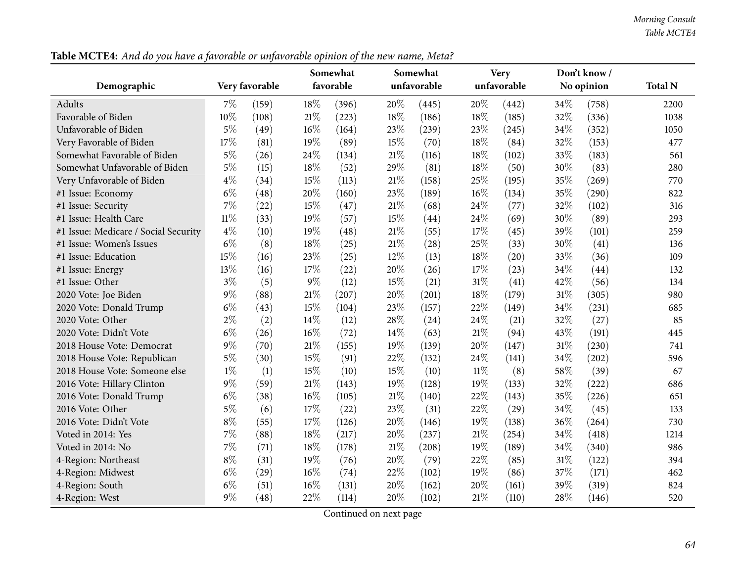#### *Morning Consult Table MCTE4*

**Demographic Very favorable Somewhat favorableSomewhat unfavorableVery unfavorableDon't know / No opinion Total <sup>N</sup>**Adults**s**  $7\%$  (159)  $18\%$   $(396)$   $20\%$   $(445)$   $20\%$   $(442)$   $34\%$   $(758)$  2200 1038 Favorable of Biden $10\%$  (108)  $21\%$  (223)  $18\%$  (186)  $18\%$  (185)  $32\%$  (336) 1038 Unfavorable of Biden $\mathsf{n}$  5% (49)  $16\%$  (164)  $23\%$  (239)  $23\%$  (245)  $34\%$  (352) 1050 Very Favorable of Biden $\textbf{n}$  17% (81) 19% (89) 15% (70) 18% (84) 32% (153) 477 Somewhat Favorable of Biden $\text{n}$  5% (26) 24% (134) 21% (116) 18% (102) 33% (183) 561 Somewhat Unfavorable of Biden $n \t 5\%$  (15)  $18\%$  (52)  $29\%$  (81)  $18\%$  (50)  $30\%$  (83) 280 Very Unfavorable of Biden $\mathbf{n}$   $\mathbf{4\%}$   $(34)$   $15\%$   $(113)$   $21\%$   $(158)$   $25\%$   $(195)$   $35\%$   $(269)$  770 #1 Issue: Economy <sup>6</sup>% (48) <sup>20</sup>% (160) <sup>23</sup>% (189) <sup>16</sup>% (134) <sup>35</sup>% (290) <sup>822</sup> #1 Issue: Security <sup>7</sup>% (22) <sup>15</sup>% (47) <sup>21</sup>% (68) <sup>24</sup>% (77) <sup>32</sup>% (102) <sup>316</sup>293 #1 Issue: Health Care <sup>11</sup>% (33) <sup>19</sup>% (57) <sup>15</sup>% (44) <sup>24</sup>% (69) <sup>30</sup>% (89) <sup>293</sup> #1 Issue: Medicare / Social Security <sup>4</sup>% (10) <sup>19</sup>% (48) <sup>21</sup>% (55) <sup>17</sup>% (45) <sup>39</sup>% (101) <sup>259</sup>136 #1 Issue: Women's Issues  $6\%$   $(8)$   $18\%$   $(25)$   $21\%$   $(28)$   $25\%$   $(33)$   $30\%$   $(41)$   $136$ 109 #1 Issue: Education $\text{n}$  15% (16) 23% (25) 12% (13) 18% (20) 33% (36) 109 #1 Issue: Energy <sup>13</sup>% (16) <sup>17</sup>% (22) <sup>20</sup>% (26) <sup>17</sup>% (23) <sup>34</sup>% (44) <sup>132</sup> #1 Issue: Other  $3\%$  (5)  $9\%$  (12)  $15\%$  (21)  $31\%$  (41)  $42\%$  (56) 134 980 <sup>2020</sup> Vote: Joe Bidenn 9% (88) 21% (207) 20% (201) 18% (179) 31% (305) 980 <sup>2020</sup> Vote: Donald Trump $p$  6% (43) 15% (104) 23% (157) 22% (149) 34% (231) 685 2020 Vote: Other 2% (2)  $14\%$  (12)  $28\%$  (24)  $24\%$  (21)  $32\%$  (27) 85 2020 Vote: Didn't Vote  $6\%$   $(26)$   $16\%$   $(72)$   $14\%$   $(63)$   $21\%$   $(94)$   $43\%$   $(191)$   $445$  $2018$  House Vote: Democrat  $9\%$  (70)  $21\%$  (155)  $19\%$  (139)  $20\%$  (147)  $31\%$  (230) 741<br> $2018$  House Vote: Republican  $5\%$  (30)  $15\%$  (91)  $22\%$  (132)  $24\%$  (141)  $34\%$  (202) 596 <sup>2018</sup> House Vote: Republican $\text{n}$  5% (30)  $15\%$  (91)  $22\%$  (132)  $24\%$  (141)  $34\%$  (202) 596 2018 House Vote: Someone else  $1\%$  (1)  $15\%$  (10)  $15\%$  (10)  $11\%$  (8)  $58\%$  (39) 67<br>2016 Vote: Hillary Clinton 9% (59)  $21\%$  (143)  $19\%$  (128)  $19\%$  (133)  $32\%$  (222) 686 <sup>2016</sup> Vote: Hillary Clintonn 9% (59) 21% (143) 19% (128) 19% (133) 32% (222) 686 <sup>2016</sup> Vote: Donald Trump $p$  6% (38) 16% (105) 21% (140) 22% (143) 35% (226) 651 2016 Vote: Other 5% (6)  $17\%$  (22)  $23\%$  (31)  $22\%$  (29)  $34\%$  (45) 133 <sup>2016</sup> Vote: Didn't Vote <sup>8</sup>% (55) <sup>17</sup>% (126) <sup>20</sup>% (146) <sup>19</sup>% (138) <sup>36</sup>% (264) <sup>730</sup>1214 Voted in 2014: Yes <sup>7</sup>% (88) <sup>18</sup>% (217) <sup>20</sup>% (237) <sup>21</sup>% (254) <sup>34</sup>% (418) <sup>1214</sup>986 Voted in 2014: No <sup>7</sup>% (71) <sup>18</sup>% (178) <sup>21</sup>% (208) <sup>19</sup>% (189) <sup>34</sup>% (340) <sup>986</sup> 4-Region: Northeast <sup>8</sup>% (31) <sup>19</sup>% (76) <sup>20</sup>% (79) <sup>22</sup>% (85) <sup>31</sup>% (122) <sup>394</sup>462 4-Region: Midwest <sup>6</sup>% (29) <sup>16</sup>% (74) <sup>22</sup>% (102) <sup>19</sup>% (86) <sup>37</sup>% (171) <sup>462</sup> 4-Region: Southh 6% (51)  $16\%$  (131)  $20\%$  (162)  $20\%$  (161)  $39\%$  (319) 824 4-Region: West <sup>9</sup>% (48) <sup>22</sup>% (114) <sup>20</sup>% (102) <sup>21</sup>% (110) <sup>28</sup>% (146) <sup>520</sup>

Table MCTE4: And do you have a favorable or unfavorable opinion of the new name, Meta?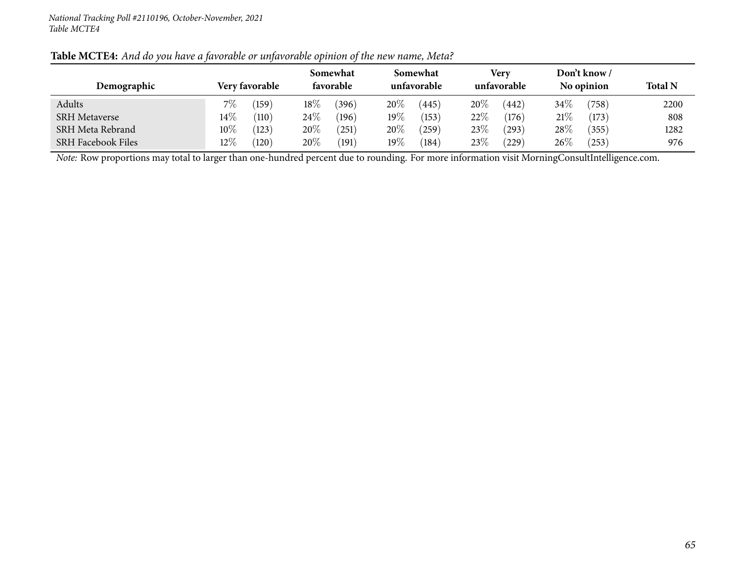| Demographic               |        | Verv favorable  |        | Somewhat<br>favorable |        | Somewhat<br>unfavorable |      | Very<br>unfavorable |        | Don't know /<br>No opinion | <b>Total N</b> |
|---------------------------|--------|-----------------|--------|-----------------------|--------|-------------------------|------|---------------------|--------|----------------------------|----------------|
| Adults                    | $7\%$  | (159)           | $18\%$ | (396)                 | $20\%$ | (445)                   | 20%  | (442)               | 34%    | (758)                      | 2200           |
| <b>SRH Metaverse</b>      | $14\%$ | $^{\prime}110)$ | $24\%$ | (196)                 | $19\%$ | (153)                   | 22%  | (176)               | 21%    | (173)                      | 808            |
| SRH Meta Rebrand          | $10\%$ | (123)           | 20%    | 251                   | $20\%$ | (259)                   | 23\% | (293)               | $28\%$ | (355)                      | 1282           |
| <b>SRH Facebook Files</b> | $12\%$ | (120)           | $20\%$ | 191                   | $19\%$ | (184)                   | 23\% | (229)               | 26\%   | $^{'}253)$                 | 976            |

#### Table MCTE4: And do you have a favorable or unfavorable opinion of the new name, Meta?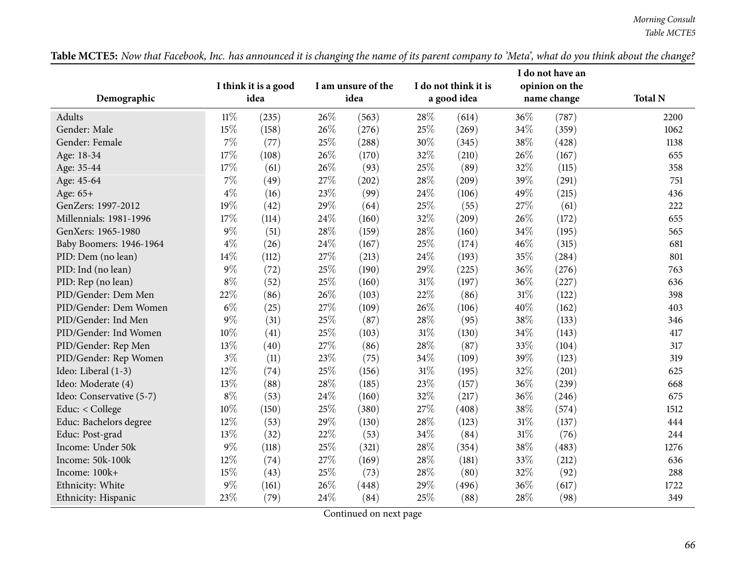|                          |              |                              |     |                            |        | I do not think it is |     | I do not have an              |                |
|--------------------------|--------------|------------------------------|-----|----------------------------|--------|----------------------|-----|-------------------------------|----------------|
| Demographic              |              | I think it is a good<br>idea |     | I am unsure of the<br>idea |        | a good idea          |     | opinion on the<br>name change | <b>Total N</b> |
| Adults                   | $11\%$       | (235)                        | 26% | (563)                      | 28\%   |                      | 36% | (787)                         | 2200           |
| Gender: Male             | 15%          | (158)                        | 26% | (276)                      | 25%    | (614)<br>(269)       | 34% | (359)                         | 1062           |
| Gender: Female           | 7%           |                              | 25% |                            | 30%    | (345)                | 38% | (428)                         | 1138           |
|                          | 17%          | (77)                         | 26% | (288)                      | 32%    |                      | 26% | (167)                         | 655            |
| Age: 18-34               | 17%          | (108)<br>(61)                | 26% | (170)<br>(93)              | 25%    | (210)<br>(89)        | 32% | (115)                         | 358            |
| Age: 35-44<br>Age: 45-64 | 7%           | (49)                         | 27% | (202)                      | 28%    | (209)                | 39% | (291)                         | 751            |
| Age: 65+                 | $4\%$        | (16)                         | 23% | (99)                       | 24\%   | (106)                | 49% | (215)                         | 436            |
| GenZers: 1997-2012       | 19%          |                              | 29% |                            | 25%    | (55)                 | 27% | (61)                          | 222            |
| Millennials: 1981-1996   | 17%          | (42)                         | 24% | (64)<br>(160)              | 32%    | (209)                | 26% | (172)                         | 655            |
|                          | $9\%$        | (114)                        | 28% |                            |        |                      |     |                               |                |
| GenXers: 1965-1980       |              | (51)                         |     | (159)                      | 28%    | (160)                | 34% | (195)                         | 565            |
| Baby Boomers: 1946-1964  | $4\%$        | (26)                         | 24% | (167)                      | 25%    | (174)                | 46% | (315)                         | 681            |
| PID: Dem (no lean)       | 14%<br>$9\%$ | (112)                        | 27% | (213)                      | 24%    | (193)                | 35% | (284)                         | 801            |
| PID: Ind (no lean)       |              | (72)                         | 25% | (190)                      | 29%    | (225)                | 36% | (276)                         | 763            |
| PID: Rep (no lean)       | $8\%$        | (52)                         | 25% | (160)                      | $31\%$ | (197)                | 36% | (227)                         | 636            |
| PID/Gender: Dem Men      | $22\%$       | (86)                         | 26% | (103)                      | 22%    | (86)                 | 31% | (122)                         | 398            |
| PID/Gender: Dem Women    | $6\%$        | (25)                         | 27% | (109)                      | 26%    | (106)                | 40% | (162)                         | 403            |
| PID/Gender: Ind Men      | $9\%$        | (31)                         | 25% | (87)                       | 28\%   | (95)                 | 38% | (133)                         | 346            |
| PID/Gender: Ind Women    | 10%          | (41)                         | 25% | (103)                      | 31%    | (130)                | 34% | (143)                         | 417            |
| PID/Gender: Rep Men      | 13%          | (40)                         | 27% | (86)                       | 28\%   | (87)                 | 33% | (104)                         | 317            |
| PID/Gender: Rep Women    | $3\%$        | (11)                         | 23% | (75)                       | 34\%   | (109)                | 39% | (123)                         | 319            |
| Ideo: Liberal (1-3)      | 12%          | (74)                         | 25% | (156)                      | $31\%$ | (195)                | 32% | (201)                         | 625            |
| Ideo: Moderate (4)       | 13%          | (88)                         | 28% | (185)                      | 23%    | (157)                | 36% | (239)                         | 668            |
| Ideo: Conservative (5-7) | $8\%$        | (53)                         | 24% | (160)                      | 32%    | (217)                | 36% | (246)                         | 675            |
| Educ: < College          | 10%          | (150)                        | 25% | (380)                      | 27%    | (408)                | 38% | (574)                         | 1512           |
| Educ: Bachelors degree   | 12%          | (53)                         | 29% | (130)                      | 28%    | (123)                | 31% | (137)                         | 444            |
| Educ: Post-grad          | 13%          | (32)                         | 22% | (53)                       | 34%    | (84)                 | 31% | (76)                          | 244            |
| Income: Under 50k        | $9\%$        | (118)                        | 25% | (321)                      | 28\%   | (354)                | 38% | (483)                         | 1276           |
| Income: 50k-100k         | 12%          | (74)                         | 27% | (169)                      | 28%    | (181)                | 33% | (212)                         | 636            |
| Income: 100k+            | 15%          | (43)                         | 25% | (73)                       | 28\%   | (80)                 | 32% | (92)                          | 288            |
| Ethnicity: White         | $9\%$        | (161)                        | 26% | (448)                      | 29%    | (496)                | 36% | (617)                         | 1722           |
| Ethnicity: Hispanic      | 23%          | (79)                         | 24% | (84)                       | 25%    | (88)                 | 28% | (98)                          | 349            |

Table MCTE5: Now that Facebook, Inc. has announced it is changing the name of its parent company to 'Meta', what do you think about the change?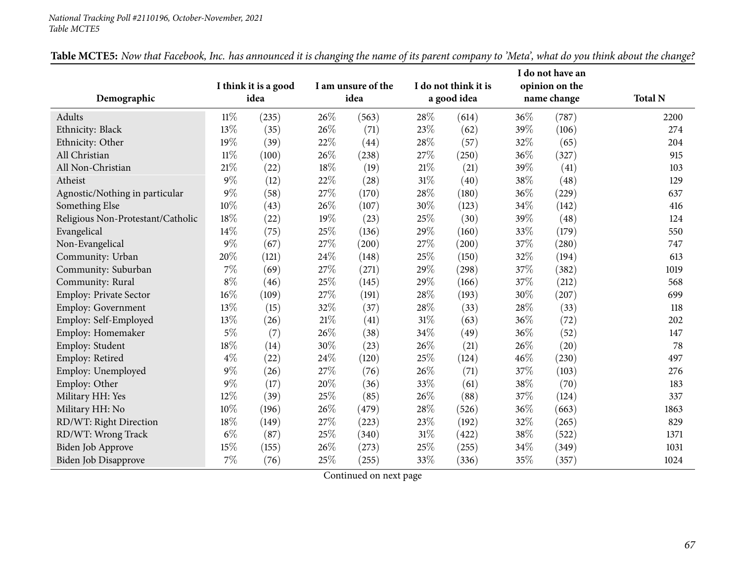#### *National Tracking Poll #2110196, October-November, <sup>2021</sup> Table MCTE5*

|                                   |        |                              |     |                            |      |                                     |      | I do not have an              |                |
|-----------------------------------|--------|------------------------------|-----|----------------------------|------|-------------------------------------|------|-------------------------------|----------------|
| Demographic                       |        | I think it is a good<br>idea |     | I am unsure of the<br>idea |      | I do not think it is<br>a good idea |      | opinion on the<br>name change | <b>Total N</b> |
| Adults                            | 11%    | (235)                        | 26% | (563)                      | 28\% | (614)                               | 36\% | (787)                         | 2200           |
| Ethnicity: Black                  | 13%    | (35)                         | 26% | (71)                       | 23%  | (62)                                | 39%  | (106)                         | 274            |
| Ethnicity: Other                  | 19%    | (39)                         | 22% | (44)                       | 28%  | (57)                                | 32%  | (65)                          | 204            |
| All Christian                     | $11\%$ | (100)                        | 26% | (238)                      | 27%  | (250)                               | 36%  | (327)                         | 915            |
| All Non-Christian                 | 21%    | (22)                         | 18% | (19)                       | 21%  | (21)                                | 39%  | (41)                          | 103            |
| Atheist                           | $9\%$  | (12)                         | 22% | (28)                       | 31%  | (40)                                | 38%  | (48)                          | 129            |
| Agnostic/Nothing in particular    | $9\%$  | (58)                         | 27% | (170)                      | 28%  | (180)                               | 36%  | (229)                         | 637            |
| Something Else                    | 10%    | (43)                         | 26% | (107)                      | 30%  | (123)                               | 34%  | (142)                         | 416            |
| Religious Non-Protestant/Catholic | 18%    | (22)                         | 19% | (23)                       | 25%  | (30)                                | 39%  | (48)                          | 124            |
| Evangelical                       | 14%    | (75)                         | 25% | (136)                      | 29%  | (160)                               | 33%  | (179)                         | 550            |
| Non-Evangelical                   | $9\%$  | (67)                         | 27% | (200)                      | 27%  | (200)                               | 37%  | (280)                         | 747            |
| Community: Urban                  | 20%    | (121)                        | 24% | (148)                      | 25%  | (150)                               | 32%  | (194)                         | 613            |
| Community: Suburban               | 7%     | (69)                         | 27% | (271)                      | 29%  | (298)                               | 37%  | (382)                         | 1019           |
| Community: Rural                  | $8\%$  | (46)                         | 25% | (145)                      | 29%  | (166)                               | 37%  | (212)                         | 568            |
| <b>Employ: Private Sector</b>     | $16\%$ | (109)                        | 27% | (191)                      | 28\% | (193)                               | 30%  | (207)                         | 699            |
| Employ: Government                | 13%    | (15)                         | 32% | (37)                       | 28%  | (33)                                | 28%  | (33)                          | 118            |
| Employ: Self-Employed             | 13%    | (26)                         | 21% | (41)                       | 31%  | (63)                                | 36%  | (72)                          | 202            |
| Employ: Homemaker                 | $5\%$  | (7)                          | 26% | (38)                       | 34%  | (49)                                | 36%  | (52)                          | 147            |
| Employ: Student                   | 18%    | (14)                         | 30% | (23)                       | 26%  | (21)                                | 26\% | (20)                          | 78             |
| Employ: Retired                   | $4\%$  | (22)                         | 24% | (120)                      | 25%  | (124)                               | 46%  | (230)                         | 497            |
| Employ: Unemployed                | $9\%$  | (26)                         | 27% | (76)                       | 26%  | (71)                                | 37%  | (103)                         | 276            |
| Employ: Other                     | $9\%$  | (17)                         | 20% | (36)                       | 33%  | (61)                                | 38%  | (70)                          | 183            |
| Military HH: Yes                  | 12%    | (39)                         | 25% | (85)                       | 26%  | (88)                                | 37%  | (124)                         | 337            |
| Military HH: No                   | 10%    | (196)                        | 26% | (479)                      | 28%  | (526)                               | 36%  | (663)                         | 1863           |
| RD/WT: Right Direction            | 18%    | (149)                        | 27% | (223)                      | 23%  | (192)                               | 32%  | (265)                         | 829            |
| RD/WT: Wrong Track                | $6\%$  | (87)                         | 25% | (340)                      | 31%  | (422)                               | 38%  | (522)                         | 1371           |
| Biden Job Approve                 | 15%    | (155)                        | 26% | (273)                      | 25%  | (255)                               | 34%  | (349)                         | 1031           |
| Biden Job Disapprove              | 7%     | (76)                         | 25% | (255)                      | 33%  | (336)                               | 35%  | (357)                         | 1024           |

Table MCTE5: Now that Facebook, Inc. has announced it is changing the name of its parent company to 'Meta', what do you think about the change?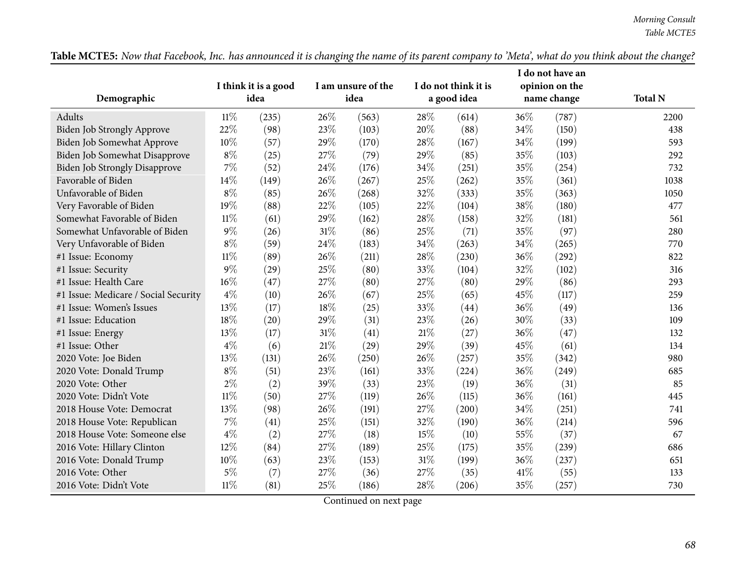|                                      |        |                              |        |                            |      |                                     |     | I do not have an              |                |
|--------------------------------------|--------|------------------------------|--------|----------------------------|------|-------------------------------------|-----|-------------------------------|----------------|
| Demographic                          |        | I think it is a good<br>idea |        | I am unsure of the<br>idea |      | I do not think it is<br>a good idea |     | opinion on the<br>name change | <b>Total N</b> |
|                                      |        |                              |        |                            |      |                                     |     |                               |                |
| <b>Adults</b>                        | $11\%$ | (235)                        | 26%    | (563)                      | 28\% | (614)                               | 36% | (787)                         | 2200           |
| <b>Biden Job Strongly Approve</b>    | 22%    | (98)                         | 23%    | (103)                      | 20%  | (88)                                | 34% | (150)                         | 438            |
| Biden Job Somewhat Approve           | 10%    | (57)                         | 29%    | (170)                      | 28%  | (167)                               | 34% | (199)                         | 593            |
| Biden Job Somewhat Disapprove        | $8\%$  | (25)                         | 27%    | (79)                       | 29%  | (85)                                | 35% | (103)                         | 292            |
| <b>Biden Job Strongly Disapprove</b> | $7\%$  | (52)                         | 24\%   | (176)                      | 34%  | (251)                               | 35% | (254)                         | 732            |
| Favorable of Biden                   | 14%    | (149)                        | 26%    | (267)                      | 25%  | (262)                               | 35% | (361)                         | 1038           |
| Unfavorable of Biden                 | $8\%$  | (85)                         | 26%    | (268)                      | 32%  | (333)                               | 35% | (363)                         | 1050           |
| Very Favorable of Biden              | 19%    | (88)                         | 22%    | (105)                      | 22%  | (104)                               | 38% | (180)                         | 477            |
| Somewhat Favorable of Biden          | $11\%$ | (61)                         | 29%    | (162)                      | 28\% | (158)                               | 32% | (181)                         | 561            |
| Somewhat Unfavorable of Biden        | $9\%$  | (26)                         | 31%    | (86)                       | 25%  | (71)                                | 35% | (97)                          | 280            |
| Very Unfavorable of Biden            | $8\%$  | (59)                         | 24%    | (183)                      | 34%  | (263)                               | 34% | (265)                         | 770            |
| #1 Issue: Economy                    | $11\%$ | (89)                         | 26%    | (211)                      | 28%  | (230)                               | 36% | (292)                         | 822            |
| #1 Issue: Security                   | $9\%$  | (29)                         | 25%    | (80)                       | 33%  | (104)                               | 32% | (102)                         | 316            |
| #1 Issue: Health Care                | $16\%$ | (47)                         | 27%    | (80)                       | 27%  | (80)                                | 29% | (86)                          | 293            |
| #1 Issue: Medicare / Social Security | $4\%$  | (10)                         | 26%    | (67)                       | 25%  | (65)                                | 45% | (117)                         | 259            |
| #1 Issue: Women's Issues             | 13%    | (17)                         | 18%    | (25)                       | 33%  | (44)                                | 36% | (49)                          | 136            |
| #1 Issue: Education                  | 18%    | (20)                         | 29%    | (31)                       | 23%  | (26)                                | 30% | (33)                          | 109            |
| #1 Issue: Energy                     | 13%    | (17)                         | 31%    | (41)                       | 21%  | (27)                                | 36% | (47)                          | 132            |
| #1 Issue: Other                      | $4\%$  | (6)                          | $21\%$ | (29)                       | 29%  | (39)                                | 45% | (61)                          | 134            |
| 2020 Vote: Joe Biden                 | 13%    | (131)                        | 26%    | (250)                      | 26%  | (257)                               | 35% | (342)                         | 980            |
| 2020 Vote: Donald Trump              | $8\%$  | (51)                         | 23%    | (161)                      | 33%  | (224)                               | 36% | (249)                         | 685            |
| 2020 Vote: Other                     | $2\%$  | (2)                          | 39%    | (33)                       | 23%  | (19)                                | 36% | (31)                          | 85             |
| 2020 Vote: Didn't Vote               | $11\%$ | (50)                         | 27%    | (119)                      | 26%  | (115)                               | 36% | (161)                         | 445            |
| 2018 House Vote: Democrat            | 13%    | (98)                         | 26%    | (191)                      | 27%  | (200)                               | 34% | (251)                         | 741            |
| 2018 House Vote: Republican          | 7%     | (41)                         | 25%    | (151)                      | 32%  | (190)                               | 36% | (214)                         | 596            |
| 2018 House Vote: Someone else        | $4\%$  | (2)                          | 27%    | (18)                       | 15%  | (10)                                | 55% | (37)                          | 67             |
| 2016 Vote: Hillary Clinton           | 12%    | (84)                         | 27%    | (189)                      | 25%  | (175)                               | 35% | (239)                         | 686            |
| 2016 Vote: Donald Trump              | 10%    | (63)                         | 23%    | (153)                      | 31%  | (199)                               | 36% | (237)                         | 651            |
| 2016 Vote: Other                     | $5\%$  | (7)                          | 27%    | (36)                       | 27%  | (35)                                | 41% | (55)                          | 133            |
| 2016 Vote: Didn't Vote               | $11\%$ | (81)                         | 25%    | (186)                      | 28%  | (206)                               | 35% | (257)                         | 730            |

Table MCTE5: Now that Facebook, Inc. has announced it is changing the name of its parent company to 'Meta', what do you think about the change?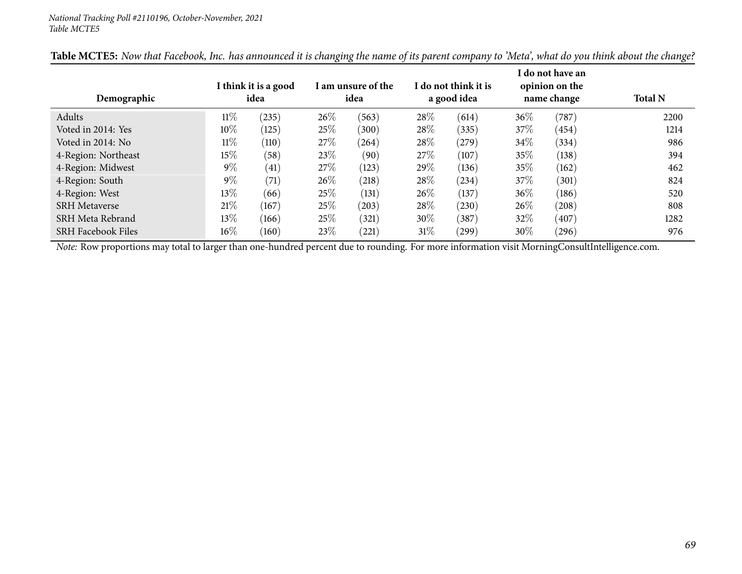| Demographic               | I think it is a good<br>idea |       | I am unsure of the<br>idea |       | I do not think it is<br>a good idea |            | I do not have an<br>opinion on the<br>name change |       | <b>Total N</b> |
|---------------------------|------------------------------|-------|----------------------------|-------|-------------------------------------|------------|---------------------------------------------------|-------|----------------|
| Adults                    | $11\%$                       | (235) | 26%                        | (563) | 28%                                 | (614)      | $36\%$                                            | (787) | 2200           |
| Voted in 2014: Yes        | $10\%$                       | (125) | 25%                        | (300) | 28\%                                | (335)      | 37\%                                              | (454) | 1214           |
| Voted in 2014: No         | $11\%$                       | (110) | 27\%                       | (264) | 28\%                                | (279)      | 34\%                                              | (334) | 986            |
| 4-Region: Northeast       | $15\%$                       | (58)  | 23%                        | (90)  | 27%                                 | (107)      | 35%                                               | (138) | 394            |
| 4-Region: Midwest         | $9\%$                        | (41)  | 27\%                       | (123) | 29\%                                | (136)      | 35%                                               | (162) | 462            |
| 4-Region: South           | $9\%$                        | (71)  | 26%                        | (218) | 28%                                 | (234)      | 37\%                                              | (301) | 824            |
| 4-Region: West            | $13\%$                       | (66)  | 25%                        | (131) | $26\%$                              | (137)      | 36\%                                              | (186) | 520            |
| <b>SRH</b> Metaverse      | 21\%                         | (167) | 25%                        | (203) | 28\%                                | (230)      | $26\%$                                            | (208) | 808            |
| SRH Meta Rebrand          | $13\%$                       | (166) | 25%                        | (321) | $30\%$                              | (387)      | 32%                                               | (407) | 1282           |
| <b>SRH Facebook Files</b> | $16\%$                       | (160) | 23%                        | (221) | 31\%                                | $^{'}299)$ | 30%                                               | (296) | 976            |

Table MCTE5: Now that Facebook, Inc. has announced it is changing the name of its parent company to 'Meta', what do you think about the change?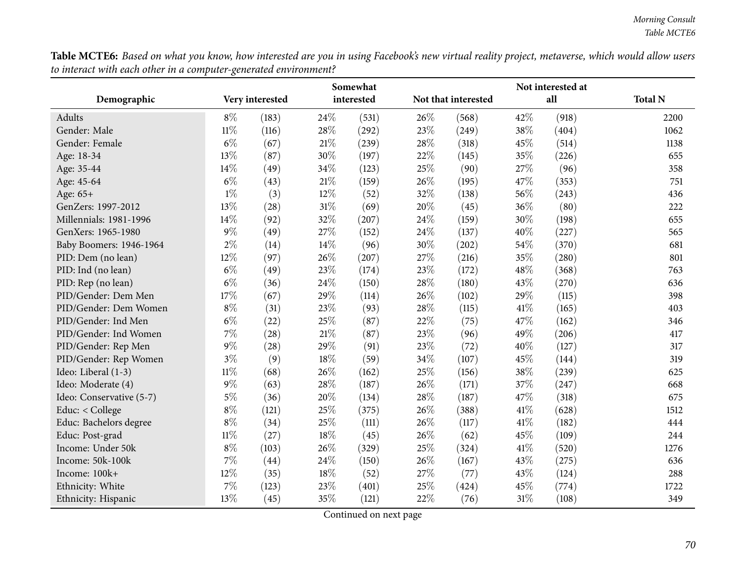Table MCTE6: Based on what you know, how interested are you in using Facebook's new virtual reality project, metaverse, which would allow users *to interact with each other in <sup>a</sup> computer-generated environment?*

|                          |        |                 |        | Somewhat   |      | Not interested at   |        |       |                |
|--------------------------|--------|-----------------|--------|------------|------|---------------------|--------|-------|----------------|
| Demographic              |        | Very interested |        | interested |      | Not that interested |        | all   | <b>Total N</b> |
| Adults                   | $8\%$  | (183)           | 24\%   | (531)      | 26%  | (568)               | 42%    | (918) | 2200           |
| Gender: Male             | $11\%$ | (116)           | 28%    | (292)      | 23%  | (249)               | 38%    | (404) | 1062           |
| Gender: Female           | $6\%$  | (67)            | $21\%$ | (239)      | 28\% | (318)               | 45%    | (514) | 1138           |
| Age: 18-34               | 13%    | (87)            | 30%    | (197)      | 22%  | (145)               | 35%    | (226) | 655            |
| Age: 35-44               | 14%    | (49)            | 34%    | (123)      | 25%  | (90)                | 27%    | (96)  | 358            |
| Age: 45-64               | $6\%$  | (43)            | $21\%$ | (159)      | 26%  | (195)               | 47%    | (353) | 751            |
| Age: 65+                 | $1\%$  | (3)             | 12%    | (52)       | 32%  | (138)               | 56%    | (243) | 436            |
| GenZers: 1997-2012       | 13%    | (28)            | $31\%$ | (69)       | 20%  | (45)                | 36%    | (80)  | 222            |
| Millennials: 1981-1996   | 14%    | (92)            | 32%    | (207)      | 24\% | (159)               | 30%    | (198) | 655            |
| GenXers: 1965-1980       | $9\%$  | (49)            | 27%    | (152)      | 24%  | (137)               | 40%    | (227) | 565            |
| Baby Boomers: 1946-1964  | $2\%$  | (14)            | 14%    | (96)       | 30%  | (202)               | 54%    | (370) | 681            |
| PID: Dem (no lean)       | 12%    | (97)            | 26%    | (207)      | 27%  | (216)               | 35%    | (280) | 801            |
| PID: Ind (no lean)       | $6\%$  | (49)            | 23%    | (174)      | 23\% | (172)               | 48%    | (368) | 763            |
| PID: Rep (no lean)       | $6\%$  | (36)            | 24%    | (150)      | 28\% | (180)               | 43%    | (270) | 636            |
| PID/Gender: Dem Men      | 17%    | (67)            | 29%    | (114)      | 26%  | (102)               | 29%    | (115) | 398            |
| PID/Gender: Dem Women    | $8\%$  | (31)            | 23%    | (93)       | 28\% | (115)               | $41\%$ | (165) | 403            |
| PID/Gender: Ind Men      | $6\%$  | (22)            | 25%    | (87)       | 22%  | (75)                | 47%    | (162) | 346            |
| PID/Gender: Ind Women    | $7\%$  | (28)            | 21%    | (87)       | 23%  | (96)                | 49%    | (206) | 417            |
| PID/Gender: Rep Men      | $9\%$  | (28)            | 29%    | (91)       | 23%  | (72)                | 40%    | (127) | 317            |
| PID/Gender: Rep Women    | $3\%$  | (9)             | 18%    | (59)       | 34%  | (107)               | 45%    | (144) | 319            |
| Ideo: Liberal (1-3)      | $11\%$ | (68)            | 26%    | (162)      | 25%  | (156)               | 38%    | (239) | 625            |
| Ideo: Moderate (4)       | $9\%$  | (63)            | 28%    | (187)      | 26%  | (171)               | 37%    | (247) | 668            |
| Ideo: Conservative (5-7) | $5\%$  | (36)            | 20%    | (134)      | 28\% | (187)               | 47%    | (318) | 675            |
| Educ: < College          | $8\%$  | (121)           | 25%    | (375)      | 26%  | (388)               | 41\%   | (628) | 1512           |
| Educ: Bachelors degree   | $8\%$  | (34)            | 25%    | (111)      | 26%  | (117)               | 41\%   | (182) | 444            |
| Educ: Post-grad          | $11\%$ | (27)            | 18%    | (45)       | 26%  | (62)                | 45%    | (109) | 244            |
| Income: Under 50k        | $8\%$  | (103)           | 26%    | (329)      | 25%  | (324)               | $41\%$ | (520) | 1276           |
| Income: 50k-100k         | $7\%$  | (44)            | 24\%   | (150)      | 26%  | (167)               | 43%    | (275) | 636            |
| Income: 100k+            | 12%    | (35)            | 18%    | (52)       | 27%  | (77)                | 43%    | (124) | 288            |
| Ethnicity: White         | 7%     | (123)           | 23%    | (401)      | 25%  | (424)               | 45%    | (774) | 1722           |
| Ethnicity: Hispanic      | 13%    | (45)            | 35%    | (121)      | 22%  | (76)                | 31\%   | (108) | 349            |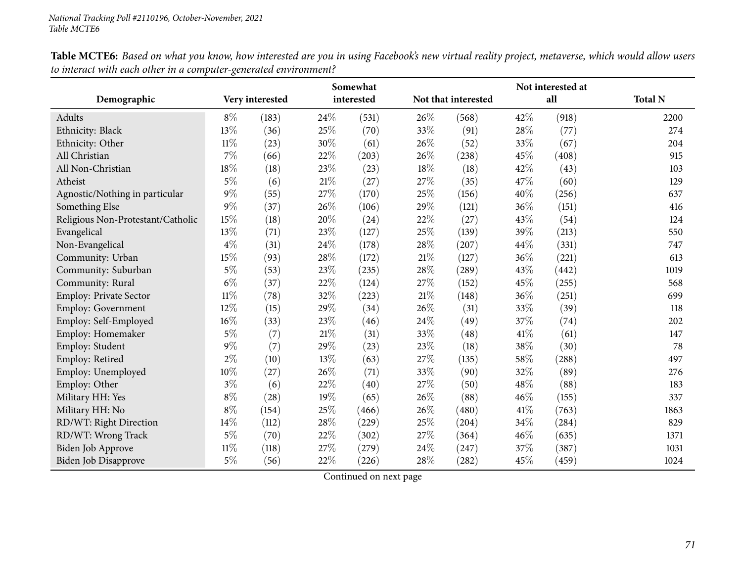|                                   | Somewhat        |       |        |            | Not interested at |                     |      |       |                |
|-----------------------------------|-----------------|-------|--------|------------|-------------------|---------------------|------|-------|----------------|
| Demographic                       | Very interested |       |        | interested |                   | Not that interested |      | all   | <b>Total N</b> |
| Adults                            | $8\%$           | (183) | 24\%   | (531)      | 26\%              | (568)               | 42\% | (918) | 2200           |
| Ethnicity: Black                  | 13%             | (36)  | 25%    | (70)       | 33%               | (91)                | 28%  | (77)  | 274            |
| Ethnicity: Other                  | $11\%$          | (23)  | 30%    | (61)       | 26%               | (52)                | 33%  | (67)  | 204            |
| All Christian                     | 7%              | (66)  | 22%    | (203)      | 26%               | (238)               | 45%  | (408) | 915            |
| All Non-Christian                 | 18%             | (18)  | 23%    | (23)       | 18%               | (18)                | 42%  | (43)  | 103            |
| Atheist                           | $5\%$           | (6)   | 21%    | (27)       | 27%               | (35)                | 47\% | (60)  | 129            |
| Agnostic/Nothing in particular    | $9\%$           | (55)  | 27%    | (170)      | 25%               | (156)               | 40%  | (256) | 637            |
| Something Else                    | $9\%$           | (37)  | 26%    | (106)      | 29%               | (121)               | 36%  | (151) | 416            |
| Religious Non-Protestant/Catholic | 15%             | (18)  | 20%    | (24)       | 22%               | (27)                | 43%  | (54)  | 124            |
| Evangelical                       | 13%             | (71)  | 23%    | (127)      | 25%               | (139)               | 39%  | (213) | 550            |
| Non-Evangelical                   | $4\%$           | (31)  | 24%    | (178)      | 28%               | (207)               | 44%  | (331) | 747            |
| Community: Urban                  | 15%             | (93)  | $28\%$ | (172)      | 21\%              | (127)               | 36%  | (221) | 613            |
| Community: Suburban               | $5\%$           | (53)  | 23%    | (235)      | 28%               | (289)               | 43%  | (442) | 1019           |
| Community: Rural                  | $6\%$           | (37)  | 22%    | (124)      | 27%               | (152)               | 45%  | (255) | 568            |
| Employ: Private Sector            | 11%             | (78)  | 32%    | (223)      | 21%               | (148)               | 36%  | (251) | 699            |
| Employ: Government                | 12%             | (15)  | 29%    | (34)       | 26%               | (31)                | 33%  | (39)  | 118            |
| Employ: Self-Employed             | 16%             | (33)  | $23\%$ | (46)       | 24%               | (49)                | 37%  | (74)  | 202            |
| Employ: Homemaker                 | $5\%$           | (7)   | 21%    | (31)       | 33%               | (48)                | 41\% | (61)  | 147            |
| Employ: Student                   | $9\%$           | (7)   | 29%    | (23)       | 23%               | (18)                | 38%  | (30)  | 78             |
| Employ: Retired                   | $2\%$           | (10)  | 13%    | (63)       | 27%               | (135)               | 58%  | (288) | 497            |
| Employ: Unemployed                | 10%             | (27)  | 26%    | (71)       | 33%               | (90)                | 32%  | (89)  | 276            |
| Employ: Other                     | $3\%$           | (6)   | 22%    | (40)       | 27%               | (50)                | 48%  | (88)  | 183            |
| Military HH: Yes                  | $8\%$           | (28)  | 19%    | (65)       | 26%               | (88)                | 46%  | (155) | 337            |
| Military HH: No                   | $8\%$           | (154) | 25%    | (466)      | 26%               | (480)               | 41\% | (763) | 1863           |
| RD/WT: Right Direction            | 14%             | (112) | 28%    | (229)      | 25%               | (204)               | 34%  | (284) | 829            |
| RD/WT: Wrong Track                | $5\%$           | (70)  | $22\%$ | (302)      | 27%               | (364)               | 46%  | (635) | 1371           |
| Biden Job Approve                 | $11\%$          | (118) | 27%    | (279)      | 24\%              | (247)               | 37%  | (387) | 1031           |
| Biden Job Disapprove              | $5\%$           | (56)  | 22%    | (226)      | 28%               | (282)               | 45%  | (459) | 1024           |

Table MCTE6: Based on what you know, how interested are you in using Facebook's new virtual reality project, metaverse, which would allow users *to interact with each other in <sup>a</sup> computer-generated environment?*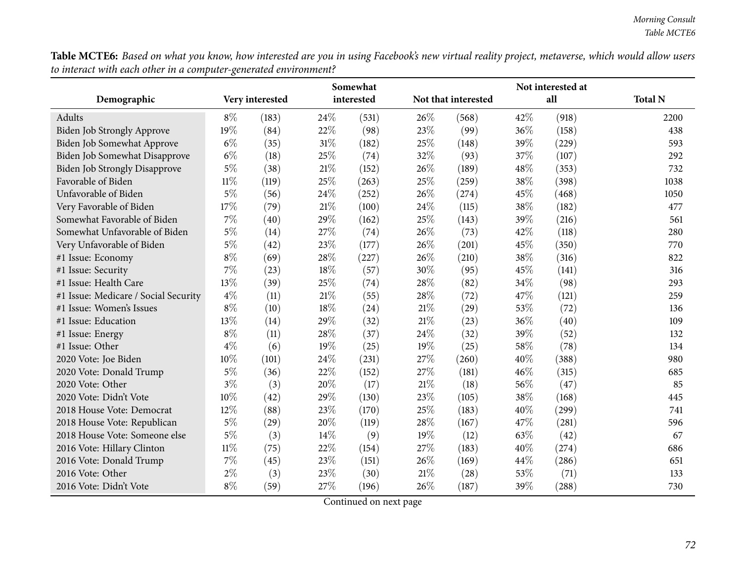Table MCTE6: Based on what you know, how interested are you in using Facebook's new virtual reality project, metaverse, which would allow users *to interact with each other in <sup>a</sup> computer-generated environment?*

|                                      | Somewhat        |       |        | Not interested at |        |                     |      |       |                |
|--------------------------------------|-----------------|-------|--------|-------------------|--------|---------------------|------|-------|----------------|
| Demographic                          | Very interested |       |        | interested        |        | Not that interested |      | all   | <b>Total N</b> |
| Adults                               | $8\%$           | (183) | 24\%   | (531)             | 26\%   | (568)               | 42%  | (918) | 2200           |
| Biden Job Strongly Approve           | 19%             | (84)  | 22%    | (98)              | 23\%   | (99)                | 36%  | (158) | 438            |
| Biden Job Somewhat Approve           | $6\%$           | (35)  | 31%    | (182)             | 25\%   | (148)               | 39%  | (229) | 593            |
| Biden Job Somewhat Disapprove        | $6\%$           | (18)  | 25%    | (74)              | 32%    | (93)                | 37%  | (107) | 292            |
| <b>Biden Job Strongly Disapprove</b> | $5\%$           | (38)  | $21\%$ | (152)             | 26%    | (189)               | 48%  | (353) | 732            |
| Favorable of Biden                   | $11\%$          | (119) | 25%    | (263)             | 25%    | (259)               | 38%  | (398) | 1038           |
| Unfavorable of Biden                 | $5\%$           | (56)  | 24%    | (252)             | 26%    | (274)               | 45%  | (468) | 1050           |
| Very Favorable of Biden              | 17%             | (79)  | $21\%$ | (100)             | 24\%   | (115)               | 38%  | (182) | 477            |
| Somewhat Favorable of Biden          | 7%              | (40)  | 29%    | (162)             | 25\%   | (143)               | 39%  | (216) | 561            |
| Somewhat Unfavorable of Biden        | $5\%$           | (14)  | 27%    | (74)              | 26%    | (73)                | 42%  | (118) | 280            |
| Very Unfavorable of Biden            | $5\%$           | (42)  | 23%    | (177)             | 26%    | (201)               | 45%  | (350) | 770            |
| #1 Issue: Economy                    | $8\%$           | (69)  | 28%    | (227)             | 26%    | (210)               | 38%  | (316) | 822            |
| #1 Issue: Security                   | 7%              | (23)  | 18%    | (57)              | 30%    | (95)                | 45%  | (141) | 316            |
| #1 Issue: Health Care                | 13%             | (39)  | 25%    | (74)              | 28\%   | (82)                | 34%  | (98)  | 293            |
| #1 Issue: Medicare / Social Security | $4\%$           | (11)  | 21%    | (55)              | 28%    | (72)                | 47\% | (121) | 259            |
| #1 Issue: Women's Issues             | $8\%$           | (10)  | 18%    | (24)              | 21\%   | (29)                | 53%  | (72)  | 136            |
| #1 Issue: Education                  | 13%             | (14)  | 29%    | (32)              | 21%    | (23)                | 36%  | (40)  | 109            |
| #1 Issue: Energy                     | $8\%$           | (11)  | 28%    | (37)              | 24\%   | (32)                | 39%  | (52)  | 132            |
| #1 Issue: Other                      | $4\%$           | (6)   | 19%    | (25)              | 19%    | (25)                | 58%  | (78)  | 134            |
| 2020 Vote: Joe Biden                 | 10%             | (101) | 24%    | (231)             | 27%    | (260)               | 40%  | (388) | 980            |
| 2020 Vote: Donald Trump              | $5\%$           | (36)  | 22%    | (152)             | 27%    | (181)               | 46%  | (315) | 685            |
| 2020 Vote: Other                     | $3\%$           | (3)   | 20%    | (17)              | 21\%   | (18)                | 56%  | (47)  | 85             |
| 2020 Vote: Didn't Vote               | 10%             | (42)  | 29%    | (130)             | 23%    | (105)               | 38%  | (168) | 445            |
| 2018 House Vote: Democrat            | 12%             | (88)  | 23%    | (170)             | 25\%   | (183)               | 40%  | (299) | 741            |
| 2018 House Vote: Republican          | $5\%$           | (29)  | 20%    | (119)             | 28\%   | (167)               | 47\% | (281) | 596            |
| 2018 House Vote: Someone else        | 5%              | (3)   | 14%    | (9)               | 19%    | (12)                | 63%  | (42)  | 67             |
| 2016 Vote: Hillary Clinton           | $11\%$          | (75)  | 22%    | (154)             | 27%    | (183)               | 40%  | (274) | 686            |
| 2016 Vote: Donald Trump              | 7%              | (45)  | 23%    | (151)             | 26%    | (169)               | 44%  | (286) | 651            |
| 2016 Vote: Other                     | $2\%$           | (3)   | 23%    | (30)              | $21\%$ | (28)                | 53%  | (71)  | 133            |
| 2016 Vote: Didn't Vote               | $8\%$           | (59)  | 27%    | (196)             | 26%    | (187)               | 39%  | (288) | 730            |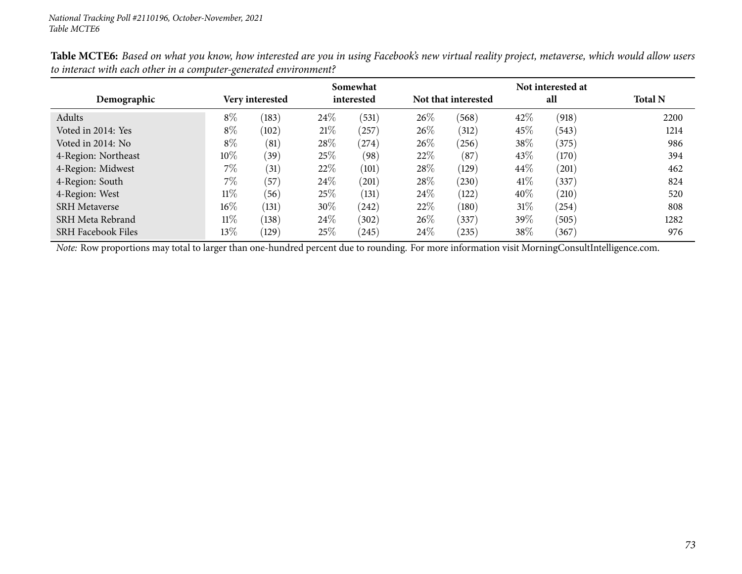|                           |        |                 |      | Somewhat   |        |                     |        | Not interested at |                |
|---------------------------|--------|-----------------|------|------------|--------|---------------------|--------|-------------------|----------------|
| Demographic               |        | Very interested |      | interested |        | Not that interested |        | all               | <b>Total N</b> |
| Adults                    | $8\%$  | (183)           | 24\% | (531)      | 26%    | (568)               | 42%    | (918)             | 2200           |
| Voted in 2014: Yes        | $8\%$  | (102)           | 21%  | $^{'}257$  | $26\%$ | (312)               | 45%    | (543)             | 1214           |
| Voted in 2014: No         | $8\%$  | (81)            | 28\% | (274)      | 26%    | (256)               | 38\%   | (375)             | 986            |
| 4-Region: Northeast       | $10\%$ | (39)            | 25\% | (98)       | 22%    | (87)                | $43\%$ | (170)             | 394            |
| 4-Region: Midwest         | 7%     | (31)            | 22%  | (101)      | 28%    | (129)               | 44\%   | (201)             | 462            |
| 4-Region: South           | 7%     | (57)            | 24\% | (201)      | 28%    | (230)               | 41\%   | (337)             | 824            |
| 4-Region: West            | $11\%$ | (56)            | 25\% | (131)      | 24\%   | (122)               | 40%    | (210)             | 520            |
| <b>SRH</b> Metaverse      | $16\%$ | (131)           | 30%  | (242)      | 22%    | (180)               | 31\%   | (254)             | 808            |
| SRH Meta Rebrand          | $11\%$ | (138)           | 24\% | (302)      | 26%    | 337                 | 39%    | (505)             | 1282           |
| <b>SRH Facebook Files</b> | 13\%   | (129)           | 25\% | (245)      | 24\%   | $^{(235)}$          | 38\%   | (367)             | 976            |

Table MCTE6: Based on what you know, how interested are you in using Facebook's new virtual reality project, metaverse, which would allow users *to interact with each other in <sup>a</sup> computer-generated environment?*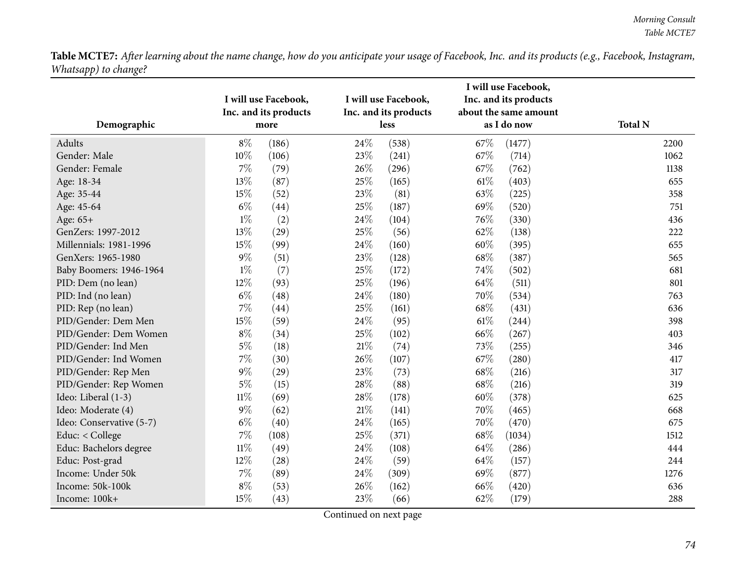|                          |        | I will use Facebook,<br>Inc. and its products |        | I will use Facebook,<br>Inc. and its products |        | I will use Facebook,<br>Inc. and its products<br>about the same amount |                |
|--------------------------|--------|-----------------------------------------------|--------|-----------------------------------------------|--------|------------------------------------------------------------------------|----------------|
| Demographic              |        | more                                          |        | less                                          |        | as I do now                                                            | <b>Total N</b> |
| Adults                   | $8\%$  | (186)                                         | 24\%   | (538)                                         | 67\%   | (1477)                                                                 | 2200           |
| Gender: Male             | $10\%$ | (106)                                         | 23\%   | (241)                                         | 67\%   | (714)                                                                  | 1062           |
| Gender: Female           | 7%     | (79)                                          | 26%    | (296)                                         | 67\%   | (762)                                                                  | 1138           |
| Age: 18-34               | 13%    | (87)                                          | 25%    | (165)                                         | $61\%$ | (403)                                                                  | 655            |
| Age: 35-44               | 15%    | (52)                                          | 23%    | (81)                                          | 63%    | (225)                                                                  | 358            |
| Age: 45-64               | $6\%$  | (44)                                          | 25%    | (187)                                         | 69%    | (520)                                                                  | 751            |
| Age: 65+                 | $1\%$  | (2)                                           | 24\%   | (104)                                         | 76%    | (330)                                                                  | 436            |
| GenZers: 1997-2012       | 13%    | (29)                                          | 25%    | (56)                                          | 62%    | (138)                                                                  | 222            |
| Millennials: 1981-1996   | 15%    | (99)                                          | 24\%   | (160)                                         | 60%    | (395)                                                                  | 655            |
| GenXers: 1965-1980       | $9\%$  | (51)                                          | 23%    | (128)                                         | 68\%   | (387)                                                                  | 565            |
| Baby Boomers: 1946-1964  | $1\%$  | (7)                                           | 25%    | (172)                                         | 74%    | (502)                                                                  | 681            |
| PID: Dem (no lean)       | 12%    | (93)                                          | 25%    | (196)                                         | 64\%   | (511)                                                                  | 801            |
| PID: Ind (no lean)       | $6\%$  | (48)                                          | 24%    | (180)                                         | 70%    | (534)                                                                  | 763            |
| PID: Rep (no lean)       | $7\%$  | (44)                                          | 25%    | (161)                                         | 68\%   | (431)                                                                  | 636            |
| PID/Gender: Dem Men      | 15%    | (59)                                          | 24\%   | (95)                                          | $61\%$ | (244)                                                                  | 398            |
| PID/Gender: Dem Women    | $8\%$  | (34)                                          | 25%    | (102)                                         | 66%    | (267)                                                                  | 403            |
| PID/Gender: Ind Men      | $5\%$  | (18)                                          | $21\%$ | (74)                                          | 73%    | (255)                                                                  | 346            |
| PID/Gender: Ind Women    | 7%     | (30)                                          | 26%    | (107)                                         | 67%    | (280)                                                                  | 417            |
| PID/Gender: Rep Men      | $9\%$  | (29)                                          | 23%    | (73)                                          | 68\%   | (216)                                                                  | 317            |
| PID/Gender: Rep Women    | $5\%$  | (15)                                          | 28\%   | (88)                                          | 68\%   | (216)                                                                  | 319            |
| Ideo: Liberal (1-3)      | $11\%$ | (69)                                          | 28\%   | (178)                                         | 60%    | (378)                                                                  | 625            |
| Ideo: Moderate (4)       | $9\%$  | (62)                                          | $21\%$ | (141)                                         | 70%    | (465)                                                                  | 668            |
| Ideo: Conservative (5-7) | $6\%$  | (40)                                          | 24%    | (165)                                         | 70%    | (470)                                                                  | 675            |
| Educ: < College          | $7\%$  | (108)                                         | 25%    | (371)                                         | 68\%   | (1034)                                                                 | 1512           |
| Educ: Bachelors degree   | $11\%$ | (49)                                          | 24\%   | (108)                                         | 64\%   | (286)                                                                  | 444            |
| Educ: Post-grad          | 12%    | (28)                                          | 24\%   | (59)                                          | 64\%   | (157)                                                                  | 244            |
| Income: Under 50k        | $7\%$  | (89)                                          | 24\%   | (309)                                         | 69%    | (877)                                                                  | 1276           |
| Income: 50k-100k         | $8\%$  | (53)                                          | 26%    | (162)                                         | 66%    | (420)                                                                  | 636            |
| Income: 100k+            | 15%    | (43)                                          | 23\%   | (66)                                          | 62%    | (179)                                                                  | 288            |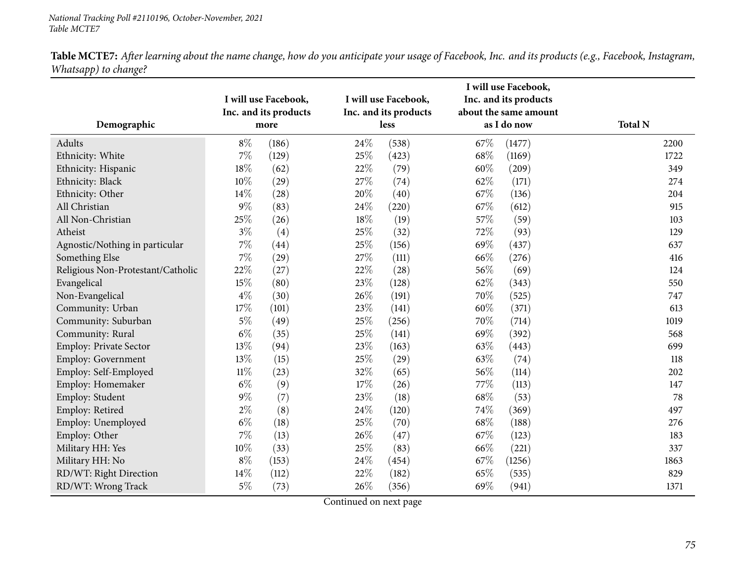|                                   |        | I will use Facebook,          |      | I will use Facebook,          |      | I will use Facebook,<br>Inc. and its products<br>about the same amount |                |
|-----------------------------------|--------|-------------------------------|------|-------------------------------|------|------------------------------------------------------------------------|----------------|
| Demographic                       |        | Inc. and its products<br>more |      | Inc. and its products<br>less |      | as I do now                                                            | <b>Total N</b> |
| Adults                            | $8\%$  | (186)                         | 24\% | (538)                         | 67\% | (1477)                                                                 | 2200           |
| Ethnicity: White                  | $7\%$  | (129)                         | 25%  | (423)                         | 68%  | (1169)                                                                 | 1722           |
| Ethnicity: Hispanic               | $18\%$ | (62)                          | 22%  | (79)                          | 60%  | (209)                                                                  | 349            |
| Ethnicity: Black                  | $10\%$ | (29)                          | 27%  | (74)                          | 62%  | (171)                                                                  | 274            |
| Ethnicity: Other                  | 14%    | (28)                          | 20%  | (40)                          | 67\% | (136)                                                                  | 204            |
| All Christian                     | $9\%$  | (83)                          | 24%  | (220)                         | 67%  | (612)                                                                  | 915            |
| All Non-Christian                 | 25%    | (26)                          | 18%  | (19)                          | 57%  | (59)                                                                   | 103            |
| Atheist                           | $3\%$  | (4)                           | 25%  | (32)                          | 72%  | (93)                                                                   | 129            |
| Agnostic/Nothing in particular    | $7\%$  | (44)                          | 25%  | (156)                         | 69%  | (437)                                                                  | 637            |
| Something Else                    | $7\%$  | (29)                          | 27%  | (111)                         | 66%  | (276)                                                                  | 416            |
| Religious Non-Protestant/Catholic | 22%    | (27)                          | 22%  | (28)                          | 56%  | (69)                                                                   | 124            |
| Evangelical                       | 15%    | (80)                          | 23%  | (128)                         | 62%  | (343)                                                                  | 550            |
| Non-Evangelical                   | $4\%$  | (30)                          | 26%  | (191)                         | 70%  | (525)                                                                  | 747            |
| Community: Urban                  | 17%    | (101)                         | 23%  | (141)                         | 60%  | (371)                                                                  | 613            |
| Community: Suburban               | $5\%$  | (49)                          | 25%  | (256)                         | 70\% | (714)                                                                  | 1019           |
| Community: Rural                  | $6\%$  | (35)                          | 25%  | (141)                         | 69%  | (392)                                                                  | 568            |
| <b>Employ: Private Sector</b>     | 13%    | (94)                          | 23%  | (163)                         | 63%  | (443)                                                                  | 699            |
| Employ: Government                | 13%    | (15)                          | 25%  | (29)                          | 63%  | (74)                                                                   | 118            |
| Employ: Self-Employed             | $11\%$ | (23)                          | 32%  | (65)                          | 56%  | (114)                                                                  | 202            |
| Employ: Homemaker                 | $6\%$  | (9)                           | 17%  | (26)                          | 77%  | (113)                                                                  | 147            |
| Employ: Student                   | $9\%$  | (7)                           | 23%  | (18)                          | 68\% | (53)                                                                   | 78             |
| Employ: Retired                   | $2\%$  | (8)                           | 24%  | (120)                         | 74%  | (369)                                                                  | 497            |
| Employ: Unemployed                | $6\%$  | (18)                          | 25%  | (70)                          | 68%  | (188)                                                                  | 276            |
| Employ: Other                     | 7%     | (13)                          | 26%  | (47)                          | 67%  | (123)                                                                  | 183            |
| Military HH: Yes                  | 10%    | (33)                          | 25%  | (83)                          | 66%  | (221)                                                                  | 337            |
| Military HH: No                   | $8\%$  | (153)                         | 24%  | (454)                         | 67%  | (1256)                                                                 | 1863           |
| RD/WT: Right Direction            | $14\%$ | (112)                         | 22%  | (182)                         | 65%  | (535)                                                                  | 829            |
| RD/WT: Wrong Track                | $5\%$  | (73)                          | 26%  | (356)                         | 69%  | (941)                                                                  | 1371           |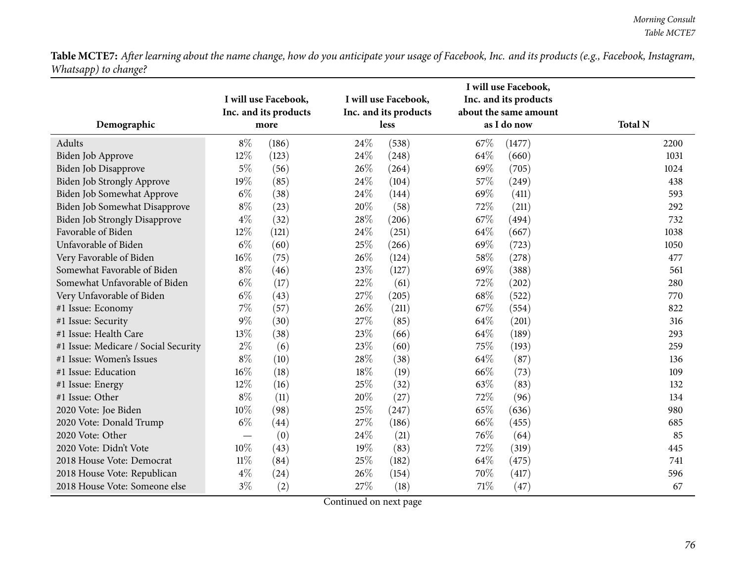|                                      |        | I will use Facebook,<br>Inc. and its products |      | I will use Facebook,<br>Inc. and its products |      | I will use Facebook,<br>Inc. and its products<br>about the same amount |                |
|--------------------------------------|--------|-----------------------------------------------|------|-----------------------------------------------|------|------------------------------------------------------------------------|----------------|
| Demographic                          |        | more                                          |      | less                                          |      | as I do now                                                            | <b>Total N</b> |
| Adults                               | $8\%$  | (186)                                         | 24%  | (538)                                         | 67\% | (1477)                                                                 | 2200           |
| <b>Biden Job Approve</b>             | 12%    | (123)                                         | 24%  | (248)                                         | 64%  | (660)                                                                  | 1031           |
| Biden Job Disapprove                 | $5\%$  | (56)                                          | 26%  | (264)                                         | 69%  | (705)                                                                  | 1024           |
| Biden Job Strongly Approve           | 19%    | (85)                                          | 24%  | (104)                                         | 57%  | (249)                                                                  | 438            |
| Biden Job Somewhat Approve           | $6\%$  | (38)                                          | 24%  | (144)                                         | 69%  | (411)                                                                  | 593            |
| Biden Job Somewhat Disapprove        | $8\%$  | (23)                                          | 20%  | (58)                                          | 72%  | (211)                                                                  | 292            |
| <b>Biden Job Strongly Disapprove</b> | $4\%$  | (32)                                          | 28\% | (206)                                         | 67%  | (494)                                                                  | 732            |
| Favorable of Biden                   | 12%    | (121)                                         | 24\% | (251)                                         | 64\% | (667)                                                                  | 1038           |
| Unfavorable of Biden                 | $6\%$  | (60)                                          | 25%  | (266)                                         | 69%  | (723)                                                                  | 1050           |
| Very Favorable of Biden              | 16%    | (75)                                          | 26%  | (124)                                         | 58%  | (278)                                                                  | 477            |
| Somewhat Favorable of Biden          | $8\%$  | (46)                                          | 23%  | (127)                                         | 69%  | (388)                                                                  | 561            |
| Somewhat Unfavorable of Biden        | $6\%$  | (17)                                          | 22\% | (61)                                          | 72\% | (202)                                                                  | 280            |
| Very Unfavorable of Biden            | $6\%$  | (43)                                          | 27%  | (205)                                         | 68%  | (522)                                                                  | 770            |
| #1 Issue: Economy                    | $7\%$  | (57)                                          | 26%  | (211)                                         | 67%  | (554)                                                                  | 822            |
| #1 Issue: Security                   | $9\%$  | (30)                                          | 27%  | (85)                                          | 64\% | (201)                                                                  | 316            |
| #1 Issue: Health Care                | 13%    | (38)                                          | 23%  | (66)                                          | 64\% | (189)                                                                  | 293            |
| #1 Issue: Medicare / Social Security | $2\%$  | (6)                                           | 23%  | (60)                                          | 75%  | (193)                                                                  | 259            |
| #1 Issue: Women's Issues             | $8\%$  | (10)                                          | 28%  | (38)                                          | 64\% | (87)                                                                   | 136            |
| #1 Issue: Education                  | 16%    | (18)                                          | 18%  | (19)                                          | 66%  | (73)                                                                   | 109            |
| #1 Issue: Energy                     | 12%    | (16)                                          | 25%  | (32)                                          | 63%  | (83)                                                                   | 132            |
| #1 Issue: Other                      | $8\%$  | (11)                                          | 20%  | (27)                                          | 72%  | (96)                                                                   | 134            |
| 2020 Vote: Joe Biden                 | 10%    | (98)                                          | 25%  | (247)                                         | 65%  | (636)                                                                  | 980            |
| 2020 Vote: Donald Trump              | $6\%$  | (44)                                          | 27%  | (186)                                         | 66%  | (455)                                                                  | 685            |
| 2020 Vote: Other                     |        | (0)                                           | 24%  | (21)                                          | 76%  | (64)                                                                   | 85             |
| 2020 Vote: Didn't Vote               | 10%    | (43)                                          | 19%  | (83)                                          | 72%  | (319)                                                                  | 445            |
| 2018 House Vote: Democrat            | $11\%$ | (84)                                          | 25%  | (182)                                         | 64\% | (475)                                                                  | 741            |
| 2018 House Vote: Republican          | $4\%$  | (24)                                          | 26%  | (154)                                         | 70%  | (417)                                                                  | 596            |
| 2018 House Vote: Someone else        | $3\%$  | (2)                                           | 27%  | (18)                                          | 71%  | (47)                                                                   | 67             |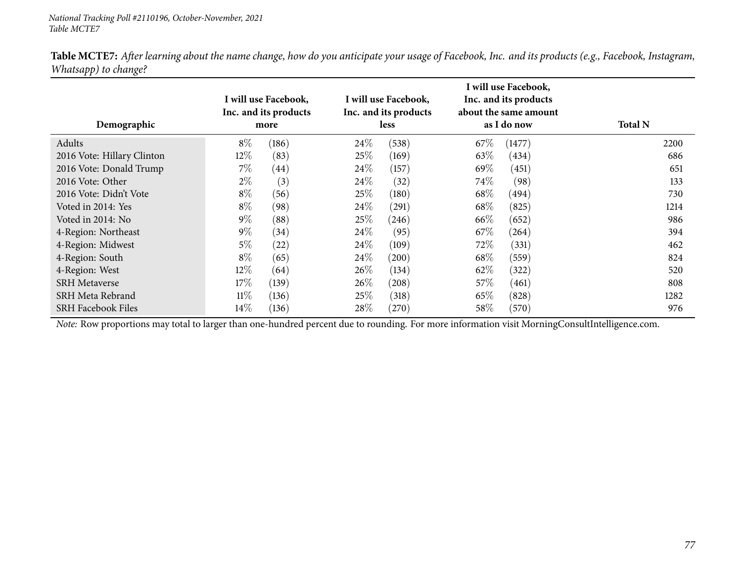| Demographic                |        | I will use Facebook,<br>Inc. and its products<br>more |        | I will use Facebook,<br>Inc. and its products<br><b>less</b> |        | I will use Facebook,<br>Inc. and its products<br>about the same amount<br>as I do now | <b>Total N</b> |  |
|----------------------------|--------|-------------------------------------------------------|--------|--------------------------------------------------------------|--------|---------------------------------------------------------------------------------------|----------------|--|
| Adults                     | $8\%$  | (186)                                                 | 24\%   | (538)                                                        | 67\%   | (1477)                                                                                | 2200           |  |
| 2016 Vote: Hillary Clinton | 12\%   | (83)                                                  | 25\%   | (169)                                                        | 63\%   | (434)                                                                                 | 686            |  |
| 2016 Vote: Donald Trump    | $7\%$  | (44)                                                  | 24\%   | (157)                                                        | 69%    | (451)                                                                                 | 651            |  |
| 2016 Vote: Other           | $2\%$  | (3)                                                   | 24\%   | (32)                                                         | 74\%   | (98)                                                                                  | 133            |  |
| 2016 Vote: Didn't Vote     | $8\%$  | (56)                                                  | 25\%   | (180)                                                        | 68\%   | (494)                                                                                 | 730            |  |
| Voted in 2014: Yes         | $8\%$  | (98)                                                  | 24\%   | (291)                                                        | 68\%   | (825)                                                                                 | 1214           |  |
| Voted in 2014: No          | $9\%$  | (88)                                                  | 25\%   | (246)                                                        | 66\%   | (652)                                                                                 | 986            |  |
| 4-Region: Northeast        | $9\%$  | (34)                                                  | 24\%   | (95)                                                         | $67\%$ | (264)                                                                                 | 394            |  |
| 4-Region: Midwest          | $5\%$  | (22)                                                  | 24\%   | (109)                                                        | 72\%   | (331)                                                                                 | 462            |  |
| 4-Region: South            | $8\%$  | (65)                                                  | $24\%$ | (200)                                                        | 68\%   | (559)                                                                                 | 824            |  |
| 4-Region: West             | 12\%   | (64)                                                  | $26\%$ | (134)                                                        | 62\%   | (322)                                                                                 | 520            |  |
| <b>SRH Metaverse</b>       | 17\%   | (139)                                                 | 26\%   | $\left( 208\right)$                                          | 57\%   | (461)                                                                                 | 808            |  |
| SRH Meta Rebrand           | $11\%$ | (136)                                                 | 25\%   | (318)                                                        | 65\%   | (828)                                                                                 | 1282           |  |
| <b>SRH Facebook Files</b>  | $14\%$ | (136)                                                 | 28\%   | (270)                                                        | 58\%   | (570)                                                                                 | 976            |  |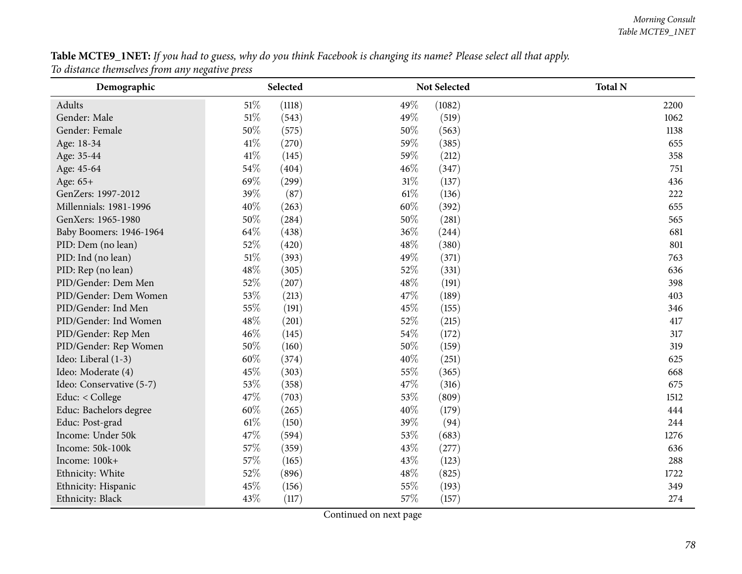${\bf Table~MCTE9\_1NET:}$  If you had to guess, why do you think Facebook is changing its name? Please select all that apply. *To distance themselves from any negative press*

| Demographic              | Selected         | Not Selected    | <b>Total N</b> |
|--------------------------|------------------|-----------------|----------------|
| Adults                   | $51\%$<br>(1118) | 49%<br>(1082)   | 2200           |
| Gender: Male             | $51\%$<br>(543)  | 49%<br>(519)    | 1062           |
| Gender: Female           | 50%<br>(575)     | 50%<br>(563)    | 1138           |
| Age: 18-34               | 41\%<br>(270)    | 59%<br>(385)    | 655            |
| Age: 35-44               | $41\%$<br>(145)  | 59%<br>(212)    | 358            |
| Age: 45-64               | 54%<br>(404)     | 46%<br>(347)    | 751            |
| Age: 65+                 | 69%<br>(299)     | $31\%$<br>(137) | 436            |
| GenZers: 1997-2012       | 39%<br>(87)      | 61%<br>(136)    | 222            |
| Millennials: 1981-1996   | 40%<br>(263)     | 60%<br>(392)    | 655            |
| GenXers: 1965-1980       | 50%<br>(284)     | 50%<br>(281)    | 565            |
| Baby Boomers: 1946-1964  | 64%<br>(438)     | 36%<br>(244)    | 681            |
| PID: Dem (no lean)       | 52%<br>(420)     | 48%<br>(380)    | 801            |
| PID: Ind (no lean)       | $51\%$<br>(393)  | 49%<br>(371)    | 763            |
| PID: Rep (no lean)       | 48%<br>(305)     | 52%<br>(331)    | 636            |
| PID/Gender: Dem Men      | 52%<br>(207)     | 48%<br>(191)    | 398            |
| PID/Gender: Dem Women    | 53%<br>(213)     | 47%<br>(189)    | 403            |
| PID/Gender: Ind Men      | 55%<br>(191)     | 45%<br>(155)    | 346            |
| PID/Gender: Ind Women    | 48%<br>(201)     | 52%<br>(215)    | 417            |
| PID/Gender: Rep Men      | 46%<br>(145)     | 54%<br>(172)    | 317            |
| PID/Gender: Rep Women    | 50%<br>(160)     | 50%<br>(159)    | 319            |
| Ideo: Liberal (1-3)      | 60%<br>(374)     | 40%<br>(251)    | 625            |
| Ideo: Moderate (4)       | 45%<br>(303)     | 55%<br>(365)    | 668            |
| Ideo: Conservative (5-7) | 53%<br>(358)     | 47%<br>(316)    | 675            |
| Educ: < College          | 47%<br>(703)     | 53%<br>(809)    | 1512           |
| Educ: Bachelors degree   | 60%<br>(265)     | 40%<br>(179)    | 444            |
| Educ: Post-grad          | 61\%<br>(150)    | 39%<br>(94)     | 244            |
| Income: Under 50k        | 47%<br>(594)     | 53%<br>(683)    | 1276           |
| Income: 50k-100k         | 57%<br>(359)     | 43%<br>(277)    | 636            |
| Income: 100k+            | 57%<br>(165)     | 43%<br>(123)    | 288            |
| Ethnicity: White         | 52%<br>(896)     | 48%<br>(825)    | 1722           |
| Ethnicity: Hispanic      | 45%<br>(156)     | 55%<br>(193)    | 349            |
| Ethnicity: Black         | 43%<br>(117)     | 57%<br>(157)    | 274            |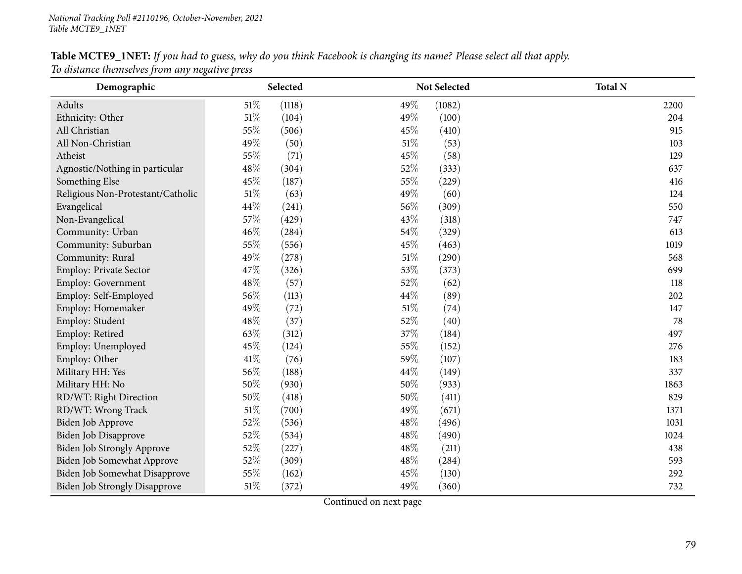### Table MCTE9\_1NET: If you had to guess, why do you think Facebook is changing its name? Please select all that apply.

*To distance themselves from any negative press*

| Demographic                          |        | Selected |        | Not Selected | <b>Total N</b> |
|--------------------------------------|--------|----------|--------|--------------|----------------|
| Adults                               | 51%    | (1118)   | 49%    | (1082)       | 2200           |
| Ethnicity: Other                     | $51\%$ | (104)    | 49%    | (100)        | 204            |
| All Christian                        | 55%    | (506)    | 45%    | (410)        | 915            |
| All Non-Christian                    | 49%    | (50)     | $51\%$ | (53)         | 103            |
| Atheist                              | 55%    | (71)     | 45%    | (58)         | 129            |
| Agnostic/Nothing in particular       | 48%    | (304)    | 52%    | (333)        | 637            |
| Something Else                       | 45%    | (187)    | 55%    | (229)        | 416            |
| Religious Non-Protestant/Catholic    | $51\%$ | (63)     | 49%    | (60)         | 124            |
| Evangelical                          | 44%    | (241)    | 56%    | (309)        | 550            |
| Non-Evangelical                      | 57%    | (429)    | 43%    | (318)        | 747            |
| Community: Urban                     | 46%    | (284)    | 54%    | (329)        | 613            |
| Community: Suburban                  | 55%    | (556)    | 45%    | (463)        | 1019           |
| Community: Rural                     | 49%    | (278)    | 51%    | (290)        | 568            |
| Employ: Private Sector               | 47%    | (326)    | 53%    | (373)        | 699            |
| Employ: Government                   | $48\%$ | (57)     | 52%    | (62)         | 118            |
| Employ: Self-Employed                | 56%    | (113)    | 44\%   | (89)         | 202            |
| Employ: Homemaker                    | 49%    | (72)     | 51\%   | (74)         | 147            |
| Employ: Student                      | 48%    | (37)     | 52%    | (40)         | 78             |
| Employ: Retired                      | 63%    | (312)    | 37%    | (184)        | 497            |
| Employ: Unemployed                   | 45%    | (124)    | 55%    | (152)        | 276            |
| Employ: Other                        | $41\%$ | (76)     | 59%    | (107)        | 183            |
| Military HH: Yes                     | 56%    | (188)    | 44\%   | (149)        | 337            |
| Military HH: No                      | 50%    | (930)    | 50%    | (933)        | 1863           |
| RD/WT: Right Direction               | 50%    | (418)    | 50%    | (411)        | 829            |
| RD/WT: Wrong Track                   | $51\%$ | (700)    | 49%    | (671)        | 1371           |
| Biden Job Approve                    | 52%    | (536)    | 48%    | (496)        | 1031           |
| Biden Job Disapprove                 | 52%    | (534)    | 48%    | (490)        | 1024           |
| <b>Biden Job Strongly Approve</b>    | 52%    | (227)    | 48%    | (211)        | 438            |
| Biden Job Somewhat Approve           | 52%    | (309)    | 48%    | (284)        | 593            |
| Biden Job Somewhat Disapprove        | 55%    | (162)    | 45%    | (130)        | 292            |
| <b>Biden Job Strongly Disapprove</b> | $51\%$ | (372)    | 49%    | (360)        | 732            |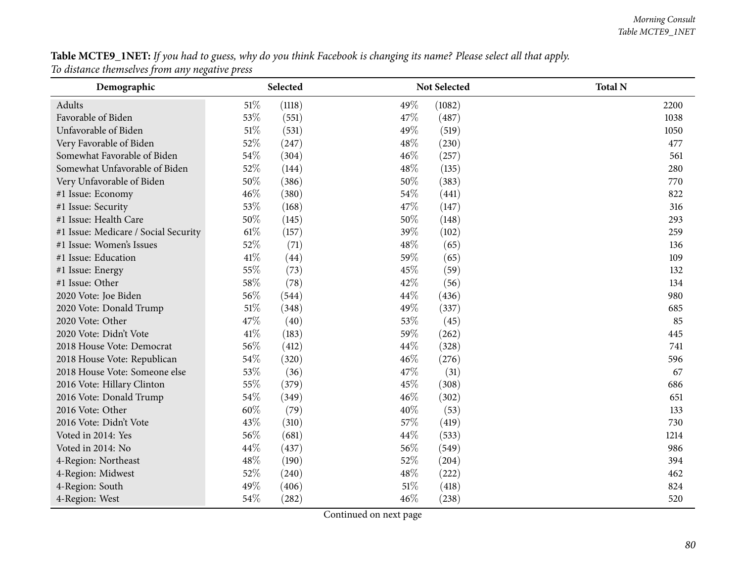Table MCTE9\_1NET: If you had to guess, why do you think Facebook is changing its name? Please select all that apply. *To distance themselves from any negative press*

| Demographic                          | Selected         | Not Selected    | <b>Total N</b> |
|--------------------------------------|------------------|-----------------|----------------|
| Adults                               | $51\%$<br>(1118) | 49%<br>(1082)   | 2200           |
| Favorable of Biden                   | 53%<br>(551)     | 47%<br>(487)    | 1038           |
| Unfavorable of Biden                 | 51%<br>(531)     | 49%<br>(519)    | 1050           |
| Very Favorable of Biden              | 52%<br>(247)     | 48%<br>(230)    | 477            |
| Somewhat Favorable of Biden          | 54%<br>(304)     | 46%<br>(257)    | 561            |
| Somewhat Unfavorable of Biden        | 52%<br>(144)     | 48%<br>(135)    | 280            |
| Very Unfavorable of Biden            | 50%<br>(386)     | 50%<br>(383)    | 770            |
| #1 Issue: Economy                    | 46%<br>(380)     | 54%<br>(441)    | 822            |
| #1 Issue: Security                   | 53%<br>(168)     | 47%<br>(147)    | 316            |
| #1 Issue: Health Care                | 50%<br>(145)     | 50%<br>(148)    | 293            |
| #1 Issue: Medicare / Social Security | 61\%<br>(157)    | 39%<br>(102)    | 259            |
| #1 Issue: Women's Issues             | 52%<br>(71)      | 48%<br>(65)     | 136            |
| #1 Issue: Education                  | 41\%<br>(44)     | 59%<br>(65)     | 109            |
| #1 Issue: Energy                     | 55%<br>(73)      | 45%<br>(59)     | 132            |
| #1 Issue: Other                      | 58\%<br>(78)     | 42%<br>(56)     | 134            |
| 2020 Vote: Joe Biden                 | 56%<br>(544)     | 44%<br>(436)    | 980            |
| 2020 Vote: Donald Trump              | 51\%<br>(348)    | 49%<br>(337)    | 685            |
| 2020 Vote: Other                     | 47\%<br>(40)     | 53%<br>(45)     | 85             |
| 2020 Vote: Didn't Vote               | 41\%<br>(183)    | 59%<br>(262)    | 445            |
| 2018 House Vote: Democrat            | 56%<br>(412)     | 44%<br>(328)    | 741            |
| 2018 House Vote: Republican          | 54%<br>(320)     | 46%<br>(276)    | 596            |
| 2018 House Vote: Someone else        | 53%<br>(36)      | 47\%<br>(31)    | 67             |
| 2016 Vote: Hillary Clinton           | 55%<br>(379)     | 45%<br>(308)    | 686            |
| 2016 Vote: Donald Trump              | 54%<br>(349)     | 46%<br>(302)    | 651            |
| 2016 Vote: Other                     | 60%<br>(79)      | 40%<br>(53)     | 133            |
| 2016 Vote: Didn't Vote               | 43%<br>(310)     | 57%<br>(419)    | 730            |
| Voted in 2014: Yes                   | 56%<br>(681)     | 44\%<br>(533)   | 1214           |
| Voted in 2014: No                    | 44%<br>(437)     | 56%<br>(549)    | 986            |
| 4-Region: Northeast                  | 48%<br>(190)     | 52%<br>(204)    | 394            |
| 4-Region: Midwest                    | 52%<br>(240)     | 48%<br>(222)    | 462            |
| 4-Region: South                      | 49%<br>(406)     | $51\%$<br>(418) | 824            |
| 4-Region: West                       | 54%<br>(282)     | 46%<br>(238)    | 520            |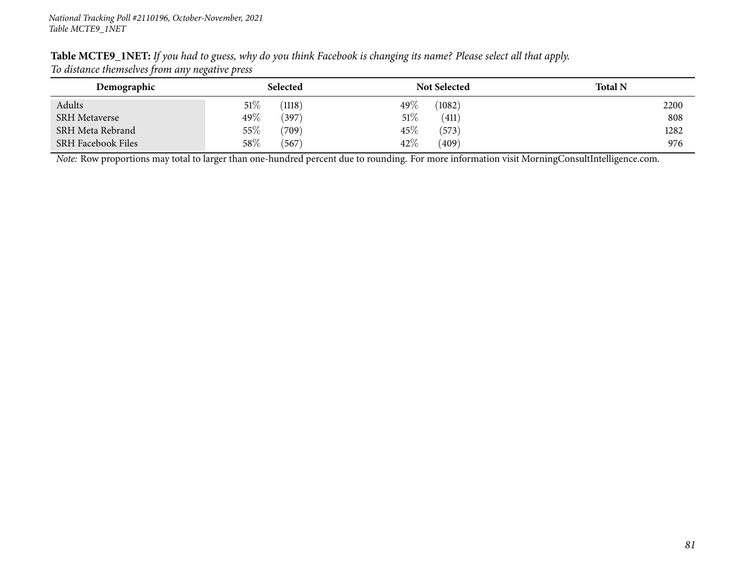| $\overline{\phantom{a}}$  |                  |                     |                |
|---------------------------|------------------|---------------------|----------------|
| Demographic               | Selected         | <b>Not Selected</b> | <b>Total N</b> |
| Adults                    | $51\%$<br>(1118) | 49 $\%$<br>(1082)   | 2200           |
| <b>SRH Metaverse</b>      | $49\%$<br>(397)  | 51\%<br>(411)       | 808            |
| SRH Meta Rebrand          | 55%<br>(709)     | (573)<br>$45\%$     | 1282           |
| <b>SRH Facebook Files</b> | 58\%<br>(567)    | 42\%<br>(409)       | 976            |

Table MCTE9\_1NET: If you had to guess, why do you think Facebook is changing its name? Please select all that apply. *To distance themselves from any negative press*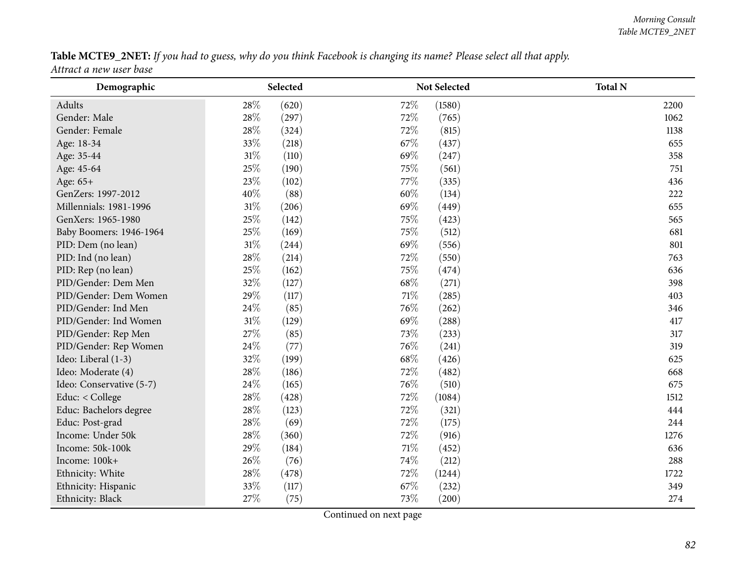#### Table MCTE9\_2NET: If you had to guess, why do you think Facebook is changing its name? Please select all that apply.

*Attract <sup>a</sup> new user base*

| Demographic              | Selected        | Not Selected  | <b>Total N</b> |
|--------------------------|-----------------|---------------|----------------|
| Adults                   | 28\%<br>(620)   | 72%<br>(1580) | 2200           |
| Gender: Male             | $28\%$<br>(297) | 72%<br>(765)  | 1062           |
| Gender: Female           | 28\%<br>(324)   | 72%<br>(815)  | 1138           |
| Age: 18-34               | 33%<br>(218)    | 67%<br>(437)  | 655            |
| Age: 35-44               | 31%<br>(110)    | 69%<br>(247)  | 358            |
| Age: 45-64               | 25%<br>(190)    | 75%<br>(561)  | 751            |
| Age: 65+                 | 23%<br>(102)    | 77%<br>(335)  | 436            |
| GenZers: 1997-2012       | 40%<br>(88)     | 60%<br>(134)  | 222            |
| Millennials: 1981-1996   | $31\%$<br>(206) | 69%<br>(449)  | 655            |
| GenXers: 1965-1980       | 25%<br>(142)    | 75%<br>(423)  | 565            |
| Baby Boomers: 1946-1964  | 25%<br>(169)    | 75%<br>(512)  | 681            |
| PID: Dem (no lean)       | $31\%$<br>(244) | 69%<br>(556)  | 801            |
| PID: Ind (no lean)       | 28\%<br>(214)   | 72%<br>(550)  | 763            |
| PID: Rep (no lean)       | 25%<br>(162)    | 75%<br>(474)  | 636            |
| PID/Gender: Dem Men      | 32%<br>(127)    | 68%<br>(271)  | 398            |
| PID/Gender: Dem Women    | 29%<br>(117)    | 71%<br>(285)  | 403            |
| PID/Gender: Ind Men      | 24\%<br>(85)    | 76%<br>(262)  | 346            |
| PID/Gender: Ind Women    | $31\%$<br>(129) | 69%<br>(288)  | 417            |
| PID/Gender: Rep Men      | 27%<br>(85)     | 73%<br>(233)  | 317            |
| PID/Gender: Rep Women    | 24\%<br>(77)    | 76%<br>(241)  | 319            |
| Ideo: Liberal (1-3)      | 32%<br>(199)    | 68%<br>(426)  | 625            |
| Ideo: Moderate (4)       | 28\%<br>(186)   | 72%<br>(482)  | 668            |
| Ideo: Conservative (5-7) | 24\%<br>(165)   | 76%<br>(510)  | 675            |
| Educ: < College          | 28\%<br>(428)   | 72%<br>(1084) | 1512           |
| Educ: Bachelors degree   | 28%<br>(123)    | 72%<br>(321)  | 444            |
| Educ: Post-grad          | 28\%<br>(69)    | 72%<br>(175)  | 244            |
| Income: Under 50k        | 28\%<br>(360)   | 72%<br>(916)  | 1276           |
| Income: 50k-100k         | 29%<br>(184)    | 71%<br>(452)  | 636            |
| Income: 100k+            | 26%<br>(76)     | 74%<br>(212)  | 288            |
| Ethnicity: White         | 28%<br>(478)    | 72%<br>(1244) | 1722           |
| Ethnicity: Hispanic      | 33%<br>(117)    | 67%<br>(232)  | 349            |
| Ethnicity: Black         | 27%<br>(75)     | 73%<br>(200)  | 274            |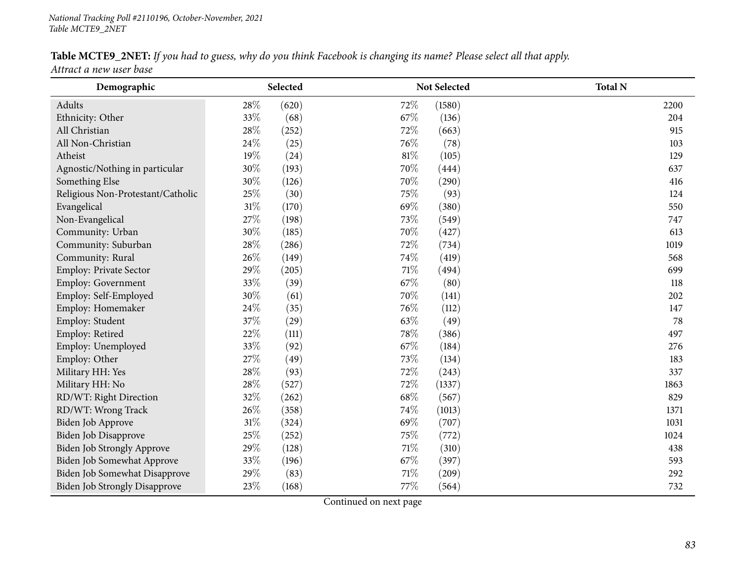#### Table MCTE9\_2NET: If you had to guess, why do you think Facebook is changing its name? Please select all that apply.

*Attract <sup>a</sup> new user base*

| Demographic                          |        | Selected        | Not Selected | <b>Total N</b> |
|--------------------------------------|--------|-----------------|--------------|----------------|
| Adults                               | 28\%   | (620)<br>72%    | (1580)       | 2200           |
| Ethnicity: Other                     | 33%    | (68)<br>67\%    | (136)        | 204            |
| All Christian                        | 28\%   | 72%<br>(252)    | (663)        | 915            |
| All Non-Christian                    | 24\%   | 76%<br>(25)     | (78)         | 103            |
| Atheist                              | 19%    | 81%<br>(24)     | (105)        | 129            |
| Agnostic/Nothing in particular       | 30%    | 70%<br>(193)    | (444)        | 637            |
| Something Else                       | 30%    | 70%<br>(126)    | (290)        | 416            |
| Religious Non-Protestant/Catholic    | 25%    | (30)<br>75%     | (93)         | 124            |
| Evangelical                          | $31\%$ | 69%<br>(170)    | (380)        | 550            |
| Non-Evangelical                      | 27%    | 73%<br>(198)    | (549)        | 747            |
| Community: Urban                     | 30%    | 70%<br>(185)    | (427)        | 613            |
| Community: Suburban                  | 28\%   | 72%<br>(286)    | (734)        | 1019           |
| Community: Rural                     | 26%    | 74%<br>(149)    | (419)        | 568            |
| Employ: Private Sector               | 29%    | 71%<br>(205)    | (494)        | 699            |
| Employ: Government                   | 33%    | 67%<br>(39)     | (80)         | 118            |
| Employ: Self-Employed                | $30\%$ | (61)<br>70%     | (141)        | 202            |
| Employ: Homemaker                    | 24\%   | 76\%<br>(35)    | (112)        | 147            |
| Employ: Student                      | 37%    | 63%<br>(29)     | (49)         | 78             |
| Employ: Retired                      | 22%    | 78%<br>(111)    | (386)        | 497            |
| Employ: Unemployed                   | 33%    | 67%<br>(92)     | (184)        | 276            |
| Employ: Other                        | 27%    | 73%<br>(49)     | (134)        | 183            |
| Military HH: Yes                     | 28\%   | 72%<br>(93)     | (243)        | 337            |
| Military HH: No                      | 28\%   | 72%<br>(527)    | (1337)       | 1863           |
| RD/WT: Right Direction               | 32%    | 68\%<br>(262)   | (567)        | 829            |
| RD/WT: Wrong Track                   | 26%    | 74\%<br>(358)   | (1013)       | 1371           |
| Biden Job Approve                    | $31\%$ | 69%<br>(324)    | (707)        | 1031           |
| Biden Job Disapprove                 | 25%    | 75%<br>(252)    | (772)        | 1024           |
| Biden Job Strongly Approve           | 29%    | $71\%$<br>(128) | (310)        | 438            |
| Biden Job Somewhat Approve           | 33%    | 67%<br>(196)    | (397)        | 593            |
| Biden Job Somewhat Disapprove        | 29%    | 71%<br>(83)     | (209)        | 292            |
| <b>Biden Job Strongly Disapprove</b> | 23%    | 77%<br>(168)    | (564)        | 732            |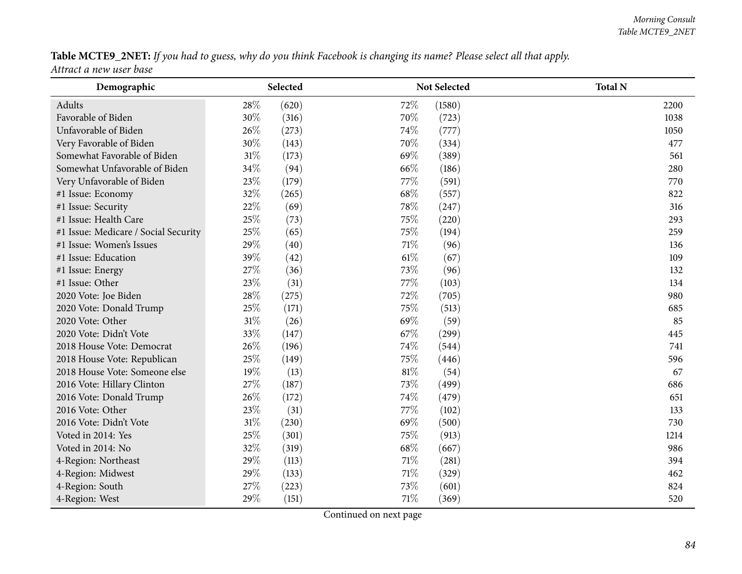#### Table MCTE9\_2NET: If you had to guess, why do you think Facebook is changing its name? Please select all that apply.

*Attract <sup>a</sup> new user base*

| Demographic                          | Selected        | Not Selected  | <b>Total N</b> |
|--------------------------------------|-----------------|---------------|----------------|
| Adults                               | 28\%<br>(620)   | 72%<br>(1580) | 2200           |
| Favorable of Biden                   | 30%<br>(316)    | 70\%<br>(723) | 1038           |
| Unfavorable of Biden                 | 26%<br>(273)    | 74%<br>(777)  | 1050           |
| Very Favorable of Biden              | 30%<br>(143)    | 70%<br>(334)  | 477            |
| Somewhat Favorable of Biden          | 31%<br>(173)    | 69%<br>(389)  | 561            |
| Somewhat Unfavorable of Biden        | 34%<br>(94)     | 66\%<br>(186) | 280            |
| Very Unfavorable of Biden            | 23%<br>(179)    | 77%<br>(591)  | 770            |
| #1 Issue: Economy                    | 32%<br>(265)    | 68%<br>(557)  | 822            |
| #1 Issue: Security                   | 22%<br>(69)     | 78%<br>(247)  | 316            |
| #1 Issue: Health Care                | 25%<br>(73)     | 75%<br>(220)  | 293            |
| #1 Issue: Medicare / Social Security | 25%<br>(65)     | 75%<br>(194)  | 259            |
| #1 Issue: Women's Issues             | 29%<br>(40)     | 71%<br>(96)   | 136            |
| #1 Issue: Education                  | 39%<br>(42)     | 61\%<br>(67)  | 109            |
| #1 Issue: Energy                     | 27%<br>(36)     | 73%<br>(96)   | 132            |
| #1 Issue: Other                      | 23%<br>(31)     | 77%<br>(103)  | 134            |
| 2020 Vote: Joe Biden                 | 28\%<br>(275)   | 72%<br>(705)  | 980            |
| 2020 Vote: Donald Trump              | 25%<br>(171)    | 75%<br>(513)  | 685            |
| 2020 Vote: Other                     | $31\%$<br>(26)  | 69%<br>(59)   | 85             |
| 2020 Vote: Didn't Vote               | 33%<br>(147)    | 67%<br>(299)  | 445            |
| 2018 House Vote: Democrat            | 26%<br>(196)    | 74%<br>(544)  | 741            |
| 2018 House Vote: Republican          | $25\%$<br>(149) | 75%<br>(446)  | 596            |
| 2018 House Vote: Someone else        | 19%<br>(13)     | 81%<br>(54)   | 67             |
| 2016 Vote: Hillary Clinton           | 27%<br>(187)    | 73%<br>(499)  | 686            |
| 2016 Vote: Donald Trump              | 26%<br>(172)    | 74\%<br>(479) | 651            |
| 2016 Vote: Other                     | 23%<br>(31)     | 77%<br>(102)  | 133            |
| 2016 Vote: Didn't Vote               | $31\%$<br>(230) | 69%<br>(500)  | 730            |
| Voted in 2014: Yes                   | 25%<br>(301)    | 75%<br>(913)  | 1214           |
| Voted in 2014: No                    | 32%<br>(319)    | 68%<br>(667)  | 986            |
| 4-Region: Northeast                  | 29%<br>(113)    | 71%<br>(281)  | 394            |
| 4-Region: Midwest                    | 29%<br>(133)    | 71%<br>(329)  | 462            |
| 4-Region: South                      | 27%<br>(223)    | 73%<br>(601)  | 824            |
| 4-Region: West                       | 29%<br>(151)    | 71%<br>(369)  | 520            |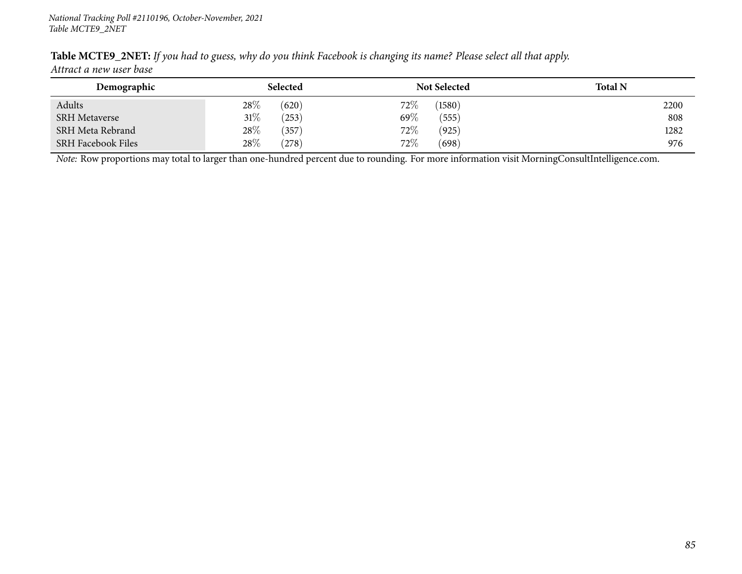| Demographic               | <b>Selected</b> | <b>Not Selected</b> | <b>Total N</b> |
|---------------------------|-----------------|---------------------|----------------|
| Adults                    | $28\%$<br>(620) | $72\%$<br>(1580)    | 2200           |
| <b>SRH Metaverse</b>      | 31%<br>(253)    | 69 $\%$<br>(555)    | 808            |
| SRH Meta Rebrand          | 28%<br>(357)    | $72\%$<br>(925)     | 1282           |
| <b>SRH Facebook Files</b> | 28%<br>(278)    | $72\%$<br>(698)     | 976            |

Table MCTE9\_2NET: If you had to guess, why do you think Facebook is changing its name? Please select all that apply. *Attract <sup>a</sup> new user base*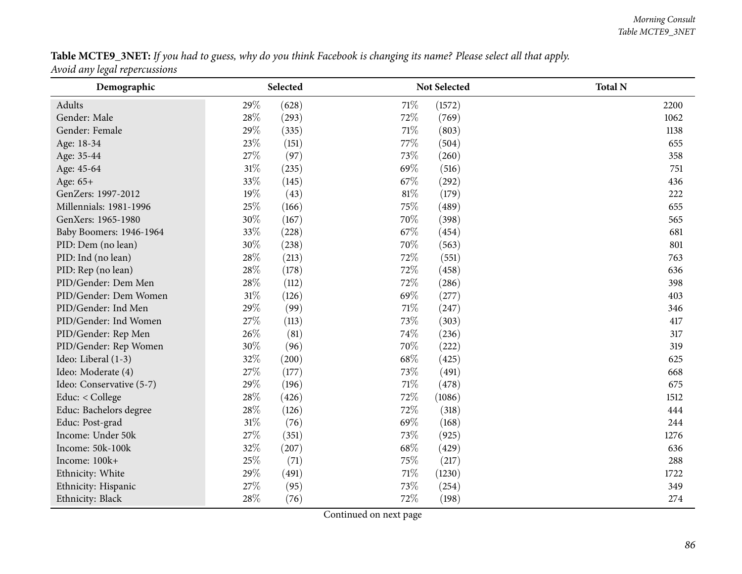# Table MCTE9\_3NET: If you had to guess, why do you think Facebook is changing its name? Please select all that apply.

*Avoid any legal repercussions*

| Demographic              | Selected       | Not Selected   | <b>Total N</b> |
|--------------------------|----------------|----------------|----------------|
| Adults                   | 29%<br>(628)   | 71%<br>(1572)  | 2200           |
| Gender: Male             | 28%<br>(293)   | 72%<br>(769)   | 1062           |
| Gender: Female           | 29%<br>(335)   | 71%<br>(803)   | 1138           |
| Age: 18-34               | 23%<br>(151)   | 77%<br>(504)   | 655            |
| Age: 35-44               | 27%<br>(97)    | 73%<br>(260)   | 358            |
| Age: 45-64               | 31%<br>(235)   | 69%<br>(516)   | 751            |
| Age: 65+                 | 33%<br>(145)   | 67\%<br>(292)  | 436            |
| GenZers: 1997-2012       | 19%<br>(43)    | 81%<br>(179)   | 222            |
| Millennials: 1981-1996   | 25%<br>(166)   | 75%<br>(489)   | 655            |
| GenXers: 1965-1980       | 30%<br>(167)   | 70%<br>(398)   | 565            |
| Baby Boomers: 1946-1964  | 33%<br>(228)   | 67%<br>(454)   | 681            |
| PID: Dem (no lean)       | 30%<br>(238)   | 70%<br>(563)   | 801            |
| PID: Ind (no lean)       | 28\%<br>(213)  | 72\%<br>(551)  | 763            |
| PID: Rep (no lean)       | 28%<br>(178)   | 72%<br>(458)   | 636            |
| PID/Gender: Dem Men      | 28\%<br>(112)  | 72%<br>(286)   | 398            |
| PID/Gender: Dem Women    | 31%<br>(126)   | 69%<br>(277)   | 403            |
| PID/Gender: Ind Men      | 29%<br>(99)    | 71%<br>(247)   | 346            |
| PID/Gender: Ind Women    | 27%<br>(113)   | 73%<br>(303)   | 417            |
| PID/Gender: Rep Men      | 26%<br>(81)    | 74%<br>(236)   | 317            |
| PID/Gender: Rep Women    | 30%<br>(96)    | 70%<br>(222)   | 319            |
| Ideo: Liberal (1-3)      | 32%<br>(200)   | 68%<br>(425)   | 625            |
| Ideo: Moderate (4)       | 27%<br>(177)   | 73%<br>(491)   | 668            |
| Ideo: Conservative (5-7) | 29%<br>(196)   | 71%<br>(478)   | 675            |
| Educ: < College          | 28%<br>(426)   | 72%<br>(1086)  | 1512           |
| Educ: Bachelors degree   | 28\%<br>(126)  | 72%<br>(318)   | 444            |
| Educ: Post-grad          | $31\%$<br>(76) | 69%<br>(168)   | 244            |
| Income: Under 50k        | 27%<br>(351)   | 73%<br>(925)   | 1276           |
| Income: 50k-100k         | 32%<br>(207)   | 68%<br>(429)   | 636            |
| Income: 100k+            | 25%<br>(71)    | 75%<br>(217)   | 288            |
| Ethnicity: White         | 29%<br>(491)   | 71\%<br>(1230) | 1722           |
| Ethnicity: Hispanic      | 27%<br>(95)    | 73%<br>(254)   | 349            |
| Ethnicity: Black         | 28%<br>(76)    | 72%<br>(198)   | 274            |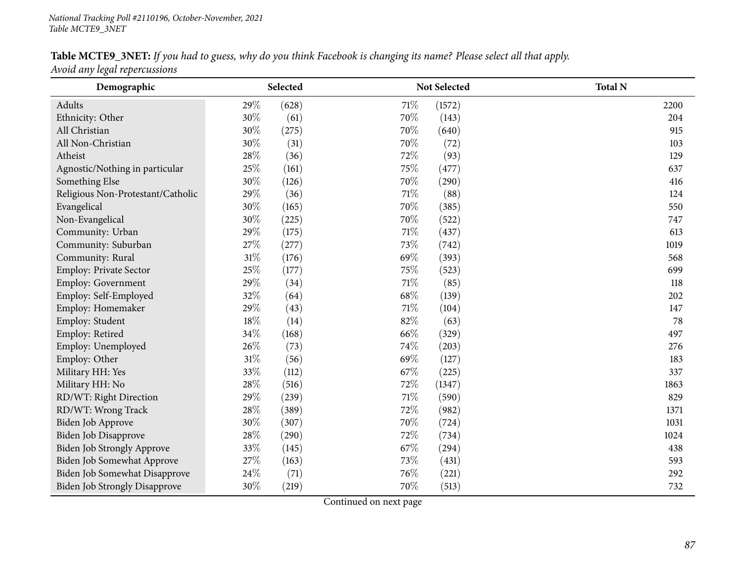# Table MCTE9\_3NET: If you had to guess, why do you think Facebook is changing its name? Please select all that apply.

*Avoid any legal repercussions*

| Demographic                          |        | Selected |      | <b>Not Selected</b> | <b>Total N</b> |
|--------------------------------------|--------|----------|------|---------------------|----------------|
| Adults                               | 29%    | (628)    | 71%  | (1572)              | 2200           |
| Ethnicity: Other                     | 30%    | (61)     | 70%  | (143)               | 204            |
| All Christian                        | 30%    | (275)    | 70%  | (640)               | 915            |
| All Non-Christian                    | 30%    | (31)     | 70%  | (72)                | 103            |
| Atheist                              | 28\%   | (36)     | 72%  | (93)                | 129            |
| Agnostic/Nothing in particular       | 25%    | (161)    | 75%  | (477)               | 637            |
| Something Else                       | 30%    | (126)    | 70%  | (290)               | 416            |
| Religious Non-Protestant/Catholic    | 29%    | (36)     | 71%  | (88)                | 124            |
| Evangelical                          | 30%    | (165)    | 70%  | (385)               | 550            |
| Non-Evangelical                      | 30%    | (225)    | 70%  | (522)               | 747            |
| Community: Urban                     | 29%    | (175)    | 71%  | (437)               | 613            |
| Community: Suburban                  | 27%    | (277)    | 73%  | (742)               | 1019           |
| Community: Rural                     | $31\%$ | (176)    | 69%  | (393)               | 568            |
| <b>Employ: Private Sector</b>        | 25%    | (177)    | 75%  | (523)               | 699            |
| <b>Employ: Government</b>            | 29%    | (34)     | 71%  | (85)                | 118            |
| Employ: Self-Employed                | 32%    | (64)     | 68%  | (139)               | 202            |
| Employ: Homemaker                    | 29%    | (43)     | 71%  | (104)               | 147            |
| Employ: Student                      | $18\%$ | (14)     | 82%  | (63)                | 78             |
| Employ: Retired                      | 34%    | (168)    | 66%  | (329)               | 497            |
| Employ: Unemployed                   | 26%    | (73)     | 74%  | (203)               | 276            |
| Employ: Other                        | $31\%$ | (56)     | 69%  | (127)               | 183            |
| Military HH: Yes                     | 33%    | (112)    | 67%  | (225)               | 337            |
| Military HH: No                      | 28%    | (516)    | 72%  | (1347)              | 1863           |
| RD/WT: Right Direction               | 29%    | (239)    | 71%  | (590)               | 829            |
| RD/WT: Wrong Track                   | 28\%   | (389)    | 72%  | (982)               | 1371           |
| Biden Job Approve                    | 30%    | (307)    | 70%  | (724)               | 1031           |
| Biden Job Disapprove                 | 28\%   | (290)    | 72%  | (734)               | 1024           |
| <b>Biden Job Strongly Approve</b>    | 33%    | (145)    | 67%  | (294)               | 438            |
| Biden Job Somewhat Approve           | 27%    | (163)    | 73%  | (431)               | 593            |
| Biden Job Somewhat Disapprove        | 24\%   | (71)     | 76\% | (221)               | 292            |
| <b>Biden Job Strongly Disapprove</b> | 30%    | (219)    | 70%  | (513)               | 732            |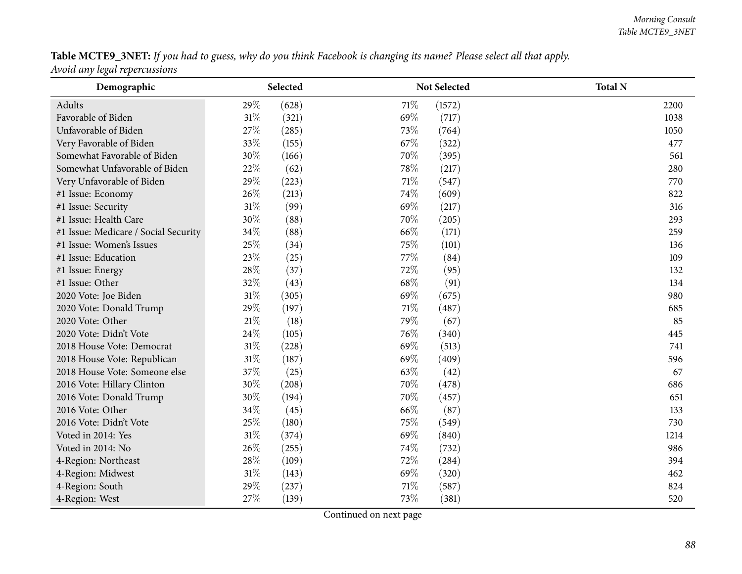### Table MCTE9\_3NET: If you had to guess, why do you think Facebook is changing its name? Please select all that apply.

*Avoid any legal repercussions*

| Demographic                          | Selected        |      | Not Selected | <b>Total N</b> |
|--------------------------------------|-----------------|------|--------------|----------------|
| Adults                               | 29%<br>(628)    | 71\% | (1572)       | 2200           |
| Favorable of Biden                   | $31\%$<br>(321) | 69%  | (717)        | 1038           |
| Unfavorable of Biden                 | 27%<br>(285)    | 73%  | (764)        | 1050           |
| Very Favorable of Biden              | 33%<br>(155)    | 67%  | (322)        | 477            |
| Somewhat Favorable of Biden          | 30%<br>(166)    | 70%  | (395)        | 561            |
| Somewhat Unfavorable of Biden        | 22%<br>(62)     | 78%  | (217)        | 280            |
| Very Unfavorable of Biden            | 29%<br>(223)    | 71%  | (547)        | 770            |
| #1 Issue: Economy                    | 26%<br>(213)    | 74%  | (609)        | 822            |
| #1 Issue: Security                   | $31\%$<br>(99)  | 69%  | (217)        | 316            |
| #1 Issue: Health Care                | $30\%$<br>(88)  | 70%  | (205)        | 293            |
| #1 Issue: Medicare / Social Security | $34\%$<br>(88)  | 66\% | (171)        | 259            |
| #1 Issue: Women's Issues             | 25%<br>(34)     | 75%  | (101)        | 136            |
| #1 Issue: Education                  | 23%<br>(25)     | 77%  | (84)         | 109            |
| #1 Issue: Energy                     | 28\%<br>(37)    | 72%  | (95)         | 132            |
| #1 Issue: Other                      | 32%<br>(43)     | 68%  | (91)         | 134            |
| 2020 Vote: Joe Biden                 | $31\%$<br>(305) | 69%  | (675)        | 980            |
| 2020 Vote: Donald Trump              | 29%<br>(197)    | 71\% | (487)        | 685            |
| 2020 Vote: Other                     | $21\%$<br>(18)  | 79%  | (67)         | 85             |
| 2020 Vote: Didn't Vote               | 24\%<br>(105)   | 76%  | (340)        | 445            |
| 2018 House Vote: Democrat            | $31\%$<br>(228) | 69%  | (513)        | 741            |
| 2018 House Vote: Republican          | $31\%$<br>(187) | 69%  | (409)        | 596            |
| 2018 House Vote: Someone else        | 37%<br>(25)     | 63%  | (42)         | 67             |
| 2016 Vote: Hillary Clinton           | 30%<br>(208)    | 70%  | (478)        | 686            |
| 2016 Vote: Donald Trump              | 30%<br>(194)    | 70%  | (457)        | 651            |
| 2016 Vote: Other                     | 34%<br>(45)     | 66%  | (87)         | 133            |
| 2016 Vote: Didn't Vote               | 25%<br>(180)    | 75%  | (549)        | 730            |
| Voted in 2014: Yes                   | $31\%$<br>(374) | 69%  | (840)        | 1214           |
| Voted in 2014: No                    | 26%<br>(255)    | 74\% | (732)        | 986            |
| 4-Region: Northeast                  | 28\%<br>(109)   | 72%  | (284)        | 394            |
| 4-Region: Midwest                    | $31\%$<br>(143) | 69%  | (320)        | 462            |
| 4-Region: South                      | 29%<br>(237)    | 71%  | (587)        | 824            |
| 4-Region: West                       | 27%<br>(139)    | 73%  | (381)        | 520            |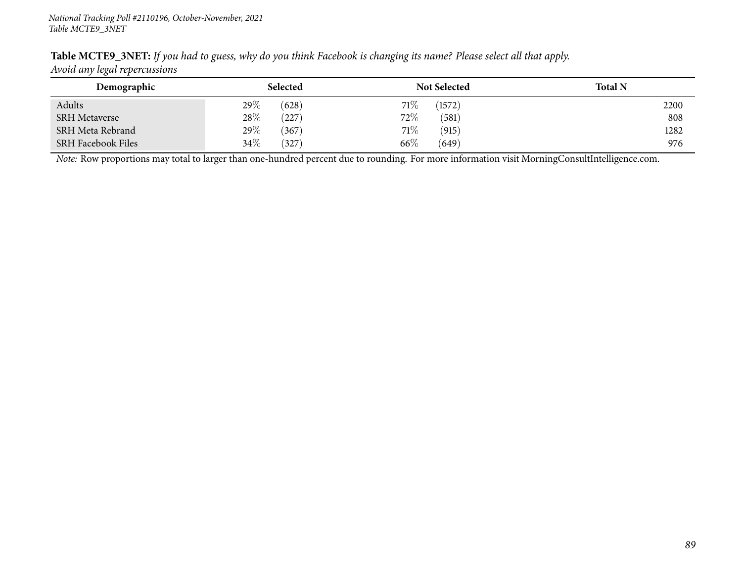| Table MCTE9_3NET: If you had to guess, why do you think Facebook is changing its name? Please select all that apply. |  |  |
|----------------------------------------------------------------------------------------------------------------------|--|--|
| Avoid any legal repercussions                                                                                        |  |  |

| Demographic               | Selected        | <b>Not Selected</b> | <b>Total N</b> |
|---------------------------|-----------------|---------------------|----------------|
| Adults                    | $29\%$<br>(628) | 71%<br>(1572)       | 2200           |
| <b>SRH</b> Metaverse      | 28%<br>(227)    | $72\%$<br>(581)     | 808            |
| SRH Meta Rebrand          | 29%<br>(367)    | 71\%<br>(915)       | 1282           |
| <b>SRH Facebook Files</b> | 34\%<br>(327)   | $66\%$<br>(649)     | 976            |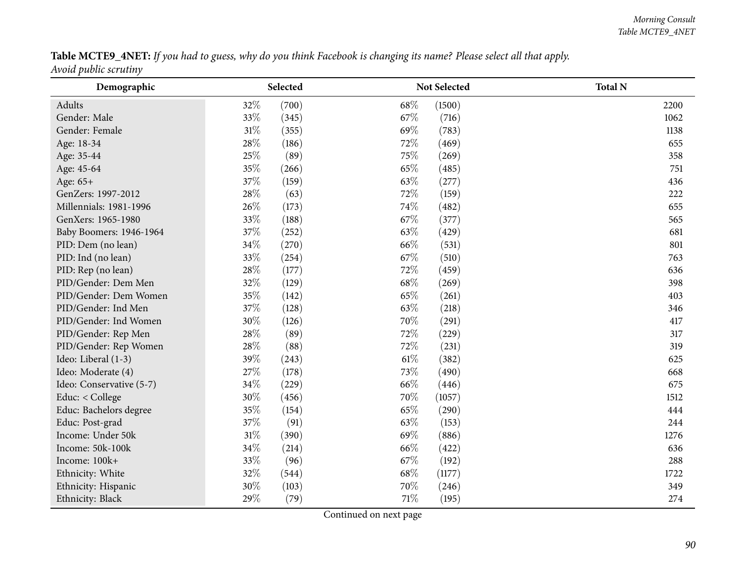Table MCTE9\_4NET: If you had to guess, why do you think Facebook is changing its name? Please select all that apply. *Avoid public scrutiny*

| Demographic              | Selected        | Not Selected    | <b>Total N</b> |
|--------------------------|-----------------|-----------------|----------------|
| Adults                   | 32\%<br>(700)   | 68\%<br>(1500)  | 2200           |
| Gender: Male             | 33\%<br>(345)   | 67\%<br>(716)   | 1062           |
| Gender: Female           | 31%<br>(355)    | 69%<br>(783)    | 1138           |
| Age: 18-34               | 28%<br>(186)    | 72%<br>(469)    | 655            |
| Age: 35-44               | 25%<br>(89)     | 75%<br>(269)    | 358            |
| Age: 45-64               | 35%<br>(266)    | 65%<br>(485)    | 751            |
| Age: 65+                 | 37%<br>(159)    | 63\%<br>(277)   | 436            |
| GenZers: 1997-2012       | 28%<br>(63)     | 72%<br>(159)    | 222            |
| Millennials: 1981-1996   | 26%<br>(173)    | 74%<br>(482)    | 655            |
| GenXers: 1965-1980       | 33%<br>(188)    | 67\%<br>(377)   | 565            |
| Baby Boomers: 1946-1964  | 37%<br>(252)    | 63\%<br>(429)   | 681            |
| PID: Dem (no lean)       | 34\%<br>(270)   | 66\%<br>(531)   | 801            |
| PID: Ind (no lean)       | 33%<br>(254)    | 67%<br>(510)    | 763            |
| PID: Rep (no lean)       | 28%<br>(177)    | 72%<br>(459)    | 636            |
| PID/Gender: Dem Men      | 32%<br>(129)    | 68%<br>(269)    | 398            |
| PID/Gender: Dem Women    | 35%<br>(142)    | 65%<br>(261)    | 403            |
| PID/Gender: Ind Men      | 37%<br>(128)    | 63%<br>(218)    | 346            |
| PID/Gender: Ind Women    | 30%<br>(126)    | 70%<br>(291)    | 417            |
| PID/Gender: Rep Men      | 28\%<br>(89)    | 72%<br>(229)    | 317            |
| PID/Gender: Rep Women    | 28%<br>(88)     | 72%<br>(231)    | 319            |
| Ideo: Liberal (1-3)      | 39%<br>(243)    | 61\%<br>(382)   | 625            |
| Ideo: Moderate (4)       | 27%<br>(178)    | 73%<br>(490)    | 668            |
| Ideo: Conservative (5-7) | 34%<br>(229)    | 66%<br>(446)    | 675            |
| Educ: < College          | 30%<br>(456)    | 70%<br>(1057)   | 1512           |
| Educ: Bachelors degree   | 35%<br>(154)    | 65%<br>(290)    | 444            |
| Educ: Post-grad          | 37%<br>(91)     | 63%<br>(153)    | 244            |
| Income: Under 50k        | $31\%$<br>(390) | 69%<br>(886)    | 1276           |
| Income: 50k-100k         | 34%<br>(214)    | 66%<br>(422)    | 636            |
| Income: 100k+            | 33%<br>(96)     | 67%<br>(192)    | 288            |
| Ethnicity: White         | 32%<br>(544)    | 68%<br>(1177)   | 1722           |
| Ethnicity: Hispanic      | 30%<br>(103)    | 70%<br>(246)    | 349            |
| Ethnicity: Black         | 29%<br>(79)     | $71\%$<br>(195) | 274            |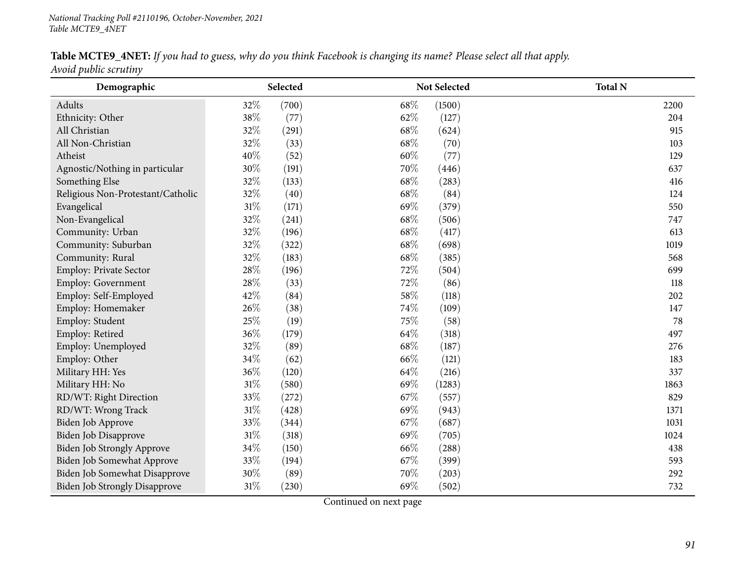## Table MCTE9\_4NET: If you had to guess, why do you think Facebook is changing its name? Please select all that apply.

*Avoid public scrutiny*

| Demographic                          |        | Selected |      | Not Selected | <b>Total N</b> |
|--------------------------------------|--------|----------|------|--------------|----------------|
| Adults                               | 32%    | (700)    | 68\% | (1500)       | 2200           |
| Ethnicity: Other                     | 38%    | (77)     | 62%  | (127)        | 204            |
| All Christian                        | 32%    | (291)    | 68%  | (624)        | 915            |
| All Non-Christian                    | 32%    | (33)     | 68%  | (70)         | 103            |
| Atheist                              | 40%    | (52)     | 60%  | (77)         | 129            |
| Agnostic/Nothing in particular       | 30%    | (191)    | 70%  | (446)        | 637            |
| Something Else                       | 32%    | (133)    | 68%  | (283)        | 416            |
| Religious Non-Protestant/Catholic    | 32%    | (40)     | 68%  | (84)         | 124            |
| Evangelical                          | $31\%$ | (171)    | 69%  | (379)        | 550            |
| Non-Evangelical                      | 32%    | (241)    | 68%  | (506)        | 747            |
| Community: Urban                     | 32%    | (196)    | 68%  | (417)        | 613            |
| Community: Suburban                  | 32%    | (322)    | 68%  | (698)        | 1019           |
| Community: Rural                     | 32%    | (183)    | 68%  | (385)        | 568            |
| Employ: Private Sector               | 28\%   | (196)    | 72%  | (504)        | 699            |
| Employ: Government                   | 28\%   | (33)     | 72%  | (86)         | 118            |
| Employ: Self-Employed                | 42%    | (84)     | 58%  | (118)        | 202            |
| Employ: Homemaker                    | 26%    | (38)     | 74%  | (109)        | 147            |
| Employ: Student                      | 25%    | (19)     | 75%  | (58)         | 78             |
| Employ: Retired                      | 36%    | (179)    | 64\% | (318)        | 497            |
| Employ: Unemployed                   | 32%    | (89)     | 68\% | (187)        | 276            |
| Employ: Other                        | 34%    | (62)     | 66%  | (121)        | 183            |
| Military HH: Yes                     | 36%    | (120)    | 64%  | (216)        | 337            |
| Military HH: No                      | $31\%$ | (580)    | 69%  | (1283)       | 1863           |
| RD/WT: Right Direction               | 33%    | (272)    | 67%  | (557)        | 829            |
| RD/WT: Wrong Track                   | $31\%$ | (428)    | 69%  | (943)        | 1371           |
| Biden Job Approve                    | 33%    | (344)    | 67%  | (687)        | 1031           |
| Biden Job Disapprove                 | $31\%$ | (318)    | 69%  | (705)        | 1024           |
| Biden Job Strongly Approve           | 34%    | (150)    | 66\% | (288)        | 438            |
| Biden Job Somewhat Approve           | 33%    | (194)    | 67%  | (399)        | 593            |
| Biden Job Somewhat Disapprove        | 30%    | (89)     | 70%  | (203)        | 292            |
| <b>Biden Job Strongly Disapprove</b> | $31\%$ | (230)    | 69%  | (502)        | 732            |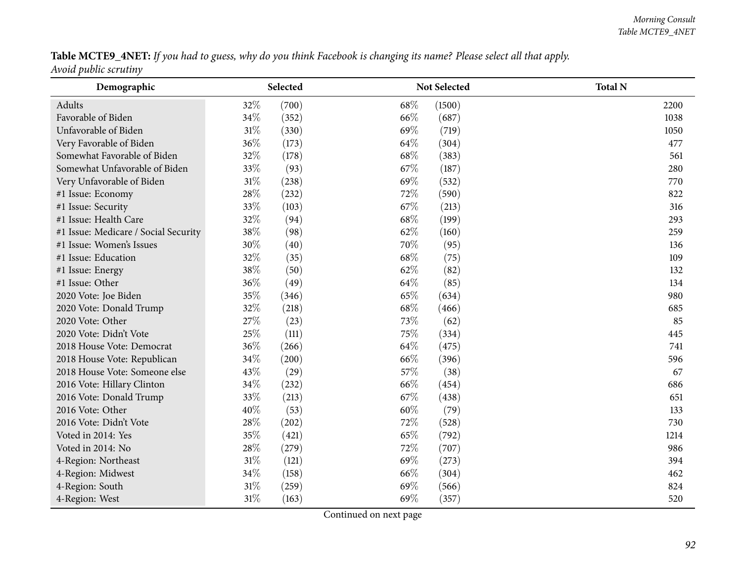### Table MCTE9\_4NET: If you had to guess, why do you think Facebook is changing its name? Please select all that apply.

*Avoid public scrutiny*

| Demographic                          | Selected        | <b>Not Selected</b> | <b>Total N</b> |
|--------------------------------------|-----------------|---------------------|----------------|
| Adults                               | 32%<br>(700)    | 68%<br>(1500)       | 2200           |
| Favorable of Biden                   | 34%<br>(352)    | 66%<br>(687)        | 1038           |
| Unfavorable of Biden                 | $31\%$<br>(330) | 69%<br>(719)        | 1050           |
| Very Favorable of Biden              | 36%<br>(173)    | 64%<br>(304)        | 477            |
| Somewhat Favorable of Biden          | 32%<br>(178)    | 68%<br>(383)        | 561            |
| Somewhat Unfavorable of Biden        | 33%<br>(93)     | 67%<br>(187)        | 280            |
| Very Unfavorable of Biden            | $31\%$<br>(238) | 69%<br>(532)        | 770            |
| #1 Issue: Economy                    | 28%<br>(232)    | 72%<br>(590)        | 822            |
| #1 Issue: Security                   | 33%<br>(103)    | 67%<br>(213)        | 316            |
| #1 Issue: Health Care                | 32%<br>(94)     | 68%<br>(199)        | 293            |
| #1 Issue: Medicare / Social Security | 38\%<br>(98)    | 62%<br>(160)        | 259            |
| #1 Issue: Women's Issues             | 30%<br>(40)     | 70%<br>(95)         | 136            |
| #1 Issue: Education                  | 32%<br>(35)     | 68%<br>(75)         | 109            |
| #1 Issue: Energy                     | 38%<br>(50)     | 62%<br>(82)         | 132            |
| #1 Issue: Other                      | 36%<br>(49)     | 64%<br>(85)         | 134            |
| 2020 Vote: Joe Biden                 | 35%<br>(346)    | 65%<br>(634)        | 980            |
| 2020 Vote: Donald Trump              | 32%<br>(218)    | 68%<br>(466)        | 685            |
| 2020 Vote: Other                     | 27%<br>(23)     | 73%<br>(62)         | 85             |
| 2020 Vote: Didn't Vote               | $25\%$<br>(111) | 75%<br>(334)        | 445            |
| 2018 House Vote: Democrat            | 36%<br>(266)    | 64%<br>(475)        | 741            |
| 2018 House Vote: Republican          | 34%<br>(200)    | 66%<br>(396)        | 596            |
| 2018 House Vote: Someone else        | 43%<br>(29)     | 57%<br>(38)         | 67             |
| 2016 Vote: Hillary Clinton           | 34%<br>(232)    | 66\%<br>(454)       | 686            |
| 2016 Vote: Donald Trump              | 33%<br>(213)    | 67%<br>(438)        | 651            |
| 2016 Vote: Other                     | 40%<br>(53)     | 60%<br>(79)         | 133            |
| 2016 Vote: Didn't Vote               | 28\%<br>(202)   | 72%<br>(528)        | 730            |
| Voted in 2014: Yes                   | 35%<br>(421)    | 65%<br>(792)        | 1214           |
| Voted in 2014: No                    | 28%<br>(279)    | 72%<br>(707)        | 986            |
| 4-Region: Northeast                  | 31%<br>(121)    | 69%<br>(273)        | 394            |
| 4-Region: Midwest                    | $34\%$<br>(158) | 66%<br>(304)        | 462            |
| 4-Region: South                      | $31\%$<br>(259) | 69%<br>(566)        | 824            |
| 4-Region: West                       | $31\%$<br>(163) | 69%<br>(357)        | 520            |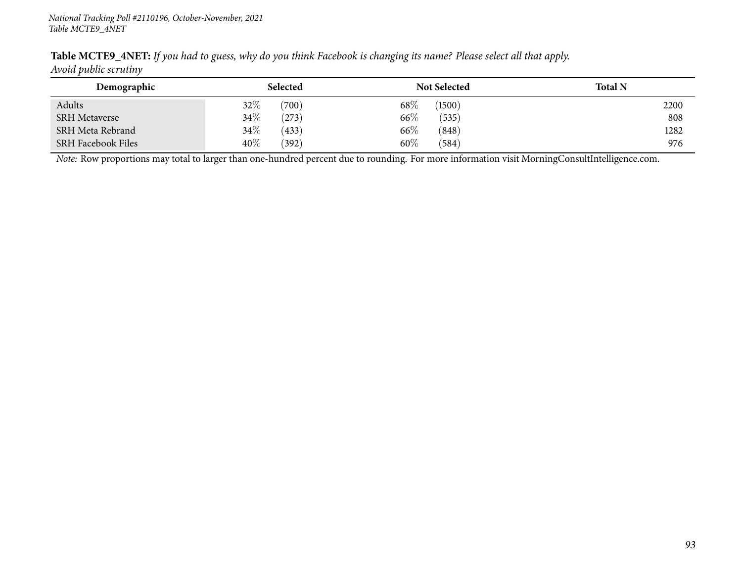| Demographic               | Selected        | <b>Not Selected</b> | <b>Total N</b> |
|---------------------------|-----------------|---------------------|----------------|
| Adults                    | $32\%$<br>(700) | $68\%$<br>(1500)    | 2200           |
| <b>SRH Metaverse</b>      | 34\%<br>(273)   | $66\%$<br>(535)     | 808            |
| SRH Meta Rebrand          | 34\%<br>(433)   | $66\%$<br>(848)     | 1282           |
| <b>SRH Facebook Files</b> | $40\%$<br>(392) | $60\%$<br>(584)     | 976            |

Table MCTE9\_4NET: If you had to guess, why do you think Facebook is changing its name? Please select all that apply. *Avoid public scrutiny*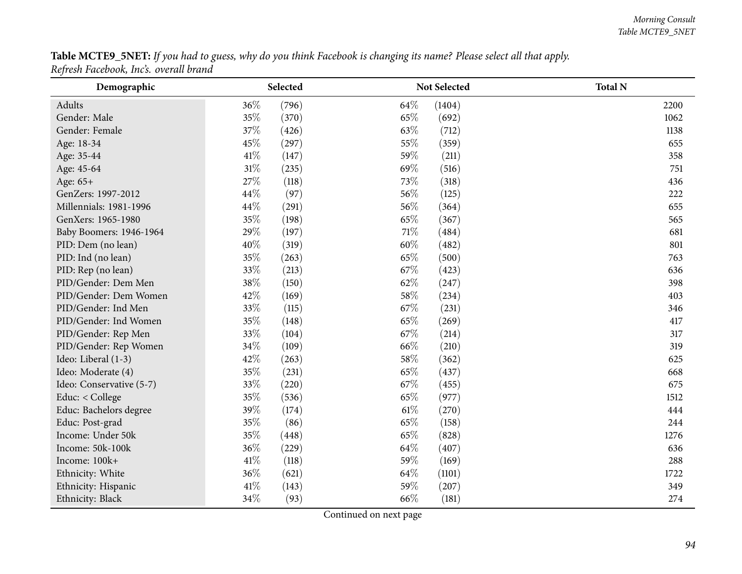${\bf Table~MCTE9\_5NET:}$  If you had to guess, why do you think Facebook is changing its name? Please select all that apply. *Refresh Facebook, Inc's. overall brand*

| Demographic              | Selected        | Not Selected   | <b>Total N</b> |
|--------------------------|-----------------|----------------|----------------|
| Adults                   | 36%<br>(796)    | 64%<br>(1404)  | 2200           |
| Gender: Male             | 35%<br>(370)    | 65%<br>(692)   | 1062           |
| Gender: Female           | 37%<br>(426)    | 63%<br>(712)   | 1138           |
| Age: 18-34               | 45%<br>(297)    | 55%<br>(359)   | 655            |
| Age: 35-44               | 41%<br>(147)    | 59%<br>(211)   | 358            |
| Age: 45-64               | $31\%$<br>(235) | 69%<br>(516)   | 751            |
| Age: 65+                 | $27\%$<br>(118) | 73%<br>(318)   | 436            |
| GenZers: 1997-2012       | 44\%<br>(97)    | 56%<br>(125)   | 222            |
| Millennials: 1981-1996   | 44%<br>(291)    | 56%<br>(364)   | 655            |
| GenXers: 1965-1980       | 35%<br>(198)    | 65%<br>(367)   | 565            |
| Baby Boomers: 1946-1964  | 29%<br>(197)    | 71%<br>(484)   | 681            |
| PID: Dem (no lean)       | 40%<br>(319)    | 60%<br>(482)   | 801            |
| PID: Ind (no lean)       | 35%<br>(263)    | 65%<br>(500)   | 763            |
| PID: Rep (no lean)       | 33%<br>(213)    | 67\%<br>(423)  | 636            |
| PID/Gender: Dem Men      | 38%<br>(150)    | 62%<br>(247)   | 398            |
| PID/Gender: Dem Women    | 42%<br>(169)    | 58%<br>(234)   | 403            |
| PID/Gender: Ind Men      | 33%<br>(115)    | 67%<br>(231)   | 346            |
| PID/Gender: Ind Women    | 35%<br>(148)    | 65%<br>(269)   | 417            |
| PID/Gender: Rep Men      | 33%<br>(104)    | 67%<br>(214)   | 317            |
| PID/Gender: Rep Women    | 34%<br>(109)    | 66%<br>(210)   | 319            |
| Ideo: Liberal (1-3)      | 42%<br>(263)    | 58%<br>(362)   | 625            |
| Ideo: Moderate (4)       | $35\%$<br>(231) | 65%<br>(437)   | 668            |
| Ideo: Conservative (5-7) | 33%<br>(220)    | 67\%<br>(455)  | 675            |
| Educ: < College          | 35%<br>(536)    | 65%<br>(977)   | 1512           |
| Educ: Bachelors degree   | 39%<br>(174)    | 61%<br>(270)   | 444            |
| Educ: Post-grad          | 35%<br>(86)     | 65%<br>(158)   | 244            |
| Income: Under 50k        | 35%<br>(448)    | 65%<br>(828)   | 1276           |
| Income: 50k-100k         | 36%<br>(229)    | 64%<br>(407)   | 636            |
| Income: 100k+            | 41%<br>(118)    | 59%<br>(169)   | 288            |
| Ethnicity: White         | 36%<br>(621)    | 64\%<br>(1101) | 1722           |
| Ethnicity: Hispanic      | 41%<br>(143)    | 59%<br>(207)   | 349            |
| Ethnicity: Black         | 34%<br>(93)     | 66%<br>(181)   | 274            |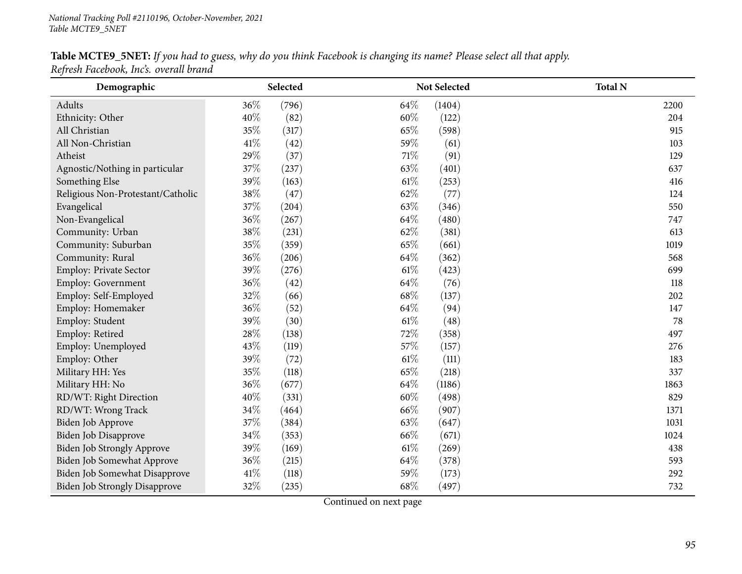#### Table MCTE9\_5NET: If you had to guess, why do you think Facebook is changing its name? Please select all that apply. *Refresh Facebook, Inc's. overall brand*

| Demographic                          |        | Selected |        | Not Selected | <b>Total N</b> |
|--------------------------------------|--------|----------|--------|--------------|----------------|
| Adults                               | 36%    | (796)    | 64\%   | (1404)       | 2200           |
| Ethnicity: Other                     | 40%    | (82)     | 60%    | (122)        | 204            |
| All Christian                        | 35%    | (317)    | 65%    | (598)        | 915            |
| All Non-Christian                    | $41\%$ | (42)     | 59%    | (61)         | 103            |
| Atheist                              | 29%    | (37)     | 71%    | (91)         | 129            |
| Agnostic/Nothing in particular       | 37%    | (237)    | 63%    | (401)        | 637            |
| Something Else                       | 39%    | (163)    | 61\%   | (253)        | 416            |
| Religious Non-Protestant/Catholic    | 38%    | (47)     | 62%    | (77)         | 124            |
| Evangelical                          | 37%    | (204)    | 63%    | (346)        | 550            |
| Non-Evangelical                      | $36\%$ | (267)    | 64%    | (480)        | 747            |
| Community: Urban                     | 38\%   | (231)    | 62%    | (381)        | 613            |
| Community: Suburban                  | 35%    | (359)    | 65%    | (661)        | 1019           |
| Community: Rural                     | 36%    | (206)    | 64\%   | (362)        | 568            |
| Employ: Private Sector               | 39%    | (276)    | $61\%$ | (423)        | 699            |
| Employ: Government                   | 36%    | (42)     | 64%    | (76)         | 118            |
| Employ: Self-Employed                | 32%    | (66)     | 68\%   | (137)        | 202            |
| Employ: Homemaker                    | 36%    | (52)     | 64%    | (94)         | 147            |
| Employ: Student                      | 39%    | (30)     | 61\%   | (48)         | 78             |
| Employ: Retired                      | 28\%   | (138)    | 72%    | (358)        | 497            |
| Employ: Unemployed                   | 43%    | (119)    | 57%    | (157)        | 276            |
| Employ: Other                        | 39%    | (72)     | $61\%$ | (111)        | 183            |
| Military HH: Yes                     | $35\%$ | (118)    | 65%    | (218)        | 337            |
| Military HH: No                      | 36%    | (677)    | 64%    | (1186)       | 1863           |
| RD/WT: Right Direction               | 40%    | (331)    | 60%    | (498)        | 829            |
| RD/WT: Wrong Track                   | 34%    | (464)    | 66%    | (907)        | 1371           |
| Biden Job Approve                    | 37%    | (384)    | 63%    | (647)        | 1031           |
| Biden Job Disapprove                 | 34%    | (353)    | 66%    | (671)        | 1024           |
| Biden Job Strongly Approve           | 39%    | (169)    | $61\%$ | (269)        | 438            |
| Biden Job Somewhat Approve           | 36%    | (215)    | 64%    | (378)        | 593            |
| Biden Job Somewhat Disapprove        | 41\%   | (118)    | 59%    | (173)        | 292            |
| <b>Biden Job Strongly Disapprove</b> | 32%    | (235)    | 68\%   | (497)        | 732            |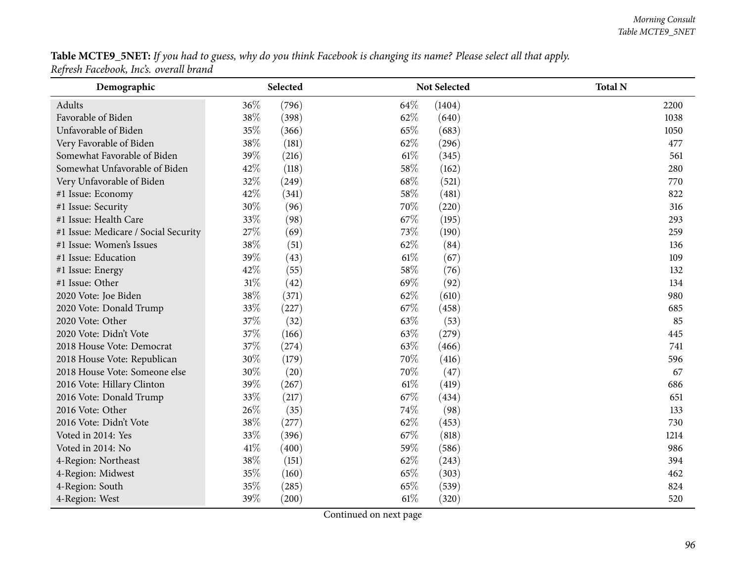${\bf Table~MCTE9\_5NET:}$  If you had to guess, why do you think Facebook is changing its name? Please select all that apply. *Refresh Facebook, Inc's. overall brand*

| Demographic                          | Selected        |      | <b>Total N</b><br>Not Selected |      |
|--------------------------------------|-----------------|------|--------------------------------|------|
| Adults                               | 36%<br>(796)    | 64%  | (1404)                         | 2200 |
| Favorable of Biden                   | 38\%<br>(398)   | 62%  | (640)                          | 1038 |
| Unfavorable of Biden                 | 35%<br>(366)    | 65%  | (683)                          | 1050 |
| Very Favorable of Biden              | 38%<br>(181)    | 62%  | (296)                          | 477  |
| Somewhat Favorable of Biden          | 39%<br>(216)    | 61\% | (345)                          | 561  |
| Somewhat Unfavorable of Biden        | 42%<br>(118)    | 58%  | (162)                          | 280  |
| Very Unfavorable of Biden            | 32%<br>(249)    | 68%  | (521)                          | 770  |
| #1 Issue: Economy                    | 42%<br>(341)    | 58%  | (481)                          | 822  |
| #1 Issue: Security                   | $30\%$<br>(96)  | 70%  | (220)                          | 316  |
| #1 Issue: Health Care                | 33%<br>(98)     | 67\% | (195)                          | 293  |
| #1 Issue: Medicare / Social Security | 27%<br>(69)     | 73%  | (190)                          | 259  |
| #1 Issue: Women's Issues             | 38%<br>(51)     | 62%  | (84)                           | 136  |
| #1 Issue: Education                  | 39%<br>(43)     | 61%  | (67)                           | 109  |
| #1 Issue: Energy                     | 42%<br>(55)     | 58%  | (76)                           | 132  |
| #1 Issue: Other                      | $31\%$<br>(42)  | 69%  | (92)                           | 134  |
| 2020 Vote: Joe Biden                 | 38%<br>(371)    | 62%  | (610)                          | 980  |
| 2020 Vote: Donald Trump              | 33%<br>(227)    | 67%  | (458)                          | 685  |
| 2020 Vote: Other                     | 37%<br>(32)     | 63%  | (53)                           | 85   |
| 2020 Vote: Didn't Vote               | 37%<br>(166)    | 63%  | (279)                          | 445  |
| 2018 House Vote: Democrat            | 37%<br>(274)    | 63%  | (466)                          | 741  |
| 2018 House Vote: Republican          | $30\%$<br>(179) | 70%  | (416)                          | 596  |
| 2018 House Vote: Someone else        | 30%<br>(20)     | 70%  | (47)                           | 67   |
| 2016 Vote: Hillary Clinton           | 39%<br>(267)    | 61%  | (419)                          | 686  |
| 2016 Vote: Donald Trump              | 33%<br>(217)    | 67%  | (434)                          | 651  |
| 2016 Vote: Other                     | 26%<br>(35)     | 74%  | (98)                           | 133  |
| 2016 Vote: Didn't Vote               | 38%<br>(277)    | 62%  | (453)                          | 730  |
| Voted in 2014: Yes                   | 33%<br>(396)    | 67%  | (818)                          | 1214 |
| Voted in 2014: No                    | 41\%<br>(400)   | 59%  | (586)                          | 986  |
| 4-Region: Northeast                  | 38%<br>(151)    | 62%  | (243)                          | 394  |
| 4-Region: Midwest                    | 35%<br>(160)    | 65%  | (303)                          | 462  |
| 4-Region: South                      | 35%<br>(285)    | 65%  | (539)                          | 824  |
| 4-Region: West                       | 39%<br>(200)    | 61%  | (320)                          | 520  |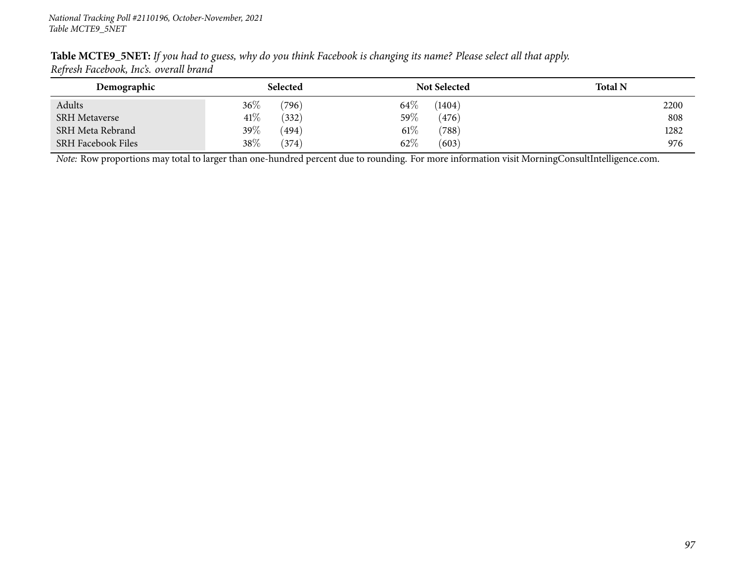| Refresh Facebook, Incs. overall brand |                  |                     |                |
|---------------------------------------|------------------|---------------------|----------------|
| Demographic                           | <b>Selected</b>  | <b>Not Selected</b> | <b>Total N</b> |
| Adults                                | $36\%$<br>(796)  | $64\%$<br>(1404)    | 2200           |
| <b>SRH</b> Metaverse                  | $41\%$<br>(332)  | $59\%$<br>(476)     | 808            |
| SRH Meta Rebrand                      | 39 $\%$<br>(494) | $61\%$<br>(788)     | 1282           |
| <b>SRH Facebook Files</b>             | 38\%<br>(374)    | 62\%<br>(603)       | 976            |

Table MCTE9\_5NET: If you had to guess, why do you think Facebook is changing its name? Please select all that apply. *Refresh Facebook, Inc's. overall brand*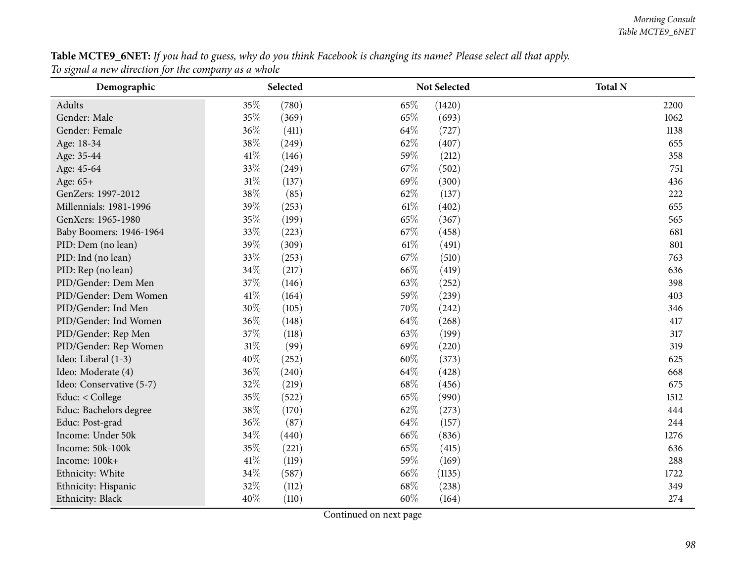${\bf Table~MCTE9\_6NET:}$  If you had to guess, why do you think Facebook is changing its name? Please select all that apply. *To signal <sup>a</sup> new direction for the company as <sup>a</sup> whole*

| Demographic              | Selected       |        | Not Selected | <b>Total N</b> |
|--------------------------|----------------|--------|--------------|----------------|
| Adults                   | 35%<br>(780)   | 65%    | (1420)       | 2200           |
| Gender: Male             | 35%<br>(369)   | 65%    | (693)        | 1062           |
| Gender: Female           | 36%<br>(411)   | 64\%   | (727)        | 1138           |
| Age: 18-34               | 38%<br>(249)   | 62%    | (407)        | 655            |
| Age: 35-44               | 41\%<br>(146)  | 59%    | (212)        | 358            |
| Age: 45-64               | 33%<br>(249)   | 67%    | (502)        | 751            |
| Age: 65+                 | 31%<br>(137)   | 69%    | (300)        | 436            |
| GenZers: 1997-2012       | 38%<br>(85)    | 62%    | (137)        | 222            |
| Millennials: 1981-1996   | 39%<br>(253)   | 61\%   | (402)        | 655            |
| GenXers: 1965-1980       | 35%<br>(199)   | 65%    | (367)        | 565            |
| Baby Boomers: 1946-1964  | 33%<br>(223)   | 67%    | (458)        | 681            |
| PID: Dem (no lean)       | 39%<br>(309)   | $61\%$ | (491)        | 801            |
| PID: Ind (no lean)       | 33%<br>(253)   | 67%    | (510)        | 763            |
| PID: Rep (no lean)       | 34%<br>(217)   | 66\%   | (419)        | 636            |
| PID/Gender: Dem Men      | 37%<br>(146)   | 63%    | (252)        | 398            |
| PID/Gender: Dem Women    | 41\%<br>(164)  | 59%    | (239)        | 403            |
| PID/Gender: Ind Men      | 30%<br>(105)   | 70%    | (242)        | 346            |
| PID/Gender: Ind Women    | 36%<br>(148)   | 64\%   | (268)        | 417            |
| PID/Gender: Rep Men      | 37\%<br>(118)  | 63%    | (199)        | 317            |
| PID/Gender: Rep Women    | $31\%$<br>(99) | 69%    | (220)        | 319            |
| Ideo: Liberal (1-3)      | 40%<br>(252)   | 60%    | (373)        | 625            |
| Ideo: Moderate (4)       | 36%<br>(240)   | 64%    | (428)        | 668            |
| Ideo: Conservative (5-7) | 32%<br>(219)   | 68%    | (456)        | 675            |
| Educ: < College          | 35%<br>(522)   | 65%    | (990)        | 1512           |
| Educ: Bachelors degree   | 38%<br>(170)   | 62%    | (273)        | 444            |
| Educ: Post-grad          | 36%<br>(87)    | 64%    | (157)        | 244            |
| Income: Under 50k        | 34\%<br>(440)  | 66%    | (836)        | 1276           |
| Income: 50k-100k         | 35%<br>(221)   | 65%    | (415)        | 636            |
| Income: 100k+            | 41\%<br>(119)  | 59%    | (169)        | 288            |
| Ethnicity: White         | 34%<br>(587)   | 66%    | (1135)       | 1722           |
| Ethnicity: Hispanic      | 32%<br>(112)   | 68%    | (238)        | 349            |
| Ethnicity: Black         | 40%<br>(110)   | 60%    | (164)        | 274            |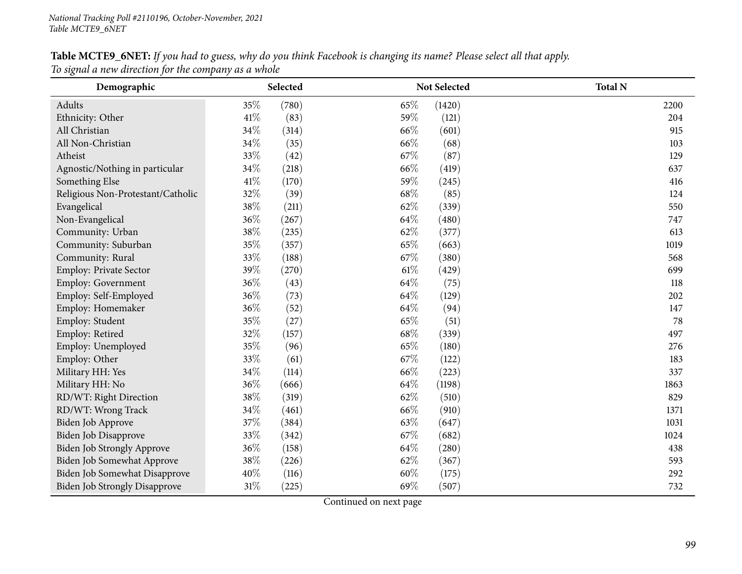#### Table MCTE9\_6NET: If you had to guess, why do you think Facebook is changing its name? Please select all that apply. *To signal <sup>a</sup> new direction for the company as <sup>a</sup> whole*

| Demographic                          |        | Selected |      | <b>Not Selected</b> | <b>Total N</b> |
|--------------------------------------|--------|----------|------|---------------------|----------------|
| Adults                               | 35%    | (780)    | 65%  | (1420)              | 2200           |
| Ethnicity: Other                     | $41\%$ | (83)     | 59%  | (121)               | 204            |
| All Christian                        | 34%    | (314)    | 66%  | (601)               | 915            |
| All Non-Christian                    | 34%    | (35)     | 66%  | (68)                | 103            |
| Atheist                              | 33%    | (42)     | 67%  | (87)                | 129            |
| Agnostic/Nothing in particular       | 34%    | (218)    | 66%  | (419)               | 637            |
| Something Else                       | 41%    | (170)    | 59%  | (245)               | 416            |
| Religious Non-Protestant/Catholic    | 32%    | (39)     | 68%  | (85)                | 124            |
| Evangelical                          | 38%    | (211)    | 62%  | (339)               | 550            |
| Non-Evangelical                      | 36%    | (267)    | 64%  | (480)               | 747            |
| Community: Urban                     | 38%    | (235)    | 62%  | (377)               | 613            |
| Community: Suburban                  | 35%    | (357)    | 65%  | (663)               | 1019           |
| Community: Rural                     | 33%    | (188)    | 67%  | (380)               | 568            |
| Employ: Private Sector               | 39%    | (270)    | 61\% | (429)               | 699            |
| Employ: Government                   | 36%    | (43)     | 64%  | (75)                | 118            |
| Employ: Self-Employed                | 36%    | (73)     | 64%  | (129)               | 202            |
| Employ: Homemaker                    | 36%    | (52)     | 64%  | (94)                | 147            |
| Employ: Student                      | 35%    | (27)     | 65%  | (51)                | 78             |
| Employ: Retired                      | 32%    | (157)    | 68%  | (339)               | 497            |
| Employ: Unemployed                   | 35%    | (96)     | 65%  | (180)               | 276            |
| Employ: Other                        | 33%    | (61)     | 67%  | (122)               | 183            |
| Military HH: Yes                     | 34%    | (114)    | 66%  | (223)               | 337            |
| Military HH: No                      | 36%    | (666)    | 64%  | (1198)              | 1863           |
| RD/WT: Right Direction               | 38%    | (319)    | 62%  | (510)               | 829            |
| RD/WT: Wrong Track                   | 34%    | (461)    | 66%  | (910)               | 1371           |
| Biden Job Approve                    | 37%    | (384)    | 63%  | (647)               | 1031           |
| <b>Biden Job Disapprove</b>          | 33%    | (342)    | 67%  | (682)               | 1024           |
| <b>Biden Job Strongly Approve</b>    | 36%    | (158)    | 64%  | (280)               | 438            |
| Biden Job Somewhat Approve           | 38%    | (226)    | 62%  | (367)               | 593            |
| Biden Job Somewhat Disapprove        | 40%    | (116)    | 60%  | (175)               | 292            |
| <b>Biden Job Strongly Disapprove</b> | 31%    | (225)    | 69%  | (507)               | 732            |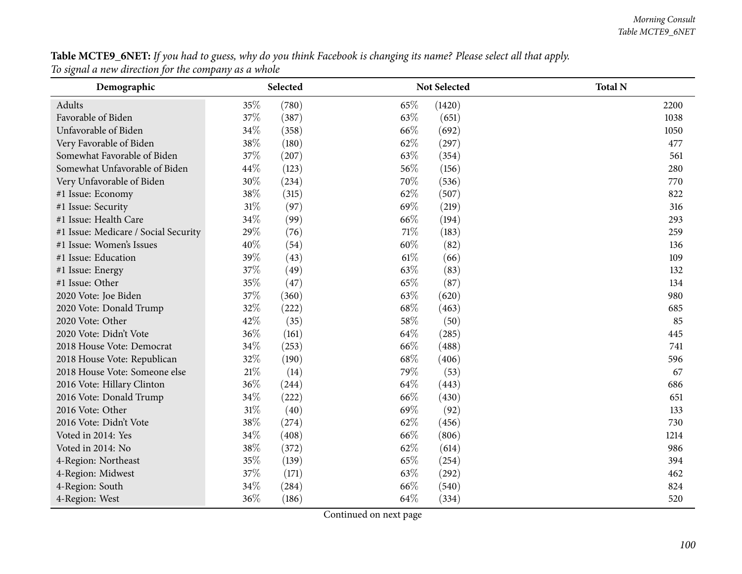Table MCTE9\_6NET: If you had to guess, why do you think Facebook is changing its name? Please select all that apply. *To signal <sup>a</sup> new direction for the company as <sup>a</sup> whole*

| Demographic                          | Selected      | Not Selected   | <b>Total N</b> |
|--------------------------------------|---------------|----------------|----------------|
| Adults                               | 35\%<br>(780) | 65%<br>(1420)  | 2200           |
| Favorable of Biden                   | 37%<br>(387)  | 63\%<br>(651)  | 1038           |
| Unfavorable of Biden                 | 34\%<br>(358) | 66\%<br>(692)  | 1050           |
| Very Favorable of Biden              | 38%<br>(180)  | 62%<br>(297)   | 477            |
| Somewhat Favorable of Biden          | 37%<br>(207)  | 63%<br>(354)   | 561            |
| Somewhat Unfavorable of Biden        | 44%<br>(123)  | 56%<br>(156)   | 280            |
| Very Unfavorable of Biden            | 30%<br>(234)  | 70%<br>(536)   | 770            |
| #1 Issue: Economy                    | 38%<br>(315)  | 62%<br>(507)   | 822            |
| #1 Issue: Security                   | 31%<br>(97)   | 69%<br>(219)   | 316            |
| #1 Issue: Health Care                | 34%<br>(99)   | 66%<br>(194)   | 293            |
| #1 Issue: Medicare / Social Security | 29%<br>(76)   | 71%<br>(183)   | 259            |
| #1 Issue: Women's Issues             | 40%<br>(54)   | 60%<br>(82)    | 136            |
| #1 Issue: Education                  | 39%<br>(43)   | $61\%$<br>(66) | 109            |
| #1 Issue: Energy                     | 37%<br>(49)   | 63%<br>(83)    | 132            |
| #1 Issue: Other                      | 35%<br>(47)   | 65%<br>(87)    | 134            |
| 2020 Vote: Joe Biden                 | 37%<br>(360)  | 63%<br>(620)   | 980            |
| 2020 Vote: Donald Trump              | 32%<br>(222)  | 68%<br>(463)   | 685            |
| 2020 Vote: Other                     | 42%<br>(35)   | 58%<br>(50)    | 85             |
| 2020 Vote: Didn't Vote               | 36%<br>(161)  | 64%<br>(285)   | 445            |
| 2018 House Vote: Democrat            | 34%<br>(253)  | 66%<br>(488)   | 741            |
| 2018 House Vote: Republican          | 32%<br>(190)  | 68%<br>(406)   | 596            |
| 2018 House Vote: Someone else        | 21%<br>(14)   | 79%<br>(53)    | 67             |
| 2016 Vote: Hillary Clinton           | 36%<br>(244)  | 64%<br>(443)   | 686            |
| 2016 Vote: Donald Trump              | 34%<br>(222)  | 66%<br>(430)   | 651            |
| 2016 Vote: Other                     | 31%<br>(40)   | 69%<br>(92)    | 133            |
| 2016 Vote: Didn't Vote               | 38%<br>(274)  | 62%<br>(456)   | 730            |
| Voted in 2014: Yes                   | 34%<br>(408)  | 66%<br>(806)   | 1214           |
| Voted in 2014: No                    | 38%<br>(372)  | 62%<br>(614)   | 986            |
| 4-Region: Northeast                  | 35%<br>(139)  | 65%<br>(254)   | 394            |
| 4-Region: Midwest                    | 37%<br>(171)  | 63%<br>(292)   | 462            |
| 4-Region: South                      | 34%<br>(284)  | 66%<br>(540)   | 824            |
| 4-Region: West                       | 36%<br>(186)  | 64%<br>(334)   | 520            |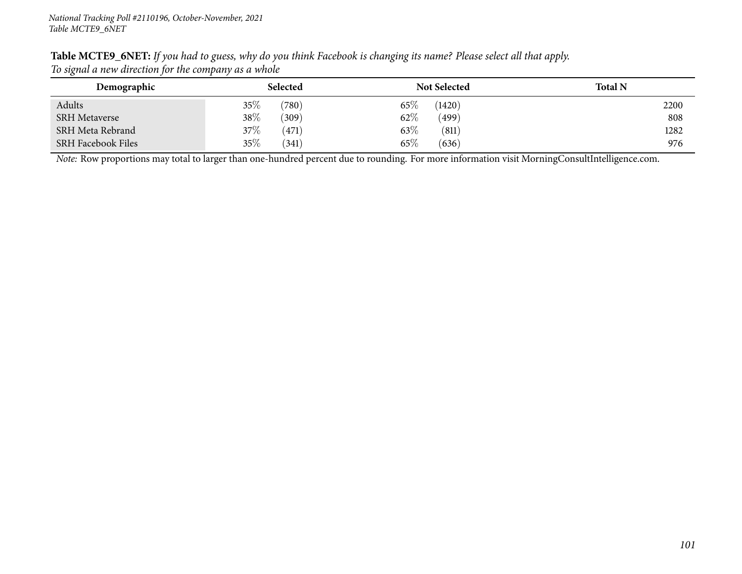| Table MCTE9_6NET: If you had to guess, why do you think Facebook is changing its name? Please select all that apply. |  |
|----------------------------------------------------------------------------------------------------------------------|--|
| To signal a new direction for the company as a whole                                                                 |  |

| Demographic               | Selected        | <b>Not Selected</b> | <b>Total N</b> |
|---------------------------|-----------------|---------------------|----------------|
| Adults                    | $35\%$<br>(780) | $65\%$<br>(1420)    | 2200           |
| <b>SRH Metaverse</b>      | 38\%<br>(309)   | $62\%$<br>(499)     | 808            |
| SRH Meta Rebrand          | $37\%$<br>(471) | $63\%$<br>(811)     | 1282           |
| <b>SRH Facebook Files</b> | 35\%<br>(341)   | $65\%$<br>(636)     | 976            |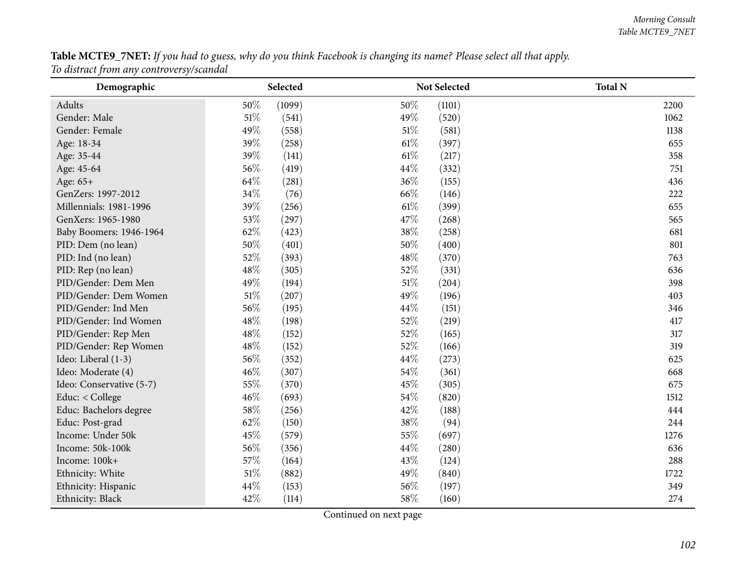Table MCTE9\_7NET: If you had to guess, why do you think Facebook is changing its name? Please select all that apply. *To distract from any controversy/scandal*

| Demographic              |        | Selected | Not Selected    | <b>Total N</b> |
|--------------------------|--------|----------|-----------------|----------------|
| Adults                   | 50%    | (1099)   | 50%<br>(1101)   | 2200           |
| Gender: Male             | $51\%$ | (541)    | 49%<br>(520)    | 1062           |
| Gender: Female           | 49%    | (558)    | 51%<br>(581)    | 1138           |
| Age: 18-34               | 39%    | (258)    | 61\%<br>(397)   | 655            |
| Age: 35-44               | 39%    | (141)    | 61%<br>(217)    | 358            |
| Age: 45-64               | 56%    | (419)    | 44\%<br>(332)   | 751            |
| Age: 65+                 | 64%    | (281)    | 36\%<br>(155)   | 436            |
| GenZers: 1997-2012       | $34\%$ | (76)     | 66%<br>(146)    | 222            |
| Millennials: 1981-1996   | 39%    | (256)    | 61\%<br>(399)   | 655            |
| GenXers: 1965-1980       | 53%    | (297)    | 47%<br>(268)    | 565            |
| Baby Boomers: 1946-1964  | 62%    | (423)    | 38%<br>(258)    | 681            |
| PID: Dem (no lean)       | 50%    | (401)    | 50%<br>(400)    | 801            |
| PID: Ind (no lean)       | 52%    | (393)    | 48%<br>(370)    | 763            |
| PID: Rep (no lean)       | 48%    | (305)    | 52%<br>(331)    | 636            |
| PID/Gender: Dem Men      | 49%    | (194)    | $51\%$<br>(204) | 398            |
| PID/Gender: Dem Women    | $51\%$ | (207)    | 49%<br>(196)    | 403            |
| PID/Gender: Ind Men      | 56%    | (195)    | 44\%<br>(151)   | 346            |
| PID/Gender: Ind Women    | 48%    | (198)    | 52%<br>(219)    | 417            |
| PID/Gender: Rep Men      | 48%    | (152)    | 52%<br>(165)    | 317            |
| PID/Gender: Rep Women    | 48%    | (152)    | 52%<br>(166)    | 319            |
| Ideo: Liberal (1-3)      | 56%    | (352)    | 44%<br>(273)    | 625            |
| Ideo: Moderate (4)       | $46\%$ | (307)    | 54\%<br>(361)   | 668            |
| Ideo: Conservative (5-7) | 55%    | (370)    | 45%<br>(305)    | 675            |
| Educ: < College          | 46%    | (693)    | 54%<br>(820)    | 1512           |
| Educ: Bachelors degree   | $58\%$ | (256)    | 42%<br>(188)    | 444            |
| Educ: Post-grad          | 62%    | (150)    | 38%<br>(94)     | 244            |
| Income: Under 50k        | 45%    | (579)    | 55%<br>(697)    | 1276           |
| Income: 50k-100k         | 56%    | (356)    | 44%<br>(280)    | 636            |
| Income: 100k+            | 57%    | (164)    | 43%<br>(124)    | 288            |
| Ethnicity: White         | 51\%   | (882)    | 49%<br>(840)    | 1722           |
| Ethnicity: Hispanic      | 44%    | (153)    | 56\%<br>(197)   | 349            |
| Ethnicity: Black         | 42%    | (114)    | 58%<br>(160)    | 274            |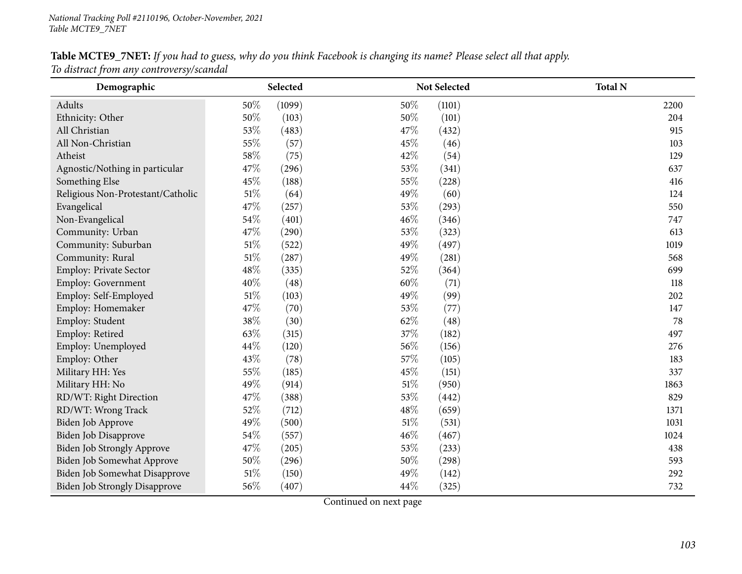# Table MCTE9\_7NET: If you had to guess, why do you think Facebook is changing its name? Please select all that apply.

*To distract from any controversy/scandal*

| Demographic                          | Selected |        |     | <b>Not Selected</b> | <b>Total N</b> |
|--------------------------------------|----------|--------|-----|---------------------|----------------|
| Adults                               | 50%      | (1099) | 50% | (1101)              | 2200           |
| Ethnicity: Other                     | 50%      | (103)  | 50% | (101)               | 204            |
| All Christian                        | 53%      | (483)  | 47% | (432)               | 915            |
| All Non-Christian                    | 55%      | (57)   | 45% | (46)                | 103            |
| Atheist                              | $58\%$   | (75)   | 42% | (54)                | 129            |
| Agnostic/Nothing in particular       | 47%      | (296)  | 53% | (341)               | 637            |
| Something Else                       | 45%      | (188)  | 55% | (228)               | 416            |
| Religious Non-Protestant/Catholic    | $51\%$   | (64)   | 49% | (60)                | 124            |
| Evangelical                          | 47%      | (257)  | 53% | (293)               | 550            |
| Non-Evangelical                      | 54%      | (401)  | 46% | (346)               | 747            |
| Community: Urban                     | 47%      | (290)  | 53% | (323)               | 613            |
| Community: Suburban                  | $51\%$   | (522)  | 49% | (497)               | 1019           |
| Community: Rural                     | $51\%$   | (287)  | 49% | (281)               | 568            |
| Employ: Private Sector               | 48%      | (335)  | 52% | (364)               | 699            |
| Employ: Government                   | 40%      | (48)   | 60% | (71)                | 118            |
| Employ: Self-Employed                | 51\%     | (103)  | 49% | (99)                | 202            |
| Employ: Homemaker                    | 47%      | (70)   | 53% | (77)                | 147            |
| Employ: Student                      | 38%      | (30)   | 62% | (48)                | 78             |
| Employ: Retired                      | 63%      | (315)  | 37% | (182)               | 497            |
| Employ: Unemployed                   | 44%      | (120)  | 56% | (156)               | 276            |
| Employ: Other                        | 43%      | (78)   | 57% | (105)               | 183            |
| Military HH: Yes                     | 55%      | (185)  | 45% | (151)               | 337            |
| Military HH: No                      | 49%      | (914)  | 51% | (950)               | 1863           |
| RD/WT: Right Direction               | 47%      | (388)  | 53% | (442)               | 829            |
| RD/WT: Wrong Track                   | 52%      | (712)  | 48% | (659)               | 1371           |
| Biden Job Approve                    | 49%      | (500)  | 51% | (531)               | 1031           |
| Biden Job Disapprove                 | 54%      | (557)  | 46% | (467)               | 1024           |
| <b>Biden Job Strongly Approve</b>    | 47%      | (205)  | 53% | (233)               | 438            |
| Biden Job Somewhat Approve           | $50\%$   | (296)  | 50% | (298)               | 593            |
| Biden Job Somewhat Disapprove        | $51\%$   | (150)  | 49% | (142)               | 292            |
| <b>Biden Job Strongly Disapprove</b> | 56%      | (407)  | 44% | (325)               | 732            |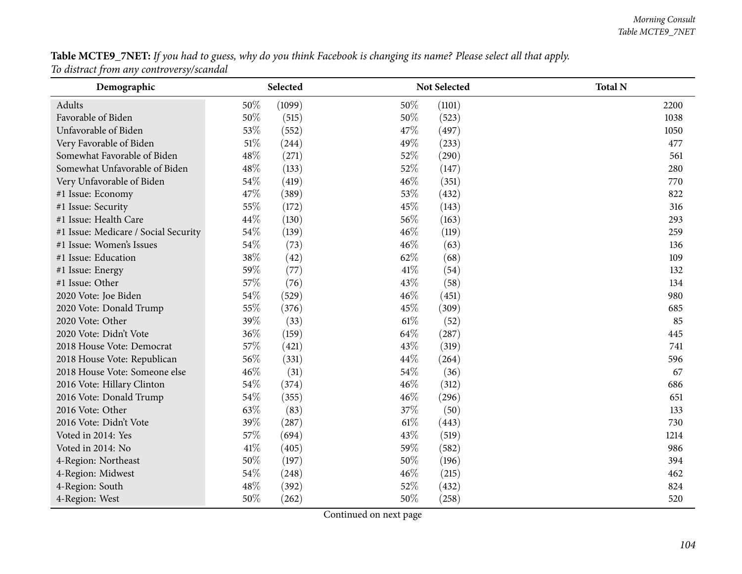Table MCTE9\_7NET: If you had to guess, why do you think Facebook is changing its name? Please select all that apply. *To distract from any controversy/scandal*

| Demographic                          | Selected        | Not Selected  | <b>Total N</b> |
|--------------------------------------|-----------------|---------------|----------------|
| <b>Adults</b>                        | 50%<br>(1099)   | 50%<br>(1101) | 2200           |
| Favorable of Biden                   | $50\%$<br>(515) | 50%<br>(523)  | 1038           |
| Unfavorable of Biden                 | 53%<br>(552)    | 47%<br>(497)  | 1050           |
| Very Favorable of Biden              | $51\%$<br>(244) | 49%<br>(233)  | 477            |
| Somewhat Favorable of Biden          | 48%<br>(271)    | 52%<br>(290)  | 561            |
| Somewhat Unfavorable of Biden        | 48%<br>(133)    | 52%<br>(147)  | 280            |
| Very Unfavorable of Biden            | $54\%$<br>(419) | 46%<br>(351)  | 770            |
| #1 Issue: Economy                    | 47%<br>(389)    | 53%<br>(432)  | 822            |
| #1 Issue: Security                   | 55%<br>(172)    | 45%<br>(143)  | 316            |
| #1 Issue: Health Care                | 44%<br>(130)    | 56%<br>(163)  | 293            |
| #1 Issue: Medicare / Social Security | 54%<br>(139)    | 46%<br>(119)  | 259            |
| #1 Issue: Women's Issues             | $54\%$<br>(73)  | 46%<br>(63)   | 136            |
| #1 Issue: Education                  | 38%<br>(42)     | 62%<br>(68)   | 109            |
| #1 Issue: Energy                     | 59%<br>(77)     | 41\%<br>(54)  | 132            |
| #1 Issue: Other                      | 57%<br>(76)     | 43%<br>(58)   | 134            |
| 2020 Vote: Joe Biden                 | 54%<br>(529)    | 46%<br>(451)  | 980            |
| 2020 Vote: Donald Trump              | 55%<br>(376)    | 45%<br>(309)  | 685            |
| 2020 Vote: Other                     | 39%<br>(33)     | 61%<br>(52)   | 85             |
| 2020 Vote: Didn't Vote               | 36%<br>(159)    | 64%<br>(287)  | 445            |
| 2018 House Vote: Democrat            | 57%<br>(421)    | 43%<br>(319)  | 741            |
| 2018 House Vote: Republican          | 56%<br>(331)    | 44%<br>(264)  | 596            |
| 2018 House Vote: Someone else        | 46%<br>(31)     | 54%<br>(36)   | 67             |
| 2016 Vote: Hillary Clinton           | 54%<br>(374)    | 46%<br>(312)  | 686            |
| 2016 Vote: Donald Trump              | 54%<br>(355)    | 46%<br>(296)  | 651            |
| 2016 Vote: Other                     | 63%<br>(83)     | 37%<br>(50)   | 133            |
| 2016 Vote: Didn't Vote               | 39%<br>(287)    | 61%<br>(443)  | 730            |
| Voted in 2014: Yes                   | 57%<br>(694)    | 43%<br>(519)  | 1214           |
| Voted in 2014: No                    | 41%<br>(405)    | 59%<br>(582)  | 986            |
| 4-Region: Northeast                  | 50%<br>(197)    | 50%<br>(196)  | 394            |
| 4-Region: Midwest                    | 54%<br>(248)    | 46%<br>(215)  | 462            |
| 4-Region: South                      | 48%<br>(392)    | 52%<br>(432)  | 824            |
| 4-Region: West                       | $50\%$<br>(262) | 50%<br>(258)  | 520            |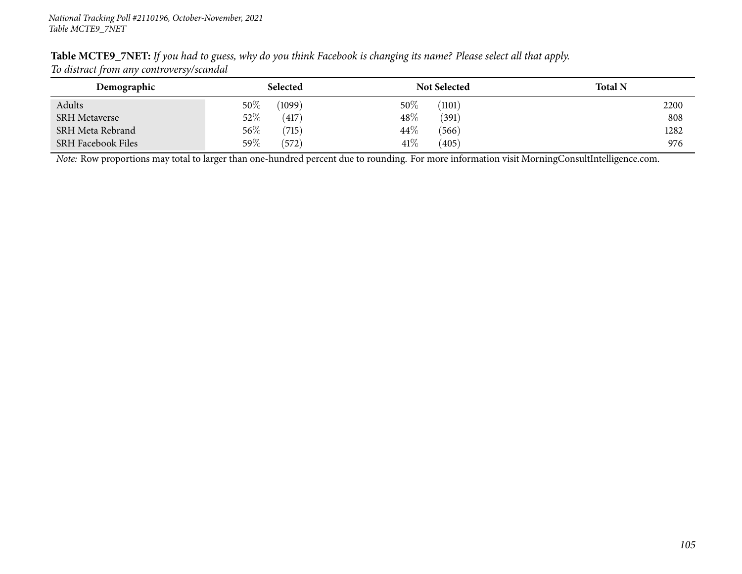|                                          | Table MCTE9_7NET: If you had to guess, why do you think Facebook is changing its name? Please select all that apply. |  |
|------------------------------------------|----------------------------------------------------------------------------------------------------------------------|--|
| To distract from any controversy/scandal |                                                                                                                      |  |

| Demographic               | Selected         | <b>Not Selected</b> | <b>Total N</b> |
|---------------------------|------------------|---------------------|----------------|
| Adults                    | $50\%$<br>(1099) | $50\%$<br>(1101)    | 2200           |
| <b>SRH Metaverse</b>      | $52\%$<br>(417)  | $48\%$<br>(391)     | 808            |
| SRH Meta Rebrand          | $56\%$<br>(715)  | 44\%<br>(566)       | 1282           |
| <b>SRH Facebook Files</b> | 59 $\%$<br>(572) | $41\%$<br>(405)     | 976            |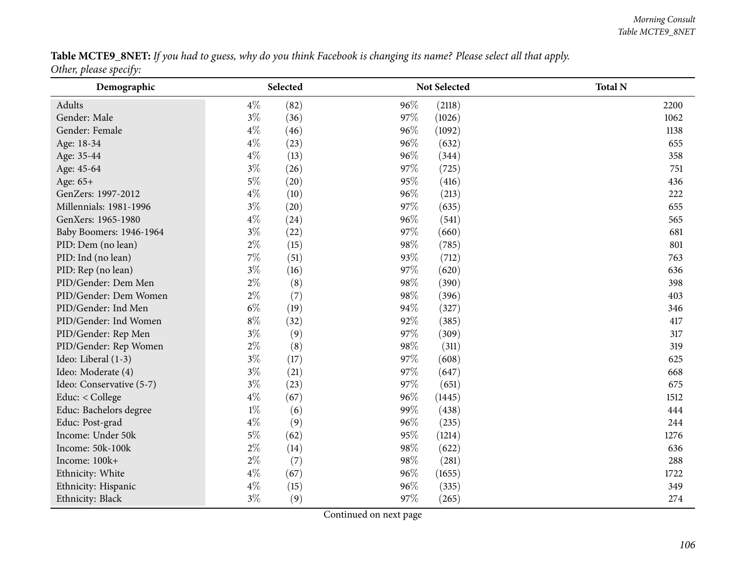Table MCTE9\_8NET: If you had to guess, why do you think Facebook is changing its name? Please select all that apply. *Other, <sup>p</sup>lease specify:*

| Demographic              | Selected      | Not Selected  | <b>Total N</b> |
|--------------------------|---------------|---------------|----------------|
| Adults                   | $4\%$<br>(82) | 96%<br>(2118) | 2200           |
| Gender: Male             | $3\%$<br>(36) | 97%<br>(1026) | 1062           |
| Gender: Female           | $4\%$<br>(46) | 96%<br>(1092) | 1138           |
| Age: 18-34               | $4\%$<br>(23) | 96%<br>(632)  | 655            |
| Age: 35-44               | $4\%$<br>(13) | 96%<br>(344)  | 358            |
| Age: 45-64               | $3\%$<br>(26) | 97%<br>(725)  | 751            |
| Age: 65+                 | $5\%$<br>(20) | 95%<br>(416)  | 436            |
| GenZers: 1997-2012       | $4\%$<br>(10) | 96%<br>(213)  | 222            |
| Millennials: 1981-1996   | $3\%$<br>(20) | 97%<br>(635)  | 655            |
| GenXers: 1965-1980       | $4\%$<br>(24) | 96%<br>(541)  | 565            |
| Baby Boomers: 1946-1964  | $3\%$<br>(22) | 97\%<br>(660) | 681            |
| PID: Dem (no lean)       | $2\%$<br>(15) | 98%<br>(785)  | 801            |
| PID: Ind (no lean)       | 7%<br>(51)    | 93%<br>(712)  | 763            |
| PID: Rep (no lean)       | $3\%$<br>(16) | 97%<br>(620)  | 636            |
| PID/Gender: Dem Men      | $2\%$<br>(8)  | 98%<br>(390)  | 398            |
| PID/Gender: Dem Women    | $2\%$<br>(7)  | 98%<br>(396)  | 403            |
| PID/Gender: Ind Men      | $6\%$<br>(19) | 94%<br>(327)  | 346            |
| PID/Gender: Ind Women    | $8\%$<br>(32) | 92%<br>(385)  | 417            |
| PID/Gender: Rep Men      | $3\%$<br>(9)  | 97%<br>(309)  | 317            |
| PID/Gender: Rep Women    | $2\%$<br>(8)  | 98%<br>(311)  | 319            |
| Ideo: Liberal (1-3)      | $3\%$<br>(17) | 97%<br>(608)  | 625            |
| Ideo: Moderate (4)       | $3\%$<br>(21) | 97%<br>(647)  | 668            |
| Ideo: Conservative (5-7) | $3\%$<br>(23) | 97%<br>(651)  | 675            |
| Educ: < College          | $4\%$<br>(67) | 96%<br>(1445) | 1512           |
| Educ: Bachelors degree   | $1\%$<br>(6)  | 99%<br>(438)  | 444            |
| Educ: Post-grad          | $4\%$<br>(9)  | 96%<br>(235)  | 244            |
| Income: Under 50k        | $5\%$<br>(62) | 95%<br>(1214) | 1276           |
| Income: 50k-100k         | $2\%$<br>(14) | 98%<br>(622)  | 636            |
| Income: 100k+            | $2\%$<br>(7)  | 98%<br>(281)  | 288            |
| Ethnicity: White         | $4\%$<br>(67) | 96%<br>(1655) | 1722           |
| Ethnicity: Hispanic      | $4\%$<br>(15) | 96%<br>(335)  | 349            |
| Ethnicity: Black         | $3\%$<br>(9)  | 97%<br>(265)  | 274            |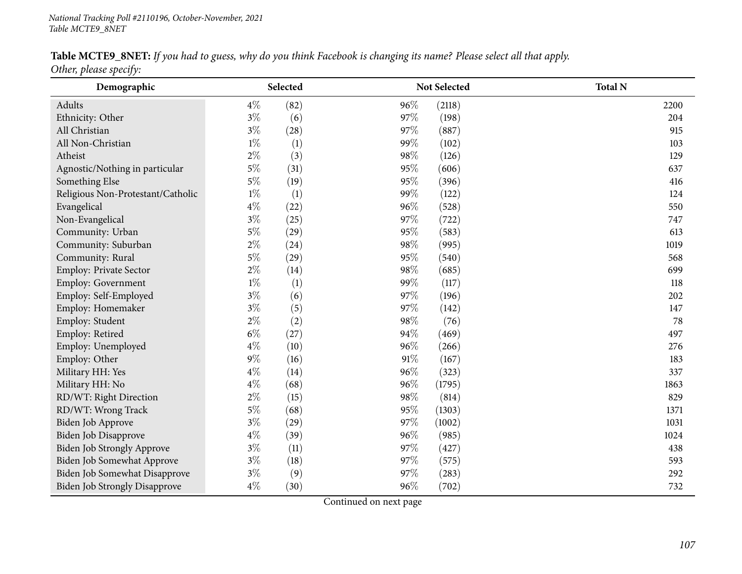#### Table MCTE9\_8NET: If you had to guess, why do you think Facebook is changing its name? Please select all that apply.

*Other, <sup>p</sup>lease specify:*

| $\boldsymbol{\mathcal{J}}$<br>Demographic |       | Selected           |        | <b>Not Selected</b> | <b>Total N</b> |
|-------------------------------------------|-------|--------------------|--------|---------------------|----------------|
| Adults                                    | $4\%$ | (82)               | 96%    | (2118)              | 2200           |
| Ethnicity: Other                          | $3\%$ | (6)                | 97%    | (198)               | 204            |
| All Christian                             | $3\%$ | (28)               | 97%    | (887)               | 915            |
| All Non-Christian                         | $1\%$ | (1)                | 99%    | (102)               | 103            |
| Atheist                                   | $2\%$ | (3)                | 98%    | (126)               | 129            |
| Agnostic/Nothing in particular            | $5\%$ | (31)               | 95%    | (606)               | 637            |
| Something Else                            | $5\%$ | (19)               | 95%    | (396)               | 416            |
| Religious Non-Protestant/Catholic         | $1\%$ | (1)                | 99%    | (122)               | 124            |
| Evangelical                               | $4\%$ | (22)               | 96%    | (528)               | 550            |
| Non-Evangelical                           | $3\%$ | (25)               | 97%    | (722)               | 747            |
| Community: Urban                          | $5\%$ | $\left( 29\right)$ | 95%    | (583)               | 613            |
| Community: Suburban                       | $2\%$ | (24)               | 98%    | (995)               | 1019           |
| Community: Rural                          | $5\%$ | $\left( 29\right)$ | 95%    | (540)               | 568            |
| Employ: Private Sector                    | $2\%$ | (14)               | 98%    | (685)               | 699            |
| <b>Employ: Government</b>                 | $1\%$ | (1)                | 99%    | (117)               | 118            |
| Employ: Self-Employed                     | $3\%$ | (6)                | 97%    | (196)               | 202            |
| Employ: Homemaker                         | $3\%$ | (5)                | 97%    | (142)               | 147            |
| Employ: Student                           | $2\%$ | (2)                | 98%    | (76)                | 78             |
| Employ: Retired                           | $6\%$ | (27)               | 94%    | (469)               | 497            |
| Employ: Unemployed                        | $4\%$ | (10)               | 96%    | (266)               | 276            |
| Employ: Other                             | $9\%$ | (16)               | $91\%$ | (167)               | 183            |
| Military HH: Yes                          | $4\%$ | (14)               | 96%    | (323)               | 337            |
| Military HH: No                           | $4\%$ | (68)               | 96%    | (1795)              | 1863           |
| RD/WT: Right Direction                    | $2\%$ | (15)               | 98%    | (814)               | 829            |
| RD/WT: Wrong Track                        | $5\%$ | (68)               | 95%    | (1303)              | 1371           |
| Biden Job Approve                         | $3\%$ | (29)               | 97%    | (1002)              | 1031           |
| Biden Job Disapprove                      | $4\%$ | (39)               | 96%    | (985)               | 1024           |
| <b>Biden Job Strongly Approve</b>         | $3\%$ | (11)               | 97%    | (427)               | 438            |
| Biden Job Somewhat Approve                | $3\%$ | (18)               | 97%    | (575)               | 593            |
| Biden Job Somewhat Disapprove             | $3\%$ | (9)                | 97%    | (283)               | 292            |
| <b>Biden Job Strongly Disapprove</b>      | $4\%$ | (30)               | 96%    | (702)               | 732            |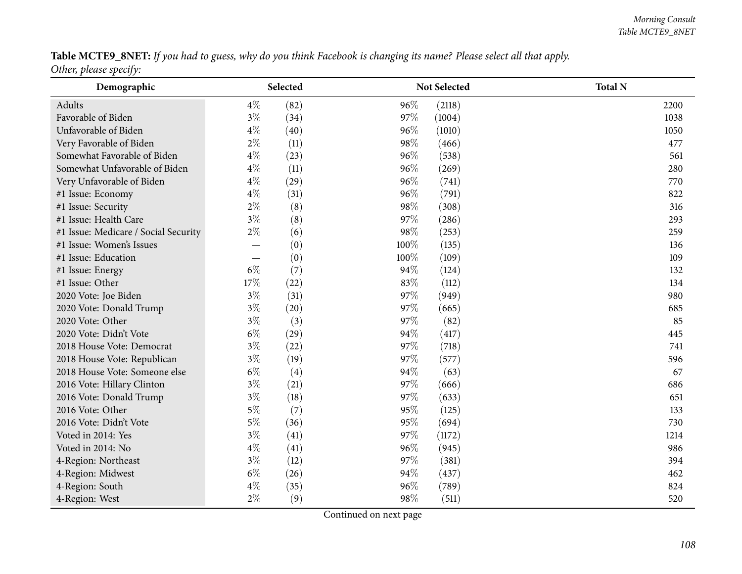### Table MCTE9\_8NET: If you had to guess, why do you think Facebook is changing its name? Please select all that apply.

*Other, <sup>p</sup>lease specify:*

| $\overline{\phantom{a}}$<br>Demographic | Selected |           |      | Not Selected | <b>Total N</b> |
|-----------------------------------------|----------|-----------|------|--------------|----------------|
| Adults                                  | $4\%$    | (82)      | 96%  | (2118)       | 2200           |
| Favorable of Biden                      | $3\%$    | (34)      | 97%  | (1004)       | 1038           |
| Unfavorable of Biden                    | $4\%$    | (40)      | 96%  | (1010)       | 1050           |
| Very Favorable of Biden                 | $2\%$    | (11)      | 98%  | (466)        | 477            |
| Somewhat Favorable of Biden             | $4\%$    | (23)      | 96%  | (538)        | 561            |
| Somewhat Unfavorable of Biden           | $4\%$    | (11)      | 96%  | (269)        | 280            |
| Very Unfavorable of Biden               | $4\%$    | $^{(29)}$ | 96%  | (741)        | 770            |
| #1 Issue: Economy                       | $4\%$    | (31)      | 96%  | (791)        | 822            |
| #1 Issue: Security                      | $2\%$    | (8)       | 98%  | (308)        | 316            |
| #1 Issue: Health Care                   | $3\%$    | (8)       | 97%  | (286)        | 293            |
| #1 Issue: Medicare / Social Security    | $2\%$    | (6)       | 98%  | (253)        | 259            |
| #1 Issue: Women's Issues                |          | (0)       | 100% | (135)        | 136            |
| #1 Issue: Education                     |          | (0)       | 100% | (109)        | 109            |
| #1 Issue: Energy                        | $6\%$    | (7)       | 94%  | (124)        | 132            |
| #1 Issue: Other                         | 17%      | (22)      | 83%  | (112)        | 134            |
| 2020 Vote: Joe Biden                    | $3\%$    | (31)      | 97%  | (949)        | 980            |
| 2020 Vote: Donald Trump                 | $3\%$    | (20)      | 97%  | (665)        | 685            |
| 2020 Vote: Other                        | $3\%$    | (3)       | 97%  | (82)         | 85             |
| 2020 Vote: Didn't Vote                  | $6\%$    | (29)      | 94%  | (417)        | 445            |
| 2018 House Vote: Democrat               | $3\%$    | (22)      | 97%  | (718)        | 741            |
| 2018 House Vote: Republican             | $3\%$    | (19)      | 97%  | (577)        | 596            |
| 2018 House Vote: Someone else           | $6\%$    | (4)       | 94%  | (63)         | 67             |
| 2016 Vote: Hillary Clinton              | $3\%$    | (21)      | 97%  | (666)        | 686            |
| 2016 Vote: Donald Trump                 | $3\%$    | (18)      | 97%  | (633)        | 651            |
| 2016 Vote: Other                        | $5\%$    | (7)       | 95%  | (125)        | 133            |
| 2016 Vote: Didn't Vote                  | $5\%$    | (36)      | 95%  | (694)        | 730            |
| Voted in 2014: Yes                      | $3\%$    | (41)      | 97%  | (1172)       | 1214           |
| Voted in 2014: No                       | $4\%$    | (41)      | 96%  | (945)        | 986            |
| 4-Region: Northeast                     | $3\%$    | (12)      | 97%  | (381)        | 394            |
| 4-Region: Midwest                       | $6\%$    | (26)      | 94%  | (437)        | 462            |
| 4-Region: South                         | $4\%$    | (35)      | 96%  | (789)        | 824            |
| 4-Region: West                          | $2\%$    | (9)       | 98%  | (511)        | 520            |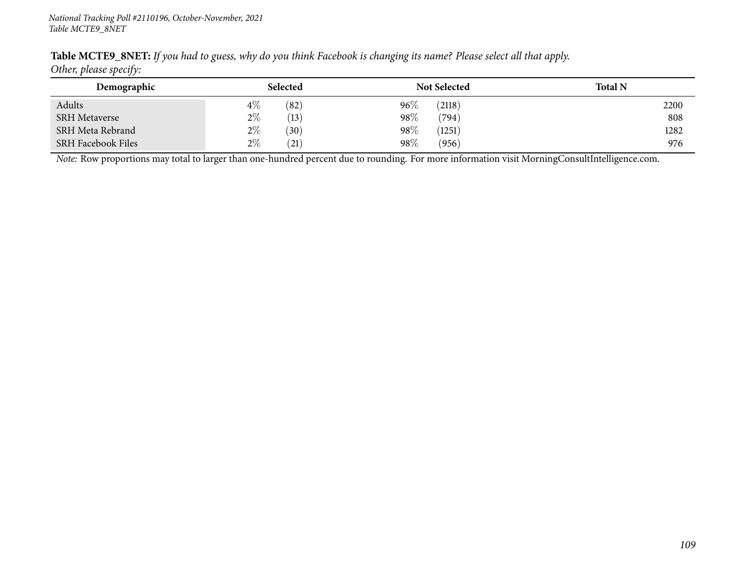|                        | Table MCTE9_8NET: If you had to guess, why do you think Facebook is changing its name? Please select all that apply. |
|------------------------|----------------------------------------------------------------------------------------------------------------------|
| Other, please specify: |                                                                                                                      |

| Demographic               | Selected                   | <b>Not Selected</b> | <b>Total N</b> |
|---------------------------|----------------------------|---------------------|----------------|
| Adults                    | $4\%$<br>(82)              | $96\%$<br>(2118)    | 2200           |
| <b>SRH</b> Metaverse      | $2\%$<br>(13)              | $98\%$<br>(794)     | 808            |
| SRH Meta Rebrand          | $2\%$<br>(30)              | 98\%<br>(1251)      | 1282           |
| <b>SRH Facebook Files</b> | $2\%$<br>$\left(21\right)$ | $98\%$<br>(956)     | 976            |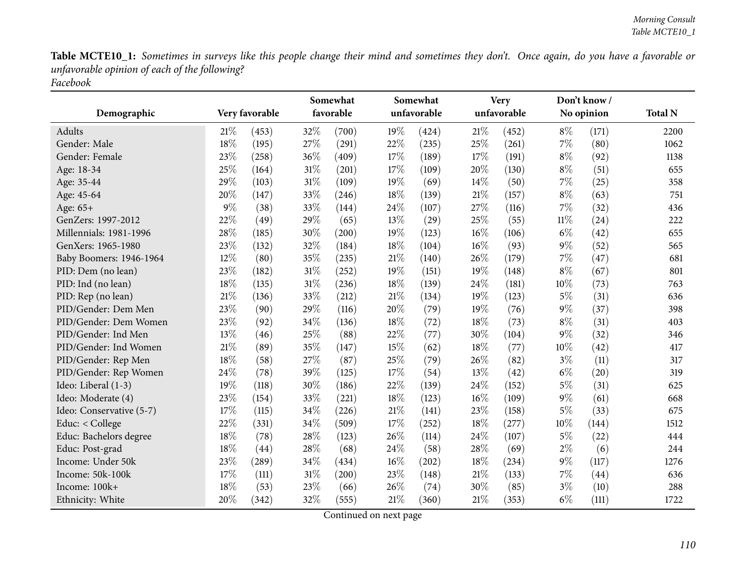|                          |       |                | Somewhat |           |     | Somewhat    |        | <b>Very</b> |        | Don't know/ |                |
|--------------------------|-------|----------------|----------|-----------|-----|-------------|--------|-------------|--------|-------------|----------------|
| Demographic              |       | Very favorable |          | favorable |     | unfavorable |        | unfavorable |        | No opinion  | <b>Total N</b> |
| Adults                   | 21%   | (453)          | 32%      | (700)     | 19% | (424)       | 21%    | (452)       | $8\%$  | (171)       | 2200           |
| Gender: Male             | 18%   | (195)          | 27%      | (291)     | 22% | (235)       | 25%    | (261)       | $7\%$  | (80)        | 1062           |
| Gender: Female           | 23%   | (258)          | 36%      | (409)     | 17% | (189)       | 17%    | (191)       | $8\%$  | (92)        | 1138           |
| Age: 18-34               | 25%   | (164)          | $31\%$   | (201)     | 17% | (109)       | 20%    | (130)       | $8\%$  | (51)        | 655            |
| Age: 35-44               | 29%   | (103)          | $31\%$   | (109)     | 19% | (69)        | 14%    | (50)        | 7%     | (25)        | 358            |
| Age: 45-64               | 20%   | (147)          | 33%      | (246)     | 18% | (139)       | 21%    | (157)       | $8\%$  | (63)        | 751            |
| Age: 65+                 | $9\%$ | (38)           | 33%      | (144)     | 24% | (107)       | 27%    | (116)       | 7%     | (32)        | 436            |
| GenZers: 1997-2012       | 22%   | (49)           | 29%      | (65)      | 13% | (29)        | 25%    | (55)        | $11\%$ | (24)        | 222            |
| Millennials: 1981-1996   | 28%   | (185)          | 30%      | (200)     | 19% | (123)       | $16\%$ | (106)       | $6\%$  | (42)        | 655            |
| GenXers: 1965-1980       | 23%   | (132)          | 32%      | (184)     | 18% | (104)       | $16\%$ | (93)        | $9\%$  | (52)        | 565            |
| Baby Boomers: 1946-1964  | 12%   | (80)           | 35%      | (235)     | 21% | (140)       | 26%    | (179)       | $7\%$  | (47)        | 681            |
| PID: Dem (no lean)       | 23%   | (182)          | $31\%$   | (252)     | 19% | (151)       | 19%    | (148)       | $8\%$  | (67)        | 801            |
| PID: Ind (no lean)       | 18%   | (135)          | $31\%$   | (236)     | 18% | (139)       | 24%    | (181)       | 10%    | (73)        | 763            |
| PID: Rep (no lean)       | 21%   | (136)          | 33%      | (212)     | 21% | (134)       | 19%    | (123)       | $5\%$  | (31)        | 636            |
| PID/Gender: Dem Men      | 23%   | (90)           | 29%      | (116)     | 20% | (79)        | 19%    | (76)        | $9\%$  | (37)        | 398            |
| PID/Gender: Dem Women    | 23%   | (92)           | 34%      | (136)     | 18% | (72)        | 18%    | (73)        | $8\%$  | (31)        | 403            |
| PID/Gender: Ind Men      | 13%   | (46)           | 25%      | (88)      | 22% | (77)        | 30%    | (104)       | $9\%$  | (32)        | 346            |
| PID/Gender: Ind Women    | 21%   | (89)           | 35%      | (147)     | 15% | (62)        | 18%    | (77)        | 10%    | (42)        | 417            |
| PID/Gender: Rep Men      | 18%   | (58)           | 27%      | (87)      | 25% | (79)        | 26%    | (82)        | $3\%$  | (11)        | 317            |
| PID/Gender: Rep Women    | 24%   | (78)           | 39%      | (125)     | 17% | (54)        | 13%    | (42)        | $6\%$  | (20)        | 319            |
| Ideo: Liberal (1-3)      | 19%   | (118)          | 30%      | (186)     | 22% | (139)       | 24%    | (152)       | $5\%$  | (31)        | 625            |
| Ideo: Moderate (4)       | 23%   | (154)          | 33%      | (221)     | 18% | (123)       | $16\%$ | (109)       | $9\%$  | (61)        | 668            |
| Ideo: Conservative (5-7) | 17%   | (115)          | 34%      | (226)     | 21% | (141)       | $23\%$ | (158)       | $5\%$  | (33)        | 675            |
| Educ: < College          | 22%   | (331)          | 34%      | (509)     | 17% | (252)       | 18%    | (277)       | 10%    | (144)       | 1512           |
| Educ: Bachelors degree   | 18%   | (78)           | 28%      | (123)     | 26% | (114)       | 24%    | (107)       | $5\%$  | (22)        | 444            |
| Educ: Post-grad          | 18%   | (44)           | 28\%     | (68)      | 24% | (58)        | 28%    | (69)        | $2\%$  | (6)         | 244            |
| Income: Under 50k        | 23%   | (289)          | 34%      | (434)     | 16% | (202)       | 18%    | (234)       | $9\%$  | (117)       | 1276           |
| Income: 50k-100k         | 17%   | (111)          | $31\%$   | (200)     | 23% | (148)       | 21%    | (133)       | $7\%$  | (44)        | 636            |
| Income: 100k+            | 18%   | (53)           | 23%      | (66)      | 26% | (74)        | 30%    | (85)        | $3\%$  | (10)        | 288            |
| Ethnicity: White         | 20%   | (342)          | 32%      | (555)     | 21% | (360)       | $21\%$ | (353)       | $6\%$  | (111)       | 1722           |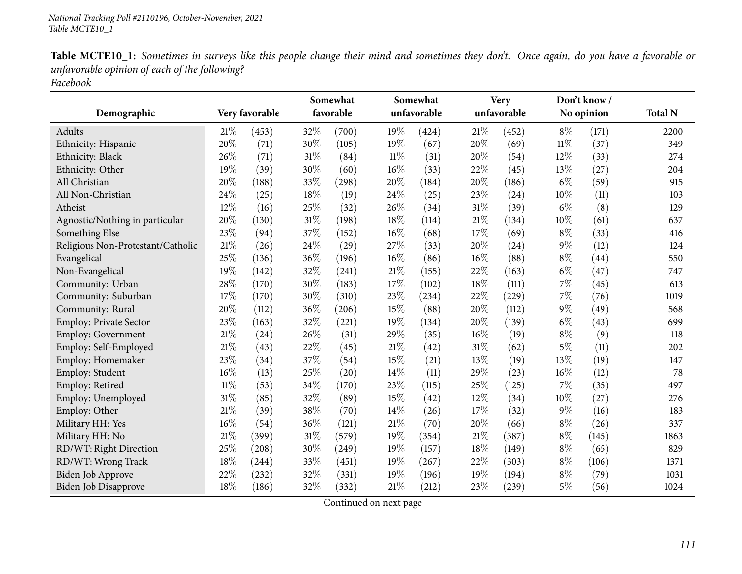|                                   |        |                | Somewhat |           |        | Somewhat    |        | <b>Very</b> |        | Don't know/ |                |
|-----------------------------------|--------|----------------|----------|-----------|--------|-------------|--------|-------------|--------|-------------|----------------|
| Demographic                       |        | Very favorable |          | favorable |        | unfavorable |        | unfavorable |        | No opinion  | <b>Total N</b> |
| <b>Adults</b>                     | 21%    | (453)          | 32%      | (700)     | 19%    | (424)       | $21\%$ | (452)       | $8\%$  | (171)       | 2200           |
| Ethnicity: Hispanic               | 20%    | (71)           | 30%      | (105)     | 19%    | (67)        | 20%    | (69)        | $11\%$ | (37)        | 349            |
| Ethnicity: Black                  | 26%    | (71)           | $31\%$   | (84)      | $11\%$ | (31)        | 20%    | (54)        | 12%    | (33)        | 274            |
| Ethnicity: Other                  | 19%    | (39)           | 30%      | (60)      | 16%    | (33)        | 22%    | (45)        | 13%    | (27)        | 204            |
| All Christian                     | 20%    | (188)          | 33%      | (298)     | 20%    | (184)       | 20%    | (186)       | $6\%$  | (59)        | 915            |
| All Non-Christian                 | 24%    | (25)           | 18%      | (19)      | 24%    | (25)        | 23%    | (24)        | 10%    | (11)        | 103            |
| Atheist                           | 12%    | (16)           | 25%      | (32)      | 26%    | (34)        | 31%    | (39)        | $6\%$  | (8)         | 129            |
| Agnostic/Nothing in particular    | 20%    | (130)          | $31\%$   | (198)     | 18%    | (114)       | $21\%$ | (134)       | 10%    | (61)        | 637            |
| Something Else                    | 23%    | (94)           | 37%      | (152)     | 16%    | (68)        | 17%    | (69)        | $8\%$  | (33)        | 416            |
| Religious Non-Protestant/Catholic | 21%    | (26)           | 24\%     | (29)      | 27%    | (33)        | 20%    | (24)        | $9\%$  | (12)        | 124            |
| Evangelical                       | 25%    | (136)          | 36%      | (196)     | 16%    | (86)        | $16\%$ | (88)        | $8\%$  | (44)        | 550            |
| Non-Evangelical                   | 19%    | (142)          | 32%      | (241)     | 21%    | (155)       | 22%    | (163)       | $6\%$  | (47)        | 747            |
| Community: Urban                  | 28%    | (170)          | $30\%$   | (183)     | 17%    | (102)       | 18%    | (111)       | 7%     | (45)        | 613            |
| Community: Suburban               | 17\%   | (170)          | 30%      | (310)     | 23%    | (234)       | 22%    | (229)       | 7%     | (76)        | 1019           |
| Community: Rural                  | 20%    | (112)          | 36%      | (206)     | 15%    | (88)        | 20%    | (112)       | $9\%$  | (49)        | 568            |
| Employ: Private Sector            | 23%    | (163)          | 32%      | (221)     | 19%    | (134)       | 20%    | (139)       | $6\%$  | (43)        | 699            |
| Employ: Government                | 21%    | (24)           | 26%      | (31)      | 29%    | (35)        | $16\%$ | (19)        | $8\%$  | (9)         | 118            |
| Employ: Self-Employed             | 21%    | (43)           | 22%      | (45)      | 21%    | (42)        | $31\%$ | (62)        | $5\%$  | (11)        | 202            |
| Employ: Homemaker                 | 23%    | (34)           | 37%      | (54)      | 15%    | (21)        | 13%    | (19)        | 13%    | (19)        | 147            |
| Employ: Student                   | $16\%$ | (13)           | 25%      | (20)      | 14%    | (11)        | 29%    | (23)        | 16%    | (12)        | 78             |
| Employ: Retired                   | $11\%$ | (53)           | 34\%     | (170)     | 23%    | (115)       | 25%    | (125)       | 7%     | (35)        | 497            |
| Employ: Unemployed                | 31%    | (85)           | 32%      | (89)      | 15%    | (42)        | 12%    | (34)        | 10%    | (27)        | 276            |
| Employ: Other                     | 21%    | (39)           | 38%      | (70)      | 14%    | (26)        | 17%    | (32)        | $9\%$  | (16)        | 183            |
| Military HH: Yes                  | 16%    | (54)           | 36%      | (121)     | 21%    | (70)        | 20%    | (66)        | $8\%$  | (26)        | 337            |
| Military HH: No                   | 21%    | (399)          | $31\%$   | (579)     | 19%    | (354)       | 21%    | (387)       | $8\%$  | (145)       | 1863           |
| RD/WT: Right Direction            | 25%    | (208)          | 30%      | (249)     | 19%    | (157)       | 18%    | (149)       | $8\%$  | (65)        | 829            |
| RD/WT: Wrong Track                | 18%    | (244)          | 33%      | (451)     | 19%    | (267)       | 22%    | (303)       | $8\%$  | (106)       | 1371           |
| Biden Job Approve                 | 22%    | (232)          | 32%      | (331)     | 19%    | (196)       | 19%    | (194)       | $8\%$  | (79)        | 1031           |
| Biden Job Disapprove              | 18%    | (186)          | 32%      | (332)     | 21%    | (212)       | 23%    | (239)       | $5\%$  | (56)        | 1024           |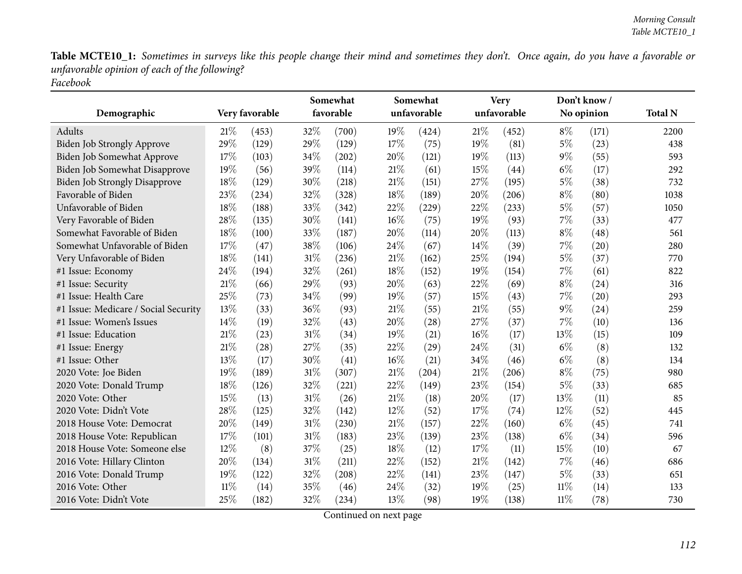|                                      |     |                | Somewhat |           |        | Somewhat<br>unfavorable |        | <b>Very</b> |        | Don't know/ |                |
|--------------------------------------|-----|----------------|----------|-----------|--------|-------------------------|--------|-------------|--------|-------------|----------------|
| Demographic                          |     | Very favorable |          | favorable |        |                         |        | unfavorable |        | No opinion  | <b>Total N</b> |
| Adults                               | 21% | (453)          | 32%      | (700)     | 19%    | (424)                   | 21%    | (452)       | $8\%$  | (171)       | 2200           |
| <b>Biden Job Strongly Approve</b>    | 29% | (129)          | 29%      | (129)     | 17%    | (75)                    | 19%    | (81)        | $5\%$  | (23)        | 438            |
| Biden Job Somewhat Approve           | 17% | (103)          | 34%      | (202)     | 20%    | (121)                   | 19%    | (113)       | $9\%$  | (55)        | 593            |
| Biden Job Somewhat Disapprove        | 19% | (56)           | 39%      | (114)     | 21%    | (61)                    | 15%    | (44)        | $6\%$  | (17)        | 292            |
| <b>Biden Job Strongly Disapprove</b> | 18% | (129)          | 30%      | (218)     | 21%    | (151)                   | 27%    | (195)       | 5%     | (38)        | 732            |
| Favorable of Biden                   | 23% | (234)          | 32%      | (328)     | 18%    | (189)                   | 20%    | (206)       | $8\%$  | (80)        | 1038           |
| Unfavorable of Biden                 | 18% | (188)          | 33%      | (342)     | 22%    | (229)                   | 22%    | (233)       | $5\%$  | (57)        | 1050           |
| Very Favorable of Biden              | 28% | (135)          | 30%      | (141)     | $16\%$ | (75)                    | 19%    | (93)        | 7%     | (33)        | 477            |
| Somewhat Favorable of Biden          | 18% | (100)          | 33%      | (187)     | 20%    | (114)                   | 20%    | (113)       | $8\%$  | (48)        | 561            |
| Somewhat Unfavorable of Biden        | 17% | (47)           | 38%      | (106)     | 24%    | (67)                    | 14%    | (39)        | $7\%$  | (20)        | 280            |
| Very Unfavorable of Biden            | 18% | (141)          | 31%      | (236)     | 21%    | (162)                   | 25%    | (194)       | $5\%$  | (37)        | 770            |
| #1 Issue: Economy                    | 24% | (194)          | 32%      | (261)     | 18%    | (152)                   | 19%    | (154)       | $7\%$  | (61)        | 822            |
| #1 Issue: Security                   | 21% | (66)           | 29%      | (93)      | 20%    | (63)                    | 22%    | (69)        | $8\%$  | (24)        | 316            |
| #1 Issue: Health Care                | 25% | (73)           | 34%      | (99)      | 19%    | (57)                    | 15%    | (43)        | 7%     | (20)        | 293            |
| #1 Issue: Medicare / Social Security | 13% | (33)           | 36%      | (93)      | 21%    | (55)                    | 21%    | (55)        | $9\%$  | (24)        | 259            |
| #1 Issue: Women's Issues             | 14% | (19)           | 32%      | (43)      | 20%    | (28)                    | 27%    | (37)        | 7%     | (10)        | 136            |
| #1 Issue: Education                  | 21% | (23)           | $31\%$   | (34)      | 19%    | (21)                    | $16\%$ | (17)        | 13%    | (15)        | 109            |
| #1 Issue: Energy                     | 21% | (28)           | 27%      | (35)      | 22%    | (29)                    | 24%    | (31)        | $6\%$  | (8)         | 132            |
| #1 Issue: Other                      | 13% | (17)           | 30%      | (41)      | 16%    | (21)                    | 34%    | (46)        | $6\%$  | (8)         | 134            |
| 2020 Vote: Joe Biden                 | 19% | (189)          | $31\%$   | (307)     | 21%    | (204)                   | $21\%$ | (206)       | $8\%$  | (75)        | 980            |
| 2020 Vote: Donald Trump              | 18% | (126)          | 32%      | (221)     | 22%    | (149)                   | 23%    | (154)       | $5\%$  | (33)        | 685            |
| 2020 Vote: Other                     | 15% | (13)           | 31%      | (26)      | 21%    | (18)                    | 20%    | (17)        | 13%    | (11)        | 85             |
| 2020 Vote: Didn't Vote               | 28% | (125)          | 32%      | (142)     | 12%    | (52)                    | 17%    | (74)        | 12%    | (52)        | 445            |
| 2018 House Vote: Democrat            | 20% | (149)          | $31\%$   | (230)     | 21%    | (157)                   | 22%    | (160)       | $6\%$  | (45)        | 741            |
| 2018 House Vote: Republican          | 17% | (101)          | $31\%$   | (183)     | 23%    | (139)                   | 23%    | (138)       | $6\%$  | (34)        | 596            |
| 2018 House Vote: Someone else        | 12% | (8)            | 37%      | (25)      | $18\%$ | (12)                    | 17%    | (11)        | 15%    | (10)        | 67             |
| 2016 Vote: Hillary Clinton           | 20% | (134)          | $31\%$   | (211)     | 22%    | (152)                   | $21\%$ | (142)       | 7%     | (46)        | 686            |
| 2016 Vote: Donald Trump              | 19% | (122)          | 32%      | (208)     | 22%    | (141)                   | 23%    | (147)       | $5\%$  | (33)        | 651            |
| 2016 Vote: Other                     | 11% | (14)           | 35%      | (46)      | 24%    | (32)                    | 19%    | (25)        | $11\%$ | (14)        | 133            |
| 2016 Vote: Didn't Vote               | 25% | (182)          | 32%      | (234)     | 13%    | (98)                    | 19%    | (138)       | $11\%$ | (78)        | 730            |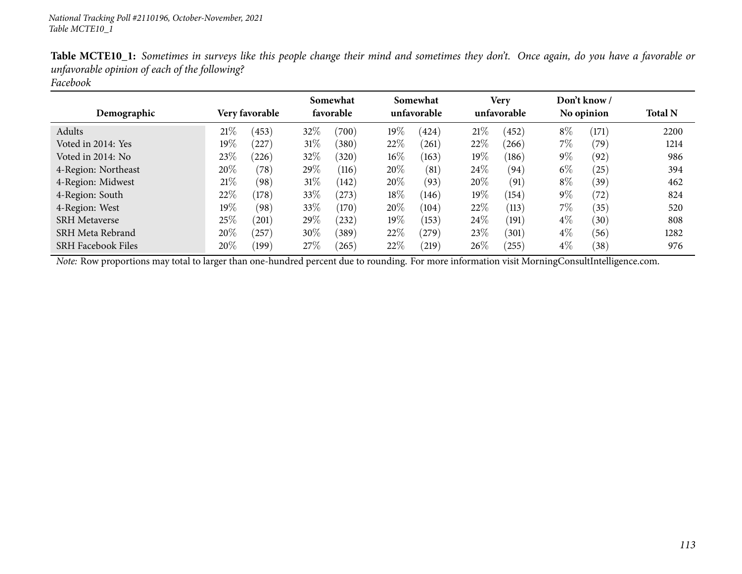| Demographic               | Very favorable |            |        |       | Somewhat<br>favorable |       | Somewhat<br>unfavorable |            | Very<br>unfavorable |       | Don't know /<br>No opinion |  | <b>Total N</b> |
|---------------------------|----------------|------------|--------|-------|-----------------------|-------|-------------------------|------------|---------------------|-------|----------------------------|--|----------------|
| Adults                    | 21%            | (453)      | 32%    | (700) | 19%                   | (424) | 21%                     | (452)      | $8\%$               | (171) | 2200                       |  |                |
| Voted in 2014: Yes        | $19\%$         | 227        | $31\%$ | (380) | 22%                   | (261) | 22%                     | (266)      | $7\%$               | (79)  | 1214                       |  |                |
| Voted in 2014: No         | 23%            | (226)      | 32\%   | (320) | $16\%$                | (163) | $19\%$                  | (186)      | $9\%$               | (92)  | 986                        |  |                |
| 4-Region: Northeast       | 20%            | (78)       | 29%    | (116) | 20%                   | (81)  | $24\%$                  | (94)       | $6\%$               | (25)  | 394                        |  |                |
| 4-Region: Midwest         | 21\%           | (98)       | $31\%$ | (142) | 20%                   | (93)  | 20%                     | (91)       | $8\%$               | (39)  | 462                        |  |                |
| 4-Region: South           | 22\%           | (178)      | 33%    | (273) | $18\%$                | (146) | $19\%$                  | (154)      | $9\%$               | (72)  | 824                        |  |                |
| 4-Region: West            | 19%            | (98)       | 33%    | (170) | 20%                   | (104) | 22%                     | (113)      | $7\%$               | (35)  | 520                        |  |                |
| <b>SRH</b> Metaverse      | 25%            | (201)      | 29\%   | (232) | 19%                   | (153) | 24\%                    | (191)      | $4\%$               | (30)  | 808                        |  |                |
| SRH Meta Rebrand          | 20%            | $^{'}257)$ | 30%    | (389) | 22\%                  | (279) | 23\%                    | (301)      | $4\%$               | (56)  | 1282                       |  |                |
| <b>SRH Facebook Files</b> | 20%            | (199)      | 27%    | (265) | 22%                   | (219) | 26\%                    | $^{'}255)$ | $4\%$               | (38)  | 976                        |  |                |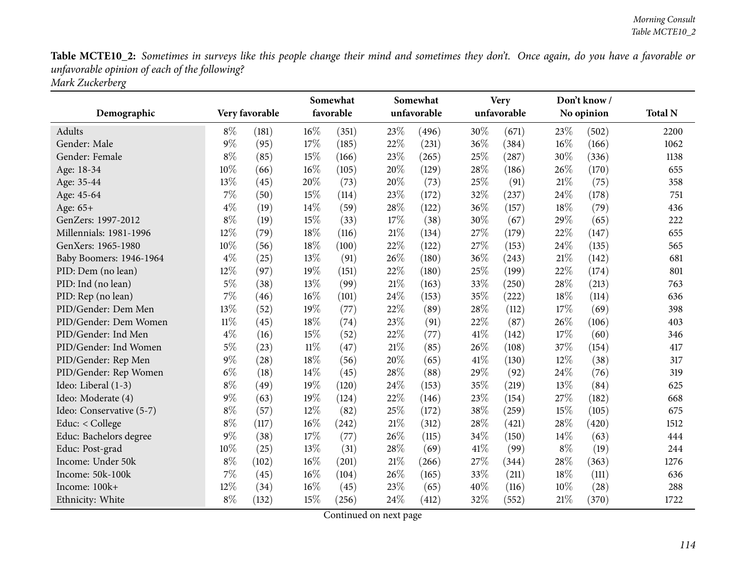|                          |        |                | Somewhat<br>favorable |       |        | Somewhat    |        | <b>Very</b> |        | Don't know/ |                |
|--------------------------|--------|----------------|-----------------------|-------|--------|-------------|--------|-------------|--------|-------------|----------------|
| Demographic              |        | Very favorable |                       |       |        | unfavorable |        | unfavorable |        | No opinion  | <b>Total N</b> |
| Adults                   | $8\%$  | (181)          | $16\%$                | (351) | 23%    | (496)       | $30\%$ | (671)       | 23\%   | (502)       | 2200           |
| Gender: Male             | $9\%$  | (95)           | 17%                   | (185) | 22%    | (231)       | 36%    | (384)       | $16\%$ | (166)       | 1062           |
| Gender: Female           | $8\%$  | (85)           | 15%                   | (166) | 23%    | (265)       | 25%    | (287)       | 30%    | (336)       | 1138           |
| Age: 18-34               | 10%    | (66)           | $16\%$                | (105) | 20%    | (129)       | 28%    | (186)       | 26\%   | (170)       | 655            |
| Age: 35-44               | 13%    | (45)           | 20%                   | (73)  | 20%    | (73)        | 25%    | (91)        | 21\%   | (75)        | 358            |
| Age: 45-64               | $7\%$  | (50)           | 15%                   | (114) | 23%    | (172)       | 32%    | (237)       | 24%    | (178)       | 751            |
| Age: 65+                 | $4\%$  | (19)           | 14\%                  | (59)  | 28%    | (122)       | 36%    | (157)       | 18%    | (79)        | 436            |
| GenZers: 1997-2012       | $8\%$  | (19)           | 15%                   | (33)  | 17%    | (38)        | 30%    | (67)        | 29%    | (65)        | 222            |
| Millennials: 1981-1996   | 12%    | (79)           | 18%                   | (116) | 21%    | (134)       | 27%    | (179)       | 22\%   | (147)       | 655            |
| GenXers: 1965-1980       | 10%    | (56)           | 18%                   | (100) | 22%    | (122)       | 27%    | (153)       | 24%    | (135)       | 565            |
| Baby Boomers: 1946-1964  | $4\%$  | (25)           | 13%                   | (91)  | 26%    | (180)       | 36%    | (243)       | 21%    | (142)       | 681            |
| PID: Dem (no lean)       | 12%    | (97)           | 19%                   | (151) | 22%    | (180)       | 25%    | (199)       | 22%    | (174)       | 801            |
| PID: Ind (no lean)       | $5\%$  | (38)           | 13%                   | (99)  | 21%    | (163)       | 33%    | (250)       | 28%    | (213)       | 763            |
| PID: Rep (no lean)       | 7%     | (46)           | 16%                   | (101) | 24%    | (153)       | 35%    | (222)       | 18%    | (114)       | 636            |
| PID/Gender: Dem Men      | 13%    | (52)           | 19%                   | (77)  | 22%    | (89)        | 28\%   | (112)       | 17%    | (69)        | 398            |
| PID/Gender: Dem Women    | $11\%$ | (45)           | 18%                   | (74)  | 23%    | (91)        | 22%    | (87)        | 26%    | (106)       | 403            |
| PID/Gender: Ind Men      | $4\%$  | (16)           | 15%                   | (52)  | 22%    | (77)        | 41%    | (142)       | 17%    | (60)        | 346            |
| PID/Gender: Ind Women    | $5\%$  | (23)           | $11\%$                | (47)  | 21%    | (85)        | 26%    | (108)       | 37%    | (154)       | 417            |
| PID/Gender: Rep Men      | $9\%$  | (28)           | 18%                   | (56)  | 20%    | (65)        | 41\%   | (130)       | 12%    | (38)        | 317            |
| PID/Gender: Rep Women    | $6\%$  | (18)           | 14%                   | (45)  | 28%    | (88)        | 29%    | (92)        | 24%    | (76)        | 319            |
| Ideo: Liberal (1-3)      | $8\%$  | (49)           | 19%                   | (120) | 24%    | (153)       | 35%    | (219)       | 13%    | (84)        | 625            |
| Ideo: Moderate (4)       | $9\%$  | (63)           | 19%                   | (124) | 22%    | (146)       | 23%    | (154)       | 27%    | (182)       | 668            |
| Ideo: Conservative (5-7) | $8\%$  | (57)           | 12%                   | (82)  | 25%    | (172)       | 38%    | (259)       | 15%    | (105)       | 675            |
| Educ: < College          | $8\%$  | (117)          | $16\%$                | (242) | $21\%$ | (312)       | 28%    | (421)       | 28\%   | (420)       | 1512           |
| Educ: Bachelors degree   | $9\%$  | (38)           | 17%                   | (77)  | 26%    | (115)       | 34%    | (150)       | $14\%$ | (63)        | 444            |
| Educ: Post-grad          | 10%    | (25)           | 13%                   | (31)  | 28%    | (69)        | 41\%   | (99)        | $8\%$  | (19)        | 244            |
| Income: Under 50k        | $8\%$  | (102)          | $16\%$                | (201) | 21%    | (266)       | 27%    | (344)       | 28\%   | (363)       | 1276           |
| Income: 50k-100k         | $7\%$  | (45)           | 16%                   | (104) | 26%    | (165)       | 33%    | (211)       | 18%    | (111)       | 636            |
| Income: 100k+            | 12%    | (34)           | 16%                   | (45)  | 23%    | (65)        | 40%    | (116)       | 10%    | (28)        | 288            |
| Ethnicity: White         | $8\%$  | (132)          | 15%                   | (256) | 24%    | (412)       | 32%    | (552)       | 21%    | (370)       | 1722           |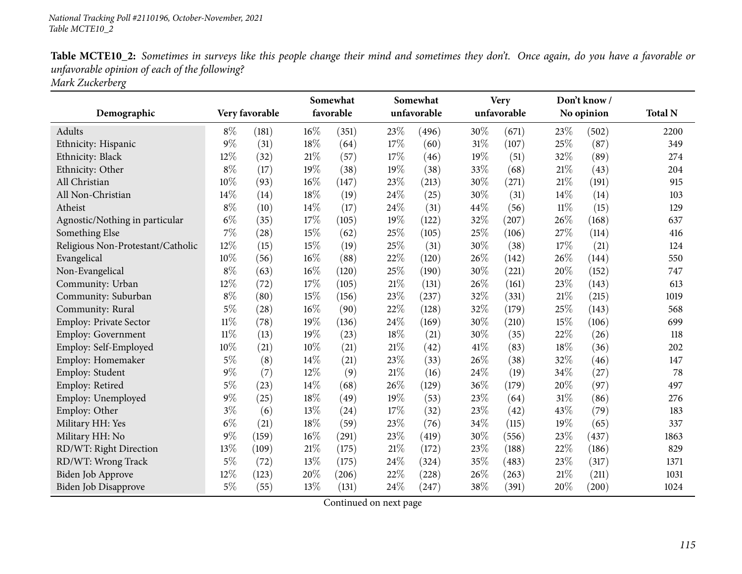| Table MCTE10_2: Sometimes in surveys like this people change their mind and sometimes they don't. Once again, do you have a favorable or |  |
|------------------------------------------------------------------------------------------------------------------------------------------|--|
| unfavorable opinion of each of the following?                                                                                            |  |
| Mark Zuckerberg                                                                                                                          |  |

| Demographic                       |        | Very favorable | Somewhat<br>favorable |       |        | Somewhat<br>unfavorable |      | <b>Very</b><br>unfavorable |        | Don't know/<br>No opinion | <b>Total N</b> |
|-----------------------------------|--------|----------------|-----------------------|-------|--------|-------------------------|------|----------------------------|--------|---------------------------|----------------|
| Adults                            | $8\%$  | (181)          | $16\%$                | (351) | 23%    | (496)                   | 30%  | (671)                      | 23%    | (502)                     | 2200           |
| Ethnicity: Hispanic               | $9\%$  | (31)           | 18%                   | (64)  | 17%    | (60)                    | 31%  | (107)                      | 25%    | (87)                      | 349            |
| Ethnicity: Black                  | 12%    | (32)           | 21%                   | (57)  | 17%    | (46)                    | 19%  | (51)                       | 32%    | (89)                      | 274            |
| Ethnicity: Other                  | $8\%$  | (17)           | 19%                   | (38)  | 19%    | (38)                    | 33%  | (68)                       | 21%    | (43)                      | 204            |
| All Christian                     | 10%    | (93)           | 16%                   | (147) | 23%    | (213)                   | 30%  | (271)                      | 21%    | (191)                     | 915            |
| All Non-Christian                 | 14%    | (14)           | 18%                   | (19)  | 24%    | (25)                    | 30%  | (31)                       | 14%    | (14)                      | 103            |
| Atheist                           | $8\%$  | (10)           | 14%                   | (17)  | 24%    | (31)                    | 44%  | (56)                       | $11\%$ | (15)                      | 129            |
| Agnostic/Nothing in particular    | $6\%$  | (35)           | 17%                   | (105) | 19%    | (122)                   | 32%  | (207)                      | 26%    | (168)                     | 637            |
| Something Else                    | 7%     | (28)           | 15%                   | (62)  | 25%    | (105)                   | 25%  | (106)                      | 27%    | (114)                     | 416            |
| Religious Non-Protestant/Catholic | 12%    | (15)           | 15%                   | (19)  | 25%    | (31)                    | 30%  | (38)                       | 17%    | (21)                      | 124            |
| Evangelical                       | 10%    | (56)           | 16%                   | (88)  | 22%    | (120)                   | 26%  | (142)                      | 26%    | (144)                     | 550            |
| Non-Evangelical                   | $8\%$  | (63)           | 16%                   | (120) | 25%    | (190)                   | 30%  | (221)                      | 20%    | (152)                     | 747            |
| Community: Urban                  | 12%    | (72)           | 17%                   | (105) | $21\%$ | (131)                   | 26%  | (161)                      | 23%    | (143)                     | 613            |
| Community: Suburban               | $8\%$  | (80)           | 15%                   | (156) | 23%    | (237)                   | 32%  | (331)                      | 21%    | (215)                     | 1019           |
| Community: Rural                  | $5\%$  | (28)           | 16%                   | (90)  | 22%    | (128)                   | 32%  | (179)                      | 25%    | (143)                     | 568            |
| Employ: Private Sector            | $11\%$ | (78)           | 19%                   | (136) | 24%    | (169)                   | 30%  | (210)                      | 15%    | (106)                     | 699            |
| <b>Employ: Government</b>         | $11\%$ | (13)           | 19%                   | (23)  | 18%    | (21)                    | 30%  | (35)                       | 22%    | (26)                      | 118            |
| Employ: Self-Employed             | 10%    | (21)           | 10%                   | (21)  | 21%    | (42)                    | 41\% | (83)                       | 18%    | (36)                      | 202            |
| Employ: Homemaker                 | $5\%$  | (8)            | 14%                   | (21)  | 23%    | (33)                    | 26%  | (38)                       | 32%    | (46)                      | 147            |
| Employ: Student                   | $9\%$  | (7)            | 12%                   | (9)   | 21%    | (16)                    | 24%  | (19)                       | 34%    | (27)                      | 78             |
| Employ: Retired                   | $5\%$  | (23)           | 14%                   | (68)  | 26%    | (129)                   | 36%  | (179)                      | 20%    | (97)                      | 497            |
| Employ: Unemployed                | $9\%$  | (25)           | 18%                   | (49)  | 19%    | (53)                    | 23%  | (64)                       | 31%    | (86)                      | 276            |
| Employ: Other                     | $3\%$  | (6)            | 13%                   | (24)  | 17%    | (32)                    | 23%  | (42)                       | 43%    | (79)                      | 183            |
| Military HH: Yes                  | $6\%$  | (21)           | 18%                   | (59)  | 23%    | (76)                    | 34%  | (115)                      | 19%    | (65)                      | 337            |
| Military HH: No                   | $9\%$  | (159)          | 16%                   | (291) | 23%    | (419)                   | 30%  | (556)                      | 23%    | (437)                     | 1863           |
| RD/WT: Right Direction            | 13%    | (109)          | 21%                   | (175) | 21%    | (172)                   | 23%  | (188)                      | 22%    | (186)                     | 829            |
| RD/WT: Wrong Track                | $5\%$  | (72)           | 13%                   | (175) | 24%    | (324)                   | 35%  | (483)                      | 23%    | (317)                     | 1371           |
| Biden Job Approve                 | 12%    | (123)          | 20%                   | (206) | 22%    | (228)                   | 26%  | (263)                      | 21%    | (211)                     | 1031           |
| Biden Job Disapprove              | $5\%$  | (55)           | 13%                   | (131) | 24%    | (247)                   | 38%  | (391)                      | 20%    | (200)                     | 1024           |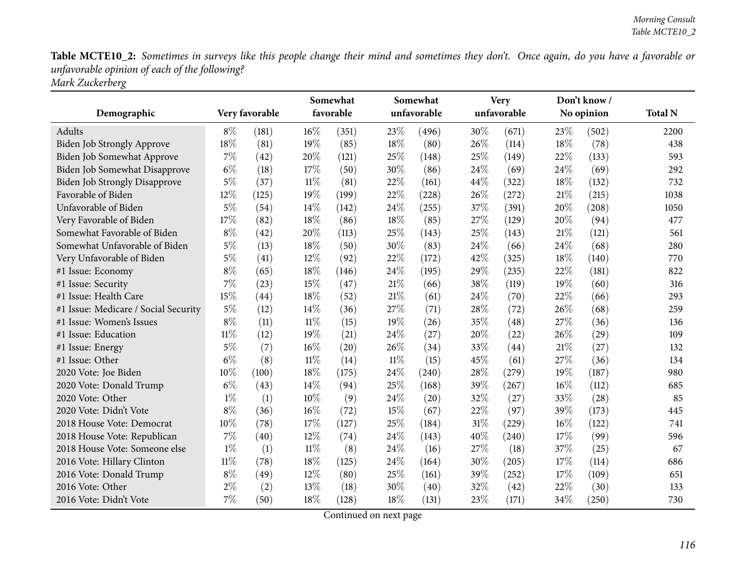|                                      |        |                | Somewhat<br>favorable |       |        | Somewhat<br>unfavorable |        | <b>Very</b><br>unfavorable |      | Don't know/ |                |
|--------------------------------------|--------|----------------|-----------------------|-------|--------|-------------------------|--------|----------------------------|------|-------------|----------------|
| Demographic                          |        | Very favorable |                       |       |        |                         |        |                            |      | No opinion  | <b>Total N</b> |
| Adults                               | $8\%$  | (181)          | $16\%$                | (351) | 23\%   | (496)                   | $30\%$ | (671)                      | 23\% | (502)       | 2200           |
| Biden Job Strongly Approve           | 18%    | (81)           | 19%                   | (85)  | 18%    | (80)                    | 26%    | (114)                      | 18%  | (78)        | 438            |
| Biden Job Somewhat Approve           | $7\%$  | (42)           | 20%                   | (121) | 25%    | (148)                   | 25%    | (149)                      | 22%  | (133)       | 593            |
| Biden Job Somewhat Disapprove        | $6\%$  | (18)           | 17%                   | (50)  | 30%    | (86)                    | 24%    | (69)                       | 24%  | (69)        | 292            |
| Biden Job Strongly Disapprove        | 5%     | (37)           | $11\%$                | (81)  | 22%    | (161)                   | 44%    | (322)                      | 18%  | (132)       | 732            |
| Favorable of Biden                   | 12%    | (125)          | 19%                   | (199) | 22%    | (228)                   | 26%    | (272)                      | 21%  | (215)       | 1038           |
| Unfavorable of Biden                 | 5%     | (54)           | 14%                   | (142) | 24%    | (255)                   | 37%    | (391)                      | 20%  | (208)       | 1050           |
| Very Favorable of Biden              | 17%    | (82)           | 18%                   | (86)  | 18%    | (85)                    | 27%    | (129)                      | 20%  | (94)        | 477            |
| Somewhat Favorable of Biden          | 8%     | (42)           | 20%                   | (113) | 25%    | (143)                   | 25%    | (143)                      | 21%  | (121)       | 561            |
| Somewhat Unfavorable of Biden        | $5\%$  | (13)           | 18%                   | (50)  | 30%    | (83)                    | 24%    | (66)                       | 24%  | (68)        | 280            |
| Very Unfavorable of Biden            | $5\%$  | (41)           | 12%                   | (92)  | 22%    | (172)                   | 42%    | (325)                      | 18%  | (140)       | 770            |
| #1 Issue: Economy                    | $8\%$  | (65)           | $18\%$                | (146) | 24%    | (195)                   | 29%    | (235)                      | 22%  | (181)       | 822            |
| #1 Issue: Security                   | 7%     | (23)           | 15%                   | (47)  | 21%    | (66)                    | 38%    | (119)                      | 19%  | (60)        | 316            |
| #1 Issue: Health Care                | 15%    | (44)           | 18%                   | (52)  | 21%    | (61)                    | 24%    | (70)                       | 22%  | (66)        | 293            |
| #1 Issue: Medicare / Social Security | $5\%$  | (12)           | 14%                   | (36)  | 27%    | (71)                    | 28%    | (72)                       | 26%  | (68)        | 259            |
| #1 Issue: Women's Issues             | $8\%$  | (11)           | $11\%$                | (15)  | 19%    | (26)                    | 35%    | (48)                       | 27%  | (36)        | 136            |
| #1 Issue: Education                  | $11\%$ | (12)           | 19%                   | (21)  | 24%    | (27)                    | 20%    | (22)                       | 26%  | (29)        | 109            |
| #1 Issue: Energy                     | $5\%$  | (7)            | 16%                   | (20)  | 26%    | (34)                    | 33%    | (44)                       | 21%  | (27)        | 132            |
| #1 Issue: Other                      | $6\%$  | (8)            | $11\%$                | (14)  | $11\%$ | (15)                    | 45%    | (61)                       | 27%  | (36)        | 134            |
| 2020 Vote: Joe Biden                 | 10%    | (100)          | 18%                   | (175) | 24%    | (240)                   | 28%    | (279)                      | 19%  | (187)       | 980            |
| 2020 Vote: Donald Trump              | $6\%$  | (43)           | 14%                   | (94)  | 25%    | (168)                   | 39%    | (267)                      | 16%  | (112)       | 685            |
| 2020 Vote: Other                     | $1\%$  | (1)            | 10%                   | (9)   | 24%    | (20)                    | 32%    | (27)                       | 33%  | (28)        | 85             |
| 2020 Vote: Didn't Vote               | $8\%$  | (36)           | 16%                   | (72)  | 15%    | (67)                    | 22%    | (97)                       | 39%  | (173)       | 445            |
| 2018 House Vote: Democrat            | 10%    | (78)           | 17%                   | (127) | 25%    | (184)                   | 31%    | (229)                      | 16%  | (122)       | 741            |
| 2018 House Vote: Republican          | 7%     | (40)           | 12%                   | (74)  | 24%    | (143)                   | 40%    | (240)                      | 17%  | (99)        | 596            |
| 2018 House Vote: Someone else        | $1\%$  | (1)            | $11\%$                | (8)   | 24%    | (16)                    | 27%    | (18)                       | 37%  | (25)        | 67             |
| 2016 Vote: Hillary Clinton           | $11\%$ | (78)           | 18%                   | (125) | 24%    | (164)                   | 30%    | (205)                      | 17\% | (114)       | 686            |
| 2016 Vote: Donald Trump              | $8\%$  | (49)           | 12%                   | (80)  | 25%    | (161)                   | 39%    | (252)                      | 17%  | (109)       | 651            |
| 2016 Vote: Other                     | $2\%$  | (2)            | 13%                   | (18)  | 30%    | (40)                    | 32%    | (42)                       | 22%  | (30)        | 133            |
| 2016 Vote: Didn't Vote               | 7%     | (50)           | 18%                   | (128) | 18%    | (131)                   | 23%    | (171)                      | 34%  | (250)       | 730            |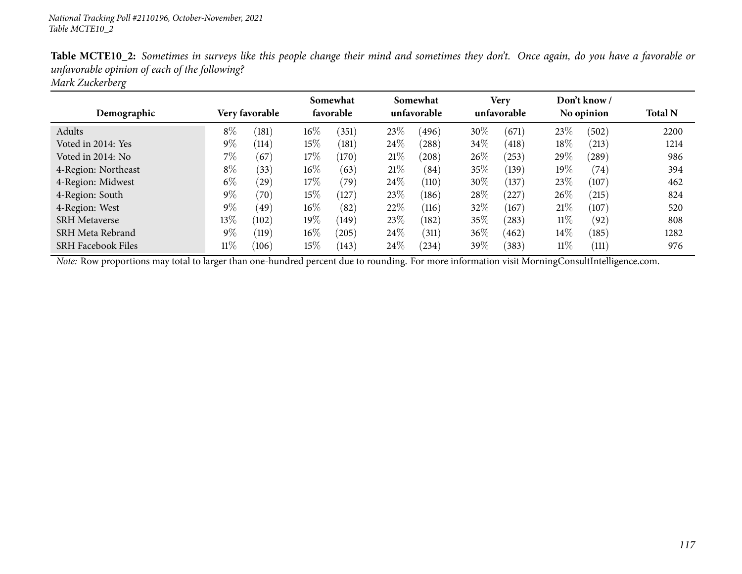| <b>Table MCTE10_2:</b> Sometimes in surveys like this people change their mind and sometimes they don't. Once again, do you have a favorable or |  |
|-------------------------------------------------------------------------------------------------------------------------------------------------|--|
| unfavorable opinion of each of the following?                                                                                                   |  |
| Mark Zuckerberg                                                                                                                                 |  |

| Demographic               |        | <b>Very favorable</b> | Somewhat<br>favorable |       | Somewhat<br>unfavorable |       | Very<br>unfavorable |       | Don't know /<br>No opinion |            | <b>Total N</b> |
|---------------------------|--------|-----------------------|-----------------------|-------|-------------------------|-------|---------------------|-------|----------------------------|------------|----------------|
|                           |        |                       |                       |       |                         |       |                     |       |                            |            |                |
| Adults                    | $8\%$  | (181)                 | $16\%$                | (351) | 23\%                    | (496) | 30%                 | (671) | 23%                        | (502)      | 2200           |
| Voted in 2014: Yes        | $9\%$  | (114)                 | $15\%$                | (181) | 24\%                    | (288) | 34\%                | (418) | 18%                        | (213)      | 1214           |
| Voted in 2014: No         | 7%     | (67)                  | 17%                   | (170) | 21%                     | (208) | $26\%$              | (253) | 29\%                       | $^{'}289)$ | 986            |
| 4-Region: Northeast       | $8\%$  | (33)                  | $16\%$                | (63)  | 21%                     | (84)  | $35\%$              | (139) | $19\%$                     | (74)       | 394            |
| 4-Region: Midwest         | $6\%$  | (29)                  | 17%                   | (79)  | 24\%                    | (110) | 30%                 | (137) | 23%                        | (107)      | 462            |
| 4-Region: South           | $9\%$  | (70)                  | $15\%$                | (127) | 23\%                    | (186) | 28%                 | (227) | 26%                        | (215)      | 824            |
| 4-Region: West            | $9\%$  | (49)                  | $16\%$                | (82)  | 22%                     | (116) | 32\%                | (167) | 21%                        | (107)      | 520            |
| <b>SRH</b> Metaverse      | $13\%$ | (102)                 | $19\%$                | (149) | 23\%                    | (182) | $35\%$              | (283) | $11\%$                     | (92)       | 808            |
| SRH Meta Rebrand          | $9\%$  | (119)                 | $16\%$                | (205) | 24%                     | (311) | 36%                 | (462) | 14%                        | (185)      | 1282           |
| <b>SRH Facebook Files</b> | $11\%$ | (106)                 | 15%                   | (143) | 24\%                    | (234) | 39 $\%$             | (383) | $11\%$                     | (111)      | 976            |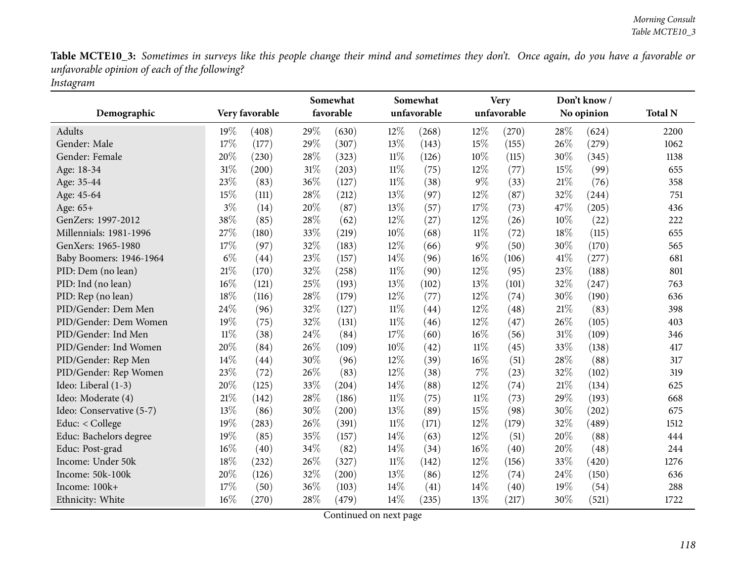|                          |        |                |      | Somewhat  |        | Somewhat    |        | <b>Very</b> |     | Don't know/ |                |
|--------------------------|--------|----------------|------|-----------|--------|-------------|--------|-------------|-----|-------------|----------------|
| Demographic              |        | Very favorable |      | favorable |        | unfavorable |        | unfavorable |     | No opinion  | <b>Total N</b> |
| Adults                   | 19%    | (408)          | 29%  | (630)     | 12%    | (268)       | 12%    | (270)       | 28% | (624)       | 2200           |
| Gender: Male             | 17%    | (177)          | 29%  | (307)     | 13%    | (143)       | 15%    | (155)       | 26% | (279)       | 1062           |
| Gender: Female           | 20%    | (230)          | 28%  | (323)     | $11\%$ | (126)       | 10%    | (115)       | 30% | (345)       | 1138           |
| Age: 18-34               | 31%    | (200)          | 31%  | (203)     | $11\%$ | (75)        | 12%    | (77)        | 15% | (99)        | 655            |
| Age: 35-44               | 23%    | (83)           | 36%  | (127)     | $11\%$ | (38)        | $9\%$  | (33)        | 21% | (76)        | 358            |
| Age: 45-64               | 15%    | (111)          | 28%  | (212)     | 13%    | (97)        | 12%    | (87)        | 32% | (244)       | 751            |
| Age: 65+                 | $3\%$  | (14)           | 20%  | (87)      | 13%    | (57)        | 17%    | (73)        | 47% | (205)       | 436            |
| GenZers: 1997-2012       | 38%    | (85)           | 28%  | (62)      | 12%    | (27)        | 12%    | (26)        | 10% | (22)        | 222            |
| Millennials: 1981-1996   | 27%    | (180)          | 33%  | (219)     | 10%    | (68)        | $11\%$ | (72)        | 18% | (115)       | 655            |
| GenXers: 1965-1980       | 17%    | (97)           | 32%  | (183)     | 12%    | (66)        | $9\%$  | (50)        | 30% | (170)       | 565            |
| Baby Boomers: 1946-1964  | $6\%$  | (44)           | 23%  | (157)     | 14%    | (96)        | 16%    | (106)       | 41% | (277)       | 681            |
| PID: Dem (no lean)       | $21\%$ | (170)          | 32%  | (258)     | $11\%$ | (90)        | 12%    | (95)        | 23% | (188)       | 801            |
| PID: Ind (no lean)       | 16%    | (121)          | 25%  | (193)     | 13%    | (102)       | 13%    | (101)       | 32% | (247)       | 763            |
| PID: Rep (no lean)       | 18%    | (116)          | 28%  | (179)     | 12%    | (77)        | 12%    | (74)        | 30% | (190)       | 636            |
| PID/Gender: Dem Men      | 24%    | (96)           | 32%  | (127)     | $11\%$ | (44)        | 12%    | (48)        | 21% | (83)        | 398            |
| PID/Gender: Dem Women    | 19%    | (75)           | 32%  | (131)     | $11\%$ | (46)        | 12%    | (47)        | 26% | (105)       | 403            |
| PID/Gender: Ind Men      | $11\%$ | (38)           | 24%  | (84)      | 17%    | (60)        | 16%    | (56)        | 31% | (109)       | 346            |
| PID/Gender: Ind Women    | 20%    | (84)           | 26%  | (109)     | 10%    | (42)        | $11\%$ | (45)        | 33% | (138)       | 417            |
| PID/Gender: Rep Men      | 14\%   | (44)           | 30%  | (96)      | 12%    | (39)        | 16%    | (51)        | 28% | (88)        | 317            |
| PID/Gender: Rep Women    | 23%    | (72)           | 26%  | (83)      | 12%    | (38)        | 7%     | (23)        | 32% | (102)       | 319            |
| Ideo: Liberal (1-3)      | 20%    | (125)          | 33%  | (204)     | 14%    | (88)        | 12%    | (74)        | 21% | (134)       | 625            |
| Ideo: Moderate (4)       | 21%    | (142)          | 28%  | (186)     | $11\%$ | (75)        | $11\%$ | (73)        | 29% | (193)       | 668            |
| Ideo: Conservative (5-7) | 13%    | (86)           | 30%  | (200)     | 13%    | (89)        | 15%    | (98)        | 30% | (202)       | 675            |
| Educ: < College          | 19%    | (283)          | 26%  | (391)     | $11\%$ | (171)       | 12%    | (179)       | 32% | (489)       | 1512           |
| Educ: Bachelors degree   | 19%    | (85)           | 35%  | (157)     | 14%    | (63)        | 12%    | (51)        | 20% | (88)        | 444            |
| Educ: Post-grad          | 16%    | (40)           | 34%  | (82)      | 14%    | (34)        | 16%    | (40)        | 20% | (48)        | 244            |
| Income: Under 50k        | 18%    | (232)          | 26%  | (327)     | $11\%$ | (142)       | 12%    | (156)       | 33% | (420)       | 1276           |
| Income: 50k-100k         | 20%    | (126)          | 32%  | (200)     | 13%    | (86)        | 12%    | (74)        | 24% | (150)       | 636            |
| Income: 100k+            | 17%    | (50)           | 36%  | (103)     | 14%    | (41)        | 14%    | (40)        | 19% | (54)        | 288            |
| Ethnicity: White         | 16%    | (270)          | 28\% | (479)     | 14%    | (235)       | 13%    | (217)       | 30% | (521)       | 1722           |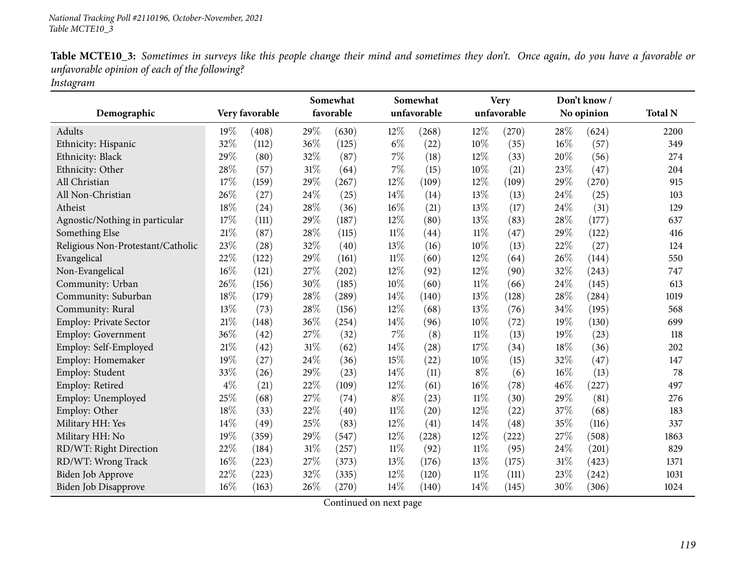|                                   |        |                |        | Somewhat  |        | Somewhat    |        | <b>Very</b> |     | Don't know/ |                |
|-----------------------------------|--------|----------------|--------|-----------|--------|-------------|--------|-------------|-----|-------------|----------------|
| Demographic                       |        | Very favorable |        | favorable |        | unfavorable |        | unfavorable |     | No opinion  | <b>Total N</b> |
| Adults                            | 19%    | (408)          | 29%    | (630)     | 12%    | (268)       | 12%    | (270)       | 28% | (624)       | 2200           |
| Ethnicity: Hispanic               | 32%    | (112)          | 36%    | (125)     | $6\%$  | (22)        | 10%    | (35)        | 16% | (57)        | 349            |
| Ethnicity: Black                  | 29%    | (80)           | 32%    | (87)      | $7\%$  | (18)        | 12%    | (33)        | 20% | (56)        | 274            |
| Ethnicity: Other                  | 28%    | (57)           | $31\%$ | (64)      | 7%     | (15)        | 10%    | (21)        | 23% | (47)        | 204            |
| All Christian                     | 17%    | (159)          | 29%    | (267)     | 12%    | (109)       | 12%    | (109)       | 29% | (270)       | 915            |
| All Non-Christian                 | 26%    | (27)           | 24%    | (25)      | 14%    | (14)        | 13%    | (13)        | 24% | (25)        | 103            |
| Atheist                           | 18%    | (24)           | 28\%   | (36)      | 16%    | (21)        | 13%    | (17)        | 24% | (31)        | 129            |
| Agnostic/Nothing in particular    | 17%    | (111)          | 29%    | (187)     | 12%    | (80)        | 13%    | (83)        | 28% | (177)       | 637            |
| Something Else                    | $21\%$ | (87)           | 28\%   | (115)     | $11\%$ | (44)        | $11\%$ | (47)        | 29% | (122)       | 416            |
| Religious Non-Protestant/Catholic | 23%    | (28)           | 32%    | (40)      | 13%    | (16)        | 10%    | (13)        | 22% | (27)        | 124            |
| Evangelical                       | 22%    | (122)          | 29%    | (161)     | $11\%$ | (60)        | 12%    | (64)        | 26% | (144)       | 550            |
| Non-Evangelical                   | 16%    | (121)          | 27%    | (202)     | 12%    | (92)        | 12%    | (90)        | 32% | (243)       | 747            |
| Community: Urban                  | 26%    | (156)          | 30%    | (185)     | 10%    | (60)        | $11\%$ | (66)        | 24% | (145)       | 613            |
| Community: Suburban               | 18%    | (179)          | 28%    | (289)     | 14%    | (140)       | 13%    | (128)       | 28% | (284)       | 1019           |
| Community: Rural                  | 13%    | (73)           | 28\%   | (156)     | 12%    | (68)        | 13%    | (76)        | 34% | (195)       | 568            |
| Employ: Private Sector            | $21\%$ | (148)          | 36%    | (254)     | 14%    | (96)        | 10%    | (72)        | 19% | (130)       | 699            |
| Employ: Government                | 36%    | (42)           | 27%    | (32)      | 7%     | (8)         | $11\%$ | (13)        | 19% | (23)        | 118            |
| Employ: Self-Employed             | 21%    | (42)           | $31\%$ | (62)      | 14%    | (28)        | 17%    | (34)        | 18% | (36)        | 202            |
| Employ: Homemaker                 | 19%    | (27)           | 24%    | (36)      | 15%    | (22)        | 10%    | (15)        | 32% | (47)        | 147            |
| Employ: Student                   | 33%    | (26)           | 29%    | (23)      | 14%    | (11)        | $8\%$  | (6)         | 16% | (13)        | 78             |
| Employ: Retired                   | $4\%$  | (21)           | 22%    | (109)     | 12%    | (61)        | $16\%$ | (78)        | 46% | (227)       | 497            |
| Employ: Unemployed                | 25%    | (68)           | 27%    | (74)      | $8\%$  | (23)        | $11\%$ | (30)        | 29% | (81)        | 276            |
| Employ: Other                     | 18%    | (33)           | 22%    | (40)      | $11\%$ | (20)        | 12%    | (22)        | 37% | (68)        | 183            |
| Military HH: Yes                  | 14%    | (49)           | 25%    | (83)      | 12%    | (41)        | 14%    | (48)        | 35% | (116)       | 337            |
| Military HH: No                   | 19%    | (359)          | 29%    | (547)     | 12%    | (228)       | 12%    | (222)       | 27% | (508)       | 1863           |
| RD/WT: Right Direction            | 22%    | (184)          | $31\%$ | (257)     | $11\%$ | (92)        | $11\%$ | (95)        | 24% | (201)       | 829            |
| RD/WT: Wrong Track                | 16%    | (223)          | 27%    | (373)     | 13%    | (176)       | 13%    | (175)       | 31% | (423)       | 1371           |
| <b>Biden Job Approve</b>          | 22%    | (223)          | 32%    | (335)     | 12%    | (120)       | $11\%$ | (111)       | 23% | (242)       | 1031           |
| Biden Job Disapprove              | 16%    | (163)          | 26%    | (270)     | 14%    | (140)       | 14%    | (145)       | 30% | (306)       | 1024           |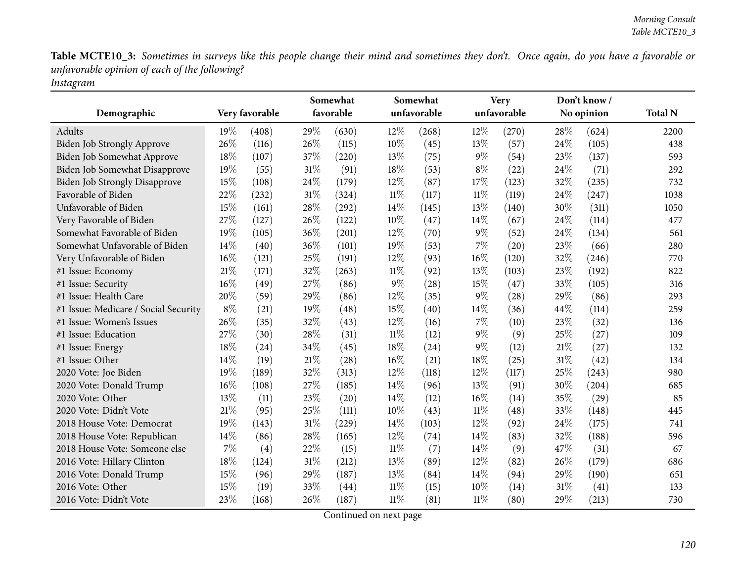|                                      |        |                |        | Somewhat  |        | Somewhat    |        | <b>Very</b> |      | Don't know/ |                |
|--------------------------------------|--------|----------------|--------|-----------|--------|-------------|--------|-------------|------|-------------|----------------|
| Demographic                          |        | Very favorable |        | favorable |        | unfavorable |        | unfavorable |      | No opinion  | <b>Total N</b> |
| Adults                               | $19\%$ | (408)          | 29\%   | (630)     | $12\%$ | (268)       | $12\%$ | (270)       | 28\% | (624)       | 2200           |
| Biden Job Strongly Approve           | 26%    | (116)          | 26%    | (115)     | 10%    | (45)        | 13%    | (57)        | 24%  | (105)       | 438            |
| Biden Job Somewhat Approve           | 18%    | (107)          | 37%    | (220)     | 13%    | (75)        | $9\%$  | (54)        | 23%  | (137)       | 593            |
| Biden Job Somewhat Disapprove        | 19%    | (55)           | 31%    | (91)      | 18%    | (53)        | $8\%$  | (22)        | 24%  | (71)        | 292            |
| <b>Biden Job Strongly Disapprove</b> | 15%    | (108)          | 24\%   | (179)     | 12%    | (87)        | 17%    | (123)       | 32%  | (235)       | 732            |
| Favorable of Biden                   | 22%    | (232)          | $31\%$ | (324)     | $11\%$ | (117)       | $11\%$ | (119)       | 24%  | (247)       | 1038           |
| Unfavorable of Biden                 | 15%    | (161)          | 28%    | (292)     | 14%    | (145)       | 13%    | (140)       | 30%  | (311)       | 1050           |
| Very Favorable of Biden              | 27%    | (127)          | 26%    | (122)     | 10%    | (47)        | 14%    | (67)        | 24%  | (114)       | 477            |
| Somewhat Favorable of Biden          | 19%    | (105)          | 36%    | (201)     | 12%    | (70)        | $9\%$  | (52)        | 24%  | (134)       | 561            |
| Somewhat Unfavorable of Biden        | 14\%   | (40)           | 36%    | (101)     | 19%    | (53)        | 7%     | (20)        | 23%  | (66)        | 280            |
| Very Unfavorable of Biden            | 16%    | (121)          | 25%    | (191)     | 12%    | (93)        | $16\%$ | (120)       | 32%  | (246)       | 770            |
| #1 Issue: Economy                    | 21%    | (171)          | 32%    | (263)     | $11\%$ | (92)        | 13%    | (103)       | 23%  | (192)       | 822            |
| #1 Issue: Security                   | $16\%$ | (49)           | 27%    | (86)      | $9\%$  | (28)        | 15%    | (47)        | 33%  | (105)       | 316            |
| #1 Issue: Health Care                | 20%    | (59)           | 29%    | (86)      | 12%    | (35)        | $9\%$  | (28)        | 29%  | (86)        | 293            |
| #1 Issue: Medicare / Social Security | $8\%$  | (21)           | 19%    | (48)      | 15%    | (40)        | 14%    | (36)        | 44%  | (114)       | 259            |
| #1 Issue: Women's Issues             | 26%    | (35)           | 32%    | (43)      | 12%    | (16)        | $7\%$  | (10)        | 23%  | (32)        | 136            |
| #1 Issue: Education                  | 27%    | (30)           | 28\%   | (31)      | $11\%$ | (12)        | $9\%$  | (9)         | 25%  | (27)        | 109            |
| #1 Issue: Energy                     | 18%    | (24)           | 34\%   | (45)      | 18%    | (24)        | $9\%$  | (12)        | 21%  | (27)        | 132            |
| #1 Issue: Other                      | 14%    | (19)           | 21\%   | (28)      | 16%    | (21)        | 18%    | (25)        | 31%  | (42)        | 134            |
| 2020 Vote: Joe Biden                 | 19%    | (189)          | 32%    | (313)     | 12%    | (118)       | 12%    | (117)       | 25%  | (243)       | 980            |
| 2020 Vote: Donald Trump              | 16%    | (108)          | 27%    | (185)     | 14%    | (96)        | 13%    | (91)        | 30%  | (204)       | 685            |
| 2020 Vote: Other                     | 13%    | (11)           | 23%    | (20)      | 14\%   | (12)        | $16\%$ | (14)        | 35%  | (29)        | 85             |
| 2020 Vote: Didn't Vote               | 21%    | (95)           | 25%    | (111)     | 10%    | (43)        | $11\%$ | (48)        | 33%  | (148)       | 445            |
| 2018 House Vote: Democrat            | 19%    | (143)          | $31\%$ | (229)     | 14\%   | (103)       | 12%    | (92)        | 24%  | (175)       | 741            |
| 2018 House Vote: Republican          | 14\%   | (86)           | 28%    | (165)     | 12%    | (74)        | 14\%   | (83)        | 32%  | (188)       | 596            |
| 2018 House Vote: Someone else        | 7%     | (4)            | 22%    | (15)      | $11\%$ | (7)         | 14%    | (9)         | 47%  | (31)        | 67             |
| 2016 Vote: Hillary Clinton           | 18%    | (124)          | $31\%$ | (212)     | 13%    | (89)        | 12%    | (82)        | 26%  | (179)       | 686            |
| 2016 Vote: Donald Trump              | 15%    | (96)           | 29%    | (187)     | 13%    | (84)        | 14\%   | (94)        | 29%  | (190)       | 651            |
| 2016 Vote: Other                     | 15%    | (19)           | 33%    | (44)      | $11\%$ | (15)        | 10%    | (14)        | 31%  | (41)        | 133            |
| 2016 Vote: Didn't Vote               | 23%    | (168)          | 26%    | (187)     | $11\%$ | (81)        | $11\%$ | (80)        | 29%  | (213)       | 730            |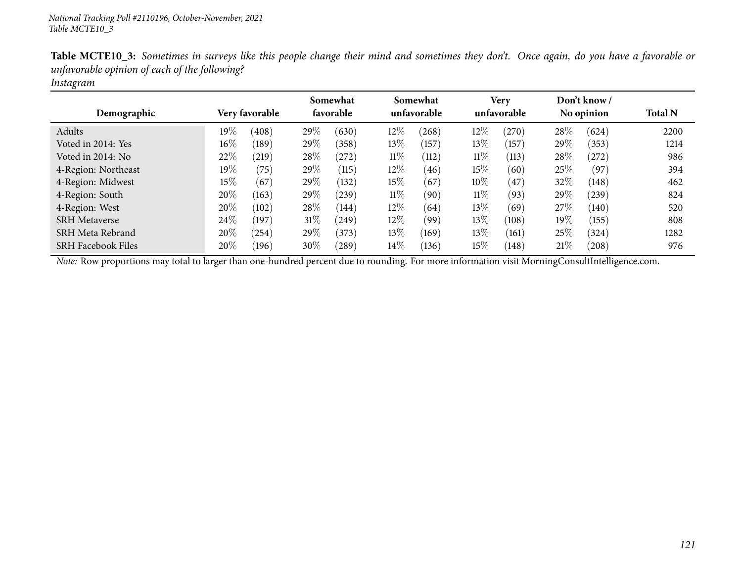| $\circ$                   |                 |                       |                         |                      |                            |                |
|---------------------------|-----------------|-----------------------|-------------------------|----------------------|----------------------------|----------------|
| Demographic               | Very favorable  | Somewhat<br>favorable | Somewhat<br>unfavorable | Very<br>unfavorable  | Don't know /<br>No opinion | <b>Total N</b> |
| Adults                    | $19\%$<br>(408) | 29\%<br>(630)         | 12%<br>(268)            | $12\%$<br>$^{'}270)$ | 28\%<br>(624)              | 2200           |
| Voted in 2014: Yes        | $16\%$<br>(189) | 29%<br>(358)          | 13%<br>(157)            | 13%<br>(157)         | $29\%$<br>(353)            | 1214           |
| Voted in 2014: No         | 22%<br>(219)    | 28\%<br>(272)         | $11\%$<br>(112)         | $11\%$<br>(113)      | $28\%$<br>(272)            | 986            |
| 4-Region: Northeast       | 19%<br>(75)     | 29%<br>(115)          | 12%<br>(46)             | 15%<br>(60)          | 25\%<br>(97)               | 394            |
| 4-Region: Midwest         | $15\%$<br>(67)  | 29\%<br>(132)         | 15%<br>(67)             | $10\%$<br>(47)       | 32%<br>(148)               | 462            |
| 4-Region: South           | 20%<br>(163)    | 29\%<br>(239)         | $11\%$<br>(90)          | $11\%$<br>(93)       | 29\%<br>(239)              | 824            |
| 4-Region: West            | 20%<br>(102)    | 28\%<br>(144)         | 12%<br>(64)             | 13%<br>(69)          | 27\%<br>(140)              | 520            |
| <b>SRH</b> Metaverse      | 24\%<br>(197)   | 31\%<br>(249)         | $12\%$<br>(99)          | 13%<br>(108)         | 19%<br>(155)               | 808            |
| SRH Meta Rebrand          | 20%<br>(254)    | 29\%<br>(373)         | 13\%<br>(169)           | 13\%<br>(161)        | 25%<br>(324)               | 1282           |
| <b>SRH Facebook Files</b> | 20%<br>(196)    | 30%<br>$^{'}289$      | $14\%$<br>(136)         | 15%<br>(148)         | 21%<br>(208)               | 976            |

*Instagram*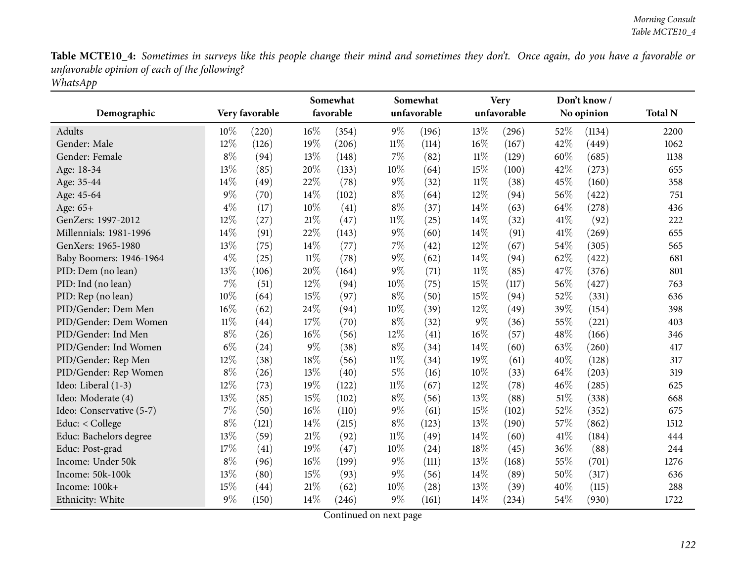|                          |        |                |        | Somewhat  |        | Somewhat    |        | <b>Very</b> |      | Don't know/ |                |
|--------------------------|--------|----------------|--------|-----------|--------|-------------|--------|-------------|------|-------------|----------------|
| Demographic              |        | Very favorable |        | favorable |        | unfavorable |        | unfavorable |      | No opinion  | <b>Total N</b> |
| Adults                   | 10%    | (220)          | 16%    | (354)     | $9\%$  | (196)       | 13%    | (296)       | 52%  | (1134)      | 2200           |
| Gender: Male             | 12%    | (126)          | 19%    | (206)     | $11\%$ | (114)       | 16%    | (167)       | 42%  | (449)       | 1062           |
| Gender: Female           | $8\%$  | (94)           | 13%    | (148)     | $7\%$  | (82)        | $11\%$ | (129)       | 60%  | (685)       | 1138           |
| Age: 18-34               | 13%    | (85)           | 20%    | (133)     | 10%    | (64)        | 15%    | (100)       | 42%  | (273)       | 655            |
| Age: 35-44               | 14%    | (49)           | 22%    | (78)      | $9\%$  | (32)        | $11\%$ | (38)        | 45%  | (160)       | 358            |
| Age: 45-64               | $9\%$  | (70)           | 14%    | (102)     | $8\%$  | (64)        | 12%    | (94)        | 56%  | (422)       | 751            |
| Age: 65+                 | $4\%$  | (17)           | 10%    | (41)      | $8\%$  | (37)        | 14%    | (63)        | 64%  | (278)       | 436            |
| GenZers: 1997-2012       | 12%    | (27)           | 21%    | (47)      | $11\%$ | (25)        | 14%    | (32)        | 41\% | (92)        | 222            |
| Millennials: 1981-1996   | 14%    | (91)           | 22%    | (143)     | $9\%$  | (60)        | 14%    | (91)        | 41\% | (269)       | 655            |
| GenXers: 1965-1980       | 13%    | (75)           | 14%    | (77)      | $7\%$  | (42)        | 12%    | (67)        | 54%  | (305)       | 565            |
| Baby Boomers: 1946-1964  | $4\%$  | (25)           | $11\%$ | (78)      | $9\%$  | (62)        | 14%    | (94)        | 62%  | (422)       | 681            |
| PID: Dem (no lean)       | 13%    | (106)          | $20\%$ | (164)     | $9\%$  | (71)        | $11\%$ | (85)        | 47%  | (376)       | 801            |
| PID: Ind (no lean)       | 7%     | (51)           | 12%    | (94)      | 10%    | (75)        | 15%    | (117)       | 56%  | (427)       | 763            |
| PID: Rep (no lean)       | 10%    | (64)           | 15%    | (97)      | $8\%$  | (50)        | 15%    | (94)        | 52%  | (331)       | 636            |
| PID/Gender: Dem Men      | 16%    | (62)           | 24%    | (94)      | 10%    | (39)        | 12%    | (49)        | 39%  | (154)       | 398            |
| PID/Gender: Dem Women    | $11\%$ | (44)           | 17%    | (70)      | $8\%$  | (32)        | $9\%$  | (36)        | 55%  | (221)       | 403            |
| PID/Gender: Ind Men      | $8\%$  | (26)           | 16%    | (56)      | 12%    | (41)        | 16%    | (57)        | 48%  | (166)       | 346            |
| PID/Gender: Ind Women    | $6\%$  | (24)           | $9\%$  | (38)      | $8\%$  | (34)        | 14%    | (60)        | 63%  | (260)       | 417            |
| PID/Gender: Rep Men      | 12%    | (38)           | 18%    | (56)      | $11\%$ | (34)        | 19%    | (61)        | 40%  | (128)       | 317            |
| PID/Gender: Rep Women    | $8\%$  | (26)           | 13%    | (40)      | $5\%$  | (16)        | 10%    | (33)        | 64%  | (203)       | 319            |
| Ideo: Liberal (1-3)      | 12%    | (73)           | 19%    | (122)     | $11\%$ | (67)        | 12%    | (78)        | 46%  | (285)       | 625            |
| Ideo: Moderate (4)       | 13%    | (85)           | 15%    | (102)     | $8\%$  | (56)        | 13%    | (88)        | 51%  | (338)       | 668            |
| Ideo: Conservative (5-7) | $7\%$  | (50)           | 16%    | (110)     | $9\%$  | (61)        | 15%    | (102)       | 52%  | (352)       | 675            |
| Educ: < College          | $8\%$  | (121)          | 14%    | (215)     | $8\%$  | (123)       | 13%    | (190)       | 57%  | (862)       | 1512           |
| Educ: Bachelors degree   | 13%    | (59)           | 21%    | (92)      | $11\%$ | (49)        | 14%    | (60)        | 41\% | (184)       | 444            |
| Educ: Post-grad          | 17%    | (41)           | 19%    | (47)      | $10\%$ | (24)        | 18%    | (45)        | 36%  | (88)        | 244            |
| Income: Under 50k        | $8\%$  | (96)           | 16%    | (199)     | $9\%$  | (111)       | 13%    | (168)       | 55%  | (701)       | 1276           |
| Income: 50k-100k         | 13%    | (80)           | 15%    | (93)      | $9\%$  | (56)        | 14%    | (89)        | 50%  | (317)       | 636            |
| Income: 100k+            | 15%    | (44)           | 21%    | (62)      | 10%    | (28)        | 13%    | (39)        | 40%  | (115)       | 288            |
| Ethnicity: White         | $9\%$  | (150)          | 14%    | (246)     | $9\%$  | (161)       | 14%    | (234)       | 54%  | (930)       | 1722           |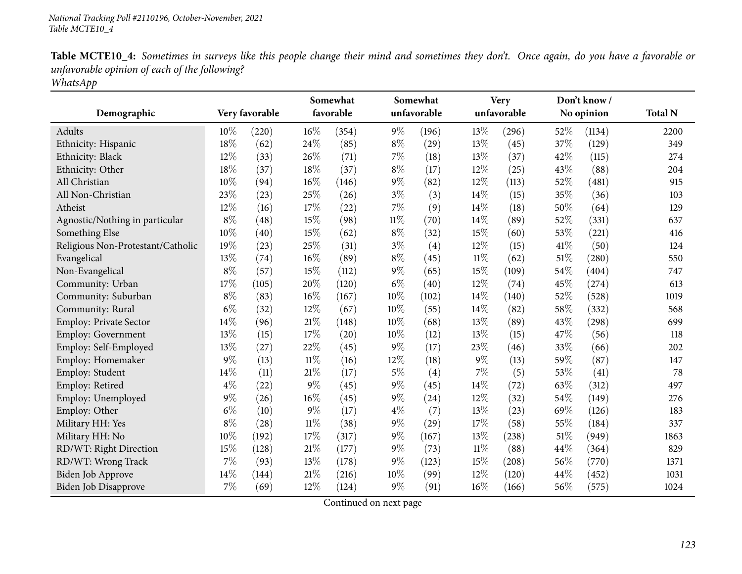|                                   |       |                |        | Somewhat  |        | Somewhat    |        | <b>Very</b> |     | Don't know/ |                |
|-----------------------------------|-------|----------------|--------|-----------|--------|-------------|--------|-------------|-----|-------------|----------------|
| Demographic                       |       | Very favorable |        | favorable |        | unfavorable |        | unfavorable |     | No opinion  | <b>Total N</b> |
| Adults                            | 10%   | (220)          | 16%    | (354)     | $9\%$  | (196)       | 13%    | (296)       | 52% | (1134)      | 2200           |
| Ethnicity: Hispanic               | 18%   | (62)           | 24%    | (85)      | $8\%$  | (29)        | 13%    | (45)        | 37% | (129)       | 349            |
| Ethnicity: Black                  | 12%   | (33)           | 26%    | (71)      | $7\%$  | (18)        | 13%    | (37)        | 42% | (115)       | 274            |
| Ethnicity: Other                  | 18%   | (37)           | 18%    | (37)      | $8\%$  | (17)        | $12\%$ | (25)        | 43% | (88)        | 204            |
| All Christian                     | 10%   | (94)           | $16\%$ | (146)     | $9\%$  | (82)        | 12%    | (113)       | 52% | (481)       | 915            |
| All Non-Christian                 | 23%   | (23)           | 25%    | (26)      | $3\%$  | (3)         | 14%    | (15)        | 35% | (36)        | 103            |
| Atheist                           | 12%   | (16)           | 17%    | (22)      | 7%     | (9)         | 14%    | (18)        | 50% | (64)        | 129            |
| Agnostic/Nothing in particular    | $8\%$ | (48)           | 15%    | (98)      | $11\%$ | (70)        | 14%    | (89)        | 52% | (331)       | 637            |
| Something Else                    | 10%   | (40)           | $15\%$ | (62)      | $8\%$  | (32)        | 15%    | (60)        | 53% | (221)       | 416            |
| Religious Non-Protestant/Catholic | 19%   | (23)           | 25%    | (31)      | $3\%$  | (4)         | 12%    | (15)        | 41% | (50)        | 124            |
| Evangelical                       | 13%   | (74)           | 16%    | (89)      | $8\%$  | (45)        | $11\%$ | (62)        | 51% | (280)       | 550            |
| Non-Evangelical                   | $8\%$ | (57)           | 15%    | (112)     | $9\%$  | (65)        | 15%    | (109)       | 54% | (404)       | 747            |
| Community: Urban                  | 17%   | (105)          | 20%    | (120)     | $6\%$  | (40)        | 12%    | (74)        | 45% | (274)       | 613            |
| Community: Suburban               | $8\%$ | (83)           | $16\%$ | (167)     | 10%    | (102)       | 14%    | (140)       | 52% | (528)       | 1019           |
| Community: Rural                  | $6\%$ | (32)           | 12%    | (67)      | $10\%$ | (55)        | $14\%$ | (82)        | 58% | (332)       | 568            |
| Employ: Private Sector            | 14%   | (96)           | $21\%$ | (148)     | 10%    | (68)        | 13%    | (89)        | 43% | (298)       | 699            |
| <b>Employ: Government</b>         | 13%   | (15)           | 17%    | (20)      | 10%    | (12)        | 13%    | (15)        | 47% | (56)        | 118            |
| Employ: Self-Employed             | 13%   | (27)           | 22%    | (45)      | $9\%$  | (17)        | 23%    | (46)        | 33% | (66)        | 202            |
| Employ: Homemaker                 | $9\%$ | (13)           | $11\%$ | (16)      | 12%    | (18)        | $9\%$  | (13)        | 59% | (87)        | 147            |
| Employ: Student                   | 14%   | (11)           | $21\%$ | (17)      | $5\%$  | (4)         | 7%     | (5)         | 53% | (41)        | 78             |
| Employ: Retired                   | $4\%$ | (22)           | $9\%$  | (45)      | 9%     | (45)        | 14%    | (72)        | 63% | (312)       | 497            |
| Employ: Unemployed                | $9\%$ | (26)           | 16%    | (45)      | $9\%$  | (24)        | 12%    | (32)        | 54% | (149)       | 276            |
| Employ: Other                     | $6\%$ | (10)           | $9\%$  | (17)      | $4\%$  | (7)         | 13%    | (23)        | 69% | (126)       | 183            |
| Military HH: Yes                  | $8\%$ | (28)           | $11\%$ | (38)      | $9\%$  | (29)        | 17%    | (58)        | 55% | (184)       | 337            |
| Military HH: No                   | 10%   | (192)          | $17\%$ | (317)     | 9%     | (167)       | 13%    | (238)       | 51% | (949)       | 1863           |
| RD/WT: Right Direction            | 15%   | (128)          | $21\%$ | (177)     | $9\%$  | (73)        | $11\%$ | (88)        | 44% | (364)       | 829            |
| RD/WT: Wrong Track                | 7%    | (93)           | 13%    | (178)     | 9%     | (123)       | 15%    | (208)       | 56% | (770)       | 1371           |
| Biden Job Approve                 | 14\%  | (144)          | 21%    | (216)     | 10%    | (99)        | 12%    | (120)       | 44% | (452)       | 1031           |
| Biden Job Disapprove              | $7\%$ | (69)           | 12%    | (124)     | $9\%$  | (91)        | $16\%$ | (166)       | 56% | (575)       | 1024           |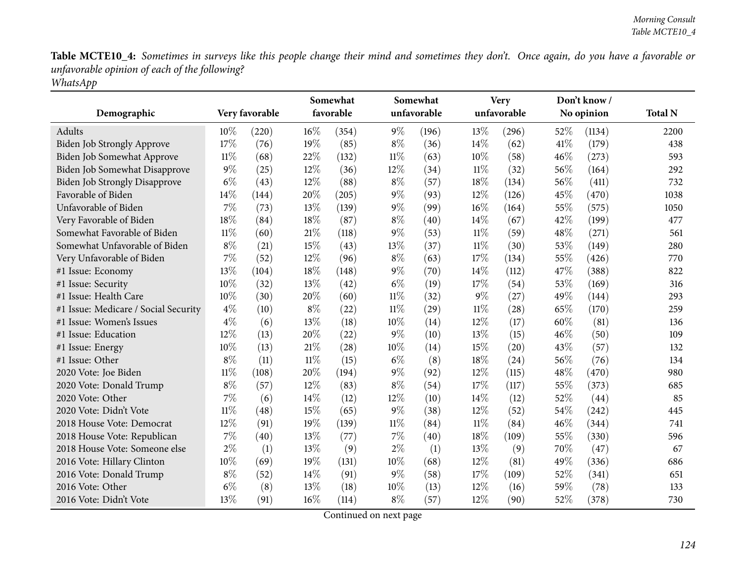|                                      |        |                |        | Somewhat<br>favorable |        | Somewhat<br>unfavorable |        | <b>Very</b><br>unfavorable |     | Don't know/ | <b>Total N</b> |
|--------------------------------------|--------|----------------|--------|-----------------------|--------|-------------------------|--------|----------------------------|-----|-------------|----------------|
| Demographic                          |        | Very favorable |        |                       |        |                         |        |                            |     | No opinion  |                |
| Adults                               | $10\%$ | (220)          | $16\%$ | (354)                 | $9\%$  | (196)                   | 13%    | (296)                      | 52% | (1134)      | 2200           |
| <b>Biden Job Strongly Approve</b>    | 17%    | (76)           | 19%    | (85)                  | $8\%$  | (36)                    | 14%    | (62)                       | 41% | (179)       | 438            |
| Biden Job Somewhat Approve           | $11\%$ | (68)           | 22%    | (132)                 | $11\%$ | (63)                    | 10%    | (58)                       | 46% | (273)       | 593            |
| Biden Job Somewhat Disapprove        | $9\%$  | (25)           | 12%    | (36)                  | $12\%$ | (34)                    | $11\%$ | (32)                       | 56% | (164)       | 292            |
| <b>Biden Job Strongly Disapprove</b> | $6\%$  | (43)           | 12%    | (88)                  | $8\%$  | (57)                    | 18%    | (134)                      | 56% | (411)       | 732            |
| Favorable of Biden                   | 14%    | (144)          | 20%    | (205)                 | 9%     | (93)                    | 12%    | (126)                      | 45% | (470)       | 1038           |
| Unfavorable of Biden                 | 7%     | (73)           | 13%    | (139)                 | $9\%$  | (99)                    | $16\%$ | (164)                      | 55% | (575)       | 1050           |
| Very Favorable of Biden              | 18%    | (84)           | 18%    | (87)                  | $8\%$  | (40)                    | 14%    | (67)                       | 42% | (199)       | 477            |
| Somewhat Favorable of Biden          | $11\%$ | (60)           | $21\%$ | (118)                 | 9%     | (53)                    | $11\%$ | (59)                       | 48% | (271)       | 561            |
| Somewhat Unfavorable of Biden        | $8\%$  | (21)           | 15%    | (43)                  | 13%    | (37)                    | $11\%$ | (30)                       | 53% | (149)       | 280            |
| Very Unfavorable of Biden            | 7%     | (52)           | 12%    | (96)                  | $8\%$  | (63)                    | 17%    | (134)                      | 55% | (426)       | 770            |
| #1 Issue: Economy                    | 13%    | (104)          | $18\%$ | (148)                 | $9\%$  | (70)                    | 14%    | (112)                      | 47% | (388)       | 822            |
| #1 Issue: Security                   | 10%    | (32)           | 13%    | (42)                  | $6\%$  | (19)                    | 17%    | (54)                       | 53% | (169)       | 316            |
| #1 Issue: Health Care                | 10%    | (30)           | 20%    | (60)                  | $11\%$ | (32)                    | $9\%$  | (27)                       | 49% | (144)       | 293            |
| #1 Issue: Medicare / Social Security | $4\%$  | (10)           | $8\%$  | (22)                  | $11\%$ | (29)                    | $11\%$ | (28)                       | 65% | (170)       | 259            |
| #1 Issue: Women's Issues             | $4\%$  | (6)            | 13%    | (18)                  | 10%    | (14)                    | 12%    | (17)                       | 60% | (81)        | 136            |
| #1 Issue: Education                  | 12%    | (13)           | 20%    | (22)                  | 9%     | (10)                    | 13%    | (15)                       | 46% | (50)        | 109            |
| #1 Issue: Energy                     | 10%    | (13)           | $21\%$ | (28)                  | 10%    | (14)                    | 15%    | (20)                       | 43% | (57)        | 132            |
| #1 Issue: Other                      | $8\%$  | (11)           | $11\%$ | (15)                  | $6\%$  | (8)                     | 18%    | (24)                       | 56% | (76)        | 134            |
| 2020 Vote: Joe Biden                 | $11\%$ | (108)          | 20%    | (194)                 | $9\%$  | (92)                    | 12%    | (115)                      | 48% | (470)       | 980            |
| 2020 Vote: Donald Trump              | $8\%$  | (57)           | 12%    | (83)                  | $8\%$  | (54)                    | 17%    | (117)                      | 55% | (373)       | 685            |
| 2020 Vote: Other                     | 7%     | (6)            | 14%    | (12)                  | 12%    | (10)                    | 14%    | (12)                       | 52% | (44)        | 85             |
| 2020 Vote: Didn't Vote               | $11\%$ | (48)           | 15%    | (65)                  | $9\%$  | (38)                    | 12%    | (52)                       | 54% | (242)       | 445            |
| 2018 House Vote: Democrat            | 12%    | (91)           | 19%    | (139)                 | $11\%$ | (84)                    | $11\%$ | (84)                       | 46% | (344)       | 741            |
| 2018 House Vote: Republican          | $7\%$  | (40)           | 13%    | (77)                  | 7%     | (40)                    | 18%    | (109)                      | 55% | (330)       | 596            |
| 2018 House Vote: Someone else        | $2\%$  | (1)            | 13%    | (9)                   | $2\%$  | (1)                     | 13%    | (9)                        | 70% | (47)        | 67             |
| 2016 Vote: Hillary Clinton           | 10%    | (69)           | 19%    | (131)                 | 10%    | (68)                    | 12%    | (81)                       | 49% | (336)       | 686            |
| 2016 Vote: Donald Trump              | $8\%$  | (52)           | 14%    | (91)                  | 9%     | (58)                    | 17%    | (109)                      | 52% | (341)       | 651            |
| 2016 Vote: Other                     | $6\%$  | (8)            | 13%    | (18)                  | 10%    | (13)                    | 12%    | (16)                       | 59% | (78)        | 133            |
| 2016 Vote: Didn't Vote               | 13%    | (91)           | $16\%$ | (114)                 | $8\%$  | (57)                    | 12%    | (90)                       | 52% | (378)       | 730            |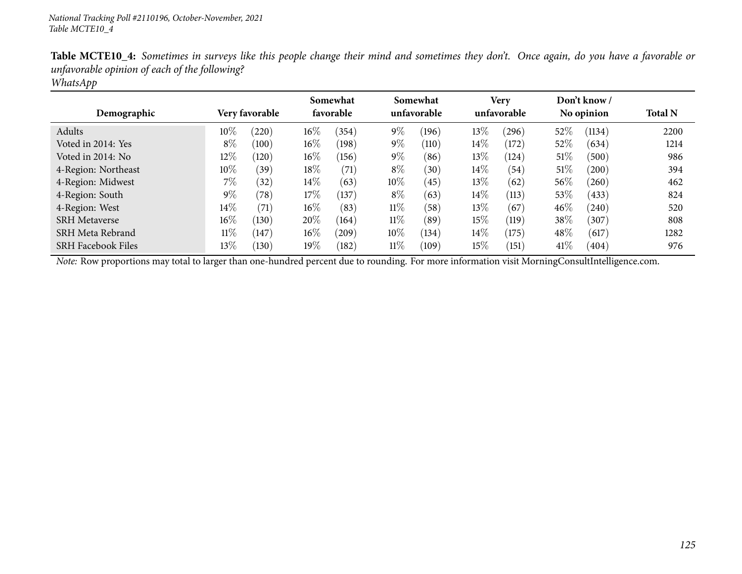|        |       |                |                |                       |       |                         |       |                     |        | <b>Total N</b>             |
|--------|-------|----------------|----------------|-----------------------|-------|-------------------------|-------|---------------------|--------|----------------------------|
| $10\%$ | (220) | $16\%$         | (354)          | $9\%$                 | (196) | $13\%$                  | (296) | 52%                 | (1134) | 2200                       |
| $8\%$  | (100) | $16\%$         | (198)          | $9\%$                 | (110) | $14\%$                  | (172) | 52%                 | (634)  | 1214                       |
| $12\%$ | (120) | $16\%$         | (156)          | $9\%$                 | (86)  | 13\%                    | (124) | $51\%$              | (500)  | 986                        |
| 10%    | (39)  | 18%            | (71)           | $8\%$                 | (30)  | 14%                     | (54)  | 51%                 | (200)  | 394                        |
| $7\%$  | (32)  | $14\%$         | (63)           | $10\%$                | (45)  | $13\%$                  | (62)  | $56\%$              | (260)  | 462                        |
| $9\%$  | (78)  | $17\%$         | (137)          | $8\%$                 | (63)  | 14%                     | (113) | 53%                 | (433)  | 824                        |
| $14\%$ | (71)  | $16\%$         | (83)           | $11\%$                | (58)  | 13%                     | (67)  | $46\%$              | (240)  | 520                        |
| $16\%$ | (130) | 20%            | (164)          | $11\%$                | (89)  | 15%                     | (119) | 38%                 | (307)  | 808                        |
| $11\%$ | 147   | $16\%$         | $^{\prime}209$ | $10\%$                | (134) | 14\%                    | (175) | 48\%                | (617)  | 1282                       |
| $13\%$ | (130) | $19\%$         | (182)          | $11\%$                | (109) | 15%                     | (151) | 41\%                | (404)  | 976                        |
|        |       | Very favorable |                | Somewhat<br>favorable |       | Somewhat<br>unfavorable |       | Very<br>unfavorable |        | Don't know /<br>No opinion |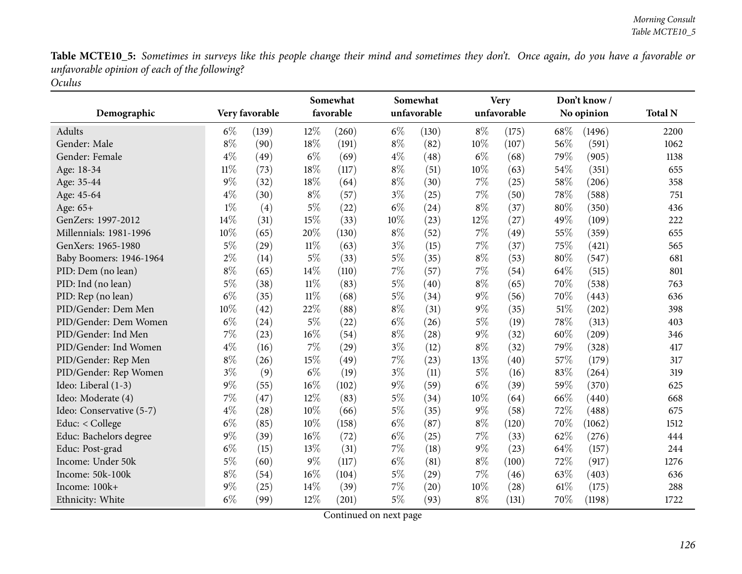| Demographic              |        | Very favorable |        | Somewhat<br>favorable |       | Somewhat<br>unfavorable |       | <b>Very</b><br>unfavorable |      | Don't know/<br>No opinion | <b>Total N</b> |
|--------------------------|--------|----------------|--------|-----------------------|-------|-------------------------|-------|----------------------------|------|---------------------------|----------------|
|                          |        |                |        |                       |       |                         |       |                            |      |                           |                |
| Adults                   | $6\%$  | (139)          | 12%    | (260)                 | $6\%$ | (130)                   | $8\%$ | (175)                      | 68\% | (1496)                    | 2200           |
| Gender: Male             | $8\%$  | (90)           | 18%    | (191)                 | $8\%$ | (82)                    | 10%   | (107)                      | 56%  | (591)                     | 1062           |
| Gender: Female           | $4\%$  | (49)           | $6\%$  | (69)                  | $4\%$ | (48)                    | $6\%$ | (68)                       | 79%  | (905)                     | 1138           |
| Age: 18-34               | $11\%$ | (73)           | 18%    | (117)                 | $8\%$ | (51)                    | 10%   | (63)                       | 54%  | (351)                     | 655            |
| Age: 35-44               | $9\%$  | (32)           | 18%    | (64)                  | $8\%$ | (30)                    | 7%    | (25)                       | 58%  | (206)                     | 358            |
| Age: 45-64               | $4\%$  | (30)           | $8\%$  | (57)                  | $3\%$ | (25)                    | 7%    | (50)                       | 78%  | (588)                     | 751            |
| Age: 65+                 | $1\%$  | (4)            | $5\%$  | (22)                  | $6\%$ | (24)                    | $8\%$ | (37)                       | 80%  | (350)                     | 436            |
| GenZers: 1997-2012       | 14%    | (31)           | 15%    | (33)                  | 10%   | (23)                    | 12%   | (27)                       | 49%  | (109)                     | 222            |
| Millennials: 1981-1996   | 10%    | (65)           | 20%    | (130)                 | $8\%$ | (52)                    | $7\%$ | (49)                       | 55%  | (359)                     | 655            |
| GenXers: 1965-1980       | $5\%$  | (29)           | $11\%$ | (63)                  | $3\%$ | (15)                    | $7\%$ | (37)                       | 75%  | (421)                     | 565            |
| Baby Boomers: 1946-1964  | $2\%$  | (14)           | $5\%$  | (33)                  | $5\%$ | (35)                    | $8\%$ | (53)                       | 80%  | (547)                     | 681            |
| PID: Dem (no lean)       | $8\%$  | (65)           | 14%    | (110)                 | $7\%$ | (57)                    | 7%    | (54)                       | 64%  | (515)                     | 801            |
| PID: Ind (no lean)       | $5\%$  | (38)           | $11\%$ | (83)                  | $5\%$ | (40)                    | $8\%$ | (65)                       | 70%  | (538)                     | 763            |
| PID: Rep (no lean)       | $6\%$  | (35)           | $11\%$ | (68)                  | $5\%$ | (34)                    | $9\%$ | (56)                       | 70%  | (443)                     | 636            |
| PID/Gender: Dem Men      | 10%    | (42)           | 22%    | (88)                  | $8\%$ | (31)                    | $9\%$ | (35)                       | 51%  | (202)                     | 398            |
| PID/Gender: Dem Women    | $6\%$  | (24)           | $5\%$  | (22)                  | $6\%$ | (26)                    | $5\%$ | (19)                       | 78%  | (313)                     | 403            |
| PID/Gender: Ind Men      | $7\%$  | (23)           | 16%    | (54)                  | $8\%$ | (28)                    | $9\%$ | (32)                       | 60%  | (209)                     | 346            |
| PID/Gender: Ind Women    | $4\%$  | (16)           | 7%     | (29)                  | $3\%$ | (12)                    | $8\%$ | (32)                       | 79%  | (328)                     | 417            |
| PID/Gender: Rep Men      | $8\%$  | (26)           | 15%    | (49)                  | $7\%$ | (23)                    | 13%   | (40)                       | 57%  | (179)                     | 317            |
| PID/Gender: Rep Women    | $3\%$  | (9)            | $6\%$  | (19)                  | $3\%$ | (11)                    | $5\%$ | (16)                       | 83%  | (264)                     | 319            |
| Ideo: Liberal (1-3)      | $9\%$  | (55)           | 16%    | (102)                 | $9\%$ | (59)                    | $6\%$ | (39)                       | 59%  | (370)                     | 625            |
| Ideo: Moderate (4)       | $7\%$  | (47)           | 12%    | (83)                  | $5\%$ | (34)                    | 10%   | (64)                       | 66%  | (440)                     | 668            |
| Ideo: Conservative (5-7) | $4\%$  | (28)           | 10%    | (66)                  | $5\%$ | (35)                    | $9\%$ | (58)                       | 72%  | (488)                     | 675            |
| Educ: < College          | $6\%$  | (85)           | 10%    | (158)                 | $6\%$ | (87)                    | $8\%$ | (120)                      | 70%  | (1062)                    | 1512           |
| Educ: Bachelors degree   | $9\%$  | (39)           | 16%    | (72)                  | $6\%$ | (25)                    | 7%    | (33)                       | 62%  | (276)                     | 444            |
| Educ: Post-grad          | $6\%$  | (15)           | 13%    | (31)                  | 7%    | (18)                    | $9\%$ | (23)                       | 64%  | (157)                     | 244            |
| Income: Under 50k        | $5\%$  | (60)           | $9\%$  | (117)                 | $6\%$ | (81)                    | $8\%$ | (100)                      | 72%  | (917)                     | 1276           |
| Income: 50k-100k         | $8\%$  | (54)           | 16%    | (104)                 | 5%    | (29)                    | 7%    | (46)                       | 63%  | (403)                     | 636            |
| Income: 100k+            | $9\%$  | (25)           | 14%    | (39)                  | $7\%$ | (20)                    | 10%   | (28)                       | 61\% | (175)                     | 288            |
| Ethnicity: White         | $6\%$  | (99)           | 12%    | (201)                 | $5\%$ | (93)                    | $8\%$ | (131)                      | 70%  | (1198)                    | 1722           |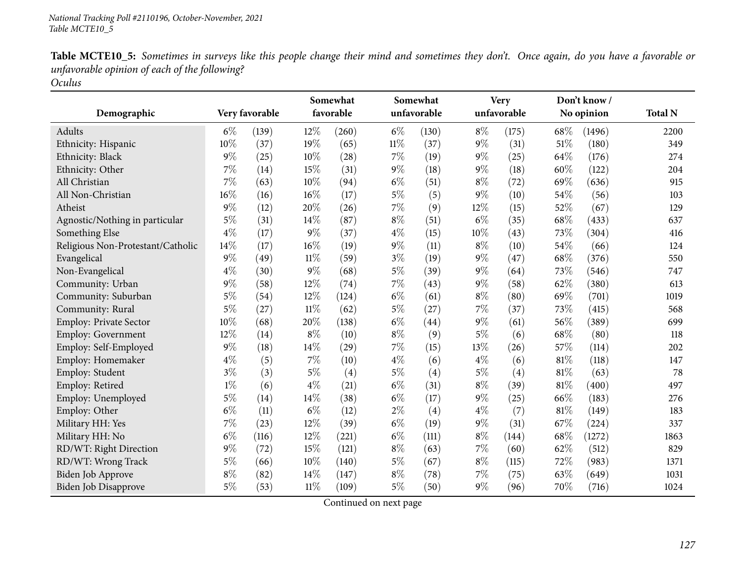|                                   |       |                |        | Somewhat  |        | Somewhat    |       | <b>Very</b> |      | Don't know/ |                |
|-----------------------------------|-------|----------------|--------|-----------|--------|-------------|-------|-------------|------|-------------|----------------|
| Demographic                       |       | Very favorable |        | favorable |        | unfavorable |       | unfavorable |      | No opinion  | <b>Total N</b> |
| Adults                            | $6\%$ | (139)          | 12%    | (260)     | $6\%$  | (130)       | $8\%$ | (175)       | 68\% | (1496)      | 2200           |
| Ethnicity: Hispanic               | 10%   | (37)           | 19%    | (65)      | $11\%$ | (37)        | $9\%$ | (31)        | 51%  | (180)       | 349            |
| Ethnicity: Black                  | $9\%$ | (25)           | 10%    | (28)      | $7\%$  | (19)        | $9\%$ | (25)        | 64%  | (176)       | 274            |
| Ethnicity: Other                  | 7%    | (14)           | 15%    | (31)      | $9\%$  | (18)        | $9\%$ | (18)        | 60%  | (122)       | 204            |
| All Christian                     | $7\%$ | (63)           | 10%    | (94)      | $6\%$  | (51)        | $8\%$ | (72)        | 69%  | (636)       | 915            |
| All Non-Christian                 | 16%   | (16)           | $16\%$ | (17)      | $5\%$  | (5)         | $9\%$ | (10)        | 54%  | (56)        | 103            |
| Atheist                           | $9\%$ | (12)           | 20%    | (26)      | $7\%$  | (9)         | 12%   | (15)        | 52%  | (67)        | 129            |
| Agnostic/Nothing in particular    | $5\%$ | (31)           | 14%    | (87)      | $8\%$  | (51)        | $6\%$ | (35)        | 68%  | (433)       | 637            |
| Something Else                    | $4\%$ | (17)           | $9\%$  | (37)      | $4\%$  | (15)        | 10%   | (43)        | 73%  | (304)       | 416            |
| Religious Non-Protestant/Catholic | 14%   | (17)           | 16%    | (19)      | 9%     | (11)        | $8\%$ | (10)        | 54%  | (66)        | 124            |
| Evangelical                       | $9\%$ | (49)           | $11\%$ | (59)      | $3\%$  | (19)        | $9\%$ | (47)        | 68%  | (376)       | 550            |
| Non-Evangelical                   | $4\%$ | (30)           | $9\%$  | (68)      | $5\%$  | (39)        | $9\%$ | (64)        | 73%  | (546)       | 747            |
| Community: Urban                  | $9\%$ | (58)           | 12%    | (74)      | 7%     | (43)        | $9\%$ | (58)        | 62%  | (380)       | 613            |
| Community: Suburban               | $5\%$ | (54)           | 12%    | (124)     | $6\%$  | (61)        | $8\%$ | (80)        | 69%  | (701)       | 1019           |
| Community: Rural                  | $5\%$ | (27)           | $11\%$ | (62)      | $5\%$  | (27)        | $7\%$ | (37)        | 73%  | (415)       | 568            |
| <b>Employ: Private Sector</b>     | 10%   | (68)           | 20%    | (138)     | $6\%$  | (44)        | $9\%$ | (61)        | 56%  | (389)       | 699            |
| <b>Employ: Government</b>         | 12%   | (14)           | $8\%$  | (10)      | $8\%$  | (9)         | $5\%$ | (6)         | 68%  | (80)        | 118            |
| Employ: Self-Employed             | $9\%$ | (18)           | $14\%$ | (29)      | 7%     | (15)        | 13%   | (26)        | 57%  | (114)       | 202            |
| Employ: Homemaker                 | $4\%$ | (5)            | $7\%$  | (10)      | $4\%$  | (6)         | $4\%$ | (6)         | 81%  | (118)       | 147            |
| Employ: Student                   | $3\%$ | (3)            | $5\%$  | (4)       | $5\%$  | (4)         | $5\%$ | (4)         | 81%  | (63)        | 78             |
| Employ: Retired                   | $1\%$ | (6)            | $4\%$  | (21)      | $6\%$  | (31)        | $8\%$ | (39)        | 81%  | (400)       | 497            |
| Employ: Unemployed                | $5\%$ | (14)           | 14%    | (38)      | $6\%$  | (17)        | $9\%$ | (25)        | 66%  | (183)       | 276            |
| Employ: Other                     | $6\%$ | (11)           | $6\%$  | (12)      | $2\%$  | (4)         | $4\%$ | (7)         | 81%  | (149)       | 183            |
| Military HH: Yes                  | 7%    | (23)           | 12%    | (39)      | $6\%$  | (19)        | $9\%$ | (31)        | 67%  | (224)       | 337            |
| Military HH: No                   | $6\%$ | (116)          | 12%    | (221)     | $6\%$  | (111)       | $8\%$ | (144)       | 68%  | (1272)      | 1863           |
| RD/WT: Right Direction            | $9\%$ | (72)           | $15\%$ | (121)     | $8\%$  | (63)        | 7%    | (60)        | 62%  | (512)       | 829            |
| RD/WT: Wrong Track                | $5\%$ | (66)           | 10%    | (140)     | $5\%$  | (67)        | $8\%$ | (115)       | 72%  | (983)       | 1371           |
| Biden Job Approve                 | $8\%$ | (82)           | 14%    | (147)     | $8\%$  | (78)        | 7%    | (75)        | 63%  | (649)       | 1031           |
| Biden Job Disapprove              | $5\%$ | (53)           | $11\%$ | (109)     | $5\%$  | (50)        | $9\%$ | (96)        | 70%  | (716)       | 1024           |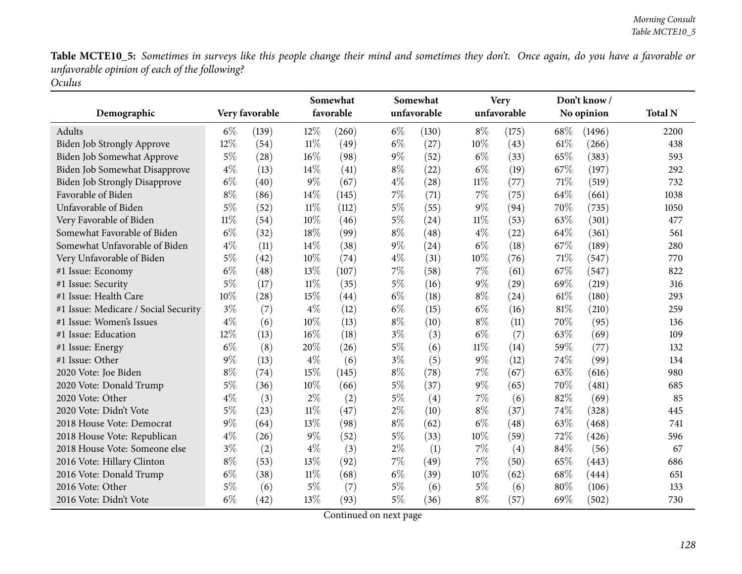|                                      |        |                |        | Somewhat<br>favorable |       | Somewhat<br>unfavorable |        | <b>Very</b><br>unfavorable |      | Don't know/ | <b>Total N</b> |
|--------------------------------------|--------|----------------|--------|-----------------------|-------|-------------------------|--------|----------------------------|------|-------------|----------------|
| Demographic                          |        | Very favorable |        |                       |       |                         |        |                            |      | No opinion  |                |
| Adults                               | $6\%$  | (139)          | $12\%$ | (260)                 | $6\%$ | (130)                   | $8\%$  | (175)                      | 68\% | (1496)      | 2200           |
| Biden Job Strongly Approve           | 12%    | (54)           | $11\%$ | (49)                  | $6\%$ | (27)                    | 10%    | (43)                       | 61\% | (266)       | 438            |
| Biden Job Somewhat Approve           | $5\%$  | (28)           | $16\%$ | (98)                  | $9\%$ | (52)                    | $6\%$  | (33)                       | 65%  | (383)       | 593            |
| Biden Job Somewhat Disapprove        | $4\%$  | (13)           | 14%    | (41)                  | $8\%$ | (22)                    | $6\%$  | (19)                       | 67%  | (197)       | 292            |
| <b>Biden Job Strongly Disapprove</b> | $6\%$  | (40)           | $9\%$  | (67)                  | $4\%$ | (28)                    | $11\%$ | (77)                       | 71%  | (519)       | 732            |
| Favorable of Biden                   | $8\%$  | (86)           | 14%    | (145)                 | $7\%$ | (71)                    | 7%     | (75)                       | 64%  | (661)       | 1038           |
| Unfavorable of Biden                 | $5\%$  | (52)           | $11\%$ | (112)                 | $5\%$ | (55)                    | $9\%$  | (94)                       | 70%  | (735)       | 1050           |
| Very Favorable of Biden              | $11\%$ | (54)           | 10%    | (46)                  | $5\%$ | (24)                    | $11\%$ | (53)                       | 63%  | (301)       | 477            |
| Somewhat Favorable of Biden          | $6\%$  | (32)           | 18%    | (99)                  | $8\%$ | (48)                    | $4\%$  | (22)                       | 64%  | (361)       | 561            |
| Somewhat Unfavorable of Biden        | $4\%$  | (11)           | 14\%   | (38)                  | $9\%$ | (24)                    | $6\%$  | (18)                       | 67\% | (189)       | 280            |
| Very Unfavorable of Biden            | $5\%$  | (42)           | 10%    | (74)                  | $4\%$ | (31)                    | 10%    | (76)                       | 71%  | (547)       | 770            |
| #1 Issue: Economy                    | $6\%$  | (48)           | $13\%$ | (107)                 | $7\%$ | (58)                    | $7\%$  | (61)                       | 67%  | (547)       | 822            |
| #1 Issue: Security                   | $5\%$  | (17)           | $11\%$ | (35)                  | $5\%$ | (16)                    | $9\%$  | (29)                       | 69%  | (219)       | 316            |
| #1 Issue: Health Care                | 10%    | (28)           | 15%    | (44)                  | $6\%$ | (18)                    | $8\%$  | (24)                       | 61%  | (180)       | 293            |
| #1 Issue: Medicare / Social Security | $3\%$  | (7)            | $4\%$  | (12)                  | $6\%$ | (15)                    | $6\%$  | (16)                       | 81%  | (210)       | 259            |
| #1 Issue: Women's Issues             | $4\%$  | (6)            | 10%    | (13)                  | $8\%$ | (10)                    | $8\%$  | (11)                       | 70%  | (95)        | 136            |
| #1 Issue: Education                  | 12%    | (13)           | 16%    | (18)                  | $3\%$ | (3)                     | $6\%$  | (7)                        | 63%  | (69)        | 109            |
| #1 Issue: Energy                     | $6\%$  | (8)            | 20%    | (26)                  | $5\%$ | (6)                     | $11\%$ | (14)                       | 59%  | (77)        | 132            |
| #1 Issue: Other                      | $9\%$  | (13)           | $4\%$  | (6)                   | $3\%$ | (5)                     | $9\%$  | (12)                       | 74%  | (99)        | 134            |
| 2020 Vote: Joe Biden                 | $8\%$  | (74)           | 15%    | (145)                 | $8\%$ | (78)                    | 7%     | (67)                       | 63%  | (616)       | 980            |
| 2020 Vote: Donald Trump              | $5\%$  | (36)           | 10%    | (66)                  | $5\%$ | (37)                    | $9\%$  | (65)                       | 70%  | (481)       | 685            |
| 2020 Vote: Other                     | $4\%$  | (3)            | $2\%$  | (2)                   | $5\%$ | (4)                     | 7%     | (6)                        | 82%  | (69)        | 85             |
| 2020 Vote: Didn't Vote               | $5\%$  | (23)           | $11\%$ | (47)                  | $2\%$ | (10)                    | $8\%$  | (37)                       | 74%  | (328)       | 445            |
| 2018 House Vote: Democrat            | $9\%$  | (64)           | 13%    | (98)                  | $8\%$ | (62)                    | $6\%$  | (48)                       | 63%  | (468)       | 741            |
| 2018 House Vote: Republican          | $4\%$  | (26)           | $9\%$  | (52)                  | $5\%$ | (33)                    | 10%    | (59)                       | 72%  | (426)       | 596            |
| 2018 House Vote: Someone else        | $3\%$  | (2)            | $4\%$  | (3)                   | $2\%$ | (1)                     | $7\%$  | (4)                        | 84%  | (56)        | 67             |
| 2016 Vote: Hillary Clinton           | $8\%$  | (53)           | 13%    | (92)                  | $7\%$ | (49)                    | 7%     | (50)                       | 65%  | (443)       | 686            |
| 2016 Vote: Donald Trump              | $6\%$  | (38)           | $11\%$ | (68)                  | $6\%$ | (39)                    | 10%    | (62)                       | 68\% | (444)       | 651            |
| 2016 Vote: Other                     | $5\%$  | (6)            | $5\%$  | (7)                   | $5\%$ | (6)                     | $5\%$  | (6)                        | 80%  | (106)       | 133            |
| 2016 Vote: Didn't Vote               | $6\%$  | (42)           | 13%    | (93)                  | $5\%$ | (36)                    | $8\%$  | (57)                       | 69%  | (502)       | 730            |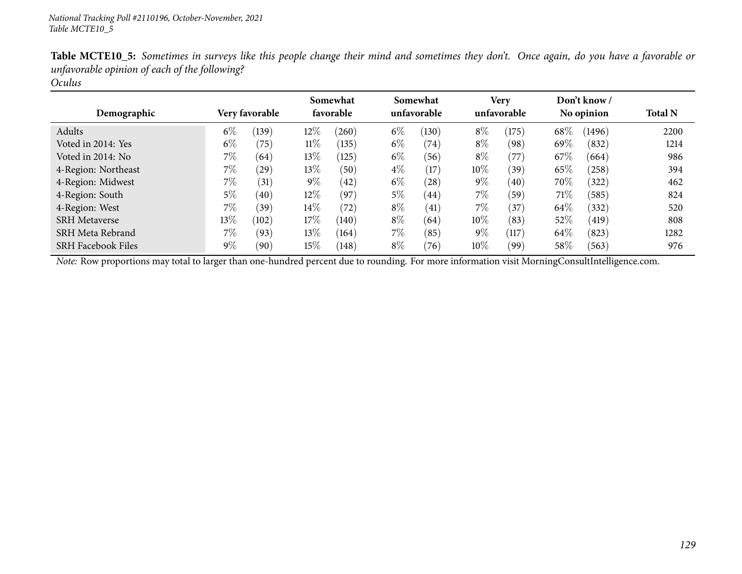| Demographic               |        | <b>Very favorable</b> |        | Somewhat<br>favorable |       | Somewhat<br>unfavorable |       | Very<br>unfavorable |        | Don't know /<br>No opinion | <b>Total N</b> |
|---------------------------|--------|-----------------------|--------|-----------------------|-------|-------------------------|-------|---------------------|--------|----------------------------|----------------|
| Adults                    | $6\%$  | (139)                 | $12\%$ | $^{'}260)$            | $6\%$ | (130)                   | $8\%$ | (175)               | 68\%   | (1496)                     | 2200           |
| Voted in 2014: Yes        | $6\%$  | (75)                  | $11\%$ | (135)                 | $6\%$ | (74)                    | $8\%$ | (98)                | 69\%   | (832)                      | 1214           |
| Voted in 2014: No         | 7%     | (64)                  | $13\%$ | (125)                 | $6\%$ | (56)                    | $8\%$ | (77)                | $67\%$ | (664)                      | 986            |
| 4-Region: Northeast       | $7\%$  | (29)                  | $13\%$ | (50)                  | $4\%$ | (17)                    | 10%   | (39)                | $65\%$ | (258)                      | 394            |
| 4-Region: Midwest         | $7\%$  | (31)                  | $9\%$  | (42)                  | $6\%$ | (28)                    | $9\%$ | (40)                | $70\%$ | (322)                      | 462            |
| 4-Region: South           | $5\%$  | (40)                  | $12\%$ | (97)                  | $5\%$ | (44)                    | $7\%$ | (59)                | 71\%   | (585)                      | 824            |
| 4-Region: West            | 7%     | $^{\prime}39$         | $14\%$ | (72)                  | $8\%$ | (41)                    | 7%    | (37)                | 64\%   | (332)                      | 520            |
| <b>SRH Metaverse</b>      | $13\%$ | (102)                 | $17\%$ | (140)                 | $8\%$ | (64)                    | 10%   | (83)                | 52%    | (419)                      | 808            |
| SRH Meta Rebrand          | $7\%$  | (93)                  | $13\%$ | (164)                 | 7%    | (85)                    | $9\%$ | (117)               | 64\%   | (823)                      | 1282           |
| <b>SRH Facebook Files</b> | $9\%$  | (90)                  | $15\%$ | (148)                 | $8\%$ | (76)                    | 10%   | (99)                | 58%    | (563)                      | 976            |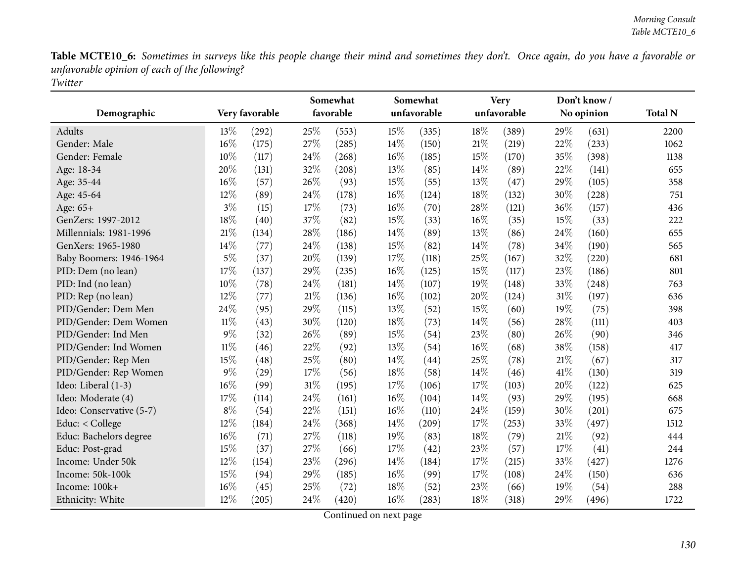|                          | Very favorable |       | Somewhat<br>favorable |       |        | Somewhat    | <b>Very</b><br>unfavorable |       |      | Don't know/ |                |
|--------------------------|----------------|-------|-----------------------|-------|--------|-------------|----------------------------|-------|------|-------------|----------------|
| Demographic              |                |       |                       |       |        | unfavorable |                            |       |      | No opinion  | <b>Total N</b> |
| Adults                   | 13%            | (292) | 25%                   | (553) | 15%    | (335)       | 18%                        | (389) | 29%  | (631)       | 2200           |
| Gender: Male             | 16%            | (175) | 27%                   | (285) | 14%    | (150)       | 21%                        | (219) | 22%  | (233)       | 1062           |
| Gender: Female           | 10%            | (117) | 24%                   | (268) | $16\%$ | (185)       | 15%                        | (170) | 35%  | (398)       | 1138           |
| Age: 18-34               | 20%            | (131) | 32%                   | (208) | 13%    | (85)        | 14%                        | (89)  | 22%  | (141)       | 655            |
| Age: 35-44               | 16%            | (57)  | 26%                   | (93)  | 15%    | (55)        | 13%                        | (47)  | 29%  | (105)       | 358            |
| Age: 45-64               | 12%            | (89)  | 24%                   | (178) | 16%    | (124)       | 18%                        | (132) | 30%  | (228)       | 751            |
| Age: 65+                 | $3\%$          | (15)  | 17%                   | (73)  | 16%    | (70)        | 28%                        | (121) | 36%  | (157)       | 436            |
| GenZers: 1997-2012       | 18%            | (40)  | 37%                   | (82)  | 15%    | (33)        | 16%                        | (35)  | 15%  | (33)        | 222            |
| Millennials: 1981-1996   | 21%            | (134) | 28%                   | (186) | 14%    | (89)        | 13%                        | (86)  | 24%  | (160)       | 655            |
| GenXers: 1965-1980       | 14%            | (77)  | 24%                   | (138) | 15%    | (82)        | 14%                        | (78)  | 34%  | (190)       | 565            |
| Baby Boomers: 1946-1964  | $5\%$          | (37)  | 20%                   | (139) | 17%    | (118)       | 25%                        | (167) | 32%  | (220)       | 681            |
| PID: Dem (no lean)       | 17%            | (137) | 29%                   | (235) | 16%    | (125)       | 15%                        | (117) | 23%  | (186)       | 801            |
| PID: Ind (no lean)       | 10%            | (78)  | 24%                   | (181) | 14%    | (107)       | 19%                        | (148) | 33%  | (248)       | 763            |
| PID: Rep (no lean)       | 12%            | (77)  | $21\%$                | (136) | 16%    | (102)       | 20%                        | (124) | 31%  | (197)       | 636            |
| PID/Gender: Dem Men      | 24%            | (95)  | 29%                   | (115) | 13%    | (52)        | 15%                        | (60)  | 19%  | (75)        | 398            |
| PID/Gender: Dem Women    | 11%            | (43)  | 30%                   | (120) | 18%    | (73)        | 14%                        | (56)  | 28%  | (111)       | 403            |
| PID/Gender: Ind Men      | $9\%$          | (32)  | 26%                   | (89)  | 15%    | (54)        | 23%                        | (80)  | 26%  | (90)        | 346            |
| PID/Gender: Ind Women    | 11%            | (46)  | 22%                   | (92)  | 13%    | (54)        | 16%                        | (68)  | 38%  | (158)       | 417            |
| PID/Gender: Rep Men      | 15%            | (48)  | 25%                   | (80)  | 14%    | (44)        | 25%                        | (78)  | 21%  | (67)        | 317            |
| PID/Gender: Rep Women    | $9\%$          | (29)  | 17%                   | (56)  | 18%    | (58)        | 14%                        | (46)  | 41\% | (130)       | 319            |
| Ideo: Liberal (1-3)      | 16%            | (99)  | $31\%$                | (195) | 17%    | (106)       | 17%                        | (103) | 20%  | (122)       | 625            |
| Ideo: Moderate (4)       | 17%            | (114) | 24%                   | (161) | 16%    | (104)       | 14%                        | (93)  | 29%  | (195)       | 668            |
| Ideo: Conservative (5-7) | $8\%$          | (54)  | 22%                   | (151) | 16%    | (110)       | 24%                        | (159) | 30%  | (201)       | 675            |
| Educ: < College          | 12%            | (184) | 24%                   | (368) | 14%    | (209)       | 17%                        | (253) | 33%  | (497)       | 1512           |
| Educ: Bachelors degree   | 16%            | (71)  | 27%                   | (118) | 19%    | (83)        | 18%                        | (79)  | 21%  | (92)        | 444            |
| Educ: Post-grad          | 15%            | (37)  | 27%                   | (66)  | 17%    | (42)        | 23%                        | (57)  | 17%  | (41)        | 244            |
| Income: Under 50k        | 12%            | (154) | 23%                   | (296) | 14%    | (184)       | 17%                        | (215) | 33%  | (427)       | 1276           |
| Income: 50k-100k         | 15%            | (94)  | 29%                   | (185) | 16%    | (99)        | 17%                        | (108) | 24%  | (150)       | 636            |
| Income: 100k+            | 16%            | (45)  | 25%                   | (72)  | 18%    | (52)        | 23%                        | (66)  | 19%  | (54)        | 288            |
| Ethnicity: White         | 12%            | (205) | 24\%                  | (420) | 16%    | (283)       | 18%                        | (318) | 29%  | (496)       | 1722           |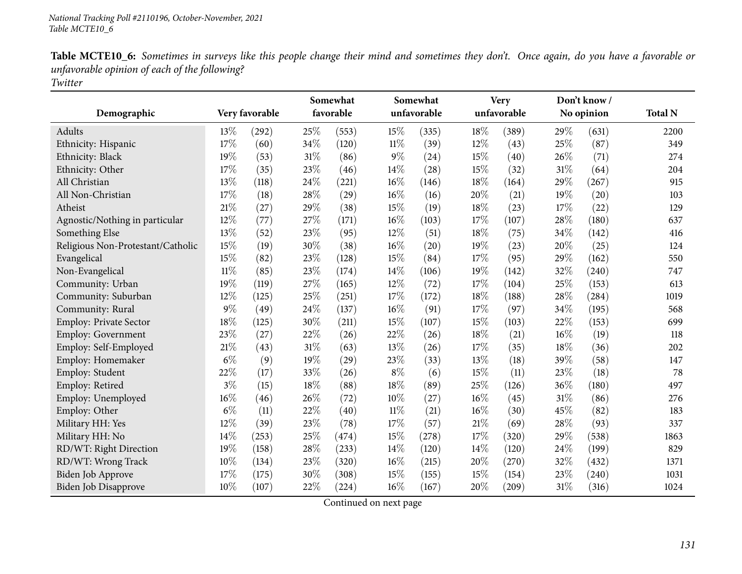|                                   |        |                | Somewhat |           | Somewhat |             | <b>Very</b> |             |     | Don't know/ |                |
|-----------------------------------|--------|----------------|----------|-----------|----------|-------------|-------------|-------------|-----|-------------|----------------|
| Demographic                       |        | Very favorable |          | favorable |          | unfavorable |             | unfavorable |     | No opinion  | <b>Total N</b> |
| Adults                            | 13\%   | (292)          | 25%      | (553)     | 15%      | (335)       | 18%         | (389)       | 29% | (631)       | 2200           |
| Ethnicity: Hispanic               | 17%    | (60)           | 34%      | (120)     | $11\%$   | (39)        | 12%         | (43)        | 25% | (87)        | 349            |
| Ethnicity: Black                  | 19%    | (53)           | $31\%$   | (86)      | 9%       | (24)        | 15%         | (40)        | 26% | (71)        | 274            |
| Ethnicity: Other                  | 17%    | (35)           | 23%      | (46)      | 14%      | (28)        | 15%         | (32)        | 31% | (64)        | 204            |
| All Christian                     | 13%    | (118)          | 24%      | (221)     | 16%      | (146)       | 18%         | (164)       | 29% | (267)       | 915            |
| All Non-Christian                 | 17%    | (18)           | 28%      | (29)      | 16%      | (16)        | 20%         | (21)        | 19% | (20)        | 103            |
| Atheist                           | $21\%$ | (27)           | 29%      | (38)      | 15%      | (19)        | 18%         | (23)        | 17% | (22)        | 129            |
| Agnostic/Nothing in particular    | 12%    | (77)           | 27%      | (171)     | 16%      | (103)       | 17%         | (107)       | 28% | (180)       | 637            |
| Something Else                    | 13%    | (52)           | 23%      | (95)      | 12%      | (51)        | 18%         | (75)        | 34% | (142)       | 416            |
| Religious Non-Protestant/Catholic | 15%    | (19)           | 30%      | (38)      | 16%      | (20)        | 19%         | (23)        | 20% | (25)        | 124            |
| Evangelical                       | 15%    | (82)           | 23%      | (128)     | 15%      | (84)        | 17%         | (95)        | 29% | (162)       | 550            |
| Non-Evangelical                   | $11\%$ | (85)           | 23%      | (174)     | 14%      | (106)       | 19%         | (142)       | 32% | (240)       | 747            |
| Community: Urban                  | 19%    | (119)          | 27%      | (165)     | 12%      | (72)        | 17%         | (104)       | 25% | (153)       | 613            |
| Community: Suburban               | 12%    | (125)          | 25%      | (251)     | 17%      | (172)       | 18%         | (188)       | 28% | (284)       | 1019           |
| Community: Rural                  | $9\%$  | (49)           | 24\%     | (137)     | 16%      | (91)        | 17%         | (97)        | 34% | (195)       | 568            |
| Employ: Private Sector            | 18%    | (125)          | 30%      | (211)     | 15%      | (107)       | 15%         | (103)       | 22% | (153)       | 699            |
| Employ: Government                | 23%    | (27)           | 22%      | (26)      | 22%      | (26)        | 18%         | (21)        | 16% | (19)        | 118            |
| Employ: Self-Employed             | $21\%$ | (43)           | $31\%$   | (63)      | 13%      | (26)        | 17%         | (35)        | 18% | (36)        | 202            |
| Employ: Homemaker                 | $6\%$  | (9)            | 19%      | (29)      | 23%      | (33)        | 13%         | (18)        | 39% | (58)        | 147            |
| Employ: Student                   | 22%    | (17)           | 33%      | (26)      | $8\%$    | (6)         | 15%         | (11)        | 23% | (18)        | 78             |
| Employ: Retired                   | $3\%$  | (15)           | $18\%$   | (88)      | 18%      | (89)        | 25%         | (126)       | 36% | (180)       | 497            |
| Employ: Unemployed                | 16%    | (46)           | 26%      | (72)      | 10%      | (27)        | 16%         | (45)        | 31% | (86)        | 276            |
| Employ: Other                     | $6\%$  | (11)           | 22%      | (40)      | $11\%$   | (21)        | $16\%$      | (30)        | 45% | (82)        | 183            |
| Military HH: Yes                  | 12%    | (39)           | 23%      | (78)      | 17%      | (57)        | 21%         | (69)        | 28% | (93)        | 337            |
| Military HH: No                   | 14%    | (253)          | 25%      | (474)     | 15%      | (278)       | 17%         | (320)       | 29% | (538)       | 1863           |
| RD/WT: Right Direction            | 19%    | (158)          | 28\%     | (233)     | 14%      | (120)       | 14%         | (120)       | 24% | (199)       | 829            |
| RD/WT: Wrong Track                | 10%    | (134)          | 23%      | (320)     | 16%      | (215)       | 20%         | (270)       | 32% | (432)       | 1371           |
| <b>Biden Job Approve</b>          | 17%    | (175)          | 30%      | (308)     | 15%      | (155)       | 15%         | (154)       | 23% | (240)       | 1031           |
| Biden Job Disapprove              | 10%    | (107)          | 22%      | (224)     | 16%      | (167)       | 20%         | (209)       | 31% | (316)       | 1024           |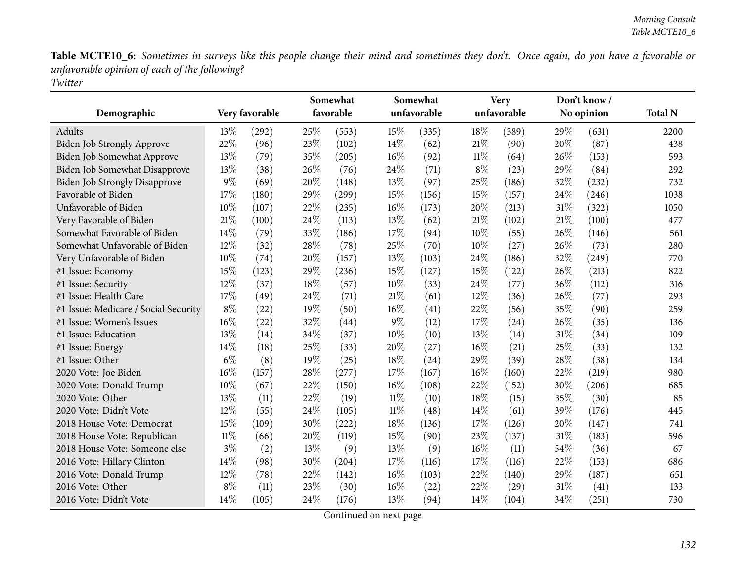|                                      |        | Somewhat<br>favorable<br>Very favorable |     |       | Somewhat<br>unfavorable |       | <b>Very</b><br>unfavorable |       | Don't know/<br>No opinion |       |                |
|--------------------------------------|--------|-----------------------------------------|-----|-------|-------------------------|-------|----------------------------|-------|---------------------------|-------|----------------|
| Demographic                          |        |                                         |     |       |                         |       |                            |       |                           |       | <b>Total N</b> |
| Adults                               | $13\%$ | (292)                                   | 25% | (553) | 15%                     | (335) | 18%                        | (389) | $29\%$                    | (631) | 2200           |
| Biden Job Strongly Approve           | 22%    | (96)                                    | 23% | (102) | 14%                     | (62)  | 21%                        | (90)  | 20%                       | (87)  | 438            |
| Biden Job Somewhat Approve           | 13%    | (79)                                    | 35% | (205) | 16%                     | (92)  | $11\%$                     | (64)  | 26%                       | (153) | 593            |
| Biden Job Somewhat Disapprove        | 13\%   | (38)                                    | 26% | (76)  | 24%                     | (71)  | $8\%$                      | (23)  | 29%                       | (84)  | 292            |
| <b>Biden Job Strongly Disapprove</b> | 9%     | (69)                                    | 20% | (148) | 13%                     | (97)  | 25%                        | (186) | 32%                       | (232) | 732            |
| Favorable of Biden                   | 17%    | (180)                                   | 29% | (299) | 15%                     | (156) | 15%                        | (157) | 24%                       | (246) | 1038           |
| Unfavorable of Biden                 | 10%    | (107)                                   | 22% | (235) | 16%                     | (173) | 20%                        | (213) | 31%                       | (322) | 1050           |
| Very Favorable of Biden              | 21\%   | (100)                                   | 24% | (113) | 13%                     | (62)  | 21%                        | (102) | 21%                       | (100) | 477            |
| Somewhat Favorable of Biden          | 14%    | (79)                                    | 33% | (186) | 17%                     | (94)  | 10%                        | (55)  | 26%                       | (146) | 561            |
| Somewhat Unfavorable of Biden        | 12%    | (32)                                    | 28% | (78)  | 25%                     | (70)  | 10%                        | (27)  | 26%                       | (73)  | 280            |
| Very Unfavorable of Biden            | 10%    | (74)                                    | 20% | (157) | 13%                     | (103) | 24%                        | (186) | 32%                       | (249) | 770            |
| #1 Issue: Economy                    | 15%    | (123)                                   | 29% | (236) | 15%                     | (127) | 15%                        | (122) | 26%                       | (213) | 822            |
| #1 Issue: Security                   | 12%    | (37)                                    | 18% | (57)  | 10%                     | (33)  | 24%                        | (77)  | 36%                       | (112) | 316            |
| #1 Issue: Health Care                | 17%    | (49)                                    | 24% | (71)  | 21%                     | (61)  | 12%                        | (36)  | 26%                       | (77)  | 293            |
| #1 Issue: Medicare / Social Security | $8\%$  | (22)                                    | 19% | (50)  | 16%                     | (41)  | 22%                        | (56)  | 35%                       | (90)  | 259            |
| #1 Issue: Women's Issues             | $16\%$ | (22)                                    | 32% | (44)  | $9\%$                   | (12)  | 17%                        | (24)  | 26%                       | (35)  | 136            |
| #1 Issue: Education                  | 13%    | (14)                                    | 34% | (37)  | 10%                     | (10)  | 13%                        | (14)  | 31%                       | (34)  | 109            |
| #1 Issue: Energy                     | 14%    | (18)                                    | 25% | (33)  | 20%                     | (27)  | 16%                        | (21)  | 25%                       | (33)  | 132            |
| #1 Issue: Other                      | $6\%$  | (8)                                     | 19% | (25)  | 18%                     | (24)  | 29%                        | (39)  | 28%                       | (38)  | 134            |
| 2020 Vote: Joe Biden                 | 16%    | (157)                                   | 28% | (277) | 17%                     | (167) | 16%                        | (160) | 22%                       | (219) | 980            |
| 2020 Vote: Donald Trump              | 10%    | (67)                                    | 22% | (150) | 16%                     | (108) | 22%                        | (152) | 30%                       | (206) | 685            |
| 2020 Vote: Other                     | $13\%$ | (11)                                    | 22% | (19)  | $11\%$                  | (10)  | 18%                        | (15)  | 35%                       | (30)  | 85             |
| 2020 Vote: Didn't Vote               | 12%    | (55)                                    | 24% | (105) | $11\%$                  | (48)  | 14%                        | (61)  | 39%                       | (176) | 445            |
| 2018 House Vote: Democrat            | 15%    | (109)                                   | 30% | (222) | 18%                     | (136) | 17%                        | (126) | 20%                       | (147) | 741            |
| 2018 House Vote: Republican          | 11%    | (66)                                    | 20% | (119) | 15%                     | (90)  | 23%                        | (137) | 31%                       | (183) | 596            |
| 2018 House Vote: Someone else        | $3\%$  | (2)                                     | 13% | (9)   | 13%                     | (9)   | 16%                        | (11)  | 54%                       | (36)  | 67             |
| 2016 Vote: Hillary Clinton           | 14%    | (98)                                    | 30% | (204) | 17%                     | (116) | 17%                        | (116) | 22%                       | (153) | 686            |
| 2016 Vote: Donald Trump              | 12%    | (78)                                    | 22% | (142) | 16%                     | (103) | 22%                        | (140) | 29%                       | (187) | 651            |
| 2016 Vote: Other                     | $8\%$  | (11)                                    | 23% | (30)  | 16%                     | (22)  | 22%                        | (29)  | 31%                       | (41)  | 133            |
| 2016 Vote: Didn't Vote               | 14%    | (105)                                   | 24% | (176) | 13%                     | (94)  | 14%                        | (104) | 34%                       | (251) | 730            |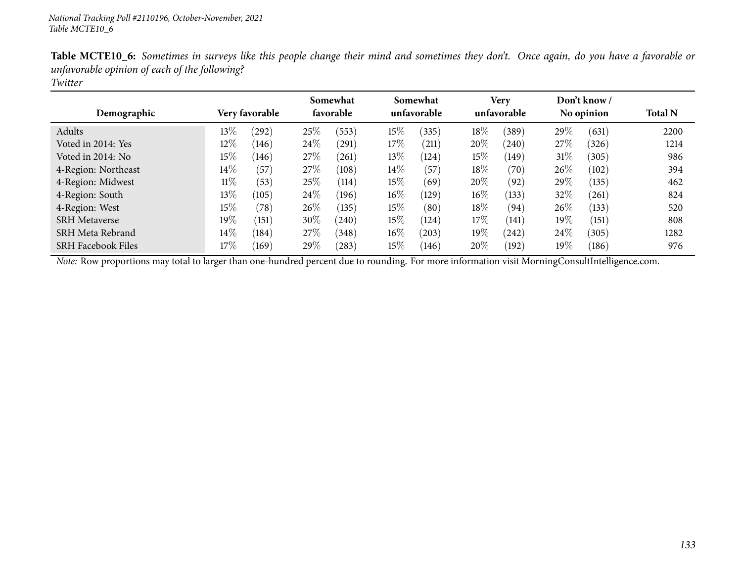| Demographic               |        | Very favorable |        | Somewhat<br>favorable |        | Somewhat<br>unfavorable |        | <b>Very</b><br>unfavorable |        | Don't know /<br>No opinion | <b>Total N</b> |
|---------------------------|--------|----------------|--------|-----------------------|--------|-------------------------|--------|----------------------------|--------|----------------------------|----------------|
| Adults                    | $13\%$ | (292)          | 25\%   | (553)                 | $15\%$ | (335)                   | $18\%$ | (389)                      | $29\%$ | (631)                      | 2200           |
| Voted in 2014: Yes        | $12\%$ | (146)          | 24\%   | $^{'}291)$            | 17%    | (211)                   | 20%    | (240)                      | 27%    | (326)                      | 1214           |
| Voted in 2014: No         | 15%    | (146)          | 27\%   | (261)                 | $13\%$ | (124)                   | 15%    | (149)                      | $31\%$ | (305)                      | 986            |
| 4-Region: Northeast       | $14\%$ | (57)           | 27\%   | (108)                 | $14\%$ | (57)                    | $18\%$ | (70)                       | 26\%   | (102)                      | 394            |
| 4-Region: Midwest         | $11\%$ | (53)           | 25%    | (114)                 | $15\%$ | (69)                    | 20%    | (92)                       | $29\%$ | (135)                      | 462            |
| 4-Region: South           | 13\%   | (105)          | 24%    | (196)                 | $16\%$ | (129)                   | $16\%$ | (133)                      | 32%    | (261)                      | 824            |
| 4-Region: West            | 15%    | (78)           | $26\%$ | (135)                 | $15\%$ | (80)                    | 18%    | (94)                       | $26\%$ | (133)                      | 520            |
| <b>SRH</b> Metaverse      | $19\%$ | (151)          | 30%    | (240)                 | $15\%$ | (124)                   | $17\%$ | (141)                      | $19\%$ | (151)                      | 808            |
| SRH Meta Rebrand          | $14\%$ | (184)          | 27\%   | (348)                 | $16\%$ | (203)                   | $19\%$ | (242)                      | 24\%   | (305)                      | 1282           |
| <b>SRH Facebook Files</b> | 17%    | (169)          | 29%    | $^{(283)}$            | $15\%$ | 146                     | 20%    | (192)                      | $19\%$ | (186)                      | 976            |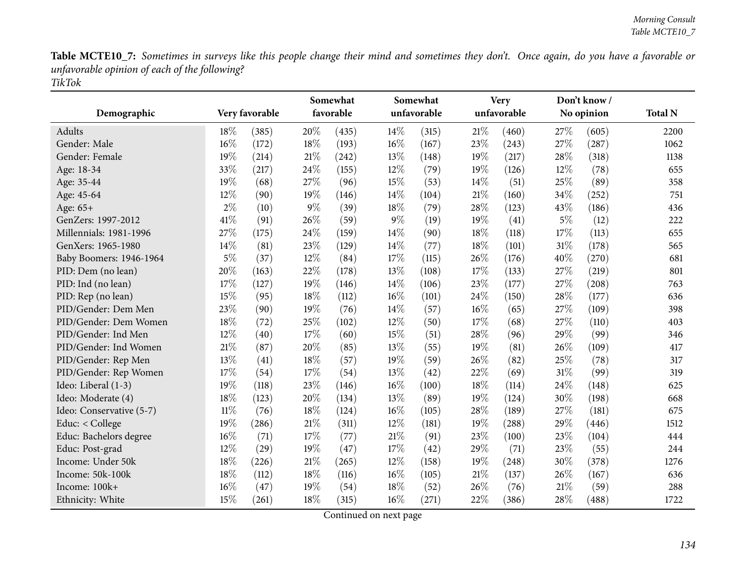|                          | Very favorable |       | Somewhat<br>favorable |       |       | Somewhat<br>unfavorable |     | <b>Very</b> |       | Don't know/ |                |
|--------------------------|----------------|-------|-----------------------|-------|-------|-------------------------|-----|-------------|-------|-------------|----------------|
| Demographic              |                |       |                       |       |       |                         |     | unfavorable |       | No opinion  | <b>Total N</b> |
| <b>Adults</b>            | 18%            | (385) | 20%                   | (435) | 14%   | (315)                   | 21% | (460)       | 27%   | (605)       | 2200           |
| Gender: Male             | 16%            | (172) | 18%                   | (193) | 16%   | (167)                   | 23% | (243)       | 27%   | (287)       | 1062           |
| Gender: Female           | 19%            | (214) | 21\%                  | (242) | 13%   | (148)                   | 19% | (217)       | 28%   | (318)       | 1138           |
| Age: 18-34               | 33%            | (217) | 24\%                  | (155) | 12%   | (79)                    | 19% | (126)       | 12%   | (78)        | 655            |
| Age: 35-44               | 19%            | (68)  | 27%                   | (96)  | 15%   | (53)                    | 14% | (51)        | 25%   | (89)        | 358            |
| Age: 45-64               | 12%            | (90)  | 19%                   | (146) | 14%   | (104)                   | 21% | (160)       | 34%   | (252)       | 751            |
| Age: 65+                 | 2%             | (10)  | $9\%$                 | (39)  | 18%   | (79)                    | 28% | (123)       | 43%   | (186)       | 436            |
| GenZers: 1997-2012       | 41%            | (91)  | 26%                   | (59)  | $9\%$ | (19)                    | 19% | (41)        | $5\%$ | (12)        | 222            |
| Millennials: 1981-1996   | 27%            | (175) | 24\%                  | (159) | 14%   | (90)                    | 18% | (118)       | 17%   | (113)       | 655            |
| GenXers: 1965-1980       | 14%            | (81)  | 23%                   | (129) | 14%   | (77)                    | 18% | (101)       | 31%   | (178)       | 565            |
| Baby Boomers: 1946-1964  | $5\%$          | (37)  | 12%                   | (84)  | 17%   | (115)                   | 26% | (176)       | 40%   | (270)       | 681            |
| PID: Dem (no lean)       | 20%            | (163) | 22%                   | (178) | 13%   | (108)                   | 17% | (133)       | 27%   | (219)       | 801            |
| PID: Ind (no lean)       | 17%            | (127) | 19%                   | (146) | 14%   | (106)                   | 23% | (177)       | 27%   | (208)       | 763            |
| PID: Rep (no lean)       | 15%            | (95)  | 18%                   | (112) | 16%   | (101)                   | 24% | (150)       | 28%   | (177)       | 636            |
| PID/Gender: Dem Men      | 23%            | (90)  | 19%                   | (76)  | 14%   | (57)                    | 16% | (65)        | 27%   | (109)       | 398            |
| PID/Gender: Dem Women    | 18%            | (72)  | 25%                   | (102) | 12%   | (50)                    | 17% | (68)        | 27%   | (110)       | 403            |
| PID/Gender: Ind Men      | 12%            | (40)  | 17%                   | (60)  | 15%   | (51)                    | 28% | (96)        | 29%   | (99)        | 346            |
| PID/Gender: Ind Women    | 21\%           | (87)  | 20%                   | (85)  | 13%   | (55)                    | 19% | (81)        | 26%   | (109)       | 417            |
| PID/Gender: Rep Men      | 13%            | (41)  | $18\%$                | (57)  | 19%   | (59)                    | 26% | (82)        | 25%   | (78)        | 317            |
| PID/Gender: Rep Women    | 17%            | (54)  | 17%                   | (54)  | 13%   | (42)                    | 22% | (69)        | 31%   | (99)        | 319            |
| Ideo: Liberal (1-3)      | 19%            | (118) | 23%                   | (146) | 16%   | (100)                   | 18% | (114)       | 24%   | (148)       | 625            |
| Ideo: Moderate (4)       | 18%            | (123) | 20%                   | (134) | 13%   | (89)                    | 19% | (124)       | 30%   | (198)       | 668            |
| Ideo: Conservative (5-7) | $11\%$         | (76)  | $18\%$                | (124) | 16%   | (105)                   | 28% | (189)       | 27%   | (181)       | 675            |
| Educ: < College          | 19%            | (286) | $21\%$                | (311) | 12%   | (181)                   | 19% | (288)       | 29%   | (446)       | 1512           |
| Educ: Bachelors degree   | 16%            | (71)  | 17%                   | (77)  | 21%   | (91)                    | 23% | (100)       | 23%   | (104)       | 444            |
| Educ: Post-grad          | 12%            | (29)  | 19%                   | (47)  | 17%   | (42)                    | 29% | (71)        | 23%   | (55)        | 244            |
| Income: Under 50k        | 18%            | (226) | $21\%$                | (265) | 12%   | (158)                   | 19% | (248)       | 30%   | (378)       | 1276           |
| Income: 50k-100k         | 18%            | (112) | 18%                   | (116) | 16%   | (105)                   | 21% | (137)       | 26%   | (167)       | 636            |
| Income: 100k+            | 16%            | (47)  | 19%                   | (54)  | 18%   | (52)                    | 26% | (76)        | 21%   | (59)        | 288            |
| Ethnicity: White         | 15%            | (261) | 18%                   | (315) | 16%   | (271)                   | 22% | (386)       | 28%   | (488)       | 1722           |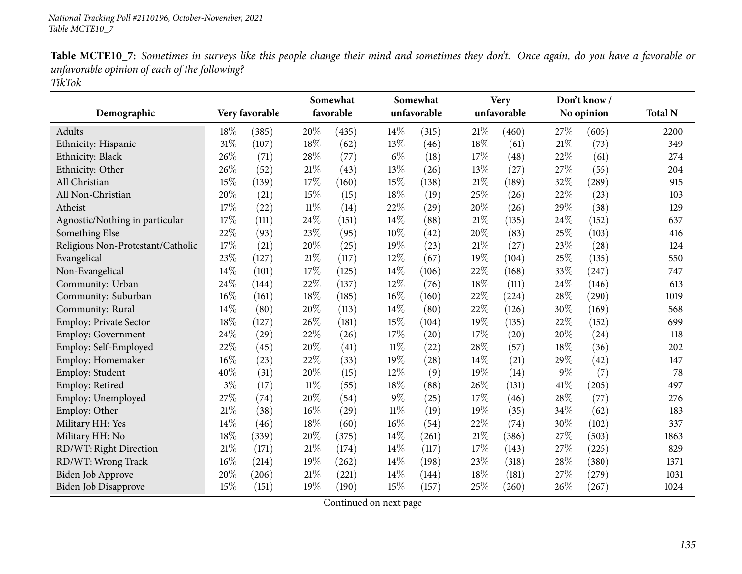|                                   |        |                | Somewhat |           | Somewhat |             | <b>Very</b> |             |       | Don't know/ |                |
|-----------------------------------|--------|----------------|----------|-----------|----------|-------------|-------------|-------------|-------|-------------|----------------|
| Demographic                       |        | Very favorable |          | favorable |          | unfavorable |             | unfavorable |       | No opinion  | <b>Total N</b> |
| <b>Adults</b>                     | 18%    | (385)          | 20%      | (435)     | 14%      | (315)       | 21%         | (460)       | 27%   | (605)       | 2200           |
| Ethnicity: Hispanic               | 31%    | (107)          | 18%      | (62)      | 13%      | (46)        | 18%         | (61)        | 21%   | (73)        | 349            |
| Ethnicity: Black                  | $26\%$ | (71)           | 28%      | (77)      | $6\%$    | (18)        | 17%         | (48)        | 22%   | (61)        | 274            |
| Ethnicity: Other                  | 26%    | (52)           | 21\%     | (43)      | 13%      | (26)        | 13%         | (27)        | 27%   | (55)        | 204            |
| All Christian                     | 15%    | (139)          | 17%      | (160)     | 15%      | (138)       | $21\%$      | (189)       | 32%   | (289)       | 915            |
| All Non-Christian                 | 20%    | (21)           | 15%      | (15)      | 18%      | (19)        | 25%         | (26)        | 22%   | (23)        | 103            |
| Atheist                           | 17%    | (22)           | $11\%$   | (14)      | 22%      | (29)        | 20%         | (26)        | 29%   | (38)        | 129            |
| Agnostic/Nothing in particular    | 17%    | (111)          | 24\%     | (151)     | 14%      | (88)        | 21%         | (135)       | 24%   | (152)       | 637            |
| Something Else                    | 22%    | (93)           | 23\%     | (95)      | 10%      | (42)        | 20%         | (83)        | 25%   | (103)       | 416            |
| Religious Non-Protestant/Catholic | 17%    | (21)           | 20%      | (25)      | 19%      | (23)        | 21%         | (27)        | 23%   | (28)        | 124            |
| Evangelical                       | 23%    | (127)          | $21\%$   | (117)     | 12%      | (67)        | 19%         | (104)       | 25%   | (135)       | 550            |
| Non-Evangelical                   | 14%    | (101)          | 17%      | (125)     | 14%      | (106)       | 22%         | (168)       | 33%   | (247)       | 747            |
| Community: Urban                  | 24%    | (144)          | 22%      | (137)     | 12%      | (76)        | 18%         | (111)       | 24%   | (146)       | 613            |
| Community: Suburban               | 16%    | (161)          | 18%      | (185)     | $16\%$   | (160)       | 22%         | (224)       | 28%   | (290)       | 1019           |
| Community: Rural                  | 14%    | (80)           | 20%      | (113)     | 14%      | (80)        | 22%         | (126)       | 30%   | (169)       | 568            |
| Employ: Private Sector            | 18%    | (127)          | 26%      | (181)     | 15%      | (104)       | 19%         | (135)       | 22%   | (152)       | 699            |
| Employ: Government                | 24%    | (29)           | 22%      | (26)      | 17%      | (20)        | 17%         | (20)        | 20%   | (24)        | 118            |
| Employ: Self-Employed             | 22%    | (45)           | 20%      | (41)      | $11\%$   | (22)        | 28%         | (57)        | 18%   | (36)        | 202            |
| Employ: Homemaker                 | 16%    | (23)           | 22%      | (33)      | 19%      | (28)        | 14%         | (21)        | 29%   | (42)        | 147            |
| Employ: Student                   | 40%    | (31)           | 20%      | (15)      | 12%      | (9)         | 19%         | (14)        | $9\%$ | (7)         | 78             |
| Employ: Retired                   | $3\%$  | (17)           | $11\%$   | (55)      | 18%      | (88)        | 26%         | (131)       | 41\%  | (205)       | 497            |
| Employ: Unemployed                | 27%    | (74)           | 20%      | (54)      | $9\%$    | (25)        | 17%         | (46)        | 28%   | (77)        | 276            |
| Employ: Other                     | 21%    | (38)           | $16\%$   | (29)      | $11\%$   | (19)        | 19%         | (35)        | 34%   | (62)        | 183            |
| Military HH: Yes                  | 14%    | (46)           | 18%      | (60)      | 16%      | (54)        | 22%         | (74)        | 30%   | (102)       | 337            |
| Military HH: No                   | 18%    | (339)          | 20%      | (375)     | 14%      | (261)       | 21%         | (386)       | 27%   | (503)       | 1863           |
| RD/WT: Right Direction            | 21%    | (171)          | $21\%$   | (174)     | 14%      | (117)       | 17%         | (143)       | 27%   | (225)       | 829            |
| RD/WT: Wrong Track                | 16%    | (214)          | 19%      | (262)     | 14%      | (198)       | 23%         | (318)       | 28%   | (380)       | 1371           |
| Biden Job Approve                 | 20%    | (206)          | 21%      | (221)     | 14%      | (144)       | 18%         | (181)       | 27%   | (279)       | 1031           |
| Biden Job Disapprove              | 15%    | (151)          | 19%      | (190)     | 15%      | (157)       | 25%         | (260)       | 26%   | (267)       | 1024           |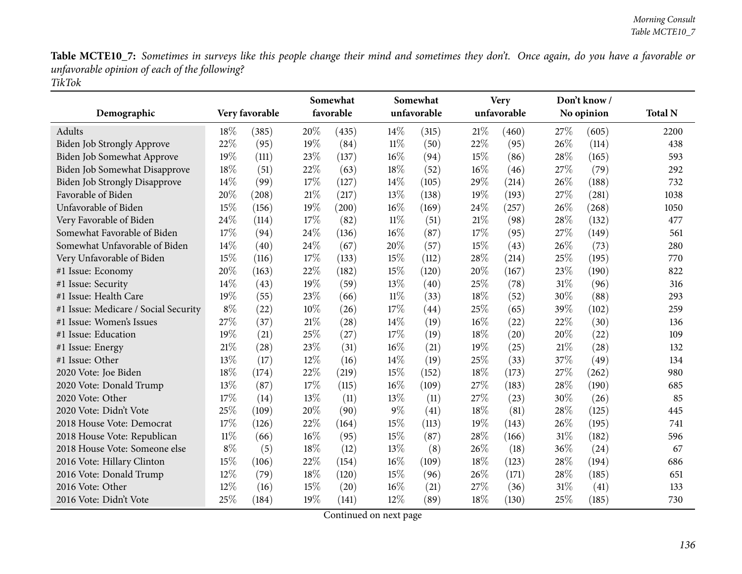|                                      |        |                | Somewhat<br>favorable |       | Somewhat<br>unfavorable |       | <b>Very</b><br>unfavorable |       |     | Don't know/ |                |
|--------------------------------------|--------|----------------|-----------------------|-------|-------------------------|-------|----------------------------|-------|-----|-------------|----------------|
| Demographic                          |        | Very favorable |                       |       |                         |       |                            |       |     | No opinion  | <b>Total N</b> |
| Adults                               | 18\%   | (385)          | 20%                   | (435) | 14%                     | (315) | 21%                        | (460) | 27% | (605)       | 2200           |
| Biden Job Strongly Approve           | 22%    | (95)           | 19%                   | (84)  | $11\%$                  | (50)  | 22%                        | (95)  | 26% | (114)       | 438            |
| Biden Job Somewhat Approve           | 19%    | (111)          | 23%                   | (137) | 16%                     | (94)  | 15%                        | (86)  | 28% | (165)       | 593            |
| Biden Job Somewhat Disapprove        | 18%    | (51)           | 22%                   | (63)  | 18%                     | (52)  | $16\%$                     | (46)  | 27% | (79)        | 292            |
| <b>Biden Job Strongly Disapprove</b> | 14%    | (99)           | $17\%$                | (127) | 14%                     | (105) | 29%                        | (214) | 26% | (188)       | 732            |
| Favorable of Biden                   | 20%    | (208)          | $21\%$                | (217) | 13%                     | (138) | 19%                        | (193) | 27% | (281)       | 1038           |
| Unfavorable of Biden                 | 15%    | (156)          | 19%                   | (200) | 16%                     | (169) | 24%                        | (257) | 26% | (268)       | 1050           |
| Very Favorable of Biden              | 24%    | (114)          | 17%                   | (82)  | $11\%$                  | (51)  | 21%                        | (98)  | 28% | (132)       | 477            |
| Somewhat Favorable of Biden          | 17%    | (94)           | 24%                   | (136) | 16%                     | (87)  | 17%                        | (95)  | 27% | (149)       | 561            |
| Somewhat Unfavorable of Biden        | 14%    | (40)           | 24%                   | (67)  | 20%                     | (57)  | 15%                        | (43)  | 26% | (73)        | 280            |
| Very Unfavorable of Biden            | 15%    | (116)          | 17%                   | (133) | 15%                     | (112) | 28%                        | (214) | 25% | (195)       | 770            |
| #1 Issue: Economy                    | 20%    | (163)          | 22%                   | (182) | 15%                     | (120) | 20%                        | (167) | 23% | (190)       | 822            |
| #1 Issue: Security                   | 14\%   | (43)           | 19%                   | (59)  | 13%                     | (40)  | 25%                        | (78)  | 31% | (96)        | 316            |
| #1 Issue: Health Care                | 19%    | (55)           | 23%                   | (66)  | $11\%$                  | (33)  | 18%                        | (52)  | 30% | (88)        | 293            |
| #1 Issue: Medicare / Social Security | $8\%$  | (22)           | 10%                   | (26)  | 17%                     | (44)  | 25%                        | (65)  | 39% | (102)       | 259            |
| #1 Issue: Women's Issues             | 27%    | (37)           | $21\%$                | (28)  | 14\%                    | (19)  | $16\%$                     | (22)  | 22% | (30)        | 136            |
| #1 Issue: Education                  | 19%    | (21)           | 25%                   | (27)  | 17%                     | (19)  | 18%                        | (20)  | 20% | (22)        | 109            |
| #1 Issue: Energy                     | 21%    | (28)           | 23%                   | (31)  | 16%                     | (21)  | 19%                        | (25)  | 21% | (28)        | 132            |
| #1 Issue: Other                      | 13%    | (17)           | 12%                   | (16)  | 14%                     | (19)  | 25%                        | (33)  | 37% | (49)        | 134            |
| 2020 Vote: Joe Biden                 | 18%    | (174)          | 22%                   | (219) | 15%                     | (152) | 18%                        | (173) | 27% | (262)       | 980            |
| 2020 Vote: Donald Trump              | 13%    | (87)           | 17%                   | (115) | 16%                     | (109) | 27%                        | (183) | 28% | (190)       | 685            |
| 2020 Vote: Other                     | 17%    | (14)           | 13%                   | (11)  | 13\%                    | (11)  | 27%                        | (23)  | 30% | (26)        | 85             |
| 2020 Vote: Didn't Vote               | 25%    | (109)          | 20%                   | (90)  | $9\%$                   | (41)  | 18%                        | (81)  | 28% | (125)       | 445            |
| 2018 House Vote: Democrat            | 17%    | (126)          | 22%                   | (164) | 15%                     | (113) | 19%                        | (143) | 26% | (195)       | 741            |
| 2018 House Vote: Republican          | $11\%$ | (66)           | $16\%$                | (95)  | 15%                     | (87)  | 28%                        | (166) | 31% | (182)       | 596            |
| 2018 House Vote: Someone else        | $8\%$  | (5)            | 18%                   | (12)  | 13%                     | (8)   | 26%                        | (18)  | 36% | (24)        | 67             |
| 2016 Vote: Hillary Clinton           | 15%    | (106)          | 22%                   | (154) | 16%                     | (109) | 18%                        | (123) | 28% | (194)       | 686            |
| 2016 Vote: Donald Trump              | 12%    | (79)           | 18%                   | (120) | 15%                     | (96)  | 26%                        | (171) | 28% | (185)       | 651            |
| 2016 Vote: Other                     | 12%    | (16)           | 15%                   | (20)  | $16\%$                  | (21)  | 27%                        | (36)  | 31% | (41)        | 133            |
| 2016 Vote: Didn't Vote               | 25%    | (184)          | 19%                   | (141) | 12%                     | (89)  | 18%                        | (130) | 25% | (185)       | 730            |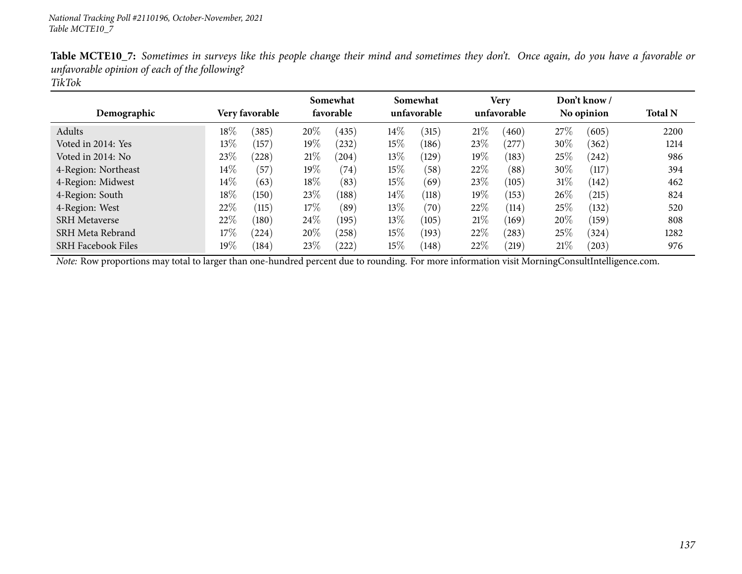| Demographic               |        | Very favorable  |        | Somewhat<br>favorable |        | Somewhat<br>unfavorable |        | <b>Very</b><br>unfavorable |        | Don't know /<br>No opinion | <b>Total N</b> |
|---------------------------|--------|-----------------|--------|-----------------------|--------|-------------------------|--------|----------------------------|--------|----------------------------|----------------|
| Adults                    | $18\%$ | (385)           | 20%    | (435)                 | $14\%$ | (315)                   | 21%    | (460)                      | 27%    | (605)                      | 2200           |
| Voted in 2014: Yes        | 13%    | (157)           | $19\%$ | (232)                 | $15\%$ | (186)                   | 23\%   | (277)                      | $30\%$ | (362)                      | 1214           |
| Voted in 2014: No         | 23%    | (228)           | 21%    | (204)                 | $13\%$ | (129)                   | $19\%$ | (183)                      | 25\%   | (242)                      | 986            |
| 4-Region: Northeast       | $14\%$ | (57)            | $19\%$ | (74)                  | $15\%$ | (58)                    | 22%    | (88)                       | $30\%$ | (117)                      | 394            |
| 4-Region: Midwest         | $14\%$ | (63)            | $18\%$ | (83)                  | $15\%$ | (69)                    | 23\%   | (105)                      | 31\%   | (142)                      | 462            |
| 4-Region: South           | $18\%$ | (150)           | 23\%   | (188)                 | 14\%   | (118)                   | 19%    | (153)                      | $26\%$ | (215)                      | 824            |
| 4-Region: West            | 22\%   | (115)           | 17%    | (89)                  | $13\%$ | (70)                    | 22%    | (114)                      | 25%    | (132)                      | 520            |
| <b>SRH Metaverse</b>      | 22%    | $^{\prime}180)$ | $24\%$ | (195)                 | $13\%$ | (105)                   | 21%    | (169)                      | 20%    | (159)                      | 808            |
| SRH Meta Rebrand          | 17%    | (224)           | 20%    | (258)                 | $15\%$ | (193)                   | 22%    | (283)                      | 25%    | (324)                      | 1282           |
| <b>SRH Facebook Files</b> | $19\%$ | (184)           | 23%    | $^{'}222)$            | $15\%$ | (148)                   | 22%    | (219)                      | 21\%   | (203)                      | 976            |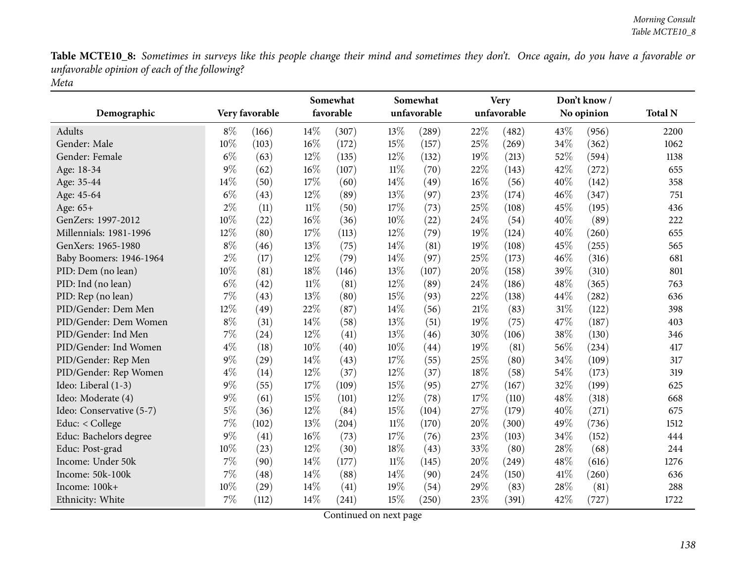|                          | Very favorable |       | Somewhat<br>favorable |       |        | Somewhat    | <b>Very</b><br>unfavorable |       |      | Don't know/ |                |
|--------------------------|----------------|-------|-----------------------|-------|--------|-------------|----------------------------|-------|------|-------------|----------------|
| Demographic              |                |       |                       |       |        | unfavorable |                            |       |      | No opinion  | <b>Total N</b> |
| Adults                   | $8\%$          | (166) | 14%                   | (307) | 13%    | (289)       | 22%                        | (482) | 43\% | (956)       | 2200           |
| Gender: Male             | 10%            | (103) | 16%                   | (172) | 15%    | (157)       | 25%                        | (269) | 34%  | (362)       | 1062           |
| Gender: Female           | $6\%$          | (63)  | 12%                   | (135) | 12%    | (132)       | 19%                        | (213) | 52%  | (594)       | 1138           |
| Age: 18-34               | $9\%$          | (62)  | 16%                   | (107) | $11\%$ | (70)        | 22%                        | (143) | 42%  | (272)       | 655            |
| Age: 35-44               | 14%            | (50)  | 17%                   | (60)  | 14%    | (49)        | 16%                        | (56)  | 40%  | (142)       | 358            |
| Age: 45-64               | $6\%$          | (43)  | 12%                   | (89)  | 13%    | (97)        | 23%                        | (174) | 46%  | (347)       | 751            |
| Age: 65+                 | $2\%$          | (11)  | $11\%$                | (50)  | 17%    | (73)        | 25%                        | (108) | 45%  | (195)       | 436            |
| GenZers: 1997-2012       | 10%            | (22)  | 16%                   | (36)  | 10%    | (22)        | 24%                        | (54)  | 40%  | (89)        | 222            |
| Millennials: 1981-1996   | 12%            | (80)  | 17%                   | (113) | 12%    | (79)        | 19%                        | (124) | 40%  | (260)       | 655            |
| GenXers: 1965-1980       | $8\%$          | (46)  | 13%                   | (75)  | 14%    | (81)        | 19%                        | (108) | 45%  | (255)       | 565            |
| Baby Boomers: 1946-1964  | $2\%$          | (17)  | 12%                   | (79)  | 14%    | (97)        | 25%                        | (173) | 46%  | (316)       | 681            |
| PID: Dem (no lean)       | 10%            | (81)  | $18\%$                | (146) | 13%    | (107)       | 20%                        | (158) | 39%  | (310)       | 801            |
| PID: Ind (no lean)       | $6\%$          | (42)  | $11\%$                | (81)  | 12%    | (89)        | 24%                        | (186) | 48%  | (365)       | 763            |
| PID: Rep (no lean)       | 7%             | (43)  | 13%                   | (80)  | 15%    | (93)        | 22%                        | (138) | 44%  | (282)       | 636            |
| PID/Gender: Dem Men      | 12%            | (49)  | 22%                   | (87)  | 14%    | (56)        | 21%                        | (83)  | 31%  | (122)       | 398            |
| PID/Gender: Dem Women    | $8\%$          | (31)  | 14%                   | (58)  | 13%    | (51)        | 19%                        | (75)  | 47%  | (187)       | 403            |
| PID/Gender: Ind Men      | 7%             | (24)  | 12%                   | (41)  | 13%    | (46)        | 30%                        | (106) | 38%  | (130)       | 346            |
| PID/Gender: Ind Women    | $4\%$          | (18)  | 10%                   | (40)  | 10%    | (44)        | 19%                        | (81)  | 56%  | (234)       | 417            |
| PID/Gender: Rep Men      | $9\%$          | (29)  | 14%                   | (43)  | 17%    | (55)        | 25%                        | (80)  | 34%  | (109)       | 317            |
| PID/Gender: Rep Women    | $4\%$          | (14)  | 12%                   | (37)  | 12%    | (37)        | 18%                        | (58)  | 54%  | (173)       | 319            |
| Ideo: Liberal (1-3)      | $9\%$          | (55)  | 17%                   | (109) | 15%    | (95)        | 27%                        | (167) | 32%  | (199)       | 625            |
| Ideo: Moderate (4)       | $9\%$          | (61)  | 15%                   | (101) | 12%    | (78)        | 17%                        | (110) | 48%  | (318)       | 668            |
| Ideo: Conservative (5-7) | $5\%$          | (36)  | 12%                   | (84)  | 15%    | (104)       | 27%                        | (179) | 40%  | (271)       | 675            |
| Educ: < College          | 7%             | (102) | 13%                   | (204) | $11\%$ | (170)       | 20%                        | (300) | 49%  | (736)       | 1512           |
| Educ: Bachelors degree   | $9\%$          | (41)  | 16%                   | (73)  | 17%    | (76)        | 23%                        | (103) | 34%  | (152)       | 444            |
| Educ: Post-grad          | 10%            | (23)  | 12%                   | (30)  | 18%    | (43)        | 33%                        | (80)  | 28%  | (68)        | 244            |
| Income: Under 50k        | $7\%$          | (90)  | 14%                   | (177) | $11\%$ | (145)       | 20%                        | (249) | 48%  | (616)       | 1276           |
| Income: 50k-100k         | 7%             | (48)  | 14%                   | (88)  | 14%    | (90)        | 24%                        | (150) | 41\% | (260)       | 636            |
| Income: 100k+            | 10%            | (29)  | 14%                   | (41)  | 19%    | (54)        | 29%                        | (83)  | 28%  | (81)        | 288            |
| Ethnicity: White         | 7%             | (112) | 14%                   | (241) | 15%    | (250)       | 23%                        | (391) | 42%  | (727)       | 1722           |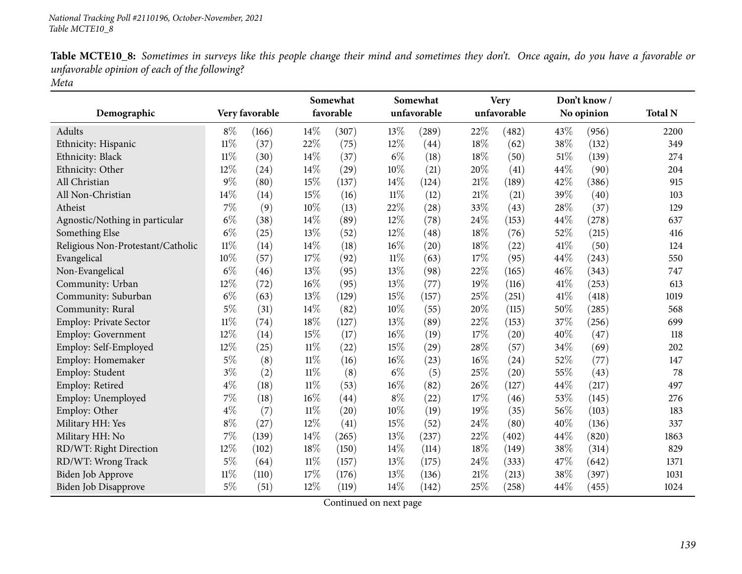|                                   |        |                | Somewhat |           |        | Somewhat    |        | <b>Very</b> |      | Don't know/ |                |
|-----------------------------------|--------|----------------|----------|-----------|--------|-------------|--------|-------------|------|-------------|----------------|
| Demographic                       |        | Very favorable |          | favorable |        | unfavorable |        | unfavorable |      | No opinion  | <b>Total N</b> |
| Adults                            | $8\%$  | (166)          | $14\%$   | (307)     | 13\%   | (289)       | 22%    | (482)       | 43\% | (956)       | 2200           |
| Ethnicity: Hispanic               | $11\%$ | (37)           | 22%      | (75)      | 12%    | (44)        | 18%    | (62)        | 38%  | (132)       | 349            |
| Ethnicity: Black                  | $11\%$ | (30)           | 14%      | (37)      | $6\%$  | (18)        | 18%    | (50)        | 51%  | (139)       | 274            |
| Ethnicity: Other                  | 12%    | (24)           | 14%      | (29)      | 10%    | (21)        | 20%    | (41)        | 44%  | (90)        | 204            |
| All Christian                     | $9\%$  | (80)           | 15%      | (137)     | 14%    | (124)       | $21\%$ | (189)       | 42%  | (386)       | 915            |
| All Non-Christian                 | 14%    | (14)           | 15%      | (16)      | $11\%$ | (12)        | 21%    | (21)        | 39%  | (40)        | 103            |
| Atheist                           | 7%     | (9)            | 10%      | (13)      | 22%    | (28)        | 33%    | (43)        | 28%  | (37)        | 129            |
| Agnostic/Nothing in particular    | $6\%$  | (38)           | 14%      | (89)      | 12%    | (78)        | 24%    | (153)       | 44%  | (278)       | 637            |
| Something Else                    | $6\%$  | (25)           | 13%      | (52)      | 12%    | (48)        | 18%    | (76)        | 52%  | (215)       | 416            |
| Religious Non-Protestant/Catholic | $11\%$ | (14)           | 14%      | (18)      | 16%    | (20)        | 18%    | (22)        | 41%  | (50)        | 124            |
| Evangelical                       | 10%    | (57)           | $17\%$   | (92)      | $11\%$ | (63)        | 17%    | (95)        | 44\% | (243)       | 550            |
| Non-Evangelical                   | $6\%$  | (46)           | 13%      | (95)      | 13%    | (98)        | 22%    | (165)       | 46%  | (343)       | 747            |
| Community: Urban                  | 12%    | (72)           | $16\%$   | (95)      | 13%    | (77)        | 19%    | (116)       | 41%  | (253)       | 613            |
| Community: Suburban               | $6\%$  | (63)           | 13%      | (129)     | 15%    | (157)       | 25%    | (251)       | 41\% | (418)       | 1019           |
| Community: Rural                  | $5\%$  | (31)           | 14%      | (82)      | 10%    | (55)        | 20%    | (115)       | 50%  | (285)       | 568            |
| Employ: Private Sector            | $11\%$ | (74)           | 18%      | (127)     | 13%    | (89)        | 22%    | (153)       | 37%  | (256)       | 699            |
| <b>Employ: Government</b>         | 12%    | (14)           | 15%      | (17)      | 16%    | (19)        | 17%    | (20)        | 40%  | (47)        | 118            |
| Employ: Self-Employed             | 12%    | (25)           | $11\%$   | (22)      | 15%    | (29)        | 28%    | (57)        | 34%  | (69)        | 202            |
| Employ: Homemaker                 | $5\%$  | (8)            | $11\%$   | (16)      | 16%    | (23)        | $16\%$ | (24)        | 52%  | (77)        | 147            |
| Employ: Student                   | $3\%$  | (2)            | $11\%$   | (8)       | $6\%$  | (5)         | 25%    | (20)        | 55%  | (43)        | 78             |
| Employ: Retired                   | $4\%$  | (18)           | $11\%$   | (53)      | $16\%$ | (82)        | 26%    | (127)       | 44%  | (217)       | 497            |
| Employ: Unemployed                | $7\%$  | (18)           | $16\%$   | (44)      | $8\%$  | (22)        | 17%    | (46)        | 53%  | (145)       | 276            |
| Employ: Other                     | $4\%$  | (7)            | $11\%$   | (20)      | 10%    | (19)        | 19%    | (35)        | 56%  | (103)       | 183            |
| Military HH: Yes                  | $8\%$  | (27)           | 12%      | (41)      | 15%    | (52)        | 24%    | (80)        | 40%  | (136)       | 337            |
| Military HH: No                   | $7\%$  | (139)          | 14\%     | (265)     | 13%    | (237)       | 22%    | (402)       | 44%  | (820)       | 1863           |
| RD/WT: Right Direction            | 12%    | (102)          | 18%      | (150)     | 14%    | (114)       | 18%    | (149)       | 38%  | (314)       | 829            |
| RD/WT: Wrong Track                | $5\%$  | (64)           | $11\%$   | (157)     | 13%    | (175)       | 24%    | (333)       | 47%  | (642)       | 1371           |
| <b>Biden Job Approve</b>          | $11\%$ | (110)          | 17%      | (176)     | 13%    | (136)       | 21%    | (213)       | 38%  | (397)       | 1031           |
| Biden Job Disapprove              | $5\%$  | (51)           | 12%      | (119)     | 14%    | (142)       | 25%    | (258)       | 44%  | (455)       | 1024           |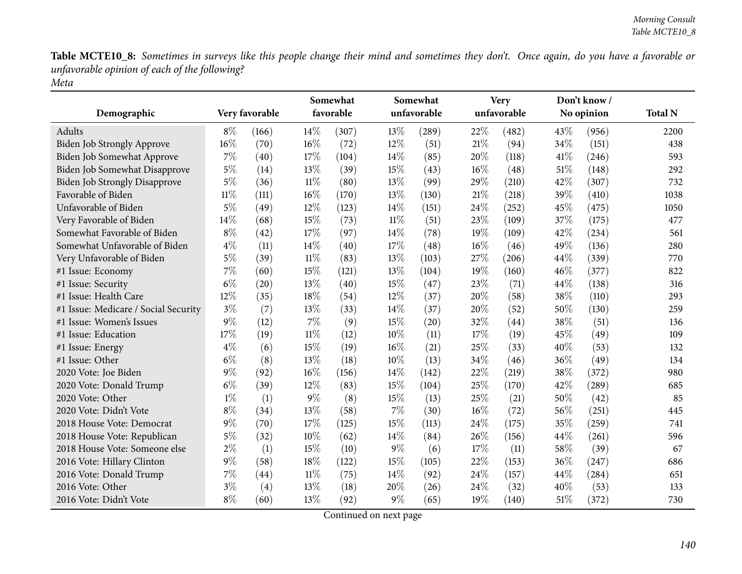|                                      |        |                |        | Somewhat  |        | Somewhat    |        | <b>Very</b> |      | Don't know/ |                |
|--------------------------------------|--------|----------------|--------|-----------|--------|-------------|--------|-------------|------|-------------|----------------|
| Demographic                          |        | Very favorable |        | favorable |        | unfavorable |        | unfavorable |      | No opinion  | <b>Total N</b> |
| Adults                               | $8\%$  | (166)          | 14\%   | (307)     | 13%    | (289)       | 22%    | (482)       | 43\% | (956)       | 2200           |
| Biden Job Strongly Approve           | $16\%$ | (70)           | 16%    | (72)      | 12%    | (51)        | 21%    | (94)        | 34%  | (151)       | 438            |
| Biden Job Somewhat Approve           | 7%     | (40)           | 17%    | (104)     | 14\%   | (85)        | 20%    | (118)       | 41\% | (246)       | 593            |
| Biden Job Somewhat Disapprove        | $5\%$  | (14)           | 13%    | (39)      | 15%    | (43)        | 16%    | (48)        | 51\% | (148)       | 292            |
| <b>Biden Job Strongly Disapprove</b> | $5\%$  | (36)           | $11\%$ | (80)      | 13%    | (99)        | 29%    | (210)       | 42%  | (307)       | 732            |
| Favorable of Biden                   | $11\%$ | (111)          | 16%    | (170)     | 13%    | (130)       | 21%    | (218)       | 39%  | (410)       | 1038           |
| Unfavorable of Biden                 | 5%     | (49)           | 12%    | (123)     | 14%    | (151)       | 24%    | (252)       | 45%  | (475)       | 1050           |
| Very Favorable of Biden              | 14%    | (68)           | 15%    | (73)      | $11\%$ | (51)        | 23%    | (109)       | 37%  | (175)       | 477            |
| Somewhat Favorable of Biden          | $8\%$  | (42)           | 17%    | (97)      | 14%    | (78)        | 19%    | (109)       | 42%  | (234)       | 561            |
| Somewhat Unfavorable of Biden        | $4\%$  | (11)           | 14%    | (40)      | 17%    | (48)        | 16%    | (46)        | 49%  | (136)       | 280            |
| Very Unfavorable of Biden            | $5\%$  | (39)           | $11\%$ | (83)      | 13%    | (103)       | 27%    | (206)       | 44%  | (339)       | 770            |
| #1 Issue: Economy                    | $7\%$  | (60)           | 15%    | (121)     | 13%    | (104)       | 19%    | (160)       | 46%  | (377)       | 822            |
| #1 Issue: Security                   | $6\%$  | (20)           | 13%    | (40)      | 15%    | (47)        | 23%    | (71)        | 44%  | (138)       | 316            |
| #1 Issue: Health Care                | 12%    | (35)           | 18%    | (54)      | 12%    | (37)        | 20%    | (58)        | 38%  | (110)       | 293            |
| #1 Issue: Medicare / Social Security | $3\%$  | (7)            | 13%    | (33)      | 14%    | (37)        | 20%    | (52)        | 50%  | (130)       | 259            |
| #1 Issue: Women's Issues             | $9\%$  | (12)           | $7\%$  | (9)       | 15%    | (20)        | 32%    | (44)        | 38%  | (51)        | 136            |
| #1 Issue: Education                  | 17%    | (19)           | $11\%$ | (12)      | 10%    | (11)        | 17%    | (19)        | 45%  | (49)        | 109            |
| #1 Issue: Energy                     | $4\%$  | (6)            | 15%    | (19)      | 16%    | (21)        | 25%    | (33)        | 40%  | (53)        | 132            |
| #1 Issue: Other                      | $6\%$  | (8)            | 13%    | (18)      | 10%    | (13)        | 34%    | (46)        | 36%  | (49)        | 134            |
| 2020 Vote: Joe Biden                 | $9\%$  | (92)           | 16%    | (156)     | 14%    | (142)       | 22%    | (219)       | 38%  | (372)       | 980            |
| 2020 Vote: Donald Trump              | $6\%$  | (39)           | 12%    | (83)      | 15%    | (104)       | 25%    | (170)       | 42%  | (289)       | 685            |
| 2020 Vote: Other                     | $1\%$  | (1)            | $9\%$  | (8)       | 15%    | (13)        | 25%    | (21)        | 50%  | (42)        | 85             |
| 2020 Vote: Didn't Vote               | $8\%$  | (34)           | 13%    | (58)      | 7%     | (30)        | $16\%$ | (72)        | 56%  | (251)       | 445            |
| 2018 House Vote: Democrat            | $9\%$  | (70)           | 17%    | (125)     | 15%    | (113)       | 24%    | (175)       | 35%  | (259)       | 741            |
| 2018 House Vote: Republican          | $5\%$  | (32)           | 10%    | (62)      | 14%    | (84)        | 26%    | (156)       | 44%  | (261)       | 596            |
| 2018 House Vote: Someone else        | $2\%$  | (1)            | 15%    | (10)      | $9\%$  | (6)         | 17%    | (11)        | 58%  | (39)        | 67             |
| 2016 Vote: Hillary Clinton           | $9\%$  | (58)           | 18%    | (122)     | 15%    | (105)       | 22%    | (153)       | 36%  | (247)       | 686            |
| 2016 Vote: Donald Trump              | 7%     | (44)           | $11\%$ | (75)      | 14%    | (92)        | 24%    | (157)       | 44%  | (284)       | 651            |
| 2016 Vote: Other                     | $3\%$  | (4)            | 13%    | (18)      | 20%    | (26)        | 24%    | (32)        | 40%  | (53)        | 133            |
| 2016 Vote: Didn't Vote               | $8\%$  | (60)           | 13%    | (92)      | $9\%$  | (65)        | 19%    | (140)       | 51%  | (372)       | 730            |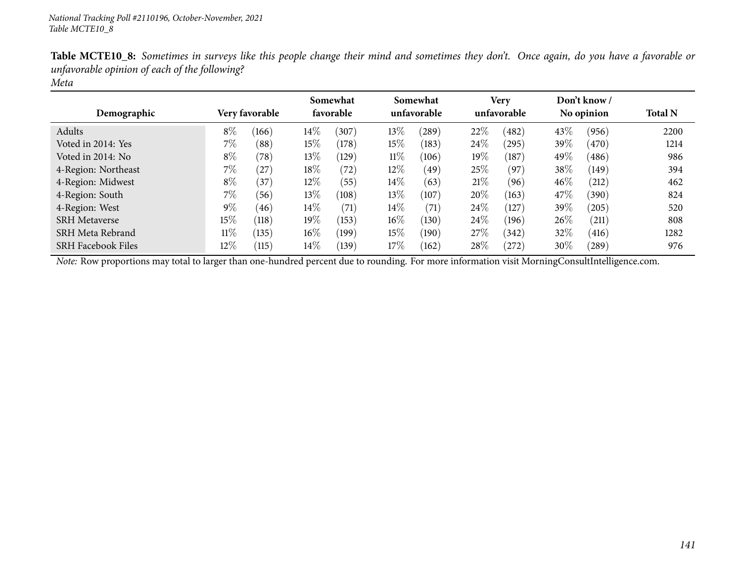| Demographic               |        | Very favorable |        | Somewhat<br>favorable |        | Somewhat<br>unfavorable |      | <b>Very</b><br>unfavorable |        | Don't know /<br>No opinion | <b>Total N</b> |
|---------------------------|--------|----------------|--------|-----------------------|--------|-------------------------|------|----------------------------|--------|----------------------------|----------------|
| Adults                    | $8\%$  | (166)          | $14\%$ | (307)                 | $13\%$ | (289)                   | 22%  | (482)                      | $43\%$ | (956)                      | 2200           |
| Voted in 2014: Yes        | 7%     | (88)           | $15\%$ | (178)                 | 15%    | (183)                   | 24\% | (295)                      | 39%    | (470)                      | 1214           |
| Voted in 2014: No         | $8\%$  | (78)           | 13\%   | (129)                 | $11\%$ | (106)                   | 19%  | (187)                      | 49%    | (486)                      | 986            |
| 4-Region: Northeast       | $7\%$  | $^{(27)}$      | 18\%   | (72)                  | 12%    | (49)                    | 25%  | (97)                       | 38\%   | (149)                      | 394            |
| 4-Region: Midwest         | $8\%$  | (37)           | $12\%$ | (55)                  | $14\%$ | (63)                    | 21%  | (96)                       | 46\%   | (212)                      | 462            |
| 4-Region: South           | 7%     | (56)           | 13\%   | (108)                 | 13\%   | (107)                   | 20%  | (163)                      | 47\%   | (390)                      | 824            |
| 4-Region: West            | $9\%$  | (46)           | 14%    | (71)                  | $14\%$ | (71)                    | 24\% | (127)                      | 39%    | (205)                      | 520            |
| <b>SRH</b> Metaverse      | 15%    | (118)          | $19\%$ | (153)                 | $16\%$ | (130)                   | 24\% | (196)                      | 26\%   | (211)                      | 808            |
| SRH Meta Rebrand          | $11\%$ | (135)          | $16\%$ | (199)                 | $15\%$ | (190)                   | 27\% | (342)                      | 32%    | (416)                      | 1282           |
| <b>SRH Facebook Files</b> | 12%    | (115)          | $14\%$ | (139)                 | 17%    | (162)                   | 28%  | (272)                      | $30\%$ | (289)                      | 976            |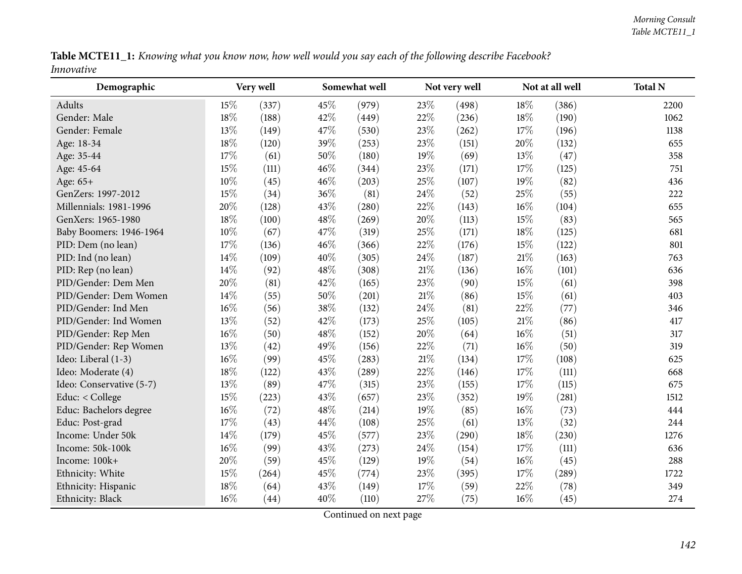| Table MCTE11_1: Knowing what you know now, how well would you say each of the following describe Facebook? |  |  |  |  |  |  |  |
|------------------------------------------------------------------------------------------------------------|--|--|--|--|--|--|--|
| Innovative                                                                                                 |  |  |  |  |  |  |  |

| Demographic              | Very well |       |     | Somewhat well |     | Not very well |        | Not at all well | <b>Total N</b> |
|--------------------------|-----------|-------|-----|---------------|-----|---------------|--------|-----------------|----------------|
| Adults                   | 15%       | (337) | 45% | (979)         | 23% | (498)         | 18%    | (386)           | 2200           |
| Gender: Male             | 18%       | (188) | 42% | (449)         | 22% | (236)         | 18%    | (190)           | 1062           |
| Gender: Female           | 13%       | (149) | 47% | (530)         | 23% | (262)         | 17%    | (196)           | 1138           |
| Age: 18-34               | 18%       | (120) | 39% | (253)         | 23% | (151)         | $20\%$ | (132)           | 655            |
| Age: 35-44               | 17%       | (61)  | 50% | (180)         | 19% | (69)          | 13\%   | (47)            | 358            |
| Age: 45-64               | 15%       | (111) | 46% | (344)         | 23% | (171)         | 17%    | (125)           | 751            |
| Age: 65+                 | 10%       | (45)  | 46% | (203)         | 25% | (107)         | 19%    | (82)            | 436            |
| GenZers: 1997-2012       | 15%       | (34)  | 36% | (81)          | 24% | (52)          | 25%    | (55)            | 222            |
| Millennials: 1981-1996   | 20%       | (128) | 43% | (280)         | 22% | (143)         | $16\%$ | (104)           | 655            |
| GenXers: 1965-1980       | 18%       | (100) | 48% | (269)         | 20% | (113)         | 15%    | (83)            | 565            |
| Baby Boomers: 1946-1964  | 10%       | (67)  | 47% | (319)         | 25% | (171)         | 18%    | (125)           | 681            |
| PID: Dem (no lean)       | 17%       | (136) | 46% | (366)         | 22% | (176)         | 15%    | (122)           | 801            |
| PID: Ind (no lean)       | 14%       | (109) | 40% | (305)         | 24% | (187)         | 21%    | (163)           | 763            |
| PID: Rep (no lean)       | 14\%      | (92)  | 48% | (308)         | 21% | (136)         | $16\%$ | (101)           | 636            |
| PID/Gender: Dem Men      | 20%       | (81)  | 42% | (165)         | 23% | (90)          | $15\%$ | (61)            | 398            |
| PID/Gender: Dem Women    | 14\%      | (55)  | 50% | (201)         | 21% | (86)          | 15%    | (61)            | 403            |
| PID/Gender: Ind Men      | 16%       | (56)  | 38% | (132)         | 24% | (81)          | 22%    | (77)            | 346            |
| PID/Gender: Ind Women    | 13%       | (52)  | 42% | (173)         | 25% | (105)         | 21%    | (86)            | 417            |
| PID/Gender: Rep Men      | 16%       | (50)  | 48% | (152)         | 20% | (64)          | $16\%$ | (51)            | 317            |
| PID/Gender: Rep Women    | 13%       | (42)  | 49% | (156)         | 22% | (71)          | $16\%$ | (50)            | 319            |
| Ideo: Liberal (1-3)      | 16%       | (99)  | 45% | (283)         | 21% | (134)         | 17%    | (108)           | 625            |
| Ideo: Moderate (4)       | 18%       | (122) | 43% | (289)         | 22% | (146)         | 17%    | (111)           | 668            |
| Ideo: Conservative (5-7) | 13%       | (89)  | 47% | (315)         | 23% | (155)         | 17%    | (115)           | 675            |
| Educ: < College          | 15%       | (223) | 43% | (657)         | 23% | (352)         | $19\%$ | (281)           | 1512           |
| Educ: Bachelors degree   | 16%       | (72)  | 48% | (214)         | 19% | (85)          | $16\%$ | (73)            | 444            |
| Educ: Post-grad          | 17%       | (43)  | 44% | (108)         | 25% | (61)          | 13%    | (32)            | 244            |
| Income: Under 50k        | 14\%      | (179) | 45% | (577)         | 23% | (290)         | 18%    | (230)           | 1276           |
| Income: 50k-100k         | 16%       | (99)  | 43% | (273)         | 24% | (154)         | 17%    | (111)           | 636            |
| Income: 100k+            | 20%       | (59)  | 45% | (129)         | 19% | (54)          | $16\%$ | (45)            | 288            |
| Ethnicity: White         | 15%       | (264) | 45% | (774)         | 23% | (395)         | 17%    | (289)           | 1722           |
| Ethnicity: Hispanic      | 18%       | (64)  | 43% | (149)         | 17% | (59)          | $22\%$ | (78)            | 349            |
| Ethnicity: Black         | $16\%$    | (44)  | 40% | (110)         | 27% | (75)          | $16\%$ | (45)            | 274            |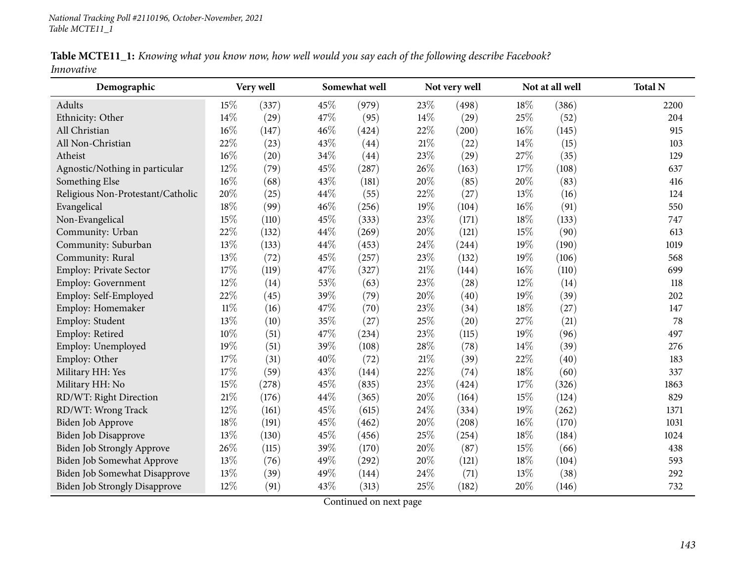| Table MCTE11_1: Knowing what you know now, how well would you say each of the following describe Facebook? |  |  |  |  |  |  |  |
|------------------------------------------------------------------------------------------------------------|--|--|--|--|--|--|--|
| Innovative                                                                                                 |  |  |  |  |  |  |  |

| Demographic                          |        | Very well          |     | Somewhat well |        | Not very well |        | Not at all well | <b>Total N</b> |
|--------------------------------------|--------|--------------------|-----|---------------|--------|---------------|--------|-----------------|----------------|
| Adults                               | 15%    | (337)              | 45% | (979)         | 23%    | (498)         | 18%    | (386)           | 2200           |
| Ethnicity: Other                     | 14%    | (29)               | 47% | (95)          | 14%    | (29)          | 25%    | (52)            | 204            |
| All Christian                        | 16%    | (147)              | 46% | (424)         | 22%    | (200)         | $16\%$ | (145)           | 915            |
| All Non-Christian                    | 22%    | (23)               | 43% | (44)          | $21\%$ | (22)          | 14%    | (15)            | 103            |
| Atheist                              | 16%    | $\left( 20\right)$ | 34% | (44)          | 23%    | (29)          | 27%    | (35)            | 129            |
| Agnostic/Nothing in particular       | 12%    | (79)               | 45% | (287)         | 26%    | (163)         | 17%    | (108)           | 637            |
| Something Else                       | 16%    | (68)               | 43% | (181)         | 20%    | (85)          | 20%    | (83)            | 416            |
| Religious Non-Protestant/Catholic    | 20%    | (25)               | 44% | (55)          | 22%    | (27)          | 13%    | (16)            | 124            |
| Evangelical                          | 18%    | (99)               | 46% | (256)         | 19%    | (104)         | 16%    | (91)            | 550            |
| Non-Evangelical                      | 15%    | (110)              | 45% | (333)         | 23%    | (171)         | 18%    | (133)           | 747            |
| Community: Urban                     | 22%    | (132)              | 44% | (269)         | 20%    | (121)         | 15%    | (90)            | 613            |
| Community: Suburban                  | 13%    | (133)              | 44% | (453)         | 24\%   | (244)         | 19%    | (190)           | 1019           |
| Community: Rural                     | 13%    | (72)               | 45% | (257)         | 23%    | (132)         | 19%    | (106)           | 568            |
| Employ: Private Sector               | 17%    | (119)              | 47% | (327)         | 21%    | (144)         | 16%    | (110)           | 699            |
| Employ: Government                   | 12%    | (14)               | 53% | (63)          | 23%    | (28)          | 12%    | (14)            | 118            |
| Employ: Self-Employed                | $22\%$ | (45)               | 39% | (79)          | 20%    | (40)          | 19%    | (39)            | 202            |
| Employ: Homemaker                    | 11%    | (16)               | 47% | (70)          | 23%    | (34)          | 18%    | (27)            | 147            |
| Employ: Student                      | 13%    | (10)               | 35% | (27)          | 25%    | (20)          | 27%    | (21)            | 78             |
| Employ: Retired                      | 10%    | (51)               | 47% | (234)         | 23%    | (115)         | 19%    | (96)            | 497            |
| Employ: Unemployed                   | 19%    | (51)               | 39% | (108)         | 28%    | (78)          | 14%    | (39)            | 276            |
| Employ: Other                        | 17%    | (31)               | 40% | (72)          | $21\%$ | (39)          | 22%    | (40)            | 183            |
| Military HH: Yes                     | 17%    | (59)               | 43% | (144)         | 22%    | (74)          | 18%    | (60)            | 337            |
| Military HH: No                      | 15%    | (278)              | 45% | (835)         | 23%    | (424)         | 17%    | (326)           | 1863           |
| RD/WT: Right Direction               | 21%    | (176)              | 44% | (365)         | 20%    | (164)         | 15%    | (124)           | 829            |
| RD/WT: Wrong Track                   | 12%    | (161)              | 45% | (615)         | 24%    | (334)         | 19%    | (262)           | 1371           |
| Biden Job Approve                    | 18%    | (191)              | 45% | (462)         | 20%    | (208)         | 16%    | (170)           | 1031           |
| <b>Biden Job Disapprove</b>          | 13%    | (130)              | 45% | (456)         | 25%    | (254)         | 18%    | (184)           | 1024           |
| Biden Job Strongly Approve           | 26%    | (115)              | 39% | (170)         | 20%    | (87)          | 15%    | (66)            | 438            |
| Biden Job Somewhat Approve           | 13%    | (76)               | 49% | (292)         | 20%    | (121)         | 18%    | (104)           | 593            |
| Biden Job Somewhat Disapprove        | 13%    | (39)               | 49% | (144)         | 24%    | (71)          | 13%    | (38)            | 292            |
| <b>Biden Job Strongly Disapprove</b> | 12%    | (91)               | 43% | (313)         | 25%    | (182)         | 20%    | (146)           | 732            |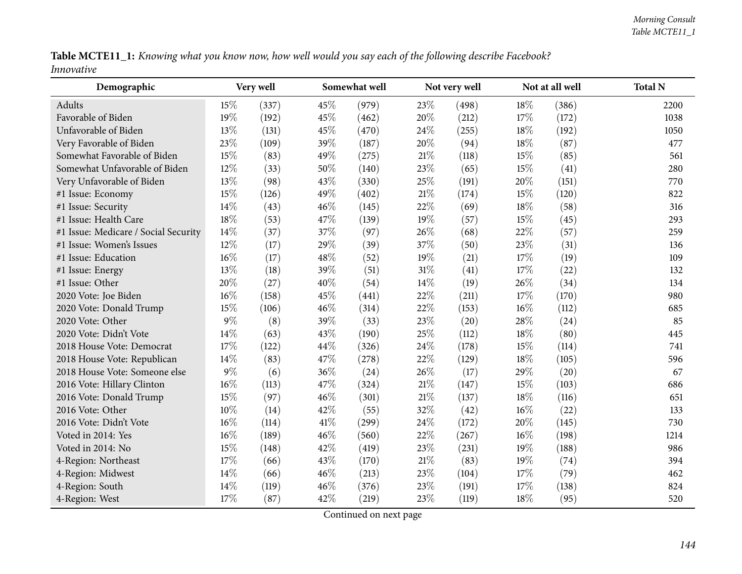|            | Table MCTE11_1: Knowing what you know now, how well would you say each of the following describe Facebook? |  |  |
|------------|------------------------------------------------------------------------------------------------------------|--|--|
| Innovative |                                                                                                            |  |  |

| Demographic                          | Very well |       |     | Somewhat well |        | Not very well |        | Not at all well | <b>Total N</b> |
|--------------------------------------|-----------|-------|-----|---------------|--------|---------------|--------|-----------------|----------------|
| Adults                               | 15%       | (337) | 45% | (979)         | 23%    | (498)         | 18%    | (386)           | 2200           |
| Favorable of Biden                   | 19%       | (192) | 45% | (462)         | 20%    | (212)         | 17%    | (172)           | 1038           |
| Unfavorable of Biden                 | 13%       | (131) | 45% | (470)         | 24%    | (255)         | 18%    | (192)           | 1050           |
| Very Favorable of Biden              | 23%       | (109) | 39% | (187)         | 20%    | (94)          | 18%    | (87)            | 477            |
| Somewhat Favorable of Biden          | 15%       | (83)  | 49% | (275)         | $21\%$ | (118)         | 15%    | (85)            | 561            |
| Somewhat Unfavorable of Biden        | 12%       | (33)  | 50% | (140)         | 23%    | (65)          | 15%    | (41)            | 280            |
| Very Unfavorable of Biden            | 13%       | (98)  | 43% | (330)         | 25%    | (191)         | 20%    | (151)           | 770            |
| #1 Issue: Economy                    | 15%       | (126) | 49% | (402)         | 21%    | (174)         | 15%    | (120)           | 822            |
| #1 Issue: Security                   | 14%       | (43)  | 46% | (145)         | 22%    | (69)          | 18%    | (58)            | 316            |
| #1 Issue: Health Care                | 18%       | (53)  | 47% | (139)         | 19%    | (57)          | 15%    | (45)            | 293            |
| #1 Issue: Medicare / Social Security | 14%       | (37)  | 37% | (97)          | 26%    | (68)          | 22%    | (57)            | 259            |
| #1 Issue: Women's Issues             | 12%       | (17)  | 29% | (39)          | 37%    | (50)          | 23%    | (31)            | 136            |
| #1 Issue: Education                  | 16%       | (17)  | 48% | (52)          | 19%    | (21)          | 17%    | (19)            | 109            |
| #1 Issue: Energy                     | 13%       | (18)  | 39% | (51)          | 31%    | (41)          | 17%    | (22)            | 132            |
| #1 Issue: Other                      | 20%       | (27)  | 40% | (54)          | 14%    | (19)          | 26\%   | (34)            | 134            |
| 2020 Vote: Joe Biden                 | 16%       | (158) | 45% | (441)         | 22%    | (211)         | 17%    | (170)           | 980            |
| 2020 Vote: Donald Trump              | 15%       | (106) | 46% | (314)         | 22%    | (153)         | 16%    | (112)           | 685            |
| 2020 Vote: Other                     | $9\%$     | (8)   | 39% | (33)          | 23%    | (20)          | 28%    | (24)            | 85             |
| 2020 Vote: Didn't Vote               | 14%       | (63)  | 43% | (190)         | 25%    | (112)         | 18%    | (80)            | 445            |
| 2018 House Vote: Democrat            | 17%       | (122) | 44% | (326)         | 24%    | (178)         | 15%    | (114)           | 741            |
| 2018 House Vote: Republican          | 14%       | (83)  | 47% | (278)         | 22%    | (129)         | 18%    | (105)           | 596            |
| 2018 House Vote: Someone else        | $9\%$     | (6)   | 36% | (24)          | 26%    | (17)          | 29%    | (20)            | 67             |
| 2016 Vote: Hillary Clinton           | $16\%$    | (113) | 47% | (324)         | 21%    | (147)         | 15%    | (103)           | 686            |
| 2016 Vote: Donald Trump              | 15%       | (97)  | 46% | (301)         | 21%    | (137)         | 18%    | (116)           | 651            |
| 2016 Vote: Other                     | 10%       | (14)  | 42% | (55)          | 32%    | (42)          | 16%    | (22)            | 133            |
| 2016 Vote: Didn't Vote               | $16\%$    | (114) | 41% | (299)         | 24%    | (172)         | 20%    | (145)           | 730            |
| Voted in 2014: Yes                   | $16\%$    | (189) | 46% | (560)         | 22%    | (267)         | $16\%$ | (198)           | 1214           |
| Voted in 2014: No                    | 15%       | (148) | 42% | (419)         | 23%    | (231)         | 19%    | (188)           | 986            |
| 4-Region: Northeast                  | 17%       | (66)  | 43% | (170)         | $21\%$ | (83)          | 19%    | (74)            | 394            |
| 4-Region: Midwest                    | 14\%      | (66)  | 46% | (213)         | 23%    | (104)         | 17%    | (79)            | 462            |
| 4-Region: South                      | 14%       | (119) | 46% | (376)         | 23%    | (191)         | 17%    | (138)           | 824            |
| 4-Region: West                       | 17%       | (87)  | 42% | (219)         | 23%    | (119)         | 18%    | (95)            | 520            |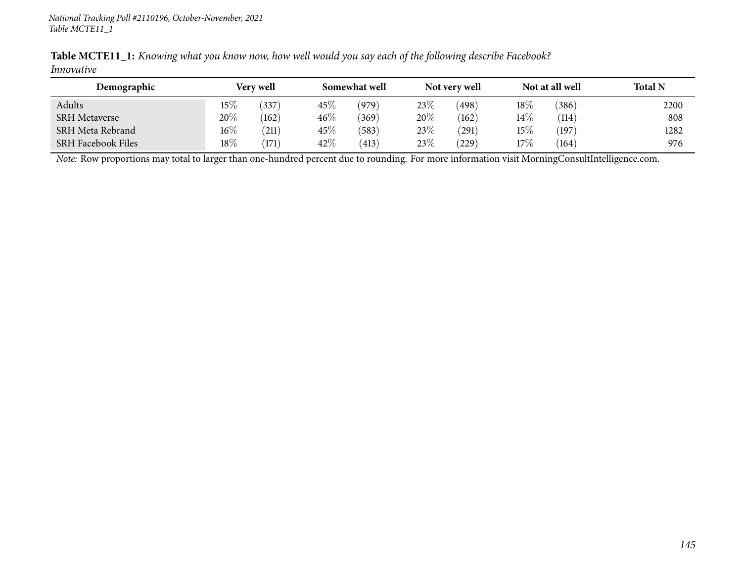|            |  | <b>Table MCTE11_1:</b> Knowing what you know now, how well would you say each of the following describe Facebook? |  |
|------------|--|-------------------------------------------------------------------------------------------------------------------|--|
| Innovative |  |                                                                                                                   |  |

| Demographic               |        | <b>Very well</b> |        | Somewhat well |        | Not very well  |        | Not at all well | <b>Total N</b> |
|---------------------------|--------|------------------|--------|---------------|--------|----------------|--------|-----------------|----------------|
| Adults                    | $15\%$ | 337)             | $45\%$ | (979)         | $23\%$ | $^{\prime}498$ | $18\%$ | $^{\prime}386$  | 2200           |
| <b>SRH Metaverse</b>      | $20\%$ | (162)            | $46\%$ | (369)         | 20%    | (162)          | 14\%   | (114)           | 808            |
| SRH Meta Rebrand          | $16\%$ | (211)            | $45\%$ | (583)         | 23%    | 291            | 15%    | (197)           | 1282           |
| <b>SRH Facebook Files</b> | 18%    | (171)            | 42\%   | (413)         | 23%    | $^{'}229$      | 17%    | (164)           | 976            |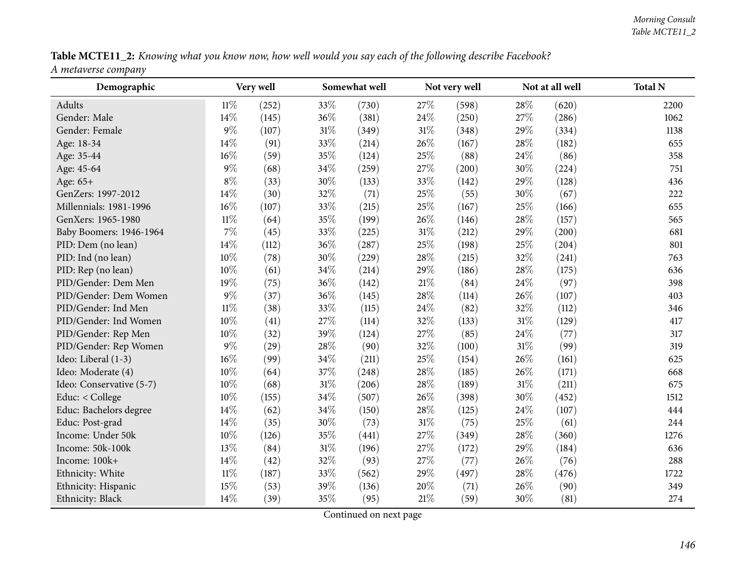Table MCTE11\_2: Knowing what you know now, how well would you say each of the following describe Facebook? *<sup>A</sup> metaverse company*

| Demographic              |        | Very well |        | Somewhat well |        | Not very well |        | Not at all well | <b>Total N</b> |
|--------------------------|--------|-----------|--------|---------------|--------|---------------|--------|-----------------|----------------|
| Adults                   | 11%    | (252)     | 33%    | (730)         | 27\%   | (598)         | 28%    | (620)           | 2200           |
| Gender: Male             | 14%    | (145)     | 36%    | (381)         | 24%    | (250)         | 27%    | (286)           | 1062           |
| Gender: Female           | $9\%$  | (107)     | $31\%$ | (349)         | $31\%$ | (348)         | 29%    | (334)           | 1138           |
| Age: 18-34               | 14%    | (91)      | 33%    | (214)         | 26%    | (167)         | 28\%   | (182)           | 655            |
| Age: 35-44               | 16%    | (59)      | 35%    | (124)         | 25%    | (88)          | 24\%   | (86)            | 358            |
| Age: 45-64               | $9\%$  | (68)      | 34%    | (259)         | 27%    | (200)         | 30%    | (224)           | 751            |
| Age: 65+                 | $8\%$  | (33)      | 30%    | (133)         | 33%    | (142)         | 29%    | (128)           | 436            |
| GenZers: 1997-2012       | 14%    | (30)      | 32%    | (71)          | 25%    | (55)          | 30%    | (67)            | 222            |
| Millennials: 1981-1996   | $16\%$ | (107)     | 33%    | (215)         | 25%    | (167)         | 25%    | (166)           | 655            |
| GenXers: 1965-1980       | $11\%$ | (64)      | 35%    | (199)         | 26%    | (146)         | 28%    | (157)           | 565            |
| Baby Boomers: 1946-1964  | 7%     | (45)      | 33%    | (225)         | 31\%   | (212)         | 29%    | (200)           | 681            |
| PID: Dem (no lean)       | 14%    | (112)     | 36%    | (287)         | 25\%   | (198)         | 25%    | (204)           | 801            |
| PID: Ind (no lean)       | 10%    | (78)      | 30%    | (229)         | 28\%   | (215)         | 32%    | (241)           | 763            |
| PID: Rep (no lean)       | 10%    | (61)      | 34%    | (214)         | 29%    | (186)         | 28\%   | (175)           | 636            |
| PID/Gender: Dem Men      | 19%    | (75)      | 36%    | (142)         | $21\%$ | (84)          | 24\%   | (97)            | 398            |
| PID/Gender: Dem Women    | $9\%$  | (37)      | 36%    | (145)         | 28%    | (114)         | 26%    | (107)           | 403            |
| PID/Gender: Ind Men      | $11\%$ | (38)      | 33%    | (115)         | 24\%   | (82)          | 32%    | (112)           | 346            |
| PID/Gender: Ind Women    | 10%    | (41)      | 27%    | (114)         | 32%    | (133)         | $31\%$ | (129)           | 417            |
| PID/Gender: Rep Men      | 10%    | (32)      | 39%    | (124)         | 27\%   | (85)          | 24\%   | (77)            | 317            |
| PID/Gender: Rep Women    | $9\%$  | (29)      | 28%    | (90)          | 32%    | (100)         | $31\%$ | (99)            | 319            |
| Ideo: Liberal (1-3)      | 16%    | (99)      | 34%    | (211)         | 25%    | (154)         | 26%    | (161)           | 625            |
| Ideo: Moderate (4)       | 10%    | (64)      | 37%    | (248)         | 28\%   | (185)         | 26\%   | (171)           | 668            |
| Ideo: Conservative (5-7) | 10%    | (68)      | $31\%$ | (206)         | 28\%   | (189)         | $31\%$ | (211)           | 675            |
| Educ: < College          | 10%    | (155)     | 34%    | (507)         | 26%    | (398)         | 30%    | (452)           | 1512           |
| Educ: Bachelors degree   | 14%    | (62)      | $34\%$ | (150)         | 28\%   | (125)         | 24%    | (107)           | 444            |
| Educ: Post-grad          | 14%    | (35)      | 30%    | (73)          | 31\%   | (75)          | 25%    | (61)            | 244            |
| Income: Under 50k        | 10%    | (126)     | 35%    | (441)         | 27\%   | (349)         | 28%    | (360)           | 1276           |
| Income: 50k-100k         | 13%    | (84)      | $31\%$ | (196)         | 27%    | (172)         | 29%    | (184)           | 636            |
| Income: 100k+            | 14%    | (42)      | 32%    | (93)          | 27%    | (77)          | 26%    | (76)            | 288            |
| Ethnicity: White         | $11\%$ | (187)     | 33%    | (562)         | 29%    | (497)         | 28%    | (476)           | 1722           |
| Ethnicity: Hispanic      | 15%    | (53)      | 39%    | (136)         | 20%    | (71)          | 26\%   | (90)            | 349            |
| Ethnicity: Black         | 14%    | (39)      | 35%    | (95)          | $21\%$ | (59)          | 30%    | (81)            | 274            |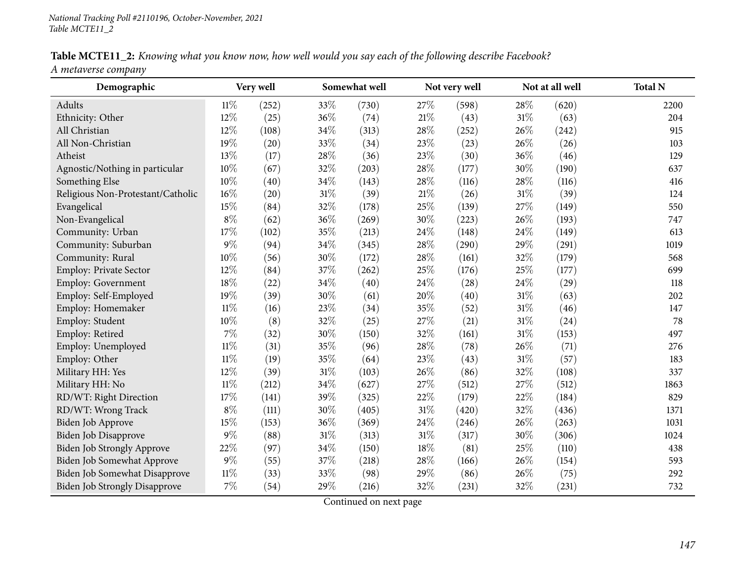Table MCTE11\_2: Knowing what you know now, how well would you say each of the following describe Facebook? *<sup>A</sup> metaverse company*

| Demographic                          |        | Very well |        | Somewhat well |        | Not very well |        | Not at all well | <b>Total N</b> |
|--------------------------------------|--------|-----------|--------|---------------|--------|---------------|--------|-----------------|----------------|
| Adults                               | $11\%$ | (252)     | 33%    | (730)         | 27%    | (598)         | 28%    | (620)           | 2200           |
| Ethnicity: Other                     | 12%    | (25)      | 36%    | (74)          | 21\%   | (43)          | 31%    | (63)            | 204            |
| All Christian                        | 12%    | (108)     | 34%    | (313)         | 28%    | (252)         | 26%    | (242)           | 915            |
| All Non-Christian                    | 19%    | (20)      | 33%    | (34)          | 23%    | (23)          | 26%    | (26)            | 103            |
| Atheist                              | 13%    | (17)      | 28%    | (36)          | 23%    | (30)          | 36%    | (46)            | 129            |
| Agnostic/Nothing in particular       | 10%    | (67)      | 32%    | (203)         | 28\%   | (177)         | 30%    | (190)           | 637            |
| Something Else                       | 10%    | (40)      | 34%    | (143)         | 28%    | (116)         | 28%    | (116)           | 416            |
| Religious Non-Protestant/Catholic    | 16%    | (20)      | 31%    | (39)          | 21%    | (26)          | 31%    | (39)            | 124            |
| Evangelical                          | 15%    | (84)      | 32%    | (178)         | 25%    | (139)         | 27%    | (149)           | 550            |
| Non-Evangelical                      | $8\%$  | (62)      | 36%    | (269)         | 30%    | (223)         | 26%    | (193)           | 747            |
| Community: Urban                     | 17%    | (102)     | 35%    | (213)         | 24%    | (148)         | 24%    | (149)           | 613            |
| Community: Suburban                  | $9\%$  | (94)      | 34%    | (345)         | 28%    | (290)         | 29%    | (291)           | 1019           |
| Community: Rural                     | 10%    | (56)      | 30%    | (172)         | 28%    | (161)         | 32%    | (179)           | 568            |
| Employ: Private Sector               | 12%    | (84)      | 37%    | (262)         | 25%    | (176)         | 25%    | (177)           | 699            |
| Employ: Government                   | 18%    | (22)      | 34%    | (40)          | 24%    | (28)          | 24%    | (29)            | 118            |
| Employ: Self-Employed                | 19%    | (39)      | 30%    | (61)          | 20%    | (40)          | 31%    | (63)            | 202            |
| Employ: Homemaker                    | $11\%$ | (16)      | 23%    | (34)          | 35%    | (52)          | 31%    | (46)            | 147            |
| Employ: Student                      | 10%    | (8)       | 32%    | (25)          | 27%    | (21)          | $31\%$ | (24)            | 78             |
| Employ: Retired                      | 7%     | (32)      | 30%    | (150)         | 32%    | (161)         | 31%    | (153)           | 497            |
| Employ: Unemployed                   | $11\%$ | (31)      | 35%    | (96)          | 28%    | (78)          | 26%    | (71)            | 276            |
| Employ: Other                        | $11\%$ | (19)      | 35%    | (64)          | 23%    | (43)          | $31\%$ | (57)            | 183            |
| Military HH: Yes                     | 12%    | (39)      | $31\%$ | (103)         | 26%    | (86)          | 32%    | (108)           | 337            |
| Military HH: No                      | $11\%$ | (212)     | 34%    | (627)         | 27%    | (512)         | 27%    | (512)           | 1863           |
| RD/WT: Right Direction               | 17%    | (141)     | 39%    | (325)         | 22%    | (179)         | 22%    | (184)           | 829            |
| RD/WT: Wrong Track                   | $8\%$  | (111)     | 30%    | (405)         | $31\%$ | (420)         | 32%    | (436)           | 1371           |
| Biden Job Approve                    | 15%    | (153)     | 36%    | (369)         | 24\%   | (246)         | 26%    | (263)           | 1031           |
| Biden Job Disapprove                 | $9\%$  | (88)      | $31\%$ | (313)         | $31\%$ | (317)         | 30%    | (306)           | 1024           |
| Biden Job Strongly Approve           | 22%    | (97)      | 34%    | (150)         | 18%    | (81)          | 25%    | (110)           | 438            |
| Biden Job Somewhat Approve           | $9\%$  | (55)      | 37%    | (218)         | 28\%   | (166)         | 26%    | (154)           | 593            |
| Biden Job Somewhat Disapprove        | 11%    | (33)      | 33%    | (98)          | 29%    | (86)          | 26\%   | (75)            | 292            |
| <b>Biden Job Strongly Disapprove</b> | $7\%$  | (54)      | 29%    | (216)         | 32%    | (231)         | 32%    | (231)           | 732            |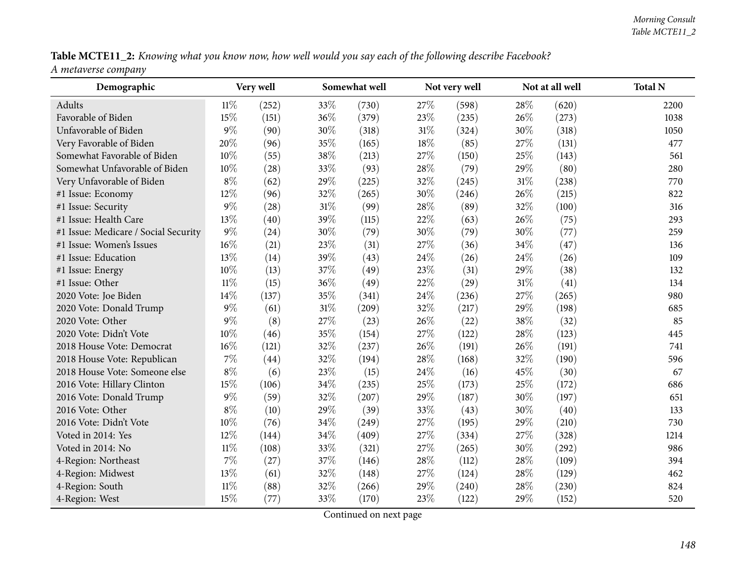Table MCTE11\_2: Knowing what you know now, how well would you say each of the following describe Facebook? *<sup>A</sup> metaverse company*

| Demographic                          |        | Very well |        | Somewhat well |        | Not very well |        | Not at all well | <b>Total N</b> |
|--------------------------------------|--------|-----------|--------|---------------|--------|---------------|--------|-----------------|----------------|
| Adults                               | $11\%$ | (252)     | 33%    | (730)         | 27\%   | (598)         | 28%    | (620)           | 2200           |
| Favorable of Biden                   | 15%    | (151)     | 36%    | (379)         | 23%    | (235)         | 26%    | (273)           | 1038           |
| Unfavorable of Biden                 | $9\%$  | (90)      | 30%    | (318)         | 31\%   | (324)         | 30%    | (318)           | 1050           |
| Very Favorable of Biden              | 20%    | (96)      | 35%    | (165)         | 18%    | (85)          | 27%    | (131)           | 477            |
| Somewhat Favorable of Biden          | 10%    | (55)      | 38%    | (213)         | 27\%   | (150)         | 25%    | (143)           | 561            |
| Somewhat Unfavorable of Biden        | 10%    | (28)      | 33%    | (93)          | $28\%$ | (79)          | 29%    | (80)            | 280            |
| Very Unfavorable of Biden            | $8\%$  | (62)      | 29%    | (225)         | 32%    | (245)         | $31\%$ | (238)           | 770            |
| #1 Issue: Economy                    | 12%    | (96)      | 32%    | (265)         | 30%    | (246)         | 26%    | (215)           | 822            |
| #1 Issue: Security                   | $9\%$  | (28)      | $31\%$ | (99)          | 28\%   | (89)          | 32%    | (100)           | 316            |
| #1 Issue: Health Care                | 13%    | (40)      | 39%    | (115)         | 22\%   | (63)          | 26%    | (75)            | 293            |
| #1 Issue: Medicare / Social Security | $9\%$  | (24)      | 30%    | (79)          | 30%    | (79)          | 30%    | (77)            | 259            |
| #1 Issue: Women's Issues             | $16\%$ | (21)      | 23%    | (31)          | 27%    | (36)          | 34%    | (47)            | 136            |
| #1 Issue: Education                  | 13%    | (14)      | 39%    | (43)          | 24\%   | (26)          | 24\%   | (26)            | 109            |
| #1 Issue: Energy                     | 10%    | (13)      | 37%    | (49)          | 23%    | (31)          | 29%    | (38)            | 132            |
| #1 Issue: Other                      | $11\%$ | (15)      | 36%    | (49)          | 22\%   | (29)          | $31\%$ | (41)            | 134            |
| 2020 Vote: Joe Biden                 | 14%    | (137)     | 35%    | (341)         | 24%    | (236)         | 27%    | (265)           | 980            |
| 2020 Vote: Donald Trump              | $9\%$  | (61)      | $31\%$ | (209)         | 32%    | (217)         | 29%    | (198)           | 685            |
| 2020 Vote: Other                     | $9\%$  | (8)       | 27%    | (23)          | 26%    | (22)          | 38%    | (32)            | 85             |
| 2020 Vote: Didn't Vote               | 10%    | (46)      | 35%    | (154)         | 27%    | (122)         | 28%    | (123)           | 445            |
| 2018 House Vote: Democrat            | 16%    | (121)     | 32%    | (237)         | 26%    | (191)         | 26%    | (191)           | 741            |
| 2018 House Vote: Republican          | $7\%$  | (44)      | 32%    | (194)         | 28\%   | (168)         | 32%    | (190)           | 596            |
| 2018 House Vote: Someone else        | $8\%$  | (6)       | 23%    | (15)          | 24%    | (16)          | 45%    | (30)            | 67             |
| 2016 Vote: Hillary Clinton           | 15%    | (106)     | 34%    | (235)         | 25\%   | (173)         | 25%    | (172)           | 686            |
| 2016 Vote: Donald Trump              | $9\%$  | (59)      | 32%    | (207)         | 29%    | (187)         | 30%    | (197)           | 651            |
| 2016 Vote: Other                     | $8\%$  | (10)      | 29%    | (39)          | 33%    | (43)          | 30%    | (40)            | 133            |
| 2016 Vote: Didn't Vote               | 10%    | (76)      | 34%    | (249)         | 27%    | (195)         | $29\%$ | (210)           | 730            |
| Voted in 2014: Yes                   | 12%    | (144)     | 34%    | (409)         | 27%    | (334)         | 27%    | (328)           | 1214           |
| Voted in 2014: No                    | $11\%$ | (108)     | 33%    | (321)         | 27%    | (265)         | 30%    | (292)           | 986            |
| 4-Region: Northeast                  | 7%     | (27)      | 37%    | (146)         | 28\%   | (112)         | 28%    | (109)           | 394            |
| 4-Region: Midwest                    | 13%    | (61)      | 32%    | (148)         | 27\%   | (124)         | 28%    | (129)           | 462            |
| 4-Region: South                      | 11%    | (88)      | 32%    | (266)         | 29%    | (240)         | 28%    | (230)           | 824            |
| 4-Region: West                       | 15%    | (77)      | 33%    | (170)         | 23\%   | (122)         | 29%    | (152)           | 520            |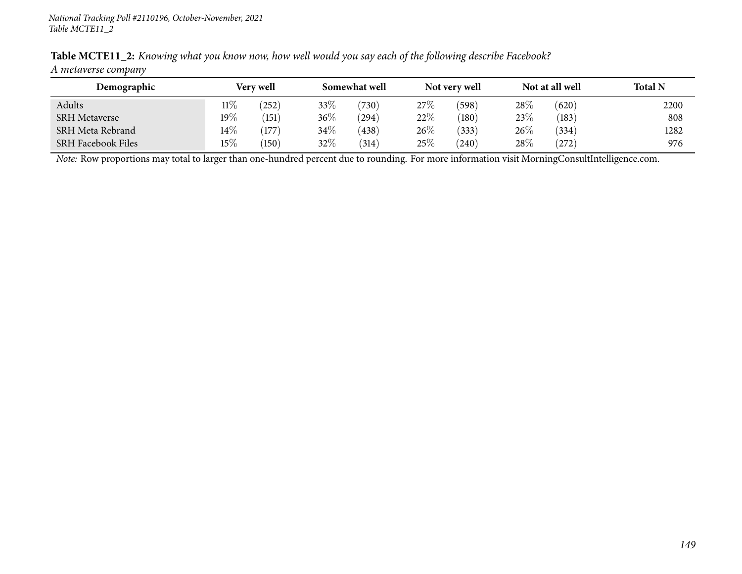| Demographic               |        | Very well |        | Somewhat well |        | Not very well |      | Not at all well | <b>Total N</b> |
|---------------------------|--------|-----------|--------|---------------|--------|---------------|------|-----------------|----------------|
| Adults                    | $11\%$ | (252)     | 33%    | (730)         | 27%    | (598)         | 28\% | (620)           | 2200           |
| <b>SRH Metaverse</b>      | $19\%$ | (151)     | $36\%$ | (294)         | $22\%$ | (180)         | 23\% | (183)           | 808            |
| SRH Meta Rebrand          | $14\%$ | 177)      | $34\%$ | (438)         | 26%    | (333)         | 26\% | (334)           | 1282           |
| <b>SRH Facebook Files</b> | 15\%   | (150)     | 32%    | (314)         | $25\%$ | $240^\circ$   | 28\% | (272)           | 976            |

Table MCTE11\_2: Knowing what you know now, how well would you say each of the following describe Facebook? *<sup>A</sup> metaverse company*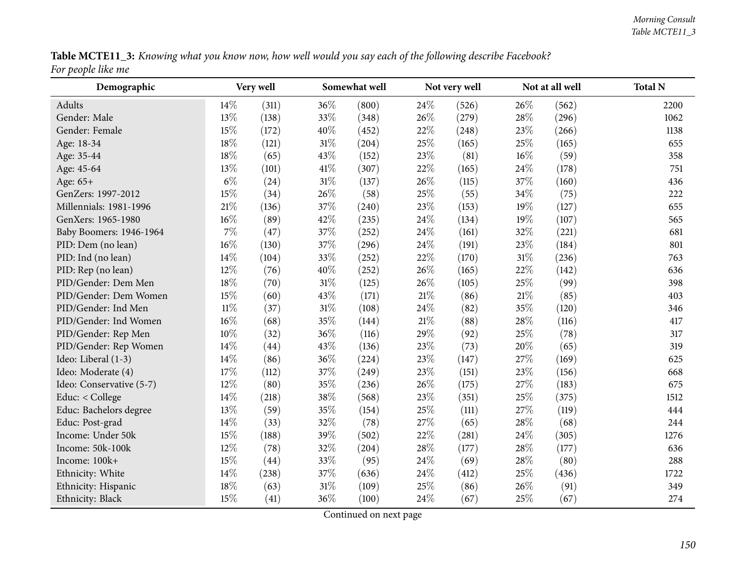| Table MCTE11_3: Knowing what you know now, how well would you say each of the following describe Facebook? |  |
|------------------------------------------------------------------------------------------------------------|--|
| For people like me                                                                                         |  |

| Demographic              |        | Very well |        | Somewhat well |        | Not very well |        | Not at all well | <b>Total N</b> |
|--------------------------|--------|-----------|--------|---------------|--------|---------------|--------|-----------------|----------------|
| Adults                   | $14\%$ | (311)     | 36%    | (800)         | 24\%   | (526)         | 26%    | (562)           | 2200           |
| Gender: Male             | 13%    | (138)     | 33%    | (348)         | 26%    | (279)         | 28%    | (296)           | 1062           |
| Gender: Female           | 15\%   | (172)     | 40%    | (452)         | 22%    | (248)         | 23%    | (266)           | 1138           |
| Age: 18-34               | 18%    | (121)     | $31\%$ | (204)         | 25%    | (165)         | 25%    | (165)           | 655            |
| Age: 35-44               | 18%    | (65)      | 43%    | (152)         | 23%    | (81)          | 16%    | (59)            | 358            |
| Age: 45-64               | 13%    | (101)     | 41\%   | (307)         | 22%    | (165)         | 24%    | (178)           | 751            |
| Age: 65+                 | $6\%$  | (24)      | 31%    | (137)         | 26%    | (115)         | 37%    | (160)           | 436            |
| GenZers: 1997-2012       | 15%    | (34)      | 26%    | (58)          | 25%    | (55)          | 34%    | (75)            | 222            |
| Millennials: 1981-1996   | $21\%$ | (136)     | 37%    | (240)         | 23%    | (153)         | 19%    | (127)           | 655            |
| GenXers: 1965-1980       | 16%    | (89)      | 42%    | (235)         | 24%    | (134)         | 19%    | (107)           | 565            |
| Baby Boomers: 1946-1964  | $7\%$  | (47)      | 37%    | (252)         | 24\%   | (161)         | 32%    | (221)           | 681            |
| PID: Dem (no lean)       | $16\%$ | (130)     | 37%    | (296)         | 24%    | (191)         | 23%    | (184)           | 801            |
| PID: Ind (no lean)       | 14\%   | (104)     | 33%    | (252)         | 22%    | (170)         | 31%    | (236)           | 763            |
| PID: Rep (no lean)       | 12%    | (76)      | 40%    | (252)         | 26%    | (165)         | 22%    | (142)           | 636            |
| PID/Gender: Dem Men      | 18%    | (70)      | $31\%$ | (125)         | 26%    | (105)         | 25%    | (99)            | 398            |
| PID/Gender: Dem Women    | 15%    | (60)      | 43%    | (171)         | 21%    | (86)          | $21\%$ | (85)            | 403            |
| PID/Gender: Ind Men      | $11\%$ | (37)      | 31%    | (108)         | 24%    | (82)          | 35%    | (120)           | 346            |
| PID/Gender: Ind Women    | $16\%$ | (68)      | 35%    | (144)         | $21\%$ | (88)          | 28%    | (116)           | 417            |
| PID/Gender: Rep Men      | 10%    | (32)      | 36%    | (116)         | 29%    | (92)          | 25%    | (78)            | 317            |
| PID/Gender: Rep Women    | 14\%   | (44)      | 43%    | (136)         | 23%    | (73)          | 20%    | (65)            | 319            |
| Ideo: Liberal (1-3)      | 14\%   | (86)      | 36%    | (224)         | 23%    | (147)         | 27%    | (169)           | 625            |
| Ideo: Moderate (4)       | 17%    | (112)     | 37%    | (249)         | 23%    | (151)         | 23%    | (156)           | 668            |
| Ideo: Conservative (5-7) | 12%    | (80)      | 35%    | (236)         | 26%    | (175)         | 27%    | (183)           | 675            |
| Educ: < College          | 14\%   | (218)     | 38%    | (568)         | 23%    | (351)         | 25%    | (375)           | 1512           |
| Educ: Bachelors degree   | 13%    | (59)      | 35%    | (154)         | 25%    | (111)         | 27%    | (119)           | 444            |
| Educ: Post-grad          | $14\%$ | (33)      | 32%    | (78)          | 27%    | (65)          | 28%    | (68)            | 244            |
| Income: Under 50k        | 15%    | (188)     | 39%    | (502)         | 22%    | (281)         | 24%    | (305)           | 1276           |
| Income: 50k-100k         | $12\%$ | (78)      | 32%    | (204)         | 28\%   | (177)         | 28%    | (177)           | 636            |
| Income: 100k+            | 15%    | (44)      | 33%    | (95)          | 24\%   | (69)          | 28%    | (80)            | 288            |
| Ethnicity: White         | 14\%   | (238)     | 37%    | (636)         | 24\%   | (412)         | 25%    | (436)           | 1722           |
| Ethnicity: Hispanic      | 18%    | (63)      | 31%    | (109)         | 25%    | (86)          | 26%    | (91)            | 349            |
| Ethnicity: Black         | 15\%   | (41)      | 36%    | (100)         | 24\%   | (67)          | 25%    | (67)            | 274            |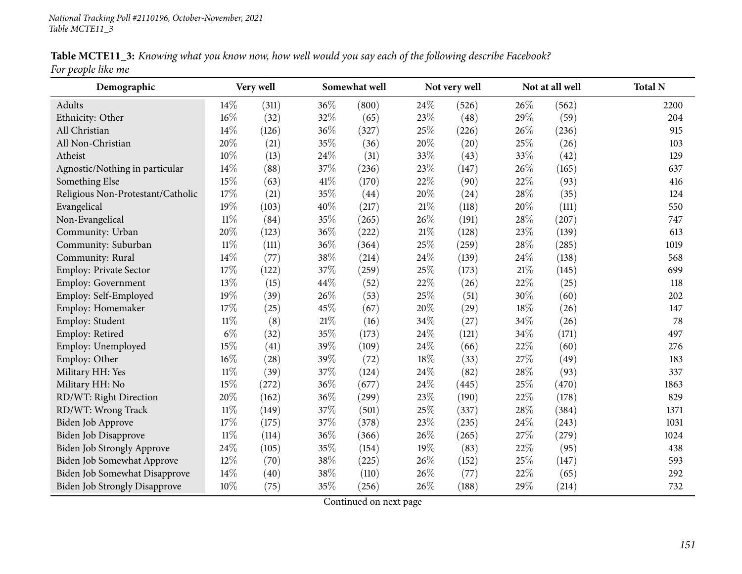| Table MCTE11_3: Knowing what you know now, how well would you say each of the following describe Facebook? |  |  |
|------------------------------------------------------------------------------------------------------------|--|--|
| For people like me                                                                                         |  |  |

| Demographic                          |        | Very well |      | Somewhat well |        | Not very well |      | Not at all well | <b>Total N</b> |
|--------------------------------------|--------|-----------|------|---------------|--------|---------------|------|-----------------|----------------|
| Adults                               | 14\%   | (311)     | 36%  | (800)         | 24\%   | (526)         | 26%  | (562)           | 2200           |
| Ethnicity: Other                     | 16%    | (32)      | 32%  | (65)          | 23%    | (48)          | 29%  | (59)            | 204            |
| All Christian                        | 14%    | (126)     | 36%  | (327)         | 25%    | (226)         | 26%  | (236)           | 915            |
| All Non-Christian                    | 20%    | (21)      | 35%  | (36)          | 20%    | (20)          | 25%  | (26)            | 103            |
| Atheist                              | 10%    | (13)      | 24%  | (31)          | 33%    | (43)          | 33%  | (42)            | 129            |
| Agnostic/Nothing in particular       | 14%    | (88)      | 37%  | (236)         | 23%    | (147)         | 26%  | (165)           | 637            |
| Something Else                       | 15%    | (63)      | 41\% | (170)         | 22%    | (90)          | 22%  | (93)            | 416            |
| Religious Non-Protestant/Catholic    | 17%    | (21)      | 35%  | (44)          | 20%    | (24)          | 28%  | (35)            | 124            |
| Evangelical                          | 19%    | (103)     | 40%  | (217)         | $21\%$ | (118)         | 20%  | (111)           | 550            |
| Non-Evangelical                      | $11\%$ | (84)      | 35%  | (265)         | 26%    | (191)         | 28%  | (207)           | 747            |
| Community: Urban                     | 20%    | (123)     | 36%  | (222)         | $21\%$ | (128)         | 23%  | (139)           | 613            |
| Community: Suburban                  | $11\%$ | (111)     | 36%  | (364)         | 25%    | (259)         | 28%  | (285)           | 1019           |
| Community: Rural                     | 14%    | (77)      | 38%  | (214)         | 24%    | (139)         | 24%  | (138)           | 568            |
| Employ: Private Sector               | 17%    | (122)     | 37%  | (259)         | 25%    | (173)         | 21%  | (145)           | 699            |
| Employ: Government                   | 13%    | (15)      | 44%  | (52)          | 22%    | (26)          | 22%  | (25)            | 118            |
| Employ: Self-Employed                | 19%    | (39)      | 26%  | (53)          | 25%    | (51)          | 30%  | (60)            | 202            |
| Employ: Homemaker                    | 17%    | (25)      | 45%  | (67)          | 20%    | (29)          | 18%  | (26)            | 147            |
| Employ: Student                      | $11\%$ | (8)       | 21%  | (16)          | 34%    | (27)          | 34%  | (26)            | 78             |
| Employ: Retired                      | $6\%$  | (32)      | 35%  | (173)         | 24%    | (121)         | 34%  | (171)           | 497            |
| Employ: Unemployed                   | 15%    | (41)      | 39%  | (109)         | 24%    | (66)          | 22%  | (60)            | 276            |
| Employ: Other                        | $16\%$ | (28)      | 39%  | (72)          | 18%    | (33)          | 27%  | (49)            | 183            |
| Military HH: Yes                     | $11\%$ | (39)      | 37%  | (124)         | 24%    | (82)          | 28%  | (93)            | 337            |
| Military HH: No                      | 15%    | (272)     | 36%  | (677)         | 24%    | (445)         | 25%  | (470)           | 1863           |
| RD/WT: Right Direction               | 20%    | (162)     | 36%  | (299)         | 23%    | (190)         | 22%  | (178)           | 829            |
| RD/WT: Wrong Track                   | $11\%$ | (149)     | 37%  | (501)         | 25%    | (337)         | 28%  | (384)           | 1371           |
| Biden Job Approve                    | 17%    | (175)     | 37%  | (378)         | 23%    | (235)         | 24\% | (243)           | 1031           |
| <b>Biden Job Disapprove</b>          | $11\%$ | (114)     | 36%  | (366)         | 26%    | (265)         | 27%  | (279)           | 1024           |
| <b>Biden Job Strongly Approve</b>    | 24%    | (105)     | 35%  | (154)         | 19%    | (83)          | 22%  | (95)            | 438            |
| Biden Job Somewhat Approve           | 12%    | (70)      | 38%  | (225)         | 26%    | (152)         | 25%  | (147)           | 593            |
| Biden Job Somewhat Disapprove        | 14%    | (40)      | 38%  | (110)         | 26\%   | (77)          | 22%  | (65)            | 292            |
| <b>Biden Job Strongly Disapprove</b> | 10%    | (75)      | 35%  | (256)         | 26%    | (188)         | 29%  | (214)           | 732            |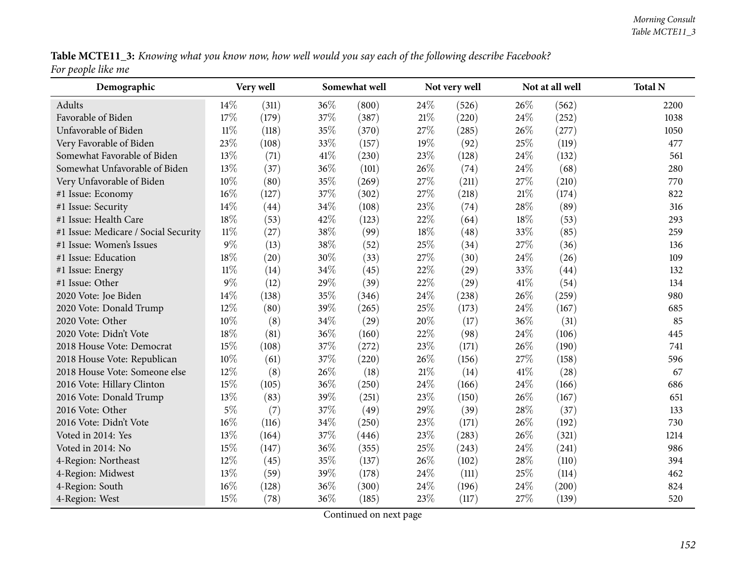|                    |  | Table MCTE11_3: Knowing what you know now, how well would you say each of the following describe Facebook? |
|--------------------|--|------------------------------------------------------------------------------------------------------------|
| For people like me |  |                                                                                                            |

| Demographic                          |        | Very well |      | Somewhat well |        | Not very well |      | Not at all well | <b>Total N</b> |
|--------------------------------------|--------|-----------|------|---------------|--------|---------------|------|-----------------|----------------|
| Adults                               | 14%    | (311)     | 36%  | (800)         | 24%    | (526)         | 26%  | (562)           | 2200           |
| Favorable of Biden                   | 17%    | (179)     | 37%  | (387)         | $21\%$ | (220)         | 24\% | (252)           | 1038           |
| Unfavorable of Biden                 | $11\%$ | (118)     | 35%  | (370)         | 27%    | (285)         | 26%  | (277)           | 1050           |
| Very Favorable of Biden              | 23%    | (108)     | 33%  | (157)         | 19%    | (92)          | 25%  | (119)           | 477            |
| Somewhat Favorable of Biden          | 13%    | (71)      | 41\% | (230)         | 23%    | (128)         | 24\% | (132)           | 561            |
| Somewhat Unfavorable of Biden        | 13%    | (37)      | 36%  | (101)         | 26%    | (74)          | 24%  | (68)            | 280            |
| Very Unfavorable of Biden            | 10%    | (80)      | 35%  | (269)         | 27%    | (211)         | 27%  | (210)           | 770            |
| #1 Issue: Economy                    | 16%    | (127)     | 37%  | (302)         | 27%    | (218)         | 21\% | (174)           | 822            |
| #1 Issue: Security                   | 14%    | (44)      | 34%  | (108)         | 23%    | (74)          | 28%  | (89)            | 316            |
| #1 Issue: Health Care                | 18%    | (53)      | 42%  | (123)         | 22%    | (64)          | 18%  | (53)            | 293            |
| #1 Issue: Medicare / Social Security | $11\%$ | (27)      | 38%  | (99)          | 18%    | (48)          | 33%  | (85)            | 259            |
| #1 Issue: Women's Issues             | $9\%$  | (13)      | 38%  | (52)          | 25%    | (34)          | 27%  | (36)            | 136            |
| #1 Issue: Education                  | 18%    | (20)      | 30%  | (33)          | 27%    | (30)          | 24%  | (26)            | 109            |
| #1 Issue: Energy                     | $11\%$ | (14)      | 34%  | (45)          | 22%    | (29)          | 33%  | (44)            | 132            |
| #1 Issue: Other                      | $9\%$  | (12)      | 29%  | (39)          | 22%    | (29)          | 41\% | (54)            | 134            |
| 2020 Vote: Joe Biden                 | 14%    | (138)     | 35%  | (346)         | $24\%$ | (238)         | 26%  | (259)           | 980            |
| 2020 Vote: Donald Trump              | 12%    | (80)      | 39%  | (265)         | 25%    | (173)         | 24%  | (167)           | 685            |
| 2020 Vote: Other                     | 10%    | (8)       | 34%  | (29)          | 20%    | (17)          | 36\% | (31)            | 85             |
| 2020 Vote: Didn't Vote               | 18%    | (81)      | 36%  | (160)         | 22%    | (98)          | 24\% | (106)           | 445            |
| 2018 House Vote: Democrat            | 15%    | (108)     | 37%  | (272)         | 23%    | (171)         | 26%  | (190)           | 741            |
| 2018 House Vote: Republican          | 10%    | (61)      | 37%  | (220)         | 26%    | (156)         | 27%  | (158)           | 596            |
| 2018 House Vote: Someone else        | 12%    | (8)       | 26%  | (18)          | $21\%$ | (14)          | 41\% | (28)            | 67             |
| 2016 Vote: Hillary Clinton           | 15%    | (105)     | 36%  | (250)         | 24%    | (166)         | 24\% | (166)           | 686            |
| 2016 Vote: Donald Trump              | 13%    | (83)      | 39%  | (251)         | 23%    | (150)         | 26%  | (167)           | 651            |
| 2016 Vote: Other                     | $5\%$  | (7)       | 37%  | (49)          | 29%    | (39)          | 28%  | (37)            | 133            |
| 2016 Vote: Didn't Vote               | 16%    | (116)     | 34%  | (250)         | 23%    | (171)         | 26%  | (192)           | 730            |
| Voted in 2014: Yes                   | 13%    | (164)     | 37%  | (446)         | 23%    | (283)         | 26%  | (321)           | 1214           |
| Voted in 2014: No                    | 15%    | (147)     | 36%  | (355)         | 25%    | (243)         | 24\% | (241)           | 986            |
| 4-Region: Northeast                  | 12%    | (45)      | 35%  | (137)         | 26%    | (102)         | 28\% | (110)           | 394            |
| 4-Region: Midwest                    | 13%    | (59)      | 39%  | (178)         | 24%    | (111)         | 25%  | (114)           | 462            |
| 4-Region: South                      | 16%    | (128)     | 36%  | (300)         | 24%    | (196)         | 24%  | (200)           | 824            |
| 4-Region: West                       | 15%    | (78)      | 36%  | (185)         | 23%    | (117)         | 27\% | (139)           | 520            |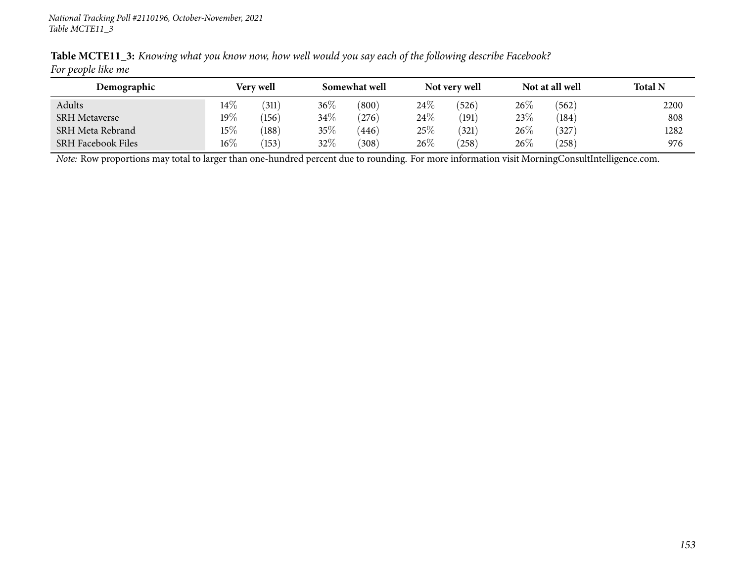| Demographic               |        | Very well |        | Somewhat well |        | Not very well |      | Not at all well | <b>Total N</b> |
|---------------------------|--------|-----------|--------|---------------|--------|---------------|------|-----------------|----------------|
| Adults                    | $14\%$ | (311)     | $36\%$ | (800)         | $24\%$ | (526)         | 26\% | (562)           | 2200           |
| <b>SRH Metaverse</b>      | 19%    | (156)     | 34%    | (276)         | $24\%$ | (191)         | 23\% | (184)           | 808            |
| SRH Meta Rebrand          | $15\%$ | (188)     | $35\%$ | 446           | 25\%   | (321)         | 26\% | 327             | 1282           |
| <b>SRH Facebook Files</b> | 16%    | (153)     | $32\%$ | (308)         | $26\%$ | (258)         | 26\% | (258)           | 976            |

Table MCTE11\_3: Knowing what you know now, how well would you say each of the following describe Facebook? *For people like me*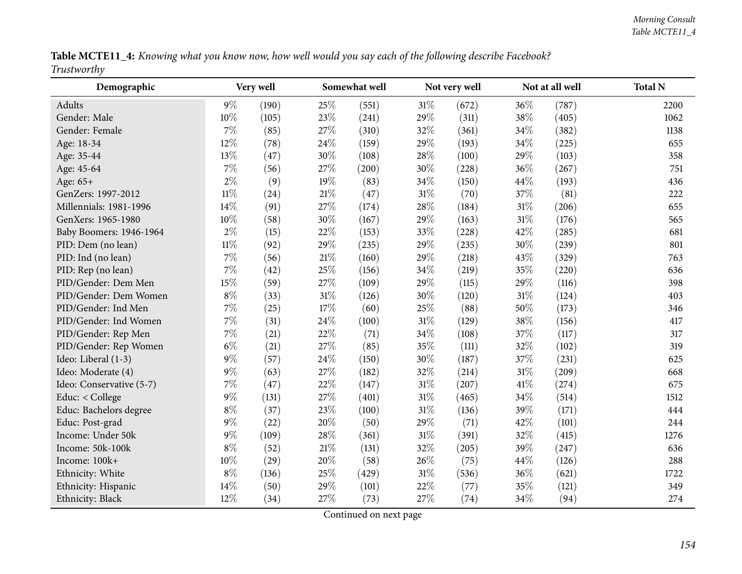|             |  |  | Table MCTE11_4: Knowing what you know now, how well would you say each of the following describe Facebook? |
|-------------|--|--|------------------------------------------------------------------------------------------------------------|
| Trustworthy |  |  |                                                                                                            |

| Demographic              |        | Very well          |     | Somewhat well |        | Not very well |        | Not at all well | <b>Total N</b> |
|--------------------------|--------|--------------------|-----|---------------|--------|---------------|--------|-----------------|----------------|
| Adults                   | $9\%$  | (190)              | 25% | (551)         | $31\%$ | (672)         | 36%    | (787)           | 2200           |
| Gender: Male             | 10%    | (105)              | 23% | (241)         | 29%    | (311)         | 38%    | (405)           | 1062           |
| Gender: Female           | 7%     | (85)               | 27% | (310)         | 32%    | (361)         | 34\%   | (382)           | 1138           |
| Age: 18-34               | 12%    | (78)               | 24% | (159)         | 29%    | (193)         | 34\%   | (225)           | 655            |
| Age: 35-44               | 13%    | (47)               | 30% | (108)         | 28%    | (100)         | 29%    | (103)           | 358            |
| Age: 45-64               | 7%     | (56)               | 27% | (200)         | 30%    | (228)         | 36%    | (267)           | 751            |
| Age: 65+                 | $2\%$  | (9)                | 19% | (83)          | 34\%   | (150)         | 44\%   | (193)           | 436            |
| GenZers: 1997-2012       | $11\%$ | (24)               | 21% | (47)          | $31\%$ | (70)          | 37%    | (81)            | 222            |
| Millennials: 1981-1996   | 14%    | (91)               | 27% | (174)         | 28%    | (184)         | $31\%$ | (206)           | 655            |
| GenXers: 1965-1980       | 10%    | (58)               | 30% | (167)         | 29%    | (163)         | $31\%$ | (176)           | 565            |
| Baby Boomers: 1946-1964  | $2\%$  | (15)               | 22% | (153)         | 33%    | (228)         | 42%    | (285)           | 681            |
| PID: Dem (no lean)       | $11\%$ | (92)               | 29% | (235)         | 29%    | (235)         | 30%    | (239)           | 801            |
| PID: Ind (no lean)       | 7%     | (56)               | 21% | (160)         | 29%    | (218)         | 43\%   | (329)           | 763            |
| PID: Rep (no lean)       | 7%     | $\left( 42\right)$ | 25% | (156)         | 34%    | (219)         | 35%    | (220)           | 636            |
| PID/Gender: Dem Men      | 15%    | (59)               | 27% | (109)         | 29%    | (115)         | 29%    | (116)           | 398            |
| PID/Gender: Dem Women    | $8\%$  | (33)               | 31% | (126)         | 30%    | (120)         | $31\%$ | (124)           | 403            |
| PID/Gender: Ind Men      | $7\%$  | (25)               | 17% | (60)          | 25%    | (88)          | 50%    | (173)           | 346            |
| PID/Gender: Ind Women    | 7%     | (31)               | 24% | (100)         | $31\%$ | (129)         | 38%    | (156)           | 417            |
| PID/Gender: Rep Men      | $7\%$  | (21)               | 22% | (71)          | $34\%$ | (108)         | 37%    | (117)           | 317            |
| PID/Gender: Rep Women    | $6\%$  | (21)               | 27% | (85)          | 35%    | (111)         | 32%    | (102)           | 319            |
| Ideo: Liberal (1-3)      | $9\%$  | (57)               | 24% | (150)         | 30%    | (187)         | 37%    | (231)           | 625            |
| Ideo: Moderate (4)       | $9\%$  | (63)               | 27% | (182)         | 32%    | (214)         | $31\%$ | (209)           | 668            |
| Ideo: Conservative (5-7) | 7%     | (47)               | 22% | (147)         | $31\%$ | (207)         | 41\%   | (274)           | 675            |
| Educ: < College          | $9\%$  | (131)              | 27% | (401)         | $31\%$ | (465)         | 34%    | (514)           | 1512           |
| Educ: Bachelors degree   | $8\%$  | (37)               | 23% | (100)         | $31\%$ | (136)         | 39%    | (171)           | 444            |
| Educ: Post-grad          | $9\%$  | (22)               | 20% | (50)          | 29%    | (71)          | 42%    | (101)           | 244            |
| Income: Under 50k        | 9%     | (109)              | 28% | (361)         | $31\%$ | (391)         | 32%    | (415)           | 1276           |
| Income: 50k-100k         | $8\%$  | (52)               | 21% | (131)         | 32%    | (205)         | 39%    | (247)           | 636            |
| Income: 100k+            | 10%    | (29)               | 20% | (58)          | 26%    | (75)          | 44\%   | (126)           | 288            |
| Ethnicity: White         | $8\%$  | (136)              | 25% | (429)         | $31\%$ | (536)         | 36\%   | (621)           | 1722           |
| Ethnicity: Hispanic      | 14%    | (50)               | 29% | (101)         | 22%    | (77)          | 35%    | (121)           | 349            |
| Ethnicity: Black         | 12%    | (34)               | 27% | (73)          | 27%    | (74)          | 34%    | (94)            | 274            |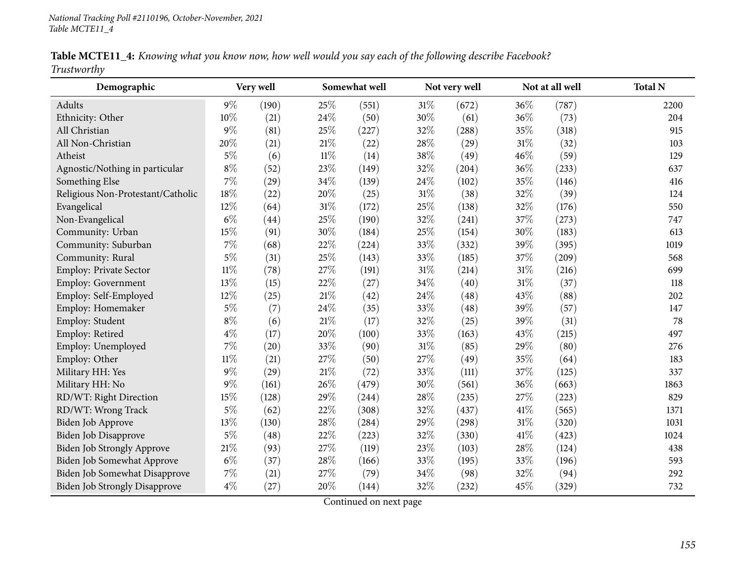|             |  |  | Table MCTE11_4: Knowing what you know now, how well would you say each of the following describe Facebook? |  |
|-------------|--|--|------------------------------------------------------------------------------------------------------------|--|
| Trustworthy |  |  |                                                                                                            |  |

| Demographic                          |        | Very well |        | Somewhat well |        | Not very well |        | Not at all well | <b>Total N</b> |
|--------------------------------------|--------|-----------|--------|---------------|--------|---------------|--------|-----------------|----------------|
| Adults                               | $9\%$  | (190)     | 25%    | (551)         | 31%    | (672)         | 36%    | (787)           | 2200           |
| Ethnicity: Other                     | 10%    | (21)      | 24%    | (50)          | 30%    | (61)          | 36%    | (73)            | 204            |
| All Christian                        | 9%     | (81)      | 25%    | (227)         | 32%    | (288)         | 35%    | (318)           | 915            |
| All Non-Christian                    | 20%    | (21)      | 21%    | (22)          | 28%    | (29)          | $31\%$ | (32)            | 103            |
| Atheist                              | $5\%$  | (6)       | $11\%$ | (14)          | 38%    | (49)          | 46%    | (59)            | 129            |
| Agnostic/Nothing in particular       | $8\%$  | (52)      | 23%    | (149)         | 32%    | (204)         | 36%    | (233)           | 637            |
| Something Else                       | 7%     | (29)      | 34%    | (139)         | 24%    | (102)         | 35%    | (146)           | 416            |
| Religious Non-Protestant/Catholic    | 18%    | (22)      | 20%    | (25)          | $31\%$ | (38)          | 32%    | (39)            | 124            |
| Evangelical                          | 12%    | (64)      | 31%    | (172)         | 25%    | (138)         | 32%    | (176)           | 550            |
| Non-Evangelical                      | $6\%$  | (44)      | 25%    | (190)         | 32%    | (241)         | 37%    | (273)           | 747            |
| Community: Urban                     | 15%    | (91)      | 30%    | (184)         | 25%    | (154)         | 30%    | (183)           | 613            |
| Community: Suburban                  | 7%     | (68)      | 22%    | (224)         | 33%    | (332)         | 39%    | (395)           | 1019           |
| Community: Rural                     | $5\%$  | (31)      | 25%    | (143)         | 33%    | (185)         | 37%    | (209)           | 568            |
| Employ: Private Sector               | $11\%$ | (78)      | 27%    | (191)         | $31\%$ | (214)         | $31\%$ | (216)           | 699            |
| Employ: Government                   | 13%    | (15)      | 22%    | (27)          | 34%    | (40)          | 31%    | (37)            | 118            |
| Employ: Self-Employed                | 12%    | (25)      | 21%    | (42)          | 24%    | (48)          | 43%    | (88)            | 202            |
| Employ: Homemaker                    | $5\%$  | (7)       | 24%    | (35)          | 33%    | (48)          | 39%    | (57)            | 147            |
| Employ: Student                      | $8\%$  | (6)       | 21%    | (17)          | 32%    | (25)          | 39%    | (31)            | 78             |
| Employ: Retired                      | $4\%$  | (17)      | 20%    | (100)         | 33%    | (163)         | 43%    | (215)           | 497            |
| Employ: Unemployed                   | 7%     | (20)      | 33%    | (90)          | 31%    | (85)          | 29%    | (80)            | 276            |
| Employ: Other                        | $11\%$ | (21)      | 27%    | (50)          | 27%    | (49)          | 35%    | (64)            | 183            |
| Military HH: Yes                     | $9\%$  | (29)      | 21%    | (72)          | 33%    | (111)         | 37%    | (125)           | 337            |
| Military HH: No                      | $9\%$  | (161)     | 26%    | (479)         | 30%    | (561)         | 36%    | (663)           | 1863           |
| RD/WT: Right Direction               | 15%    | (128)     | 29%    | (244)         | 28%    | (235)         | 27%    | (223)           | 829            |
| RD/WT: Wrong Track                   | $5\%$  | (62)      | 22%    | (308)         | 32%    | (437)         | 41\%   | (565)           | 1371           |
| Biden Job Approve                    | 13%    | (130)     | 28%    | (284)         | 29%    | (298)         | 31%    | (320)           | 1031           |
| <b>Biden Job Disapprove</b>          | $5\%$  | (48)      | 22%    | (223)         | 32%    | (330)         | $41\%$ | (423)           | 1024           |
| <b>Biden Job Strongly Approve</b>    | 21\%   | (93)      | 27%    | (119)         | 23%    | (103)         | 28%    | (124)           | 438            |
| Biden Job Somewhat Approve           | $6\%$  | (37)      | 28%    | (166)         | 33%    | (195)         | 33%    | (196)           | 593            |
| Biden Job Somewhat Disapprove        | 7%     | (21)      | 27%    | (79)          | 34%    | (98)          | 32%    | (94)            | 292            |
| <b>Biden Job Strongly Disapprove</b> | $4\%$  | (27)      | 20%    | (144)         | 32%    | (232)         | 45%    | (329)           | 732            |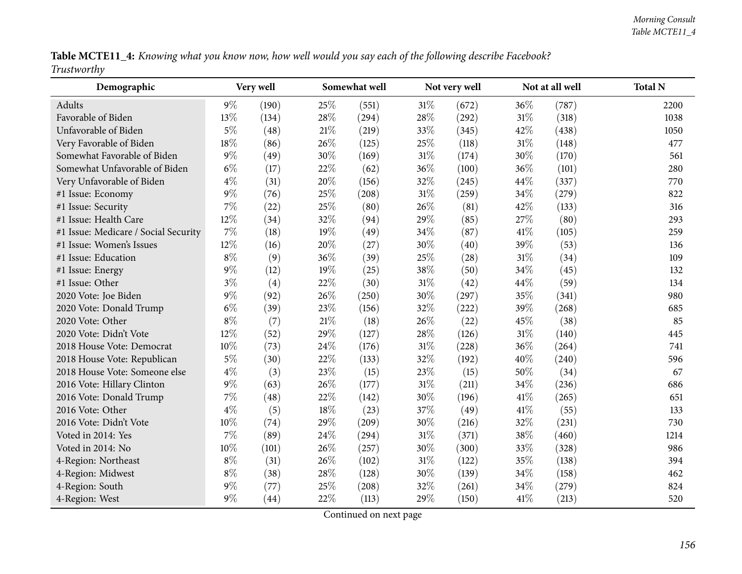| Table MCTE11_4: Knowing what you know now, how well would you say each of the following describe Facebook? |  |  |  |  |  |  |  |
|------------------------------------------------------------------------------------------------------------|--|--|--|--|--|--|--|
| Trustworthy                                                                                                |  |  |  |  |  |  |  |

| Demographic                          |       | Very well |     | Somewhat well |        | Not very well | Not at all well |       | <b>Total N</b> |
|--------------------------------------|-------|-----------|-----|---------------|--------|---------------|-----------------|-------|----------------|
| Adults                               | $9\%$ | (190)     | 25% | (551)         | $31\%$ | (672)         | 36%             | (787) | 2200           |
| Favorable of Biden                   | 13%   | (134)     | 28% | (294)         | 28\%   | (292)         | $31\%$          | (318) | 1038           |
| Unfavorable of Biden                 | $5\%$ | (48)      | 21% | (219)         | 33%    | (345)         | 42\%            | (438) | 1050           |
| Very Favorable of Biden              | 18%   | (86)      | 26% | (125)         | 25%    | (118)         | $31\%$          | (148) | 477            |
| Somewhat Favorable of Biden          | $9\%$ | (49)      | 30% | (169)         | 31%    | (174)         | 30%             | (170) | 561            |
| Somewhat Unfavorable of Biden        | $6\%$ | (17)      | 22% | (62)          | 36%    | (100)         | 36\%            | (101) | 280            |
| Very Unfavorable of Biden            | $4\%$ | (31)      | 20% | (156)         | 32%    | (245)         | 44%             | (337) | 770            |
| #1 Issue: Economy                    | $9\%$ | (76)      | 25% | (208)         | $31\%$ | (259)         | 34%             | (279) | 822            |
| #1 Issue: Security                   | 7%    | (22)      | 25% | (80)          | 26%    | (81)          | 42%             | (133) | 316            |
| #1 Issue: Health Care                | 12%   | (34)      | 32% | (94)          | 29%    | (85)          | 27%             | (80)  | 293            |
| #1 Issue: Medicare / Social Security | 7%    | (18)      | 19% | (49)          | $34\%$ | (87)          | 41\%            | (105) | 259            |
| #1 Issue: Women's Issues             | 12%   | (16)      | 20% | (27)          | $30\%$ | (40)          | 39%             | (53)  | 136            |
| #1 Issue: Education                  | $8\%$ | (9)       | 36% | (39)          | 25%    | (28)          | $31\%$          | (34)  | 109            |
| #1 Issue: Energy                     | $9\%$ | (12)      | 19% | (25)          | 38%    | (50)          | 34\%            | (45)  | 132            |
| #1 Issue: Other                      | $3\%$ | (4)       | 22% | (30)          | $31\%$ | (42)          | 44\%            | (59)  | 134            |
| 2020 Vote: Joe Biden                 | $9\%$ | (92)      | 26% | (250)         | 30%    | (297)         | 35%             | (341) | 980            |
| 2020 Vote: Donald Trump              | $6\%$ | (39)      | 23% | (156)         | 32%    | (222)         | 39%             | (268) | 685            |
| 2020 Vote: Other                     | $8\%$ | (7)       | 21% | (18)          | 26%    | (22)          | 45\%            | (38)  | 85             |
| 2020 Vote: Didn't Vote               | 12%   | (52)      | 29% | (127)         | 28%    | (126)         | $31\%$          | (140) | 445            |
| 2018 House Vote: Democrat            | 10%   | (73)      | 24% | (176)         | $31\%$ | (228)         | 36%             | (264) | 741            |
| 2018 House Vote: Republican          | $5\%$ | (30)      | 22% | (133)         | 32%    | (192)         | 40%             | (240) | 596            |
| 2018 House Vote: Someone else        | $4\%$ | (3)       | 23% | (15)          | 23%    | (15)          | 50%             | (34)  | 67             |
| 2016 Vote: Hillary Clinton           | $9\%$ | (63)      | 26% | (177)         | $31\%$ | (211)         | 34\%            | (236) | 686            |
| 2016 Vote: Donald Trump              | $7\%$ | (48)      | 22% | (142)         | 30%    | (196)         | 41\%            | (265) | 651            |
| 2016 Vote: Other                     | $4\%$ | (5)       | 18% | (23)          | $37\%$ | (49)          | 41%             | (55)  | 133            |
| 2016 Vote: Didn't Vote               | 10%   | (74)      | 29% | (209)         | $30\%$ | (216)         | 32%             | (231) | 730            |
| Voted in 2014: Yes                   | 7%    | (89)      | 24% | (294)         | $31\%$ | (371)         | 38%             | (460) | 1214           |
| Voted in 2014: No                    | 10%   | (101)     | 26% | (257)         | 30%    | (300)         | 33\%            | (328) | 986            |
| 4-Region: Northeast                  | $8\%$ | (31)      | 26% | (102)         | $31\%$ | (122)         | 35%             | (138) | 394            |
| 4-Region: Midwest                    | $8\%$ | (38)      | 28% | (128)         | 30%    | (139)         | 34\%            | (158) | 462            |
| 4-Region: South                      | 9%    | (77)      | 25% | (208)         | 32%    | (261)         | 34%             | (279) | 824            |
| 4-Region: West                       | 9%    | (44)      | 22% | (113)         | 29%    | (150)         | 41\%            | (213) | 520            |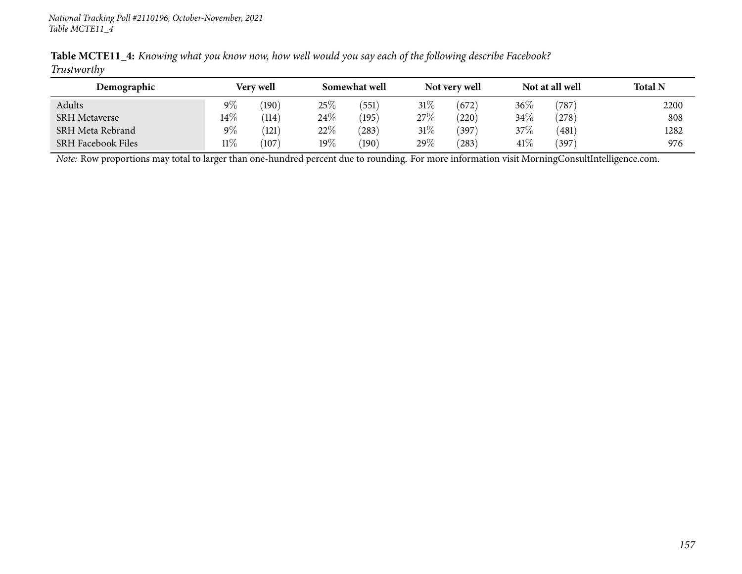|             |  | <b>Table MCTE11_4:</b> Knowing what you know now, how well would you say each of the following describe Facebook? |  |
|-------------|--|-------------------------------------------------------------------------------------------------------------------|--|
| Trustworthy |  |                                                                                                                   |  |

| Demographic               | <b>Very well</b> |       |        | Somewhat well |        | Not very well |        | Not at all well | <b>Total N</b> |
|---------------------------|------------------|-------|--------|---------------|--------|---------------|--------|-----------------|----------------|
| Adults                    | $9\%$            | (190) | $25\%$ | (551)         | $31\%$ | (672)         | $36\%$ | $^{\prime}787$  | 2200           |
| <b>SRH Metaverse</b>      | $14\%$           | (114) | $24\%$ | (195)         | 27\%   | (220)         | 34\%   | (278)           | 808            |
| SRH Meta Rebrand          | $9\%$            | (121) | 22\%   | (283)         | $31\%$ | 397           | 37\%   | (481)           | 1282           |
| <b>SRH Facebook Files</b> | $11\%$           | (107) | $19\%$ | (190)         | 29%    | (283)         | 41\%   | (397)           | 976            |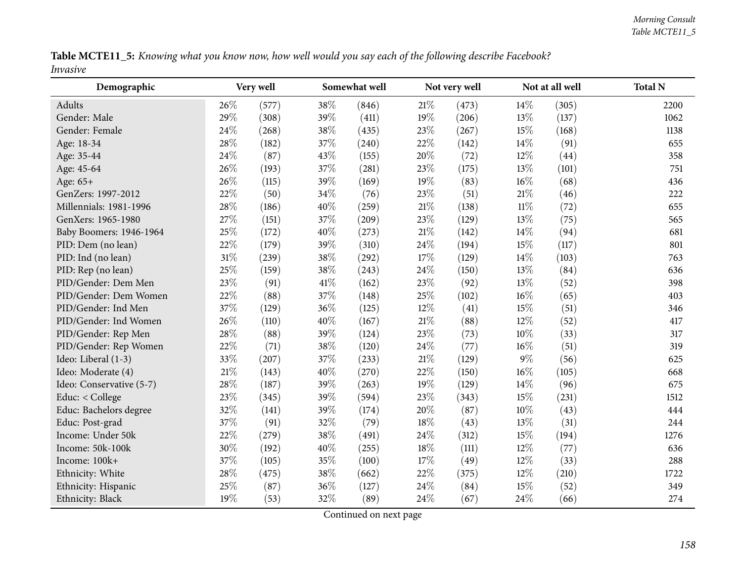Table MCTE11\_5: Knowing what you know now, how well would you say each of the following describe Facebook? *Invasive*

| Demographic              |     | Very well |      | Somewhat well |        | Not very well |        | Not at all well | <b>Total N</b> |
|--------------------------|-----|-----------|------|---------------|--------|---------------|--------|-----------------|----------------|
| Adults                   | 26% | (577)     | 38%  | (846)         | 21%    | (473)         | 14\%   | (305)           | 2200           |
| Gender: Male             | 29% | (308)     | 39%  | (411)         | 19%    | (206)         | 13%    | (137)           | 1062           |
| Gender: Female           | 24% | (268)     | 38%  | (435)         | 23\%   | (267)         | 15%    | (168)           | 1138           |
| Age: 18-34               | 28% | (182)     | 37%  | (240)         | 22%    | (142)         | 14\%   | (91)            | 655            |
| Age: 35-44               | 24% | (87)      | 43%  | (155)         | 20%    | (72)          | $12\%$ | (44)            | 358            |
| Age: 45-64               | 26% | (193)     | 37%  | (281)         | 23%    | (175)         | 13%    | (101)           | 751            |
| Age: 65+                 | 26% | (115)     | 39%  | (169)         | 19%    | (83)          | 16%    | (68)            | 436            |
| GenZers: 1997-2012       | 22% | (50)      | 34%  | (76)          | 23%    | (51)          | 21%    | (46)            | 222            |
| Millennials: 1981-1996   | 28% | (186)     | 40%  | (259)         | $21\%$ | (138)         | $11\%$ | (72)            | 655            |
| GenXers: 1965-1980       | 27% | (151)     | 37%  | (209)         | 23%    | (129)         | 13%    | (75)            | 565            |
| Baby Boomers: 1946-1964  | 25% | (172)     | 40%  | (273)         | $21\%$ | (142)         | 14\%   | (94)            | 681            |
| PID: Dem (no lean)       | 22% | (179)     | 39%  | (310)         | 24\%   | (194)         | 15%    | (117)           | 801            |
| PID: Ind (no lean)       | 31% | (239)     | 38%  | (292)         | 17%    | (129)         | 14\%   | (103)           | 763            |
| PID: Rep (no lean)       | 25% | (159)     | 38%  | (243)         | 24\%   | (150)         | 13%    | (84)            | 636            |
| PID/Gender: Dem Men      | 23% | (91)      | 41\% | (162)         | 23%    | (92)          | 13%    | (52)            | 398            |
| PID/Gender: Dem Women    | 22% | (88)      | 37%  | (148)         | 25%    | (102)         | $16\%$ | (65)            | 403            |
| PID/Gender: Ind Men      | 37% | (129)     | 36%  | (125)         | $12\%$ | (41)          | 15%    | (51)            | 346            |
| PID/Gender: Ind Women    | 26% | (110)     | 40%  | (167)         | $21\%$ | (88)          | 12%    | (52)            | 417            |
| PID/Gender: Rep Men      | 28% | (88)      | 39%  | (124)         | 23%    | (73)          | 10%    | (33)            | 317            |
| PID/Gender: Rep Women    | 22% | (71)      | 38%  | (120)         | 24\%   | (77)          | $16\%$ | (51)            | 319            |
| Ideo: Liberal (1-3)      | 33% | (207)     | 37%  | (233)         | $21\%$ | (129)         | $9\%$  | (56)            | 625            |
| Ideo: Moderate (4)       | 21% | (143)     | 40%  | (270)         | 22%    | (150)         | 16%    | (105)           | 668            |
| Ideo: Conservative (5-7) | 28% | (187)     | 39%  | (263)         | 19%    | (129)         | 14\%   | (96)            | 675            |
| Educ: < College          | 23% | (345)     | 39%  | (594)         | 23\%   | (343)         | 15%    | (231)           | 1512           |
| Educ: Bachelors degree   | 32% | (141)     | 39%  | (174)         | 20%    | (87)          | 10%    | (43)            | 444            |
| Educ: Post-grad          | 37% | (91)      | 32%  | (79)          | 18%    | (43)          | 13\%   | (31)            | 244            |
| Income: Under 50k        | 22% | (279)     | 38%  | (491)         | 24\%   | (312)         | 15%    | (194)           | 1276           |
| Income: 50k-100k         | 30% | (192)     | 40%  | (255)         | 18%    | (111)         | $12\%$ | (77)            | 636            |
| Income: 100k+            | 37% | (105)     | 35%  | (100)         | 17%    | (49)          | 12%    | (33)            | 288            |
| Ethnicity: White         | 28% | (475)     | 38%  | (662)         | 22%    | (375)         | $12\%$ | (210)           | 1722           |
| Ethnicity: Hispanic      | 25% | (87)      | 36%  | (127)         | 24%    | (84)          | 15%    | (52)            | 349            |
| Ethnicity: Black         | 19% | (53)      | 32%  | (89)          | 24\%   | (67)          | 24\%   | (66)            | 274            |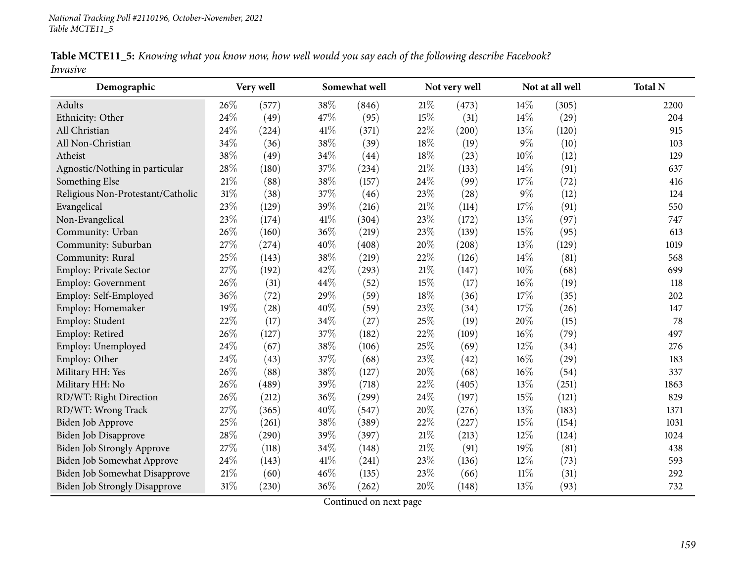|          | Table MCTE11_5: Knowing what you know now, how well would you say each of the following describe Facebook? |  |  |  |
|----------|------------------------------------------------------------------------------------------------------------|--|--|--|
| Invasive |                                                                                                            |  |  |  |

| Demographic                          |        | Somewhat well<br>Very well |      |       | Not very well |       | Not at all well | <b>Total N</b> |      |
|--------------------------------------|--------|----------------------------|------|-------|---------------|-------|-----------------|----------------|------|
| Adults                               | 26\%   | (577)                      | 38%  | (846) | 21\%          | (473) | 14\%            | (305)          | 2200 |
| Ethnicity: Other                     | 24%    | (49)                       | 47%  | (95)  | 15%           | (31)  | 14\%            | (29)           | 204  |
| All Christian                        | 24%    | (224)                      | 41\% | (371) | 22%           | (200) | 13%             | (120)          | 915  |
| All Non-Christian                    | 34%    | (36)                       | 38%  | (39)  | 18%           | (19)  | $9\%$           | (10)           | 103  |
| Atheist                              | 38\%   | (49)                       | 34%  | (44)  | $18\%$        | (23)  | 10%             | (12)           | 129  |
| Agnostic/Nothing in particular       | 28%    | (180)                      | 37%  | (234) | 21%           | (133) | 14%             | (91)           | 637  |
| Something Else                       | $21\%$ | (88)                       | 38%  | (157) | 24\%          | (99)  | 17%             | (72)           | 416  |
| Religious Non-Protestant/Catholic    | $31\%$ | (38)                       | 37%  | (46)  | 23%           | (28)  | $9\%$           | (12)           | 124  |
| Evangelical                          | 23%    | (129)                      | 39%  | (216) | 21%           | (114) | 17%             | (91)           | 550  |
| Non-Evangelical                      | 23%    | (174)                      | 41\% | (304) | 23%           | (172) | 13%             | (97)           | 747  |
| Community: Urban                     | 26%    | (160)                      | 36%  | (219) | 23%           | (139) | 15%             | (95)           | 613  |
| Community: Suburban                  | 27%    | (274)                      | 40%  | (408) | 20%           | (208) | 13%             | (129)          | 1019 |
| Community: Rural                     | 25%    | (143)                      | 38%  | (219) | 22%           | (126) | 14\%            | (81)           | 568  |
| Employ: Private Sector               | 27%    | (192)                      | 42%  | (293) | 21%           | (147) | 10%             | (68)           | 699  |
| Employ: Government                   | 26%    | (31)                       | 44%  | (52)  | 15%           | (17)  | 16%             | (19)           | 118  |
| Employ: Self-Employed                | 36%    | (72)                       | 29%  | (59)  | 18%           | (36)  | 17\%            | (35)           | 202  |
| Employ: Homemaker                    | 19%    | (28)                       | 40%  | (59)  | 23%           | (34)  | 17%             | (26)           | 147  |
| Employ: Student                      | 22%    | (17)                       | 34%  | (27)  | 25%           | (19)  | 20%             | (15)           | 78   |
| Employ: Retired                      | 26\%   | (127)                      | 37%  | (182) | 22%           | (109) | 16%             | (79)           | 497  |
| Employ: Unemployed                   | 24\%   | (67)                       | 38%  | (106) | 25%           | (69)  | 12%             | (34)           | 276  |
| Employ: Other                        | 24\%   | (43)                       | 37%  | (68)  | 23%           | (42)  | 16%             | (29)           | 183  |
| Military HH: Yes                     | 26%    | (88)                       | 38%  | (127) | 20%           | (68)  | 16%             | (54)           | 337  |
| Military HH: No                      | 26%    | (489)                      | 39%  | (718) | 22%           | (405) | 13%             | (251)          | 1863 |
| RD/WT: Right Direction               | 26%    | (212)                      | 36%  | (299) | 24%           | (197) | 15%             | (121)          | 829  |
| RD/WT: Wrong Track                   | 27%    | (365)                      | 40%  | (547) | 20%           | (276) | 13%             | (183)          | 1371 |
| Biden Job Approve                    | 25%    | (261)                      | 38%  | (389) | 22%           | (227) | 15%             | (154)          | 1031 |
| Biden Job Disapprove                 | 28%    | (290)                      | 39%  | (397) | $21\%$        | (213) | 12%             | (124)          | 1024 |
| Biden Job Strongly Approve           | 27%    | (118)                      | 34%  | (148) | $21\%$        | (91)  | 19%             | (81)           | 438  |
| Biden Job Somewhat Approve           | 24\%   | (143)                      | 41\% | (241) | 23%           | (136) | 12%             | (73)           | 593  |
| Biden Job Somewhat Disapprove        | 21%    | (60)                       | 46%  | (135) | 23%           | (66)  | $11\%$          | (31)           | 292  |
| <b>Biden Job Strongly Disapprove</b> | 31%    | (230)                      | 36%  | (262) | 20%           | (148) | 13%             | (93)           | 732  |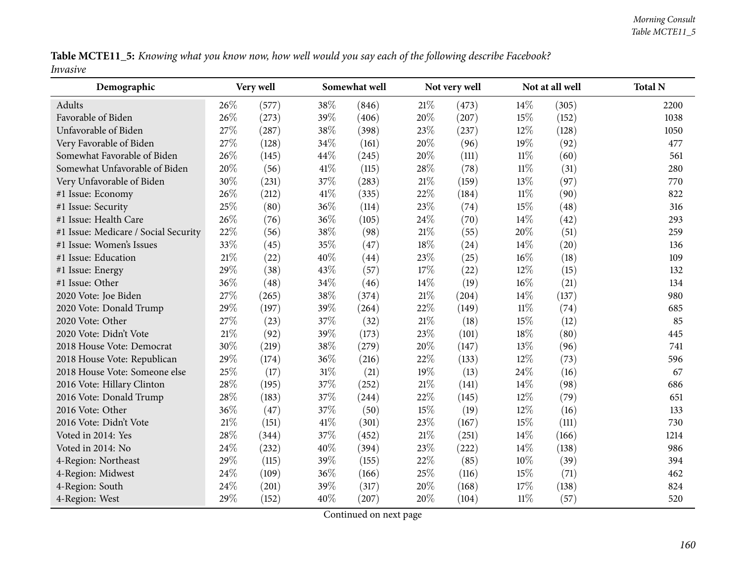Table MCTE11\_5: Knowing what you know now, how well would you say each of the following describe Facebook? *Invasive*

| Demographic                          |        | Very well |        | Somewhat well |        | Not very well |        | Not at all well | <b>Total N</b> |
|--------------------------------------|--------|-----------|--------|---------------|--------|---------------|--------|-----------------|----------------|
| Adults                               | 26\%   | (577)     | 38%    | (846)         | 21%    | (473)         | 14\%   | (305)           | 2200           |
| Favorable of Biden                   | 26%    | (273)     | 39%    | (406)         | 20%    | (207)         | 15%    | (152)           | 1038           |
| Unfavorable of Biden                 | 27%    | (287)     | 38%    | (398)         | 23\%   | (237)         | 12%    | (128)           | 1050           |
| Very Favorable of Biden              | 27%    | (128)     | 34%    | (161)         | 20%    | (96)          | $19\%$ | (92)            | 477            |
| Somewhat Favorable of Biden          | 26%    | (145)     | 44\%   | (245)         | 20%    | (111)         | $11\%$ | (60)            | 561            |
| Somewhat Unfavorable of Biden        | 20%    | (56)      | 41%    | (115)         | 28\%   | (78)          | $11\%$ | (31)            | 280            |
| Very Unfavorable of Biden            | 30%    | (231)     | 37%    | (283)         | 21%    | (159)         | 13%    | (97)            | 770            |
| #1 Issue: Economy                    | 26%    | (212)     | 41%    | (335)         | 22%    | (184)         | $11\%$ | (90)            | 822            |
| #1 Issue: Security                   | 25%    | (80)      | 36%    | (114)         | 23%    | (74)          | 15%    | (48)            | 316            |
| #1 Issue: Health Care                | 26%    | (76)      | 36%    | (105)         | 24\%   | (70)          | 14%    | (42)            | 293            |
| #1 Issue: Medicare / Social Security | 22%    | (56)      | 38%    | (98)          | $21\%$ | (55)          | 20%    | (51)            | 259            |
| #1 Issue: Women's Issues             | 33%    | (45)      | 35%    | (47)          | 18%    | (24)          | 14\%   | (20)            | 136            |
| #1 Issue: Education                  | 21%    | (22)      | 40%    | (44)          | 23%    | (25)          | 16%    | (18)            | 109            |
| #1 Issue: Energy                     | 29%    | (38)      | 43%    | (57)          | 17%    | (22)          | 12%    | (15)            | 132            |
| #1 Issue: Other                      | 36%    | (48)      | 34%    | (46)          | $14\%$ | (19)          | 16%    | (21)            | 134            |
| 2020 Vote: Joe Biden                 | 27%    | (265)     | 38%    | (374)         | 21%    | (204)         | 14%    | (137)           | 980            |
| 2020 Vote: Donald Trump              | 29%    | (197)     | 39%    | (264)         | 22%    | (149)         | $11\%$ | (74)            | 685            |
| 2020 Vote: Other                     | 27%    | (23)      | 37%    | (32)          | $21\%$ | (18)          | 15%    | (12)            | 85             |
| 2020 Vote: Didn't Vote               | 21%    | (92)      | 39%    | (173)         | 23%    | (101)         | 18%    | (80)            | 445            |
| 2018 House Vote: Democrat            | 30%    | (219)     | 38%    | (279)         | 20%    | (147)         | 13%    | (96)            | 741            |
| 2018 House Vote: Republican          | 29%    | (174)     | 36%    | (216)         | 22%    | (133)         | 12%    | (73)            | 596            |
| 2018 House Vote: Someone else        | 25%    | (17)      | $31\%$ | (21)          | $19\%$ | (13)          | 24\%   | (16)            | 67             |
| 2016 Vote: Hillary Clinton           | 28%    | (195)     | 37%    | (252)         | 21%    | (141)         | 14\%   | (98)            | 686            |
| 2016 Vote: Donald Trump              | 28%    | (183)     | 37%    | (244)         | 22\%   | (145)         | $12\%$ | (79)            | 651            |
| 2016 Vote: Other                     | 36%    | (47)      | 37%    | (50)          | 15%    | (19)          | $12\%$ | (16)            | 133            |
| 2016 Vote: Didn't Vote               | $21\%$ | (151)     | 41\%   | (301)         | 23%    | (167)         | 15%    | (111)           | 730            |
| Voted in 2014: Yes                   | 28%    | (344)     | 37%    | (452)         | 21%    | (251)         | 14%    | (166)           | 1214           |
| Voted in 2014: No                    | 24%    | (232)     | 40%    | (394)         | 23%    | (222)         | 14%    | (138)           | 986            |
| 4-Region: Northeast                  | 29%    | (115)     | 39%    | (155)         | 22%    | (85)          | 10%    | (39)            | 394            |
| 4-Region: Midwest                    | 24%    | (109)     | 36%    | (166)         | 25\%   | (116)         | 15%    | (71)            | 462            |
| 4-Region: South                      | 24%    | (201)     | 39%    | (317)         | 20%    | (168)         | 17%    | (138)           | 824            |
| 4-Region: West                       | 29%    | (152)     | 40%    | (207)         | 20%    | (104)         | $11\%$ | (57)            | 520            |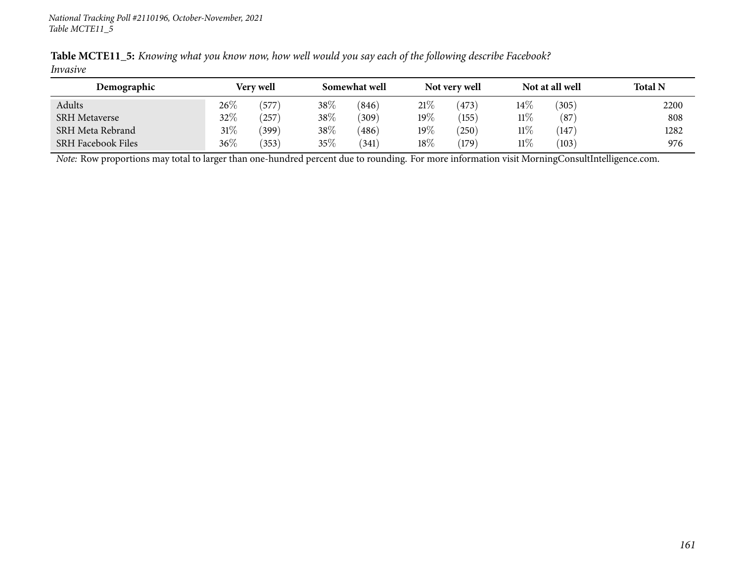| Table MCTE11_5: Knowing what you know now, how well would you say each of the following describe Facebook? |  |  |  |  |  |
|------------------------------------------------------------------------------------------------------------|--|--|--|--|--|
| Invasive                                                                                                   |  |  |  |  |  |

| Demographic               |        | Very well         |      | Somewhat well |         | Not very well |        | Not at all well | <b>Total N</b> |
|---------------------------|--------|-------------------|------|---------------|---------|---------------|--------|-----------------|----------------|
| Adults                    | 26\%   | .577 <sup>°</sup> | 38\% | (846)         | 21\%    | (473)         | $14\%$ | 305             | 2200           |
| <b>SRH Metaverse</b>      | 32%    | 257               | 38\% | (309)         | 19%     | (155)         | $11\%$ | (87)            | 808            |
| SRH Meta Rebrand          | $31\%$ | (399)             | 38\% | (486)         | 19 $\%$ | 250           | $11\%$ | 147             | 1282           |
| <b>SRH Facebook Files</b> | 36%    | (353)             | 35%  | (341)         | 18%     | (179)         | $11\%$ | (103)           | 976            |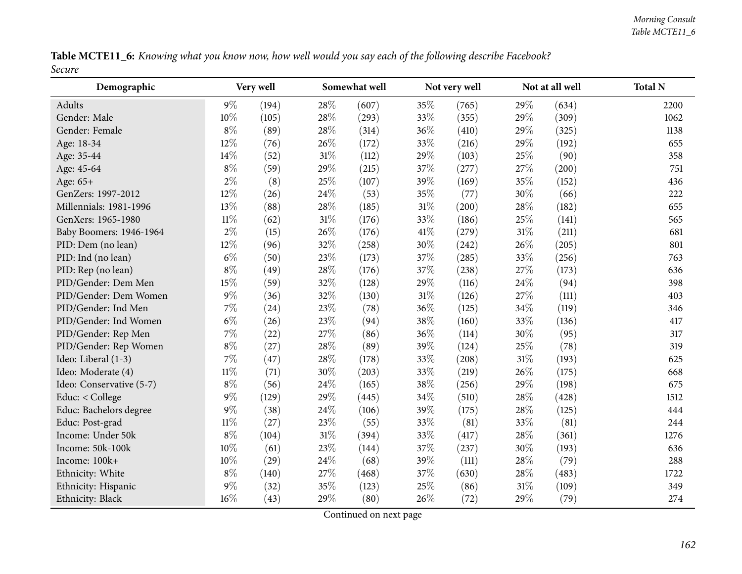Table MCTE11\_6: Knowing what you know now, how well would you say each of the following describe Facebook? *Secure*

| Demographic              |        | Very well |        | Somewhat well |        | Not very well |        | Not at all well | <b>Total N</b> |
|--------------------------|--------|-----------|--------|---------------|--------|---------------|--------|-----------------|----------------|
| Adults                   | $9\%$  | (194)     | 28\%   | (607)         | 35%    | (765)         | 29%    | (634)           | 2200           |
| Gender: Male             | 10%    | (105)     | 28%    | (293)         | 33%    | (355)         | 29%    | (309)           | 1062           |
| Gender: Female           | $8\%$  | (89)      | 28%    | (314)         | 36\%   | (410)         | 29%    | (325)           | 1138           |
| Age: 18-34               | 12%    | (76)      | 26%    | (172)         | 33%    | (216)         | 29%    | (192)           | 655            |
| Age: 35-44               | 14%    | (52)      | $31\%$ | (112)         | 29%    | (103)         | 25%    | (90)            | 358            |
| Age: 45-64               | $8\%$  | (59)      | 29%    | (215)         | 37%    | (277)         | 27%    | (200)           | 751            |
| Age: 65+                 | $2\%$  | (8)       | 25%    | (107)         | 39%    | (169)         | 35%    | (152)           | 436            |
| GenZers: 1997-2012       | 12%    | (26)      | 24%    | (53)          | 35%    | (77)          | 30%    | (66)            | 222            |
| Millennials: 1981-1996   | 13%    | (88)      | 28\%   | (185)         | $31\%$ | (200)         | 28%    | (182)           | 655            |
| GenXers: 1965-1980       | $11\%$ | (62)      | $31\%$ | (176)         | 33%    | (186)         | 25%    | (141)           | 565            |
| Baby Boomers: 1946-1964  | $2\%$  | (15)      | 26%    | (176)         | 41\%   | (279)         | $31\%$ | (211)           | 681            |
| PID: Dem (no lean)       | 12%    | (96)      | 32%    | (258)         | 30%    | (242)         | 26%    | (205)           | 801            |
| PID: Ind (no lean)       | $6\%$  | (50)      | 23%    | (173)         | 37\%   | (285)         | 33%    | (256)           | 763            |
| PID: Rep (no lean)       | $8\%$  | (49)      | 28\%   | (176)         | 37%    | (238)         | 27%    | (173)           | 636            |
| PID/Gender: Dem Men      | 15%    | (59)      | 32%    | (128)         | 29%    | (116)         | 24%    | (94)            | 398            |
| PID/Gender: Dem Women    | $9\%$  | (36)      | 32%    | (130)         | $31\%$ | (126)         | 27%    | (111)           | 403            |
| PID/Gender: Ind Men      | $7\%$  | (24)      | 23%    | (78)          | 36%    | (125)         | 34%    | (119)           | 346            |
| PID/Gender: Ind Women    | $6\%$  | (26)      | 23%    | (94)          | 38%    | (160)         | 33%    | (136)           | 417            |
| PID/Gender: Rep Men      | 7%     | (22)      | 27%    | (86)          | 36%    | (114)         | 30%    | (95)            | 317            |
| PID/Gender: Rep Women    | $8\%$  | (27)      | 28\%   | (89)          | 39%    | (124)         | 25%    | (78)            | 319            |
| Ideo: Liberal (1-3)      | $7\%$  | (47)      | 28\%   | (178)         | 33%    | (208)         | $31\%$ | (193)           | 625            |
| Ideo: Moderate (4)       | $11\%$ | (71)      | 30%    | (203)         | 33%    | (219)         | 26%    | (175)           | 668            |
| Ideo: Conservative (5-7) | $8\%$  | (56)      | 24\%   | (165)         | 38%    | (256)         | 29%    | (198)           | 675            |
| Educ: < College          | $9\%$  | (129)     | 29%    | (445)         | 34\%   | (510)         | 28%    | (428)           | 1512           |
| Educ: Bachelors degree   | $9\%$  | (38)      | 24%    | (106)         | 39%    | (175)         | 28%    | (125)           | 444            |
| Educ: Post-grad          | 11%    | (27)      | 23%    | (55)          | 33%    | (81)          | 33%    | (81)            | 244            |
| Income: Under 50k        | $8\%$  | (104)     | $31\%$ | (394)         | 33%    | (417)         | 28%    | (361)           | 1276           |
| Income: 50k-100k         | $10\%$ | (61)      | 23%    | (144)         | 37%    | (237)         | 30%    | (193)           | 636            |
| Income: 100k+            | $10\%$ | (29)      | 24\%   | (68)          | 39%    | (111)         | 28%    | (79)            | 288            |
| Ethnicity: White         | $8\%$  | (140)     | 27%    | (468)         | 37%    | (630)         | 28%    | (483)           | 1722           |
| Ethnicity: Hispanic      | $9\%$  | (32)      | 35%    | (123)         | 25%    | (86)          | 31%    | (109)           | 349            |
| Ethnicity: Black         | 16%    | (43)      | 29%    | (80)          | 26\%   | (72)          | 29%    | (79)            | 274            |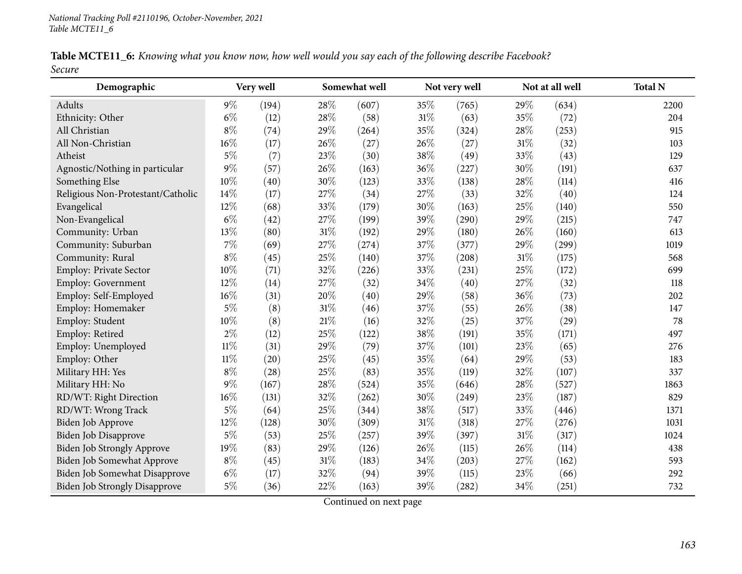|        | Table MCTE11_6: Knowing what you know now, how well would you say each of the following describe Facebook? |  |  |  |
|--------|------------------------------------------------------------------------------------------------------------|--|--|--|
| Secure |                                                                                                            |  |  |  |

| Demographic                          |        | Very well          |     | Somewhat well |        | Not very well |        | Not at all well | <b>Total N</b> |
|--------------------------------------|--------|--------------------|-----|---------------|--------|---------------|--------|-----------------|----------------|
| Adults                               | $9\%$  | (194)              | 28% | (607)         | 35%    | (765)         | 29%    | (634)           | 2200           |
| Ethnicity: Other                     | $6\%$  | (12)               | 28% | (58)          | $31\%$ | (63)          | 35%    | (72)            | 204            |
| All Christian                        | $8\%$  | (74)               | 29% | (264)         | 35%    | (324)         | 28%    | (253)           | 915            |
| All Non-Christian                    | 16%    | (17)               | 26% | (27)          | 26%    | (27)          | $31\%$ | (32)            | 103            |
| Atheist                              | 5%     | (7)                | 23% | (30)          | 38\%   | (49)          | 33%    | (43)            | 129            |
| Agnostic/Nothing in particular       | 9%     | (57)               | 26% | (163)         | 36%    | (227)         | 30%    | (191)           | 637            |
| Something Else                       | 10%    | (40)               | 30% | (123)         | 33%    | (138)         | 28%    | (114)           | 416            |
| Religious Non-Protestant/Catholic    | 14%    | (17)               | 27% | (34)          | 27%    | (33)          | 32%    | (40)            | 124            |
| Evangelical                          | 12%    | (68)               | 33% | (179)         | 30%    | (163)         | 25%    | (140)           | 550            |
| Non-Evangelical                      | $6\%$  | $\left( 42\right)$ | 27% | (199)         | 39%    | (290)         | 29%    | (215)           | 747            |
| Community: Urban                     | 13%    | (80)               | 31% | (192)         | 29%    | (180)         | 26\%   | (160)           | 613            |
| Community: Suburban                  | 7%     | (69)               | 27% | (274)         | 37%    | (377)         | 29%    | (299)           | 1019           |
| Community: Rural                     | $8\%$  | (45)               | 25% | (140)         | 37%    | (208)         | 31%    | (175)           | 568            |
| Employ: Private Sector               | 10%    | (71)               | 32% | (226)         | 33%    | (231)         | 25%    | (172)           | 699            |
| Employ: Government                   | 12%    | (14)               | 27% | (32)          | 34%    | (40)          | 27%    | (32)            | 118            |
| Employ: Self-Employed                | 16%    | (31)               | 20% | (40)          | 29%    | (58)          | 36%    | (73)            | 202            |
| Employ: Homemaker                    | $5\%$  | (8)                | 31% | (46)          | 37%    | (55)          | 26%    | (38)            | 147            |
| Employ: Student                      | 10%    | (8)                | 21% | (16)          | 32%    | (25)          | 37%    | (29)            | 78             |
| Employ: Retired                      | $2\%$  | (12)               | 25% | (122)         | 38%    | (191)         | 35%    | (171)           | 497            |
| Employ: Unemployed                   | $11\%$ | (31)               | 29% | (79)          | 37%    | (101)         | 23%    | (65)            | 276            |
| Employ: Other                        | $11\%$ | $\left( 20\right)$ | 25% | (45)          | 35%    | (64)          | 29%    | (53)            | 183            |
| Military HH: Yes                     | $8\%$  | (28)               | 25% | (83)          | 35%    | (119)         | 32%    | (107)           | 337            |
| Military HH: No                      | $9\%$  | (167)              | 28% | (524)         | 35%    | (646)         | 28%    | (527)           | 1863           |
| RD/WT: Right Direction               | 16%    | (131)              | 32% | (262)         | 30%    | (249)         | 23%    | (187)           | 829            |
| RD/WT: Wrong Track                   | $5\%$  | (64)               | 25% | (344)         | 38%    | (517)         | 33%    | (446)           | 1371           |
| Biden Job Approve                    | 12%    | (128)              | 30% | (309)         | 31%    | (318)         | 27%    | (276)           | 1031           |
| <b>Biden Job Disapprove</b>          | $5\%$  | (53)               | 25% | (257)         | 39%    | (397)         | $31\%$ | (317)           | 1024           |
| <b>Biden Job Strongly Approve</b>    | 19%    | (83)               | 29% | (126)         | 26%    | (115)         | 26%    | (114)           | 438            |
| Biden Job Somewhat Approve           | $8\%$  | (45)               | 31% | (183)         | 34%    | (203)         | 27%    | (162)           | 593            |
| Biden Job Somewhat Disapprove        | $6\%$  | (17)               | 32% | (94)          | 39%    | (115)         | 23%    | (66)            | 292            |
| <b>Biden Job Strongly Disapprove</b> | $5\%$  | (36)               | 22% | (163)         | 39%    | (282)         | 34%    | (251)           | 732            |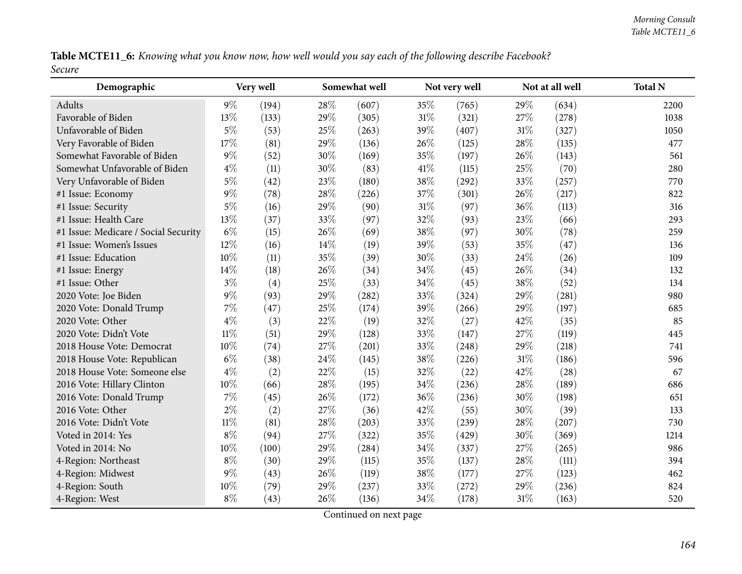Table MCTE11\_6: Knowing what you know now, how well would you say each of the following describe Facebook? *Secure*

| Demographic                          |        | Very well |      | Somewhat well |        | Not very well |        | Not at all well |      | <b>Total N</b> |
|--------------------------------------|--------|-----------|------|---------------|--------|---------------|--------|-----------------|------|----------------|
| Adults                               | $9\%$  | (194)     | 28\% | (607)         | 35%    | (765)         | 29%    | (634)           | 2200 |                |
| Favorable of Biden                   | 13%    | (133)     | 29%  | (305)         | $31\%$ | (321)         | 27\%   | (278)           | 1038 |                |
| Unfavorable of Biden                 | $5\%$  | (53)      | 25%  | (263)         | 39%    | (407)         | $31\%$ | (327)           | 1050 |                |
| Very Favorable of Biden              | 17%    | (81)      | 29%  | (136)         | 26%    | (125)         | 28%    | (135)           | 477  |                |
| Somewhat Favorable of Biden          | $9\%$  | (52)      | 30%  | (169)         | 35%    | (197)         | 26%    | (143)           | 561  |                |
| Somewhat Unfavorable of Biden        | $4\%$  | (11)      | 30%  | (83)          | 41\%   | (115)         | 25%    | (70)            | 280  |                |
| Very Unfavorable of Biden            | $5\%$  | (42)      | 23%  | (180)         | 38%    | (292)         | 33%    | (257)           | 770  |                |
| #1 Issue: Economy                    | $9\%$  | (78)      | 28%  | (226)         | 37%    | (301)         | 26%    | (217)           | 822  |                |
| #1 Issue: Security                   | $5\%$  | (16)      | 29%  | (90)          | 31\%   | (97)          | 36%    | (113)           | 316  |                |
| #1 Issue: Health Care                | 13%    | (37)      | 33%  | (97)          | 32%    | (93)          | 23%    | (66)            | 293  |                |
| #1 Issue: Medicare / Social Security | $6\%$  | (15)      | 26%  | (69)          | 38%    | (97)          | 30%    | (78)            | 259  |                |
| #1 Issue: Women's Issues             | 12%    | (16)      | 14%  | (19)          | 39%    | (53)          | 35%    | (47)            | 136  |                |
| #1 Issue: Education                  | 10%    | (11)      | 35%  | (39)          | 30%    | (33)          | 24\%   | (26)            | 109  |                |
| #1 Issue: Energy                     | 14%    | (18)      | 26%  | (34)          | 34%    | (45)          | 26%    | (34)            | 132  |                |
| #1 Issue: Other                      | $3\%$  | (4)       | 25%  | (33)          | 34\%   | (45)          | 38%    | (52)            | 134  |                |
| 2020 Vote: Joe Biden                 | $9\%$  | (93)      | 29%  | (282)         | 33%    | (324)         | 29%    | (281)           | 980  |                |
| 2020 Vote: Donald Trump              | $7\%$  | (47)      | 25%  | (174)         | 39%    | (266)         | 29%    | (197)           | 685  |                |
| 2020 Vote: Other                     | $4\%$  | (3)       | 22%  | (19)          | 32%    | (27)          | 42%    | (35)            | 85   |                |
| 2020 Vote: Didn't Vote               | $11\%$ | (51)      | 29%  | (128)         | 33%    | (147)         | 27%    | (119)           | 445  |                |
| 2018 House Vote: Democrat            | 10%    | (74)      | 27%  | (201)         | 33%    | (248)         | 29%    | (218)           | 741  |                |
| 2018 House Vote: Republican          | $6\%$  | (38)      | 24\% | (145)         | 38%    | (226)         | $31\%$ | (186)           | 596  |                |
| 2018 House Vote: Someone else        | $4\%$  | (2)       | 22%  | (15)          | 32%    | (22)          | 42%    | (28)            | 67   |                |
| 2016 Vote: Hillary Clinton           | 10%    | (66)      | 28%  | (195)         | 34\%   | (236)         | 28%    | (189)           | 686  |                |
| 2016 Vote: Donald Trump              | $7\%$  | (45)      | 26%  | (172)         | 36%    | (236)         | 30%    | (198)           | 651  |                |
| 2016 Vote: Other                     | $2\%$  | (2)       | 27%  | (36)          | 42%    | (55)          | 30%    | (39)            | 133  |                |
| 2016 Vote: Didn't Vote               | $11\%$ | (81)      | 28%  | (203)         | 33%    | (239)         | 28%    | (207)           | 730  |                |
| Voted in 2014: Yes                   | $8\%$  | (94)      | 27%  | (322)         | 35%    | (429)         | 30%    | (369)           | 1214 |                |
| Voted in 2014: No                    | $10\%$ | (100)     | 29%  | (284)         | 34\%   | (337)         | 27%    | (265)           | 986  |                |
| 4-Region: Northeast                  | $8\%$  | (30)      | 29%  | (115)         | 35%    | (137)         | 28\%   | (111)           | 394  |                |
| 4-Region: Midwest                    | $9\%$  | (43)      | 26%  | (119)         | 38%    | (177)         | 27%    | (123)           | 462  |                |
| 4-Region: South                      | 10%    | (79)      | 29%  | (237)         | 33%    | (272)         | 29%    | (236)           | 824  |                |
| 4-Region: West                       | $8\%$  | (43)      | 26%  | (136)         | 34\%   | (178)         | $31\%$ | (163)           | 520  |                |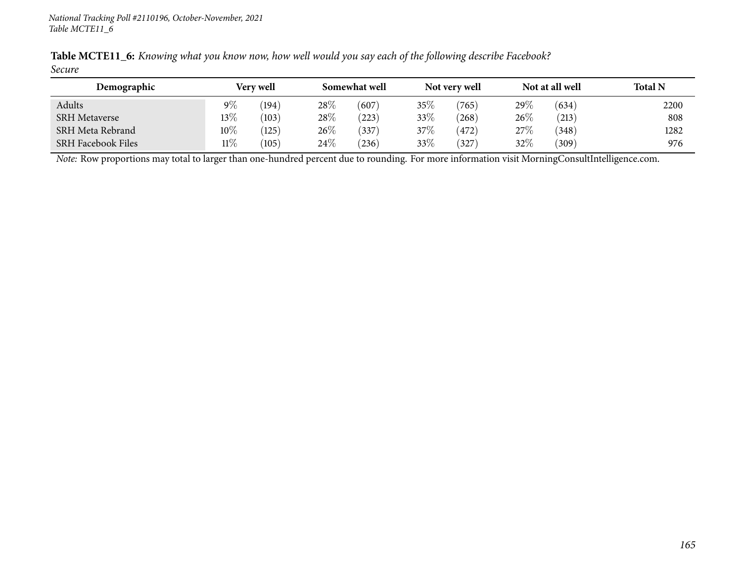| Table MCTE11_6: Knowing what you know now, how well would you say each of the following describe Facebook? |  |  |  |  |  |  |  |
|------------------------------------------------------------------------------------------------------------|--|--|--|--|--|--|--|
| Secure                                                                                                     |  |  |  |  |  |  |  |

| Demographic               |        | <b>Very well</b> |        | Somewhat well |        | Not very well |      | Not at all well | <b>Total N</b> |
|---------------------------|--------|------------------|--------|---------------|--------|---------------|------|-----------------|----------------|
| Adults                    | $9\%$  | $^{\prime}194)$  | 28\%   | (607)         | 35%    | (765)         | 29%  | (634)           | 2200           |
| <b>SRH Metaverse</b>      | 13%    | (103)            | 28\%   | (223)         | 33\%   | (268)         | 26\% | (213)           | 808            |
| SRH Meta Rebrand          | $10\%$ | (125)            | $26\%$ | (337)         | $37\%$ | 472)          | 27\% | (348)           | 1282           |
| <b>SRH Facebook Files</b> | $11\%$ | (105)            | $24\%$ | (236)         | 33\%   | 327)          | 32%  | (309)           | 976            |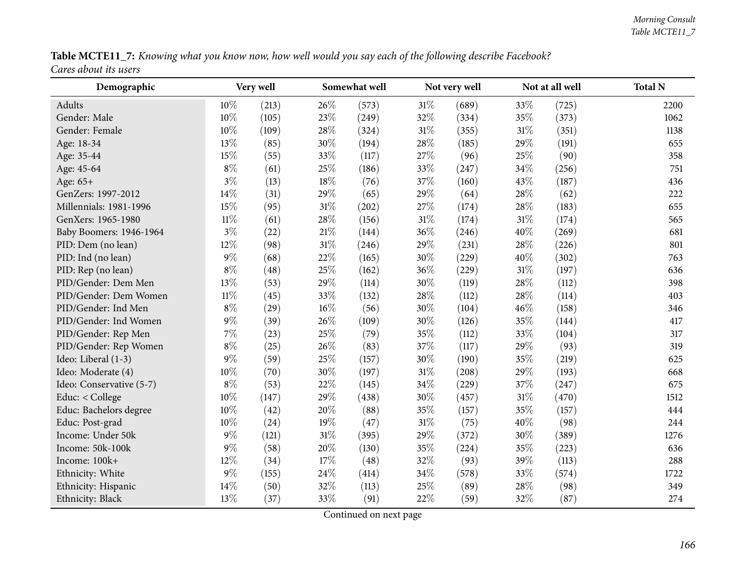| Table MCTE11_7: Knowing what you know now, how well would you say each of the following describe Facebook? |  |  |
|------------------------------------------------------------------------------------------------------------|--|--|
| Cares about its users                                                                                      |  |  |

| Demographic              |        | Very well |        | Somewhat well |        | Not very well |        | Not at all well | <b>Total N</b> |
|--------------------------|--------|-----------|--------|---------------|--------|---------------|--------|-----------------|----------------|
| Adults                   | 10%    | (213)     | 26%    | (573)         | $31\%$ | (689)         | 33%    | (725)           | 2200           |
| Gender: Male             | 10%    | (105)     | 23%    | (249)         | 32%    | (334)         | 35%    | (373)           | 1062           |
| Gender: Female           | 10%    | (109)     | 28%    | (324)         | 31\%   | (355)         | 31%    | (351)           | 1138           |
| Age: 18-34               | 13%    | (85)      | 30%    | (194)         | 28\%   | (185)         | 29%    | (191)           | 655            |
| Age: 35-44               | 15%    | (55)      | 33%    | (117)         | 27%    | (96)          | 25%    | (90)            | 358            |
| Age: 45-64               | $8\%$  | (61)      | 25%    | (186)         | 33%    | (247)         | 34%    | (256)           | 751            |
| Age: 65+                 | $3\%$  | (13)      | $18\%$ | (76)          | 37%    | (160)         | 43%    | (187)           | 436            |
| GenZers: 1997-2012       | 14%    | (31)      | 29%    | (65)          | 29%    | (64)          | 28%    | (62)            | 222            |
| Millennials: 1981-1996   | 15%    | (95)      | 31%    | (202)         | 27%    | (174)         | 28%    | (183)           | 655            |
| GenXers: 1965-1980       | $11\%$ | (61)      | 28%    | (156)         | 31\%   | (174)         | 31%    | (174)           | 565            |
| Baby Boomers: 1946-1964  | $3\%$  | (22)      | $21\%$ | (144)         | 36%    | (246)         | 40%    | (269)           | 681            |
| PID: Dem (no lean)       | 12%    | (98)      | $31\%$ | (246)         | 29%    | (231)         | 28%    | (226)           | 801            |
| PID: Ind (no lean)       | $9\%$  | (68)      | 22%    | (165)         | 30%    | (229)         | 40%    | (302)           | 763            |
| PID: Rep (no lean)       | $8\%$  | (48)      | 25%    | (162)         | 36%    | (229)         | $31\%$ | (197)           | 636            |
| PID/Gender: Dem Men      | 13%    | (53)      | 29%    | (114)         | $30\%$ | (119)         | 28%    | (112)           | 398            |
| PID/Gender: Dem Women    | $11\%$ | (45)      | 33%    | (132)         | 28\%   | (112)         | 28%    | (114)           | 403            |
| PID/Gender: Ind Men      | $8\%$  | (29)      | 16%    | (56)          | 30%    | (104)         | 46%    | (158)           | 346            |
| PID/Gender: Ind Women    | $9\%$  | (39)      | 26%    | (109)         | 30%    | (126)         | 35%    | (144)           | 417            |
| PID/Gender: Rep Men      | $7\%$  | (23)      | 25%    | (79)          | 35%    | (112)         | 33%    | (104)           | 317            |
| PID/Gender: Rep Women    | $8\%$  | (25)      | 26%    | (83)          | 37%    | (117)         | 29%    | (93)            | 319            |
| Ideo: Liberal (1-3)      | $9\%$  | (59)      | 25%    | (157)         | 30%    | (190)         | 35%    | (219)           | 625            |
| Ideo: Moderate (4)       | 10%    | (70)      | $30\%$ | (197)         | $31\%$ | (208)         | 29%    | (193)           | 668            |
| Ideo: Conservative (5-7) | $8\%$  | (53)      | 22%    | (145)         | 34%    | (229)         | 37%    | (247)           | 675            |
| Educ: < College          | 10%    | (147)     | 29%    | (438)         | 30%    | (457)         | $31\%$ | (470)           | 1512           |
| Educ: Bachelors degree   | 10%    | (42)      | 20%    | (88)          | 35%    | (157)         | 35%    | (157)           | 444            |
| Educ: Post-grad          | 10%    | (24)      | 19%    | (47)          | $31\%$ | (75)          | 40%    | (98)            | 244            |
| Income: Under 50k        | $9\%$  | (121)     | 31%    | (395)         | 29%    | (372)         | 30%    | (389)           | 1276           |
| Income: 50k-100k         | $9\%$  | (58)      | 20%    | (130)         | 35%    | (224)         | 35%    | (223)           | 636            |
| Income: 100k+            | 12%    | (34)      | 17%    | (48)          | 32%    | (93)          | 39%    | (113)           | 288            |
| Ethnicity: White         | $9\%$  | (155)     | 24%    | (414)         | 34%    | (578)         | 33%    | (574)           | 1722           |
| Ethnicity: Hispanic      | 14%    | (50)      | 32%    | (113)         | 25%    | (89)          | 28\%   | (98)            | 349            |
| Ethnicity: Black         | 13%    | (37)      | 33%    | (91)          | 22%    | (59)          | 32%    | (87)            | 274            |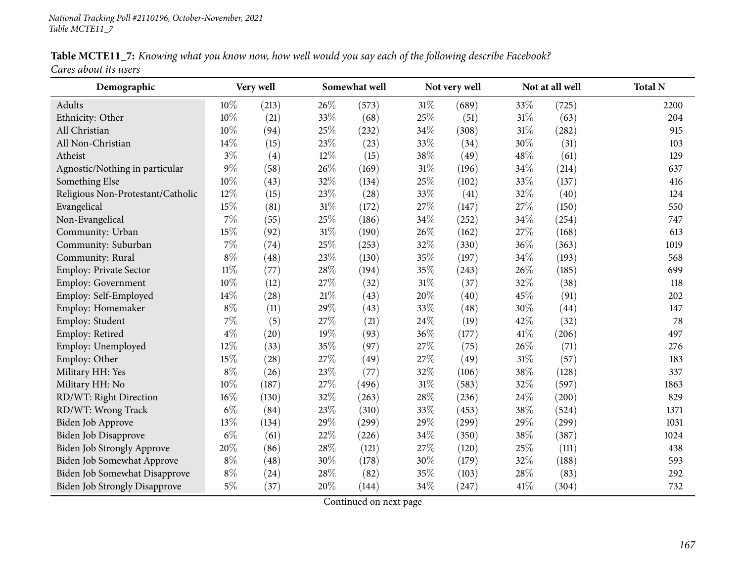| Table MCTE11_7: Knowing what you know now, how well would you say each of the following describe Facebook? |  |  |
|------------------------------------------------------------------------------------------------------------|--|--|
| Cares about its users                                                                                      |  |  |

| Demographic                          |        | Very well          |     | Somewhat well |     | Not very well |        | Not at all well | <b>Total N</b> |
|--------------------------------------|--------|--------------------|-----|---------------|-----|---------------|--------|-----------------|----------------|
| Adults                               | 10%    | (213)              | 26% | (573)         | 31% | (689)         | 33%    | (725)           | 2200           |
| Ethnicity: Other                     | 10%    | (21)               | 33% | (68)          | 25% | (51)          | 31%    | (63)            | 204            |
| All Christian                        | 10%    | (94)               | 25% | (232)         | 34% | (308)         | $31\%$ | (282)           | 915            |
| All Non-Christian                    | 14\%   | (15)               | 23% | (23)          | 33% | (34)          | 30%    | (31)            | 103            |
| Atheist                              | $3\%$  | (4)                | 12% | (15)          | 38% | (49)          | 48%    | (61)            | 129            |
| Agnostic/Nothing in particular       | 9%     | (58)               | 26% | (169)         | 31% | (196)         | 34%    | (214)           | 637            |
| Something Else                       | 10%    | (43)               | 32% | (134)         | 25% | (102)         | 33%    | (137)           | 416            |
| Religious Non-Protestant/Catholic    | 12%    | (15)               | 23% | (28)          | 33% | (41)          | 32%    | (40)            | 124            |
| Evangelical                          | 15%    | (81)               | 31% | (172)         | 27% | (147)         | 27%    | (150)           | 550            |
| Non-Evangelical                      | 7%     | (55)               | 25% | (186)         | 34% | (252)         | 34%    | (254)           | 747            |
| Community: Urban                     | 15%    | (92)               | 31% | (190)         | 26% | (162)         | 27%    | (168)           | 613            |
| Community: Suburban                  | 7%     | (74)               | 25% | (253)         | 32% | (330)         | 36%    | (363)           | 1019           |
| Community: Rural                     | $8\%$  | (48)               | 23% | (130)         | 35% | (197)         | 34%    | (193)           | 568            |
| Employ: Private Sector               | $11\%$ | (77)               | 28% | (194)         | 35% | (243)         | 26%    | (185)           | 699            |
| <b>Employ: Government</b>            | $10\%$ | (12)               | 27% | (32)          | 31% | (37)          | 32%    | (38)            | 118            |
| Employ: Self-Employed                | 14%    | $\left( 28\right)$ | 21% | (43)          | 20% | (40)          | 45%    | (91)            | 202            |
| Employ: Homemaker                    | $8\%$  | (11)               | 29% | (43)          | 33% | (48)          | 30%    | (44)            | 147            |
| Employ: Student                      | $7\%$  | (5)                | 27% | (21)          | 24% | (19)          | 42%    | (32)            | 78             |
| Employ: Retired                      | $4\%$  | (20)               | 19% | (93)          | 36% | (177)         | 41\%   | (206)           | 497            |
| Employ: Unemployed                   | 12%    | (33)               | 35% | (97)          | 27% | (75)          | 26\%   | (71)            | 276            |
| Employ: Other                        | 15%    | (28)               | 27% | (49)          | 27% | (49)          | 31%    | (57)            | 183            |
| Military HH: Yes                     | $8\%$  | (26)               | 23% | (77)          | 32% | (106)         | 38%    | (128)           | 337            |
| Military HH: No                      | 10%    | (187)              | 27% | (496)         | 31% | (583)         | 32%    | (597)           | 1863           |
| RD/WT: Right Direction               | $16\%$ | (130)              | 32% | (263)         | 28% | (236)         | 24\%   | (200)           | 829            |
| RD/WT: Wrong Track                   | $6\%$  | (84)               | 23% | (310)         | 33% | (453)         | 38%    | (524)           | 1371           |
| Biden Job Approve                    | 13%    | (134)              | 29% | (299)         | 29% | (299)         | 29%    | (299)           | 1031           |
| <b>Biden Job Disapprove</b>          | $6\%$  | (61)               | 22% | (226)         | 34% | (350)         | 38%    | (387)           | 1024           |
| Biden Job Strongly Approve           | 20%    | (86)               | 28% | (121)         | 27% | (120)         | 25%    | (111)           | 438            |
| Biden Job Somewhat Approve           | $8\%$  | (48)               | 30% | (178)         | 30% | (179)         | 32%    | (188)           | 593            |
| Biden Job Somewhat Disapprove        | $8\%$  | (24)               | 28% | (82)          | 35% | (103)         | 28%    | (83)            | 292            |
| <b>Biden Job Strongly Disapprove</b> | $5\%$  | (37)               | 20% | (144)         | 34% | (247)         | 41\%   | (304)           | 732            |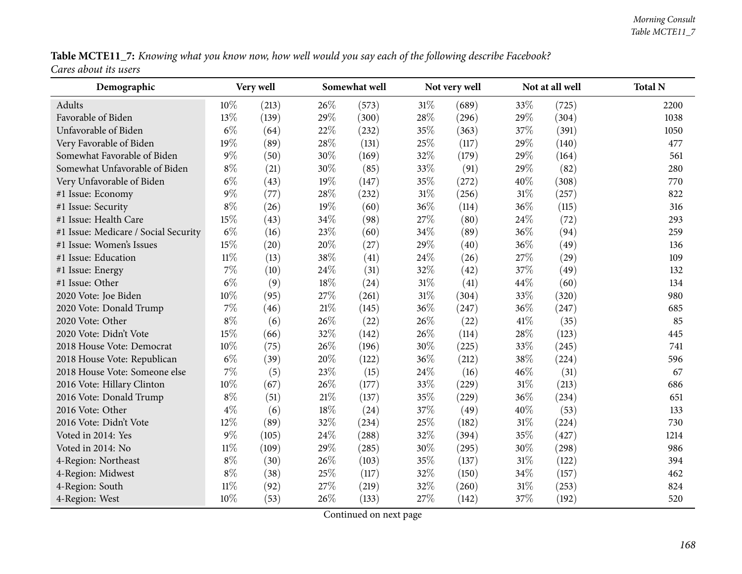| Table MCTE11_7: Knowing what you know now, how well would you say each of the following describe Facebook? |  |  |
|------------------------------------------------------------------------------------------------------------|--|--|
| Cares about its users                                                                                      |  |  |

| Demographic                          |        | Very well |        | Somewhat well |        | Not very well |        | Not at all well | <b>Total N</b> |
|--------------------------------------|--------|-----------|--------|---------------|--------|---------------|--------|-----------------|----------------|
| Adults                               | 10%    | (213)     | 26\%   | (573)         | 31\%   | (689)         | 33%    | (725)           | 2200           |
| Favorable of Biden                   | 13%    | (139)     | 29%    | (300)         | 28%    | (296)         | $29\%$ | (304)           | 1038           |
| Unfavorable of Biden                 | $6\%$  | (64)      | 22%    | (232)         | 35%    | (363)         | 37%    | (391)           | 1050           |
| Very Favorable of Biden              | 19%    | (89)      | 28%    | (131)         | 25%    | (117)         | 29%    | (140)           | 477            |
| Somewhat Favorable of Biden          | $9\%$  | (50)      | 30%    | (169)         | 32%    | (179)         | 29%    | (164)           | 561            |
| Somewhat Unfavorable of Biden        | $8\%$  | (21)      | 30%    | (85)          | 33%    | (91)          | 29%    | (82)            | 280            |
| Very Unfavorable of Biden            | $6\%$  | (43)      | 19%    | (147)         | 35%    | (272)         | 40%    | (308)           | 770            |
| #1 Issue: Economy                    | $9\%$  | (77)      | 28%    | (232)         | $31\%$ | (256)         | 31%    | (257)           | 822            |
| #1 Issue: Security                   | $8\%$  | (26)      | 19%    | (60)          | 36%    | (114)         | 36%    | (115)           | 316            |
| #1 Issue: Health Care                | 15%    | (43)      | 34%    | (98)          | 27%    | (80)          | 24%    | (72)            | 293            |
| #1 Issue: Medicare / Social Security | $6\%$  | (16)      | 23%    | (60)          | 34%    | (89)          | 36%    | (94)            | 259            |
| #1 Issue: Women's Issues             | 15%    | (20)      | 20%    | (27)          | 29%    | (40)          | 36%    | (49)            | 136            |
| #1 Issue: Education                  | $11\%$ | (13)      | 38%    | (41)          | 24\%   | (26)          | 27%    | (29)            | 109            |
| #1 Issue: Energy                     | 7%     | (10)      | 24%    | (31)          | 32%    | (42)          | 37%    | (49)            | 132            |
| #1 Issue: Other                      | $6\%$  | (9)       | 18%    | (24)          | $31\%$ | (41)          | 44%    | (60)            | 134            |
| 2020 Vote: Joe Biden                 | 10%    | (95)      | 27%    | (261)         | 31%    | (304)         | 33%    | (320)           | 980            |
| 2020 Vote: Donald Trump              | 7%     | (46)      | $21\%$ | (145)         | 36%    | (247)         | 36%    | (247)           | 685            |
| 2020 Vote: Other                     | $8\%$  | (6)       | 26%    | (22)          | 26%    | (22)          | 41\%   | (35)            | 85             |
| 2020 Vote: Didn't Vote               | 15%    | (66)      | 32%    | (142)         | 26%    | (114)         | 28\%   | (123)           | 445            |
| 2018 House Vote: Democrat            | 10%    | (75)      | 26%    | (196)         | 30%    | (225)         | 33%    | (245)           | 741            |
| 2018 House Vote: Republican          | $6\%$  | (39)      | 20%    | (122)         | 36%    | (212)         | 38%    | (224)           | 596            |
| 2018 House Vote: Someone else        | 7%     | (5)       | 23%    | (15)          | 24\%   | (16)          | 46%    | (31)            | 67             |
| 2016 Vote: Hillary Clinton           | 10%    | (67)      | 26%    | (177)         | 33%    | (229)         | 31%    | (213)           | 686            |
| 2016 Vote: Donald Trump              | $8\%$  | (51)      | $21\%$ | (137)         | 35%    | (229)         | 36%    | (234)           | 651            |
| 2016 Vote: Other                     | $4\%$  | (6)       | 18%    | (24)          | 37%    | (49)          | 40%    | (53)            | 133            |
| 2016 Vote: Didn't Vote               | 12%    | (89)      | 32%    | (234)         | 25%    | (182)         | 31%    | (224)           | 730            |
| Voted in 2014: Yes                   | $9\%$  | (105)     | 24%    | (288)         | 32%    | (394)         | 35%    | (427)           | 1214           |
| Voted in 2014: No                    | $11\%$ | (109)     | 29%    | (285)         | 30%    | (295)         | 30%    | (298)           | 986            |
| 4-Region: Northeast                  | $8\%$  | (30)      | 26%    | (103)         | 35%    | (137)         | 31%    | (122)           | 394            |
| 4-Region: Midwest                    | $8\%$  | (38)      | 25%    | (117)         | 32%    | (150)         | 34%    | (157)           | 462            |
| 4-Region: South                      | $11\%$ | (92)      | 27%    | (219)         | 32%    | (260)         | 31%    | (253)           | 824            |
| 4-Region: West                       | 10%    | (53)      | 26%    | (133)         | 27%    | (142)         | 37%    | (192)           | 520            |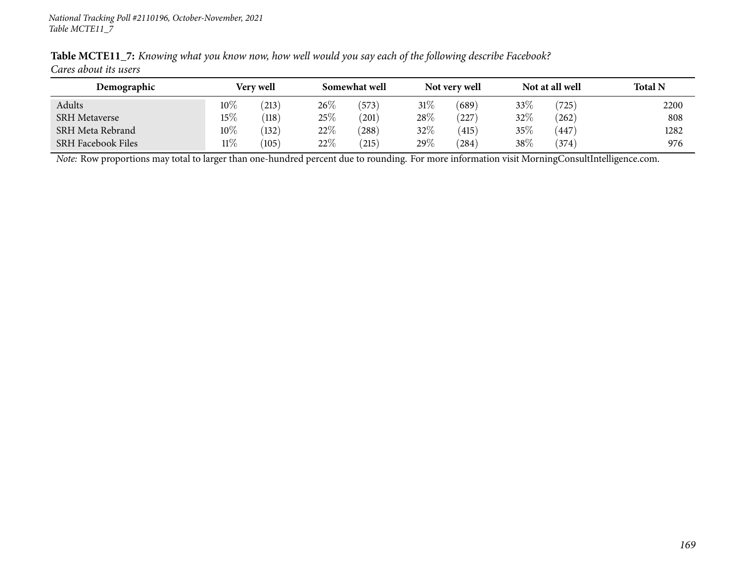| Demographic               | <b>Very well</b> |       | Somewhat well |            | Not very well |       |        | Not at all well | <b>Total N</b> |
|---------------------------|------------------|-------|---------------|------------|---------------|-------|--------|-----------------|----------------|
| Adults                    | $10\%$           | 213)  | 26\%          | (573)      | 31\%          | (689) | 33\%   | (725)           | 2200           |
| <b>SRH Metaverse</b>      | 15%              | (118) | 25\%          | (201)      | $28\%$        | 227   | 32%    | (262)           | 808            |
| SRH Meta Rebrand          | $10\%$           | (132) | 22%           | (288)      | $32\%$        | (415) | 35%    | 447             | 1282           |
| <b>SRH Facebook Files</b> | $11\%$           | (105) | 22%           | $^{'}215)$ | 29 $\%$       | (284) | $38\%$ | (374)           | 976            |

Table MCTE11\_7: Knowing what you know now, how well would you say each of the following describe Facebook? *Cares about its users*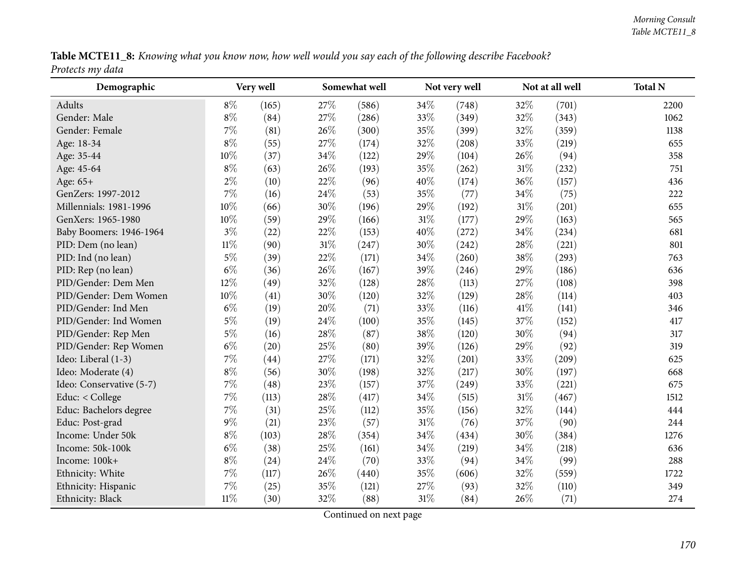|                  | Table MCTE11_8: Knowing what you know now, how well would you say each of the following describe Facebook? |  |  |
|------------------|------------------------------------------------------------------------------------------------------------|--|--|
| Protects my data |                                                                                                            |  |  |

| Demographic              |        | Very well |     | Somewhat well |        | Not very well |        | Not at all well | <b>Total N</b> |
|--------------------------|--------|-----------|-----|---------------|--------|---------------|--------|-----------------|----------------|
| Adults                   | $8\%$  | (165)     | 27% | (586)         | 34\%   | (748)         | 32%    | (701)           | 2200           |
| Gender: Male             | $8\%$  | (84)      | 27% | (286)         | 33%    | (349)         | 32%    | (343)           | 1062           |
| Gender: Female           | 7%     | (81)      | 26% | (300)         | 35%    | (399)         | 32%    | (359)           | 1138           |
| Age: 18-34               | $8\%$  | (55)      | 27% | (174)         | 32%    | (208)         | 33\%   | (219)           | 655            |
| Age: 35-44               | 10%    | (37)      | 34% | (122)         | 29%    | (104)         | 26\%   | (94)            | 358            |
| Age: 45-64               | $8\%$  | (63)      | 26% | (193)         | 35%    | (262)         | $31\%$ | (232)           | 751            |
| Age: 65+                 | $2\%$  | (10)      | 22% | (96)          | 40%    | (174)         | 36%    | (157)           | 436            |
| GenZers: 1997-2012       | 7%     | (16)      | 24% | (53)          | 35%    | (77)          | 34%    | (75)            | 222            |
| Millennials: 1981-1996   | 10%    | (66)      | 30% | (196)         | 29%    | (192)         | $31\%$ | (201)           | 655            |
| GenXers: 1965-1980       | 10%    | (59)      | 29% | (166)         | $31\%$ | (177)         | 29%    | (163)           | 565            |
| Baby Boomers: 1946-1964  | $3\%$  | (22)      | 22% | (153)         | 40%    | (272)         | 34%    | (234)           | 681            |
| PID: Dem (no lean)       | $11\%$ | (90)      | 31% | (247)         | 30%    | (242)         | 28%    | (221)           | 801            |
| PID: Ind (no lean)       | $5\%$  | (39)      | 22% | (171)         | 34%    | (260)         | 38\%   | (293)           | 763            |
| PID: Rep (no lean)       | $6\%$  | (36)      | 26% | (167)         | 39%    | (246)         | 29%    | (186)           | 636            |
| PID/Gender: Dem Men      | 12%    | (49)      | 32% | (128)         | 28%    | (113)         | 27%    | (108)           | 398            |
| PID/Gender: Dem Women    | 10%    | (41)      | 30% | (120)         | 32%    | (129)         | 28%    | (114)           | 403            |
| PID/Gender: Ind Men      | $6\%$  | (19)      | 20% | (71)          | 33%    | (116)         | 41\%   | (141)           | 346            |
| PID/Gender: Ind Women    | $5\%$  | (19)      | 24% | (100)         | 35%    | (145)         | 37%    | (152)           | 417            |
| PID/Gender: Rep Men      | $5\%$  | (16)      | 28% | (87)          | $38\%$ | (120)         | 30%    | (94)            | 317            |
| PID/Gender: Rep Women    | $6\%$  | (20)      | 25% | (80)          | 39%    | (126)         | 29%    | (92)            | 319            |
| Ideo: Liberal (1-3)      | 7%     | (44)      | 27% | (171)         | 32%    | (201)         | 33%    | (209)           | 625            |
| Ideo: Moderate (4)       | $8\%$  | (56)      | 30% | (198)         | 32%    | (217)         | 30%    | (197)           | 668            |
| Ideo: Conservative (5-7) | 7%     | (48)      | 23% | (157)         | 37%    | (249)         | 33%    | (221)           | 675            |
| Educ: < College          | $7\%$  | (113)     | 28% | (417)         | 34%    | (515)         | $31\%$ | (467)           | 1512           |
| Educ: Bachelors degree   | 7%     | (31)      | 25% | (112)         | 35%    | (156)         | 32%    | (144)           | 444            |
| Educ: Post-grad          | $9\%$  | (21)      | 23% | (57)          | $31\%$ | (76)          | 37%    | (90)            | 244            |
| Income: Under 50k        | $8\%$  | (103)     | 28% | (354)         | 34%    | (434)         | 30%    | (384)           | 1276           |
| Income: 50k-100k         | $6\%$  | (38)      | 25% | (161)         | 34%    | (219)         | 34\%   | (218)           | 636            |
| Income: 100k+            | $8\%$  | (24)      | 24% | (70)          | 33%    | (94)          | 34\%   | (99)            | 288            |
| Ethnicity: White         | 7%     | (117)     | 26% | (440)         | 35%    | (606)         | 32\%   | (559)           | 1722           |
| Ethnicity: Hispanic      | 7%     | (25)      | 35% | (121)         | 27%    | (93)          | 32%    | (110)           | 349            |
| Ethnicity: Black         | $11\%$ | (30)      | 32% | (88)          | $31\%$ | (84)          | 26%    | (71)            | 274            |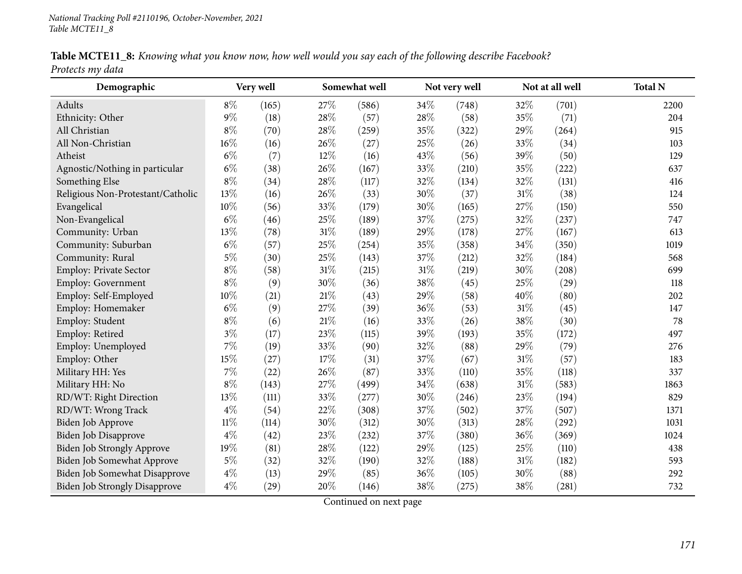| Table MCTE11_8: Knowing what you know now, how well would you say each of the following describe Facebook? |  |  |
|------------------------------------------------------------------------------------------------------------|--|--|
| Protects my data                                                                                           |  |  |

| Demographic                          |        | Very well |      | Somewhat well |     | Not very well |        | Not at all well | <b>Total N</b> |
|--------------------------------------|--------|-----------|------|---------------|-----|---------------|--------|-----------------|----------------|
| Adults                               | $8\%$  | (165)     | 27%  | (586)         | 34% | (748)         | 32%    | (701)           | 2200           |
| Ethnicity: Other                     | 9%     | (18)      | 28%  | (57)          | 28% | (58)          | 35%    | (71)            | 204            |
| All Christian                        | $8\%$  | (70)      | 28%  | (259)         | 35% | (322)         | 29%    | (264)           | 915            |
| All Non-Christian                    | 16%    | (16)      | 26%  | (27)          | 25% | (26)          | 33%    | (34)            | 103            |
| Atheist                              | $6\%$  | (7)       | 12%  | (16)          | 43% | (56)          | 39%    | (50)            | 129            |
| Agnostic/Nothing in particular       | $6\%$  | (38)      | 26%  | (167)         | 33% | (210)         | 35%    | (222)           | 637            |
| Something Else                       | $8\%$  | (34)      | 28%  | (117)         | 32% | (134)         | 32%    | (131)           | 416            |
| Religious Non-Protestant/Catholic    | 13%    | (16)      | 26%  | (33)          | 30% | (37)          | $31\%$ | (38)            | 124            |
| Evangelical                          | 10%    | (56)      | 33%  | (179)         | 30% | (165)         | 27%    | (150)           | 550            |
| Non-Evangelical                      | $6\%$  | (46)      | 25%  | (189)         | 37% | (275)         | 32%    | (237)           | 747            |
| Community: Urban                     | 13%    | (78)      | 31%  | (189)         | 29% | (178)         | 27%    | (167)           | 613            |
| Community: Suburban                  | $6\%$  | (57)      | 25%  | (254)         | 35% | (358)         | 34%    | (350)           | 1019           |
| Community: Rural                     | $5\%$  | (30)      | 25%  | (143)         | 37% | (212)         | 32%    | (184)           | 568            |
| Employ: Private Sector               | $8\%$  | (58)      | 31%  | (215)         | 31% | (219)         | 30%    | (208)           | 699            |
| Employ: Government                   | $8\%$  | (9)       | 30%  | (36)          | 38% | (45)          | 25%    | (29)            | 118            |
| Employ: Self-Employed                | 10%    | (21)      | 21%  | (43)          | 29% | (58)          | 40%    | (80)            | 202            |
| Employ: Homemaker                    | $6\%$  | (9)       | 27%  | (39)          | 36% | (53)          | 31%    | (45)            | 147            |
| Employ: Student                      | $8\%$  | (6)       | 21\% | (16)          | 33% | (26)          | 38%    | (30)            | 78             |
| Employ: Retired                      | $3\%$  | (17)      | 23%  | (115)         | 39% | (193)         | 35%    | (172)           | 497            |
| Employ: Unemployed                   | 7%     | (19)      | 33%  | (90)          | 32% | (88)          | 29%    | (79)            | 276            |
| Employ: Other                        | 15%    | (27)      | 17%  | (31)          | 37% | (67)          | 31%    | (57)            | 183            |
| Military HH: Yes                     | 7%     | (22)      | 26%  | (87)          | 33% | (110)         | 35%    | (118)           | 337            |
| Military HH: No                      | $8\%$  | (143)     | 27%  | (499)         | 34% | (638)         | 31%    | (583)           | 1863           |
| RD/WT: Right Direction               | 13%    | (111)     | 33%  | (277)         | 30% | (246)         | 23%    | (194)           | 829            |
| RD/WT: Wrong Track                   | $4\%$  | (54)      | 22%  | (308)         | 37% | (502)         | 37%    | (507)           | 1371           |
| Biden Job Approve                    | $11\%$ | (114)     | 30%  | (312)         | 30% | (313)         | 28%    | (292)           | 1031           |
| <b>Biden Job Disapprove</b>          | $4\%$  | (42)      | 23%  | (232)         | 37% | (380)         | 36%    | (369)           | 1024           |
| <b>Biden Job Strongly Approve</b>    | 19%    | (81)      | 28%  | (122)         | 29% | (125)         | 25%    | (110)           | 438            |
| Biden Job Somewhat Approve           | $5\%$  | (32)      | 32%  | (190)         | 32% | (188)         | $31\%$ | (182)           | 593            |
| Biden Job Somewhat Disapprove        | $4\%$  | (13)      | 29%  | (85)          | 36% | (105)         | 30%    | (88)            | 292            |
| <b>Biden Job Strongly Disapprove</b> | $4\%$  | (29)      | 20%  | (146)         | 38% | (275)         | 38%    | (281)           | 732            |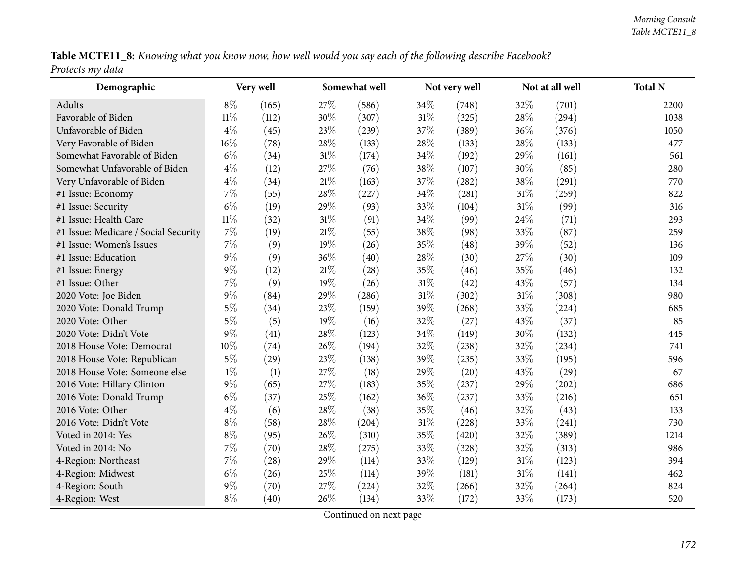| Table MCTE11_8: Knowing what you know now, how well would you say each of the following describe Facebook? |  |  |  |
|------------------------------------------------------------------------------------------------------------|--|--|--|
| Protects my data                                                                                           |  |  |  |

| Demographic                          |        | Very well |      | Somewhat well |        | Not very well |        | Not at all well | <b>Total N</b> |
|--------------------------------------|--------|-----------|------|---------------|--------|---------------|--------|-----------------|----------------|
| Adults                               | $8\%$  | (165)     | 27%  | (586)         | 34%    | (748)         | 32%    | (701)           | 2200           |
| Favorable of Biden                   | $11\%$ | (112)     | 30%  | (307)         | $31\%$ | (325)         | 28\%   | (294)           | 1038           |
| Unfavorable of Biden                 | $4\%$  | (45)      | 23%  | (239)         | 37%    | (389)         | 36\%   | (376)           | 1050           |
| Very Favorable of Biden              | 16%    | (78)      | 28%  | (133)         | 28%    | (133)         | 28\%   | (133)           | 477            |
| Somewhat Favorable of Biden          | $6\%$  | (34)      | 31%  | (174)         | 34%    | (192)         | 29%    | (161)           | 561            |
| Somewhat Unfavorable of Biden        | $4\%$  | (12)      | 27%  | (76)          | $38\%$ | (107)         | 30%    | (85)            | 280            |
| Very Unfavorable of Biden            | $4\%$  | (34)      | 21\% | (163)         | 37%    | (282)         | 38%    | (291)           | 770            |
| #1 Issue: Economy                    | 7%     | (55)      | 28%  | (227)         | 34%    | (281)         | $31\%$ | (259)           | 822            |
| #1 Issue: Security                   | $6\%$  | (19)      | 29%  | (93)          | 33%    | (104)         | $31\%$ | (99)            | 316            |
| #1 Issue: Health Care                | $11\%$ | (32)      | 31%  | (91)          | 34%    | (99)          | 24\%   | (71)            | 293            |
| #1 Issue: Medicare / Social Security | 7%     | (19)      | 21%  | (55)          | $38\%$ | (98)          | 33%    | (87)            | 259            |
| #1 Issue: Women's Issues             | $7\%$  | (9)       | 19%  | (26)          | 35%    | (48)          | 39%    | (52)            | 136            |
| #1 Issue: Education                  | $9\%$  | (9)       | 36%  | (40)          | 28%    | (30)          | 27%    | (30)            | 109            |
| #1 Issue: Energy                     | $9\%$  | (12)      | 21%  | (28)          | 35%    | (46)          | 35%    | (46)            | 132            |
| #1 Issue: Other                      | 7%     | (9)       | 19%  | (26)          | $31\%$ | (42)          | 43\%   | (57)            | 134            |
| 2020 Vote: Joe Biden                 | $9\%$  | (84)      | 29%  | (286)         | $31\%$ | (302)         | 31%    | (308)           | 980            |
| 2020 Vote: Donald Trump              | $5\%$  | (34)      | 23%  | (159)         | 39%    | (268)         | 33%    | (224)           | 685            |
| 2020 Vote: Other                     | $5\%$  | (5)       | 19%  | (16)          | 32%    | (27)          | 43\%   | (37)            | 85             |
| 2020 Vote: Didn't Vote               | $9\%$  | (41)      | 28%  | (123)         | 34%    | (149)         | 30%    | (132)           | 445            |
| 2018 House Vote: Democrat            | 10%    | (74)      | 26%  | (194)         | 32%    | (238)         | 32%    | (234)           | 741            |
| 2018 House Vote: Republican          | $5\%$  | (29)      | 23%  | (138)         | 39%    | (235)         | 33%    | (195)           | 596            |
| 2018 House Vote: Someone else        | $1\%$  | (1)       | 27%  | (18)          | 29%    | (20)          | 43\%   | (29)            | 67             |
| 2016 Vote: Hillary Clinton           | $9\%$  | (65)      | 27%  | (183)         | 35%    | (237)         | 29%    | (202)           | 686            |
| 2016 Vote: Donald Trump              | $6\%$  | (37)      | 25%  | (162)         | 36%    | (237)         | 33\%   | (216)           | 651            |
| 2016 Vote: Other                     | $4\%$  | (6)       | 28%  | (38)          | 35%    | (46)          | 32%    | (43)            | 133            |
| 2016 Vote: Didn't Vote               | $8\%$  | (58)      | 28%  | (204)         | $31\%$ | (228)         | 33%    | (241)           | 730            |
| Voted in 2014: Yes                   | $8\%$  | (95)      | 26%  | (310)         | 35%    | (420)         | 32%    | (389)           | 1214           |
| Voted in 2014: No                    | 7%     | (70)      | 28%  | (275)         | 33%    | (328)         | 32%    | (313)           | 986            |
| 4-Region: Northeast                  | 7%     | (28)      | 29%  | (114)         | 33%    | (129)         | $31\%$ | (123)           | 394            |
| 4-Region: Midwest                    | $6\%$  | (26)      | 25%  | (114)         | 39%    | (181)         | $31\%$ | (141)           | 462            |
| 4-Region: South                      | $9\%$  | (70)      | 27%  | (224)         | 32%    | (266)         | 32%    | (264)           | 824            |
| 4-Region: West                       | $8\%$  | (40)      | 26%  | (134)         | 33%    | (172)         | 33%    | (173)           | 520            |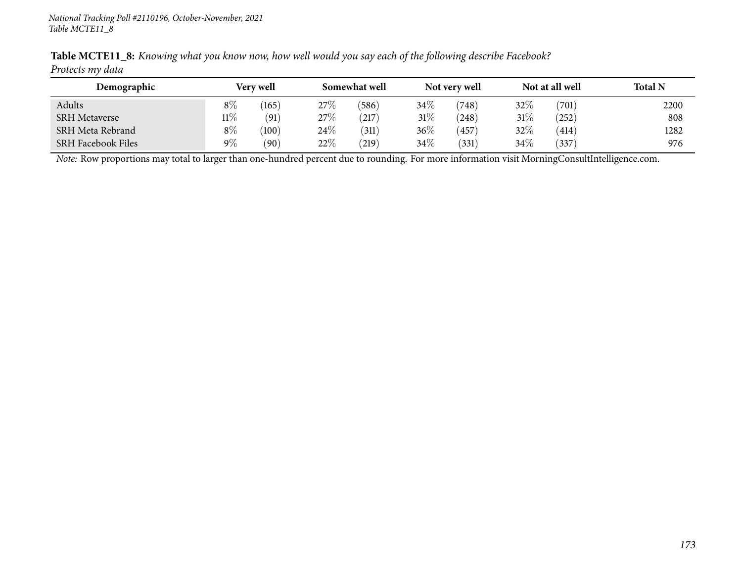| Demographic               | Very well |       |      | Somewhat well |        | Not very well |     | Not at all well | <b>Total N</b> |
|---------------------------|-----------|-------|------|---------------|--------|---------------|-----|-----------------|----------------|
| Adults                    | $8\%$     | 165   | 27%  | (586)         | 34\%   | (748)         | 32% | (701)           | 2200           |
| <b>SRH Metaverse</b>      | $11\%$    | (91)  | 27%  | (217)         | $31\%$ | (248)         | 31% | (252)           | 808            |
| SRH Meta Rebrand          | $8\%$     | (100) | 24\% | (311)         | 36%    | 457           | 32% | (414)           | 1282           |
| <b>SRH Facebook Files</b> | $9\%$     | (90)  | 22%  | (219)         | 34\%   | (331)         | 34% | (337)           | 976            |

Table MCTE11\_8: Knowing what you know now, how well would you say each of the following describe Facebook? *Protects my data*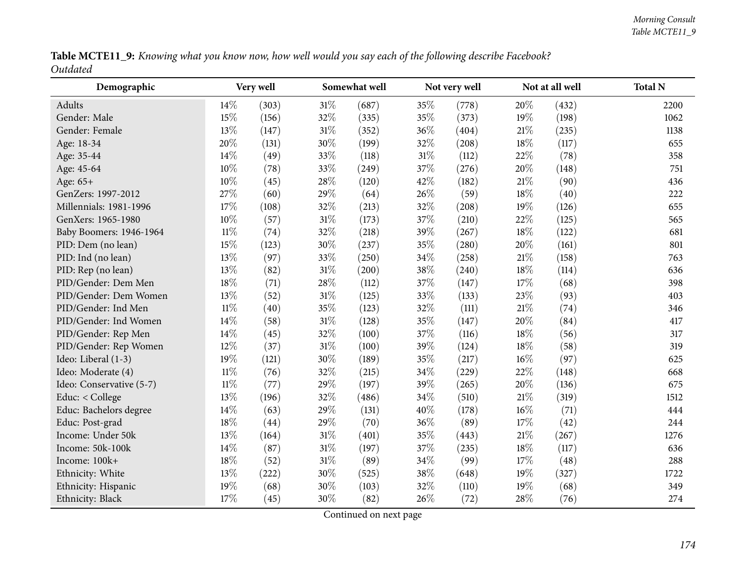| Table MCTE11_9: Knowing what you know now, how well would you say each of the following describe Facebook? |  |  |  |  |  |  |  |
|------------------------------------------------------------------------------------------------------------|--|--|--|--|--|--|--|
| Outdated                                                                                                   |  |  |  |  |  |  |  |

| Demographic              |        | Very well |     | Somewhat well |        | Not very well |        | Not at all well | <b>Total N</b> |
|--------------------------|--------|-----------|-----|---------------|--------|---------------|--------|-----------------|----------------|
| Adults                   | 14\%   | (303)     | 31% | (687)         | 35%    | (778)         | 20%    | (432)           | 2200           |
| Gender: Male             | 15%    | (156)     | 32% | (335)         | $35\%$ | (373)         | 19%    | (198)           | 1062           |
| Gender: Female           | 13%    | (147)     | 31% | (352)         | 36%    | (404)         | 21%    | (235)           | 1138           |
| Age: 18-34               | 20%    | (131)     | 30% | (199)         | 32%    | (208)         | 18%    | (117)           | 655            |
| Age: 35-44               | 14%    | (49)      | 33% | (118)         | $31\%$ | (112)         | 22\%   | (78)            | 358            |
| Age: 45-64               | 10%    | (78)      | 33% | (249)         | 37%    | (276)         | 20%    | (148)           | 751            |
| Age: 65+                 | 10%    | (45)      | 28% | (120)         | 42%    | (182)         | $21\%$ | (90)            | 436            |
| GenZers: 1997-2012       | 27%    | (60)      | 29% | (64)          | 26%    | (59)          | 18%    | (40)            | 222            |
| Millennials: 1981-1996   | 17%    | (108)     | 32% | (213)         | 32%    | (208)         | 19%    | (126)           | 655            |
| GenXers: 1965-1980       | 10%    | (57)      | 31% | (173)         | 37%    | (210)         | 22\%   | (125)           | 565            |
| Baby Boomers: 1946-1964  | $11\%$ | (74)      | 32% | (218)         | 39%    | (267)         | 18%    | (122)           | 681            |
| PID: Dem (no lean)       | 15%    | (123)     | 30% | (237)         | 35%    | (280)         | 20%    | (161)           | 801            |
| PID: Ind (no lean)       | 13%    | (97)      | 33% | (250)         | 34%    | (258)         | 21\%   | (158)           | 763            |
| PID: Rep (no lean)       | 13%    | (82)      | 31% | (200)         | 38%    | (240)         | 18\%   | (114)           | 636            |
| PID/Gender: Dem Men      | 18%    | (71)      | 28% | (112)         | 37%    | (147)         | 17%    | (68)            | 398            |
| PID/Gender: Dem Women    | 13%    | (52)      | 31% | (125)         | 33%    | (133)         | 23%    | (93)            | 403            |
| PID/Gender: Ind Men      | $11\%$ | (40)      | 35% | (123)         | 32%    | (111)         | $21\%$ | (74)            | 346            |
| PID/Gender: Ind Women    | 14%    | (58)      | 31% | (128)         | 35%    | (147)         | 20%    | (84)            | 417            |
| PID/Gender: Rep Men      | 14%    | (45)      | 32% | (100)         | 37%    | (116)         | 18%    | (56)            | 317            |
| PID/Gender: Rep Women    | 12%    | (37)      | 31% | (100)         | 39%    | (124)         | 18\%   | (58)            | 319            |
| Ideo: Liberal (1-3)      | 19%    | (121)     | 30% | (189)         | 35%    | (217)         | $16\%$ | (97)            | 625            |
| Ideo: Moderate (4)       | $11\%$ | (76)      | 32% | (215)         | 34%    | (229)         | 22%    | (148)           | 668            |
| Ideo: Conservative (5-7) | $11\%$ | (77)      | 29% | (197)         | 39%    | (265)         | 20%    | (136)           | 675            |
| Educ: < College          | 13%    | (196)     | 32% | (486)         | 34%    | (510)         | 21\%   | (319)           | 1512           |
| Educ: Bachelors degree   | 14%    | (63)      | 29% | (131)         | 40%    | (178)         | $16\%$ | (71)            | 444            |
| Educ: Post-grad          | 18%    | (44)      | 29% | (70)          | $36\%$ | (89)          | 17%    | (42)            | 244            |
| Income: Under 50k        | 13%    | (164)     | 31% | (401)         | $35\%$ | (443)         | $21\%$ | (267)           | 1276           |
| Income: 50k-100k         | 14%    | (87)      | 31% | (197)         | 37%    | (235)         | 18%    | (117)           | 636            |
| Income: 100k+            | 18%    | (52)      | 31% | (89)          | 34%    | (99)          | 17%    | (48)            | 288            |
| Ethnicity: White         | 13%    | (222)     | 30% | (525)         | 38%    | (648)         | $19\%$ | (327)           | 1722           |
| Ethnicity: Hispanic      | 19%    | (68)      | 30% | (103)         | 32%    | (110)         | $19\%$ | (68)            | 349            |
| Ethnicity: Black         | 17%    | (45)      | 30% | (82)          | 26%    | (72)          | 28\%   | (76)            | 274            |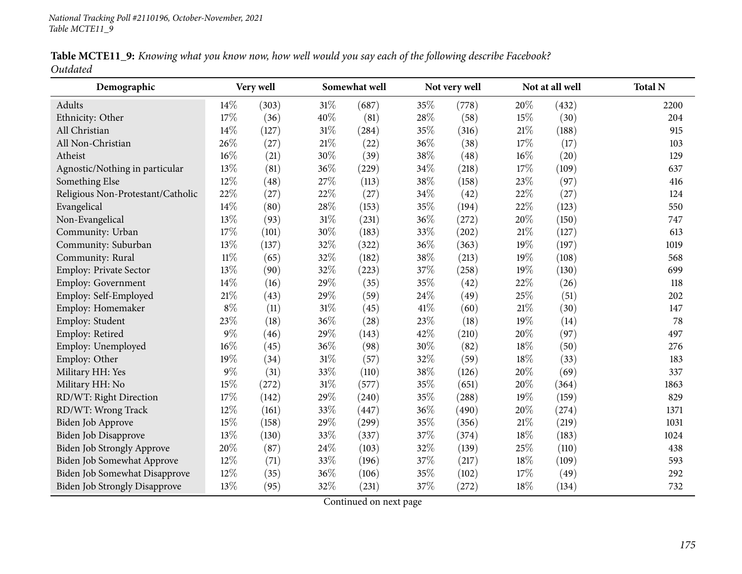|          | Table MCTE11_9: Knowing what you know now, how well would you say each of the following describe Facebook? |  |  |
|----------|------------------------------------------------------------------------------------------------------------|--|--|
| Outdated |                                                                                                            |  |  |

| Demographic                          |        | Very well |        | Somewhat well       | Not very well |       |        | Not at all well | <b>Total N</b> |
|--------------------------------------|--------|-----------|--------|---------------------|---------------|-------|--------|-----------------|----------------|
| Adults                               | 14\%   | (303)     | 31\%   | (687)               | 35%           | (778) | 20%    | (432)           | 2200           |
| Ethnicity: Other                     | 17%    | (36)      | 40%    | (81)                | 28%           | (58)  | 15%    | (30)            | 204            |
| All Christian                        | 14\%   | (127)     | 31%    | (284)               | 35%           | (316) | 21%    | (188)           | 915            |
| All Non-Christian                    | 26%    | (27)      | $21\%$ | (22)                | 36%           | (38)  | 17%    | (17)            | 103            |
| Atheist                              | $16\%$ | (21)      | 30%    | (39)                | 38%           | (48)  | 16%    | (20)            | 129            |
| Agnostic/Nothing in particular       | 13%    | (81)      | 36%    | (229)               | 34%           | (218) | 17%    | (109)           | 637            |
| Something Else                       | 12%    | (48)      | 27%    | (113)               | 38%           | (158) | 23%    | (97)            | 416            |
| Religious Non-Protestant/Catholic    | 22%    | (27)      | 22%    | (27)                | 34%           | (42)  | 22%    | (27)            | 124            |
| Evangelical                          | 14\%   | (80)      | 28%    | (153)               | 35%           | (194) | 22%    | (123)           | 550            |
| Non-Evangelical                      | 13%    | (93)      | $31\%$ | (231)               | 36%           | (272) | 20%    | (150)           | 747            |
| Community: Urban                     | 17%    | (101)     | 30%    | (183)               | 33%           | (202) | 21%    | (127)           | 613            |
| Community: Suburban                  | 13%    | (137)     | 32%    | (322)               | 36%           | (363) | 19%    | (197)           | 1019           |
| Community: Rural                     | $11\%$ | (65)      | 32%    | (182)               | 38%           | (213) | 19%    | (108)           | 568            |
| Employ: Private Sector               | 13%    | (90)      | 32%    | (223)               | 37%           | (258) | 19%    | (130)           | 699            |
| Employ: Government                   | 14\%   | (16)      | 29%    | (35)                | 35%           | (42)  | $22\%$ | (26)            | 118            |
| Employ: Self-Employed                | 21%    | (43)      | 29%    | (59)                | 24%           | (49)  | 25%    | (51)            | 202            |
| Employ: Homemaker                    | $8\%$  | (11)      | 31%    | (45)                | 41\%          | (60)  | 21%    | (30)            | 147            |
| Employ: Student                      | 23%    | (18)      | 36%    | (28)                | 23%           | (18)  | 19%    | (14)            | 78             |
| Employ: Retired                      | $9\%$  | (46)      | 29%    | (143)               | 42%           | (210) | 20%    | (97)            | 497            |
| Employ: Unemployed                   | 16%    | (45)      | 36%    | (98)                | 30%           | (82)  | 18%    | (50)            | 276            |
| Employ: Other                        | 19%    | (34)      | $31\%$ | (57)                | 32%           | (59)  | 18%    | (33)            | 183            |
| Military HH: Yes                     | $9\%$  | (31)      | 33%    | (110)               | 38%           | (126) | 20%    | (69)            | 337            |
| Military HH: No                      | 15%    | (272)     | $31\%$ | (577)               | 35%           | (651) | 20%    | (364)           | 1863           |
| RD/WT: Right Direction               | 17%    | (142)     | 29%    | (240)               | 35%           | (288) | 19%    | (159)           | 829            |
| RD/WT: Wrong Track                   | 12%    | (161)     | 33%    | (447)               | 36%           | (490) | 20%    | (274)           | 1371           |
| Biden Job Approve                    | 15\%   | (158)     | 29%    | $\left( 299\right)$ | 35%           | (356) | 21%    | (219)           | 1031           |
| Biden Job Disapprove                 | 13%    | (130)     | 33%    | (337)               | 37%           | (374) | 18%    | (183)           | 1024           |
| Biden Job Strongly Approve           | 20%    | (87)      | 24%    | (103)               | 32%           | (139) | 25%    | (110)           | 438            |
| Biden Job Somewhat Approve           | 12%    | (71)      | 33%    | (196)               | 37\%          | (217) | 18%    | (109)           | 593            |
| Biden Job Somewhat Disapprove        | 12%    | (35)      | 36%    | (106)               | 35%           | (102) | 17\%   | (49)            | 292            |
| <b>Biden Job Strongly Disapprove</b> | 13%    | (95)      | 32%    | (231)               | 37%           | (272) | 18%    | (134)           | 732            |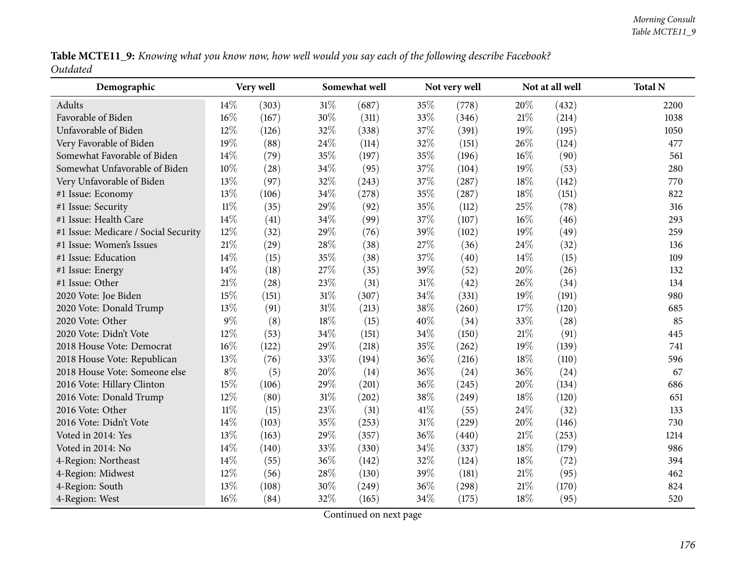| Table MCTE11_9: Knowing what you know now, how well would you say each of the following describe Facebook? |  |  |  |  |  |  |  |
|------------------------------------------------------------------------------------------------------------|--|--|--|--|--|--|--|
| Outdated                                                                                                   |  |  |  |  |  |  |  |

| Demographic                          |        | Very well |        | Somewhat well |        | Not very well |        | Not at all well | <b>Total N</b> |
|--------------------------------------|--------|-----------|--------|---------------|--------|---------------|--------|-----------------|----------------|
| Adults                               | 14\%   | (303)     | $31\%$ | (687)         | 35%    | (778)         | 20%    | (432)           | 2200           |
| Favorable of Biden                   | 16%    | (167)     | 30%    | (311)         | 33%    | (346)         | $21\%$ | (214)           | 1038           |
| Unfavorable of Biden                 | 12%    | (126)     | 32%    | (338)         | 37%    | (391)         | $19\%$ | (195)           | 1050           |
| Very Favorable of Biden              | 19%    | (88)      | 24%    | (114)         | 32%    | (151)         | 26\%   | (124)           | 477            |
| Somewhat Favorable of Biden          | 14%    | (79)      | 35%    | (197)         | 35%    | (196)         | $16\%$ | (90)            | 561            |
| Somewhat Unfavorable of Biden        | 10%    | (28)      | 34%    | (95)          | 37%    | (104)         | $19\%$ | (53)            | 280            |
| Very Unfavorable of Biden            | 13%    | (97)      | 32%    | (243)         | 37%    | (287)         | 18%    | (142)           | 770            |
| #1 Issue: Economy                    | 13%    | (106)     | 34%    | (278)         | 35%    | (287)         | 18\%   | (151)           | 822            |
| #1 Issue: Security                   | $11\%$ | (35)      | 29%    | (92)          | 35%    | (112)         | 25%    | (78)            | 316            |
| #1 Issue: Health Care                | 14%    | (41)      | 34%    | (99)          | 37%    | (107)         | $16\%$ | (46)            | 293            |
| #1 Issue: Medicare / Social Security | 12%    | (32)      | 29%    | (76)          | 39%    | (102)         | 19%    | (49)            | 259            |
| #1 Issue: Women's Issues             | 21%    | (29)      | 28%    | (38)          | 27%    | (36)          | 24%    | (32)            | 136            |
| #1 Issue: Education                  | 14%    | (15)      | 35%    | (38)          | 37%    | (40)          | $14\%$ | (15)            | 109            |
| #1 Issue: Energy                     | 14\%   | (18)      | 27%    | (35)          | 39%    | (52)          | 20%    | (26)            | 132            |
| #1 Issue: Other                      | $21\%$ | (28)      | 23%    | (31)          | $31\%$ | (42)          | 26\%   | (34)            | 134            |
| 2020 Vote: Joe Biden                 | 15%    | (151)     | 31%    | (307)         | 34%    | (331)         | 19%    | (191)           | 980            |
| 2020 Vote: Donald Trump              | 13%    | (91)      | 31%    | (213)         | 38%    | (260)         | 17%    | (120)           | 685            |
| 2020 Vote: Other                     | $9\%$  | (8)       | 18%    | (15)          | 40%    | (34)          | 33\%   | (28)            | 85             |
| 2020 Vote: Didn't Vote               | 12%    | (53)      | 34%    | (151)         | 34%    | (150)         | 21%    | (91)            | 445            |
| 2018 House Vote: Democrat            | 16%    | (122)     | 29%    | (218)         | 35%    | (262)         | $19\%$ | (139)           | 741            |
| 2018 House Vote: Republican          | 13%    | (76)      | 33%    | (194)         | 36%    | (216)         | 18%    | (110)           | 596            |
| 2018 House Vote: Someone else        | $8\%$  | (5)       | 20%    | (14)          | $36\%$ | (24)          | 36%    | (24)            | 67             |
| 2016 Vote: Hillary Clinton           | 15%    | (106)     | 29%    | (201)         | 36%    | (245)         | 20%    | (134)           | 686            |
| 2016 Vote: Donald Trump              | 12%    | (80)      | 31%    | (202)         | 38%    | (249)         | 18%    | (120)           | 651            |
| 2016 Vote: Other                     | $11\%$ | (15)      | 23%    | (31)          | 41\%   | (55)          | 24\%   | (32)            | 133            |
| 2016 Vote: Didn't Vote               | 14%    | (103)     | 35%    | (253)         | $31\%$ | (229)         | 20%    | (146)           | 730            |
| Voted in 2014: Yes                   | 13%    | (163)     | 29%    | (357)         | 36%    | (440)         | 21%    | (253)           | 1214           |
| Voted in 2014: No                    | 14%    | (140)     | 33%    | (330)         | 34%    | (337)         | 18\%   | (179)           | 986            |
| 4-Region: Northeast                  | 14%    | (55)      | 36%    | (142)         | 32%    | (124)         | 18\%   | (72)            | 394            |
| 4-Region: Midwest                    | 12%    | (56)      | 28%    | (130)         | 39%    | (181)         | 21%    | (95)            | 462            |
| 4-Region: South                      | 13%    | (108)     | 30%    | (249)         | 36%    | (298)         | $21\%$ | (170)           | 824            |
| 4-Region: West                       | 16%    | (84)      | 32%    | (165)         | 34%    | (175)         | 18%    | (95)            | 520            |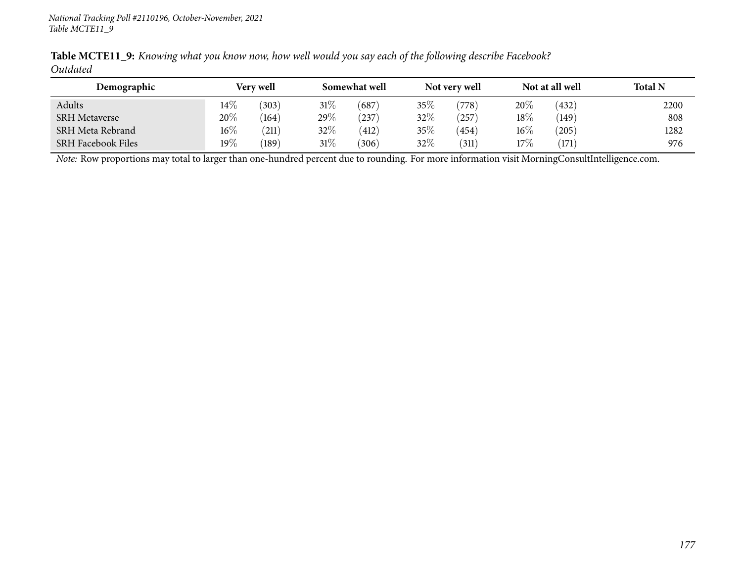| Table MCTE11_9: Knowing what you know now, how well would you say each of the following describe Facebook? |  |  |  |  |  |  |  |
|------------------------------------------------------------------------------------------------------------|--|--|--|--|--|--|--|
| Outdated                                                                                                   |  |  |  |  |  |  |  |

| Demographic               |        | <b>Very well</b> |        | Somewhat well |        | Not very well |        | Not at all well | <b>Total N</b> |
|---------------------------|--------|------------------|--------|---------------|--------|---------------|--------|-----------------|----------------|
| Adults                    | $14\%$ | (303)            | $31\%$ | (687)         | $35\%$ | (778)         | 20%    | (432)           | 2200           |
| <b>SRH Metaverse</b>      | 20%    | (164)            | 29\%   | (237)         | $32\%$ | 257           | 18\%   | (149)           | 808            |
| SRH Meta Rebrand          | $16\%$ | (211)            | $32\%$ | (412)         | 35%    | 454           | $16\%$ | $^{'}205)$      | 1282           |
| <b>SRH Facebook Files</b> | 19%    | (189)            | $31\%$ | (306)         | $32\%$ | (311)         | 17%    | (171)           | 976            |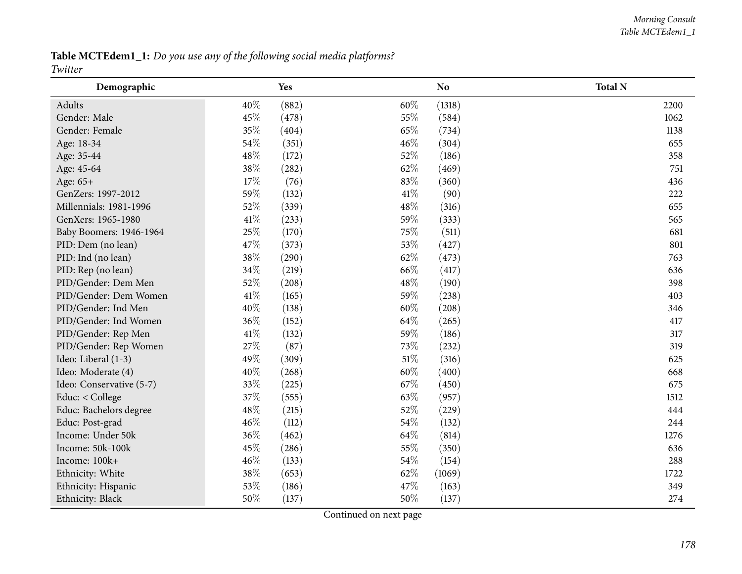Table MCTEdem1\_1: Do you use any of the following social media platforms? *Twitter*

| Demographic              |        | <b>Yes</b> |        | N <sub>o</sub> | <b>Total N</b> |
|--------------------------|--------|------------|--------|----------------|----------------|
| Adults                   | 40%    | (882)      | 60%    | (1318)         | 2200           |
| Gender: Male             | 45%    | (478)      | 55%    | (584)          | 1062           |
| Gender: Female           | 35%    | (404)      | 65%    | (734)          | 1138           |
| Age: 18-34               | 54\%   | (351)      | 46%    | (304)          | 655            |
| Age: 35-44               | 48%    | (172)      | 52%    | (186)          | 358            |
| Age: 45-64               | 38\%   | (282)      | 62%    | (469)          | 751            |
| Age: 65+                 | 17%    | (76)       | 83%    | (360)          | 436            |
| GenZers: 1997-2012       | 59%    | (132)      | 41%    | (90)           | 222            |
| Millennials: 1981-1996   | 52%    | (339)      | 48%    | (316)          | 655            |
| GenXers: 1965-1980       | 41\%   | (233)      | 59%    | (333)          | 565            |
| Baby Boomers: 1946-1964  | 25%    | (170)      | 75%    | (511)          | 681            |
| PID: Dem (no lean)       | 47%    | (373)      | 53%    | (427)          | 801            |
| PID: Ind (no lean)       | 38%    | (290)      | 62%    | (473)          | 763            |
| PID: Rep (no lean)       | 34\%   | (219)      | 66%    | (417)          | 636            |
| PID/Gender: Dem Men      | 52%    | (208)      | 48%    | (190)          | 398            |
| PID/Gender: Dem Women    | 41\%   | (165)      | 59%    | (238)          | 403            |
| PID/Gender: Ind Men      | 40%    | (138)      | 60%    | (208)          | 346            |
| PID/Gender: Ind Women    | 36%    | (152)      | 64%    | (265)          | 417            |
| PID/Gender: Rep Men      | $41\%$ | (132)      | 59%    | (186)          | 317            |
| PID/Gender: Rep Women    | 27\%   | (87)       | 73%    | (232)          | 319            |
| Ideo: Liberal (1-3)      | 49%    | (309)      | $51\%$ | (316)          | 625            |
| Ideo: Moderate (4)       | 40%    | (268)      | 60%    | (400)          | 668            |
| Ideo: Conservative (5-7) | 33%    | (225)      | 67%    | (450)          | 675            |
| Educ: < College          | 37%    | (555)      | 63%    | (957)          | 1512           |
| Educ: Bachelors degree   | 48%    | (215)      | 52%    | (229)          | 444            |
| Educ: Post-grad          | 46%    | (112)      | 54%    | (132)          | 244            |
| Income: Under 50k        | 36%    | (462)      | 64%    | (814)          | 1276           |
| Income: 50k-100k         | 45%    | (286)      | 55%    | (350)          | 636            |
| Income: 100k+            | 46%    | (133)      | 54%    | (154)          | 288            |
| Ethnicity: White         | 38\%   | (653)      | 62%    | (1069)         | 1722           |
| Ethnicity: Hispanic      | 53%    | (186)      | 47%    | (163)          | 349            |
| Ethnicity: Black         | 50%    | (137)      | 50%    | (137)          | 274            |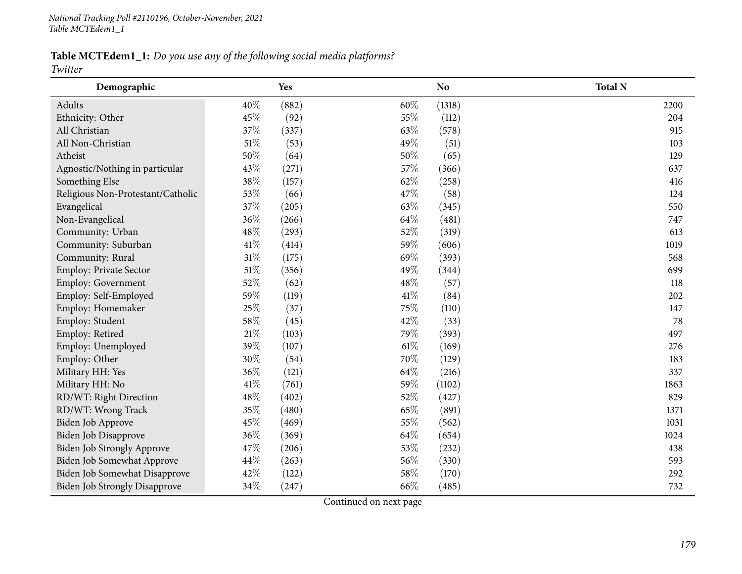Table MCTEdem1\_1: Do you use any of the following social media platforms?

*Twitter*

| Demographic                          |        | Yes   |        | N <sub>o</sub> | <b>Total N</b> |
|--------------------------------------|--------|-------|--------|----------------|----------------|
| Adults                               | 40%    | (882) | 60%    | (1318)         | 2200           |
| Ethnicity: Other                     | 45%    | (92)  | 55%    | (112)          | 204            |
| All Christian                        | 37%    | (337) | 63%    | (578)          | 915            |
| All Non-Christian                    | $51\%$ | (53)  | 49%    | (51)           | 103            |
| Atheist                              | 50%    | (64)  | 50%    | (65)           | 129            |
| Agnostic/Nothing in particular       | 43%    | (271) | 57%    | (366)          | 637            |
| Something Else                       | 38%    | (157) | 62%    | (258)          | 416            |
| Religious Non-Protestant/Catholic    | 53%    | (66)  | 47%    | (58)           | 124            |
| Evangelical                          | 37%    | (205) | 63%    | (345)          | 550            |
| Non-Evangelical                      | 36%    | (266) | 64%    | (481)          | 747            |
| Community: Urban                     | 48%    | (293) | 52%    | (319)          | 613            |
| Community: Suburban                  | 41\%   | (414) | 59%    | (606)          | 1019           |
| Community: Rural                     | $31\%$ | (175) | 69%    | (393)          | 568            |
| Employ: Private Sector               | $51\%$ | (356) | 49%    | (344)          | 699            |
| <b>Employ: Government</b>            | 52%    | (62)  | 48\%   | (57)           | 118            |
| Employ: Self-Employed                | 59%    | (119) | 41\%   | (84)           | 202            |
| Employ: Homemaker                    | 25%    | (37)  | 75%    | (110)          | 147            |
| Employ: Student                      | 58%    | (45)  | 42%    | (33)           | 78             |
| Employ: Retired                      | 21%    | (103) | 79%    | (393)          | 497            |
| Employ: Unemployed                   | 39%    | (107) | $61\%$ | (169)          | 276            |
| Employ: Other                        | 30%    | (54)  | 70%    | (129)          | 183            |
| Military HH: Yes                     | 36%    | (121) | 64\%   | (216)          | 337            |
| Military HH: No                      | 41\%   | (761) | 59%    | (1102)         | 1863           |
| RD/WT: Right Direction               | 48%    | (402) | 52%    | (427)          | 829            |
| RD/WT: Wrong Track                   | 35%    | (480) | 65%    | (891)          | 1371           |
| Biden Job Approve                    | 45%    | (469) | 55%    | (562)          | 1031           |
| Biden Job Disapprove                 | 36%    | (369) | 64%    | (654)          | 1024           |
| Biden Job Strongly Approve           | 47%    | (206) | 53%    | (232)          | 438            |
| Biden Job Somewhat Approve           | 44%    | (263) | 56%    | (330)          | 593            |
| Biden Job Somewhat Disapprove        | 42%    | (122) | 58%    | (170)          | 292            |
| <b>Biden Job Strongly Disapprove</b> | 34%    | (247) | 66%    | (485)          | 732            |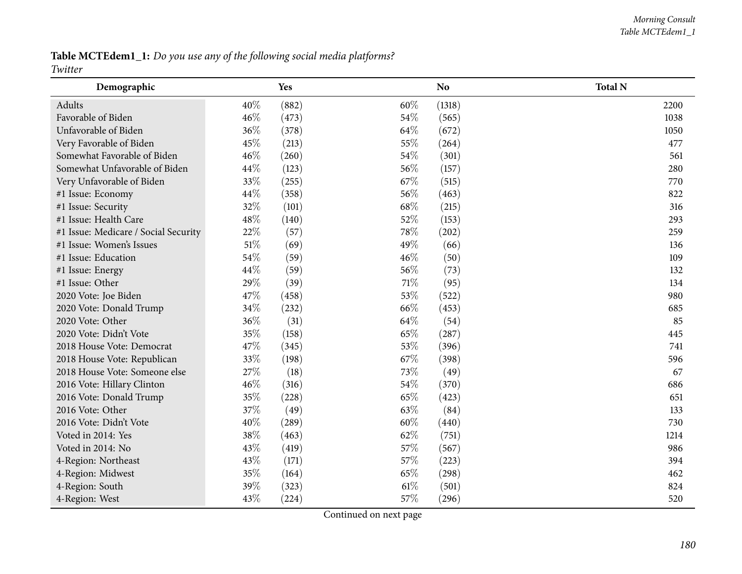Table MCTEdem1\_1: Do you use any of the following social media platforms? *Twitter*

| Demographic                          |        | <b>Yes</b> |        | N <sub>o</sub> | <b>Total N</b> |
|--------------------------------------|--------|------------|--------|----------------|----------------|
| Adults                               | 40%    | (882)      | 60%    | (1318)         | 2200           |
| Favorable of Biden                   | 46%    | (473)      | 54%    | (565)          | 1038           |
| Unfavorable of Biden                 | 36%    | (378)      | 64%    | (672)          | 1050           |
| Very Favorable of Biden              | 45%    | (213)      | 55%    | (264)          | 477            |
| Somewhat Favorable of Biden          | 46%    | (260)      | 54%    | (301)          | 561            |
| Somewhat Unfavorable of Biden        | 44\%   | (123)      | 56%    | (157)          | 280            |
| Very Unfavorable of Biden            | 33%    | (255)      | 67%    | (515)          | 770            |
| #1 Issue: Economy                    | 44%    | (358)      | 56%    | (463)          | 822            |
| #1 Issue: Security                   | 32%    | (101)      | 68%    | (215)          | 316            |
| #1 Issue: Health Care                | 48%    | (140)      | 52%    | (153)          | 293            |
| #1 Issue: Medicare / Social Security | 22%    | (57)       | 78%    | (202)          | 259            |
| #1 Issue: Women's Issues             | $51\%$ | (69)       | 49%    | (66)           | 136            |
| #1 Issue: Education                  | 54%    | (59)       | 46%    | (50)           | 109            |
| #1 Issue: Energy                     | 44\%   | (59)       | 56%    | (73)           | 132            |
| #1 Issue: Other                      | 29%    | (39)       | $71\%$ | (95)           | 134            |
| 2020 Vote: Joe Biden                 | 47%    | (458)      | 53%    | (522)          | 980            |
| 2020 Vote: Donald Trump              | $34\%$ | (232)      | 66%    | (453)          | 685            |
| 2020 Vote: Other                     | 36%    | (31)       | 64%    | (54)           | 85             |
| 2020 Vote: Didn't Vote               | 35%    | (158)      | 65%    | (287)          | 445            |
| 2018 House Vote: Democrat            | 47%    | (345)      | 53%    | (396)          | 741            |
| 2018 House Vote: Republican          | 33%    | (198)      | 67\%   | (398)          | 596            |
| 2018 House Vote: Someone else        | 27\%   | (18)       | 73%    | (49)           | 67             |
| 2016 Vote: Hillary Clinton           | 46%    | (316)      | 54%    | (370)          | 686            |
| 2016 Vote: Donald Trump              | 35%    | (228)      | 65%    | (423)          | 651            |
| 2016 Vote: Other                     | 37%    | (49)       | 63%    | (84)           | 133            |
| 2016 Vote: Didn't Vote               | 40%    | (289)      | 60%    | (440)          | 730            |
| Voted in 2014: Yes                   | 38%    | (463)      | 62%    | (751)          | 1214           |
| Voted in 2014: No                    | 43%    | (419)      | 57%    | (567)          | 986            |
| 4-Region: Northeast                  | 43%    | (171)      | 57%    | (223)          | 394            |
| 4-Region: Midwest                    | 35%    | (164)      | 65%    | (298)          | 462            |
| 4-Region: South                      | 39%    | (323)      | $61\%$ | (501)          | 824            |
| 4-Region: West                       | 43%    | (224)      | 57%    | (296)          | 520            |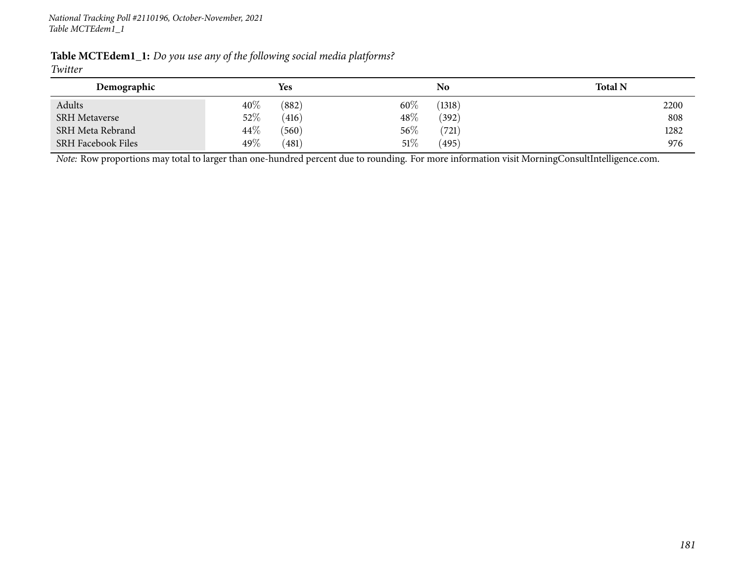| Table MCTEdem1_1: Do you use any of the following social media platforms? |  |  |  |
|---------------------------------------------------------------------------|--|--|--|
| ___                                                                       |  |  |  |

#### *Twitter*

| Demographic               |        | Yes   |        | No     | <b>Total N</b> |
|---------------------------|--------|-------|--------|--------|----------------|
| Adults                    | 40%    | (882) | $60\%$ | (1318) | 2200           |
| <b>SRH</b> Metaverse      | 52\%   | (416) | $48\%$ | (392)  | 808            |
| SRH Meta Rebrand          | $44\%$ | (560) | 56\%   | (721)  | 1282           |
| <b>SRH Facebook Files</b> | 49\%   | (481) | 51\%   | (495)  | 976            |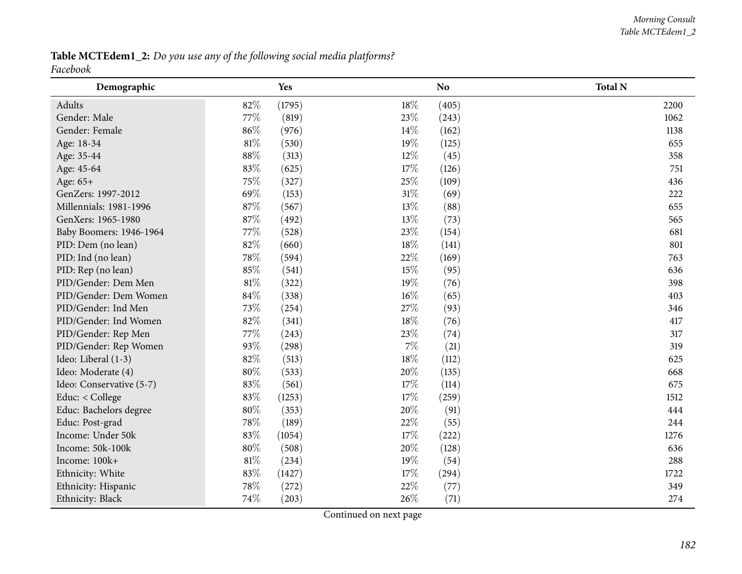Table MCTEdem1\_2: Do you use any of the following social media platforms? *Facebook*

| Demographic              |        | <b>Yes</b> |        | <b>No</b> | <b>Total N</b> |
|--------------------------|--------|------------|--------|-----------|----------------|
| Adults                   | 82%    | (1795)     | 18%    | (405)     | 2200           |
| Gender: Male             | 77\%   | (819)      | 23%    | (243)     | 1062           |
| Gender: Female           | 86%    | (976)      | 14%    | (162)     | 1138           |
| Age: 18-34               | $81\%$ | (530)      | 19%    | (125)     | 655            |
| Age: 35-44               | $88\%$ | (313)      | 12%    | (45)      | 358            |
| Age: 45-64               | 83%    | (625)      | $17\%$ | (126)     | 751            |
| Age: 65+                 | 75%    | (327)      | 25%    | (109)     | 436            |
| GenZers: 1997-2012       | 69%    | (153)      | 31%    | (69)      | 222            |
| Millennials: 1981-1996   | 87%    | (567)      | 13%    | (88)      | 655            |
| GenXers: 1965-1980       | 87%    | (492)      | 13%    | (73)      | 565            |
| Baby Boomers: 1946-1964  | 77\%   | (528)      | 23%    | (154)     | 681            |
| PID: Dem (no lean)       | 82%    | (660)      | 18%    | (141)     | 801            |
| PID: Ind (no lean)       | 78%    | (594)      | 22%    | (169)     | 763            |
| PID: Rep (no lean)       | 85%    | (541)      | 15%    | (95)      | 636            |
| PID/Gender: Dem Men      | $81\%$ | (322)      | 19%    | (76)      | 398            |
| PID/Gender: Dem Women    | 84%    | (338)      | 16%    | (65)      | 403            |
| PID/Gender: Ind Men      | 73%    | (254)      | 27%    | (93)      | 346            |
| PID/Gender: Ind Women    | 82%    | (341)      | $18\%$ | (76)      | 417            |
| PID/Gender: Rep Men      | 77\%   | (243)      | 23%    | (74)      | 317            |
| PID/Gender: Rep Women    | 93%    | (298)      | 7%     | (21)      | 319            |
| Ideo: Liberal (1-3)      | 82%    | (513)      | $18\%$ | (112)     | 625            |
| Ideo: Moderate (4)       | $80\%$ | (533)      | 20%    | (135)     | 668            |
| Ideo: Conservative (5-7) | 83%    | (561)      | 17%    | (114)     | 675            |
| Educ: < College          | 83%    | (1253)     | 17%    | (259)     | 1512           |
| Educ: Bachelors degree   | 80%    | (353)      | 20%    | (91)      | 444            |
| Educ: Post-grad          | 78%    | (189)      | 22%    | (55)      | 244            |
| Income: Under 50k        | 83%    | (1054)     | 17%    | (222)     | 1276           |
| Income: 50k-100k         | $80\%$ | (508)      | 20%    | (128)     | 636            |
| Income: 100k+            | $81\%$ | (234)      | 19%    | (54)      | 288            |
| Ethnicity: White         | 83%    | (1427)     | 17%    | (294)     | 1722           |
| Ethnicity: Hispanic      | 78%    | (272)      | 22%    | (77)      | 349            |
| Ethnicity: Black         | 74%    | (203)      | 26%    | (71)      | 274            |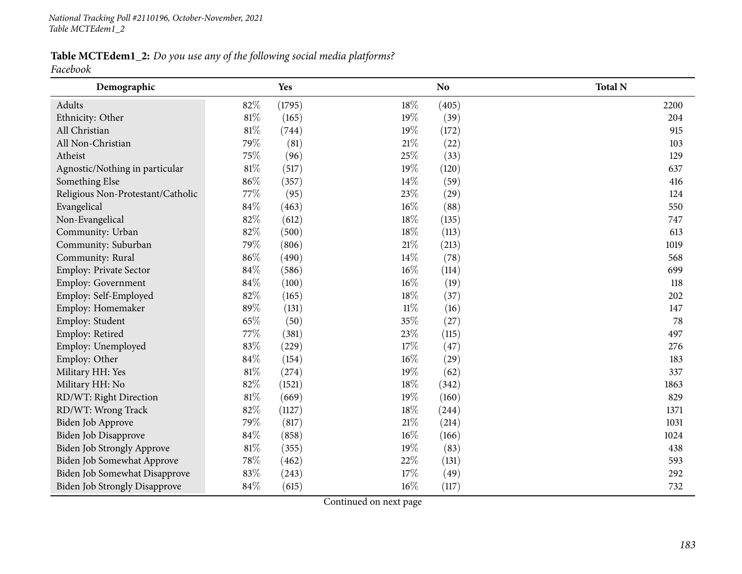Table MCTEdem1\_2: Do you use any of the following social media platforms? *Facebook*

| Demographic                          |        | Yes    |        | <b>No</b> | <b>Total N</b> |
|--------------------------------------|--------|--------|--------|-----------|----------------|
| Adults                               | 82%    | (1795) | 18%    | (405)     | 2200           |
| Ethnicity: Other                     | $81\%$ | (165)  | 19%    | (39)      | 204            |
| All Christian                        | $81\%$ | (744)  | 19%    | (172)     | 915            |
| All Non-Christian                    | 79%    | (81)   | $21\%$ | (22)      | 103            |
| Atheist                              | 75%    | (96)   | 25%    | (33)      | 129            |
| Agnostic/Nothing in particular       | $81\%$ | (517)  | 19%    | (120)     | 637            |
| Something Else                       | 86%    | (357)  | 14%    | (59)      | 416            |
| Religious Non-Protestant/Catholic    | 77\%   | (95)   | 23%    | (29)      | 124            |
| Evangelical                          | 84\%   | (463)  | 16%    | (88)      | 550            |
| Non-Evangelical                      | 82%    | (612)  | $18\%$ | (135)     | 747            |
| Community: Urban                     | 82%    | (500)  | $18\%$ | (113)     | 613            |
| Community: Suburban                  | 79%    | (806)  | $21\%$ | (213)     | 1019           |
| Community: Rural                     | 86%    | (490)  | 14%    | (78)      | 568            |
| Employ: Private Sector               | $84\%$ | (586)  | 16%    | (114)     | 699            |
| Employ: Government                   | $84\%$ | (100)  | $16\%$ | (19)      | 118            |
| Employ: Self-Employed                | 82%    | (165)  | 18%    | (37)      | 202            |
| Employ: Homemaker                    | 89%    | (131)  | $11\%$ | (16)      | 147            |
| Employ: Student                      | 65%    | (50)   | 35%    | (27)      | 78             |
| Employ: Retired                      | 77%    | (381)  | 23%    | (115)     | 497            |
| Employ: Unemployed                   | 83%    | (229)  | 17%    | (47)      | 276            |
| Employ: Other                        | $84\%$ | (154)  | 16%    | (29)      | 183            |
| Military HH: Yes                     | $81\%$ | (274)  | 19%    | (62)      | 337            |
| Military HH: No                      | 82%    | (1521) | 18%    | (342)     | 1863           |
| RD/WT: Right Direction               | $81\%$ | (669)  | 19%    | (160)     | 829            |
| RD/WT: Wrong Track                   | 82%    | (1127) | 18%    | (244)     | 1371           |
| Biden Job Approve                    | 79%    | (817)  | $21\%$ | (214)     | 1031           |
| Biden Job Disapprove                 | 84%    | (858)  | $16\%$ | (166)     | 1024           |
| <b>Biden Job Strongly Approve</b>    | $81\%$ | (355)  | 19%    | (83)      | 438            |
| Biden Job Somewhat Approve           | 78\%   | (462)  | 22%    | (131)     | 593            |
| Biden Job Somewhat Disapprove        | 83%    | (243)  | 17%    | (49)      | 292            |
| <b>Biden Job Strongly Disapprove</b> | 84%    | (615)  | 16%    | (117)     | 732            |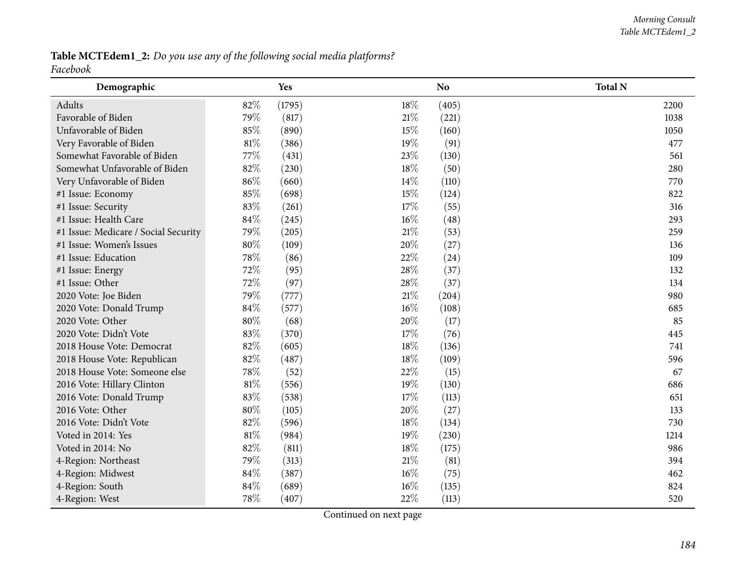Table MCTEdem1\_2: Do you use any of the following social media platforms? *Facebook*

| Demographic                          |        | Yes    |        | N <sub>o</sub> | <b>Total N</b> |
|--------------------------------------|--------|--------|--------|----------------|----------------|
| Adults                               | 82%    | (1795) | 18%    | (405)          | 2200           |
| Favorable of Biden                   | 79%    | (817)  | 21%    | (221)          | 1038           |
| Unfavorable of Biden                 | 85%    | (890)  | 15%    | (160)          | 1050           |
| Very Favorable of Biden              | $81\%$ | (386)  | 19%    | (91)           | 477            |
| Somewhat Favorable of Biden          | 77%    | (431)  | 23%    | (130)          | 561            |
| Somewhat Unfavorable of Biden        | 82%    | (230)  | 18%    | (50)           | 280            |
| Very Unfavorable of Biden            | 86%    | (660)  | 14%    | (110)          | 770            |
| #1 Issue: Economy                    | 85%    | (698)  | 15%    | (124)          | 822            |
| #1 Issue: Security                   | 83%    | (261)  | 17%    | (55)           | 316            |
| #1 Issue: Health Care                | 84\%   | (245)  | 16%    | (48)           | 293            |
| #1 Issue: Medicare / Social Security | 79%    | (205)  | $21\%$ | (53)           | 259            |
| #1 Issue: Women's Issues             | 80%    | (109)  | 20%    | (27)           | 136            |
| #1 Issue: Education                  | 78%    | (86)   | 22%    | (24)           | 109            |
| #1 Issue: Energy                     | 72%    | (95)   | 28%    | (37)           | 132            |
| #1 Issue: Other                      | 72%    | (97)   | 28%    | (37)           | 134            |
| 2020 Vote: Joe Biden                 | 79%    | (777)  | $21\%$ | (204)          | 980            |
| 2020 Vote: Donald Trump              | $84\%$ | (577)  | 16%    | (108)          | 685            |
| 2020 Vote: Other                     | 80%    | (68)   | 20%    | (17)           | 85             |
| 2020 Vote: Didn't Vote               | 83%    | (370)  | 17%    | (76)           | 445            |
| 2018 House Vote: Democrat            | 82%    | (605)  | 18%    | (136)          | 741            |
| 2018 House Vote: Republican          | 82%    | (487)  | 18%    | (109)          | 596            |
| 2018 House Vote: Someone else        | 78%    | (52)   | 22%    | (15)           | 67             |
| 2016 Vote: Hillary Clinton           | $81\%$ | (556)  | 19%    | (130)          | 686            |
| 2016 Vote: Donald Trump              | 83%    | (538)  | 17%    | (113)          | 651            |
| 2016 Vote: Other                     | 80%    | (105)  | 20%    | (27)           | 133            |
| 2016 Vote: Didn't Vote               | 82%    | (596)  | $18\%$ | (134)          | 730            |
| Voted in 2014: Yes                   | $81\%$ | (984)  | 19%    | (230)          | 1214           |
| Voted in 2014: No                    | 82%    | (811)  | 18%    | (175)          | 986            |
| 4-Region: Northeast                  | 79%    | (313)  | $21\%$ | (81)           | 394            |
| 4-Region: Midwest                    | 84%    | (387)  | 16%    | (75)           | 462            |
| 4-Region: South                      | 84%    | (689)  | 16%    | (135)          | 824            |
| 4-Region: West                       | 78%    | (407)  | 22%    | (113)          | 520            |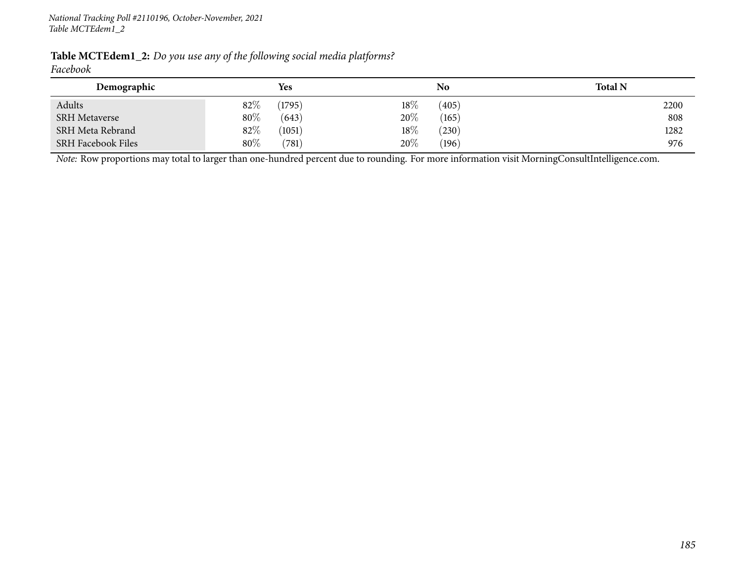| <b>Table MCTEdem1_2:</b> Do you use any of the following social media platforms? |  |
|----------------------------------------------------------------------------------|--|
| Facebook                                                                         |  |

| Demographic               | <b>Yes</b>       |        | No    | <b>Total N</b> |
|---------------------------|------------------|--------|-------|----------------|
| Adults                    | $82\%$<br>(1795) | $18\%$ | (405) | 2200           |
| <b>SRH</b> Metaverse      | 80%<br>(643)     | 20%    | (165) | 808            |
| <b>SRH Meta Rebrand</b>   | $82\%$<br>(1051) | $18\%$ | (230) | 1282           |
| <b>SRH Facebook Files</b> | 80%<br>(781)     | 20%    | (196) | 976            |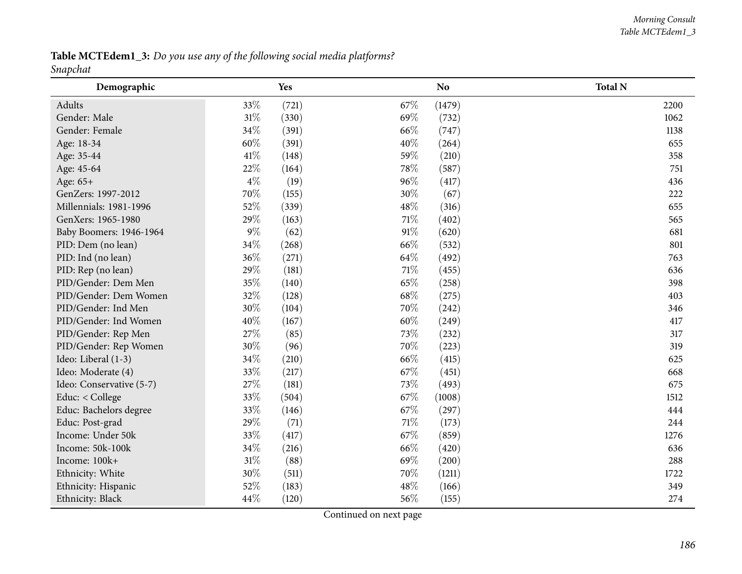Table MCTEdem1\_3: Do you use any of the following social media platforms? *Snapchat*

| Demographic              |        | Yes   |        | N <sub>o</sub> | <b>Total N</b> |
|--------------------------|--------|-------|--------|----------------|----------------|
| Adults                   | 33%    | (721) | 67%    | (1479)         | 2200           |
| Gender: Male             | $31\%$ | (330) | 69%    | (732)          | 1062           |
| Gender: Female           | 34%    | (391) | 66%    | (747)          | 1138           |
| Age: 18-34               | 60%    | (391) | 40%    | (264)          | 655            |
| Age: 35-44               | 41\%   | (148) | 59%    | (210)          | 358            |
| Age: 45-64               | 22\%   | (164) | 78%    | (587)          | 751            |
| Age: 65+                 | $4\%$  | (19)  | 96%    | (417)          | 436            |
| GenZers: 1997-2012       | 70%    | (155) | 30%    | (67)           | 222            |
| Millennials: 1981-1996   | 52%    | (339) | 48%    | (316)          | 655            |
| GenXers: 1965-1980       | 29%    | (163) | $71\%$ | (402)          | 565            |
| Baby Boomers: 1946-1964  | $9\%$  | (62)  | 91%    | (620)          | 681            |
| PID: Dem (no lean)       | $34\%$ | (268) | 66%    | (532)          | 801            |
| PID: Ind (no lean)       | 36%    | (271) | 64%    | (492)          | 763            |
| PID: Rep (no lean)       | 29%    | (181) | $71\%$ | (455)          | 636            |
| PID/Gender: Dem Men      | 35%    | (140) | 65%    | (258)          | 398            |
| PID/Gender: Dem Women    | 32%    | (128) | 68%    | (275)          | 403            |
| PID/Gender: Ind Men      | 30%    | (104) | 70%    | (242)          | 346            |
| PID/Gender: Ind Women    | 40%    | (167) | 60%    | (249)          | 417            |
| PID/Gender: Rep Men      | 27\%   | (85)  | 73%    | (232)          | 317            |
| PID/Gender: Rep Women    | 30%    | (96)  | 70%    | (223)          | 319            |
| Ideo: Liberal (1-3)      | 34%    | (210) | 66%    | (415)          | 625            |
| Ideo: Moderate (4)       | 33%    | (217) | 67%    | (451)          | 668            |
| Ideo: Conservative (5-7) | 27%    | (181) | 73%    | (493)          | 675            |
| Educ: < College          | 33%    | (504) | 67%    | (1008)         | 1512           |
| Educ: Bachelors degree   | 33%    | (146) | 67%    | (297)          | 444            |
| Educ: Post-grad          | 29%    | (71)  | $71\%$ | (173)          | 244            |
| Income: Under 50k        | 33%    | (417) | 67\%   | (859)          | 1276           |
| Income: 50k-100k         | $34\%$ | (216) | 66%    | (420)          | 636            |
| Income: 100k+            | $31\%$ | (88)  | 69%    | (200)          | 288            |
| Ethnicity: White         | $30\%$ | (511) | 70%    | (1211)         | 1722           |
| Ethnicity: Hispanic      | 52%    | (183) | 48\%   | (166)          | 349            |
| Ethnicity: Black         | 44%    | (120) | 56%    | (155)          | 274            |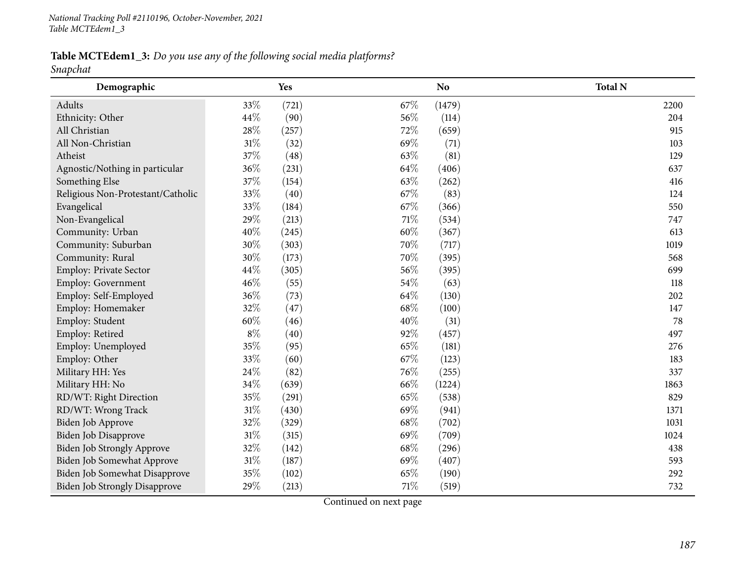Table MCTEdem1\_3: Do you use any of the following social media platforms?

*Snapchat*

| Demographic                          |        | Yes   |        | N <sub>o</sub> | <b>Total N</b> |
|--------------------------------------|--------|-------|--------|----------------|----------------|
| Adults                               | 33%    | (721) | 67\%   | (1479)         | 2200           |
| Ethnicity: Other                     | 44\%   | (90)  | 56%    | (114)          | 204            |
| All Christian                        | 28%    | (257) | 72%    | (659)          | 915            |
| All Non-Christian                    | $31\%$ | (32)  | 69%    | (71)           | 103            |
| Atheist                              | 37%    | (48)  | 63%    | (81)           | 129            |
| Agnostic/Nothing in particular       | 36%    | (231) | 64\%   | (406)          | 637            |
| Something Else                       | 37%    | (154) | 63%    | (262)          | 416            |
| Religious Non-Protestant/Catholic    | 33%    | (40)  | 67%    | (83)           | 124            |
| Evangelical                          | 33%    | (184) | 67%    | (366)          | 550            |
| Non-Evangelical                      | 29%    | (213) | $71\%$ | (534)          | 747            |
| Community: Urban                     | 40%    | (245) | 60%    | (367)          | 613            |
| Community: Suburban                  | 30%    | (303) | 70%    | (717)          | 1019           |
| Community: Rural                     | 30%    | (173) | 70%    | (395)          | 568            |
| Employ: Private Sector               | 44\%   | (305) | 56%    | (395)          | 699            |
| <b>Employ: Government</b>            | 46\%   | (55)  | 54\%   | (63)           | 118            |
| Employ: Self-Employed                | 36%    | (73)  | 64\%   | (130)          | 202            |
| Employ: Homemaker                    | 32%    | (47)  | 68%    | (100)          | 147            |
| Employ: Student                      | 60%    | (46)  | 40%    | (31)           | 78             |
| Employ: Retired                      | $8\%$  | (40)  | 92%    | (457)          | 497            |
| Employ: Unemployed                   | 35%    | (95)  | 65%    | (181)          | 276            |
| Employ: Other                        | 33%    | (60)  | 67\%   | (123)          | 183            |
| Military HH: Yes                     | 24\%   | (82)  | 76%    | (255)          | 337            |
| Military HH: No                      | 34%    | (639) | 66%    | (1224)         | 1863           |
| RD/WT: Right Direction               | 35%    | (291) | 65%    | (538)          | 829            |
| RD/WT: Wrong Track                   | $31\%$ | (430) | 69%    | (941)          | 1371           |
| Biden Job Approve                    | 32%    | (329) | 68\%   | (702)          | 1031           |
| Biden Job Disapprove                 | $31\%$ | (315) | 69%    | (709)          | 1024           |
| Biden Job Strongly Approve           | 32%    | (142) | 68\%   | (296)          | 438            |
| Biden Job Somewhat Approve           | $31\%$ | (187) | 69%    | (407)          | 593            |
| Biden Job Somewhat Disapprove        | 35%    | (102) | 65%    | (190)          | 292            |
| <b>Biden Job Strongly Disapprove</b> | 29%    | (213) | $71\%$ | (519)          | 732            |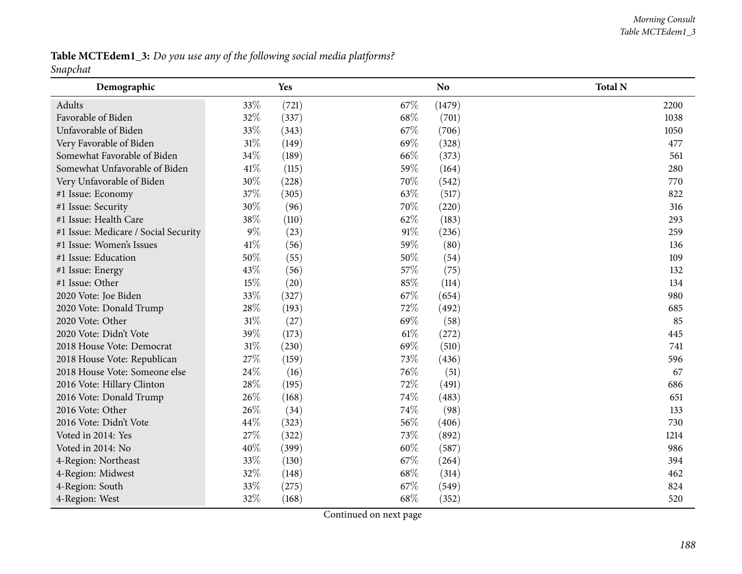Table MCTEdem1\_3: Do you use any of the following social media platforms? *Snapchat*

| Demographic                          |        | Yes   |      | <b>No</b> | <b>Total N</b> |
|--------------------------------------|--------|-------|------|-----------|----------------|
| Adults                               | 33%    | (721) | 67%  | (1479)    | 2200           |
| Favorable of Biden                   | 32%    | (337) | 68%  | (701)     | 1038           |
| Unfavorable of Biden                 | 33%    | (343) | 67%  | (706)     | 1050           |
| Very Favorable of Biden              | $31\%$ | (149) | 69%  | (328)     | 477            |
| Somewhat Favorable of Biden          | 34%    | (189) | 66%  | (373)     | 561            |
| Somewhat Unfavorable of Biden        | $41\%$ | (115) | 59%  | (164)     | 280            |
| Very Unfavorable of Biden            | 30%    | (228) | 70%  | (542)     | 770            |
| #1 Issue: Economy                    | 37%    | (305) | 63%  | (517)     | 822            |
| #1 Issue: Security                   | 30%    | (96)  | 70%  | (220)     | 316            |
| #1 Issue: Health Care                | 38%    | (110) | 62%  | (183)     | 293            |
| #1 Issue: Medicare / Social Security | $9\%$  | (23)  | 91%  | (236)     | 259            |
| #1 Issue: Women's Issues             | 41\%   | (56)  | 59%  | (80)      | 136            |
| #1 Issue: Education                  | 50%    | (55)  | 50%  | (54)      | 109            |
| #1 Issue: Energy                     | 43%    | (56)  | 57%  | (75)      | 132            |
| #1 Issue: Other                      | 15%    | (20)  | 85%  | (114)     | 134            |
| 2020 Vote: Joe Biden                 | 33%    | (327) | 67%  | (654)     | 980            |
| 2020 Vote: Donald Trump              | $28\%$ | (193) | 72%  | (492)     | 685            |
| 2020 Vote: Other                     | $31\%$ | (27)  | 69%  | (58)      | 85             |
| 2020 Vote: Didn't Vote               | 39%    | (173) | 61\% | (272)     | 445            |
| 2018 House Vote: Democrat            | $31\%$ | (230) | 69%  | (510)     | 741            |
| 2018 House Vote: Republican          | 27%    | (159) | 73%  | (436)     | 596            |
| 2018 House Vote: Someone else        | 24\%   | (16)  | 76%  | (51)      | 67             |
| 2016 Vote: Hillary Clinton           | 28\%   | (195) | 72%  | (491)     | 686            |
| 2016 Vote: Donald Trump              | 26%    | (168) | 74%  | (483)     | 651            |
| 2016 Vote: Other                     | 26%    | (34)  | 74%  | (98)      | 133            |
| 2016 Vote: Didn't Vote               | 44%    | (323) | 56%  | (406)     | 730            |
| Voted in 2014: Yes                   | 27%    | (322) | 73%  | (892)     | 1214           |
| Voted in 2014: No                    | 40%    | (399) | 60%  | (587)     | 986            |
| 4-Region: Northeast                  | 33%    | (130) | 67%  | (264)     | 394            |
| 4-Region: Midwest                    | 32%    | (148) | 68%  | (314)     | 462            |
| 4-Region: South                      | 33%    | (275) | 67\% | (549)     | 824            |
| 4-Region: West                       | 32%    | (168) | 68%  | (352)     | 520            |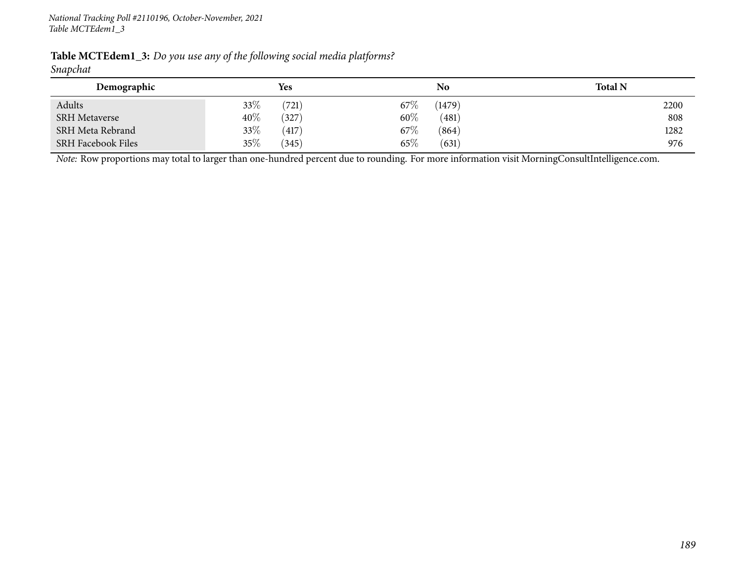| Table MCTEdem1_3: Do you use any of the following social media platforms? |  |  |  |  |  |
|---------------------------------------------------------------------------|--|--|--|--|--|
|---------------------------------------------------------------------------|--|--|--|--|--|

#### *Snapchat*

| Demographic               | Yes    |                 | No     | <b>Total N</b> |
|---------------------------|--------|-----------------|--------|----------------|
| Adults                    | $33\%$ | $67\%$<br>(721) | (1479) | 2200           |
| <b>SRH</b> Metaverse      | 40%    | $60\%$<br>(327) | (481)  | 808            |
| SRH Meta Rebrand          | 33\%   | 67%<br>(417)    | (864)  | 1282           |
| <b>SRH Facebook Files</b> | 35\%   | 65%<br>(345)    | (631)  | 976            |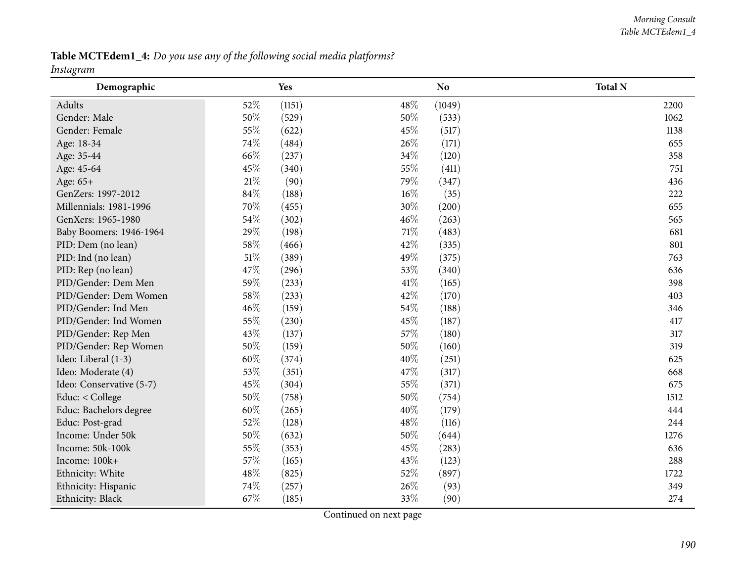Table MCTEdem1\_4: Do you use any of the following social media platforms? *Instagram*

| o<br>Demographic         |        | Yes    |      | N <sub>o</sub> | <b>Total N</b> |
|--------------------------|--------|--------|------|----------------|----------------|
| Adults                   | 52%    | (1151) | 48%  | (1049)         | 2200           |
| Gender: Male             | $50\%$ | (529)  | 50%  | (533)          | 1062           |
| Gender: Female           | 55%    | (622)  | 45%  | (517)          | 1138           |
| Age: 18-34               | 74%    | (484)  | 26%  | (171)          | 655            |
| Age: 35-44               | 66%    | (237)  | 34%  | (120)          | 358            |
| Age: 45-64               | 45%    | (340)  | 55%  | (411)          | 751            |
| Age: 65+                 | $21\%$ | (90)   | 79%  | (347)          | 436            |
| GenZers: 1997-2012       | 84\%   | (188)  | 16%  | (35)           | 222            |
| Millennials: 1981-1996   | 70%    | (455)  | 30%  | (200)          | 655            |
| GenXers: 1965-1980       | 54%    | (302)  | 46%  | (263)          | 565            |
| Baby Boomers: 1946-1964  | 29%    | (198)  | 71%  | (483)          | 681            |
| PID: Dem (no lean)       | 58%    | (466)  | 42%  | (335)          | 801            |
| PID: Ind (no lean)       | $51\%$ | (389)  | 49%  | (375)          | 763            |
| PID: Rep (no lean)       | 47%    | (296)  | 53%  | (340)          | 636            |
| PID/Gender: Dem Men      | 59%    | (233)  | 41\% | (165)          | 398            |
| PID/Gender: Dem Women    | 58%    | (233)  | 42%  | (170)          | 403            |
| PID/Gender: Ind Men      | 46%    | (159)  | 54%  | (188)          | 346            |
| PID/Gender: Ind Women    | 55%    | (230)  | 45%  | (187)          | 417            |
| PID/Gender: Rep Men      | 43%    | (137)  | 57%  | (180)          | 317            |
| PID/Gender: Rep Women    | 50%    | (159)  | 50%  | (160)          | 319            |
| Ideo: Liberal (1-3)      | 60%    | (374)  | 40%  | (251)          | 625            |
| Ideo: Moderate (4)       | 53%    | (351)  | 47%  | (317)          | 668            |
| Ideo: Conservative (5-7) | 45%    | (304)  | 55%  | (371)          | 675            |
| Educ: < College          | 50%    | (758)  | 50%  | (754)          | 1512           |
| Educ: Bachelors degree   | 60%    | (265)  | 40%  | (179)          | 444            |
| Educ: Post-grad          | 52%    | (128)  | 48%  | (116)          | 244            |
| Income: Under 50k        | 50%    | (632)  | 50%  | (644)          | 1276           |
| Income: 50k-100k         | 55%    | (353)  | 45%  | (283)          | 636            |
| Income: 100k+            | 57%    | (165)  | 43%  | (123)          | 288            |
| Ethnicity: White         | 48\%   | (825)  | 52%  | (897)          | 1722           |
| Ethnicity: Hispanic      | 74%    | (257)  | 26%  | (93)           | 349            |
| Ethnicity: Black         | 67%    | (185)  | 33%  | (90)           | 274            |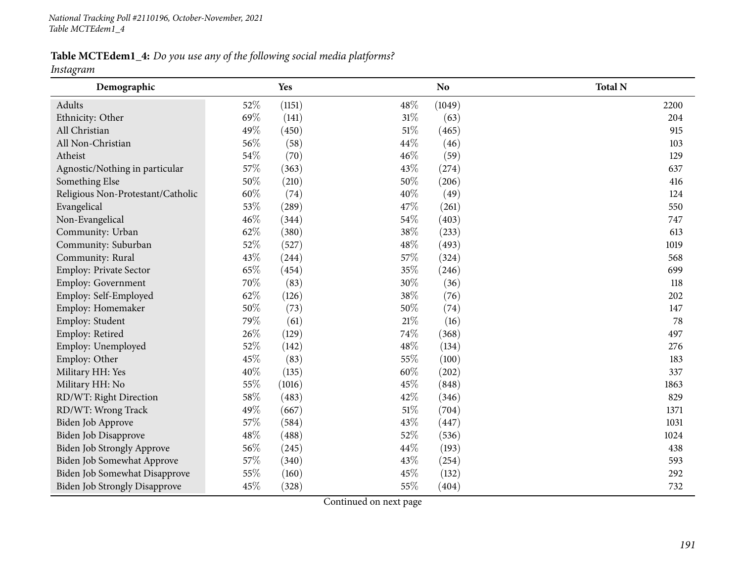Table MCTEdem1\_4: Do you use any of the following social media platforms?

*Instagram*

| Demographic                          |        | Yes    |        | N <sub>o</sub> | <b>Total N</b> |
|--------------------------------------|--------|--------|--------|----------------|----------------|
| Adults                               | 52%    | (1151) | 48\%   | (1049)         | 2200           |
| Ethnicity: Other                     | 69%    | (141)  | $31\%$ | (63)           | 204            |
| All Christian                        | 49%    | (450)  | 51%    | (465)          | 915            |
| All Non-Christian                    | 56%    | (58)   | 44\%   | (46)           | 103            |
| Atheist                              | 54\%   | (70)   | 46%    | (59)           | 129            |
| Agnostic/Nothing in particular       | 57%    | (363)  | 43%    | (274)          | 637            |
| Something Else                       | $50\%$ | (210)  | 50%    | (206)          | 416            |
| Religious Non-Protestant/Catholic    | 60%    | (74)   | 40%    | (49)           | 124            |
| Evangelical                          | 53%    | (289)  | 47%    | (261)          | 550            |
| Non-Evangelical                      | 46%    | (344)  | 54%    | (403)          | 747            |
| Community: Urban                     | 62%    | (380)  | 38%    | (233)          | 613            |
| Community: Suburban                  | 52%    | (527)  | 48\%   | (493)          | 1019           |
| Community: Rural                     | 43%    | (244)  | 57%    | (324)          | 568            |
| Employ: Private Sector               | 65%    | (454)  | 35%    | (246)          | 699            |
| <b>Employ: Government</b>            | 70%    | (83)   | 30%    | (36)           | 118            |
| Employ: Self-Employed                | 62%    | (126)  | 38%    | (76)           | 202            |
| Employ: Homemaker                    | 50%    | (73)   | 50%    | (74)           | 147            |
| Employ: Student                      | 79%    | (61)   | 21%    | (16)           | 78             |
| Employ: Retired                      | 26%    | (129)  | 74%    | (368)          | 497            |
| Employ: Unemployed                   | 52%    | (142)  | 48%    | (134)          | 276            |
| Employ: Other                        | 45%    | (83)   | 55%    | (100)          | 183            |
| Military HH: Yes                     | 40%    | (135)  | 60%    | (202)          | 337            |
| Military HH: No                      | 55%    | (1016) | 45%    | (848)          | 1863           |
| RD/WT: Right Direction               | 58%    | (483)  | 42\%   | (346)          | 829            |
| RD/WT: Wrong Track                   | 49%    | (667)  | $51\%$ | (704)          | 1371           |
| Biden Job Approve                    | 57%    | (584)  | 43%    | (447)          | 1031           |
| Biden Job Disapprove                 | 48\%   | (488)  | 52%    | (536)          | 1024           |
| Biden Job Strongly Approve           | 56%    | (245)  | 44%    | (193)          | 438            |
| Biden Job Somewhat Approve           | 57\%   | (340)  | 43%    | (254)          | 593            |
| Biden Job Somewhat Disapprove        | 55%    | (160)  | 45%    | (132)          | 292            |
| <b>Biden Job Strongly Disapprove</b> | 45%    | (328)  | 55%    | (404)          | 732            |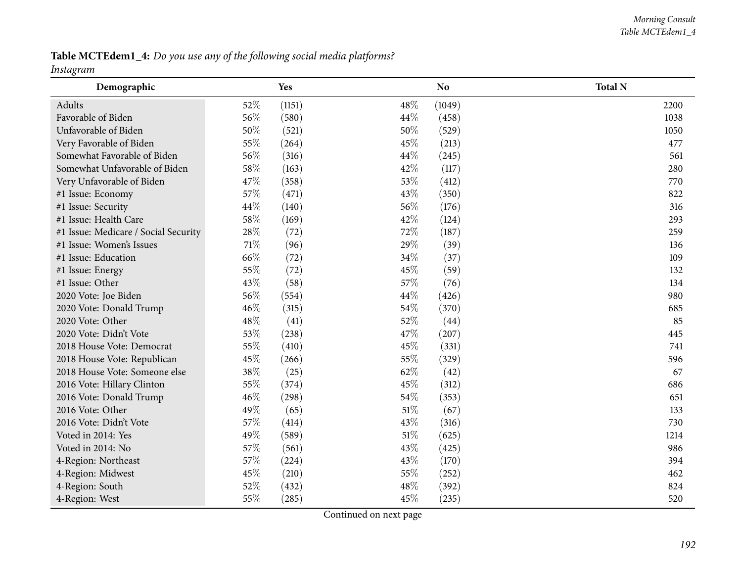Table MCTEdem1\_4: Do you use any of the following social media platforms?

#### *Instagram*

| o<br>Demographic                     |      | Yes    |      | N <sub>o</sub> | <b>Total N</b> |
|--------------------------------------|------|--------|------|----------------|----------------|
| Adults                               | 52%  | (1151) | 48%  | (1049)         | 2200           |
| Favorable of Biden                   | 56%  | (580)  | 44%  | (458)          | 1038           |
| Unfavorable of Biden                 | 50%  | (521)  | 50%  | (529)          | 1050           |
| Very Favorable of Biden              | 55%  | (264)  | 45%  | (213)          | 477            |
| Somewhat Favorable of Biden          | 56%  | (316)  | 44%  | (245)          | 561            |
| Somewhat Unfavorable of Biden        | 58\% | (163)  | 42%  | (117)          | 280            |
| Very Unfavorable of Biden            | 47%  | (358)  | 53%  | (412)          | 770            |
| #1 Issue: Economy                    | 57%  | (471)  | 43%  | (350)          | 822            |
| #1 Issue: Security                   | 44%  | (140)  | 56%  | (176)          | 316            |
| #1 Issue: Health Care                | 58%  | (169)  | 42%  | (124)          | 293            |
| #1 Issue: Medicare / Social Security | 28\% | (72)   | 72%  | (187)          | 259            |
| #1 Issue: Women's Issues             | 71%  | (96)   | 29%  | (39)           | 136            |
| #1 Issue: Education                  | 66%  | (72)   | 34%  | (37)           | 109            |
| #1 Issue: Energy                     | 55%  | (72)   | 45%  | (59)           | 132            |
| #1 Issue: Other                      | 43%  | (58)   | 57%  | (76)           | 134            |
| 2020 Vote: Joe Biden                 | 56%  | (554)  | 44%  | (426)          | 980            |
| 2020 Vote: Donald Trump              | 46%  | (315)  | 54%  | (370)          | 685            |
| 2020 Vote: Other                     | 48%  | (41)   | 52%  | (44)           | 85             |
| 2020 Vote: Didn't Vote               | 53%  | (238)  | 47%  | (207)          | 445            |
| 2018 House Vote: Democrat            | 55%  | (410)  | 45%  | (331)          | 741            |
| 2018 House Vote: Republican          | 45%  | (266)  | 55%  | (329)          | 596            |
| 2018 House Vote: Someone else        | 38%  | (25)   | 62%  | (42)           | 67             |
| 2016 Vote: Hillary Clinton           | 55%  | (374)  | 45%  | (312)          | 686            |
| 2016 Vote: Donald Trump              | 46%  | (298)  | 54%  | (353)          | 651            |
| 2016 Vote: Other                     | 49%  | (65)   | 51\% | (67)           | 133            |
| 2016 Vote: Didn't Vote               | 57%  | (414)  | 43%  | (316)          | 730            |
| Voted in 2014: Yes                   | 49%  | (589)  | 51%  | (625)          | 1214           |
| Voted in 2014: No                    | 57%  | (561)  | 43%  | (425)          | 986            |
| 4-Region: Northeast                  | 57%  | (224)  | 43%  | (170)          | 394            |
| 4-Region: Midwest                    | 45%  | (210)  | 55%  | (252)          | 462            |
| 4-Region: South                      | 52%  | (432)  | 48\% | (392)          | 824            |
| 4-Region: West                       | 55%  | (285)  | 45%  | (235)          | 520            |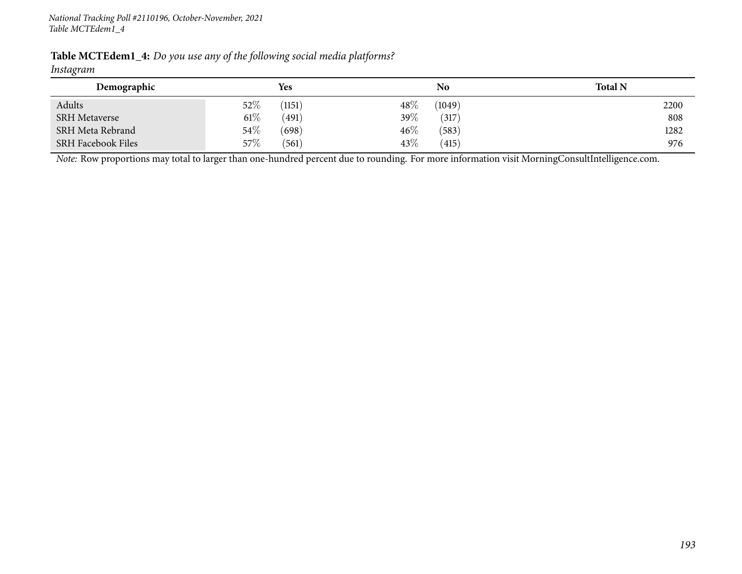| Table MCTEdem1_4: Do you use any of the following social media platforms? |  |  |
|---------------------------------------------------------------------------|--|--|
|---------------------------------------------------------------------------|--|--|

# *Instagram*

| Demographic               |        | Yes    |        | No     | <b>Total N</b> |
|---------------------------|--------|--------|--------|--------|----------------|
| Adults                    | $52\%$ | (1151) | $48\%$ | (1049) | 2200           |
| <b>SRH</b> Metaverse      | $61\%$ | (491)  | 39%    | (317)  | 808            |
| SRH Meta Rebrand          | $54\%$ | (698)  | $46\%$ | (583)  | 1282           |
| <b>SRH Facebook Files</b> | $57\%$ | (561)  | 43%    | (415)  | 976            |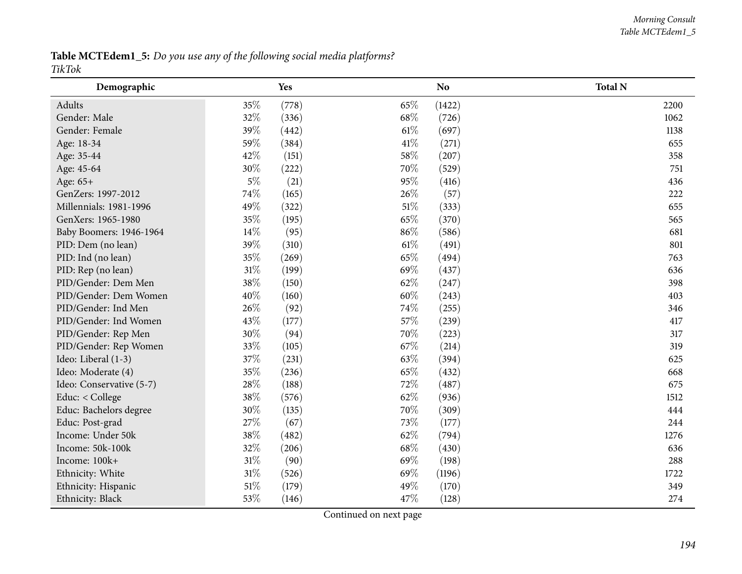Table MCTEdem1\_5: Do you use any of the following social media platforms? *TikTok*

| Demographic              |        | Yes   |        | N <sub>o</sub> | <b>Total N</b> |
|--------------------------|--------|-------|--------|----------------|----------------|
| Adults                   | 35%    | (778) | 65%    | (1422)         | 2200           |
| Gender: Male             | 32%    | (336) | 68\%   | (726)          | 1062           |
| Gender: Female           | 39%    | (442) | $61\%$ | (697)          | 1138           |
| Age: 18-34               | 59%    | (384) | 41\%   | (271)          | 655            |
| Age: 35-44               | 42%    | (151) | 58%    | (207)          | 358            |
| Age: 45-64               | 30%    | (222) | 70%    | (529)          | 751            |
| Age: 65+                 | $5\%$  | (21)  | 95%    | (416)          | 436            |
| GenZers: 1997-2012       | 74%    | (165) | 26%    | (57)           | 222            |
| Millennials: 1981-1996   | 49%    | (322) | 51%    | (333)          | 655            |
| GenXers: 1965-1980       | 35%    | (195) | 65%    | (370)          | 565            |
| Baby Boomers: 1946-1964  | 14%    | (95)  | 86%    | (586)          | 681            |
| PID: Dem (no lean)       | 39%    | (310) | $61\%$ | (491)          | 801            |
| PID: Ind (no lean)       | 35%    | (269) | 65%    | (494)          | 763            |
| PID: Rep (no lean)       | $31\%$ | (199) | 69%    | (437)          | 636            |
| PID/Gender: Dem Men      | 38%    | (150) | 62%    | (247)          | 398            |
| PID/Gender: Dem Women    | 40%    | (160) | 60%    | (243)          | 403            |
| PID/Gender: Ind Men      | 26%    | (92)  | 74%    | (255)          | 346            |
| PID/Gender: Ind Women    | 43%    | (177) | 57%    | (239)          | 417            |
| PID/Gender: Rep Men      | 30%    | (94)  | 70%    | (223)          | 317            |
| PID/Gender: Rep Women    | 33%    | (105) | 67%    | (214)          | 319            |
| Ideo: Liberal (1-3)      | 37%    | (231) | 63%    | (394)          | 625            |
| Ideo: Moderate (4)       | 35%    | (236) | 65%    | (432)          | 668            |
| Ideo: Conservative (5-7) | 28\%   | (188) | 72%    | (487)          | 675            |
| Educ: < College          | 38%    | (576) | 62%    | (936)          | 1512           |
| Educ: Bachelors degree   | 30%    | (135) | 70%    | (309)          | 444            |
| Educ: Post-grad          | 27%    | (67)  | 73%    | (177)          | 244            |
| Income: Under 50k        | 38%    | (482) | 62%    | (794)          | 1276           |
| Income: 50k-100k         | 32%    | (206) | 68\%   | (430)          | 636            |
| Income: 100k+            | $31\%$ | (90)  | 69%    | (198)          | 288            |
| Ethnicity: White         | $31\%$ | (526) | 69%    | (1196)         | 1722           |
| Ethnicity: Hispanic      | $51\%$ | (179) | 49%    | (170)          | 349            |
| Ethnicity: Black         | 53%    | (146) | 47%    | (128)          | 274            |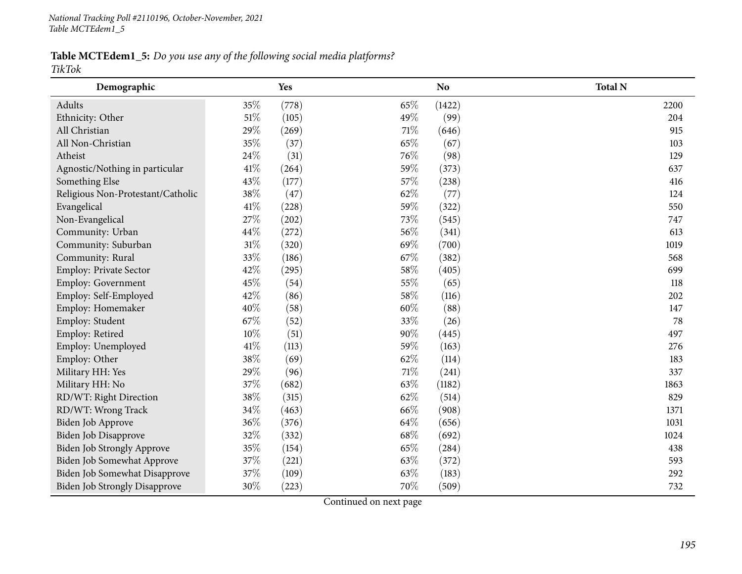Table MCTEdem1\_5: Do you use any of the following social media platforms? *TikTok*

| Demographic                          |        | Yes   |        | <b>No</b> | <b>Total N</b> |
|--------------------------------------|--------|-------|--------|-----------|----------------|
| Adults                               | 35\%   | (778) | 65%    | (1422)    | 2200           |
| Ethnicity: Other                     | $51\%$ | (105) | 49%    | (99)      | 204            |
| All Christian                        | 29%    | (269) | $71\%$ | (646)     | 915            |
| All Non-Christian                    | 35%    | (37)  | 65%    | (67)      | 103            |
| Atheist                              | 24\%   | (31)  | 76%    | (98)      | 129            |
| Agnostic/Nothing in particular       | $41\%$ | (264) | 59%    | (373)     | 637            |
| Something Else                       | 43%    | (177) | 57%    | (238)     | 416            |
| Religious Non-Protestant/Catholic    | 38\%   | (47)  | 62%    | (77)      | 124            |
| Evangelical                          | 41\%   | (228) | 59%    | (322)     | 550            |
| Non-Evangelical                      | 27%    | (202) | 73%    | (545)     | 747            |
| Community: Urban                     | 44\%   | (272) | 56%    | (341)     | 613            |
| Community: Suburban                  | $31\%$ | (320) | 69%    | (700)     | 1019           |
| Community: Rural                     | 33%    | (186) | 67%    | (382)     | 568            |
| Employ: Private Sector               | 42%    | (295) | 58%    | (405)     | 699            |
| Employ: Government                   | 45%    | (54)  | 55%    | (65)      | 118            |
| Employ: Self-Employed                | 42%    | (86)  | 58%    | (116)     | 202            |
| Employ: Homemaker                    | 40%    | (58)  | 60%    | (88)      | 147            |
| Employ: Student                      | 67%    | (52)  | 33%    | (26)      | 78             |
| Employ: Retired                      | $10\%$ | (51)  | 90%    | (445)     | 497            |
| Employ: Unemployed                   | $41\%$ | (113) | 59%    | (163)     | 276            |
| Employ: Other                        | 38%    | (69)  | 62%    | (114)     | 183            |
| Military HH: Yes                     | 29%    | (96)  | $71\%$ | (241)     | 337            |
| Military HH: No                      | 37%    | (682) | 63%    | (1182)    | 1863           |
| RD/WT: Right Direction               | 38%    | (315) | 62%    | (514)     | 829            |
| RD/WT: Wrong Track                   | 34\%   | (463) | 66%    | (908)     | 1371           |
| Biden Job Approve                    | 36%    | (376) | 64%    | (656)     | 1031           |
| Biden Job Disapprove                 | 32%    | (332) | 68\%   | (692)     | 1024           |
| <b>Biden Job Strongly Approve</b>    | 35%    | (154) | 65%    | (284)     | 438            |
| Biden Job Somewhat Approve           | 37%    | (221) | 63%    | (372)     | 593            |
| Biden Job Somewhat Disapprove        | 37%    | (109) | 63%    | (183)     | 292            |
| <b>Biden Job Strongly Disapprove</b> | 30%    | (223) | 70%    | (509)     | 732            |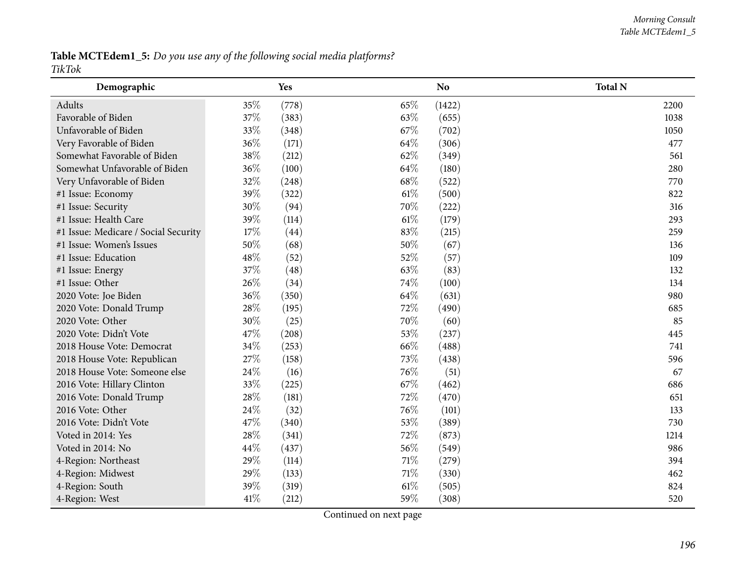Table MCTEdem1\_5: Do you use any of the following social media platforms? *TikTok*

| Demographic                          |        | Yes   |        | <b>No</b> | <b>Total N</b> |
|--------------------------------------|--------|-------|--------|-----------|----------------|
| Adults                               | 35%    | (778) | 65%    | (1422)    | 2200           |
| Favorable of Biden                   | 37%    | (383) | 63%    | (655)     | 1038           |
| Unfavorable of Biden                 | 33%    | (348) | 67%    | (702)     | 1050           |
| Very Favorable of Biden              | 36%    | (171) | 64%    | (306)     | 477            |
| Somewhat Favorable of Biden          | 38%    | (212) | 62%    | (349)     | 561            |
| Somewhat Unfavorable of Biden        | 36%    | (100) | 64%    | (180)     | 280            |
| Very Unfavorable of Biden            | 32%    | (248) | 68\%   | (522)     | 770            |
| #1 Issue: Economy                    | 39%    | (322) | 61\%   | (500)     | 822            |
| #1 Issue: Security                   | 30%    | (94)  | 70%    | (222)     | 316            |
| #1 Issue: Health Care                | 39%    | (114) | $61\%$ | (179)     | 293            |
| #1 Issue: Medicare / Social Security | 17%    | (44)  | 83%    | (215)     | 259            |
| #1 Issue: Women's Issues             | $50\%$ | (68)  | 50%    | (67)      | 136            |
| #1 Issue: Education                  | 48%    | (52)  | 52%    | (57)      | 109            |
| #1 Issue: Energy                     | 37%    | (48)  | 63%    | (83)      | 132            |
| #1 Issue: Other                      | 26%    | (34)  | 74%    | (100)     | 134            |
| 2020 Vote: Joe Biden                 | 36%    | (350) | 64%    | (631)     | 980            |
| 2020 Vote: Donald Trump              | 28\%   | (195) | 72%    | (490)     | 685            |
| 2020 Vote: Other                     | 30%    | (25)  | 70%    | (60)      | 85             |
| 2020 Vote: Didn't Vote               | 47\%   | (208) | 53%    | (237)     | 445            |
| 2018 House Vote: Democrat            | 34%    | (253) | 66%    | (488)     | 741            |
| 2018 House Vote: Republican          | 27%    | (158) | 73%    | (438)     | 596            |
| 2018 House Vote: Someone else        | 24\%   | (16)  | 76\%   | (51)      | 67             |
| 2016 Vote: Hillary Clinton           | 33%    | (225) | 67%    | (462)     | 686            |
| 2016 Vote: Donald Trump              | 28\%   | (181) | 72%    | (470)     | 651            |
| 2016 Vote: Other                     | 24\%   | (32)  | 76%    | (101)     | 133            |
| 2016 Vote: Didn't Vote               | 47%    | (340) | 53%    | (389)     | 730            |
| Voted in 2014: Yes                   | 28%    | (341) | 72%    | (873)     | 1214           |
| Voted in 2014: No                    | 44\%   | (437) | 56%    | (549)     | 986            |
| 4-Region: Northeast                  | 29%    | (114) | 71%    | (279)     | 394            |
| 4-Region: Midwest                    | 29%    | (133) | 71\%   | (330)     | 462            |
| 4-Region: South                      | 39%    | (319) | $61\%$ | (505)     | 824            |
| 4-Region: West                       | 41\%   | (212) | 59%    | (308)     | 520            |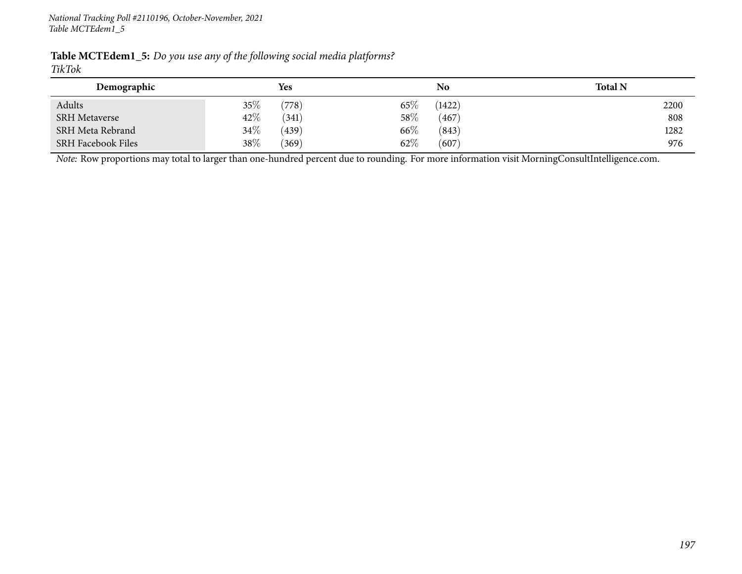| <b>Table MCTEdem1_5:</b> Do you use any of the following social media platforms? |  |  |  |
|----------------------------------------------------------------------------------|--|--|--|
| TikTok                                                                           |  |  |  |

| Demographic               | Yes             | No               | <b>Total N</b> |
|---------------------------|-----------------|------------------|----------------|
| Adults                    | $35\%$<br>(778) | $65\%$<br>(1422) | 2200           |
| <b>SRH Metaverse</b>      | 42%<br>(341)    | $58\%$<br>(467)  | 808            |
| SRH Meta Rebrand          | 34\%<br>(439)   | 66\%<br>(843)    | 1282           |
| <b>SRH Facebook Files</b> | 38\%<br>(369)   | $62\%$<br>(607)  | 976            |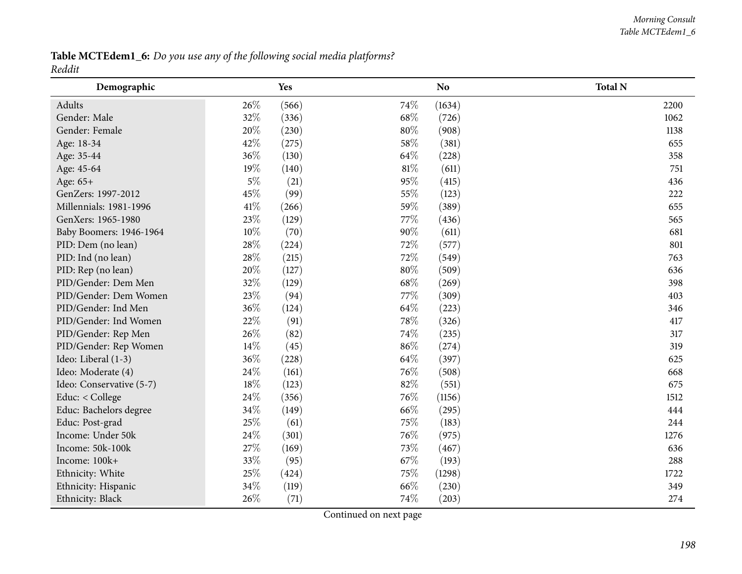Table MCTEdem1\_6: Do you use any of the following social media platforms? *Reddit*

| Demographic              |        | <b>Yes</b> |      | N <sub>o</sub> | <b>Total N</b> |
|--------------------------|--------|------------|------|----------------|----------------|
| Adults                   | 26\%   | (566)      | 74%  | (1634)         | 2200           |
| Gender: Male             | 32%    | (336)      | 68\% | (726)          | 1062           |
| Gender: Female           | 20%    | (230)      | 80%  | (908)          | 1138           |
| Age: 18-34               | 42%    | (275)      | 58%  | (381)          | 655            |
| Age: 35-44               | 36%    | (130)      | 64%  | (228)          | 358            |
| Age: 45-64               | 19%    | (140)      | 81%  | (611)          | 751            |
| Age: 65+                 | $5\%$  | (21)       | 95%  | (415)          | 436            |
| GenZers: 1997-2012       | 45%    | (99)       | 55%  | (123)          | 222            |
| Millennials: 1981-1996   | 41\%   | (266)      | 59%  | (389)          | 655            |
| GenXers: 1965-1980       | 23%    | (129)      | 77\% | (436)          | 565            |
| Baby Boomers: 1946-1964  | $10\%$ | (70)       | 90%  | (611)          | 681            |
| PID: Dem (no lean)       | 28\%   | (224)      | 72%  | (577)          | 801            |
| PID: Ind (no lean)       | 28%    | (215)      | 72%  | (549)          | 763            |
| PID: Rep (no lean)       | 20%    | (127)      | 80%  | (509)          | 636            |
| PID/Gender: Dem Men      | 32%    | (129)      | 68%  | (269)          | 398            |
| PID/Gender: Dem Women    | 23%    | (94)       | 77%  | (309)          | 403            |
| PID/Gender: Ind Men      | 36%    | (124)      | 64%  | (223)          | 346            |
| PID/Gender: Ind Women    | 22%    | (91)       | 78%  | (326)          | 417            |
| PID/Gender: Rep Men      | 26%    | (82)       | 74%  | (235)          | 317            |
| PID/Gender: Rep Women    | 14\%   | (45)       | 86%  | (274)          | 319            |
| Ideo: Liberal (1-3)      | 36%    | (228)      | 64%  | (397)          | 625            |
| Ideo: Moderate (4)       | 24\%   | (161)      | 76%  | (508)          | 668            |
| Ideo: Conservative (5-7) | 18%    | (123)      | 82%  | (551)          | 675            |
| Educ: < College          | 24\%   | (356)      | 76%  | (1156)         | 1512           |
| Educ: Bachelors degree   | 34%    | (149)      | 66%  | (295)          | 444            |
| Educ: Post-grad          | 25%    | (61)       | 75%  | (183)          | 244            |
| Income: Under 50k        | 24%    | (301)      | 76\% | (975)          | 1276           |
| Income: 50k-100k         | 27\%   | (169)      | 73%  | (467)          | 636            |
| Income: 100k+            | 33%    | (95)       | 67%  | (193)          | 288            |
| Ethnicity: White         | 25%    | (424)      | 75%  | (1298)         | 1722           |
| Ethnicity: Hispanic      | 34%    | (119)      | 66%  | (230)          | 349            |
| Ethnicity: Black         | 26%    | (71)       | 74%  | (203)          | 274            |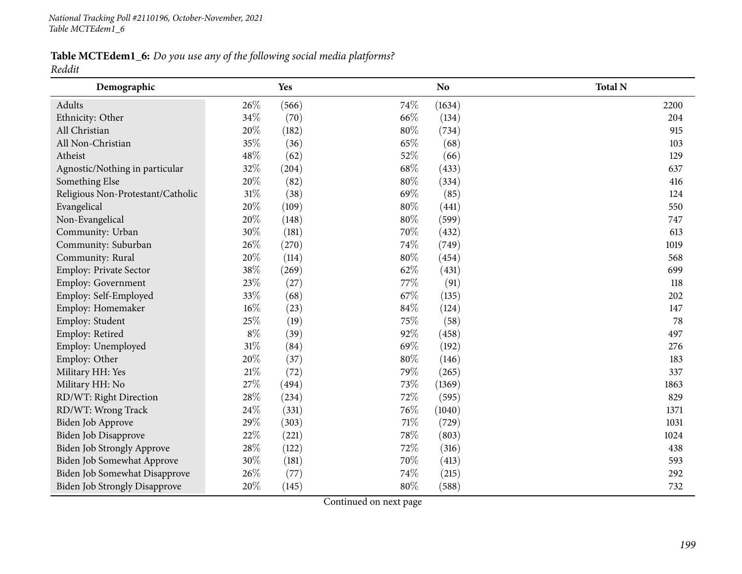Table MCTEdem1\_6: Do you use any of the following social media platforms? *Reddit*

| Demographic                          |        | Yes   |        | <b>No</b> | <b>Total N</b> |
|--------------------------------------|--------|-------|--------|-----------|----------------|
| Adults                               | 26%    | (566) | 74%    | (1634)    | 2200           |
| Ethnicity: Other                     | 34%    | (70)  | 66%    | (134)     | 204            |
| All Christian                        | 20%    | (182) | 80%    | (734)     | 915            |
| All Non-Christian                    | 35%    | (36)  | 65%    | (68)      | 103            |
| Atheist                              | 48%    | (62)  | 52%    | (66)      | 129            |
| Agnostic/Nothing in particular       | 32%    | (204) | $68\%$ | (433)     | 637            |
| Something Else                       | 20%    | (82)  | 80%    | (334)     | 416            |
| Religious Non-Protestant/Catholic    | $31\%$ | (38)  | 69%    | (85)      | 124            |
| Evangelical                          | 20%    | (109) | 80%    | (441)     | 550            |
| Non-Evangelical                      | 20%    | (148) | 80%    | (599)     | 747            |
| Community: Urban                     | 30%    | (181) | 70%    | (432)     | 613            |
| Community: Suburban                  | 26%    | (270) | 74%    | (749)     | 1019           |
| Community: Rural                     | 20%    | (114) | 80%    | (454)     | 568            |
| Employ: Private Sector               | 38%    | (269) | 62%    | (431)     | 699            |
| Employ: Government                   | 23%    | (27)  | 77%    | (91)      | 118            |
| Employ: Self-Employed                | 33%    | (68)  | 67%    | (135)     | 202            |
| Employ: Homemaker                    | 16%    | (23)  | 84%    | (124)     | 147            |
| Employ: Student                      | 25%    | (19)  | 75%    | (58)      | 78             |
| Employ: Retired                      | $8\%$  | (39)  | 92%    | (458)     | 497            |
| Employ: Unemployed                   | $31\%$ | (84)  | 69%    | (192)     | 276            |
| Employ: Other                        | 20%    | (37)  | 80%    | (146)     | 183            |
| Military HH: Yes                     | $21\%$ | (72)  | 79%    | (265)     | 337            |
| Military HH: No                      | 27%    | (494) | 73%    | (1369)    | 1863           |
| RD/WT: Right Direction               | 28%    | (234) | 72%    | (595)     | 829            |
| RD/WT: Wrong Track                   | 24\%   | (331) | 76%    | (1040)    | 1371           |
| Biden Job Approve                    | 29%    | (303) | 71%    | (729)     | 1031           |
| Biden Job Disapprove                 | 22%    | (221) | 78%    | (803)     | 1024           |
| <b>Biden Job Strongly Approve</b>    | 28\%   | (122) | 72%    | (316)     | 438            |
| Biden Job Somewhat Approve           | 30%    | (181) | 70%    | (413)     | 593            |
| Biden Job Somewhat Disapprove        | 26%    | (77)  | 74%    | (215)     | 292            |
| <b>Biden Job Strongly Disapprove</b> | 20%    | (145) | 80%    | (588)     | 732            |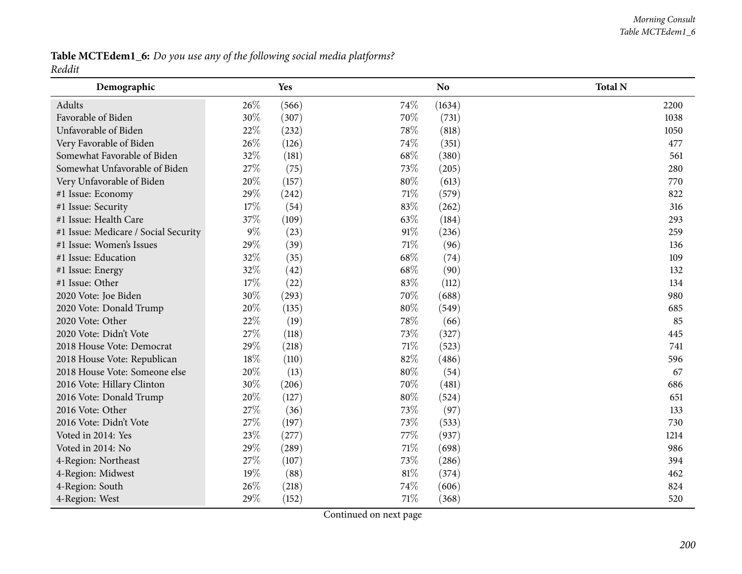Table MCTEdem1\_6: Do you use any of the following social media platforms? *Reddit*

| Demographic                          |       | Yes   |        | N <sub>o</sub> | <b>Total N</b> |
|--------------------------------------|-------|-------|--------|----------------|----------------|
| Adults                               | 26%   | (566) | 74%    | (1634)         | 2200           |
| Favorable of Biden                   | 30%   | (307) | 70%    | (731)          | 1038           |
| Unfavorable of Biden                 | 22%   | (232) | 78%    | (818)          | 1050           |
| Very Favorable of Biden              | 26%   | (126) | 74\%   | (351)          | 477            |
| Somewhat Favorable of Biden          | 32%   | (181) | 68\%   | (380)          | 561            |
| Somewhat Unfavorable of Biden        | 27%   | (75)  | 73%    | (205)          | 280            |
| Very Unfavorable of Biden            | 20%   | (157) | 80%    | (613)          | 770            |
| #1 Issue: Economy                    | 29%   | (242) | 71\%   | (579)          | 822            |
| #1 Issue: Security                   | 17%   | (54)  | 83%    | (262)          | 316            |
| #1 Issue: Health Care                | 37%   | (109) | 63%    | (184)          | 293            |
| #1 Issue: Medicare / Social Security | $9\%$ | (23)  | 91%    | (236)          | 259            |
| #1 Issue: Women's Issues             | 29%   | (39)  | 71\%   | (96)           | 136            |
| #1 Issue: Education                  | 32%   | (35)  | 68\%   | (74)           | 109            |
| #1 Issue: Energy                     | 32%   | (42)  | 68\%   | (90)           | 132            |
| #1 Issue: Other                      | 17%   | (22)  | 83%    | (112)          | 134            |
| 2020 Vote: Joe Biden                 | 30%   | (293) | 70%    | (688)          | 980            |
| 2020 Vote: Donald Trump              | 20%   | (135) | 80%    | (549)          | 685            |
| 2020 Vote: Other                     | 22%   | (19)  | 78%    | (66)           | 85             |
| 2020 Vote: Didn't Vote               | 27%   | (118) | 73%    | (327)          | 445            |
| 2018 House Vote: Democrat            | 29%   | (218) | 71\%   | (523)          | 741            |
| 2018 House Vote: Republican          | 18%   | (110) | 82%    | (486)          | 596            |
| 2018 House Vote: Someone else        | 20%   | (13)  | $80\%$ | (54)           | 67             |
| 2016 Vote: Hillary Clinton           | 30%   | (206) | 70%    | (481)          | 686            |
| 2016 Vote: Donald Trump              | 20%   | (127) | 80%    | (524)          | 651            |
| 2016 Vote: Other                     | 27%   | (36)  | 73%    | (97)           | 133            |
| 2016 Vote: Didn't Vote               | 27%   | (197) | 73%    | (533)          | 730            |
| Voted in 2014: Yes                   | 23%   | (277) | 77\%   | (937)          | 1214           |
| Voted in 2014: No                    | 29%   | (289) | $71\%$ | (698)          | 986            |
| 4-Region: Northeast                  | 27%   | (107) | 73%    | (286)          | 394            |
| 4-Region: Midwest                    | 19%   | (88)  | 81\%   | (374)          | 462            |
| 4-Region: South                      | 26%   | (218) | 74\%   | (606)          | 824            |
| 4-Region: West                       | 29%   | (152) | 71%    | (368)          | 520            |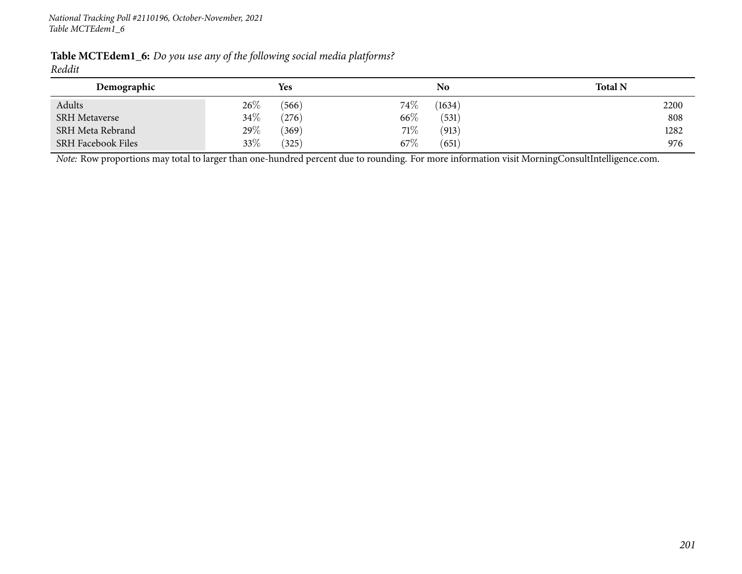| <b>Table MCTEdem1_6:</b> Do you use any of the following social media platforms? |  |  |  |
|----------------------------------------------------------------------------------|--|--|--|
| Reddit                                                                           |  |  |  |

| Demographic               |        | <b>Yes</b> |        | No     | <b>Total N</b> |
|---------------------------|--------|------------|--------|--------|----------------|
| Adults                    | $26\%$ | (566)      | $74\%$ | (1634) | 2200           |
| <b>SRH</b> Metaverse      | 34%    | (276)      | 66\%   | (531)  | 808            |
| <b>SRH Meta Rebrand</b>   | 29%    | (369)      | 71\%   | (913)  | 1282           |
| <b>SRH Facebook Files</b> | 33\%   | (325)      | 67%    | (651)  | 976            |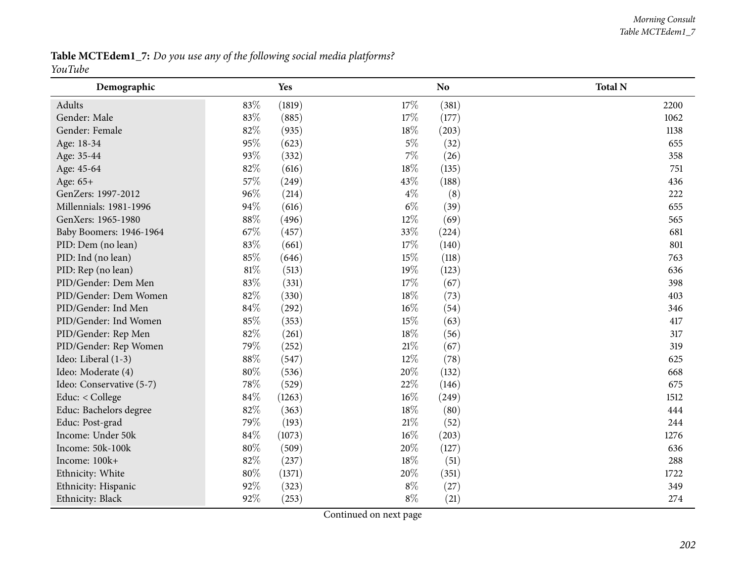#### *Morning Consult Table MCTEdem1\_7*

Table MCTEdem1\_7: Do you use any of the following social media platforms? *YouTube*

| Demographic              |        | Yes    |        | N <sub>o</sub> | <b>Total N</b> |
|--------------------------|--------|--------|--------|----------------|----------------|
| Adults                   | 83%    | (1819) | 17%    | (381)          | 2200           |
| Gender: Male             | 83%    | (885)  | 17%    | (177)          | 1062           |
| Gender: Female           | 82%    | (935)  | 18%    | (203)          | 1138           |
| Age: 18-34               | 95%    | (623)  | $5\%$  | (32)           | 655            |
| Age: 35-44               | 93%    | (332)  | $7\%$  | (26)           | 358            |
| Age: 45-64               | 82%    | (616)  | 18%    | (135)          | 751            |
| Age: 65+                 | 57%    | (249)  | 43%    | (188)          | 436            |
| GenZers: 1997-2012       | 96%    | (214)  | $4\%$  | (8)            | 222            |
| Millennials: 1981-1996   | 94%    | (616)  | $6\%$  | (39)           | 655            |
| GenXers: 1965-1980       | 88%    | (496)  | 12%    | (69)           | 565            |
| Baby Boomers: 1946-1964  | 67%    | (457)  | 33%    | (224)          | 681            |
| PID: Dem (no lean)       | 83%    | (661)  | 17%    | (140)          | 801            |
| PID: Ind (no lean)       | 85%    | (646)  | 15%    | (118)          | 763            |
| PID: Rep (no lean)       | 81%    | (513)  | 19%    | (123)          | 636            |
| PID/Gender: Dem Men      | 83%    | (331)  | 17%    | (67)           | 398            |
| PID/Gender: Dem Women    | 82%    | (330)  | 18%    | (73)           | 403            |
| PID/Gender: Ind Men      | 84%    | (292)  | $16\%$ | (54)           | 346            |
| PID/Gender: Ind Women    | 85%    | (353)  | 15%    | (63)           | 417            |
| PID/Gender: Rep Men      | 82%    | (261)  | 18%    | (56)           | 317            |
| PID/Gender: Rep Women    | 79%    | (252)  | $21\%$ | (67)           | 319            |
| Ideo: Liberal (1-3)      | 88%    | (547)  | 12%    | (78)           | 625            |
| Ideo: Moderate (4)       | $80\%$ | (536)  | 20%    | (132)          | 668            |
| Ideo: Conservative (5-7) | 78%    | (529)  | 22%    | (146)          | 675            |
| Educ: < College          | 84%    | (1263) | 16%    | (249)          | 1512           |
| Educ: Bachelors degree   | 82%    | (363)  | 18%    | (80)           | 444            |
| Educ: Post-grad          | 79%    | (193)  | $21\%$ | (52)           | 244            |
| Income: Under 50k        | 84%    | (1073) | 16%    | (203)          | 1276           |
| Income: 50k-100k         | $80\%$ | (509)  | 20%    | (127)          | 636            |
| Income: 100k+            | 82%    | (237)  | 18%    | (51)           | 288            |
| Ethnicity: White         | $80\%$ | (1371) | 20%    | (351)          | 1722           |
| Ethnicity: Hispanic      | 92%    | (323)  | $8\%$  | (27)           | 349            |
| Ethnicity: Black         | 92%    | (253)  | $8\%$  | (21)           | 274            |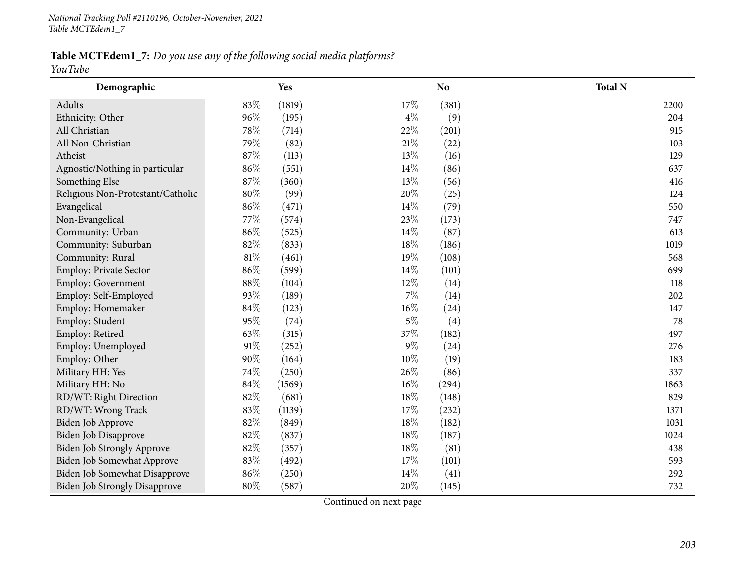Table MCTEdem1\_7: Do you use any of the following social media platforms? *YouTube*

| Demographic                          |        | Yes    |        | N <sub>o</sub> | <b>Total N</b> |
|--------------------------------------|--------|--------|--------|----------------|----------------|
| Adults                               | 83%    | (1819) | 17%    | (381)          | 2200           |
| Ethnicity: Other                     | 96%    | (195)  | $4\%$  | (9)            | 204            |
| All Christian                        | 78%    | (714)  | 22%    | (201)          | 915            |
| All Non-Christian                    | 79%    | (82)   | $21\%$ | (22)           | 103            |
| Atheist                              | 87%    | (113)  | 13%    | (16)           | 129            |
| Agnostic/Nothing in particular       | 86%    | (551)  | 14%    | (86)           | 637            |
| Something Else                       | 87%    | (360)  | 13%    | (56)           | 416            |
| Religious Non-Protestant/Catholic    | 80%    | (99)   | 20%    | (25)           | 124            |
| Evangelical                          | 86%    | (471)  | 14%    | (79)           | 550            |
| Non-Evangelical                      | 77\%   | (574)  | 23%    | (173)          | 747            |
| Community: Urban                     | 86%    | (525)  | $14\%$ | (87)           | 613            |
| Community: Suburban                  | 82%    | (833)  | 18%    | (186)          | 1019           |
| Community: Rural                     | $81\%$ | (461)  | 19%    | (108)          | 568            |
| Employ: Private Sector               | 86%    | (599)  | 14%    | (101)          | 699            |
| Employ: Government                   | 88%    | (104)  | 12%    | (14)           | 118            |
| Employ: Self-Employed                | 93%    | (189)  | $7\%$  | (14)           | 202            |
| Employ: Homemaker                    | 84%    | (123)  | 16%    | (24)           | 147            |
| Employ: Student                      | 95%    | (74)   | $5\%$  | (4)            | 78             |
| Employ: Retired                      | 63%    | (315)  | 37%    | (182)          | 497            |
| Employ: Unemployed                   | 91%    | (252)  | $9\%$  | (24)           | 276            |
| Employ: Other                        | 90%    | (164)  | 10%    | (19)           | 183            |
| Military HH: Yes                     | 74%    | (250)  | 26%    | (86)           | 337            |
| Military HH: No                      | 84%    | (1569) | 16%    | (294)          | 1863           |
| RD/WT: Right Direction               | 82%    | (681)  | 18%    | (148)          | 829            |
| RD/WT: Wrong Track                   | 83%    | (1139) | 17%    | (232)          | 1371           |
| Biden Job Approve                    | 82%    | (849)  | $18\%$ | (182)          | 1031           |
| <b>Biden Job Disapprove</b>          | 82%    | (837)  | 18%    | (187)          | 1024           |
| Biden Job Strongly Approve           | 82%    | (357)  | 18%    | (81)           | 438            |
| Biden Job Somewhat Approve           | 83%    | (492)  | 17%    | (101)          | 593            |
| Biden Job Somewhat Disapprove        | 86%    | (250)  | 14%    | (41)           | 292            |
| <b>Biden Job Strongly Disapprove</b> | 80%    | (587)  | 20%    | (145)          | 732            |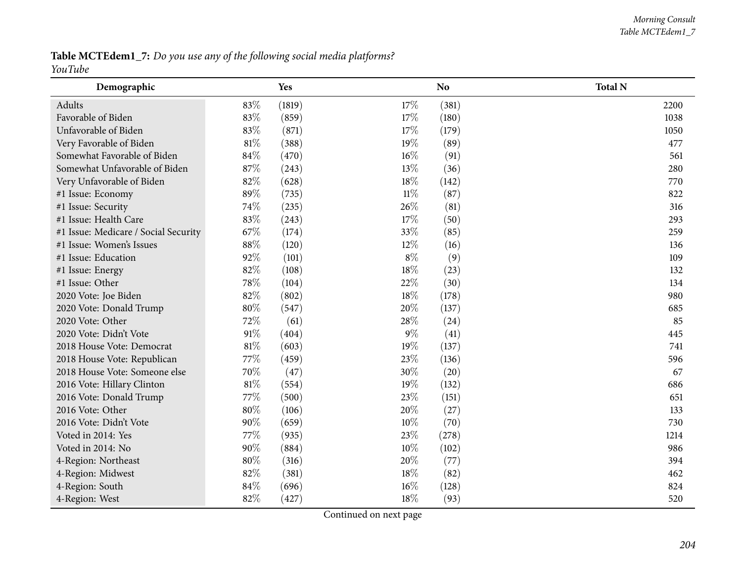Table MCTEdem1\_7: Do you use any of the following social media platforms? *YouTube*

| Demographic                          |        | Yes    |        | N <sub>o</sub> | <b>Total N</b> |
|--------------------------------------|--------|--------|--------|----------------|----------------|
| Adults                               | 83%    | (1819) | 17%    | (381)          | 2200           |
| Favorable of Biden                   | 83%    | (859)  | 17%    | (180)          | 1038           |
| Unfavorable of Biden                 | 83%    | (871)  | 17%    | (179)          | 1050           |
| Very Favorable of Biden              | $81\%$ | (388)  | 19%    | (89)           | 477            |
| Somewhat Favorable of Biden          | 84%    | (470)  | 16%    | (91)           | 561            |
| Somewhat Unfavorable of Biden        | 87%    | (243)  | 13%    | (36)           | 280            |
| Very Unfavorable of Biden            | 82%    | (628)  | 18%    | (142)          | 770            |
| #1 Issue: Economy                    | 89%    | (735)  | $11\%$ | (87)           | 822            |
| #1 Issue: Security                   | 74%    | (235)  | 26%    | (81)           | 316            |
| #1 Issue: Health Care                | 83%    | (243)  | 17%    | (50)           | 293            |
| #1 Issue: Medicare / Social Security | 67%    | (174)  | 33%    | (85)           | 259            |
| #1 Issue: Women's Issues             | $88\%$ | (120)  | $12\%$ | (16)           | 136            |
| #1 Issue: Education                  | 92%    | (101)  | $8\%$  | (9)            | 109            |
| #1 Issue: Energy                     | 82%    | (108)  | 18%    | (23)           | 132            |
| #1 Issue: Other                      | 78%    | (104)  | 22%    | (30)           | 134            |
| 2020 Vote: Joe Biden                 | 82%    | (802)  | 18%    | (178)          | 980            |
| 2020 Vote: Donald Trump              | 80%    | (547)  | 20%    | (137)          | 685            |
| 2020 Vote: Other                     | 72%    | (61)   | 28%    | (24)           | 85             |
| 2020 Vote: Didn't Vote               | $91\%$ | (404)  | $9\%$  | (41)           | 445            |
| 2018 House Vote: Democrat            | $81\%$ | (603)  | 19%    | (137)          | 741            |
| 2018 House Vote: Republican          | 77%    | (459)  | 23%    | (136)          | 596            |
| 2018 House Vote: Someone else        | 70%    | (47)   | 30%    | (20)           | 67             |
| 2016 Vote: Hillary Clinton           | $81\%$ | (554)  | 19%    | (132)          | 686            |
| 2016 Vote: Donald Trump              | 77%    | (500)  | 23%    | (151)          | 651            |
| 2016 Vote: Other                     | 80%    | (106)  | 20%    | (27)           | 133            |
| 2016 Vote: Didn't Vote               | 90%    | (659)  | 10%    | (70)           | 730            |
| Voted in 2014: Yes                   | 77%    | (935)  | 23%    | (278)          | 1214           |
| Voted in 2014: No                    | $90\%$ | (884)  | 10%    | (102)          | 986            |
| 4-Region: Northeast                  | 80%    | (316)  | 20%    | (77)           | 394            |
| 4-Region: Midwest                    | 82%    | (381)  | 18%    | (82)           | 462            |
| 4-Region: South                      | 84%    | (696)  | 16%    | (128)          | 824            |
| 4-Region: West                       | 82%    | (427)  | 18%    | (93)           | 520            |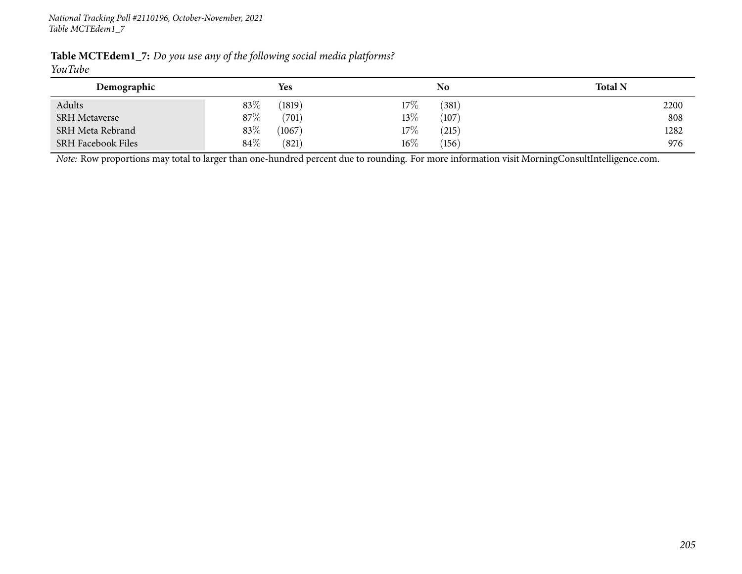| <b>Table MCTEdem1_7:</b> Do you use any of the following social media platforms? |  |  |  |
|----------------------------------------------------------------------------------|--|--|--|
| YouTube                                                                          |  |  |  |

| Demographic               |        | <b>Yes</b> |        | No             | <b>Total N</b> |
|---------------------------|--------|------------|--------|----------------|----------------|
| Adults                    | 83%    | (1819)     | $17\%$ | $^{\prime}381$ | 2200           |
| <b>SRH</b> Metaverse      | 87%    | (701)      | 13\%   | (107)          | 808            |
| SRH Meta Rebrand          | 83%    | (1067)     | $17\%$ | (215)          | 1282           |
| <b>SRH Facebook Files</b> | $84\%$ | (821)      | $16\%$ | (156)          | 976            |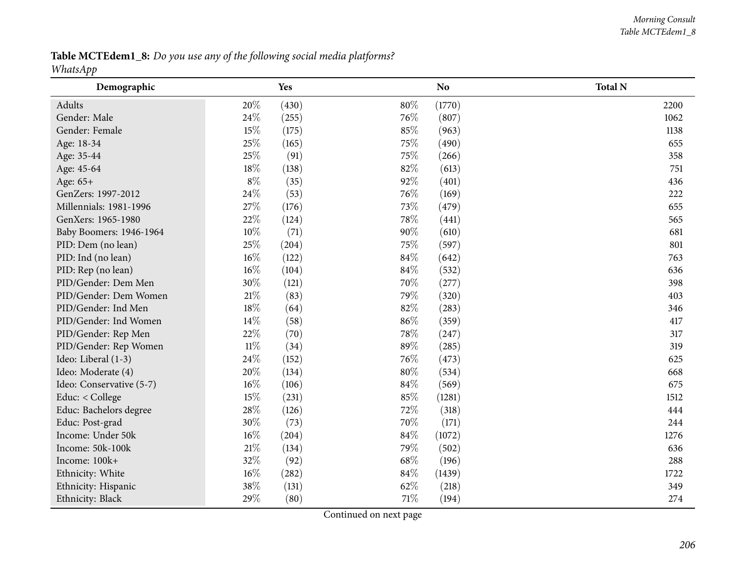Table MCTEdem1\_8: Do you use any of the following social media platforms? *WhatsApp*

| 1 T<br>Demographic       |        | Yes   |        | N <sub>o</sub> | <b>Total N</b> |
|--------------------------|--------|-------|--------|----------------|----------------|
| Adults                   | 20%    | (430) | $80\%$ | (1770)         | 2200           |
| Gender: Male             | 24\%   | (255) | 76%    | (807)          | 1062           |
| Gender: Female           | 15%    | (175) | 85%    | (963)          | 1138           |
| Age: 18-34               | 25%    | (165) | 75%    | (490)          | 655            |
| Age: 35-44               | 25%    | (91)  | 75%    | (266)          | 358            |
| Age: 45-64               | 18%    | (138) | 82%    | (613)          | 751            |
| Age: 65+                 | $8\%$  | (35)  | 92%    | (401)          | 436            |
| GenZers: 1997-2012       | 24%    | (53)  | 76%    | (169)          | 222            |
| Millennials: 1981-1996   | 27%    | (176) | 73%    | (479)          | 655            |
| GenXers: 1965-1980       | 22%    | (124) | 78%    | (441)          | 565            |
| Baby Boomers: 1946-1964  | $10\%$ | (71)  | 90%    | (610)          | 681            |
| PID: Dem (no lean)       | 25%    | (204) | 75%    | (597)          | 801            |
| PID: Ind (no lean)       | 16%    | (122) | 84%    | (642)          | 763            |
| PID: Rep (no lean)       | 16%    | (104) | 84%    | (532)          | 636            |
| PID/Gender: Dem Men      | 30%    | (121) | 70%    | (277)          | 398            |
| PID/Gender: Dem Women    | $21\%$ | (83)  | 79%    | (320)          | 403            |
| PID/Gender: Ind Men      | 18%    | (64)  | 82%    | (283)          | 346            |
| PID/Gender: Ind Women    | 14%    | (58)  | 86%    | (359)          | 417            |
| PID/Gender: Rep Men      | 22%    | (70)  | 78%    | (247)          | 317            |
| PID/Gender: Rep Women    | $11\%$ | (34)  | 89%    | (285)          | 319            |
| Ideo: Liberal (1-3)      | 24%    | (152) | 76%    | (473)          | 625            |
| Ideo: Moderate (4)       | 20%    | (134) | $80\%$ | (534)          | 668            |
| Ideo: Conservative (5-7) | 16%    | (106) | 84\%   | (569)          | 675            |
| Educ: < College          | 15%    | (231) | 85%    | (1281)         | 1512           |
| Educ: Bachelors degree   | 28%    | (126) | $72\%$ | (318)          | 444            |
| Educ: Post-grad          | 30%    | (73)  | 70%    | (171)          | 244            |
| Income: Under 50k        | 16%    | (204) | 84%    | (1072)         | 1276           |
| Income: 50k-100k         | $21\%$ | (134) | 79%    | (502)          | 636            |
| Income: 100k+            | 32%    | (92)  | 68%    | (196)          | 288            |
| Ethnicity: White         | 16%    | (282) | 84\%   | (1439)         | 1722           |
| Ethnicity: Hispanic      | 38%    | (131) | 62%    | (218)          | 349            |
| Ethnicity: Black         | 29%    | (80)  | 71%    | (194)          | 274            |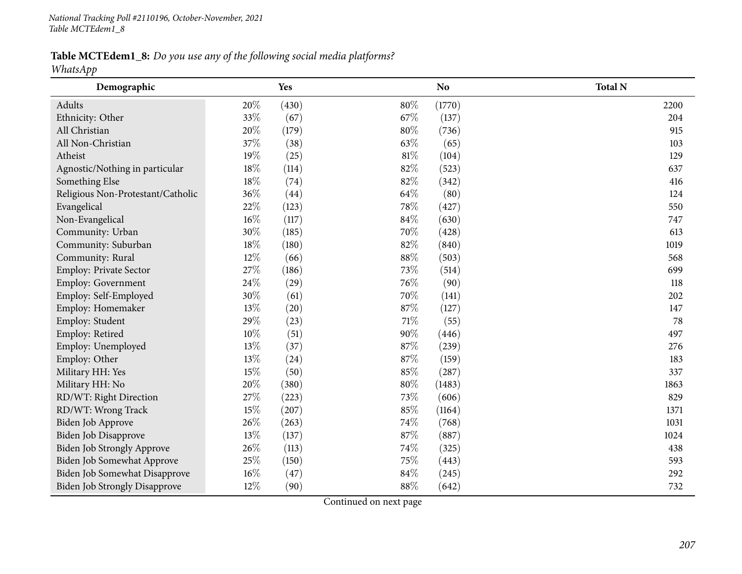Table MCTEdem1\_8: Do you use any of the following social media platforms?

*WhatsApp*

| Demographic                          |        | Yes   |        | N <sub>o</sub> | <b>Total N</b> |
|--------------------------------------|--------|-------|--------|----------------|----------------|
| Adults                               | 20%    | (430) | 80%    | (1770)         | 2200           |
| Ethnicity: Other                     | 33%    | (67)  | 67\%   | (137)          | 204            |
| All Christian                        | 20%    | (179) | 80%    | (736)          | 915            |
| All Non-Christian                    | 37%    | (38)  | 63\%   | (65)           | 103            |
| Atheist                              | 19%    | (25)  | $81\%$ | (104)          | 129            |
| Agnostic/Nothing in particular       | 18%    | (114) | 82%    | (523)          | 637            |
| Something Else                       | 18%    | (74)  | 82%    | (342)          | 416            |
| Religious Non-Protestant/Catholic    | 36%    | (44)  | 64\%   | (80)           | 124            |
| Evangelical                          | 22%    | (123) | 78%    | (427)          | 550            |
| Non-Evangelical                      | 16%    | (117) | 84\%   | (630)          | 747            |
| Community: Urban                     | 30%    | (185) | 70%    | (428)          | 613            |
| Community: Suburban                  | 18%    | (180) | 82%    | (840)          | 1019           |
| Community: Rural                     | 12%    | (66)  | $88\%$ | (503)          | 568            |
| Employ: Private Sector               | 27%    | (186) | 73%    | (514)          | 699            |
| Employ: Government                   | 24\%   | (29)  | 76%    | (90)           | 118            |
| Employ: Self-Employed                | 30%    | (61)  | 70%    | (141)          | 202            |
| Employ: Homemaker                    | 13%    | (20)  | 87%    | (127)          | 147            |
| Employ: Student                      | 29%    | (23)  | 71\%   | (55)           | 78             |
| Employ: Retired                      | $10\%$ | (51)  | 90%    | (446)          | 497            |
| Employ: Unemployed                   | 13%    | (37)  | 87%    | (239)          | 276            |
| Employ: Other                        | 13%    | (24)  | 87%    | (159)          | 183            |
| Military HH: Yes                     | 15%    | (50)  | 85%    | (287)          | 337            |
| Military HH: No                      | 20%    | (380) | $80\%$ | (1483)         | 1863           |
| RD/WT: Right Direction               | 27%    | (223) | 73%    | (606)          | 829            |
| RD/WT: Wrong Track                   | 15%    | (207) | 85%    | (1164)         | 1371           |
| Biden Job Approve                    | 26%    | (263) | 74%    | (768)          | 1031           |
| Biden Job Disapprove                 | 13%    | (137) | $87\%$ | (887)          | 1024           |
| Biden Job Strongly Approve           | 26%    | (113) | 74%    | (325)          | 438            |
| <b>Biden Job Somewhat Approve</b>    | 25%    | (150) | 75%    | (443)          | 593            |
| Biden Job Somewhat Disapprove        | 16%    | (47)  | 84%    | (245)          | 292            |
| <b>Biden Job Strongly Disapprove</b> | 12%    | (90)  | 88%    | (642)          | 732            |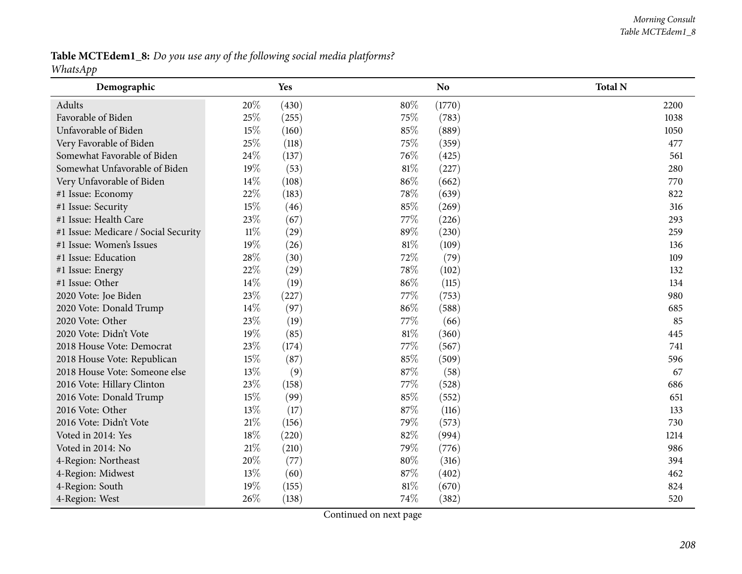Table MCTEdem1\_8: Do you use any of the following social media platforms? *WhatsApp*

| 1 T<br>Demographic                   |        | Yes   |        | N <sub>o</sub> | <b>Total N</b> |
|--------------------------------------|--------|-------|--------|----------------|----------------|
| Adults                               | 20%    | (430) | 80%    | (1770)         | 2200           |
| Favorable of Biden                   | 25%    | (255) | 75%    | (783)          | 1038           |
| Unfavorable of Biden                 | 15%    | (160) | 85%    | (889)          | 1050           |
| Very Favorable of Biden              | 25%    | (118) | 75%    | (359)          | 477            |
| Somewhat Favorable of Biden          | 24%    | (137) | 76\%   | (425)          | 561            |
| Somewhat Unfavorable of Biden        | 19%    | (53)  | 81%    | (227)          | 280            |
| Very Unfavorable of Biden            | 14%    | (108) | 86%    | (662)          | 770            |
| #1 Issue: Economy                    | 22%    | (183) | 78%    | (639)          | 822            |
| #1 Issue: Security                   | 15%    | (46)  | 85%    | (269)          | 316            |
| #1 Issue: Health Care                | 23%    | (67)  | 77\%   | (226)          | 293            |
| #1 Issue: Medicare / Social Security | $11\%$ | (29)  | 89%    | (230)          | 259            |
| #1 Issue: Women's Issues             | 19%    | (26)  | 81%    | (109)          | 136            |
| #1 Issue: Education                  | 28\%   | (30)  | 72%    | (79)           | 109            |
| #1 Issue: Energy                     | 22%    | (29)  | 78%    | (102)          | 132            |
| #1 Issue: Other                      | 14%    | (19)  | 86%    | (115)          | 134            |
| 2020 Vote: Joe Biden                 | 23%    | (227) | 77%    | (753)          | 980            |
| 2020 Vote: Donald Trump              | 14\%   | (97)  | 86%    | (588)          | 685            |
| 2020 Vote: Other                     | 23%    | (19)  | 77%    | (66)           | 85             |
| 2020 Vote: Didn't Vote               | 19%    | (85)  | 81%    | (360)          | 445            |
| 2018 House Vote: Democrat            | 23%    | (174) | 77%    | (567)          | 741            |
| 2018 House Vote: Republican          | 15%    | (87)  | 85%    | (509)          | 596            |
| 2018 House Vote: Someone else        | 13%    | (9)   | 87%    | (58)           | 67             |
| 2016 Vote: Hillary Clinton           | 23%    | (158) | 77%    | (528)          | 686            |
| 2016 Vote: Donald Trump              | 15%    | (99)  | 85%    | (552)          | 651            |
| 2016 Vote: Other                     | 13%    | (17)  | 87%    | (116)          | 133            |
| 2016 Vote: Didn't Vote               | 21\%   | (156) | 79%    | (573)          | 730            |
| Voted in 2014: Yes                   | 18%    | (220) | 82%    | (994)          | 1214           |
| Voted in 2014: No                    | $21\%$ | (210) | 79%    | (776)          | 986            |
| 4-Region: Northeast                  | 20%    | (77)  | 80%    | (316)          | 394            |
| 4-Region: Midwest                    | 13%    | (60)  | 87%    | (402)          | 462            |
| 4-Region: South                      | 19%    | (155) | $81\%$ | (670)          | 824            |
| 4-Region: West                       | 26%    | (138) | 74%    | (382)          | 520            |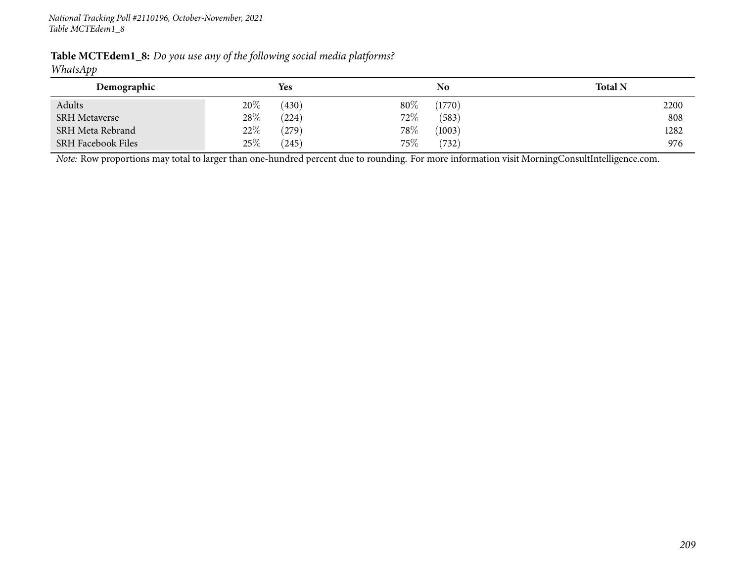| Table MCTEdem1_8: Do you use any of the following social media platforms? |  |  |
|---------------------------------------------------------------------------|--|--|
| $TAT1 \tA$                                                                |  |  |

#### *WhatsApp*

| Demographic               |      | <b>Yes</b> |        | No     | <b>Total N</b> |
|---------------------------|------|------------|--------|--------|----------------|
| Adults                    | 20%  | (430)      | 80%    | (1770) | 2200           |
| <b>SRH Metaverse</b>      | 28\% | (224)      | $72\%$ | (583)  | 808            |
| SRH Meta Rebrand          | 22\% | (279)      | 78%    | (1003) | 1282           |
| <b>SRH Facebook Files</b> | 25\% | (245)      | $75\%$ | (732)  | 976            |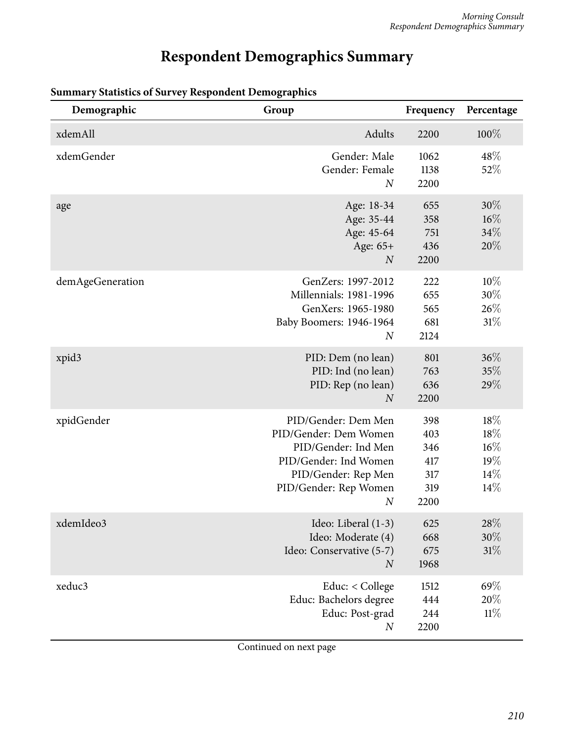# **Respondent Demographics Summary**

| Demographic      | Group                                                                                                                                                            | Frequency                                      | Percentage                                |
|------------------|------------------------------------------------------------------------------------------------------------------------------------------------------------------|------------------------------------------------|-------------------------------------------|
| xdemAll          | Adults                                                                                                                                                           | 2200                                           | 100%                                      |
| xdemGender       | Gender: Male<br>Gender: Female<br>N                                                                                                                              | 1062<br>1138<br>2200                           | 48%<br>52%                                |
| age              | Age: 18-34<br>Age: 35-44<br>Age: 45-64<br>Age: 65+<br>$\boldsymbol{N}$                                                                                           | 655<br>358<br>751<br>436<br>2200               | $30\%$<br>$16\%$<br>34%<br>20%            |
| demAgeGeneration | GenZers: 1997-2012<br><b>Millennials: 1981-1996</b><br>GenXers: 1965-1980<br>Baby Boomers: 1946-1964<br>$\overline{N}$                                           | 222<br>655<br>565<br>681<br>2124               | 10%<br>$30\%$<br>26%<br>31%               |
| xpid3            | PID: Dem (no lean)<br>PID: Ind (no lean)<br>PID: Rep (no lean)<br>$\overline{N}$                                                                                 | 801<br>763<br>636<br>2200                      | 36%<br>35%<br>29%                         |
| xpidGender       | PID/Gender: Dem Men<br>PID/Gender: Dem Women<br>PID/Gender: Ind Men<br>PID/Gender: Ind Women<br>PID/Gender: Rep Men<br>PID/Gender: Rep Women<br>$\boldsymbol{N}$ | 398<br>403<br>346<br>417<br>317<br>319<br>2200 | 18%<br>18%<br>$16\%$<br>19%<br>14%<br>14% |
| xdemIdeo3        | Ideo: Liberal (1-3)<br>Ideo: Moderate (4)<br>Ideo: Conservative (5-7)<br>$\boldsymbol{N}$                                                                        | 625<br>668<br>675<br>1968                      | $28\%$<br>$30\%$<br>31%                   |
| xeduc3           | Educ: < College<br>Educ: Bachelors degree<br>Educ: Post-grad<br>$\boldsymbol{N}$                                                                                 | 1512<br>444<br>244<br>2200                     | 69%<br>20%<br>11%                         |

## **Summary Statistics of Survey Respondent Demographics**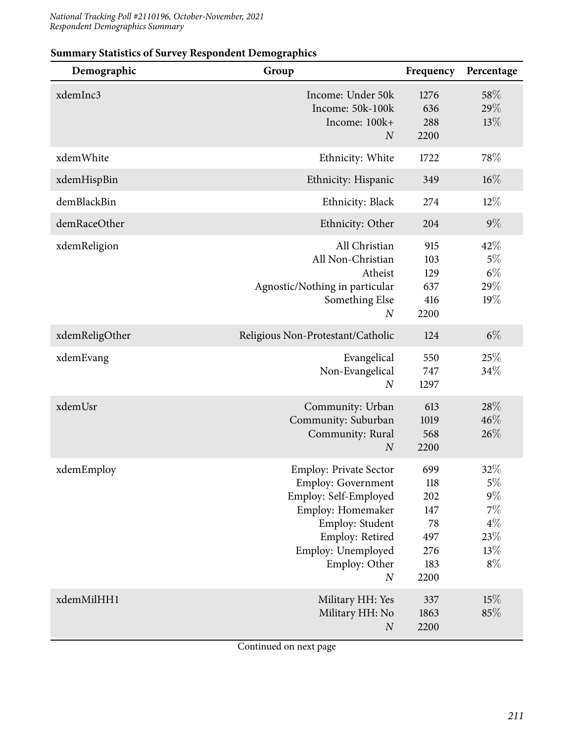| Demographic    | Group                                                                                                                                                                                             | Frequency                                                   | Percentage                                                        |
|----------------|---------------------------------------------------------------------------------------------------------------------------------------------------------------------------------------------------|-------------------------------------------------------------|-------------------------------------------------------------------|
| xdemInc3       | Income: Under 50k<br>Income: 50k-100k<br>Income: 100k+<br>$\boldsymbol{N}$                                                                                                                        | 1276<br>636<br>288<br>2200                                  | 58%<br>29%<br>13%                                                 |
| xdemWhite      | Ethnicity: White                                                                                                                                                                                  | 1722                                                        | 78%                                                               |
| xdemHispBin    | Ethnicity: Hispanic                                                                                                                                                                               | 349                                                         | $16\%$                                                            |
| demBlackBin    | Ethnicity: Black                                                                                                                                                                                  | 274                                                         | $12\%$                                                            |
| demRaceOther   | Ethnicity: Other                                                                                                                                                                                  | 204                                                         | $9\%$                                                             |
| xdemReligion   | All Christian<br>All Non-Christian<br>Atheist<br>Agnostic/Nothing in particular<br>Something Else<br>$\boldsymbol{N}$                                                                             | 915<br>103<br>129<br>637<br>416<br>2200                     | 42%<br>$5\%$<br>$6\%$<br>29%<br>19%                               |
| xdemReligOther | Religious Non-Protestant/Catholic                                                                                                                                                                 | 124                                                         | $6\%$                                                             |
| xdemEvang      | Evangelical<br>Non-Evangelical<br>$\boldsymbol{N}$                                                                                                                                                | 550<br>747<br>1297                                          | 25%<br>34%                                                        |
| xdemUsr        | Community: Urban<br>Community: Suburban<br>Community: Rural<br>$\boldsymbol{N}$                                                                                                                   | 613<br>1019<br>568<br>2200                                  | 28%<br>46%<br>26%                                                 |
| xdemEmploy     | <b>Employ: Private Sector</b><br><b>Employ: Government</b><br>Employ: Self-Employed<br>Employ: Homemaker<br>Employ: Student<br>Employ: Retired<br>Employ: Unemployed<br>Employ: Other<br>$\cal N$ | 699<br>118<br>202<br>147<br>78<br>497<br>276<br>183<br>2200 | 32%<br>$5\%$<br>$9\%$<br>$7\%$<br>$4\%$<br>$23\%$<br>13%<br>$8\%$ |
| xdemMilHH1     | Military HH: Yes<br>Military HH: No<br>$\boldsymbol{N}$                                                                                                                                           | 337<br>1863<br>2200                                         | 15%<br>85%                                                        |

## **Summary Statistics of Survey Respondent Demographics**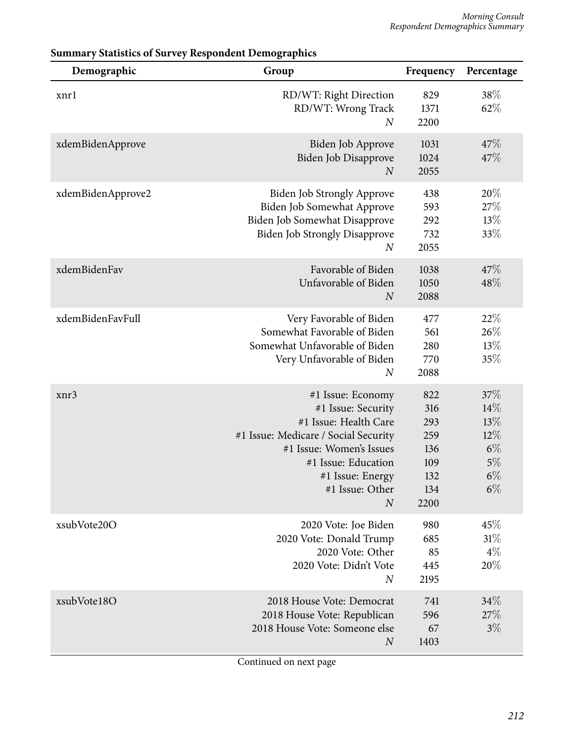| Demographic       | Group                                                                                                                                                                                                                  | Frequency                                                    | Percentage                                                   |
|-------------------|------------------------------------------------------------------------------------------------------------------------------------------------------------------------------------------------------------------------|--------------------------------------------------------------|--------------------------------------------------------------|
| xnrl              | RD/WT: Right Direction<br>RD/WT: Wrong Track<br>$\boldsymbol{N}$                                                                                                                                                       | 829<br>1371<br>2200                                          | 38%<br>62%                                                   |
| xdemBidenApprove  | Biden Job Approve<br>Biden Job Disapprove<br>$\boldsymbol{N}$                                                                                                                                                          | 1031<br>1024<br>2055                                         | 47%<br>47%                                                   |
| xdemBidenApprove2 | <b>Biden Job Strongly Approve</b><br>Biden Job Somewhat Approve<br>Biden Job Somewhat Disapprove<br><b>Biden Job Strongly Disapprove</b><br>$\boldsymbol{N}$                                                           | 438<br>593<br>292<br>732<br>2055                             | 20%<br>27\%<br>13%<br>33%                                    |
| xdemBidenFav      | Favorable of Biden<br>Unfavorable of Biden<br>$\boldsymbol{N}$                                                                                                                                                         | 1038<br>1050<br>2088                                         | 47%<br>48%                                                   |
| xdemBidenFavFull  | Very Favorable of Biden<br>Somewhat Favorable of Biden<br>Somewhat Unfavorable of Biden<br>Very Unfavorable of Biden<br>$\boldsymbol{N}$                                                                               | 477<br>561<br>280<br>770<br>2088                             | 22%<br>26%<br>13%<br>35%                                     |
| xnr3              | #1 Issue: Economy<br>#1 Issue: Security<br>#1 Issue: Health Care<br>#1 Issue: Medicare / Social Security<br>#1 Issue: Women's Issues<br>#1 Issue: Education<br>#1 Issue: Energy<br>#1 Issue: Other<br>$\boldsymbol{N}$ | 822<br>316<br>293<br>259<br>136<br>109<br>132<br>134<br>2200 | 37%<br>14%<br>13%<br>12%<br>$6\%$<br>$5\%$<br>$6\%$<br>$6\%$ |
| xsubVote20O       | 2020 Vote: Joe Biden<br>2020 Vote: Donald Trump<br>2020 Vote: Other<br>2020 Vote: Didn't Vote<br>$\boldsymbol{N}$                                                                                                      | 980<br>685<br>85<br>445<br>2195                              | 45%<br>31%<br>$4\%$<br>20%                                   |
| xsubVote18O       | 2018 House Vote: Democrat<br>2018 House Vote: Republican<br>2018 House Vote: Someone else<br>$\boldsymbol{N}$                                                                                                          | 741<br>596<br>67<br>1403                                     | 34%<br>$27\%$<br>$3\%$                                       |

# **Summary Statistics of Survey Respondent Demographics**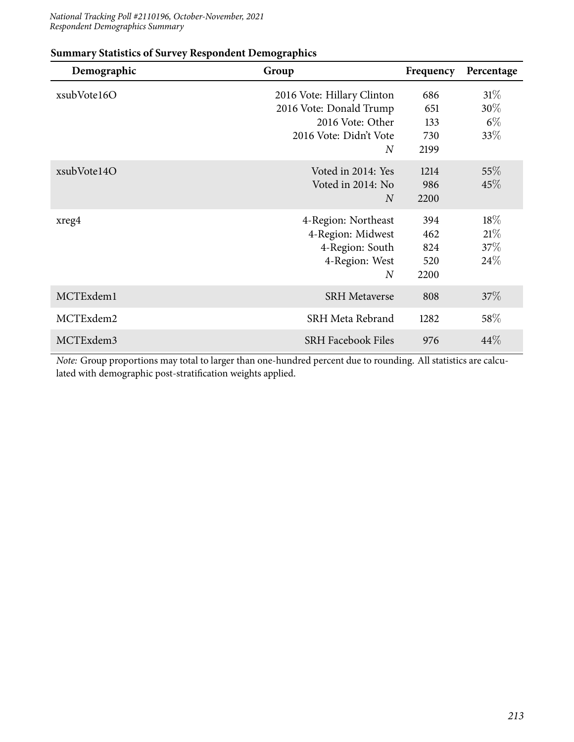#### *National Tracking Poll #2110196, October-November, 2021 Respondent Demographics Summary*

| Demographic | Group                                                                                                    | Frequency                        | Percentage                    |
|-------------|----------------------------------------------------------------------------------------------------------|----------------------------------|-------------------------------|
| xsubVote16O | 2016 Vote: Hillary Clinton<br>2016 Vote: Donald Trump<br>2016 Vote: Other<br>2016 Vote: Didn't Vote<br>N | 686<br>651<br>133<br>730<br>2199 | $31\%$<br>30%<br>$6\%$<br>33% |
| xsubVote14O | Voted in 2014: Yes<br>Voted in 2014: No<br>$\overline{N}$                                                | 1214<br>986<br>2200              | $55\%$<br>45%                 |
| xreg4       | 4-Region: Northeast<br>4-Region: Midwest<br>4-Region: South<br>4-Region: West<br>$\overline{N}$          | 394<br>462<br>824<br>520<br>2200 | $18\%$<br>21%<br>37\%<br>24\% |
| MCTExdem1   | <b>SRH Metaverse</b>                                                                                     | 808                              | 37%                           |
| MCTExdem2   | SRH Meta Rebrand                                                                                         | 1282                             | $58\%$                        |
| MCTExdem3   | <b>SRH Facebook Files</b>                                                                                | 976                              | 44%                           |

#### **Summary Statistics of Survey Respondent Demographics**

*Note:* Group proportions may total to larger than one-hundred percent due to rounding. All statistics are calculated with demographic post-stratification weights applied.